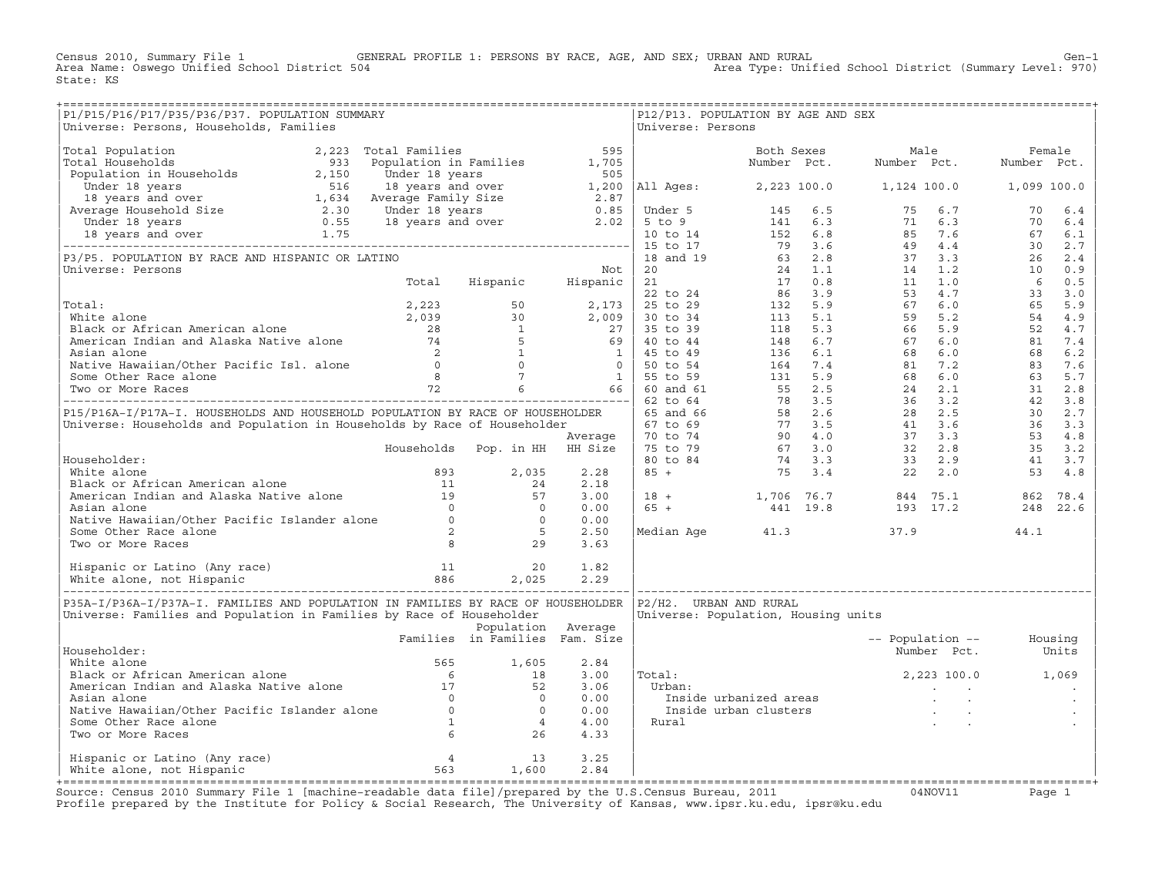Census 2010, Summary File 1 GENERAL PROFILE 1: PERSONS BY RACE, AGE, AND SEX; URBAN AND RURAL Genosile of Gen−1<br>Area Name: Oswego Unified School District 504 Area Type: Unified School District (Summary Level: 970) State: KS

| P1/P15/P16/P17/P35/P36/P37. POPULATION SUMMARY<br>Universe: Persons, Households, Families                                                                                                                                                        |                                |                    |              | Universe: Persons | P12/P13. POPULATION BY AGE AND SEX                                                                                                                   |                          |                   |      |  |
|--------------------------------------------------------------------------------------------------------------------------------------------------------------------------------------------------------------------------------------------------|--------------------------------|--------------------|--------------|-------------------|------------------------------------------------------------------------------------------------------------------------------------------------------|--------------------------|-------------------|------|--|
| Universe: Persona, Roueholds, Pamilies (1992)<br>The Postal Months (1992) 1975 Schultzton in Section 1976 1981<br>The Constant Communication 2002 (1992) 1975 10 (1992) 1976 11 (1992)<br>The Communication 2003 (1992) 10 (1992) 1              |                                |                    |              |                   |                                                                                                                                                      |                          |                   |      |  |
|                                                                                                                                                                                                                                                  |                                |                    |              |                   |                                                                                                                                                      |                          |                   |      |  |
|                                                                                                                                                                                                                                                  |                                |                    |              |                   |                                                                                                                                                      |                          |                   |      |  |
|                                                                                                                                                                                                                                                  |                                |                    |              |                   |                                                                                                                                                      |                          |                   |      |  |
|                                                                                                                                                                                                                                                  |                                |                    |              |                   |                                                                                                                                                      |                          |                   |      |  |
|                                                                                                                                                                                                                                                  |                                |                    |              |                   |                                                                                                                                                      |                          |                   |      |  |
|                                                                                                                                                                                                                                                  |                                |                    |              |                   |                                                                                                                                                      |                          |                   |      |  |
|                                                                                                                                                                                                                                                  |                                |                    |              |                   |                                                                                                                                                      |                          |                   |      |  |
|                                                                                                                                                                                                                                                  |                                |                    |              |                   |                                                                                                                                                      |                          |                   |      |  |
|                                                                                                                                                                                                                                                  |                                |                    |              |                   |                                                                                                                                                      |                          |                   |      |  |
|                                                                                                                                                                                                                                                  |                                |                    |              |                   |                                                                                                                                                      |                          |                   |      |  |
|                                                                                                                                                                                                                                                  |                                |                    |              |                   |                                                                                                                                                      |                          |                   |      |  |
|                                                                                                                                                                                                                                                  |                                |                    |              |                   |                                                                                                                                                      |                          |                   |      |  |
|                                                                                                                                                                                                                                                  |                                |                    |              |                   |                                                                                                                                                      |                          |                   |      |  |
|                                                                                                                                                                                                                                                  |                                |                    |              |                   |                                                                                                                                                      |                          |                   |      |  |
|                                                                                                                                                                                                                                                  |                                |                    |              |                   |                                                                                                                                                      |                          |                   |      |  |
|                                                                                                                                                                                                                                                  |                                |                    |              |                   |                                                                                                                                                      |                          |                   |      |  |
|                                                                                                                                                                                                                                                  |                                |                    |              |                   |                                                                                                                                                      |                          |                   |      |  |
|                                                                                                                                                                                                                                                  |                                |                    |              |                   |                                                                                                                                                      |                          |                   |      |  |
|                                                                                                                                                                                                                                                  |                                |                    |              |                   |                                                                                                                                                      |                          |                   |      |  |
|                                                                                                                                                                                                                                                  |                                |                    |              |                   |                                                                                                                                                      |                          |                   |      |  |
|                                                                                                                                                                                                                                                  |                                |                    |              |                   |                                                                                                                                                      |                          |                   |      |  |
|                                                                                                                                                                                                                                                  |                                |                    |              |                   |                                                                                                                                                      |                          |                   |      |  |
|                                                                                                                                                                                                                                                  |                                |                    |              |                   |                                                                                                                                                      |                          |                   |      |  |
|                                                                                                                                                                                                                                                  |                                |                    |              |                   |                                                                                                                                                      |                          |                   |      |  |
|                                                                                                                                                                                                                                                  |                                |                    |              |                   |                                                                                                                                                      |                          |                   |      |  |
|                                                                                                                                                                                                                                                  |                                |                    |              |                   |                                                                                                                                                      |                          |                   |      |  |
|                                                                                                                                                                                                                                                  |                                |                    |              |                   |                                                                                                                                                      |                          |                   |      |  |
|                                                                                                                                                                                                                                                  |                                |                    |              |                   | $\begin{array}{c cccccc} 3.00 & 18 & + & 1,706 & 76.7 & 844 & 75.1 & 862 & 78.4 \\ 0.00 & 65 & + & 441 & 19.8 & 193 & 17.2 & 248 & 22.6 \end{array}$ |                          |                   |      |  |
|                                                                                                                                                                                                                                                  |                                |                    |              |                   |                                                                                                                                                      |                          |                   |      |  |
|                                                                                                                                                                                                                                                  |                                |                    |              |                   | Median Age 41.3                                                                                                                                      |                          | 37.9              | 44.1 |  |
| Householder:<br>White alone<br>Black or African American alone<br>American Indian and Alaska Native alone<br>Asian alone<br>Asian alone<br>Native Hawaiian/Other Pacific Islander alone<br>Some Other Race alone<br>Two or More Races<br>Black a |                                |                    |              |                   |                                                                                                                                                      |                          |                   |      |  |
|                                                                                                                                                                                                                                                  |                                |                    |              |                   |                                                                                                                                                      |                          |                   |      |  |
|                                                                                                                                                                                                                                                  |                                |                    |              |                   |                                                                                                                                                      |                          |                   |      |  |
| P35A-I/P36A-I/P37A-I. FAMILIES AND POPULATION IN FAMILIES BY RACE OF HOUSEHOLDER   P2/H2. URBAN AND RURAL                                                                                                                                        |                                |                    |              |                   |                                                                                                                                                      |                          |                   |      |  |
| Universe: Families and Population in Families by Race of Householder                                                                                                                                                                             |                                |                    |              |                   | Universe: Population, Housing units                                                                                                                  |                          |                   |      |  |
|                                                                                                                                                                                                                                                  |                                | Population Average |              |                   |                                                                                                                                                      |                          |                   |      |  |
|                                                                                                                                                                                                                                                  | Families in Families Fam. Size |                    |              |                   |                                                                                                                                                      | -- Population -- Housing |                   |      |  |
| Householder:                                                                                                                                                                                                                                     |                                |                    |              |                   |                                                                                                                                                      |                          | Number Pct. Units |      |  |
|                                                                                                                                                                                                                                                  |                                |                    |              |                   |                                                                                                                                                      |                          |                   |      |  |
|                                                                                                                                                                                                                                                  |                                |                    |              | Total:            |                                                                                                                                                      |                          | 2,223 100.0 1,069 |      |  |
|                                                                                                                                                                                                                                                  |                                |                    |              |                   |                                                                                                                                                      |                          |                   |      |  |
|                                                                                                                                                                                                                                                  |                                |                    |              |                   |                                                                                                                                                      |                          |                   |      |  |
|                                                                                                                                                                                                                                                  |                                |                    |              |                   |                                                                                                                                                      |                          |                   |      |  |
|                                                                                                                                                                                                                                                  |                                |                    |              |                   |                                                                                                                                                      |                          |                   |      |  |
| Householder:<br>White alone<br>Black or African American alone<br>Marican Indian and Alaska Native alone<br>Asian alone<br>Native Hawaiian/Other Pacific Islander alone<br>Some Other Race alone<br>Two or More Races<br>Two or More Races<br>Co |                                |                    |              |                   |                                                                                                                                                      |                          |                   |      |  |
|                                                                                                                                                                                                                                                  |                                |                    |              |                   |                                                                                                                                                      |                          |                   |      |  |
| Hispanic or Latino (Any race) 4 13<br>White alone, not Hispanic 1,600                                                                                                                                                                            |                                |                    | 3.25<br>2.84 |                   |                                                                                                                                                      |                          |                   |      |  |
|                                                                                                                                                                                                                                                  |                                |                    |              |                   |                                                                                                                                                      |                          |                   |      |  |

+===================================================================================================================================================+Source: Census 2010 Summary File 1 [machine−readable data file]/prepared by the U.S.Census Bureau, 2011 04NOV11 Page 1 Profile prepared by the Institute for Policy & Social Research, The University of Kansas, www.ipsr.ku.edu, ipsr@ku.edu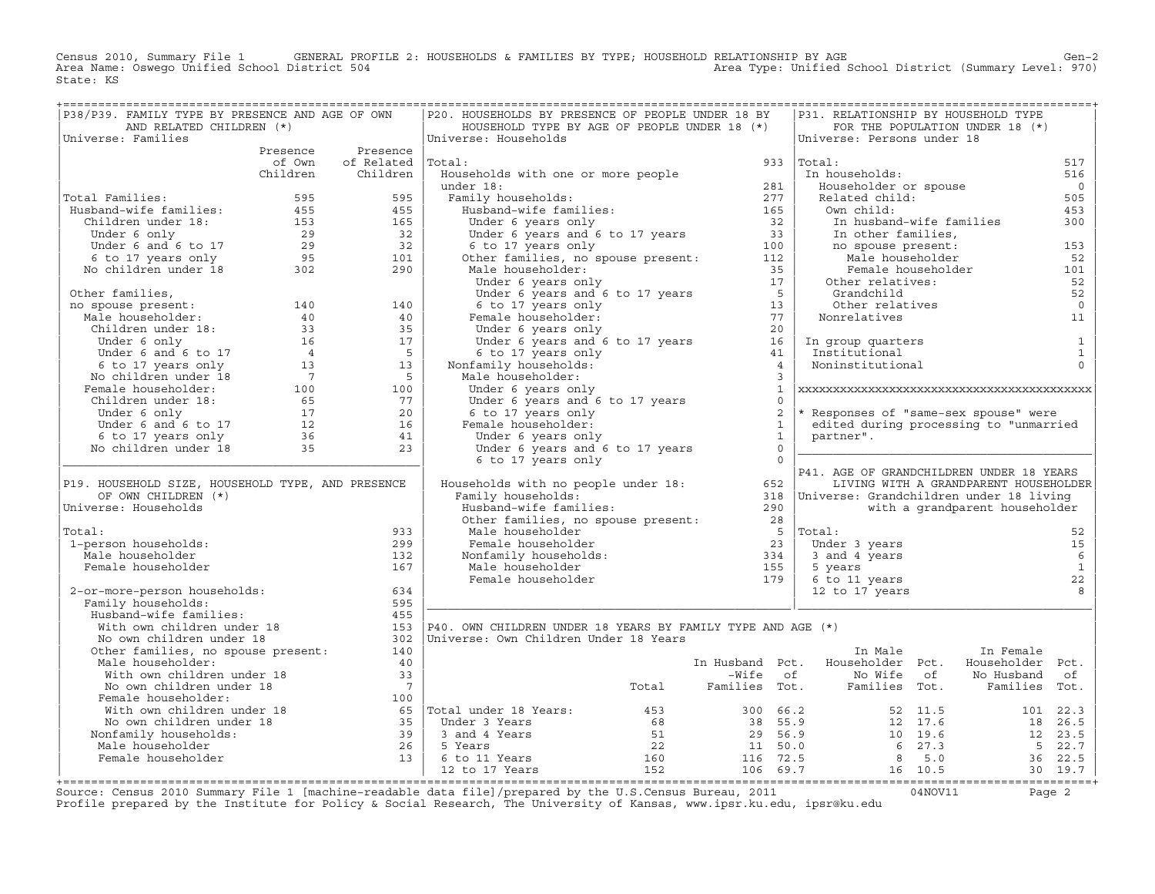Census 2010, Summary File 1 GENERAL PROFILE 2: HOUSEHOLDS & FAMILIES BY TYPE; HOUSEHOLD RELATIONSHIP BY AGE GEN<br>Area Name: Oswego Unified School District 504 Area Type: Unified School District (Summary Level: 970) State: KS

| P38/P39. FAMILY TYPE BY PRESENCE AND AGE OF OWN                                                                                                                                                                                                |                          | P20. HOUSEHOLDS BY PRESENCE OF PEOPLE UNDER 18 BY                                                                                                                                                                                                |                |              | P31. RELATIONSHIP BY HOUSEHOLD TYPE                                                                                                              |                                       |                 |
|------------------------------------------------------------------------------------------------------------------------------------------------------------------------------------------------------------------------------------------------|--------------------------|--------------------------------------------------------------------------------------------------------------------------------------------------------------------------------------------------------------------------------------------------|----------------|--------------|--------------------------------------------------------------------------------------------------------------------------------------------------|---------------------------------------|-----------------|
| AND RELATED CHILDREN (*)                                                                                                                                                                                                                       |                          | HOUSEHOLD TYPE BY AGE OF PEOPLE UNDER 18 (*)                                                                                                                                                                                                     |                |              |                                                                                                                                                  | FOR THE POPULATION UNDER 18 (*)       |                 |
| Universe: Families                                                                                                                                                                                                                             |                          | Universe: Households                                                                                                                                                                                                                             |                |              | Universe: Persons under 18                                                                                                                       |                                       |                 |
|                                                                                                                                                                                                                                                | Presence Presence        |                                                                                                                                                                                                                                                  |                |              |                                                                                                                                                  |                                       |                 |
|                                                                                                                                                                                                                                                | of Own of Related Total: | braai:<br>Households with one or more people<br>under 18:<br>165<br>Under 6 years only<br>Under 6 years and 6 to 17 years<br>of the server of the server of the server of the server of<br>the families, no spouse present:<br>100<br>Other fami |                |              | 933 $ Total:$<br>-----.<br>In households:                                                                                                        |                                       | 517             |
|                                                                                                                                                                                                                                                | Children Children        | Households with one or more people<br>Households with one or more people                                                                                                                                                                         |                |              |                                                                                                                                                  |                                       | 516             |
|                                                                                                                                                                                                                                                |                          |                                                                                                                                                                                                                                                  |                |              | Householder or spouse<br>Related child:                                                                                                          |                                       | $\overline{0}$  |
| Total Families:                                                                                                                                                                                                                                |                          |                                                                                                                                                                                                                                                  |                |              |                                                                                                                                                  |                                       | 505<br>453      |
|                                                                                                                                                                                                                                                |                          |                                                                                                                                                                                                                                                  |                |              | Own child:                                                                                                                                       |                                       | 300             |
|                                                                                                                                                                                                                                                |                          |                                                                                                                                                                                                                                                  |                |              |                                                                                                                                                  | In husband-wife families              |                 |
|                                                                                                                                                                                                                                                |                          |                                                                                                                                                                                                                                                  |                |              |                                                                                                                                                  |                                       |                 |
|                                                                                                                                                                                                                                                |                          |                                                                                                                                                                                                                                                  |                |              |                                                                                                                                                  |                                       | 153<br>52       |
|                                                                                                                                                                                                                                                |                          |                                                                                                                                                                                                                                                  |                |              | In husband-wife families<br>In other families,<br>no spouse present:<br>Male householder<br>Female householder<br>Other relatives:<br>Crandabild |                                       | 101             |
|                                                                                                                                                                                                                                                |                          |                                                                                                                                                                                                                                                  |                |              |                                                                                                                                                  |                                       | 52              |
|                                                                                                                                                                                                                                                |                          |                                                                                                                                                                                                                                                  |                |              | Grandchild<br>)ther relatives<br>Grandchild<br>Other relatives                                                                                   |                                       | 52              |
|                                                                                                                                                                                                                                                |                          |                                                                                                                                                                                                                                                  |                |              |                                                                                                                                                  |                                       | $\overline{0}$  |
|                                                                                                                                                                                                                                                |                          |                                                                                                                                                                                                                                                  |                |              | Nonrelatives                                                                                                                                     |                                       | 11              |
|                                                                                                                                                                                                                                                |                          |                                                                                                                                                                                                                                                  |                |              |                                                                                                                                                  |                                       |                 |
|                                                                                                                                                                                                                                                |                          |                                                                                                                                                                                                                                                  |                |              |                                                                                                                                                  |                                       | $\overline{1}$  |
|                                                                                                                                                                                                                                                |                          |                                                                                                                                                                                                                                                  |                |              | In group quarters<br>Institutional<br>Noninstitutional                                                                                           |                                       | $\mathbf{1}$    |
|                                                                                                                                                                                                                                                |                          |                                                                                                                                                                                                                                                  |                |              |                                                                                                                                                  |                                       | $\Omega$        |
|                                                                                                                                                                                                                                                |                          | Male householder:                                                                                                                                                                                                                                |                |              |                                                                                                                                                  |                                       |                 |
|                                                                                                                                                                                                                                                |                          |                                                                                                                                                                                                                                                  |                | $\mathbf{1}$ |                                                                                                                                                  |                                       |                 |
|                                                                                                                                                                                                                                                |                          |                                                                                                                                                                                                                                                  |                | $\Omega$     |                                                                                                                                                  |                                       |                 |
|                                                                                                                                                                                                                                                |                          |                                                                                                                                                                                                                                                  |                | 2            | * Responses of "same-sex spouse" were                                                                                                            |                                       |                 |
|                                                                                                                                                                                                                                                |                          |                                                                                                                                                                                                                                                  | $\overline{1}$ |              | edited during processing to "unmarried                                                                                                           |                                       |                 |
|                                                                                                                                                                                                                                                |                          |                                                                                                                                                                                                                                                  | 1              |              | partner".                                                                                                                                        |                                       |                 |
|                                                                                                                                                                                                                                                |                          |                                                                                                                                                                                                                                                  | $\overline{0}$ |              |                                                                                                                                                  |                                       |                 |
|                                                                                                                                                                                                                                                |                          | Under 6 years only<br>Under 6 years and 6 to 17 years<br>6 to 17 years only<br>Female householder:<br>Under 6 years only<br>Under 6 years and 6 to 17<br>6 to 17 years only                                                                      | $\overline{0}$ |              |                                                                                                                                                  |                                       |                 |
|                                                                                                                                                                                                                                                |                          |                                                                                                                                                                                                                                                  |                |              | P41. AGE OF GRANDCHILDREN UNDER 18 YEARS                                                                                                         |                                       |                 |
| P19. HOUSEHOLD SIZE, HOUSEHOLD TYPE, AND PRESENCE                                                                                                                                                                                              |                          | FA1. AGE OF GRANDCHILDREN UNDER 18 YEARS<br>Households with no people under 18: The Same of Samily households:<br>Family households: Tamily households: Standchildren under 18 living                                                            |                |              |                                                                                                                                                  | LIVING WITH A GRANDPARENT HOUSEHOLDER |                 |
| OF OWN CHILDREN (*)                                                                                                                                                                                                                            |                          |                                                                                                                                                                                                                                                  |                |              |                                                                                                                                                  |                                       |                 |
| Universe: Households                                                                                                                                                                                                                           |                          |                                                                                                                                                                                                                                                  |                |              |                                                                                                                                                  | with a grandparent householder        |                 |
|                                                                                                                                                                                                                                                |                          | Family households:<br>Husband-wife families: 290<br>Other families, no spouse present: 28<br>All the contract of the contract of 23<br>23                                                                                                        |                |              |                                                                                                                                                  |                                       |                 |
| Total:                                                                                                                                                                                                                                         | 933                      |                                                                                                                                                                                                                                                  |                |              | $5$  Total:                                                                                                                                      |                                       | 52              |
| 1-person households:                                                                                                                                                                                                                           | 299                      |                                                                                                                                                                                                                                                  |                |              | Under 3 years                                                                                                                                    |                                       | 15              |
| Male householder                                                                                                                                                                                                                               | 132                      |                                                                                                                                                                                                                                                  |                |              | onder 3 years<br>3 and 4 years<br>5 years                                                                                                        |                                       | $6\overline{6}$ |
| Female householder                                                                                                                                                                                                                             | 167                      |                                                                                                                                                                                                                                                  |                |              |                                                                                                                                                  |                                       | $\mathbf{1}$    |
|                                                                                                                                                                                                                                                |                          |                                                                                                                                                                                                                                                  |                |              |                                                                                                                                                  |                                       | 22              |
| 2-or-more-person households:                                                                                                                                                                                                                   | 634                      | mare nouseholder<br>Female householder<br>Nonfamily households:<br>Male householder<br>Female householder<br>Temale householder<br>The same start of the state of the start of the start of the start of the start of the start of the sta       |                |              | 6 to 11 years<br>12 to 17 years<br>12 to 17 years                                                                                                |                                       | 8               |
| Family households:                                                                                                                                                                                                                             | 595                      |                                                                                                                                                                                                                                                  |                |              |                                                                                                                                                  |                                       |                 |
| Nusband-wife families:<br>With own children under 18<br>No own children under 18<br>Other families, no spouse present:                                                                                                                         | 455                      |                                                                                                                                                                                                                                                  |                |              |                                                                                                                                                  |                                       |                 |
|                                                                                                                                                                                                                                                |                          | 153   P40. OWN CHILDREN UNDER 18 YEARS BY FAMILY TYPE AND AGE $(*)$                                                                                                                                                                              |                |              |                                                                                                                                                  |                                       |                 |
|                                                                                                                                                                                                                                                |                          | 302   Universe: Own Children Under 18 Years                                                                                                                                                                                                      |                |              |                                                                                                                                                  |                                       |                 |
|                                                                                                                                                                                                                                                | 140                      |                                                                                                                                                                                                                                                  |                |              | In Male                                                                                                                                          | In Female                             |                 |
| Male householder:                                                                                                                                                                                                                              | 40                       |                                                                                                                                                                                                                                                  |                |              | In Husband Pct. Householder Pct. Householder Pct.                                                                                                |                                       |                 |
|                                                                                                                                                                                                                                                |                          |                                                                                                                                                                                                                                                  |                |              |                                                                                                                                                  |                                       |                 |
| With own children under 18<br>No own children under 18<br>Female householder: 10<br>100                                                                                                                                                        |                          |                                                                                                                                                                                                                                                  |                |              |                                                                                                                                                  |                                       |                 |
|                                                                                                                                                                                                                                                |                          |                                                                                                                                                                                                                                                  |                |              |                                                                                                                                                  |                                       |                 |
|                                                                                                                                                                                                                                                |                          |                                                                                                                                                                                                                                                  |                |              |                                                                                                                                                  |                                       |                 |
|                                                                                                                                                                                                                                                |                          |                                                                                                                                                                                                                                                  |                |              |                                                                                                                                                  |                                       |                 |
|                                                                                                                                                                                                                                                |                          |                                                                                                                                                                                                                                                  |                |              |                                                                                                                                                  |                                       |                 |
|                                                                                                                                                                                                                                                |                          |                                                                                                                                                                                                                                                  |                |              |                                                                                                                                                  |                                       |                 |
|                                                                                                                                                                                                                                                |                          |                                                                                                                                                                                                                                                  |                |              |                                                                                                                                                  |                                       |                 |
| Mo own children under 18<br>Mo own children under 18<br>Female householder:<br>Wo wom children under 18<br>Wo own children under 18<br>Wo own children under 18<br>Mo own children under 18<br>Mo own children under 18<br>Mo own children und |                          |                                                                                                                                                                                                                                                  |                |              |                                                                                                                                                  |                                       |                 |
|                                                                                                                                                                                                                                                |                          |                                                                                                                                                                                                                                                  |                |              |                                                                                                                                                  |                                       |                 |

+===================================================================================================================================================+Source: Census 2010 Summary File 1 [machine−readable data file]/prepared by the U.S.Census Bureau, 2011 04NOV11 Page 2 Profile prepared by the Institute for Policy & Social Research, The University of Kansas, www.ipsr.ku.edu, ipsr@ku.edu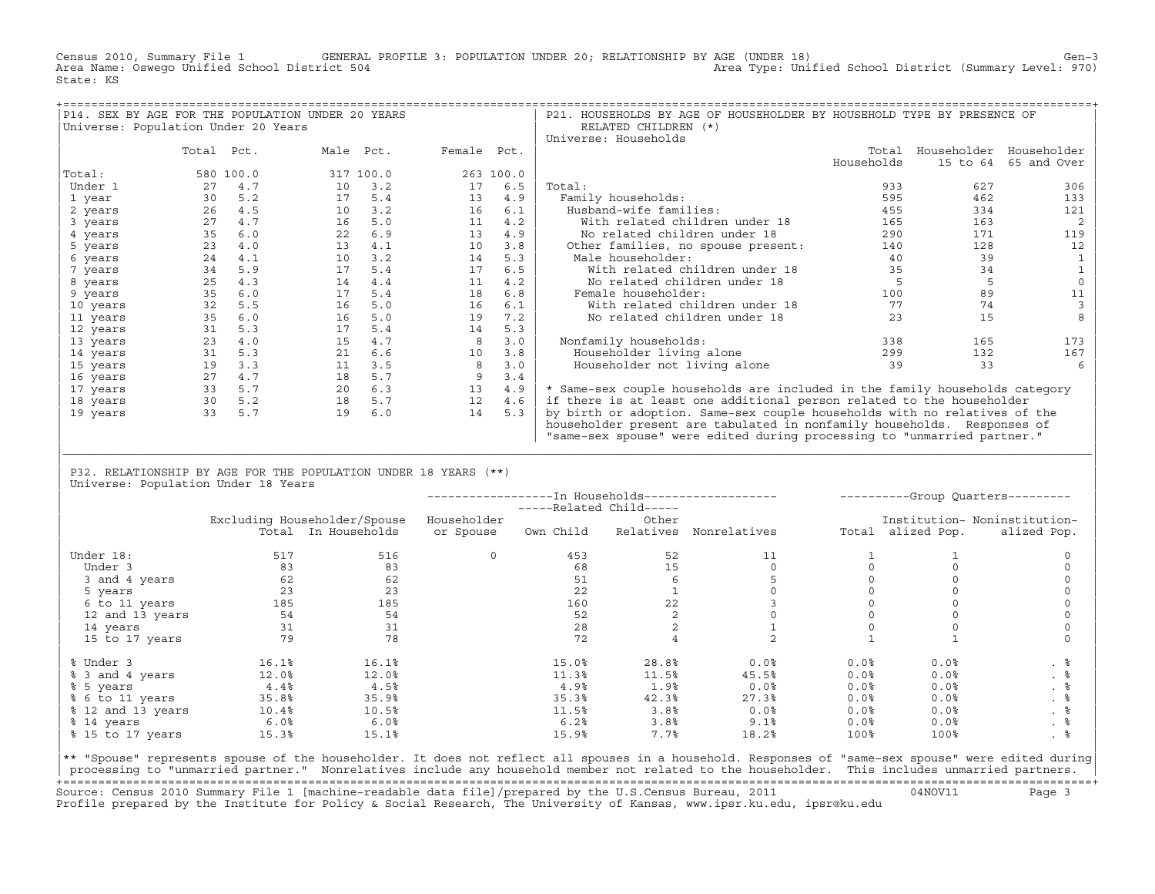Census 2010, Summary File 1 GENERAL PROFILE 3: POPULATION UNDER 20; RELATIONSHIP BY AGE (UNDER 18) Gen−3<br>Area Name: Oswego Unified School District 504 Area Type: Unified School District (Summary Level: 970) State: KS

|                                     |            |           | P14. SEX BY AGE FOR THE POPULATION UNDER 20 YEARS |             |           | P21. HOUSEHOLDS BY AGE OF HOUSEHOLDER BY HOUSEHOLD TYPE BY PRESENCE OF      |            |          |                         |
|-------------------------------------|------------|-----------|---------------------------------------------------|-------------|-----------|-----------------------------------------------------------------------------|------------|----------|-------------------------|
| Universe: Population Under 20 Years |            |           |                                                   |             |           | RELATED CHILDREN (*)                                                        |            |          |                         |
|                                     |            |           |                                                   |             |           | Universe: Households                                                        |            |          |                         |
|                                     | Total Pct. |           | Male Pct.                                         | Female Pct. |           |                                                                             | Total      |          | Householder Householder |
|                                     |            |           |                                                   |             |           |                                                                             | Households | 15 to 64 | 65 and Over             |
| Total:                              |            | 580 100.0 | 317 100.0                                         |             | 263 100.0 |                                                                             |            |          |                         |
| Under 1                             | 27         | 4.7       | 3.2<br>10                                         | 17          | 6.5       | Total:                                                                      | 933        | 627      | 306                     |
| 1 year                              | 30         | 5.2       | 17<br>5.4                                         | 13          | 4.9       | Family households:                                                          | 595        | 462      | 133                     |
| 2 years                             | 26         | 4.5       | 3.2<br>10                                         | 16          | 6.1       | Husband-wife families:                                                      | 455        | 334      | 121                     |
| 3 years                             | 27         | 4.7       | 16<br>5.0                                         | 11          | 4.2       | With related children under 18                                              | 165        | 163      | 2                       |
| 4 years                             | 35         | 6.0       | 22<br>6.9                                         | 13          | 4.9       | No related children under 18                                                | 290        | 171      | 119                     |
| 5 years                             | 23         | 4.0       | 4.1<br>13                                         | 10          | 3.8       | Other families, no spouse present:                                          | 140        | 128      | 12                      |
| 6 years                             | 24         | 4.1       | 10<br>3.2                                         | 14          | 5.3       | Male householder:                                                           | 40         | 39       |                         |
| 7 years                             | 34         | 5.9       | 5.4<br>17                                         | 17          | 6.5       | With related children under 18                                              | 35         | 34       |                         |
| 8 years                             | 25         | 4.3       | 4.4<br>14                                         | 11          | 4.2       | No related children under 18                                                | 5          |          |                         |
| 9 years                             | 35         | 6.0       | 17<br>5.4                                         | 18          | 6.8       | Female householder:                                                         | 100        | 89       |                         |
| 10 years                            | 32         | 5.5       | 5.0<br>16                                         | 16          | 6.1       | With related children under 18                                              | 77         | 74       |                         |
| 11 years                            | 35         | 6.0       | 16<br>5.0                                         | 19          | 7.2       | No related children under 18                                                | 23         | 15       |                         |
| 12 years                            | 31         | 5.3       | 17<br>5.4                                         | 14          | 5.3       |                                                                             |            |          |                         |
| 13 years                            | 23         | 4.0       | 15<br>4.7                                         | 8           | 3.0       | Nonfamily households:                                                       | 338        | 165      | 173                     |
| 14 years                            | 31         | 5.3       | 6.6<br>21                                         | 10          | 3.8       | Householder living alone                                                    | 299        | 132      | 167                     |
| 15 years                            | 19         | 3.3       | 11<br>3.5                                         | 8           | 3.0       | Householder not living alone                                                | 39         | 33       |                         |
| 16 years                            | 27         | 4.7       | 18<br>5.7                                         | 9           | 3.4       |                                                                             |            |          |                         |
| 17 years                            | 33         | 5.7       | 6.3<br>20                                         | 13          | 4.9       | * Same-sex couple households are included in the family households category |            |          |                         |
| 18 years                            | 30         | 5.2       | 18<br>5.7                                         | 12          | 4.6       | if there is at least one additional person related to the householder       |            |          |                         |
| 19 years                            | 33         | 5.7       | 19<br>6.0                                         | 14          | 5.3       | by birth or adoption. Same-sex couple households with no relatives of the   |            |          |                         |
|                                     |            |           |                                                   |             |           | householder present are tabulated in nonfamily households. Responses of     |            |          |                         |
|                                     |            |           |                                                   |             |           | "same-sex spouse" were edited during processing to "unmarried partner."     |            |          |                         |

| P32. RELATIONSHIP BY AGE FOR THE POPULATION UNDER 18 YEARS (\*\*) | Universe: Population Under 18 Years

|                   |       |                              |             | -----Related Child----- |           |              |      |                   | ----------Group Quarters--------- |
|-------------------|-------|------------------------------|-------------|-------------------------|-----------|--------------|------|-------------------|-----------------------------------|
|                   |       | Excluding Householder/Spouse | Householder |                         | Other     |              |      |                   | Institution- Noninstitution-      |
|                   |       | Total In Households          | or Spouse   | Own Child               | Relatives | Nonrelatives |      | Total alized Pop. | alized Pop.                       |
| Under 18:         | 517   | 516                          | $\mathbf 0$ | 453                     | 52        | 11           |      |                   |                                   |
| Under 3           | 83    | 83                           |             | 68                      | 15        |              |      |                   |                                   |
| 3 and 4 years     | 62    | 62                           |             | 51                      | 6         |              |      |                   |                                   |
| 5 years           | 23    | 23                           |             | 22                      |           |              |      |                   |                                   |
| 6 to 11 years     | 185   | 185                          |             | 160                     | 22        |              |      |                   |                                   |
| 12 and 13 years   | 54    | 54                           |             | 52                      |           |              |      |                   |                                   |
| 14 years          | 31    | 31                           |             | 28                      |           |              |      |                   |                                   |
| 15 to 17 years    | 79    | 78                           |             | 72                      |           |              |      |                   |                                   |
| % Under 3         | 16.1% | 16.1%                        |             | 15.0%                   | 28.8%     | 0.0%         | 0.0% | 0.0%              | . 응                               |
| % 3 and 4 years   | 12.0% | 12.0%                        |             | 11.3%                   | 11.5%     | 45.5%        | 0.0% | 0.0%              | . 응                               |
| % 5 years         | 4.4%  | 4.5%                         |             | 4.9%                    | 1.9%      | 0.0%         | 0.0% | 0.0%              |                                   |
| % 6 to 11 years   | 35.8% | 35.9%                        |             | 35.3%                   | 42.3%     | 27.3%        | 0.0% | 0.0%              | . 응                               |
| % 12 and 13 years | 10.4% | 10.5%                        |             | 11.5%                   | 3.8%      | 0.0%         | 0.0% | 0.0%              | . 응                               |
| % 14 years        | 6.0%  | 6.0%                         |             | 6.2%                    | 3.8%      | 9.1%         | 0.0% | 0.0%              | . 응                               |
| % 15 to 17 years  | 15.3% | 15.1%                        |             | 15.9%                   | 7.7%      | 18.2%        | 100% | 100%              | . 응                               |

|\_\_\_\_\_\_\_\_\_\_\_\_\_\_\_\_\_\_\_\_\_\_\_\_\_\_\_\_\_\_\_\_\_\_\_\_\_\_\_\_\_\_\_\_\_\_\_\_\_\_\_\_\_\_\_\_\_\_\_\_\_\_\_\_\_\_\_\_\_\_\_\_\_\_\_\_\_\_\_\_\_\_\_\_\_\_\_\_\_\_\_\_\_\_\_\_\_\_\_\_\_\_\_\_\_\_\_\_\_\_\_\_\_\_\_\_\_\_\_\_\_\_\_\_\_\_\_\_\_\_\_\_\_\_\_\_\_\_\_\_\_\_\_\_\_\_\_| | |

|\*\* "Spouse" represents spouse of the householder. It does not reflect all spouses in a household. Responses of "same−sex spouse" were edited during| processing to "unmarried partner." Nonrelatives include any household member not related to the householder. This includes unmarried partners. +===================================================================================================================================================+ Source: Census 2010 Summary File 1 [machine−readable data file]/prepared by the U.S.Census Bureau, 2011 04NOV11 Page 3 Profile prepared by the Institute for Policy & Social Research, The University of Kansas, www.ipsr.ku.edu, ipsr@ku.edu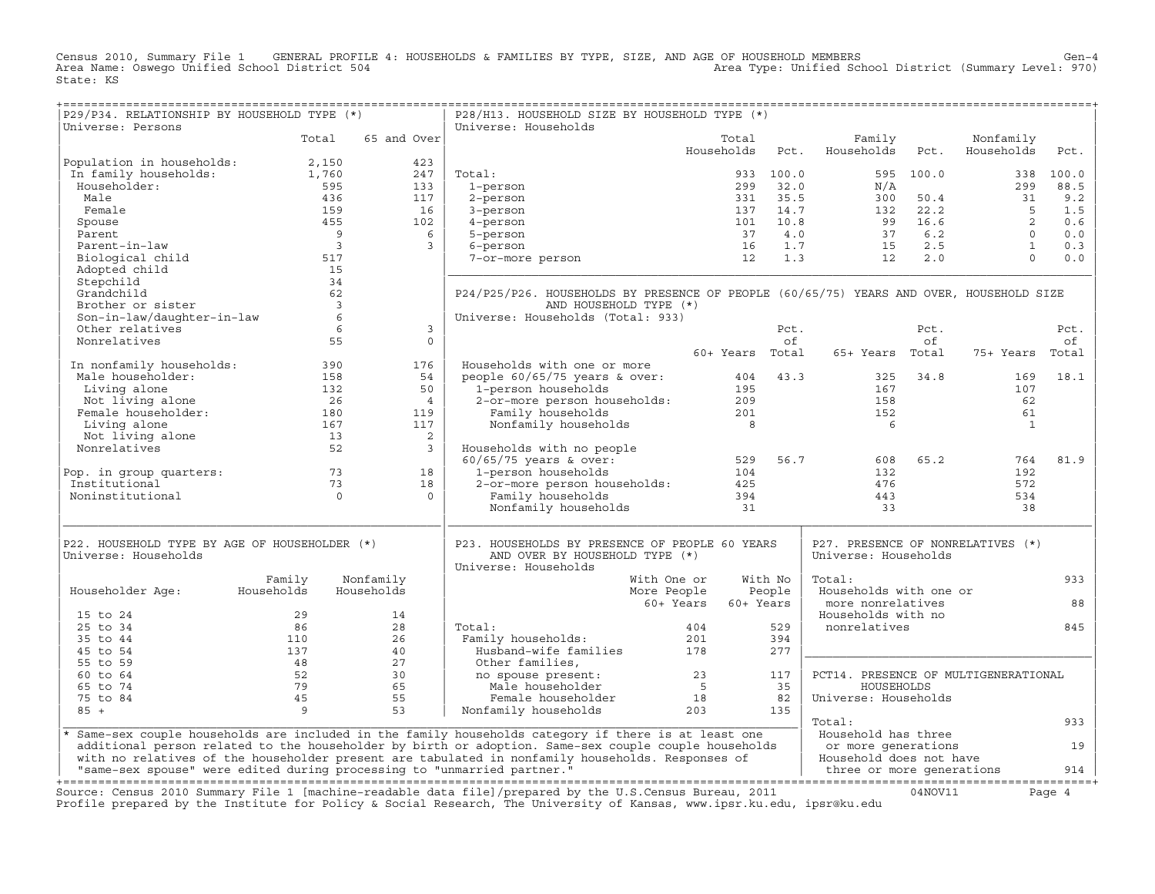Census 2010, Summary File 1 GENERAL PROFILE 4: HOUSEHOLDS & FAMILIES BY TYPE, SIZE, AND AGE OF HOUSEHOLD MEMBERS Gen−4 Area Name: Oswego Unified School District 504 Area Type: Unified School District (Summary Level: 970) State: KS

+===================================================================================================================================================+

| Total<br>65 and Over<br>Total<br>Family<br>Nonfamily<br>Households<br>Pct.<br>Households<br>Pct.<br>Households<br>Pct.<br>Population in households:<br>2,150<br>423<br>In family households:<br>1,760<br>247<br>Total:<br>933 100.0<br>595 100.0<br>100.0<br>338<br>Householder:<br>595<br>299<br>32.0<br>299<br>88.5<br>133<br>1-person<br>N/A<br>35.5<br>Male<br>436<br>117<br>2-person<br>331<br>300<br>50.4<br>31<br>9.2<br>159<br>Female<br>16<br>137<br>14.7<br>132<br>22.2<br>5<br>1.5<br>3-person<br>455<br>$\overline{2}$<br>0.6<br>Spouse<br>102<br>101<br>10.8<br>99<br>16.6<br>4-person<br>- 9<br>4.0<br>37<br>6.2<br>$\cap$<br>0.0<br>Parent<br>6<br>5-person<br>37<br>Parent-in-law<br>$\overline{3}$<br>1.7<br>2.5<br>$\mathbf{1}$<br>16<br>15<br>0.3<br>3<br>6-person<br>12<br>1.3<br>$2.0$<br>$\Omega$<br>0.0<br>Biological child<br>517<br>12<br>7-or-more person<br>Adopted child<br>15<br>34<br>Stepchild<br>Grandchild<br>62<br>P24/P25/P26. HOUSEHOLDS BY PRESENCE OF PEOPLE (60/65/75) YEARS AND OVER, HOUSEHOLD SIZE<br>Brother or sister<br>$\overline{3}$<br>AND HOUSEHOLD TYPE (*)<br>Son-in-law/daughter-in-law<br>Universe: Households (Total: 933)<br>6<br>Other relatives<br>6<br>3<br>Pct.<br>Pct.<br>Pct.<br>Nonrelatives<br>55<br>$\Omega$<br>of<br>of<br>оf<br>60+ Years Total<br>65+ Years Total<br>Total<br>75+ Years<br>In nonfamily households:<br>Households with one or more<br>390<br>176<br>18.1<br>Male householder:<br>158<br>54<br>people $60/65/75$ years & over:<br>404<br>43.3<br>325<br>34.8<br>169<br>132<br>50<br>1-person households<br>107<br>Living alone<br>195<br>167<br>Not living alone<br>2-or-more person households:<br>26<br>$\overline{4}$<br>209<br>158<br>62<br>Female householder:<br>201<br>180<br>119<br>Family households<br>152<br>61<br>Living alone<br>167<br>117<br>Nonfamily households<br>$_{\rm 8}$<br>6<br>$\mathbf{1}$<br>Not living alone<br>2<br>13<br>Nonrelatives<br>52<br>$\overline{3}$<br>Households with no people<br>81.9<br>$60/65/75$ years & over:<br>56.7<br>65.2<br>764<br>529<br>608<br>73<br>1-person households<br>Pop. in group quarters:<br>18<br>104<br>132<br>192<br>Institutional<br>73<br>18<br>2-or-more person households:<br>425<br>476<br>572<br>Noninstitutional<br>$\Omega$<br>Family households<br>394<br>$\Omega$<br>443<br>534<br>Nonfamily households<br>31<br>33<br>38<br>P22. HOUSEHOLD TYPE BY AGE OF HOUSEHOLDER (*)<br>P23. HOUSEHOLDS BY PRESENCE OF PEOPLE 60 YEARS<br>P27. PRESENCE OF NONRELATIVES (*)<br>Universe: Households<br>AND OVER BY HOUSEHOLD TYPE (*)<br>Universe: Households<br>Universe: Households<br>Family<br>Nonfamily<br>With No<br>Total:<br>933<br>With One or<br>People<br>Households with one or<br>Householder Age:<br>Households<br>Households<br>More People<br>60+ Years<br>60+ Years<br>more nonrelatives<br>88<br>29<br>Households with no<br>15 to 24<br>14<br>86<br>28<br>nonrelatives<br>845<br>25 to 34<br>Total:<br>404<br>529<br>394<br>35 to 44<br>110<br>26<br>Family households:<br>201<br>137<br>Husband-wife families<br>178<br>45 to 54<br>40<br>277<br>48<br>27<br>55 to 59<br>Other families,<br>52<br>30<br>PCT14. PRESENCE OF MULTIGENERATIONAL<br>60 to 64<br>no spouse present:<br>23<br>117<br>79<br>65 to 74<br>65<br>Male householder<br>5<br>35<br>HOUSEHOLDS<br>45<br>55<br>75 to 84<br>Female householder<br>18<br>82<br>Universe: Households<br>$85 +$<br>9<br>53<br>203<br>135<br>Nonfamily households<br>Total:<br>933<br>* Same-sex couple households are included in the family households category if there is at least one<br>Household has three<br>additional person related to the householder by birth or adoption. Same-sex couple couple households<br>or more generations<br>19 | P29/P34. RELATIONSHIP BY HOUSEHOLD TYPE (*) |  | P28/H13. HOUSEHOLD SIZE BY HOUSEHOLD TYPE (*) |  |  |     |
|----------------------------------------------------------------------------------------------------------------------------------------------------------------------------------------------------------------------------------------------------------------------------------------------------------------------------------------------------------------------------------------------------------------------------------------------------------------------------------------------------------------------------------------------------------------------------------------------------------------------------------------------------------------------------------------------------------------------------------------------------------------------------------------------------------------------------------------------------------------------------------------------------------------------------------------------------------------------------------------------------------------------------------------------------------------------------------------------------------------------------------------------------------------------------------------------------------------------------------------------------------------------------------------------------------------------------------------------------------------------------------------------------------------------------------------------------------------------------------------------------------------------------------------------------------------------------------------------------------------------------------------------------------------------------------------------------------------------------------------------------------------------------------------------------------------------------------------------------------------------------------------------------------------------------------------------------------------------------------------------------------------------------------------------------------------------------------------------------------------------------------------------------------------------------------------------------------------------------------------------------------------------------------------------------------------------------------------------------------------------------------------------------------------------------------------------------------------------------------------------------------------------------------------------------------------------------------------------------------------------------------------------------------------------------------------------------------------------------------------------------------------------------------------------------------------------------------------------------------------------------------------------------------------------------------------------------------------------------------------------------------------------------------------------------------------------------------------------------------------------------------------------------------------------------------------------------------------------------------------------------------------------------------------------------------------------------------------------------------------------------------------------------------------------------------------------------------------------------------------------------------------------------------------------------------------------------------------------------------------------------------------------------------------------------------------------------------------------------------------------------------------------------|---------------------------------------------|--|-----------------------------------------------|--|--|-----|
|                                                                                                                                                                                                                                                                                                                                                                                                                                                                                                                                                                                                                                                                                                                                                                                                                                                                                                                                                                                                                                                                                                                                                                                                                                                                                                                                                                                                                                                                                                                                                                                                                                                                                                                                                                                                                                                                                                                                                                                                                                                                                                                                                                                                                                                                                                                                                                                                                                                                                                                                                                                                                                                                                                                                                                                                                                                                                                                                                                                                                                                                                                                                                                                                                                                                                                                                                                                                                                                                                                                                                                                                                                                                                                                                                                            | Universe: Persons                           |  | Universe: Households                          |  |  |     |
|                                                                                                                                                                                                                                                                                                                                                                                                                                                                                                                                                                                                                                                                                                                                                                                                                                                                                                                                                                                                                                                                                                                                                                                                                                                                                                                                                                                                                                                                                                                                                                                                                                                                                                                                                                                                                                                                                                                                                                                                                                                                                                                                                                                                                                                                                                                                                                                                                                                                                                                                                                                                                                                                                                                                                                                                                                                                                                                                                                                                                                                                                                                                                                                                                                                                                                                                                                                                                                                                                                                                                                                                                                                                                                                                                                            |                                             |  |                                               |  |  |     |
|                                                                                                                                                                                                                                                                                                                                                                                                                                                                                                                                                                                                                                                                                                                                                                                                                                                                                                                                                                                                                                                                                                                                                                                                                                                                                                                                                                                                                                                                                                                                                                                                                                                                                                                                                                                                                                                                                                                                                                                                                                                                                                                                                                                                                                                                                                                                                                                                                                                                                                                                                                                                                                                                                                                                                                                                                                                                                                                                                                                                                                                                                                                                                                                                                                                                                                                                                                                                                                                                                                                                                                                                                                                                                                                                                                            |                                             |  |                                               |  |  |     |
|                                                                                                                                                                                                                                                                                                                                                                                                                                                                                                                                                                                                                                                                                                                                                                                                                                                                                                                                                                                                                                                                                                                                                                                                                                                                                                                                                                                                                                                                                                                                                                                                                                                                                                                                                                                                                                                                                                                                                                                                                                                                                                                                                                                                                                                                                                                                                                                                                                                                                                                                                                                                                                                                                                                                                                                                                                                                                                                                                                                                                                                                                                                                                                                                                                                                                                                                                                                                                                                                                                                                                                                                                                                                                                                                                                            |                                             |  |                                               |  |  |     |
|                                                                                                                                                                                                                                                                                                                                                                                                                                                                                                                                                                                                                                                                                                                                                                                                                                                                                                                                                                                                                                                                                                                                                                                                                                                                                                                                                                                                                                                                                                                                                                                                                                                                                                                                                                                                                                                                                                                                                                                                                                                                                                                                                                                                                                                                                                                                                                                                                                                                                                                                                                                                                                                                                                                                                                                                                                                                                                                                                                                                                                                                                                                                                                                                                                                                                                                                                                                                                                                                                                                                                                                                                                                                                                                                                                            |                                             |  |                                               |  |  |     |
|                                                                                                                                                                                                                                                                                                                                                                                                                                                                                                                                                                                                                                                                                                                                                                                                                                                                                                                                                                                                                                                                                                                                                                                                                                                                                                                                                                                                                                                                                                                                                                                                                                                                                                                                                                                                                                                                                                                                                                                                                                                                                                                                                                                                                                                                                                                                                                                                                                                                                                                                                                                                                                                                                                                                                                                                                                                                                                                                                                                                                                                                                                                                                                                                                                                                                                                                                                                                                                                                                                                                                                                                                                                                                                                                                                            |                                             |  |                                               |  |  |     |
|                                                                                                                                                                                                                                                                                                                                                                                                                                                                                                                                                                                                                                                                                                                                                                                                                                                                                                                                                                                                                                                                                                                                                                                                                                                                                                                                                                                                                                                                                                                                                                                                                                                                                                                                                                                                                                                                                                                                                                                                                                                                                                                                                                                                                                                                                                                                                                                                                                                                                                                                                                                                                                                                                                                                                                                                                                                                                                                                                                                                                                                                                                                                                                                                                                                                                                                                                                                                                                                                                                                                                                                                                                                                                                                                                                            |                                             |  |                                               |  |  |     |
|                                                                                                                                                                                                                                                                                                                                                                                                                                                                                                                                                                                                                                                                                                                                                                                                                                                                                                                                                                                                                                                                                                                                                                                                                                                                                                                                                                                                                                                                                                                                                                                                                                                                                                                                                                                                                                                                                                                                                                                                                                                                                                                                                                                                                                                                                                                                                                                                                                                                                                                                                                                                                                                                                                                                                                                                                                                                                                                                                                                                                                                                                                                                                                                                                                                                                                                                                                                                                                                                                                                                                                                                                                                                                                                                                                            |                                             |  |                                               |  |  |     |
|                                                                                                                                                                                                                                                                                                                                                                                                                                                                                                                                                                                                                                                                                                                                                                                                                                                                                                                                                                                                                                                                                                                                                                                                                                                                                                                                                                                                                                                                                                                                                                                                                                                                                                                                                                                                                                                                                                                                                                                                                                                                                                                                                                                                                                                                                                                                                                                                                                                                                                                                                                                                                                                                                                                                                                                                                                                                                                                                                                                                                                                                                                                                                                                                                                                                                                                                                                                                                                                                                                                                                                                                                                                                                                                                                                            |                                             |  |                                               |  |  |     |
|                                                                                                                                                                                                                                                                                                                                                                                                                                                                                                                                                                                                                                                                                                                                                                                                                                                                                                                                                                                                                                                                                                                                                                                                                                                                                                                                                                                                                                                                                                                                                                                                                                                                                                                                                                                                                                                                                                                                                                                                                                                                                                                                                                                                                                                                                                                                                                                                                                                                                                                                                                                                                                                                                                                                                                                                                                                                                                                                                                                                                                                                                                                                                                                                                                                                                                                                                                                                                                                                                                                                                                                                                                                                                                                                                                            |                                             |  |                                               |  |  |     |
|                                                                                                                                                                                                                                                                                                                                                                                                                                                                                                                                                                                                                                                                                                                                                                                                                                                                                                                                                                                                                                                                                                                                                                                                                                                                                                                                                                                                                                                                                                                                                                                                                                                                                                                                                                                                                                                                                                                                                                                                                                                                                                                                                                                                                                                                                                                                                                                                                                                                                                                                                                                                                                                                                                                                                                                                                                                                                                                                                                                                                                                                                                                                                                                                                                                                                                                                                                                                                                                                                                                                                                                                                                                                                                                                                                            |                                             |  |                                               |  |  |     |
|                                                                                                                                                                                                                                                                                                                                                                                                                                                                                                                                                                                                                                                                                                                                                                                                                                                                                                                                                                                                                                                                                                                                                                                                                                                                                                                                                                                                                                                                                                                                                                                                                                                                                                                                                                                                                                                                                                                                                                                                                                                                                                                                                                                                                                                                                                                                                                                                                                                                                                                                                                                                                                                                                                                                                                                                                                                                                                                                                                                                                                                                                                                                                                                                                                                                                                                                                                                                                                                                                                                                                                                                                                                                                                                                                                            |                                             |  |                                               |  |  |     |
|                                                                                                                                                                                                                                                                                                                                                                                                                                                                                                                                                                                                                                                                                                                                                                                                                                                                                                                                                                                                                                                                                                                                                                                                                                                                                                                                                                                                                                                                                                                                                                                                                                                                                                                                                                                                                                                                                                                                                                                                                                                                                                                                                                                                                                                                                                                                                                                                                                                                                                                                                                                                                                                                                                                                                                                                                                                                                                                                                                                                                                                                                                                                                                                                                                                                                                                                                                                                                                                                                                                                                                                                                                                                                                                                                                            |                                             |  |                                               |  |  |     |
|                                                                                                                                                                                                                                                                                                                                                                                                                                                                                                                                                                                                                                                                                                                                                                                                                                                                                                                                                                                                                                                                                                                                                                                                                                                                                                                                                                                                                                                                                                                                                                                                                                                                                                                                                                                                                                                                                                                                                                                                                                                                                                                                                                                                                                                                                                                                                                                                                                                                                                                                                                                                                                                                                                                                                                                                                                                                                                                                                                                                                                                                                                                                                                                                                                                                                                                                                                                                                                                                                                                                                                                                                                                                                                                                                                            |                                             |  |                                               |  |  |     |
|                                                                                                                                                                                                                                                                                                                                                                                                                                                                                                                                                                                                                                                                                                                                                                                                                                                                                                                                                                                                                                                                                                                                                                                                                                                                                                                                                                                                                                                                                                                                                                                                                                                                                                                                                                                                                                                                                                                                                                                                                                                                                                                                                                                                                                                                                                                                                                                                                                                                                                                                                                                                                                                                                                                                                                                                                                                                                                                                                                                                                                                                                                                                                                                                                                                                                                                                                                                                                                                                                                                                                                                                                                                                                                                                                                            |                                             |  |                                               |  |  |     |
|                                                                                                                                                                                                                                                                                                                                                                                                                                                                                                                                                                                                                                                                                                                                                                                                                                                                                                                                                                                                                                                                                                                                                                                                                                                                                                                                                                                                                                                                                                                                                                                                                                                                                                                                                                                                                                                                                                                                                                                                                                                                                                                                                                                                                                                                                                                                                                                                                                                                                                                                                                                                                                                                                                                                                                                                                                                                                                                                                                                                                                                                                                                                                                                                                                                                                                                                                                                                                                                                                                                                                                                                                                                                                                                                                                            |                                             |  |                                               |  |  |     |
|                                                                                                                                                                                                                                                                                                                                                                                                                                                                                                                                                                                                                                                                                                                                                                                                                                                                                                                                                                                                                                                                                                                                                                                                                                                                                                                                                                                                                                                                                                                                                                                                                                                                                                                                                                                                                                                                                                                                                                                                                                                                                                                                                                                                                                                                                                                                                                                                                                                                                                                                                                                                                                                                                                                                                                                                                                                                                                                                                                                                                                                                                                                                                                                                                                                                                                                                                                                                                                                                                                                                                                                                                                                                                                                                                                            |                                             |  |                                               |  |  |     |
|                                                                                                                                                                                                                                                                                                                                                                                                                                                                                                                                                                                                                                                                                                                                                                                                                                                                                                                                                                                                                                                                                                                                                                                                                                                                                                                                                                                                                                                                                                                                                                                                                                                                                                                                                                                                                                                                                                                                                                                                                                                                                                                                                                                                                                                                                                                                                                                                                                                                                                                                                                                                                                                                                                                                                                                                                                                                                                                                                                                                                                                                                                                                                                                                                                                                                                                                                                                                                                                                                                                                                                                                                                                                                                                                                                            |                                             |  |                                               |  |  |     |
|                                                                                                                                                                                                                                                                                                                                                                                                                                                                                                                                                                                                                                                                                                                                                                                                                                                                                                                                                                                                                                                                                                                                                                                                                                                                                                                                                                                                                                                                                                                                                                                                                                                                                                                                                                                                                                                                                                                                                                                                                                                                                                                                                                                                                                                                                                                                                                                                                                                                                                                                                                                                                                                                                                                                                                                                                                                                                                                                                                                                                                                                                                                                                                                                                                                                                                                                                                                                                                                                                                                                                                                                                                                                                                                                                                            |                                             |  |                                               |  |  |     |
|                                                                                                                                                                                                                                                                                                                                                                                                                                                                                                                                                                                                                                                                                                                                                                                                                                                                                                                                                                                                                                                                                                                                                                                                                                                                                                                                                                                                                                                                                                                                                                                                                                                                                                                                                                                                                                                                                                                                                                                                                                                                                                                                                                                                                                                                                                                                                                                                                                                                                                                                                                                                                                                                                                                                                                                                                                                                                                                                                                                                                                                                                                                                                                                                                                                                                                                                                                                                                                                                                                                                                                                                                                                                                                                                                                            |                                             |  |                                               |  |  |     |
|                                                                                                                                                                                                                                                                                                                                                                                                                                                                                                                                                                                                                                                                                                                                                                                                                                                                                                                                                                                                                                                                                                                                                                                                                                                                                                                                                                                                                                                                                                                                                                                                                                                                                                                                                                                                                                                                                                                                                                                                                                                                                                                                                                                                                                                                                                                                                                                                                                                                                                                                                                                                                                                                                                                                                                                                                                                                                                                                                                                                                                                                                                                                                                                                                                                                                                                                                                                                                                                                                                                                                                                                                                                                                                                                                                            |                                             |  |                                               |  |  |     |
|                                                                                                                                                                                                                                                                                                                                                                                                                                                                                                                                                                                                                                                                                                                                                                                                                                                                                                                                                                                                                                                                                                                                                                                                                                                                                                                                                                                                                                                                                                                                                                                                                                                                                                                                                                                                                                                                                                                                                                                                                                                                                                                                                                                                                                                                                                                                                                                                                                                                                                                                                                                                                                                                                                                                                                                                                                                                                                                                                                                                                                                                                                                                                                                                                                                                                                                                                                                                                                                                                                                                                                                                                                                                                                                                                                            |                                             |  |                                               |  |  |     |
|                                                                                                                                                                                                                                                                                                                                                                                                                                                                                                                                                                                                                                                                                                                                                                                                                                                                                                                                                                                                                                                                                                                                                                                                                                                                                                                                                                                                                                                                                                                                                                                                                                                                                                                                                                                                                                                                                                                                                                                                                                                                                                                                                                                                                                                                                                                                                                                                                                                                                                                                                                                                                                                                                                                                                                                                                                                                                                                                                                                                                                                                                                                                                                                                                                                                                                                                                                                                                                                                                                                                                                                                                                                                                                                                                                            |                                             |  |                                               |  |  |     |
|                                                                                                                                                                                                                                                                                                                                                                                                                                                                                                                                                                                                                                                                                                                                                                                                                                                                                                                                                                                                                                                                                                                                                                                                                                                                                                                                                                                                                                                                                                                                                                                                                                                                                                                                                                                                                                                                                                                                                                                                                                                                                                                                                                                                                                                                                                                                                                                                                                                                                                                                                                                                                                                                                                                                                                                                                                                                                                                                                                                                                                                                                                                                                                                                                                                                                                                                                                                                                                                                                                                                                                                                                                                                                                                                                                            |                                             |  |                                               |  |  |     |
|                                                                                                                                                                                                                                                                                                                                                                                                                                                                                                                                                                                                                                                                                                                                                                                                                                                                                                                                                                                                                                                                                                                                                                                                                                                                                                                                                                                                                                                                                                                                                                                                                                                                                                                                                                                                                                                                                                                                                                                                                                                                                                                                                                                                                                                                                                                                                                                                                                                                                                                                                                                                                                                                                                                                                                                                                                                                                                                                                                                                                                                                                                                                                                                                                                                                                                                                                                                                                                                                                                                                                                                                                                                                                                                                                                            |                                             |  |                                               |  |  |     |
|                                                                                                                                                                                                                                                                                                                                                                                                                                                                                                                                                                                                                                                                                                                                                                                                                                                                                                                                                                                                                                                                                                                                                                                                                                                                                                                                                                                                                                                                                                                                                                                                                                                                                                                                                                                                                                                                                                                                                                                                                                                                                                                                                                                                                                                                                                                                                                                                                                                                                                                                                                                                                                                                                                                                                                                                                                                                                                                                                                                                                                                                                                                                                                                                                                                                                                                                                                                                                                                                                                                                                                                                                                                                                                                                                                            |                                             |  |                                               |  |  |     |
|                                                                                                                                                                                                                                                                                                                                                                                                                                                                                                                                                                                                                                                                                                                                                                                                                                                                                                                                                                                                                                                                                                                                                                                                                                                                                                                                                                                                                                                                                                                                                                                                                                                                                                                                                                                                                                                                                                                                                                                                                                                                                                                                                                                                                                                                                                                                                                                                                                                                                                                                                                                                                                                                                                                                                                                                                                                                                                                                                                                                                                                                                                                                                                                                                                                                                                                                                                                                                                                                                                                                                                                                                                                                                                                                                                            |                                             |  |                                               |  |  |     |
|                                                                                                                                                                                                                                                                                                                                                                                                                                                                                                                                                                                                                                                                                                                                                                                                                                                                                                                                                                                                                                                                                                                                                                                                                                                                                                                                                                                                                                                                                                                                                                                                                                                                                                                                                                                                                                                                                                                                                                                                                                                                                                                                                                                                                                                                                                                                                                                                                                                                                                                                                                                                                                                                                                                                                                                                                                                                                                                                                                                                                                                                                                                                                                                                                                                                                                                                                                                                                                                                                                                                                                                                                                                                                                                                                                            |                                             |  |                                               |  |  |     |
|                                                                                                                                                                                                                                                                                                                                                                                                                                                                                                                                                                                                                                                                                                                                                                                                                                                                                                                                                                                                                                                                                                                                                                                                                                                                                                                                                                                                                                                                                                                                                                                                                                                                                                                                                                                                                                                                                                                                                                                                                                                                                                                                                                                                                                                                                                                                                                                                                                                                                                                                                                                                                                                                                                                                                                                                                                                                                                                                                                                                                                                                                                                                                                                                                                                                                                                                                                                                                                                                                                                                                                                                                                                                                                                                                                            |                                             |  |                                               |  |  |     |
|                                                                                                                                                                                                                                                                                                                                                                                                                                                                                                                                                                                                                                                                                                                                                                                                                                                                                                                                                                                                                                                                                                                                                                                                                                                                                                                                                                                                                                                                                                                                                                                                                                                                                                                                                                                                                                                                                                                                                                                                                                                                                                                                                                                                                                                                                                                                                                                                                                                                                                                                                                                                                                                                                                                                                                                                                                                                                                                                                                                                                                                                                                                                                                                                                                                                                                                                                                                                                                                                                                                                                                                                                                                                                                                                                                            |                                             |  |                                               |  |  |     |
|                                                                                                                                                                                                                                                                                                                                                                                                                                                                                                                                                                                                                                                                                                                                                                                                                                                                                                                                                                                                                                                                                                                                                                                                                                                                                                                                                                                                                                                                                                                                                                                                                                                                                                                                                                                                                                                                                                                                                                                                                                                                                                                                                                                                                                                                                                                                                                                                                                                                                                                                                                                                                                                                                                                                                                                                                                                                                                                                                                                                                                                                                                                                                                                                                                                                                                                                                                                                                                                                                                                                                                                                                                                                                                                                                                            |                                             |  |                                               |  |  |     |
|                                                                                                                                                                                                                                                                                                                                                                                                                                                                                                                                                                                                                                                                                                                                                                                                                                                                                                                                                                                                                                                                                                                                                                                                                                                                                                                                                                                                                                                                                                                                                                                                                                                                                                                                                                                                                                                                                                                                                                                                                                                                                                                                                                                                                                                                                                                                                                                                                                                                                                                                                                                                                                                                                                                                                                                                                                                                                                                                                                                                                                                                                                                                                                                                                                                                                                                                                                                                                                                                                                                                                                                                                                                                                                                                                                            |                                             |  |                                               |  |  |     |
|                                                                                                                                                                                                                                                                                                                                                                                                                                                                                                                                                                                                                                                                                                                                                                                                                                                                                                                                                                                                                                                                                                                                                                                                                                                                                                                                                                                                                                                                                                                                                                                                                                                                                                                                                                                                                                                                                                                                                                                                                                                                                                                                                                                                                                                                                                                                                                                                                                                                                                                                                                                                                                                                                                                                                                                                                                                                                                                                                                                                                                                                                                                                                                                                                                                                                                                                                                                                                                                                                                                                                                                                                                                                                                                                                                            |                                             |  |                                               |  |  |     |
|                                                                                                                                                                                                                                                                                                                                                                                                                                                                                                                                                                                                                                                                                                                                                                                                                                                                                                                                                                                                                                                                                                                                                                                                                                                                                                                                                                                                                                                                                                                                                                                                                                                                                                                                                                                                                                                                                                                                                                                                                                                                                                                                                                                                                                                                                                                                                                                                                                                                                                                                                                                                                                                                                                                                                                                                                                                                                                                                                                                                                                                                                                                                                                                                                                                                                                                                                                                                                                                                                                                                                                                                                                                                                                                                                                            |                                             |  |                                               |  |  |     |
|                                                                                                                                                                                                                                                                                                                                                                                                                                                                                                                                                                                                                                                                                                                                                                                                                                                                                                                                                                                                                                                                                                                                                                                                                                                                                                                                                                                                                                                                                                                                                                                                                                                                                                                                                                                                                                                                                                                                                                                                                                                                                                                                                                                                                                                                                                                                                                                                                                                                                                                                                                                                                                                                                                                                                                                                                                                                                                                                                                                                                                                                                                                                                                                                                                                                                                                                                                                                                                                                                                                                                                                                                                                                                                                                                                            |                                             |  |                                               |  |  |     |
|                                                                                                                                                                                                                                                                                                                                                                                                                                                                                                                                                                                                                                                                                                                                                                                                                                                                                                                                                                                                                                                                                                                                                                                                                                                                                                                                                                                                                                                                                                                                                                                                                                                                                                                                                                                                                                                                                                                                                                                                                                                                                                                                                                                                                                                                                                                                                                                                                                                                                                                                                                                                                                                                                                                                                                                                                                                                                                                                                                                                                                                                                                                                                                                                                                                                                                                                                                                                                                                                                                                                                                                                                                                                                                                                                                            |                                             |  |                                               |  |  |     |
|                                                                                                                                                                                                                                                                                                                                                                                                                                                                                                                                                                                                                                                                                                                                                                                                                                                                                                                                                                                                                                                                                                                                                                                                                                                                                                                                                                                                                                                                                                                                                                                                                                                                                                                                                                                                                                                                                                                                                                                                                                                                                                                                                                                                                                                                                                                                                                                                                                                                                                                                                                                                                                                                                                                                                                                                                                                                                                                                                                                                                                                                                                                                                                                                                                                                                                                                                                                                                                                                                                                                                                                                                                                                                                                                                                            |                                             |  |                                               |  |  |     |
|                                                                                                                                                                                                                                                                                                                                                                                                                                                                                                                                                                                                                                                                                                                                                                                                                                                                                                                                                                                                                                                                                                                                                                                                                                                                                                                                                                                                                                                                                                                                                                                                                                                                                                                                                                                                                                                                                                                                                                                                                                                                                                                                                                                                                                                                                                                                                                                                                                                                                                                                                                                                                                                                                                                                                                                                                                                                                                                                                                                                                                                                                                                                                                                                                                                                                                                                                                                                                                                                                                                                                                                                                                                                                                                                                                            |                                             |  |                                               |  |  |     |
|                                                                                                                                                                                                                                                                                                                                                                                                                                                                                                                                                                                                                                                                                                                                                                                                                                                                                                                                                                                                                                                                                                                                                                                                                                                                                                                                                                                                                                                                                                                                                                                                                                                                                                                                                                                                                                                                                                                                                                                                                                                                                                                                                                                                                                                                                                                                                                                                                                                                                                                                                                                                                                                                                                                                                                                                                                                                                                                                                                                                                                                                                                                                                                                                                                                                                                                                                                                                                                                                                                                                                                                                                                                                                                                                                                            |                                             |  |                                               |  |  |     |
|                                                                                                                                                                                                                                                                                                                                                                                                                                                                                                                                                                                                                                                                                                                                                                                                                                                                                                                                                                                                                                                                                                                                                                                                                                                                                                                                                                                                                                                                                                                                                                                                                                                                                                                                                                                                                                                                                                                                                                                                                                                                                                                                                                                                                                                                                                                                                                                                                                                                                                                                                                                                                                                                                                                                                                                                                                                                                                                                                                                                                                                                                                                                                                                                                                                                                                                                                                                                                                                                                                                                                                                                                                                                                                                                                                            |                                             |  |                                               |  |  |     |
|                                                                                                                                                                                                                                                                                                                                                                                                                                                                                                                                                                                                                                                                                                                                                                                                                                                                                                                                                                                                                                                                                                                                                                                                                                                                                                                                                                                                                                                                                                                                                                                                                                                                                                                                                                                                                                                                                                                                                                                                                                                                                                                                                                                                                                                                                                                                                                                                                                                                                                                                                                                                                                                                                                                                                                                                                                                                                                                                                                                                                                                                                                                                                                                                                                                                                                                                                                                                                                                                                                                                                                                                                                                                                                                                                                            |                                             |  |                                               |  |  |     |
|                                                                                                                                                                                                                                                                                                                                                                                                                                                                                                                                                                                                                                                                                                                                                                                                                                                                                                                                                                                                                                                                                                                                                                                                                                                                                                                                                                                                                                                                                                                                                                                                                                                                                                                                                                                                                                                                                                                                                                                                                                                                                                                                                                                                                                                                                                                                                                                                                                                                                                                                                                                                                                                                                                                                                                                                                                                                                                                                                                                                                                                                                                                                                                                                                                                                                                                                                                                                                                                                                                                                                                                                                                                                                                                                                                            |                                             |  |                                               |  |  |     |
|                                                                                                                                                                                                                                                                                                                                                                                                                                                                                                                                                                                                                                                                                                                                                                                                                                                                                                                                                                                                                                                                                                                                                                                                                                                                                                                                                                                                                                                                                                                                                                                                                                                                                                                                                                                                                                                                                                                                                                                                                                                                                                                                                                                                                                                                                                                                                                                                                                                                                                                                                                                                                                                                                                                                                                                                                                                                                                                                                                                                                                                                                                                                                                                                                                                                                                                                                                                                                                                                                                                                                                                                                                                                                                                                                                            |                                             |  |                                               |  |  |     |
|                                                                                                                                                                                                                                                                                                                                                                                                                                                                                                                                                                                                                                                                                                                                                                                                                                                                                                                                                                                                                                                                                                                                                                                                                                                                                                                                                                                                                                                                                                                                                                                                                                                                                                                                                                                                                                                                                                                                                                                                                                                                                                                                                                                                                                                                                                                                                                                                                                                                                                                                                                                                                                                                                                                                                                                                                                                                                                                                                                                                                                                                                                                                                                                                                                                                                                                                                                                                                                                                                                                                                                                                                                                                                                                                                                            |                                             |  |                                               |  |  |     |
|                                                                                                                                                                                                                                                                                                                                                                                                                                                                                                                                                                                                                                                                                                                                                                                                                                                                                                                                                                                                                                                                                                                                                                                                                                                                                                                                                                                                                                                                                                                                                                                                                                                                                                                                                                                                                                                                                                                                                                                                                                                                                                                                                                                                                                                                                                                                                                                                                                                                                                                                                                                                                                                                                                                                                                                                                                                                                                                                                                                                                                                                                                                                                                                                                                                                                                                                                                                                                                                                                                                                                                                                                                                                                                                                                                            |                                             |  |                                               |  |  |     |
|                                                                                                                                                                                                                                                                                                                                                                                                                                                                                                                                                                                                                                                                                                                                                                                                                                                                                                                                                                                                                                                                                                                                                                                                                                                                                                                                                                                                                                                                                                                                                                                                                                                                                                                                                                                                                                                                                                                                                                                                                                                                                                                                                                                                                                                                                                                                                                                                                                                                                                                                                                                                                                                                                                                                                                                                                                                                                                                                                                                                                                                                                                                                                                                                                                                                                                                                                                                                                                                                                                                                                                                                                                                                                                                                                                            |                                             |  |                                               |  |  |     |
|                                                                                                                                                                                                                                                                                                                                                                                                                                                                                                                                                                                                                                                                                                                                                                                                                                                                                                                                                                                                                                                                                                                                                                                                                                                                                                                                                                                                                                                                                                                                                                                                                                                                                                                                                                                                                                                                                                                                                                                                                                                                                                                                                                                                                                                                                                                                                                                                                                                                                                                                                                                                                                                                                                                                                                                                                                                                                                                                                                                                                                                                                                                                                                                                                                                                                                                                                                                                                                                                                                                                                                                                                                                                                                                                                                            |                                             |  |                                               |  |  |     |
|                                                                                                                                                                                                                                                                                                                                                                                                                                                                                                                                                                                                                                                                                                                                                                                                                                                                                                                                                                                                                                                                                                                                                                                                                                                                                                                                                                                                                                                                                                                                                                                                                                                                                                                                                                                                                                                                                                                                                                                                                                                                                                                                                                                                                                                                                                                                                                                                                                                                                                                                                                                                                                                                                                                                                                                                                                                                                                                                                                                                                                                                                                                                                                                                                                                                                                                                                                                                                                                                                                                                                                                                                                                                                                                                                                            |                                             |  |                                               |  |  |     |
|                                                                                                                                                                                                                                                                                                                                                                                                                                                                                                                                                                                                                                                                                                                                                                                                                                                                                                                                                                                                                                                                                                                                                                                                                                                                                                                                                                                                                                                                                                                                                                                                                                                                                                                                                                                                                                                                                                                                                                                                                                                                                                                                                                                                                                                                                                                                                                                                                                                                                                                                                                                                                                                                                                                                                                                                                                                                                                                                                                                                                                                                                                                                                                                                                                                                                                                                                                                                                                                                                                                                                                                                                                                                                                                                                                            |                                             |  |                                               |  |  |     |
|                                                                                                                                                                                                                                                                                                                                                                                                                                                                                                                                                                                                                                                                                                                                                                                                                                                                                                                                                                                                                                                                                                                                                                                                                                                                                                                                                                                                                                                                                                                                                                                                                                                                                                                                                                                                                                                                                                                                                                                                                                                                                                                                                                                                                                                                                                                                                                                                                                                                                                                                                                                                                                                                                                                                                                                                                                                                                                                                                                                                                                                                                                                                                                                                                                                                                                                                                                                                                                                                                                                                                                                                                                                                                                                                                                            |                                             |  |                                               |  |  |     |
|                                                                                                                                                                                                                                                                                                                                                                                                                                                                                                                                                                                                                                                                                                                                                                                                                                                                                                                                                                                                                                                                                                                                                                                                                                                                                                                                                                                                                                                                                                                                                                                                                                                                                                                                                                                                                                                                                                                                                                                                                                                                                                                                                                                                                                                                                                                                                                                                                                                                                                                                                                                                                                                                                                                                                                                                                                                                                                                                                                                                                                                                                                                                                                                                                                                                                                                                                                                                                                                                                                                                                                                                                                                                                                                                                                            |                                             |  |                                               |  |  |     |
|                                                                                                                                                                                                                                                                                                                                                                                                                                                                                                                                                                                                                                                                                                                                                                                                                                                                                                                                                                                                                                                                                                                                                                                                                                                                                                                                                                                                                                                                                                                                                                                                                                                                                                                                                                                                                                                                                                                                                                                                                                                                                                                                                                                                                                                                                                                                                                                                                                                                                                                                                                                                                                                                                                                                                                                                                                                                                                                                                                                                                                                                                                                                                                                                                                                                                                                                                                                                                                                                                                                                                                                                                                                                                                                                                                            |                                             |  |                                               |  |  |     |
|                                                                                                                                                                                                                                                                                                                                                                                                                                                                                                                                                                                                                                                                                                                                                                                                                                                                                                                                                                                                                                                                                                                                                                                                                                                                                                                                                                                                                                                                                                                                                                                                                                                                                                                                                                                                                                                                                                                                                                                                                                                                                                                                                                                                                                                                                                                                                                                                                                                                                                                                                                                                                                                                                                                                                                                                                                                                                                                                                                                                                                                                                                                                                                                                                                                                                                                                                                                                                                                                                                                                                                                                                                                                                                                                                                            |                                             |  |                                               |  |  |     |
|                                                                                                                                                                                                                                                                                                                                                                                                                                                                                                                                                                                                                                                                                                                                                                                                                                                                                                                                                                                                                                                                                                                                                                                                                                                                                                                                                                                                                                                                                                                                                                                                                                                                                                                                                                                                                                                                                                                                                                                                                                                                                                                                                                                                                                                                                                                                                                                                                                                                                                                                                                                                                                                                                                                                                                                                                                                                                                                                                                                                                                                                                                                                                                                                                                                                                                                                                                                                                                                                                                                                                                                                                                                                                                                                                                            |                                             |  |                                               |  |  |     |
| with no relatives of the householder present are tabulated in nonfamily households. Responses of<br>Household does not have                                                                                                                                                                                                                                                                                                                                                                                                                                                                                                                                                                                                                                                                                                                                                                                                                                                                                                                                                                                                                                                                                                                                                                                                                                                                                                                                                                                                                                                                                                                                                                                                                                                                                                                                                                                                                                                                                                                                                                                                                                                                                                                                                                                                                                                                                                                                                                                                                                                                                                                                                                                                                                                                                                                                                                                                                                                                                                                                                                                                                                                                                                                                                                                                                                                                                                                                                                                                                                                                                                                                                                                                                                                |                                             |  |                                               |  |  |     |
| "same-sex spouse" were edited during processing to "unmarried partner."<br>three or more generations                                                                                                                                                                                                                                                                                                                                                                                                                                                                                                                                                                                                                                                                                                                                                                                                                                                                                                                                                                                                                                                                                                                                                                                                                                                                                                                                                                                                                                                                                                                                                                                                                                                                                                                                                                                                                                                                                                                                                                                                                                                                                                                                                                                                                                                                                                                                                                                                                                                                                                                                                                                                                                                                                                                                                                                                                                                                                                                                                                                                                                                                                                                                                                                                                                                                                                                                                                                                                                                                                                                                                                                                                                                                       |                                             |  |                                               |  |  | 914 |
| Source: Census 2010 Summary File 1 [machine-readable data file]/prepared by the U.S.Census Bureau, 2011<br>04NOV11                                                                                                                                                                                                                                                                                                                                                                                                                                                                                                                                                                                                                                                                                                                                                                                                                                                                                                                                                                                                                                                                                                                                                                                                                                                                                                                                                                                                                                                                                                                                                                                                                                                                                                                                                                                                                                                                                                                                                                                                                                                                                                                                                                                                                                                                                                                                                                                                                                                                                                                                                                                                                                                                                                                                                                                                                                                                                                                                                                                                                                                                                                                                                                                                                                                                                                                                                                                                                                                                                                                                                                                                                                                         |                                             |  |                                               |  |  |     |
| Page 4<br>Profile prepared by the Institute for Policy & Social Research, The University of Kansas, www.ipsr.ku.edu, ipsr@ku.edu                                                                                                                                                                                                                                                                                                                                                                                                                                                                                                                                                                                                                                                                                                                                                                                                                                                                                                                                                                                                                                                                                                                                                                                                                                                                                                                                                                                                                                                                                                                                                                                                                                                                                                                                                                                                                                                                                                                                                                                                                                                                                                                                                                                                                                                                                                                                                                                                                                                                                                                                                                                                                                                                                                                                                                                                                                                                                                                                                                                                                                                                                                                                                                                                                                                                                                                                                                                                                                                                                                                                                                                                                                           |                                             |  |                                               |  |  |     |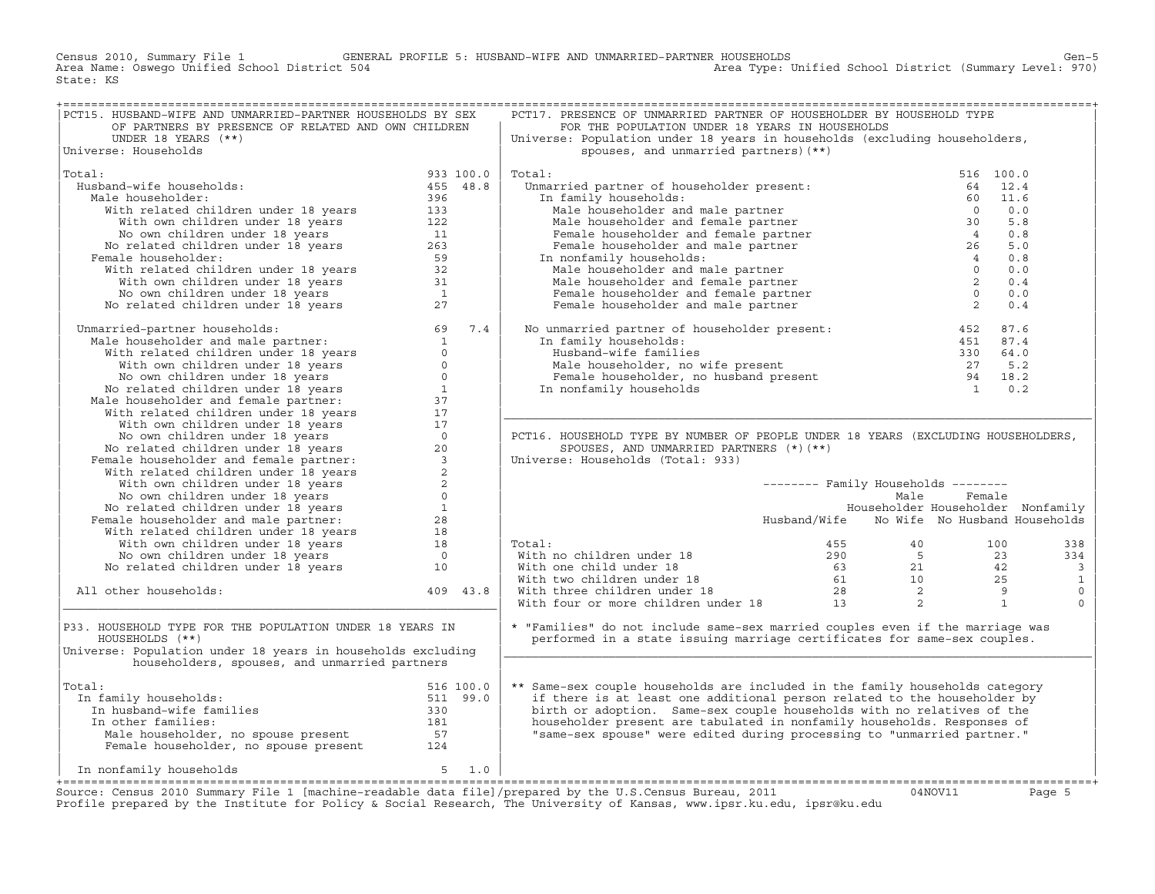Census 2010, Summary File 1 GENERAL PROFILE 5: HUSBAND−WIFE AND UNMARRIED−PARTNER HOUSEHOLDS Gen−5 Area Type: Unified School District (Summary Level: 970) State: KS

| PCT15. HUSBAND-WIFE AND UNMARRIED-PARTNER HOUSEHOLDS BY SEX                                                                                                                                                                                                                        |                                                                                                                                                                                                                                                                                                           | PCT17. PRESENCE OF UNMARRIED PARTNER OF HOUSEHOLDER BY HOUSEHOLD TYPE                                                                                                                                                                          |                                            |        |      |  |
|------------------------------------------------------------------------------------------------------------------------------------------------------------------------------------------------------------------------------------------------------------------------------------|-----------------------------------------------------------------------------------------------------------------------------------------------------------------------------------------------------------------------------------------------------------------------------------------------------------|------------------------------------------------------------------------------------------------------------------------------------------------------------------------------------------------------------------------------------------------|--------------------------------------------|--------|------|--|
| OF PARTNERS BY PRESENCE OF RELATED AND OWN CHILDREN                                                                                                                                                                                                                                |                                                                                                                                                                                                                                                                                                           | FOR THE POPULATION UNDER 18 YEARS IN HOUSEHOLDS                                                                                                                                                                                                |                                            |        |      |  |
| UNDER 18 YEARS $(**)$                                                                                                                                                                                                                                                              |                                                                                                                                                                                                                                                                                                           | Universe: Population under 18 years in households (excluding householders,                                                                                                                                                                     |                                            |        |      |  |
| Universe: Households                                                                                                                                                                                                                                                               |                                                                                                                                                                                                                                                                                                           | spouses, and unmarried partners) (**)                                                                                                                                                                                                          |                                            |        |      |  |
|                                                                                                                                                                                                                                                                                    |                                                                                                                                                                                                                                                                                                           | Principal and mathematical present:<br>1. family households:<br>Male householder and male partner<br>Male householder and female partner<br>Pemale householder and female partner<br>Pemale householder and female partner<br>Pemale house     |                                            |        |      |  |
| Total:                                                                                                                                                                                                                                                                             |                                                                                                                                                                                                                                                                                                           | Total:                                                                                                                                                                                                                                         |                                            |        |      |  |
| $933$ 100.0<br>455 48.8<br>Husband-wife households:                                                                                                                                                                                                                                |                                                                                                                                                                                                                                                                                                           | Unmarried partner of householder present:<br>Unmarried partner of householder present:                                                                                                                                                         |                                            |        |      |  |
| Male householder:                                                                                                                                                                                                                                                                  |                                                                                                                                                                                                                                                                                                           | In family households:                                                                                                                                                                                                                          |                                            |        |      |  |
|                                                                                                                                                                                                                                                                                    |                                                                                                                                                                                                                                                                                                           |                                                                                                                                                                                                                                                |                                            |        |      |  |
|                                                                                                                                                                                                                                                                                    |                                                                                                                                                                                                                                                                                                           |                                                                                                                                                                                                                                                |                                            |        |      |  |
|                                                                                                                                                                                                                                                                                    |                                                                                                                                                                                                                                                                                                           |                                                                                                                                                                                                                                                |                                            |        |      |  |
|                                                                                                                                                                                                                                                                                    |                                                                                                                                                                                                                                                                                                           |                                                                                                                                                                                                                                                |                                            |        |      |  |
| Female householder:                                                                                                                                                                                                                                                                |                                                                                                                                                                                                                                                                                                           | In nonfamily households:                                                                                                                                                                                                                       |                                            |        |      |  |
|                                                                                                                                                                                                                                                                                    |                                                                                                                                                                                                                                                                                                           |                                                                                                                                                                                                                                                |                                            |        |      |  |
|                                                                                                                                                                                                                                                                                    |                                                                                                                                                                                                                                                                                                           |                                                                                                                                                                                                                                                |                                            |        |      |  |
|                                                                                                                                                                                                                                                                                    |                                                                                                                                                                                                                                                                                                           |                                                                                                                                                                                                                                                |                                            |        | 0.4  |  |
|                                                                                                                                                                                                                                                                                    |                                                                                                                                                                                                                                                                                                           |                                                                                                                                                                                                                                                |                                            |        | 0.0  |  |
| % and -wite households:<br>lale householder: 455 48.8<br>With related children under 18 years<br>With whom children under 18 years<br>133<br>With own children under 18 years<br>11<br>No related children under 18 years<br>263<br>15 with rela                                   |                                                                                                                                                                                                                                                                                                           | Female householder and male partner<br>1 nonfamily households:<br>Male householder and female partner<br>Temale householder and female partner<br>Female householder and female partner<br>Temale householder and male partner<br>2<br>Temal   |                                            |        | 0.4  |  |
| Unmarried-partner households: $\begin{bmatrix} 69 & 7.4 \\ 100 & 14.71 & 69 \end{bmatrix}$<br>Male householder and male partner: $\begin{bmatrix} 69 & 7.4 \\ 100 & 14.71 & 14.71 \end{bmatrix}$<br>With related children under 18 years 0<br>No own children under 18 years 0<br> |                                                                                                                                                                                                                                                                                                           | No unmarried partner of householder present:                                                                                                                                                                                                   |                                            |        |      |  |
|                                                                                                                                                                                                                                                                                    |                                                                                                                                                                                                                                                                                                           | mmarried partner of nousenoider producer<br>1 family households:<br>Husband-wife families<br>Male householder, no wife present<br>Female householder, no husband present<br>27 5.2<br>Female householder, no husband present<br>27 5.2<br>24 1 |                                            | 452    | 87.6 |  |
|                                                                                                                                                                                                                                                                                    |                                                                                                                                                                                                                                                                                                           | In family households:                                                                                                                                                                                                                          |                                            |        |      |  |
|                                                                                                                                                                                                                                                                                    |                                                                                                                                                                                                                                                                                                           |                                                                                                                                                                                                                                                |                                            |        |      |  |
|                                                                                                                                                                                                                                                                                    |                                                                                                                                                                                                                                                                                                           |                                                                                                                                                                                                                                                |                                            |        |      |  |
|                                                                                                                                                                                                                                                                                    |                                                                                                                                                                                                                                                                                                           |                                                                                                                                                                                                                                                |                                            |        |      |  |
|                                                                                                                                                                                                                                                                                    |                                                                                                                                                                                                                                                                                                           | In nonfamily households                                                                                                                                                                                                                        |                                            |        |      |  |
|                                                                                                                                                                                                                                                                                    |                                                                                                                                                                                                                                                                                                           |                                                                                                                                                                                                                                                |                                            |        |      |  |
|                                                                                                                                                                                                                                                                                    |                                                                                                                                                                                                                                                                                                           |                                                                                                                                                                                                                                                |                                            |        |      |  |
|                                                                                                                                                                                                                                                                                    |                                                                                                                                                                                                                                                                                                           |                                                                                                                                                                                                                                                |                                            |        |      |  |
|                                                                                                                                                                                                                                                                                    |                                                                                                                                                                                                                                                                                                           | PCT16. HOUSEHOLD TYPE BY NUMBER OF PEOPLE UNDER 18 YEARS (EXCLUDING HOUSEHOLDERS,                                                                                                                                                              |                                            |        |      |  |
|                                                                                                                                                                                                                                                                                    |                                                                                                                                                                                                                                                                                                           | SPOUSES, AND UNMARRIED PARTNERS (*) (**)                                                                                                                                                                                                       |                                            |        |      |  |
|                                                                                                                                                                                                                                                                                    |                                                                                                                                                                                                                                                                                                           | Universe: Households (Total: 933)                                                                                                                                                                                                              |                                            |        |      |  |
|                                                                                                                                                                                                                                                                                    |                                                                                                                                                                                                                                                                                                           |                                                                                                                                                                                                                                                |                                            |        |      |  |
|                                                                                                                                                                                                                                                                                    |                                                                                                                                                                                                                                                                                                           |                                                                                                                                                                                                                                                | -------- Family Households --------        |        |      |  |
|                                                                                                                                                                                                                                                                                    |                                                                                                                                                                                                                                                                                                           |                                                                                                                                                                                                                                                | Male                                       | Female |      |  |
|                                                                                                                                                                                                                                                                                    |                                                                                                                                                                                                                                                                                                           |                                                                                                                                                                                                                                                | Householder Householder Nonfamily          |        |      |  |
|                                                                                                                                                                                                                                                                                    |                                                                                                                                                                                                                                                                                                           |                                                                                                                                                                                                                                                | Husband/Wife No Wife No Husband Households |        |      |  |
| No own children under 18 years<br>No related children under 18 years<br>No related children under 18 years<br>Female householder and male partner:<br>28<br>With related children under 18 years<br>18<br>No own children under 18 years<br>No                                     |                                                                                                                                                                                                                                                                                                           |                                                                                                                                                                                                                                                |                                            |        |      |  |
|                                                                                                                                                                                                                                                                                    |                                                                                                                                                                                                                                                                                                           |                                                                                                                                                                                                                                                |                                            |        |      |  |
|                                                                                                                                                                                                                                                                                    |                                                                                                                                                                                                                                                                                                           | Total:                                                                                                                                                                                                                                         |                                            |        |      |  |
|                                                                                                                                                                                                                                                                                    |                                                                                                                                                                                                                                                                                                           |                                                                                                                                                                                                                                                |                                            |        |      |  |
|                                                                                                                                                                                                                                                                                    |                                                                                                                                                                                                                                                                                                           |                                                                                                                                                                                                                                                |                                            |        |      |  |
|                                                                                                                                                                                                                                                                                    |                                                                                                                                                                                                                                                                                                           |                                                                                                                                                                                                                                                |                                            |        |      |  |
| All other households:                                                                                                                                                                                                                                                              | 409 43.8                                                                                                                                                                                                                                                                                                  |                                                                                                                                                                                                                                                |                                            |        |      |  |
|                                                                                                                                                                                                                                                                                    |                                                                                                                                                                                                                                                                                                           |                                                                                                                                                                                                                                                |                                            |        |      |  |
|                                                                                                                                                                                                                                                                                    |                                                                                                                                                                                                                                                                                                           |                                                                                                                                                                                                                                                |                                            |        |      |  |
| P33. HOUSEHOLD TYPE FOR THE POPULATION UNDER 18 YEARS IN                                                                                                                                                                                                                           |                                                                                                                                                                                                                                                                                                           | * "Families" do not include same-sex married couples even if the marriage was                                                                                                                                                                  |                                            |        |      |  |
| HOUSEHOLDS (**)                                                                                                                                                                                                                                                                    |                                                                                                                                                                                                                                                                                                           | performed in a state issuing marriage certificates for same-sex couples.                                                                                                                                                                       |                                            |        |      |  |
| Universe: Population under 18 years in households excluding                                                                                                                                                                                                                        |                                                                                                                                                                                                                                                                                                           |                                                                                                                                                                                                                                                |                                            |        |      |  |
| householders, spouses, and unmarried partners                                                                                                                                                                                                                                      |                                                                                                                                                                                                                                                                                                           |                                                                                                                                                                                                                                                |                                            |        |      |  |
|                                                                                                                                                                                                                                                                                    |                                                                                                                                                                                                                                                                                                           |                                                                                                                                                                                                                                                |                                            |        |      |  |
| Total:                                                                                                                                                                                                                                                                             |                                                                                                                                                                                                                                                                                                           | ** Same-sex couple households are included in the family households category                                                                                                                                                                   |                                            |        |      |  |
| In family households:                                                                                                                                                                                                                                                              |                                                                                                                                                                                                                                                                                                           | if there is at least one additional person related to the householder by                                                                                                                                                                       |                                            |        |      |  |
| In husband-wife families                                                                                                                                                                                                                                                           |                                                                                                                                                                                                                                                                                                           | birth or adoption. Same-sex couple households with no relatives of the                                                                                                                                                                         |                                            |        |      |  |
| In other families:                                                                                                                                                                                                                                                                 |                                                                                                                                                                                                                                                                                                           | householder present are tabulated in nonfamily households. Responses of                                                                                                                                                                        |                                            |        |      |  |
|                                                                                                                                                                                                                                                                                    |                                                                                                                                                                                                                                                                                                           | "same-sex spouse" were edited during processing to "unmarried partner."                                                                                                                                                                        |                                            |        |      |  |
|                                                                                                                                                                                                                                                                                    |                                                                                                                                                                                                                                                                                                           |                                                                                                                                                                                                                                                |                                            |        |      |  |
|                                                                                                                                                                                                                                                                                    |                                                                                                                                                                                                                                                                                                           |                                                                                                                                                                                                                                                |                                            |        |      |  |
| In nonfamily households 5 1.0                                                                                                                                                                                                                                                      |                                                                                                                                                                                                                                                                                                           |                                                                                                                                                                                                                                                |                                            |        |      |  |
|                                                                                                                                                                                                                                                                                    | $\frac{1}{2}$ , $\frac{1}{2}$ , $\frac{1}{2}$ , $\frac{1}{2}$ , $\frac{1}{2}$ , $\frac{1}{2}$ , $\frac{1}{2}$ , $\frac{1}{2}$ , $\frac{1}{2}$ , $\frac{1}{2}$ , $\frac{1}{2}$ , $\frac{1}{2}$ , $\frac{1}{2}$ , $\frac{1}{2}$ , $\frac{1}{2}$ , $\frac{1}{2}$ , $\frac{1}{2}$ , $\frac{1}{2}$ , $\frac{1$ |                                                                                                                                                                                                                                                |                                            |        |      |  |

Source: Census 2010 Summary File 1 [machine-readable data file]/prepared by the U.S.Census Bureau, 2011 Page 5<br>Profile prepared by the Institute for Policy & Social Research, The University of Kansas, www.ip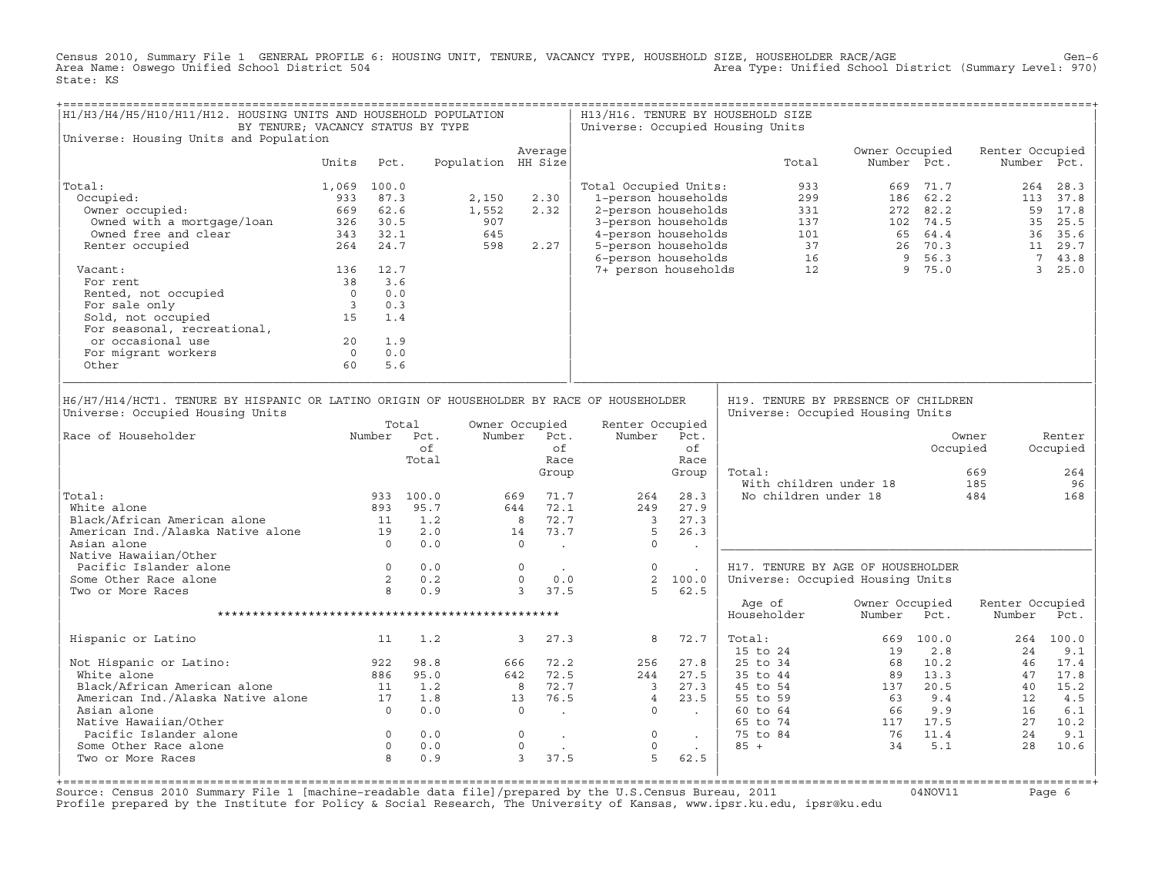Census 2010, Summary File 1 GENERAL PROFILE 6: HOUSING UNIT, TENURE, VACANCY TYPE, HOUSEHOLD SIZE, HOUSEHOLDER RACE/AGE<br>Area Name: Oswego Unified School District 504 State: KS

| H1/H3/H4/H5/H10/H11/H12. HOUSING UNITS AND HOUSEHOLD POPULATION<br>BY TENURE; VACANCY STATUS BY TYPE                                                                                                     |                |                                            |                                                                                   |       |                                                                                                                                            |                                                                                              |                                                             |        | H13/H16. TENURE BY HOUSEHOLD SIZE<br>Universe: Occupied Housing Units                        |                                                                                                       |              |                            |                                        |
|----------------------------------------------------------------------------------------------------------------------------------------------------------------------------------------------------------|----------------|--------------------------------------------|-----------------------------------------------------------------------------------|-------|--------------------------------------------------------------------------------------------------------------------------------------------|----------------------------------------------------------------------------------------------|-------------------------------------------------------------|--------|----------------------------------------------------------------------------------------------|-------------------------------------------------------------------------------------------------------|--------------|----------------------------|----------------------------------------|
| Universe: Housing Units and Population                                                                                                                                                                   |                |                                            |                                                                                   |       | Average                                                                                                                                    |                                                                                              |                                                             |        |                                                                                              | Owner Occupied                                                                                        |              | Renter Occupied            |                                        |
|                                                                                                                                                                                                          | Units          | Pct.                                       |                                                                                   |       | Population HH Size                                                                                                                         |                                                                                              |                                                             |        | Total                                                                                        | Number Pct.                                                                                           |              |                            | Number Pct.                            |
| Total:                                                                                                                                                                                                   | 1,069 100.0    |                                            |                                                                                   |       |                                                                                                                                            | Total Occupied Units:                                                                        |                                                             |        | 933                                                                                          |                                                                                                       | 669 71.7     |                            | 264 28.3                               |
| Occupied:                                                                                                                                                                                                | 933            | 87.3                                       |                                                                                   | 2,150 | 2.30                                                                                                                                       | 1-person households                                                                          |                                                             |        | 299                                                                                          |                                                                                                       | 186 62.2     |                            | 113 37.8                               |
| Owner occupied:                                                                                                                                                                                          |                | 669 62.6                                   |                                                                                   | 1,552 | 2.32                                                                                                                                       | 2-person households                                                                          |                                                             |        | 331                                                                                          |                                                                                                       | 272 82.2     |                            | 59 17.8                                |
| Owned with a mortgage/loan                                                                                                                                                                               |                | 326 30.5                                   |                                                                                   | 907   |                                                                                                                                            | 3-person households                                                                          |                                                             |        | $\frac{137}{137}$                                                                            |                                                                                                       | 102 74.5     |                            | 35 25.5                                |
| Owned free and clear                                                                                                                                                                                     |                | 343 32.1                                   |                                                                                   | 645   |                                                                                                                                            | 4-person households                                                                          |                                                             |        |                                                                                              |                                                                                                       |              |                            | 36 35.6                                |
| Renter occupied                                                                                                                                                                                          |                | 264 24.7                                   |                                                                                   | 598   | 2.27                                                                                                                                       | 5-person households                                                                          |                                                             |        |                                                                                              |                                                                                                       |              |                            | 11 29.7                                |
|                                                                                                                                                                                                          |                |                                            |                                                                                   |       |                                                                                                                                            | 6-person households                                                                          |                                                             |        |                                                                                              | $\begin{array}{cccc} 101 & 65 & 64.4 \\ 37 & 26 & 70.3 \\ 16 & 9 & 56.3 \\ 12 & 9 & 75.0 \end{array}$ |              |                            | 7 43.8                                 |
| Vacant:                                                                                                                                                                                                  |                | 136 12.7                                   |                                                                                   |       |                                                                                                                                            | 7+ person households                                                                         |                                                             |        |                                                                                              |                                                                                                       |              |                            | 3, 25.0                                |
| For rent                                                                                                                                                                                                 |                | 38 3.6                                     |                                                                                   |       |                                                                                                                                            |                                                                                              |                                                             |        |                                                                                              |                                                                                                       |              |                            |                                        |
| Rented, not occupied                                                                                                                                                                                     | $\frac{0}{3}$  | 0.0                                        |                                                                                   |       |                                                                                                                                            |                                                                                              |                                                             |        |                                                                                              |                                                                                                       |              |                            |                                        |
| For sale only                                                                                                                                                                                            |                | 0.3                                        |                                                                                   |       |                                                                                                                                            |                                                                                              |                                                             |        |                                                                                              |                                                                                                       |              |                            |                                        |
| Sold, not occupied                                                                                                                                                                                       | 15             | 1.4                                        |                                                                                   |       |                                                                                                                                            |                                                                                              |                                                             |        |                                                                                              |                                                                                                       |              |                            |                                        |
| For seasonal, recreational,                                                                                                                                                                              |                |                                            |                                                                                   |       |                                                                                                                                            |                                                                                              |                                                             |        |                                                                                              |                                                                                                       |              |                            |                                        |
| or occasional use                                                                                                                                                                                        | 20             | 1.9                                        |                                                                                   |       |                                                                                                                                            |                                                                                              |                                                             |        |                                                                                              |                                                                                                       |              |                            |                                        |
| For migrant workers                                                                                                                                                                                      | $\overline{0}$ | 0.0                                        |                                                                                   |       |                                                                                                                                            |                                                                                              |                                                             |        |                                                                                              |                                                                                                       |              |                            |                                        |
| Other                                                                                                                                                                                                    | 60             | 5.6                                        |                                                                                   |       |                                                                                                                                            |                                                                                              |                                                             |        |                                                                                              |                                                                                                       |              |                            |                                        |
| Universe: Occupied Housing Units<br>Race of Householder<br>Total:<br>White alone<br>American Ind./Alaska Native alone 11<br>American Ind./Alaska Native alone 19<br>Asian alone<br>Native Hawaiian/Other |                |                                            | Total<br>Number Pct.<br>of<br>Total<br>933 100.0<br>893 95.7<br>1.2<br>2.0<br>0.0 |       | Owner Occupied<br>Number Pct.<br>of<br>Race<br>Group<br>71.7<br>669<br>644 72.1<br>8 72.7<br>73.7<br>14<br>$\overline{0}$<br>$\sim$ $\sim$ | Renter Occupied<br>Number<br>264<br>249<br>$\overline{\mathbf{3}}$<br>$5^{\circ}$<br>$\circ$ | Pct.<br>of<br>Race<br>Group<br>28.3<br>27.9<br>27.3<br>26.3 | $\sim$ | Universe: Occupied Housing Units<br>Total:<br>With children under 18<br>No children under 18 |                                                                                                       | Occupied     | Owner<br>669<br>185<br>484 | Renter<br>Occupied<br>264<br>96<br>168 |
| Pacific Islander alone                                                                                                                                                                                   |                | $\begin{array}{c} 0 \\ 2 \\ 8 \end{array}$ | 0.0                                                                               |       | $\circ$<br>$\sim 100$                                                                                                                      | $\circ$                                                                                      | $\ddot{\phantom{a}}$                                        |        | H17. TENURE BY AGE OF HOUSEHOLDER                                                            |                                                                                                       |              |                            |                                        |
| Some Other Race alone                                                                                                                                                                                    |                |                                            | 0.2                                                                               |       | $\Omega$<br>0.0                                                                                                                            |                                                                                              | 2, 100.0                                                    |        | Universe: Occupied Housing Units                                                             |                                                                                                       |              |                            |                                        |
| Two or More Races                                                                                                                                                                                        |                |                                            | 0.9                                                                               |       | 3 37.5                                                                                                                                     | 5                                                                                            | 62.5                                                        |        |                                                                                              |                                                                                                       |              |                            |                                        |
|                                                                                                                                                                                                          |                |                                            |                                                                                   |       |                                                                                                                                            |                                                                                              |                                                             |        | Age of<br>Householder                                                                        | Owner Occupied<br>Number                                                                              | Pct.         | Renter Occupied<br>Number  | Pct.                                   |
|                                                                                                                                                                                                          |                |                                            |                                                                                   |       |                                                                                                                                            |                                                                                              |                                                             |        |                                                                                              |                                                                                                       |              |                            |                                        |
| Hispanic or Latino                                                                                                                                                                                       |                | 11                                         | 1.2                                                                               |       | $\overline{3}$<br>27.3                                                                                                                     | 8                                                                                            | 72.7                                                        |        | Total:<br>$15$ to $24$                                                                       | 669<br>19                                                                                             | 100.0<br>2.8 | 24                         | 264 100.0<br>9.1                       |
| Not Hispanic or Latino:                                                                                                                                                                                  |                | 922                                        | 98.8                                                                              |       | 666 72.2                                                                                                                                   | 256                                                                                          | 27.8                                                        |        | 25 to 34                                                                                     | 68                                                                                                    | 10.2         | 46                         | 17.4                                   |
| White alone                                                                                                                                                                                              |                | 886                                        | 95.0                                                                              |       | 642 72.5                                                                                                                                   | 244                                                                                          | 27.5                                                        |        | 35 to 44                                                                                     |                                                                                                       | 89 13.3      | 47                         | 17.8                                   |
|                                                                                                                                                                                                          |                |                                            | 1.2                                                                               |       | 8 72.7                                                                                                                                     | $\sim$ 3                                                                                     | 27.3                                                        |        | 45 to 54                                                                                     |                                                                                                       | 137 20.5     | 40                         | 15.2                                   |
|                                                                                                                                                                                                          |                |                                            | 1.8                                                                               |       | 76.5<br>13                                                                                                                                 | $\overline{4}$                                                                               | 23.5                                                        |        | 55 to 59                                                                                     | 63                                                                                                    | 9.4          | 12                         | 4.5                                    |
| American Ind./Alaska Native alone 11<br>American Ind./Alaska Native alone 17<br>Asian alone                                                                                                              |                |                                            | 0.0                                                                               |       | $\circ$<br><b>Contractor</b>                                                                                                               | $\circ$                                                                                      | <b>Contract Contract</b>                                    |        | 60 to 64                                                                                     | 66                                                                                                    | 9.9          | 16                         | 6.1                                    |
| Native Hawaiian/Other                                                                                                                                                                                    |                |                                            |                                                                                   |       |                                                                                                                                            |                                                                                              |                                                             |        | 65 to 74                                                                                     |                                                                                                       | 117 17.5     | 27                         | 10.2                                   |
| Pacific Islander alone                                                                                                                                                                                   |                | $\overline{0}$                             | 0.0                                                                               |       | $\overline{0}$                                                                                                                             | $\circ$                                                                                      |                                                             |        | 75 to 84                                                                                     | 76 11.4                                                                                               |              | 2.4                        | 9.1                                    |
| Some Other Race alone                                                                                                                                                                                    |                | $\overline{0}$                             | 0.0                                                                               |       | $\mathbf 0$<br>$\sim$                                                                                                                      | $\circ$                                                                                      |                                                             | $\sim$ | $85 +$                                                                                       | 34                                                                                                    | 5.1          | 28                         | 10.6                                   |
| Two or More Races                                                                                                                                                                                        |                | $\mathsf{B}$                               | 0.9                                                                               |       | $\overline{3}$<br>37.5                                                                                                                     | 5                                                                                            | 62.5                                                        |        |                                                                                              |                                                                                                       |              |                            |                                        |
|                                                                                                                                                                                                          |                |                                            |                                                                                   |       |                                                                                                                                            |                                                                                              |                                                             |        |                                                                                              |                                                                                                       |              |                            |                                        |

+===================================================================================================================================================+Source: Census 2010 Summary File 1 [machine−readable data file]/prepared by the U.S.Census Bureau, 2011 04NOV11 Page 6 Profile prepared by the Institute for Policy & Social Research, The University of Kansas, www.ipsr.ku.edu, ipsr@ku.edu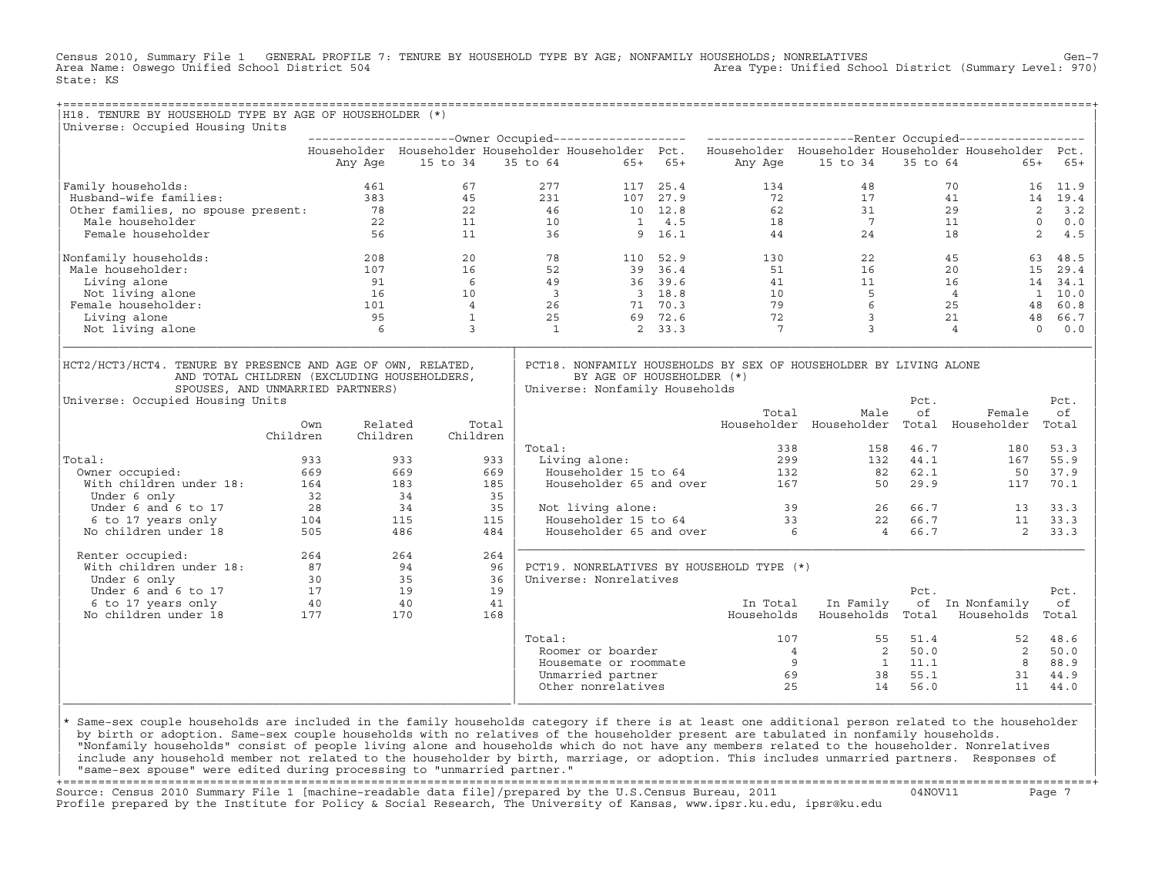Census 2010, Summary File 1 GENERAL PROFILE 7: TENURE BY HOUSEHOLD TYPE BY AGE; NONFAMILY HOUSEHOLDS; NONRELATIVES Gen-7<br>Area Name: Oswego Unified School District 504 Area Type: Unified School District (Summary Level: 970) State: KS

| H18. TENURE BY HOUSEHOLD TYPE BY AGE OF HOUSEHOLDER (*)                                                                                                                            |                                          |                     |                 |       |                         |                                                             |                |                                                                                                           |                  |                         |                                           |                      |
|------------------------------------------------------------------------------------------------------------------------------------------------------------------------------------|------------------------------------------|---------------------|-----------------|-------|-------------------------|-------------------------------------------------------------|----------------|-----------------------------------------------------------------------------------------------------------|------------------|-------------------------|-------------------------------------------|----------------------|
| Universe: Occupied Housing Units                                                                                                                                                   |                                          |                     |                 |       |                         |                                                             |                |                                                                                                           |                  |                         |                                           |                      |
|                                                                                                                                                                                    |                                          |                     |                 |       |                         |                                                             |                | Householder Householder Householder Householder Pct. Householder Householder Householder Householder Pct. |                  |                         |                                           |                      |
|                                                                                                                                                                                    |                                          | Any Age             | 15 to 34        |       |                         | 35 to 64                                                    | $65+ 65+$      |                                                                                                           | Any Age 15 to 34 | 35 to 64                | $65+$                                     | $65+$                |
| Family households:                                                                                                                                                                 |                                          | 461                 | 67              |       | 277                     |                                                             | 117 25.4       | 134                                                                                                       | 48               |                         | 70<br>16                                  | 11.9                 |
| Husband-wife families:                                                                                                                                                             |                                          | 383                 | 45              |       | 231                     |                                                             | 107 27.9       | 72                                                                                                        | 17               |                         | 41                                        | 14 19.4              |
| Other families, no spouse present: 78<br>Male householder                                                                                                                          |                                          |                     | 22              |       | 46                      |                                                             | 10 12.8        | 62                                                                                                        | 31               |                         | 29                                        | 2<br>3.2             |
| Male householder                                                                                                                                                                   |                                          | 22                  | 11              |       | 10                      |                                                             | 1 4.5          | 18                                                                                                        | $7^{\circ}$      |                         | 11                                        | $\circ$<br>0.0       |
| Female householder                                                                                                                                                                 |                                          | 56                  | 11              |       | 36                      |                                                             | 9 16.1         | 44                                                                                                        | 24               |                         | 18                                        | 4.5<br>2             |
| Nonfamily households:                                                                                                                                                              |                                          | 208                 | 20              |       | 78                      |                                                             | 110 52.9       | 130                                                                                                       | 22               |                         | 45<br>63                                  | 48.5                 |
| Male householder:                                                                                                                                                                  |                                          | 107                 | 16              |       | 52                      |                                                             | 39 36.4        | 51                                                                                                        | 16               |                         | 20<br>15                                  | 29.4                 |
| Living alone                                                                                                                                                                       |                                          | 91                  | $6\overline{6}$ |       | 49                      |                                                             | 36 39.6        | 41                                                                                                        | 11               |                         | 16                                        | 14 34.1              |
| Not living alone                                                                                                                                                                   |                                          | 16                  | 10              |       | $\overline{\mathbf{3}}$ |                                                             | $3 \quad 18.8$ | $\frac{10}{79}$                                                                                           | 5                |                         | $\overline{4}$                            | $\mathbf{1}$<br>10.0 |
| Female householder:                                                                                                                                                                |                                          | 101                 | $\frac{4}{3}$   |       | 26                      |                                                             | 71 70.3        | 79                                                                                                        | 6                |                         | 25<br>48                                  | 60.8                 |
| Living alone                                                                                                                                                                       |                                          | 95                  | $\mathbf{1}$    |       | 25                      |                                                             | 69 72.6        | 72                                                                                                        | $\mathbf{3}$     |                         | 21<br>48                                  | 66.7                 |
| Not living alone                                                                                                                                                                   |                                          | 6                   | $\mathbf{3}$    |       | $\mathbf{1}$            |                                                             | 2, 33.3        | $7\overline{ }$                                                                                           | 3                |                         | $\overline{4}$                            | $\Omega$<br>0.0      |
| HCT2/HCT3/HCT4. TENURE BY PRESENCE AND AGE OF OWN, RELATED,<br>AND TOTAL CHILDREN (EXCLUDING HOUSEHOLDERS,<br>SPOUSES, AND UNMARRIED PARTNERS)<br>Universe: Occupied Housing Units |                                          |                     |                 |       |                         | BY AGE OF HOUSEHOLDER (*)<br>Universe: Nonfamily Households |                | PCT18. NONFAMILY HOUSEHOLDS BY SEX OF HOUSEHOLDER BY LIVING ALONE                                         |                  | Pct.                    |                                           | Pct.                 |
|                                                                                                                                                                                    |                                          |                     |                 |       |                         |                                                             |                | Total                                                                                                     | Male             | оf                      | Female                                    | оf                   |
|                                                                                                                                                                                    | Own<br>Children                          | Related<br>Children | Children        | Total |                         |                                                             |                |                                                                                                           |                  |                         | Householder Householder Total Householder | Total                |
|                                                                                                                                                                                    |                                          |                     |                 |       | Total:                  |                                                             |                | 338                                                                                                       | 158              | 46.7                    | 180                                       | 53.3                 |
| Total:                                                                                                                                                                             | 933                                      |                     | 933             | 933   |                         | Living alone:                                               |                | 299                                                                                                       |                  | 132 44.1                | 167                                       | 55.9                 |
| Owner occupied:                                                                                                                                                                    |                                          |                     | 669             | 669   |                         | Householder 15 to 64                                        |                |                                                                                                           | $\frac{2}{132}$  | 82<br>62.1              | 50                                        | 37.9                 |
| With children under 18:                                                                                                                                                            | $\frac{669}{164}$                        |                     | 183             | 185   |                         | Householder 65 and over                                     |                |                                                                                                           | 167              | 29.9<br>50              | 117                                       | 70.1                 |
| Under 6 only                                                                                                                                                                       |                                          |                     | 34              | 35    |                         |                                                             |                |                                                                                                           |                  |                         |                                           |                      |
| Under 6 and 6 to 17                                                                                                                                                                | $\frac{164}{32}$<br>$\frac{2}{28}$<br>28 |                     | 34              | 35    |                         | Not living alone:                                           |                |                                                                                                           | 39 39            | 26 66.7                 | 13                                        | 33.3                 |
| 6 to 17 years only                                                                                                                                                                 | 104                                      |                     | 115             | 115   |                         | Householder 15 to 64                                        |                |                                                                                                           |                  | 22 66.7                 | 11                                        | 33.3                 |
| No children under 18                                                                                                                                                               | 505                                      |                     | 486             | 484   |                         | Householder 65 and over                                     |                |                                                                                                           |                  | $4\overline{4}$<br>66.7 | 2                                         | 33.3                 |
| Renter occupied:                                                                                                                                                                   | 264                                      |                     | 264             | 264   |                         |                                                             |                |                                                                                                           |                  |                         |                                           |                      |
| With children under 18:                                                                                                                                                            | 87                                       |                     | 94              | 96    |                         |                                                             |                | PCT19. NONRELATIVES BY HOUSEHOLD TYPE (*)                                                                 |                  |                         |                                           |                      |
| Under 6 only                                                                                                                                                                       | 30                                       |                     | 35              | 36    |                         | Universe: Nonrelatives                                      |                |                                                                                                           |                  |                         |                                           |                      |
| Under 6 and 6 to 17                                                                                                                                                                | $\begin{array}{c} 17 \\ 40 \end{array}$  |                     | 19              | 19    |                         |                                                             |                |                                                                                                           |                  | Pct.                    |                                           | Pct.                 |
| 6 to 17 years only                                                                                                                                                                 |                                          |                     | 40              | 41    |                         |                                                             |                | In Total                                                                                                  | In Family        |                         | of In Nonfamily                           | оf                   |
| No children under 18                                                                                                                                                               | 177                                      |                     | 170             | 168   |                         |                                                             |                | Households                                                                                                | Households Total |                         | Households                                | Total                |
|                                                                                                                                                                                    |                                          |                     |                 |       | Total:                  |                                                             |                | 107                                                                                                       |                  | 55<br>51.4              | 52                                        | 48.6                 |
|                                                                                                                                                                                    |                                          |                     |                 |       |                         | Roomer or boarder                                           |                | $\overline{4}$                                                                                            |                  | 50.0<br>2               | 2                                         | 50.0                 |
|                                                                                                                                                                                    |                                          |                     |                 |       |                         | Housemate or roommate                                       |                |                                                                                                           | 9                | 1 11.1                  | 8 <sup>8</sup>                            | 88.9                 |
|                                                                                                                                                                                    |                                          |                     |                 |       |                         | Unmarried partner                                           |                |                                                                                                           | 69               | 55.1<br>38              | 31                                        | 44.9                 |
|                                                                                                                                                                                    |                                          |                     |                 |       |                         | Other nonrelatives                                          |                | 2.5                                                                                                       | 14               | 56.0                    | 11                                        | 44.0                 |

design to the control of the control of the control of the control of the control of the control of the control of the control of the control of the control of the control of the control of the control of the control of th |\* Same−sex couple households are included in the family households category if there is at least one additional person related to the householder | | by birth or adoption. Same−sex couple households with no relatives of the householder present are tabulated in nonfamily households. | | "Nonfamily households" consist of people living alone and households which do not have any members related to the householder. Nonrelatives | include any household member not related to the householder by birth, marriage, or adoption. This includes unmarried partners. Responses of | "same−sex spouse" were edited during processing to "unmarried partner." |

+===================================================================================================================================================+ Source: Census 2010 Summary File 1 [machine−readable data file]/prepared by the U.S.Census Bureau, 2011 04NOV11 Page 7 Profile prepared by the Institute for Policy & Social Research, The University of Kansas, www.ipsr.ku.edu, ipsr@ku.edu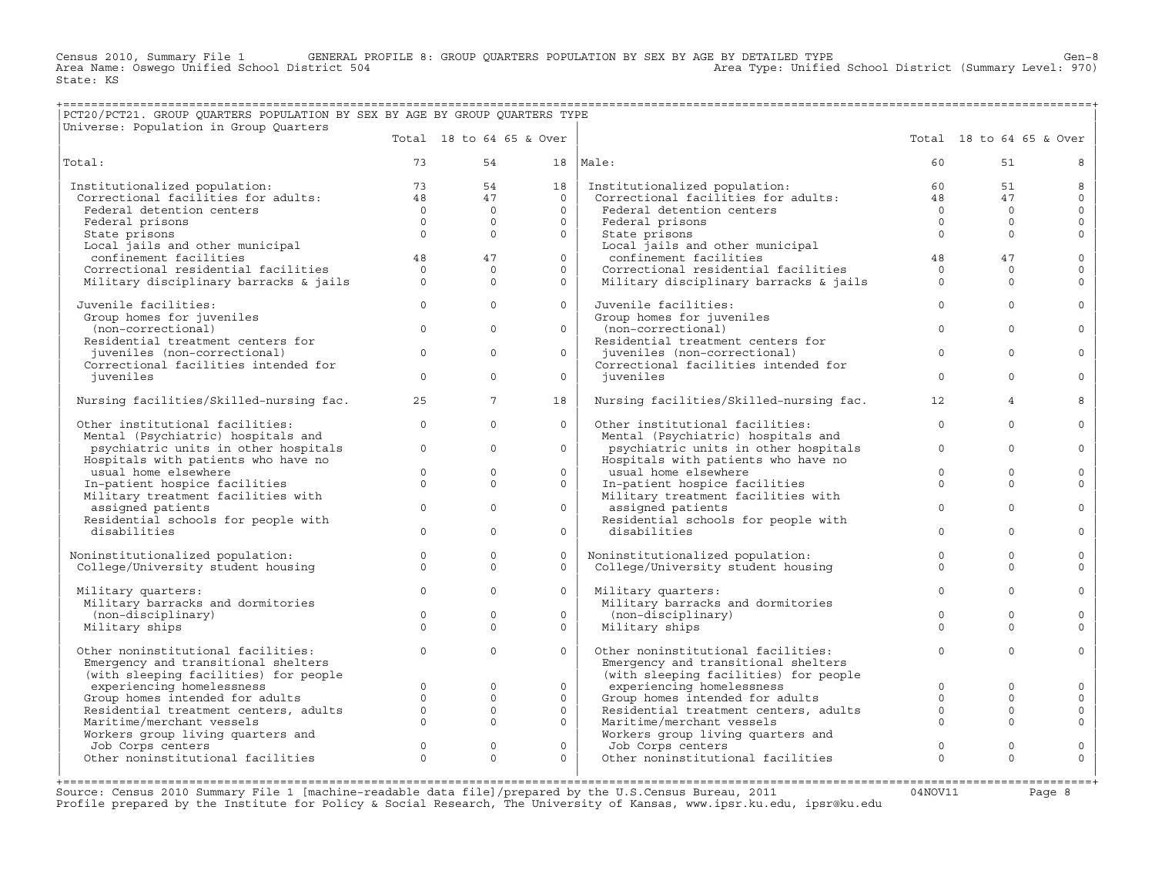Census 2010, Summary File 1 GENERAL PROFILE 8: GROUP QUARTERS POPULATION BY SEX BY AGE BY DETAILED TYPE Gen−8<br>Area Name: Oswego Unified School District 504 Area Type: Unified School District (Summary Level: 970) State: KS

## +===================================================================================================================================================+ |PCT20/PCT21. GROUP QUARTERS POPULATION BY SEX BY AGE BY GROUP QUARTERS TYPE |

| Universe: Population in Group Quarters                               |              |                          |          |                                                                      |              |                          |                     |
|----------------------------------------------------------------------|--------------|--------------------------|----------|----------------------------------------------------------------------|--------------|--------------------------|---------------------|
|                                                                      |              | Total 18 to 64 65 & Over |          |                                                                      |              | Total 18 to 64 65 & Over |                     |
| Total:                                                               | 73           | 54                       |          | $18$  Male:                                                          | 60           | 51                       | 8                   |
| Institutionalized population:                                        | 73           | 54                       | 18       | Institutionalized population:                                        | 60           | 51                       | 8                   |
| Correctional facilities for adults:                                  | 48           | 47                       | $\Omega$ | Correctional facilities for adults:                                  | 48           | 47                       | $\circ$             |
| Federal detention centers                                            | $\Omega$     | $\Omega$                 | $\Omega$ | Federal detention centers                                            | $\Omega$     | $\Omega$                 | $\mathbf 0$         |
| Federal prisons                                                      | $\Omega$     | $\Omega$                 | $\Omega$ | Federal prisons                                                      | $\Omega$     | $\Omega$                 | $\mathbf{0}$        |
| State prisons                                                        | $\Omega$     | $\Omega$                 | $\Omega$ | State prisons                                                        | $\Omega$     | $\Omega$                 | $\circ$             |
| Local jails and other municipal                                      |              |                          |          | Local jails and other municipal                                      |              |                          |                     |
| confinement facilities                                               | 48           | 47                       | $\Omega$ | confinement facilities                                               | 48           | 47                       | $\mathbf 0$         |
| Correctional residential facilities                                  | $\Omega$     | $\Omega$                 | $\Omega$ | Correctional residential facilities                                  | $\Omega$     | $\circ$                  | $\mathbf 0$         |
| Military disciplinary barracks & jails                               | $\Omega$     | $\Omega$                 | $\Omega$ | Military disciplinary barracks & jails                               | $\circ$      | $\Omega$                 | $\Omega$            |
| Juvenile facilities:                                                 | $\circ$      | $\Omega$                 | $\Omega$ | Juvenile facilities:                                                 | $\Omega$     | $\Omega$                 | $\Omega$            |
| Group homes for juveniles                                            |              |                          |          | Group homes for juveniles                                            |              |                          |                     |
| (non-correctional)                                                   | $\Omega$     | $\Omega$                 | $\Omega$ | (non-correctional)                                                   | $\Omega$     | $\Omega$                 | $\Omega$            |
| Residential treatment centers for                                    | $\Omega$     | $\Omega$                 | $\Omega$ | Residential treatment centers for                                    |              |                          |                     |
| juveniles (non-correctional)<br>Correctional facilities intended for |              |                          |          | juveniles (non-correctional)<br>Correctional facilities intended for | $\mathbf{0}$ | $\mathbf 0$              | $\Omega$            |
| juveniles                                                            | $\circ$      | $\Omega$                 | $\Omega$ | juveniles                                                            | $\Omega$     | $\Omega$                 | $\Omega$            |
|                                                                      |              |                          |          |                                                                      |              |                          |                     |
| Nursing facilities/Skilled-nursing fac.                              | 25           | $\overline{7}$           | 18       | Nursing facilities/Skilled-nursing fac.                              | 12           | $\overline{4}$           | 8                   |
| Other institutional facilities:                                      | $\circ$      | $\Omega$                 | $\Omega$ | Other institutional facilities:                                      | $\mathbf{0}$ | $\mathbf 0$              | $\Omega$            |
| Mental (Psychiatric) hospitals and                                   |              |                          |          | Mental (Psychiatric) hospitals and                                   |              |                          |                     |
| psychiatric units in other hospitals                                 | $\Omega$     | $\Omega$                 | $\Omega$ | psychiatric units in other hospitals                                 | $\Omega$     | $\Omega$                 | $\Omega$            |
| Hospitals with patients who have no<br>usual home elsewhere          | $\Omega$     | $\Omega$                 | $\Omega$ | Hospitals with patients who have no<br>usual home elsewhere          | $\Omega$     | $\Omega$                 | $\Omega$            |
| In-patient hospice facilities                                        | $\Omega$     | $\Omega$                 | $\Omega$ | In-patient hospice facilities                                        | $\Omega$     | $\Omega$                 | $\Omega$            |
| Military treatment facilities with                                   |              |                          |          | Military treatment facilities with                                   |              |                          |                     |
| assigned patients                                                    | $\Omega$     | $\Omega$                 | $\Omega$ | assigned patients                                                    | $\Omega$     | $\Omega$                 | $\Omega$            |
| Residential schools for people with                                  |              |                          |          | Residential schools for people with                                  |              |                          |                     |
| disabilities                                                         | $\Omega$     | $\Omega$                 | $\circ$  | disabilities                                                         | $\Omega$     | $\Omega$                 | $\mathbf 0$         |
|                                                                      |              |                          |          |                                                                      |              |                          |                     |
| Noninstitutionalized population:                                     | $\Omega$     | $\Omega$                 | $\Omega$ | Noninstitutionalized population:                                     | $\Omega$     | $\Omega$                 | $\mathbf 0$         |
| College/University student housing                                   | $\mathbf{0}$ | $\Omega$                 | $\circ$  | College/University student housing                                   | $\mathbf 0$  | $\circ$                  | $\Omega$            |
|                                                                      |              | $\Omega$                 |          |                                                                      |              |                          |                     |
| Military quarters:<br>Military barracks and dormitories              | $\Omega$     |                          | $\Omega$ | Military quarters:<br>Military barracks and dormitories              | $\Omega$     | $\Omega$                 | $\Omega$            |
| (non-disciplinary)                                                   | $\Omega$     | $\mathbf{0}$             | $\circ$  | (non-disciplinary)                                                   | $\Omega$     | $\Omega$                 | $\mathbf 0$         |
| Military ships                                                       | $\Omega$     | $\Omega$                 | $\Omega$ | Military ships                                                       | $\Omega$     | $\Omega$                 | $\Omega$            |
|                                                                      |              |                          |          |                                                                      |              |                          |                     |
| Other noninstitutional facilities:                                   | $\mathbf{0}$ | $\Omega$                 | $\Omega$ | Other noninstitutional facilities:                                   | $\Omega$     | $\Omega$                 | $\mathbf 0$         |
| Emergency and transitional shelters                                  |              |                          |          | Emergency and transitional shelters                                  |              |                          |                     |
| (with sleeping facilities) for people                                |              |                          |          | (with sleeping facilities) for people                                |              |                          |                     |
| experiencing homelessness                                            | $\circ$      | $\mathbf{0}$             | $\circ$  | experiencing homelessness                                            | $\Omega$     | $\Omega$                 | $\mathbf 0$         |
| Group homes intended for adults                                      | $\Omega$     | $\Omega$                 | $\Omega$ | Group homes intended for adults                                      | $\Omega$     | $\Omega$                 | $\Omega$            |
| Residential treatment centers, adults                                | $\mathbf{0}$ | $\circ$                  | $\circ$  | Residential treatment centers, adults                                | $\mathbf 0$  | $\circ$                  | $\mathsf{O}\xspace$ |
| Maritime/merchant vessels                                            | $\Omega$     | $\Omega$                 | $\Omega$ | Maritime/merchant vessels                                            | $\Omega$     | $\Omega$                 | $\mathbf 0$         |
| Workers group living quarters and                                    | $\Omega$     | $\Omega$                 | $\Omega$ | Workers group living quarters and                                    | $\Omega$     | $\Omega$                 |                     |
| Job Corps centers<br>Other noninstitutional facilities               | $\Omega$     | $\Omega$                 | $\Omega$ | Job Corps centers<br>Other noninstitutional facilities               | $\Omega$     | $\Omega$                 | $\circ$<br>$\circ$  |
|                                                                      |              |                          |          |                                                                      |              |                          |                     |
|                                                                      |              |                          |          |                                                                      |              |                          |                     |

Source: Census 2010 Summary File 1 [machine-readable data file]/prepared by the U.S.Census Bureau, 2011 Page 8<br>Profile prepared by the Institute for Policy & Social Research, The University of Kansas, www.ip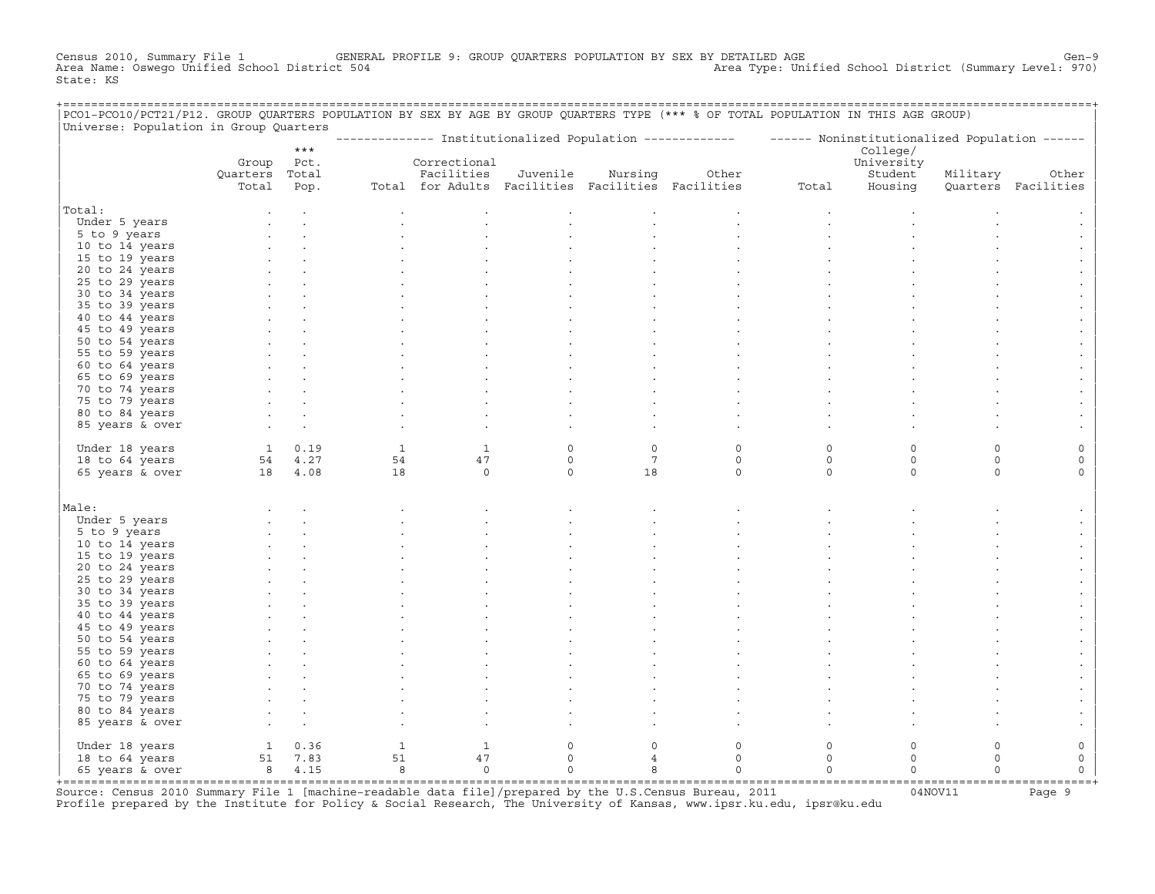Census 2010, Summary File 1 GENERAL PROFILE 9: GROUP QUARTERS POPULATION BY SEX BY DETAILED AGE GENOOL District (Summary Level: 970)<br>Area Type: Unified School District (Summary Level: 970) Area Type: Unified School Distri Area Type: Unified School District (Summary Level: 970) State: KS

| PCO1-PCO10/PCT21/P12. GROUP QUARTERS POPULATION BY SEX BY AGE BY GROUP QUARTERS TYPE (*** % OF TOTAL POPULATION IN THIS AGE GROUP)<br>Universe: Population in Group Quarters |                                                    |             |                            |                |             |                 |                                                                                                           |          |            |          |                     |
|------------------------------------------------------------------------------------------------------------------------------------------------------------------------------|----------------------------------------------------|-------------|----------------------------|----------------|-------------|-----------------|-----------------------------------------------------------------------------------------------------------|----------|------------|----------|---------------------|
|                                                                                                                                                                              |                                                    |             |                            |                |             |                 | -------------- Institutionalized Population ------------- - ------ Noninstitutionalized Population ------ |          |            |          |                     |
|                                                                                                                                                                              |                                                    | $***$       |                            |                |             |                 |                                                                                                           |          | College/   |          |                     |
|                                                                                                                                                                              | Group                                              | Pct.        |                            | Correctional   |             |                 |                                                                                                           |          | University |          |                     |
|                                                                                                                                                                              | Quarters Total                                     |             |                            | Facilities     | Juvenile    | Nursing         | Other                                                                                                     |          | Student    | Military | Other               |
|                                                                                                                                                                              | Total                                              | Pop.        |                            |                |             |                 | Total for Adults Facilities Facilities Facilities                                                         | Total    | Housing    |          | Quarters Facilities |
| Total:                                                                                                                                                                       |                                                    |             |                            |                |             |                 |                                                                                                           |          |            |          |                     |
| Under 5 years                                                                                                                                                                |                                                    |             |                            |                |             |                 |                                                                                                           |          |            |          |                     |
| 5 to 9 years                                                                                                                                                                 |                                                    |             |                            |                |             |                 |                                                                                                           |          |            |          |                     |
| 10 to 14 years                                                                                                                                                               |                                                    |             |                            |                |             |                 |                                                                                                           |          |            |          |                     |
| 15 to 19 years                                                                                                                                                               |                                                    |             |                            |                |             |                 |                                                                                                           |          |            |          |                     |
| 20 to 24 years                                                                                                                                                               |                                                    |             |                            |                |             |                 |                                                                                                           |          |            |          |                     |
| 25 to 29 years                                                                                                                                                               |                                                    |             |                            |                |             |                 |                                                                                                           |          |            |          |                     |
| 30 to 34 years                                                                                                                                                               |                                                    |             |                            |                |             |                 |                                                                                                           |          |            |          |                     |
| 35 to 39 years                                                                                                                                                               |                                                    |             |                            |                |             |                 |                                                                                                           |          |            |          |                     |
| 40 to 44 years                                                                                                                                                               |                                                    |             |                            |                |             |                 |                                                                                                           |          |            |          |                     |
| 45 to 49 years                                                                                                                                                               |                                                    |             |                            |                |             |                 |                                                                                                           |          |            |          |                     |
| 50 to 54 years                                                                                                                                                               |                                                    |             |                            |                |             |                 |                                                                                                           |          |            |          |                     |
| 55 to 59 years                                                                                                                                                               |                                                    |             |                            |                |             |                 |                                                                                                           |          |            |          |                     |
| 60 to 64 years                                                                                                                                                               |                                                    |             |                            |                |             |                 |                                                                                                           |          |            |          |                     |
| 65 to 69 years                                                                                                                                                               |                                                    |             |                            |                |             |                 |                                                                                                           |          |            |          |                     |
| 70 to 74 years                                                                                                                                                               |                                                    |             |                            |                |             |                 |                                                                                                           |          |            |          |                     |
| 75 to 79 years                                                                                                                                                               |                                                    |             |                            |                |             |                 |                                                                                                           |          |            |          |                     |
| 80 to 84 years                                                                                                                                                               |                                                    |             |                            |                |             |                 |                                                                                                           |          |            |          |                     |
| 85 years & over                                                                                                                                                              |                                                    |             |                            |                |             |                 |                                                                                                           |          |            |          |                     |
| Under 18 years                                                                                                                                                               |                                                    | $1 \t 0.19$ | <sup>1</sup>               | $\mathbf{1}$   | $\circ$     | $\circ$         | $\circ$                                                                                                   | $\Omega$ | $\Omega$   | $\Omega$ |                     |
| 18 to 64 years                                                                                                                                                               |                                                    | 54 4.27     | 54                         | 47             | $\circ$     | $7\phantom{.0}$ | $\circ$                                                                                                   | $\circ$  | $\circ$    | $\circ$  | 0                   |
| 65 years & over                                                                                                                                                              | 18 4.08                                            |             | 18                         | $\circ$        | $\mathbf 0$ | 18              | $\circ$                                                                                                   | $\circ$  | $\circ$    | $\Omega$ | $\Omega$            |
|                                                                                                                                                                              |                                                    |             |                            |                |             |                 |                                                                                                           |          |            |          |                     |
| Male:                                                                                                                                                                        |                                                    |             |                            |                |             |                 |                                                                                                           |          |            |          |                     |
| Under 5 years                                                                                                                                                                |                                                    |             |                            |                |             |                 |                                                                                                           |          |            |          |                     |
| 5 to 9 years                                                                                                                                                                 |                                                    |             |                            |                |             |                 |                                                                                                           |          |            |          |                     |
| 10 to 14 years                                                                                                                                                               |                                                    |             |                            |                |             |                 |                                                                                                           |          |            |          |                     |
| 15 to 19 years                                                                                                                                                               |                                                    |             |                            |                |             |                 |                                                                                                           |          |            |          |                     |
| 20 to 24 years                                                                                                                                                               |                                                    |             |                            |                |             |                 |                                                                                                           |          |            |          |                     |
| 25 to 29 years                                                                                                                                                               |                                                    |             |                            |                |             |                 |                                                                                                           |          |            |          |                     |
| 30 to 34 years                                                                                                                                                               |                                                    |             |                            |                |             |                 |                                                                                                           |          |            |          |                     |
| 35 to 39 years                                                                                                                                                               |                                                    |             |                            |                |             |                 |                                                                                                           |          |            |          |                     |
| 40 to 44 years                                                                                                                                                               |                                                    |             |                            |                |             |                 |                                                                                                           |          |            |          |                     |
| 45 to 49 years                                                                                                                                                               |                                                    |             |                            |                |             |                 |                                                                                                           |          |            |          |                     |
| 50 to 54 years                                                                                                                                                               |                                                    |             |                            |                |             |                 |                                                                                                           |          |            |          |                     |
| 55 to 59 years                                                                                                                                                               |                                                    |             |                            |                |             |                 |                                                                                                           |          |            |          |                     |
| 60 to 64 years<br>65 to 69 years                                                                                                                                             |                                                    |             |                            |                |             |                 |                                                                                                           |          |            |          |                     |
| 70 to 74 years                                                                                                                                                               |                                                    |             |                            |                |             |                 |                                                                                                           |          |            |          |                     |
| 75 to 79 years                                                                                                                                                               |                                                    |             |                            |                |             |                 |                                                                                                           |          |            |          |                     |
| 80 to 84 years                                                                                                                                                               |                                                    |             |                            |                |             |                 |                                                                                                           |          |            |          |                     |
| 85 years & over                                                                                                                                                              |                                                    |             |                            |                |             |                 |                                                                                                           |          |            |          |                     |
|                                                                                                                                                                              |                                                    |             |                            |                |             |                 |                                                                                                           |          |            |          |                     |
| Under 18 years                                                                                                                                                               |                                                    |             | 1                          | 1              | $\circ$     | $\circ$         | $\circ$                                                                                                   | $\Omega$ | $\Omega$   | $\Omega$ | 0                   |
| 18 to 64 years                                                                                                                                                               | $\begin{array}{cc} 1 & 0.36 \\ 51 & 7 \end{array}$ |             | 51                         | 47             | $\circ$     | 4               | $\Omega$                                                                                                  | $\circ$  | $\circ$    | $\Omega$ | 0                   |
| 65 years & over                                                                                                                                                              | 8 4.15                                             |             | $\overline{\phantom{0}}$ 8 | $\overline{0}$ | $\mathbf 0$ | 8               | $\circ$                                                                                                   | $\Omega$ | $\Omega$   | $\Omega$ | $\Omega$            |
|                                                                                                                                                                              |                                                    |             |                            |                |             |                 |                                                                                                           |          |            |          |                     |

+===================================================================================================================================================+Source: Census 2010 Summary File 1 [machine−readable data file]/prepared by the U.S.Census Bureau, 2011 04NOV11 Page 9 Profile prepared by the Institute for Policy & Social Research, The University of Kansas, www.ipsr.ku.edu, ipsr@ku.edu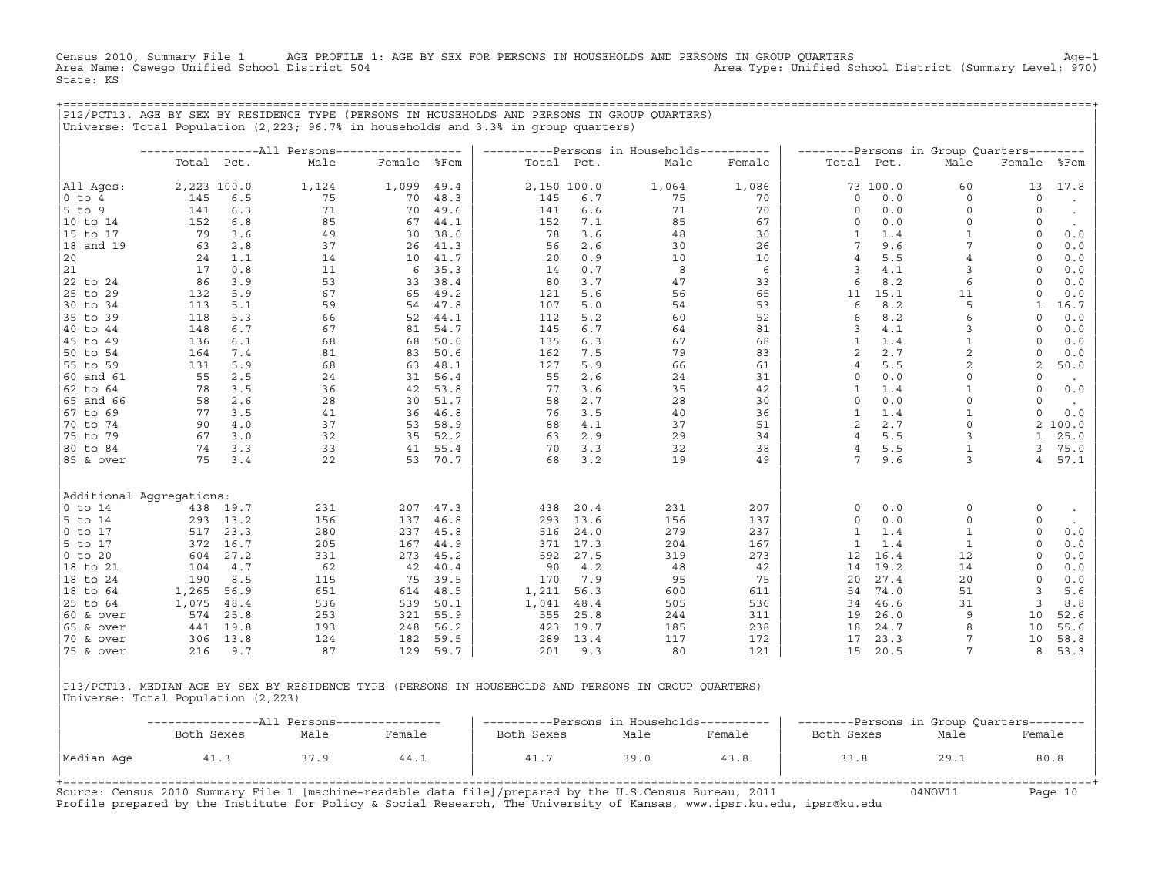Census 2010, Summary File 1 AGE PROFILE 1: AGE BY SEX FOR PERSONS IN HOUSEHOLDS AND PERSONS IN GROUP QUARTERS Age−1<br>Area Name: Oswego Unified School District 504 Area Type: Unified School District (Summary Level: 970) State: KS

+===================================================================================================================================================+

|             |                          |             | Universe: Total Population (2,223; 96.7% in households and 3.3% in group quarters) |             |      |       |             | P12/PCT13. AGE BY SEX BY RESIDENCE TYPE (PERSONS IN HOUSEHOLDS AND PERSONS IN GROUP QUARTERS) |        |                 |          |                                           |                 |            |
|-------------|--------------------------|-------------|------------------------------------------------------------------------------------|-------------|------|-------|-------------|-----------------------------------------------------------------------------------------------|--------|-----------------|----------|-------------------------------------------|-----------------|------------|
|             |                          |             |                                                                                    |             |      |       |             | ----------Persons in Households----------                                                     |        |                 |          | --------Persons in Group Quarters-------- |                 |            |
|             |                          | Total Pct.  | Male                                                                               | Female %Fem |      |       | Total Pct.  | Male                                                                                          | Female | Total Pct.      |          | Male                                      | Female          | %Fem       |
| All Ages:   |                          | 2,223 100.0 | 1,124                                                                              | 1,099       | 49.4 |       | 2,150 100.0 | 1,064                                                                                         | 1,086  |                 | 73 100.0 | 60                                        | 13              | 17.8       |
| $0$ to $4$  | 145                      | 6.5         | 75                                                                                 | 70          | 48.3 | 145   | 6.7         | 75                                                                                            | 70     | $\circ$         | 0.0      | $\Omega$                                  | $\circ$         | $\bullet$  |
| $5$ to $9$  | 141                      | 6.3         | 71                                                                                 | 70          | 49.6 | 141   | 6.6         | 71                                                                                            | 70     | $\mathbf 0$     | 0.0      | $\circ$                                   | 0               | $\bullet$  |
| 10 to 14    | 152                      | 6.8         | 85                                                                                 | 67          | 44.1 | 152   | 7.1         | 85                                                                                            | 67     | $\circ$         | $0.0$    | 0                                         | 0               | $\sim$     |
| 15 to 17    | 79                       | 3.6         | 49                                                                                 | 30          | 38.0 | 78    | 3.6         | 48                                                                                            | 30     | $\mathbf{1}$    | 1.4      | $\mathbf{1}$                              | $\mathbf 0$     | 0.0        |
| 18 and 19   | 63                       | 2.8         | 37                                                                                 | 26          | 41.3 | 56    | 2.6         | 30                                                                                            | 26     | $7\overline{ }$ | 9.6      | $\overline{7}$                            | $\mathbf 0$     | 0.0        |
| 20          | 24                       | 1.1         | 14                                                                                 | 10          | 41.7 | 20    | 0.9         | 10                                                                                            | 10     | $\overline{4}$  | 5.5      | $\overline{4}$                            | $\circ$         | 0.0        |
| 21          | 17                       | 0.8         | 11                                                                                 | 6           | 35.3 | 14    | 0.7         | 8                                                                                             | 6      | $\overline{3}$  | 4.1      | 3                                         | 0               | 0.0        |
| 22 to 24    | 86                       | 3.9         | 53                                                                                 | 33          | 38.4 | 80    | 3.7         | 47                                                                                            | 33     | 6               | 8.2      | 6                                         | $\circ$         | 0.0        |
| 25 to 29    | 132                      | 5.9         | 67                                                                                 | 65          | 49.2 | 121   | 5.6         | 56                                                                                            | 65     | 11              | 15.1     | 11                                        | $\circ$         | 0.0        |
| 30 to 34    | 113                      | 5.1         | 59                                                                                 | 54          | 47.8 | 107   | 5.0         | 54                                                                                            | 53     | 6               | 8.2      | 5                                         | $\mathbf{1}$    | 16.7       |
| 35 to 39    | 118                      | 5.3         | 66                                                                                 | 52          | 44.1 | 112   | 5.2         | 60                                                                                            | 52     | 6               | 8.2      | 6                                         | $\circ$         | 0.0        |
| 40 to 44    | 148                      | 6.7         | 67                                                                                 | 81          | 54.7 | 145   | 6.7         | 64                                                                                            | 81     | 3               | 4.1      | 3                                         | $\circ$         | 0.0        |
| 45 to 49    | 136                      | 6.1         | 68                                                                                 | 68          | 50.0 | 135   | 6.3         | 67                                                                                            | 68     | $\mathbf{1}$    | 1.4      | $\mathbf{1}$                              | $\Omega$        | $0.0$      |
| 50 to 54    | 164                      | 7.4         | 81                                                                                 | 83          | 50.6 | 162   | 7.5         | 79                                                                                            | 83     | 2               | 2.7      | $\sqrt{2}$                                | $\circ$         | 0.0        |
| 55 to 59    | 131                      | 5.9         | 68                                                                                 | 63          | 48.1 | 127   | 5.9         | 66                                                                                            | 61     | $\overline{4}$  | 5.5      | $\overline{c}$                            | 2               | 50.0       |
| 60 and 61   | 55                       | 2.5         | 24                                                                                 | 31          | 56.4 | 55    | 2.6         | 24                                                                                            | 31     | $\circ$         | 0.0      | $\circ$                                   | $\circ$         | $\sim$     |
| 62 to 64    | 78                       | 3.5         | 36                                                                                 | 42          | 53.8 | 77    | 3.6         | 35                                                                                            | 42     | $\mathbf{1}$    | 1.4      | $\overline{1}$                            | $\mathbf 0$     | $0.0$      |
| 65 and 66   | 58                       | 2.6         | 28                                                                                 | 30          | 51.7 | 58    | 2.7         | 28                                                                                            | 30     | $\Omega$        | 0.0      | $\Omega$                                  | 0               | $\sim$ $-$ |
| 67 to 69    | 77                       | 3.5         | 41                                                                                 | 36          | 46.8 | 76    | 3.5         | 40                                                                                            | 36     | $\mathbf{1}$    | 1.4      | $\mathbf{1}$                              | $\circ$         | 0.0        |
| 70 to 74    | 90                       | 4.0         | 37                                                                                 | 53          | 58.9 | 88    | 4.1         | 37                                                                                            | 51     | 2               | 2.7      | $\circ$                                   |                 | 2 100.0    |
| 75 to 79    | 67                       | 3.0         | 32                                                                                 | 35          | 52.2 | 63    | 2.9         | 29                                                                                            | 34     | $\overline{4}$  | 5.5      | 3                                         | $\mathbf{1}$    | 25.0       |
| 80 to 84    | 74                       | 3.3         | 33                                                                                 | 41          | 55.4 | 70    | 3.3         | 32                                                                                            | 38     | $\overline{4}$  | 5.5      | $\mathbf{1}$                              | 3               | 75.0       |
| 85 & over   | 75                       | 3.4         | 22                                                                                 | 53          | 70.7 | 68    | 3.2         | 19                                                                                            | 49     | $7\phantom{.0}$ | 9.6      | 3                                         | $4\overline{ }$ | 57.1       |
|             | Additional Aggregations: |             |                                                                                    |             |      |       |             |                                                                                               |        |                 |          |                                           |                 |            |
| $0$ to $14$ |                          | 438 19.7    | 231                                                                                | 207         | 47.3 | 438   | 20.4        | 231                                                                                           | 207    | $\circ$         | 0.0      | $\circ$                                   | 0               | $\bullet$  |
| 5 to 14     | 293                      | 13.2        | 156                                                                                | 137         | 46.8 | 293   | 13.6        | 156                                                                                           | 137    | $\circ$         | 0.0      | $\circ$                                   | $\circ$         | $\sim$     |
| 0 to 17     | 517                      | 23.3        | 280                                                                                | 237         | 45.8 | 516   | 24.0        | 279                                                                                           | 237    | 1               | 1.4      | $\mathbf{1}$                              | $\circ$         | 0.0        |
| 5 to 17     | 372                      | 16.7        | 205                                                                                | 167         | 44.9 | 371   | 17.3        | 204                                                                                           | 167    | $\mathbf{1}$    | 1.4      | $\mathbf{1}$                              | $\mathsf O$     | 0.0        |
| $0$ to $20$ | 604                      | 27.2        | 331                                                                                | 273         | 45.2 | 592   | 27.5        | 319                                                                                           | 273    | 12              | 16.4     | 12                                        | $\circ$         | 0.0        |
| 18 to 21    | 104                      | 4.7         | 62                                                                                 | 42          | 40.4 | 90    | 4.2         | 48                                                                                            | 42     | 14              | 19.2     | 14                                        | $\circ$         | 0.0        |
| 18 to 24    | 190                      | 8.5         | 115                                                                                | 75          | 39.5 | 170   | 7.9         | 95                                                                                            | 75     | 20              | 27.4     | 20                                        | $\Omega$        | $0.0$      |
| 18 to 64    | 1,265                    | 56.9        | 651                                                                                | 614         | 48.5 | 1,211 | 56.3        | 600                                                                                           | 611    | 54              | 74.0     | 51                                        | 3               | 5.6        |
| 25 to 64    | 1,075                    | 48.4        | 536                                                                                | 539         | 50.1 | 1,041 | 48.4        | 505                                                                                           | 536    | 34              | 46.6     | 31                                        | 3               | 8.8        |
| 60 & over   | 574                      | 25.8        | 253                                                                                | 321         | 55.9 | 555   | 25.8        | 244                                                                                           | 311    | 19              | 26.0     | 9                                         | 10              | 52.6       |
| 65 & over   | 441                      | 19.8        | 193                                                                                | 248         | 56.2 | 423   | 19.7        | 185                                                                                           | 238    | 18              | 24.7     | 8                                         | 10              | 55.6       |
| 70 & over   | 306                      | 13.8        | 124                                                                                | 182         | 59.5 | 289   | 13.4        | 117                                                                                           | 172    | 17              | 23.3     | 7                                         | 10              | 58.8       |
| 75 & over   | 216                      | 9.7         | 87                                                                                 | 129         | 59.7 | 201   | 9.3         | 80                                                                                            | 121    | 15              | 20.5     | 7                                         | 8               | 53.3       |
|             |                          |             |                                                                                    |             |      |       |             |                                                                                               |        |                 |          |                                           |                 |            |

|P13/PCT13. MEDIAN AGE BY SEX BY RESIDENCE TYPE (PERSONS IN HOUSEHOLDS AND PERSONS IN GROUP QUARTERS) | |Universe: Total Population (2,223) |

| Female<br>Female<br>Both Sexes<br>Male<br>Male<br>Both Sexes<br>Both Sexes |        |      | --------Persons in Group Quarters-------- |  | ----------Persons in Households---------- |  |  |
|----------------------------------------------------------------------------|--------|------|-------------------------------------------|--|-------------------------------------------|--|--|
|                                                                            | Female | Male |                                           |  |                                           |  |  |
| Median Aqe<br>41.7<br>43.8<br>39.0<br>33.8<br>37.9<br>44.1<br>41.3         | 80.8   | 29.1 |                                           |  |                                           |  |  |

Source: Census 2010 Summary File 1 [machine−readable data file]/prepared by the U.S.Census Bureau, 2011 04NOV11 Page 10 Profile prepared by the Institute for Policy & Social Research, The University of Kansas, www.ipsr.ku.edu, ipsr@ku.edu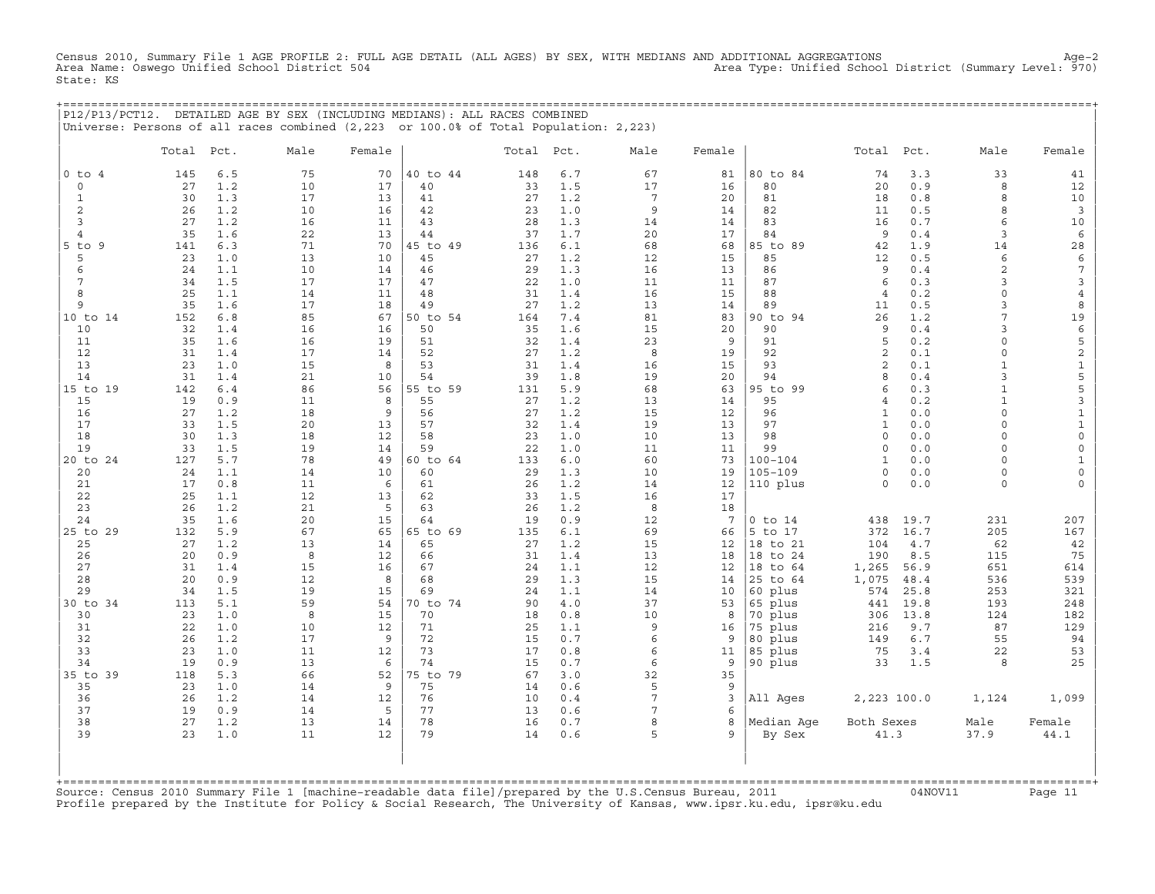Census 2010, Summary File 1 AGE PROFILE 2: FULL AGE DETAIL (ALL AGES) BY SEX, WITH MEDIANS AND ADDITIONAL AGGREGATIONS Age−2 Area Type: Unified School District (Summary Level: 970) State: KS

+===================================================================================================================================================+

|                |           |            | P12/P13/PCT12. DETAILED AGE BY SEX (INCLUDING MEDIANS): ALL RACES COMBINED<br>Universe: Persons of all races combined (2,223 or 100.0% of Total Population: 2,223) |          |                |           |            |                 |          |                        |                      |              |              |                     |
|----------------|-----------|------------|--------------------------------------------------------------------------------------------------------------------------------------------------------------------|----------|----------------|-----------|------------|-----------------|----------|------------------------|----------------------|--------------|--------------|---------------------|
|                | Total     | Pct.       | Male                                                                                                                                                               | Female   |                | Total     | Pct.       | Male            | Female   |                        | Total                | Pct.         | Male         | Female              |
| $0$ to $4$     | 145       | 6.5        | 75                                                                                                                                                                 | 70       | 40 to 44       | 148       | 6.7        | 67              | 81       | 80 to 84               | 74                   | 3.3          | 33           | 41                  |
| $\mathbf 0$    | 27        | 1.2        | 10                                                                                                                                                                 | 17       | 40             | 33        | 1.5        | 17              | 16       | 80                     | 20                   | 0.9          | 8            | 12                  |
| $\mathbf{1}$   | 30        | 1.3        | 17                                                                                                                                                                 | 13       | 41             | 27        | 1.2        | $7\phantom{.0}$ | 20       | 81                     | 18                   | 0.8          | 8            | 10                  |
| 2              | 26        | 1.2        | 10                                                                                                                                                                 | 16       | 42             | 23        | 1.0        | 9               | 14       | 82                     | 11                   | 0.5          | 8            | $\overline{3}$      |
| 3              | 27        | 1.2        | 16                                                                                                                                                                 | 11       | 43             | 28        | 1.3        | 14              | 14       | 83                     | 16                   | 0.7          | 6            | 10                  |
| $\overline{4}$ | 35        | 1.6        | 22                                                                                                                                                                 | 13       | 44             | 37        | 1.7        | 20              | 17       | 84                     | 9                    | 0.4          | 3            | 6                   |
| $5$ to $9$     | 141       | 6.3        | 71                                                                                                                                                                 | 70       | 45 to 49       | 136       | 6.1        | 68              | 68       | 85 to 89               | 42                   | 1.9          | 14           | 28                  |
| 5              | 23        | 1.0        | 13                                                                                                                                                                 | 10       | 45             | 27        | 1.2        | 12              | 15       | 85                     | 12                   | 0.5          | 6            | 6                   |
| 6              | 24        | 1.1        | 10                                                                                                                                                                 | 14       | 46             | 29        | 1.3        | 16              | 13       | 86                     | 9                    | 0.4          | 2            | $\overline{7}$      |
| 7              | 34        | 1.5        | 17                                                                                                                                                                 | 17       | 47             | 22        | 1.0        | 11              | 11       | 87                     | 6                    | 0.3          | 3            | 3                   |
| 8<br>9         | 25<br>35  | 1.1<br>1.6 | 14<br>17                                                                                                                                                           | 11<br>18 | 48<br>49       | 31<br>27  | 1.4<br>1.2 | 16<br>13        | 15<br>14 | 88<br>89               | $\overline{4}$<br>11 | 0.2<br>0.5   | 0<br>3       | $\overline{4}$<br>8 |
| 10 to 14       | 152       | 6.8        | 85                                                                                                                                                                 | 67       | 50 to 54       | 164       | 7.4        | 81              | 83       | 90 to 94               | 26                   | 1.2          | 7            | 19                  |
| 10             | 32        | 1.4        | 16                                                                                                                                                                 | 16       | 50             | 35        | 1.6        | 15              | 20       | 90                     | 9                    | 0.4          | 3            | 6                   |
| 11             | 35        | 1.6        | 16                                                                                                                                                                 | 19       | 51             | 32        | 1.4        | 23              | 9        | 91                     | 5                    | 0.2          | $\Omega$     | 5                   |
| 12             | 31        | 1.4        | 17                                                                                                                                                                 | 14       | 52             | 27        | 1.2        | 8               | 19       | 92                     | 2                    | 0.1          | $\circ$      | $\mathbf 2$         |
| 13             | 23        | 1.0        | 15                                                                                                                                                                 | 8        | 53             | 31        | 1.4        | 16              | 15       | 93                     | 2                    | 0.1          | $\mathbf{1}$ | $\mathbf 1$         |
| 14             | 31        | 1.4        | 21                                                                                                                                                                 | 10       | 54             | 39        | 1.8        | 19              | 20       | 94                     | 8                    | 0.4          | 3            | 5                   |
| 15 to 19       | 142       | 6.4        | 86                                                                                                                                                                 | 56       | 55 to 59       | 131       | 5.9        | 68              | 63       | 95 to 99               | 6                    | 0.3          | $\mathbf{1}$ | 5                   |
| 15             | 19        | 0.9        | 11                                                                                                                                                                 | 8        | 55             | 27        | 1.2        | 13              | 14       | 95                     | $\overline{4}$       | 0.2          | $\mathbf{1}$ | 3                   |
| 16             | 27        | 1.2        | 18                                                                                                                                                                 | 9        | 56             | 27        | 1.2        | 15              | 12       | 96                     | $\mathbf{1}$         | 0.0          | $\circ$      | $1\,$               |
| 17             | 33        | 1.5        | 20                                                                                                                                                                 | 13       | 57             | 32        | 1.4        | 19              | 13       | 97                     | $\mathbf{1}$         | 0.0          | $\circ$      | $\mathbf 1$         |
| 18             | 30        | 1.3        | 18                                                                                                                                                                 | 12       | 58             | 23        | 1.0        | 10              | 13       | 98                     | $\circ$              | 0.0          | $\circ$      | $\mathsf{O}$        |
| 19             | 33        | 1.5        | 19                                                                                                                                                                 | 14       | 59             | 22        | 1.0        | 11              | 11       | 99                     | $\circ$              | $0.0$        | $\circ$      | $\mathsf{O}\xspace$ |
| 20 to 24       | 127       | 5.7        | 78                                                                                                                                                                 | 49       | 60 to 64       | 133       | 6.0        | 60              | 73       | $100 - 104$            | $\mathbf{1}$         | 0.0          | $\circ$      | $\mathbf{1}$        |
| 20             | 24        | 1.1        | 14                                                                                                                                                                 | 10       | 60             | 29        | 1.3        | 10              | 19       | $105 - 109$            | $\circ$              | 0.0          | $\circ$      | $\mathsf{O}\xspace$ |
| 21             | 17        | 0.8        | 11                                                                                                                                                                 | 6        | 61             | 26        | 1.2        | 14              | 12       | 110 plus               | $\circ$              | 0.0          | $\circ$      | $\mathbf 0$         |
| 22             | 25        | 1.1        | 12                                                                                                                                                                 | 13       | 62             | 33        | 1.5        | 16              | 17       |                        |                      |              |              |                     |
| 23             | 26        | 1.2        | 21                                                                                                                                                                 | 5        | 63             | 26        | 1.2        | 8               | 18       |                        |                      |              |              |                     |
| 24<br>25 to 29 | 35<br>132 | 1.6<br>5.9 | 20<br>67                                                                                                                                                           | 15<br>65 | 64<br>65 to 69 | 19<br>135 | 0.9<br>6.1 | 12<br>69        | 7        | $0$ to $14$<br>5 to 17 | 438<br>372           | 19.7<br>16.7 | 231<br>205   | 207<br>167          |
| 25             | 27        | 1.2        | 13                                                                                                                                                                 | 14       | 65             | 27        | 1.2        | 15              | 66<br>12 | 18 to 21               | 104                  | 4.7          | 62           | 42                  |
| 26             | 20        | 0.9        | 8                                                                                                                                                                  | 12       | 66             | 31        | 1.4        | 13              | 18       | 18 to 24               | 190                  | 8.5          | 115          | 75                  |
| 27             | 31        | 1.4        | 15                                                                                                                                                                 | 16       | 67             | 24        | 1.1        | 12              | 12       | 18 to 64               | 1,265                | 56.9         | 651          | 614                 |
| 28             | 20        | 0.9        | 12                                                                                                                                                                 | 8        | 68             | 29        | 1.3        | 15              | 14       | 25 to 64               | 1,075                | 48.4         | 536          | 539                 |
| 29             | 34        | 1.5        | 19                                                                                                                                                                 | 15       | 69             | 24        | 1.1        | 14              | 10       | 60 plus                | 574                  | 25.8         | 253          | 321                 |
| 30 to 34       | 113       | 5.1        | 59                                                                                                                                                                 | 54       | 70 to 74       | 90        | 4.0        | 37              | 53       | 65 plus                | 441                  | 19.8         | 193          | 248                 |
| 30             | 23        | 1.0        | 8                                                                                                                                                                  | 15       | 70             | 18        | 0.8        | 10              | 8        | 70 plus                | 306                  | 13.8         | 124          | 182                 |
| 31             | 22        | 1.0        | 10                                                                                                                                                                 | 12       | 71             | 25        | 1.1        | 9               | 16       | 75 plus                | 216                  | 9.7          | 87           | 129                 |
| 32             | 26        | 1.2        | 17                                                                                                                                                                 | 9        | 72             | 15        | 0.7        | 6               | 9        | 80 plus                | 149                  | 6.7          | 55           | 94                  |
| 33             | 23        | 1.0        | 11                                                                                                                                                                 | 12       | 73             | 17        | 0.8        | 6               | 11       | 85 plus                | 75                   | 3.4          | 22           | 53                  |
| 34             | 19        | 0.9        | 13                                                                                                                                                                 | 6        | 74             | 15        | 0.7        | 6               | 9        | 90 plus                | 33                   | 1.5          | 8            | 25                  |
| 35 to 39       | 118       | 5.3        | 66                                                                                                                                                                 | 52       | 75 to 79       | 67        | 3.0        | 32              | 35       |                        |                      |              |              |                     |
| 35             | 23        | 1.0        | 14                                                                                                                                                                 | 9        | 75             | 14        | 0.6        | 5               | 9        |                        |                      |              |              |                     |
| 36             | 26        | 1.2        | 14                                                                                                                                                                 | 12       | 76             | 10        | 0.4        | $7\overline{ }$ | 3        | All Ages               | 2,223 100.0          |              | 1,124        | 1,099               |
| 37             | 19        | 0.9        | 14                                                                                                                                                                 | 5        | 77             | 13        | 0.6        | $7\overline{ }$ | 6        |                        |                      |              |              |                     |
| 38             | 27        | 1.2        | 13                                                                                                                                                                 | 14       | 78             | 16        | 0.7        | 8               | 8        | Median Aqe             | Both Sexes           |              | Male         | Female              |
| 39             | 23        | 1.0        | 11                                                                                                                                                                 | 12       | 79             | 14        | 0.6        | 5               | 9        | By Sex                 | 41.3                 |              | 37.9         | 44.1                |
|                |           |            |                                                                                                                                                                    |          |                |           |            |                 |          |                        |                      |              |              |                     |

| | +===================================================================================================================================================+ Source: Census 2010 Summary File 1 [machine−readable data file]/prepared by the U.S.Census Bureau, 2011 04NOV11 Page 11 Source: Census 2010 Summary File 1 [machine-readable data file]/prepared by the U.S.Census Bureau, 2011<br>Profile prepared by the Institute for Policy & Social Research, The University of Kansas, www.ipsr.ku.edu, ipsr@ku.edu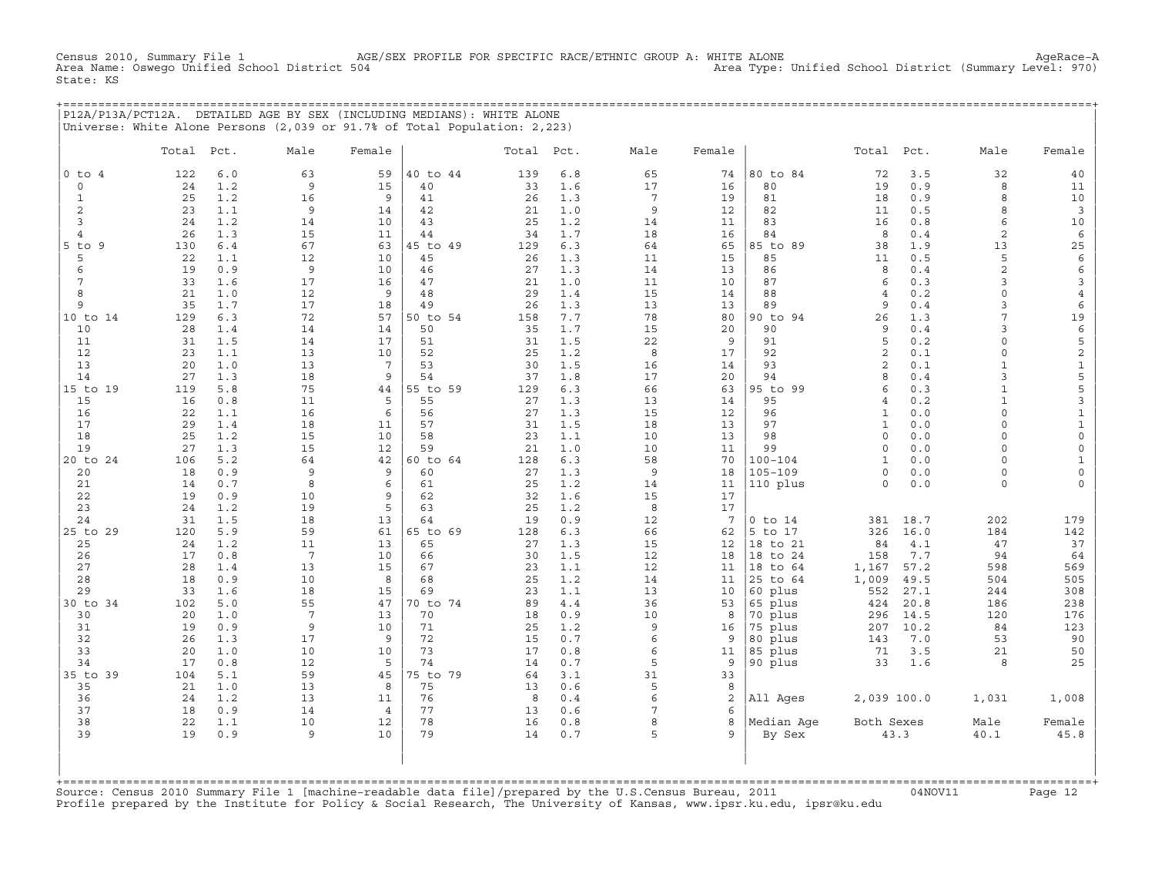Census 2010, Summary File 1 AGE/SEX PROFILE FOR SPECIFIC RACE/ETHNIC GROUP A: WHITE ALONE AgeRace−A Area Type: Unified School District (Summary Level: 970) State: KS

+===================================================================================================================================================+ |P12A/P13A/PCT12A. DETAILED AGE BY SEX (INCLUDING MEDIANS): WHITE ALONE | |Universe: White Alone Persons (2,039 or 91.7% of Total Population: 2,223) |

|                      | Total     | Pct.       | Male            | Female         |                | Total Pct. |            | Male            | Female          |             | Total               | Pct.       | Male               | Female                             |
|----------------------|-----------|------------|-----------------|----------------|----------------|------------|------------|-----------------|-----------------|-------------|---------------------|------------|--------------------|------------------------------------|
| $0$ to $4$           | 122       | 6.0        | 63              | 59             | 40 to 44       | 139        | 6.8        | 65              | 74              | 80 to 84    | 72                  | 3.5        | 32                 | 40                                 |
| $\circ$              | 24        | 1.2        | 9               | 15             | 40             | 33         | 1.6        | 17              | 16              | 80          | 19                  | 0.9        | 8                  | 11                                 |
| $\mathbf{1}$         | 25        | 1.2        | 16              | 9              | 41             | 26         | 1.3        | $7\phantom{.0}$ | 19              | 81          | 18                  | 0.9        | 8                  | 10                                 |
| 2                    | 23        | 1.1        | 9               | 14             | 42             | 21         | 1.0        | 9               | 12              | 82          | 11                  | 0.5        | 8                  | $\overline{3}$                     |
| 3                    | 24        | 1.2        | 14              | 10             | 43             | 25         | 1.2        | 14              | 11              | 83          | 16                  | 0.8        | 6                  | 10                                 |
| $\overline{4}$       | 26        | 1.3        | 15              | 11             | 44             | 34         | 1.7        | 18              | 16              | 84          | 8                   | 0.4        | 2                  | $\epsilon$                         |
| $5$ to<br>9          | 130       | 6.4        | 67              | 63             | 45 to 49       | 129        | 6.3        | 64              | 65              | 85 to 89    | 38                  | 1.9        | 13                 | 25                                 |
| 5                    | 22        | 1.1        | 12              | 10             | 45             | 26         | 1.3        | 11              | 15              | 85          | 11                  | 0.5        | 5                  | $\epsilon$                         |
| 6                    | 19        | 0.9        | $\overline{9}$  | 10             | 46             | 27         | 1.3        | 14              | 13              | 86          | 8                   | 0.4        | $\overline{c}$     | 6                                  |
| $7\phantom{.0}$<br>8 | 33<br>21  | 1.6<br>1.0 | 17              | 16<br>9        | 47<br>48       | 21<br>29   | 1.0<br>1.4 | 11<br>15        | 10              | 87<br>88    | 6                   | 0.3<br>0.2 | 3<br>$\circ$       | $\mathbf{3}$                       |
| 9                    | 35        | 1.7        | 12<br>17        | 18             | 49             | 26         | 1.3        | 13              | 14<br>13        | 89          | $\overline{4}$<br>9 | 0.4        | 3                  | $\overline{4}$<br>6                |
| 10 to 14             | 129       | 6.3        | 72              | 57             | 50 to 54       | 158        | 7.7        | 78              | 80              | 90 to 94    | 26                  | 1.3        | 7                  | 19                                 |
| 10                   | 28        | 1.4        | 14              | 14             | 50             | 35         | 1.7        | 15              | 20              | 90          | 9                   | 0.4        | 3                  | $\epsilon$                         |
| 11                   | 31        | 1.5        | 14              | 17             | 51             | 31         | 1.5        | 22              | 9               | 91          | 5                   | 0.2        | $\circ$            | 5                                  |
| 12                   | 23        | 1.1        | 13              | 10             | 52             | 25         | 1.2        | 8               | 17              | 92          | $\overline{c}$      | 0.1        | $\circ$            | $\overline{c}$                     |
| 13                   | 20        | 1.0        | 13              | 7              | 53             | 30         | 1.5        | 16              | 14              | 93          | $\overline{c}$      | 0.1        | $\mathbf{1}$       | $\mathbf{1}$                       |
| 14                   | 27        | 1.3        | 18              | 9              | 54             | 37         | 1.8        | 17              | 20              | 94          | 8                   | 0.4        | 3                  | $\mathsf S$                        |
| 15 to 19             | 119       | 5.8        | 75              | 44             | 55 to 59       | 129        | 6.3        | 66              | 63              | 95 to 99    | 6                   | 0.3        | $\mathbf{1}$       | 5                                  |
| 15                   | 16        | 0.8        | 11              | 5              | 55             | 27         | 1.3        | 13              | 14              | 95          | $\overline{4}$      | 0.2        | $\mathbf{1}$       | 3                                  |
| 16                   | 22        | 1.1        | 16              | 6              | 56             | 27         | 1.3        | 15              | 12              | 96          | $\mathbf{1}$        | 0.0        | $\circ$            | $\ensuremath{\mathsf{1}}$          |
| 17                   | 29        | 1.4        | 18              | 11             | 57             | 31         | 1.5        | 18              | 13              | 97          | $\mathbf{1}$        | 0.0        | $\Omega$           | $\mathtt 1$                        |
| 18                   | 25        | 1.2        | 15              | 10             | 58             | 23         | 1.1        | 10              | 13              | 98          | $\circ$             | 0.0        | $\circ$            | $\mathsf{O}$                       |
| 19                   | 27        | 1.3        | 15              | 12             | 59             | 21         | 1.0        | 10              | 11              | 99          | $\circ$             | 0.0        | 0                  | $\mathsf{O}$                       |
| 20 to 24             | 106       | 5.2        | 64              | 42             | 60 to 64       | 128        | 6.3        | 58              | 70              | $100 - 104$ | $\mathbf{1}$        | 0.0        | $\Omega$           | $\mathbf{1}$                       |
| 20                   | 18        | 0.9<br>0.7 | 9<br>8          | 9<br>6         | 60             | 27<br>25   | 1.3<br>1.2 | 9<br>14         | 18              | $105 - 109$ | $\circ$<br>$\Omega$ | 0.0<br>0.0 | $\circ$<br>$\circ$ | $\mathsf{O}\xspace$<br>$\mathbf 0$ |
| 21<br>22             | 14<br>19  | 0.9        | 10              | 9              | 61<br>62       | 32         | 1.6        | 15              | 11<br>17        | 110 plus    |                     |            |                    |                                    |
| 23                   | 24        | 1.2        | 19              | 5              | 63             | 25         | 1.2        | 8               | 17              |             |                     |            |                    |                                    |
| 24                   | 31        | 1.5        | 18              | 13             | 64             | 19         | 0.9        | 12              | $7\phantom{.0}$ | $0$ to $14$ | 381                 | 18.7       | 202                | 179                                |
| 25 to 29             | 120       | 5.9        | 59              | 61             | 65 to 69       | 128        | 6.3        | 66              | 62              | 5 to 17     | 326                 | 16.0       | 184                | 142                                |
| 25                   | 24        | 1.2        | 11              | 13             | 65             | 27         | 1.3        | 15              | 12              | 18 to 21    | 84                  | 4.1        | 47                 | 37                                 |
| 26                   | 17        | 0.8        | $7\phantom{.0}$ | 10             | 66             | 30         | 1.5        | 12              | 18              | 18 to 24    | 158                 | 7.7        | 94                 | 64                                 |
| 27                   | 28        | 1.4        | 13              | 15             | 67             | 23         | 1.1        | 12              | 11              | 18<br>to 64 | 1,167               | 57.2       | 598                | 569                                |
| 28                   | 18        | 0.9        | 10              | 8              | 68             | 25         | 1.2        | 14              | 11              | 25 to 64    | 1,009               | 49.5       | 504                | 505                                |
| 29                   | 33        | 1.6        | 18              | 15             | 69             | 23         | 1.1        | 13              | 10              | 60 plus     | 552                 | 27.1       | 244                | 308                                |
| 30 to 34             | 102       | 5.0        | 55              | 47             | 70 to 74       | 89         | 4.4        | 36              | 53              | 65 plus     | 424                 | 20.8       | 186                | 238                                |
| 30                   | 20        | 1.0        | $7\phantom{.0}$ | 13             | 70             | 18         | 0.9        | 10              | 8               | 70 plus     | 296                 | 14.5       | 120                | 176                                |
| 31                   | 19        | 0.9        | 9               | 10             | 71             | 25         | 1.2        | 9               | 16              | 75 plus     | 207                 | 10.2       | 84                 | 123                                |
| 32                   | 26        | 1.3        | 17              | 9              | 72             | 15         | 0.7        | 6               | 9               | 80 plus     | 143                 | 7.0        | 53                 | 90                                 |
| 33                   | 20        | 1.0        | 10              | 10             | 73             | 17         | 0.8        | 6               | 11              | 85 plus     | 71                  | 3.5        | 21                 | 50                                 |
| 34                   | 17        | 0.8<br>5.1 | 12<br>59        | 5<br>45        | 74<br>75 to 79 | 14         | 0.7        | 5<br>31         | 9               | 90 plus     | 33                  | 1.6        | 8                  | 25                                 |
| 35 to 39<br>35       | 104<br>21 | 1.0        | 13              | 8              | 75             | 64<br>13   | 3.1<br>0.6 | 5               | 33<br>8         |             |                     |            |                    |                                    |
| 36                   | 24        | 1.2        | 13              | 11             | 76             | 8          | 0.4        | $6\phantom{1}$  | 2               | All Ages    | 2,039 100.0         |            | 1,031              | 1,008                              |
| 37                   | 18        | 0.9        | 14              | $\overline{4}$ | 77             | 13         | 0.6        | $7\phantom{.0}$ | 6               |             |                     |            |                    |                                    |
| 38                   | 22        | 1.1        | 10              | 12             | 78             | 16         | 0.8        | 8               | 8               | Median Age  | Both Sexes          |            | Male               | Female                             |
| 39                   | 19        | 0.9        | 9               | 10             | 79             | 14         | 0.7        | 5               | $\mathsf{Q}$    | By Sex      |                     | 43.3       | 40.1               | 45.8                               |
|                      |           |            |                 |                |                |            |            |                 |                 |             |                     |            |                    |                                    |

+===================================================================================================================================================+Source: Census 2010 Summary File 1 [machine−readable data file]/prepared by the U.S.Census Bureau, 2011 04NOV11 Page 12 Profile prepared by the Institute for Policy & Social Research, The University of Kansas, www.ipsr.ku.edu, ipsr@ku.edu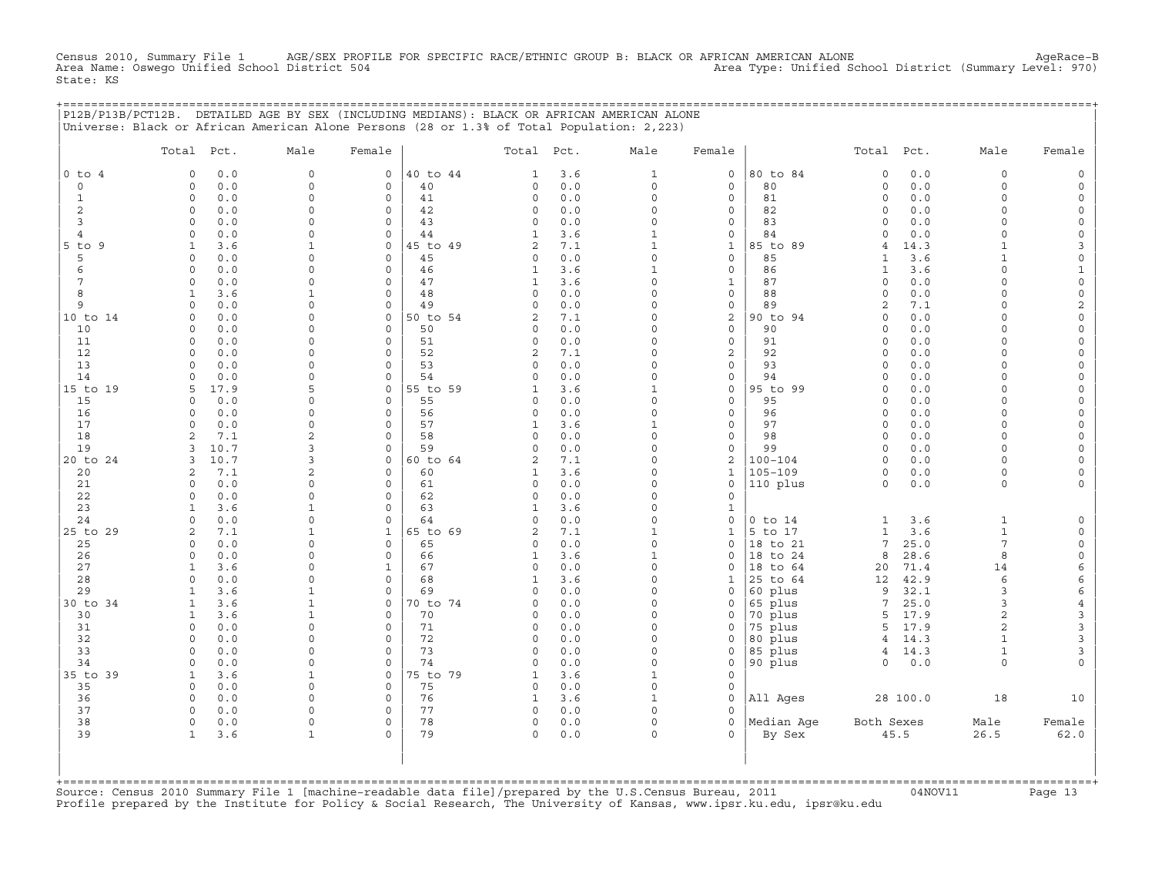Census 2010, Summary File 1 AGE/SEX PROFILE FOR SPECIFIC RACE/ETHNIC GROUP B: BLACK OR AFRICAN AMERICAN ALONE AgeRace−B Area Name: Oswego Unified School District 504 Area Type: Unified School District (Summary Level: 970) State: KS

+===================================================================================================================================================+

| $0$ to $4$<br>$\circ$<br>$\mathbf{1}$<br>$\mathbf{2}$<br>3<br>4<br>$5$ to $9$<br>5<br>6<br>$7\phantom{.0}$<br>8<br>9<br>10 to 14<br>10<br>11<br>12<br>13 | 0.0<br>$\Omega$<br>$0.0$<br>$\circ$<br>$\circ$<br>0.0<br>0.0<br>$\circ$<br>0.0<br>$\Omega$<br>$\circ$<br>0.0<br>$\mathbf{1}$<br>3.6<br>$\Omega$<br>0.0<br>$0.0$<br>$\circ$<br>0.0<br>$\Omega$<br>$\mathbf{1}$<br>3.6<br>0.0<br>$\circ$<br>$\Omega$<br>0.0<br>0.0<br>$\circ$<br>$\Omega$<br>0.0 | $\mathbf 0$<br>$\mathbf 0$<br>$\mathbf 0$<br>$\Omega$<br>$\Omega$<br>$\mathbf 0$<br>$\mathbf 0$<br>$\Omega$<br>$\Omega$<br>$\mathbf{1}$<br>$\mathbf 0$<br>$\Omega$ | $\mathsf{O}$<br>$\mathsf O$<br>$\mathsf O$<br>$\mathsf{O}$<br>$\Omega$<br>$\circ$<br>$\mathsf{O}$<br>$\mathbf 0$<br>$\mathsf O$<br>$\mathbf 0$<br>$\mathbf 0$<br>$\mathsf O$ | 40 to 44<br>40<br>41<br>42<br>43<br>44<br>45 to 49<br>45<br>46<br>47<br>48 | 1<br>$\Omega$<br>0<br>0<br>$\Omega$<br>$\mathbf{1}$<br>$\overline{2}$<br>$\Omega$<br>$\mathbf{1}$<br>$\mathbf{1}$ | 3.6<br>0.0<br>0.0<br>0.0<br>0.0<br>3.6<br>7.1<br>0.0<br>3.6 | $\mathbf{1}$<br>$\circ$<br>$\circ$<br>$\Omega$<br>$\Omega$<br>$\mathbf{1}$<br>$\mathbf{1}$<br>$\Omega$ | $\mathsf{O}$<br>$\mathbf 0$<br>$\mathsf O$<br>$\mathsf O$<br>$\circ$<br>$\mathsf{O}$<br>$1\,$ | 80 to 84<br>80<br>81<br>82<br>83<br>84<br>85 to 89 | $\mathbf 0$<br>$\circ$<br>$\circ$<br>$\circ$<br>$\Omega$<br>$\Omega$<br>$\overline{4}$ | 0.0<br>$0.0$<br>0.0<br>0.0<br>0.0<br>0.0<br>14.3 | 0<br>$\circ$<br>$\Omega$<br>$\Omega$<br>$\Omega$<br>$\Omega$<br>$\mathbf{1}$ | $\mathsf{O}$<br>$\mathsf{O}$<br>$\mathsf O$<br>$\mathsf{O}\xspace$<br>$\mathsf O$<br>$\mathsf{O}\xspace$<br>3 |
|----------------------------------------------------------------------------------------------------------------------------------------------------------|------------------------------------------------------------------------------------------------------------------------------------------------------------------------------------------------------------------------------------------------------------------------------------------------|--------------------------------------------------------------------------------------------------------------------------------------------------------------------|------------------------------------------------------------------------------------------------------------------------------------------------------------------------------|----------------------------------------------------------------------------|-------------------------------------------------------------------------------------------------------------------|-------------------------------------------------------------|--------------------------------------------------------------------------------------------------------|-----------------------------------------------------------------------------------------------|----------------------------------------------------|----------------------------------------------------------------------------------------|--------------------------------------------------|------------------------------------------------------------------------------|---------------------------------------------------------------------------------------------------------------|
|                                                                                                                                                          |                                                                                                                                                                                                                                                                                                |                                                                                                                                                                    |                                                                                                                                                                              |                                                                            |                                                                                                                   |                                                             |                                                                                                        |                                                                                               |                                                    |                                                                                        |                                                  |                                                                              |                                                                                                               |
|                                                                                                                                                          |                                                                                                                                                                                                                                                                                                |                                                                                                                                                                    |                                                                                                                                                                              |                                                                            |                                                                                                                   |                                                             |                                                                                                        |                                                                                               |                                                    |                                                                                        |                                                  |                                                                              |                                                                                                               |
|                                                                                                                                                          |                                                                                                                                                                                                                                                                                                |                                                                                                                                                                    |                                                                                                                                                                              |                                                                            |                                                                                                                   |                                                             |                                                                                                        |                                                                                               |                                                    |                                                                                        |                                                  |                                                                              |                                                                                                               |
|                                                                                                                                                          |                                                                                                                                                                                                                                                                                                |                                                                                                                                                                    |                                                                                                                                                                              |                                                                            |                                                                                                                   |                                                             |                                                                                                        |                                                                                               |                                                    |                                                                                        |                                                  |                                                                              |                                                                                                               |
|                                                                                                                                                          |                                                                                                                                                                                                                                                                                                |                                                                                                                                                                    |                                                                                                                                                                              |                                                                            |                                                                                                                   |                                                             |                                                                                                        |                                                                                               |                                                    |                                                                                        |                                                  |                                                                              |                                                                                                               |
|                                                                                                                                                          |                                                                                                                                                                                                                                                                                                |                                                                                                                                                                    |                                                                                                                                                                              |                                                                            |                                                                                                                   |                                                             |                                                                                                        |                                                                                               |                                                    |                                                                                        |                                                  |                                                                              |                                                                                                               |
|                                                                                                                                                          |                                                                                                                                                                                                                                                                                                |                                                                                                                                                                    |                                                                                                                                                                              |                                                                            |                                                                                                                   |                                                             |                                                                                                        | $\mathbf 0$                                                                                   | 85                                                 | $\mathbf{1}$                                                                           | 3.6                                              | $\mathbf{1}$                                                                 | $\mathsf{O}$                                                                                                  |
|                                                                                                                                                          |                                                                                                                                                                                                                                                                                                |                                                                                                                                                                    |                                                                                                                                                                              |                                                                            |                                                                                                                   |                                                             | $\mathbf{1}$                                                                                           | $\mathbb O$                                                                                   | 86                                                 | $\mathbf{1}$                                                                           | 3.6                                              | $\Omega$                                                                     | $\mathbf 1$                                                                                                   |
|                                                                                                                                                          |                                                                                                                                                                                                                                                                                                |                                                                                                                                                                    |                                                                                                                                                                              |                                                                            |                                                                                                                   | 3.6                                                         | $\Omega$                                                                                               | $\mathbf{1}$                                                                                  | 87                                                 | $\Omega$                                                                               | 0.0                                              | $\Omega$                                                                     | $\mathsf{O}\xspace$                                                                                           |
|                                                                                                                                                          |                                                                                                                                                                                                                                                                                                |                                                                                                                                                                    |                                                                                                                                                                              |                                                                            | $\Omega$                                                                                                          | 0.0                                                         | $\Omega$                                                                                               | $\mathsf O$                                                                                   | 88                                                 | $\circ$                                                                                | 0.0                                              | $\Omega$                                                                     | $\mathsf{O}\xspace$                                                                                           |
|                                                                                                                                                          |                                                                                                                                                                                                                                                                                                |                                                                                                                                                                    |                                                                                                                                                                              | 49                                                                         | $\Omega$                                                                                                          | 0.0                                                         | $\Omega$                                                                                               | $\mathbb O$                                                                                   | 89                                                 | $\overline{2}$                                                                         | 7.1                                              | $\Omega$                                                                     | $\overline{c}$                                                                                                |
|                                                                                                                                                          |                                                                                                                                                                                                                                                                                                |                                                                                                                                                                    | $\mathbf 0$                                                                                                                                                                  | 50 to 54                                                                   | 2                                                                                                                 | 7.1                                                         | $\Omega$                                                                                               | $\sqrt{2}$                                                                                    | 90 to 94                                           | $\Omega$                                                                               | 0.0                                              | $\Omega$                                                                     | $\mathsf{O}\xspace$                                                                                           |
|                                                                                                                                                          |                                                                                                                                                                                                                                                                                                | $\mathbf 0$                                                                                                                                                        | $\mathsf O$                                                                                                                                                                  | 50                                                                         | $\Omega$                                                                                                          | 0.0                                                         | $\Omega$                                                                                               | $\mathsf{O}$                                                                                  | 90                                                 | $\mathbf 0$                                                                            | 0.0                                              | $\circ$                                                                      | $\mathsf{O}\xspace$                                                                                           |
|                                                                                                                                                          |                                                                                                                                                                                                                                                                                                | $\Omega$                                                                                                                                                           | $\mathbf 0$                                                                                                                                                                  | 51                                                                         | $\Omega$                                                                                                          | 0.0                                                         | $\Omega$                                                                                               | $\mathsf O$                                                                                   | 91                                                 | $\circ$                                                                                | 0.0                                              | $\Omega$                                                                     | $\mathsf{O}\xspace$                                                                                           |
|                                                                                                                                                          | 0.0<br>$\circ$                                                                                                                                                                                                                                                                                 | $\mathbf 0$                                                                                                                                                        | $\mathbf 0$                                                                                                                                                                  | 52                                                                         | 2                                                                                                                 | 7.1                                                         | $\Omega$                                                                                               | $\overline{\mathbf{c}}$                                                                       | 92                                                 | $\circ$                                                                                | 0.0                                              | $\Omega$                                                                     | 0                                                                                                             |
|                                                                                                                                                          | $\circ$<br>0.0                                                                                                                                                                                                                                                                                 | $\mathsf{O}\xspace$                                                                                                                                                | $\circ$                                                                                                                                                                      | 53                                                                         | 0                                                                                                                 | 0.0                                                         | $\mathbf 0$                                                                                            | $\mathsf O$                                                                                   | 93                                                 | $\mathbf 0$                                                                            | 0.0                                              | $\Omega$                                                                     | $\mathsf{O}\xspace$                                                                                           |
| 14<br>15 to 19                                                                                                                                           | $\Omega$<br>0.0<br>17.9<br>5                                                                                                                                                                                                                                                                   | $\mathbf 0$<br>5                                                                                                                                                   | $\mathbf 0$<br>$\mathsf O$                                                                                                                                                   | 54<br>55 to 59                                                             | $\Omega$                                                                                                          | 0.0<br>3.6                                                  | $\Omega$<br>$\mathbf{1}$                                                                               | $\mathsf O$<br>$\mathsf{O}$                                                                   | 94<br>95 to 99                                     | $\circ$<br>$\Omega$                                                                    | 0.0                                              | $\Omega$<br>$\Omega$                                                         | $\mathsf{O}\xspace$<br>$\mathsf{O}\xspace$                                                                    |
| 15                                                                                                                                                       | 0.0<br>$\Omega$                                                                                                                                                                                                                                                                                | $\mathbf 0$                                                                                                                                                        | $\mathbf 0$                                                                                                                                                                  | 55                                                                         | $\mathbf{1}$<br>0                                                                                                 | 0.0                                                         | $\Omega$                                                                                               | $\mathbf 0$                                                                                   | 95                                                 | $\Omega$                                                                               | 0.0<br>$0.0$                                     | $\Omega$                                                                     | $\mathsf{O}\xspace$                                                                                           |
| 16                                                                                                                                                       | 0.0<br>$\circ$                                                                                                                                                                                                                                                                                 | $\mathbf 0$                                                                                                                                                        | $\mathbf 0$                                                                                                                                                                  | 56                                                                         | 0                                                                                                                 | 0.0                                                         | $\Omega$                                                                                               | $\mathsf{O}$                                                                                  | 96                                                 | $\circ$                                                                                | 0.0                                              | $\circ$                                                                      | 0                                                                                                             |
| 17                                                                                                                                                       | $\circ$<br>0.0                                                                                                                                                                                                                                                                                 | $\mathbf 0$                                                                                                                                                        | $\mathsf O$                                                                                                                                                                  | 57                                                                         | $\mathbf{1}$                                                                                                      | 3.6                                                         | $\mathbf{1}$                                                                                           | $\mathsf O$                                                                                   | 97                                                 | $\circ$                                                                                | 0.0                                              | $\Omega$                                                                     | $\mathsf{O}$                                                                                                  |
| 18                                                                                                                                                       | 2<br>7.1                                                                                                                                                                                                                                                                                       | $\overline{c}$                                                                                                                                                     | $\mathbf 0$                                                                                                                                                                  | 58                                                                         | 0                                                                                                                 | 0.0                                                         | $\Omega$                                                                                               | $\mathsf{O}$                                                                                  | 98                                                 | $\Omega$                                                                               | 0.0                                              | $\circ$                                                                      | $\mathsf{O}\xspace$                                                                                           |
| 19                                                                                                                                                       | 3<br>10.7                                                                                                                                                                                                                                                                                      | 3                                                                                                                                                                  | $\circ$                                                                                                                                                                      | 59                                                                         | $\Omega$                                                                                                          | 0.0                                                         | $\Omega$                                                                                               | $\mathsf{O}\xspace$                                                                           | 99                                                 | $\circ$                                                                                | 0.0                                              | $\circ$                                                                      | $\mathsf{O}\xspace$                                                                                           |
| 20 to 24                                                                                                                                                 | 10.7<br>3                                                                                                                                                                                                                                                                                      | 3                                                                                                                                                                  | $\mathbf 0$                                                                                                                                                                  | 60 to 64                                                                   | 2                                                                                                                 | 7.1                                                         | $\Omega$                                                                                               | 2                                                                                             | $100 - 104$                                        | $\circ$                                                                                | 0.0                                              | $\Omega$                                                                     | $\mathsf O$                                                                                                   |
| 20                                                                                                                                                       | 7.1<br>2                                                                                                                                                                                                                                                                                       | 2                                                                                                                                                                  | 0                                                                                                                                                                            | 60                                                                         | 1                                                                                                                 | 3.6                                                         | $\Omega$                                                                                               | $\mathbf{1}$                                                                                  | $105 - 109$                                        | $\circ$                                                                                | 0.0                                              | $\Omega$                                                                     | 0                                                                                                             |
| 21                                                                                                                                                       | 0.0<br>$\circ$                                                                                                                                                                                                                                                                                 | $\mathbf 0$                                                                                                                                                        | $\mathsf O$                                                                                                                                                                  | 61                                                                         | 0                                                                                                                 | 0.0                                                         | $\Omega$                                                                                               | $\mathsf O$                                                                                   | 110 plus                                           | $\Omega$                                                                               | $0.0$                                            | $\circ$                                                                      | $\circ$                                                                                                       |
| 22                                                                                                                                                       | $\circ$<br>0.0                                                                                                                                                                                                                                                                                 | $\mathbf 0$                                                                                                                                                        | $\mathbf 0$                                                                                                                                                                  | 62                                                                         | 0                                                                                                                 | 0.0                                                         | $\Omega$                                                                                               | $\mathbf 0$                                                                                   |                                                    |                                                                                        |                                                  |                                                                              |                                                                                                               |
| 23<br>24                                                                                                                                                 | 3.6<br>$\mathbf{1}$<br>0.0<br>$\Omega$                                                                                                                                                                                                                                                         | $\mathbf{1}$<br>$\Omega$                                                                                                                                           | $\mathsf{O}$<br>$\Omega$                                                                                                                                                     | 63<br>64                                                                   | $\mathbf{1}$<br>$\Omega$                                                                                          | 3.6<br>0.0                                                  | $\Omega$<br>$\Omega$                                                                                   | $1\,$<br>$\circ$                                                                              | $0$ to $14$                                        | 1                                                                                      | 3.6                                              | $\mathbf{1}$                                                                 | $\mathsf{O}$                                                                                                  |
| 25 to 29                                                                                                                                                 | 2<br>7.1                                                                                                                                                                                                                                                                                       | $\mathbf{1}$                                                                                                                                                       | $\mathbf{1}$                                                                                                                                                                 | 65 to 69                                                                   | 2                                                                                                                 | 7.1                                                         | $\mathbf{1}$                                                                                           | $\mathbf{1}$                                                                                  | 5 to 17                                            | $\mathbf{1}$                                                                           | 3.6                                              | $\mathbf{1}$                                                                 | $\mathsf{O}$                                                                                                  |
| 25                                                                                                                                                       | $0.0$<br>$\circ$                                                                                                                                                                                                                                                                               | $\mathbf 0$                                                                                                                                                        | $\mathsf{O}$                                                                                                                                                                 | 65                                                                         | 0                                                                                                                 | 0.0                                                         | $\mathbf 0$                                                                                            | 0                                                                                             | 18 to 21                                           | $7\phantom{.0}$                                                                        | 25.0                                             | 7                                                                            | $\mathbb O$                                                                                                   |
| 26                                                                                                                                                       | 0.0<br>$\Omega$                                                                                                                                                                                                                                                                                | $\Omega$                                                                                                                                                           | $\mathbf 0$                                                                                                                                                                  | 66                                                                         | 1                                                                                                                 | 3.6                                                         | $\mathbf{1}$                                                                                           | $\mathbf 0$                                                                                   | 18 to 24                                           | 8                                                                                      | 28.6                                             | 8                                                                            | $\mathsf O$                                                                                                   |
| 27                                                                                                                                                       | $\mathbf{1}$<br>3.6                                                                                                                                                                                                                                                                            | $\mathbf 0$                                                                                                                                                        | $\mathbf{1}$                                                                                                                                                                 | 67                                                                         | 0                                                                                                                 | 0.0                                                         | $\mathbf 0$                                                                                            | 0                                                                                             | 18 to 64                                           | 20                                                                                     | 71.4                                             | 14                                                                           | 6                                                                                                             |
| 28                                                                                                                                                       | $\Omega$<br>0.0                                                                                                                                                                                                                                                                                | $\mathbf 0$                                                                                                                                                        | $\mathbf 0$                                                                                                                                                                  | 68                                                                         | $\mathbf{1}$                                                                                                      | 3.6                                                         | $\Omega$                                                                                               | $\mathbf{1}$                                                                                  | 25 to 64                                           | 12                                                                                     | 42.9                                             | 6                                                                            | 6                                                                                                             |
| 29                                                                                                                                                       | 3.6<br>1                                                                                                                                                                                                                                                                                       | $\mathbf{1}$                                                                                                                                                       | $\mathbf 0$                                                                                                                                                                  | 69                                                                         | $\Omega$                                                                                                          | 0.0                                                         | $\Omega$                                                                                               | 0                                                                                             | 60 plus                                            | 9                                                                                      | 32.1                                             | 3                                                                            | 6                                                                                                             |
| 30 to 34                                                                                                                                                 | $\mathbf{1}$<br>3.6                                                                                                                                                                                                                                                                            | $\mathbf{1}$                                                                                                                                                       | $\mathsf{O}$                                                                                                                                                                 | 70 to 74                                                                   | 0                                                                                                                 | 0.0                                                         | $\mathbf 0$                                                                                            | 0                                                                                             | 65 plus                                            | 7                                                                                      | 25.0                                             | 3                                                                            | $\,4$                                                                                                         |
| 30                                                                                                                                                       | $\mathbf{1}$<br>3.6                                                                                                                                                                                                                                                                            | $\mathbf{1}$                                                                                                                                                       | $\mathsf{O}$                                                                                                                                                                 | 70                                                                         | $\Omega$                                                                                                          | 0.0                                                         | $\Omega$                                                                                               | 0                                                                                             | 70 plus                                            | 5                                                                                      | 17.9                                             | $\overline{a}$                                                               | 3                                                                                                             |
| 31                                                                                                                                                       | $\circ$<br>0.0                                                                                                                                                                                                                                                                                 | $\mathbf 0$                                                                                                                                                        | $\mathbf 0$                                                                                                                                                                  | 71                                                                         | $\Omega$                                                                                                          | 0.0                                                         | $\Omega$                                                                                               | $\Omega$                                                                                      | 75 plus                                            | 5                                                                                      | 17.9                                             | $\overline{c}$                                                               | 3                                                                                                             |
| 32                                                                                                                                                       | $\Omega$<br>0.0<br>$\Omega$                                                                                                                                                                                                                                                                    | $\mathbf 0$                                                                                                                                                        | $\Omega$                                                                                                                                                                     | 72<br>73                                                                   | $\Omega$                                                                                                          | 0.0                                                         | $\Omega$<br>$\Omega$                                                                                   | 0                                                                                             | 80 plus                                            | 4                                                                                      | 14.3                                             | $\mathbf{1}$                                                                 | 3                                                                                                             |
| 33<br>34                                                                                                                                                 | 0.0<br>0.0<br>$\circ$                                                                                                                                                                                                                                                                          | $\mathbf 0$<br>$\mathbf 0$                                                                                                                                         | $\mathbf 0$<br>$\mathsf{O}$                                                                                                                                                  | 74                                                                         | 0<br>$\Omega$                                                                                                     | 0.0<br>0.0                                                  | $\Omega$                                                                                               | 0<br>$\mathsf O$                                                                              | 85 plus<br>90 plus                                 | $\overline{4}$<br>$\circ$                                                              | 14.3<br>0.0                                      | $\mathbf{1}$<br>$\circ$                                                      | 3<br>$\mathsf{O}\xspace$                                                                                      |
| 35 to 39                                                                                                                                                 | $\mathbf{1}$<br>3.6                                                                                                                                                                                                                                                                            | $\mathbf{1}$                                                                                                                                                       | $\Omega$                                                                                                                                                                     | 75 to 79                                                                   | 1                                                                                                                 | 3.6                                                         | $\mathbf 1$                                                                                            | $\mathsf{O}\xspace$                                                                           |                                                    |                                                                                        |                                                  |                                                                              |                                                                                                               |
| 35                                                                                                                                                       | $\circ$<br>0.0                                                                                                                                                                                                                                                                                 | $\mathbf 0$                                                                                                                                                        | $\mathsf O$                                                                                                                                                                  | 75                                                                         | 0                                                                                                                 | 0.0                                                         | $\Omega$                                                                                               | $\mathsf O$                                                                                   |                                                    |                                                                                        |                                                  |                                                                              |                                                                                                               |
| 36                                                                                                                                                       | 0.0<br>$\circ$                                                                                                                                                                                                                                                                                 | $\mathbf 0$                                                                                                                                                        | $\mathbf 0$                                                                                                                                                                  | 76                                                                         | $\mathbf{1}$                                                                                                      | 3.6                                                         | $\mathbf{1}$                                                                                           | $\circ$                                                                                       | All Ages                                           |                                                                                        | 28 100.0                                         | 18                                                                           | 10                                                                                                            |
| 37                                                                                                                                                       | 0.0<br>$\circ$                                                                                                                                                                                                                                                                                 | $\mathbf 0$                                                                                                                                                        | $\mathbf 0$                                                                                                                                                                  | 77                                                                         | 0                                                                                                                 | 0.0                                                         | $\circ$                                                                                                | $\mathbf 0$                                                                                   |                                                    |                                                                                        |                                                  |                                                                              |                                                                                                               |
| 38                                                                                                                                                       | $\circ$<br>0.0                                                                                                                                                                                                                                                                                 | $\mathsf{O}\xspace$                                                                                                                                                | $\mathbf 0$                                                                                                                                                                  | 78                                                                         | $\mathsf O$                                                                                                       | 0.0                                                         | $\Omega$                                                                                               | $\circ$                                                                                       | Median Age                                         | Both Sexes                                                                             |                                                  | Male                                                                         | Female                                                                                                        |
| 39                                                                                                                                                       | $\mathbf{1}$<br>3.6                                                                                                                                                                                                                                                                            | $\mathbf 1$                                                                                                                                                        | $\Omega$                                                                                                                                                                     | 79                                                                         | 0                                                                                                                 | 0.0                                                         | $\circ$                                                                                                | $\Omega$                                                                                      | By Sex                                             | 45.5                                                                                   |                                                  | 26.5                                                                         | 62.0                                                                                                          |

+===================================================================================================================================================+Source: Census 2010 Summary File 1 [machine−readable data file]/prepared by the U.S.Census Bureau, 2011 04NOV11 Page 13 Profile prepared by the Institute for Policy & Social Research, The University of Kansas, www.ipsr.ku.edu, ipsr@ku.edu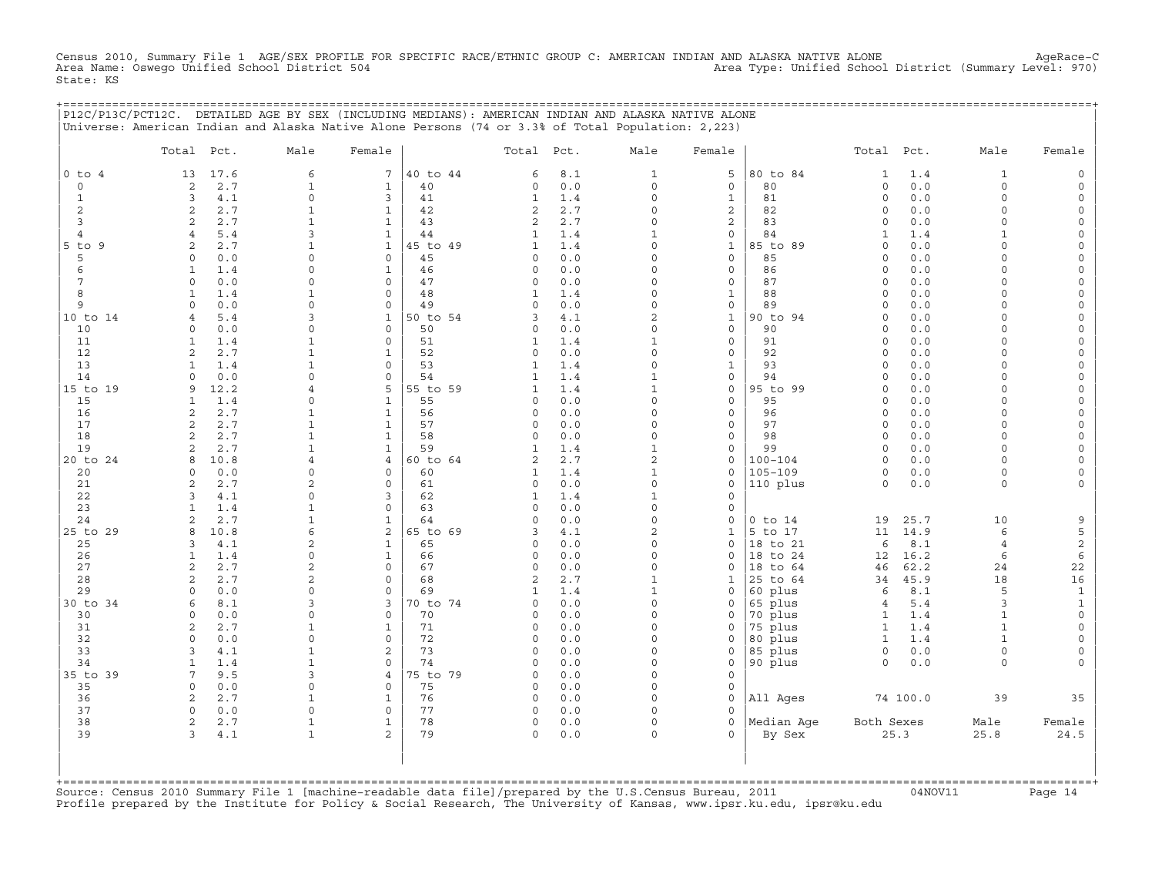Census 2010, Summary File 1 AGE/SEX PROFILE FOR SPECIFIC RACE/ETHNIC GROUP C: AMERICAN INDIAN AND ALASKA NATIVE ALONE AgeRace−C Area Name: Oswego Unified School District 504 Area Type: Unified School District (Summary Level: 970) State: KS

+===================================================================================================================================================+

|                | P12C/P13C/PCT12C. DETAILED AGE BY SEX (INCLUDING MEDIANS): AMERICAN INDIAN AND ALASKA NATIVE ALONE<br>Universe: American Indian and Alaska Native Alone Persons (74 or 3.3% of Total Population: 2,223) |                             |                                |                |                                  |              |                            |                             |                        |                              |                       |                              |                                            |
|----------------|---------------------------------------------------------------------------------------------------------------------------------------------------------------------------------------------------------|-----------------------------|--------------------------------|----------------|----------------------------------|--------------|----------------------------|-----------------------------|------------------------|------------------------------|-----------------------|------------------------------|--------------------------------------------|
|                | Total Pct.                                                                                                                                                                                              | Male                        | Female                         |                | Total Pct.                       |              | Male                       | Female                      |                        | Total Pct.                   |                       | Male                         | Female                                     |
| $0$ to $4$     | 13<br>17.6                                                                                                                                                                                              | 6                           | 7                              | 40 to 44       | 6                                | 8.1          | $\mathbf{1}$               | 5                           | 80 to 84               | 1                            | 1.4                   | $\mathbf{1}$                 | $\mathsf{O}\xspace$                        |
| $\mathbf 0$    | 2.7<br>2                                                                                                                                                                                                | $\mathbf{1}$                | $\mathbf{1}$                   | 40             | 0                                | 0.0          | $\circ$                    | $\mathbf 0$                 | 80                     | $\circ$                      | 0.0                   | $\circ$                      | $\mathsf O$                                |
| $\mathbf{1}$   | 3<br>4.1                                                                                                                                                                                                | $\mathsf{O}\xspace$         | 3                              | 41             | $\mathbf{1}$                     | 1.4          | $\mathsf{O}\xspace$        | $1\,$                       | 81                     | $\circ$                      | 0.0                   | $\mathbf 0$                  | $\mathsf{O}\xspace$                        |
| 2<br>3         | 2<br>2.7<br>2.7<br>$\mathbf{2}$                                                                                                                                                                         | $\mathbf{1}$                | $\mathbf{1}$<br>$\mathbf{1}$   | 42<br>43       | $\overline{2}$<br>$\overline{a}$ | 2.7<br>2.7   | $\Omega$<br>$\Omega$       | $\overline{\mathbf{c}}$     | 82<br>83               | $\mathbf 0$<br>$\circ$       | 0.0                   | $\Omega$<br>$\Omega$         | 0                                          |
| $\overline{4}$ | $\overline{4}$<br>5.4                                                                                                                                                                                   | 3                           | $\mathbf{1}$                   | 44             | $\mathbf{1}$                     | 1.4          | $\mathbf 1$                | $\mathbf 2$<br>$\mathbb O$  | 84                     | $\mathbf{1}$                 | 0.0<br>1.4            | $\mathbf{1}$                 | $\mathsf{O}$<br>$\mathsf{O}\xspace$        |
| $5$ to $9$     | 2.7<br>2                                                                                                                                                                                                |                             | $\mathbf{1}$                   | 45 to 49       | 1                                | 1.4          | $\Omega$                   | $\mathbf{1}$                | 85 to 89               | $\Omega$                     | 0.0                   | $\Omega$                     | 0                                          |
| 5              | 0.0<br>$\circ$                                                                                                                                                                                          | $\mathbf 0$                 | $\mathsf O$                    | 45             | $\Omega$                         | 0.0          | $\Omega$                   | $\mathsf O$                 | 85                     | $\Omega$                     | 0.0                   | $\Omega$                     | $\mathsf{O}\xspace$                        |
| 6              | $\mathbf{1}$<br>1.4                                                                                                                                                                                     | $\Omega$                    | $\mathbf{1}$                   | 46             | $\Omega$                         | 0.0          | $\Omega$                   | $\mathbf 0$                 | 86                     | $\Omega$                     | 0.0                   | $\Omega$                     | $\mathsf{O}\xspace$                        |
| 7              | $\Omega$<br>0.0                                                                                                                                                                                         | $\Omega$                    | $\mathbf 0$                    | 47             | $\Omega$                         | 0.0          | $\Omega$                   | $\mathbf 0$                 | 87                     | $\Omega$                     | 0.0                   | $\Omega$                     | 0                                          |
| 8              | 1.4<br>$\mathbf{1}$                                                                                                                                                                                     | $\mathbf{1}$                | $\mathsf O$                    | 48             | $\mathbf{1}$                     | 1.4          | $\Omega$                   | $1\,$                       | 88                     | $\Omega$                     | 0.0                   | $\Omega$                     | $\mathsf{O}\xspace$                        |
| 9              | 0.0<br>$\Omega$                                                                                                                                                                                         | $\Omega$                    | $\circ$                        | 49             | $\Omega$                         | 0.0          | $\Omega$                   | $\mathsf O$                 | 89                     | $\Omega$                     | ${\tt 0}$ . ${\tt 0}$ | $\Omega$                     | $\mathsf{O}\xspace$                        |
| 10 to 14<br>10 | 5.4<br>4<br>$0.0$<br>$\circ$                                                                                                                                                                            | 3<br>$\mathbf 0$            | $\mathbf{1}$<br>$\mathsf O$    | 50 to 54<br>50 | 3<br>0                           | 4.1<br>0.0   | $\overline{c}$<br>$\Omega$ | $\mathbf 1$<br>$\mathsf O$  | 90 to 94<br>90         | $\mathbf 0$<br>$\Omega$      | 0.0<br>0.0            | $\Omega$<br>$\Omega$         | 0<br>$\mathsf{O}\xspace$                   |
| 11             | $\mathbf{1}$<br>1.4                                                                                                                                                                                     | $\mathbf{1}$                | $\mathbf 0$                    | 51             | 1                                | 1.4          | $\mathbf{1}$               | $\mathbf 0$                 | 91                     | $\circ$                      | 0.0                   | $\Omega$                     | $\mathsf{O}\xspace$                        |
| 12             | $\mathbf{2}$<br>2.7                                                                                                                                                                                     | $\mathbf 1$                 | $\mathbf{1}$                   | 52             | 0                                | 0.0          | $\Omega$                   | $\mathsf{O}$                | 92                     | $\mathbf 0$                  | 0.0                   | $\Omega$                     | 0                                          |
| 13             | $\mathbf{1}$<br>1.4                                                                                                                                                                                     | $\mathbf{1}$                | $\mathsf O$                    | 53             | $\mathbf{1}$                     | $1.4$        | $\Omega$                   | $\mathbf{1}$                | 93                     | $\Omega$                     | 0.0                   | $\Omega$                     | $\mathsf{O}\xspace$                        |
| 14             | 0.0<br>$\Omega$                                                                                                                                                                                         | $\Omega$                    | $\mathbf 0$                    | 54             | 1                                | 1.4          | $\mathbf{1}$               | $\mathbf 0$                 | 94                     | $\Omega$                     | 0.0                   | $\Omega$                     | $\mathsf{O}\xspace$                        |
| 15 to 19       | 9<br>12.2                                                                                                                                                                                               | 4                           | 5                              | 55 to 59       | 1                                | 1.4          | $\mathbf{1}$               | $\mathsf O$                 | 95 to 99               | $\circ$                      | 0.0                   | $\Omega$                     | $\mathsf{O}\xspace$                        |
| 15             | $\mathbf{1}$<br>1.4                                                                                                                                                                                     | $\mathsf{O}$                | $\mathbf{1}$                   | 55             | 0                                | 0.0          | $\Omega$                   | $\mathsf O$                 | 95                     | $\Omega$                     | 0.0                   | $\Omega$                     | $\mathsf{O}\xspace$                        |
| 16             | $\mathbf{2}$<br>2.7                                                                                                                                                                                     | $\mathbf{1}$                | $\mathbf{1}$                   | 56             | 0                                | 0.0          | $\Omega$                   | $\mathbf 0$                 | 96                     | $\Omega$                     | 0.0                   | $\Omega$                     | 0                                          |
| 17<br>18       | $\mathbf{2}$<br>2.7<br>$\sqrt{2}$<br>2.7                                                                                                                                                                | $\mathbf 1$<br>$\mathbf{1}$ | $\mathbf{1}$<br>$\mathbf{1}$   | 57<br>58       | 0<br>$\Omega$                    | 0.0<br>$0.0$ | $\mathbf 0$<br>$\mathbf 0$ | $\mathsf{O}$<br>0           | 97<br>98               | $\circ$<br>$\circ$           | 0.0<br>0.0            | $\circ$<br>$\Omega$          | $\mathsf{O}\xspace$<br>$\mathsf{O}\xspace$ |
| 19             | 2.7<br>$\overline{a}$                                                                                                                                                                                   | $\mathbf{1}$                | $\mathbf{1}$                   | 59             | $\mathbf{1}$                     | 1.4          | $\mathbf{1}$               | $\mathbf 0$                 | 99                     | $\Omega$                     | 0.0                   | $\Omega$                     | $\mathsf{O}\xspace$                        |
| 20 to 24       | 10.8<br>8                                                                                                                                                                                               | $\overline{4}$              | $\overline{4}$                 | 60 to 64       | 2                                | 2.7          | $\overline{a}$             | $\mathsf O$                 | $100 - 104$            | $\circ$                      | 0.0                   | $\circ$                      | $\mathsf{O}\xspace$                        |
| 20             | $0.0$<br>$\circ$                                                                                                                                                                                        | $\mathsf{O}$                | $\mathsf{O}$                   | 60             | 1                                | 1.4          | $\mathbf 1$                | $\mathsf{O}$                | $105 - 109$            | $\circ$                      | 0.0                   | 0                            | $\mathsf{O}\xspace$                        |
| 21             | 2.7<br>2                                                                                                                                                                                                | $\overline{c}$              | $\mathbf 0$                    | 61             | $\Omega$                         | 0.0          | $\Omega$                   | $\mathbf 0$                 | 110 plus               | $\Omega$                     | 0.0                   | $\Omega$                     | $\circ$                                    |
| 22             | 3<br>4.1                                                                                                                                                                                                | $\mathbf 0$                 | 3                              | 62             | $\mathbf{1}$                     | 1.4          | $\mathbf{1}$               | $\mathsf{O}\xspace$         |                        |                              |                       |                              |                                            |
| 23             | $\mathbf{1}$<br>1.4                                                                                                                                                                                     | 1                           | $\mathbf 0$                    | 63             | 0                                | 0.0          | $\Omega$                   | $\mathbf 0$                 |                        |                              |                       |                              |                                            |
| 24<br>25 to 29 | 2.7<br>2<br>10.8<br>8                                                                                                                                                                                   | $\mathbf{1}$<br>6           | $\mathbf{1}$<br>$\overline{c}$ | 64<br>65 to 69 | $\Omega$<br>3                    | 0.0          | $\Omega$<br>$\overline{a}$ | $\mathbf 0$<br>$\mathbf{1}$ | $0$ to $14$<br>5 to 17 | 19<br>11                     | 25.7<br>14.9          | 10<br>6                      | 9<br>5                                     |
| 25             | 4.1<br>3                                                                                                                                                                                                | $\overline{2}$              | $\mathbf{1}$                   | 65             | $\Omega$                         | 4.1<br>0.0   | $\Omega$                   | $\mathbf 0$                 | 18 to 21               | 6                            | 8.1                   | $\overline{4}$               | $\mathbf{c}$                               |
| 26             | $\mathbf{1}$<br>1.4                                                                                                                                                                                     | $\mathbf 0$                 | $\mathbf{1}$                   | 66             | $\Omega$                         | 0.0          | $\Omega$                   | $\mathbf 0$                 | 18 to 24               | 12                           | 16.2                  | 6                            | 6                                          |
| 27             | $\mathbf{2}$<br>2.7                                                                                                                                                                                     | $\overline{c}$              | $\mathsf O$                    | 67             | $\Omega$                         | 0.0          | $\Omega$                   | $\Omega$                    | 18 to 64               | 46                           | 62.2                  | 24                           | 22                                         |
| 28             | 2.7<br>2                                                                                                                                                                                                | 2                           | $\Omega$                       | 68             | 2                                | 2.7          | $\mathbf{1}$               | $\mathbf{1}$                | 25 to 64               | 34                           | 45.9                  | 18                           | 16                                         |
| 29             | $\circ$<br>0.0                                                                                                                                                                                          | $\mathbf 0$                 | $\mathbf 0$                    | 69             | 1                                | 1.4          | $\mathbf{1}$               | 0                           | 60 plus                | 6                            | 8.1                   | 5                            | $\mathbf{1}$                               |
| 30 to 34       | 8.1<br>6                                                                                                                                                                                                | 3                           | 3                              | 70 to 74       | $\Omega$                         | 0.0          | $\Omega$                   | 0                           | 65 plus                | $\overline{4}$               | 5.4                   | 3                            | $\mathbf 1$                                |
| 30             | $\Omega$<br>0.0                                                                                                                                                                                         | $\Omega$                    | $\mathbf 0$                    | 70             | 0                                | $0.0$        | $\Omega$<br>$\Omega$       | $\mathbf 0$                 | 70 plus                | 1                            | 1.4                   | $\mathbf{1}$                 | $\mathsf O$                                |
| 31<br>32       | 2.7<br>2<br>$\circ$<br>0.0                                                                                                                                                                              | $\mathbf{1}$<br>$\mathbf 0$ | 1<br>$\mathsf O$               | 71<br>72       | 0<br>$\Omega$                    | 0.0<br>0.0   | $\Omega$                   | 0<br>$\mathbf 0$            | 75 plus<br>80 plus     | $\mathbf{1}$<br>$\mathbf{1}$ | 1.4<br>1.4            | $\mathbf{1}$<br>$\mathbf{1}$ | $\mathsf{O}$<br>$\mathsf{O}\xspace$        |
| 33             | 3<br>4.1                                                                                                                                                                                                | $\mathbf{1}$                | 2                              | 73             | $\Omega$                         | 0.0          | $\Omega$                   | $\mathbf 0$                 | 85 plus                | $\circ$                      | 0.0                   | $\Omega$                     | 0                                          |
| 34             | 1<br>1.4                                                                                                                                                                                                | 1                           | $\mathbf 0$                    | 74             | $\Omega$                         | 0.0          | $\Omega$                   | $\mathsf{O}$                | 90 plus                | $\circ$                      | 0.0                   | $\Omega$                     | $\Omega$                                   |
| 35 to 39       | 7<br>9.5                                                                                                                                                                                                | 3                           | $\overline{4}$                 | 75 to 79       | $\Omega$                         | 0.0          | $\Omega$                   | $\mathsf{O}\xspace$         |                        |                              |                       |                              |                                            |
| 35             | $\circ$<br>0.0                                                                                                                                                                                          | $\mathbf 0$                 | $\mathbf 0$                    | 75             | 0                                | 0.0          | $\Omega$                   | $\mathbf 0$                 |                        |                              |                       |                              |                                            |
| 36             | $\mathbf{2}$<br>2.7                                                                                                                                                                                     | 1                           | 1                              | 76             | 0                                | 0.0          | $\Omega$                   | $\mathsf{O}\xspace$         | All Ages               |                              | 74 100.0              | 39                           | 35                                         |
| 37             | $\circ$<br>0.0                                                                                                                                                                                          | $\mathbf 0$                 | $\mathbf 0$                    | 77             | $\Omega$                         | 0.0          | $\cap$                     | $\Omega$                    |                        |                              |                       |                              |                                            |
| 38<br>39       | 2<br>2.7<br>3<br>4.1                                                                                                                                                                                    | $\mathbf 1$<br>$\mathbf 1$  | $\mathbf{1}$<br>$\overline{a}$ | 78<br>79       | 0<br>0                           | 0.0<br>0.0   | $\circ$<br>$\Omega$        | $\circ$<br>$\Omega$         | Median Age<br>By Sex   | Both Sexes                   | 25.3                  | Male<br>25.8                 | Female<br>24.5                             |
|                |                                                                                                                                                                                                         |                             |                                |                |                                  |              |                            |                             |                        |                              |                       |                              |                                            |
|                |                                                                                                                                                                                                         |                             |                                |                |                                  |              |                            |                             |                        |                              |                       |                              |                                            |

+===================================================================================================================================================+Source: Census 2010 Summary File 1 [machine−readable data file]/prepared by the U.S.Census Bureau, 2011 04NOV11 Page 14 Profile prepared by the Institute for Policy & Social Research, The University of Kansas, www.ipsr.ku.edu, ipsr@ku.edu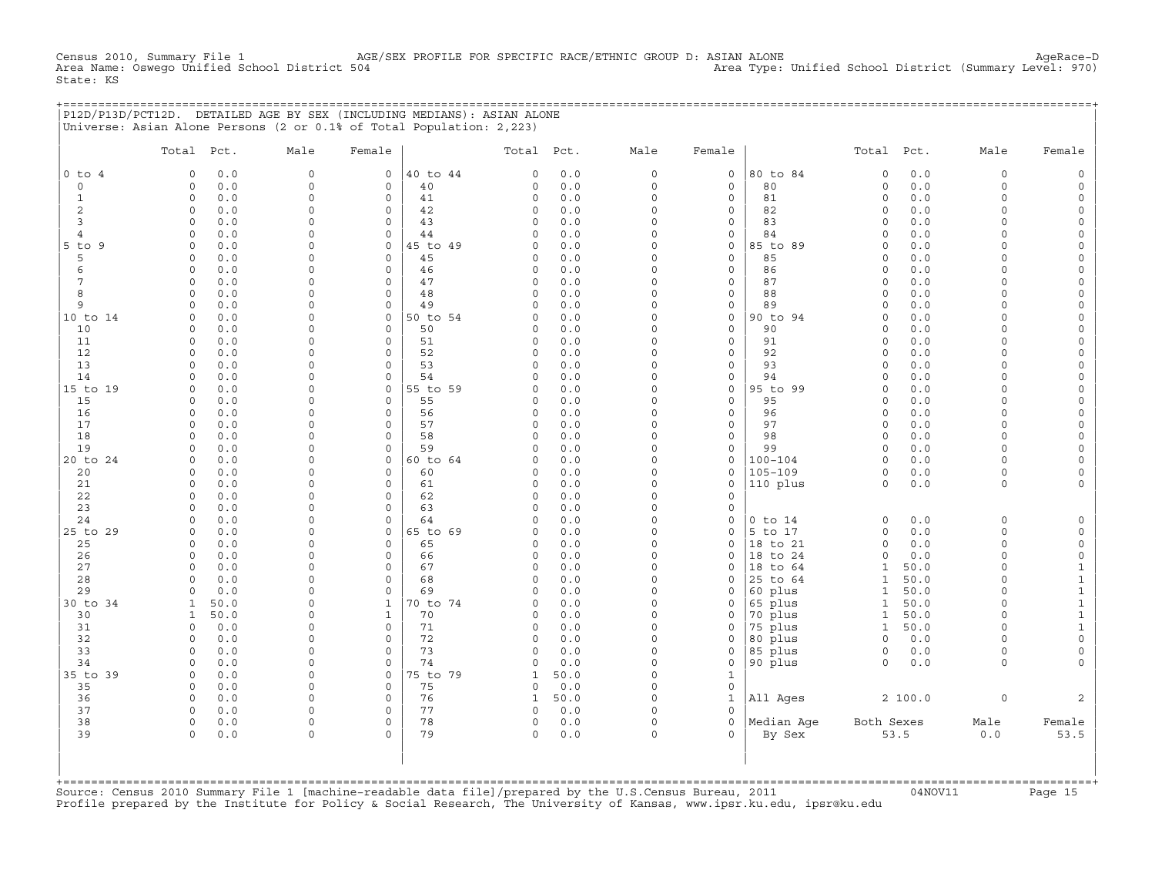Census 2010, Summary File 1 AGE/SEX PROFILE FOR SPECIFIC RACE/ETHNIC GROUP D: ASIAN ALONE AgeRace-D<br>Area Name: Oswego Unified School District 504 Area Type: Unified School District (Summary Level: 970) Area Type: Unified School District (Summary Level: 970) State: KS

|  | P12D/P13D/PCT12D. DETAILED AGE BY SEX (INCLUDING MEDIANS): ASIAN ALONE |  |  |
|--|------------------------------------------------------------------------|--|--|
|  | Universe: Asian Alone Persons (2 or 0.1% of Total Population: 2.223)   |  |  |

|                 | Total Pct.           |            | Male                     | Female               |          | Total Pct.              |            | Male                 | Female                             |                      | Total                | Pct.        | Male                 | Female                                     |
|-----------------|----------------------|------------|--------------------------|----------------------|----------|-------------------------|------------|----------------------|------------------------------------|----------------------|----------------------|-------------|----------------------|--------------------------------------------|
| $0$ to $4$      | $\circ$              | 0.0        | $\mathbf{0}$             | $\mathbf{0}$         | 40 to 44 | $\mathbf 0$             | 0.0        | $\circ$              | $\mathbf 0$                        | 80 to 84             | $\circ$              | 0.0         | $\circ$              | $\mathbb O$                                |
| $\mathbf 0$     | $\circ$              | 0.0        | $\circ$                  | $\mathbf 0$          | 40       | $\mathbf 0$             | 0.0        | $\mathbf 0$          | $\mathbf 0$                        | 80                   | $\circ$              | 0.0         | $\circ$              | $\mathsf{O}\xspace$                        |
| $\mathbf{1}$    | $\circ$              | 0.0        | 0                        | $\mathbf 0$          | 41       | $\circ$                 | 0.0        | $\mathbf 0$          | $\mathbf 0$                        | 81                   | $\mathbf 0$          | 0.0         | $\circ$              | $\mathsf{O}\xspace$                        |
| $\overline{c}$  | $\circ$              | 0.0        | 0                        | $\mathbf 0$          | 42       | $\circ$                 | 0.0        | $\mathsf O$          | $\mathsf{O}\xspace$                | 82                   | 0                    | 0.0         | $\circ$              | $\mathsf{O}\xspace$                        |
| $\overline{3}$  | $\Omega$             | 0.0        | 0                        | $\Omega$             | 43       | $\circ$                 | 0.0        | $\Omega$             | $\mathbf 0$                        | 83                   | $\Omega$             | 0.0         | $\Omega$             | $\mathsf{O}\xspace$                        |
| $\overline{4}$  | $\Omega$             | 0.0        | $\Omega$                 | $\Omega$             | 44       | $\Omega$                | $0.0$      | $\Omega$             | $\mathbf 0$                        | 84                   | $\Omega$             | 0.0         | $\Omega$             | $\mathsf{O}\xspace$                        |
| $5$ to $9$      | $\circ$              | 0.0        | $\Omega$                 | $\mathbf 0$          | 45 to 49 | $\circ$                 | 0.0        | $\Omega$<br>$\Omega$ | $\circ$                            | 85 to 89             | $\circ$              | 0.0         | $\Omega$             | $\mathsf O$                                |
| 5<br>6          | $\circ$<br>$\circ$   | 0.0<br>0.0 | $\Omega$<br>$\Omega$     | $\circ$<br>$\Omega$  | 45<br>46 | $\Omega$<br>$\mathbf 0$ | 0.0<br>0.0 | $\Omega$             | $\mathbf 0$<br>$\mathsf{O}\xspace$ | 85<br>86             | $\circ$<br>$\Omega$  | 0.0<br>0.0  | $\Omega$<br>$\Omega$ | $\mathsf{O}\xspace$<br>$\mathsf{O}\xspace$ |
| $7\phantom{.0}$ | $\circ$              | 0.0        | 0                        | $\Omega$             | 47       | $\circ$                 | 0.0        | $\Omega$             | $\mathbf 0$                        | 87                   | $\circ$              | 0.0         | $\Omega$             | $\mathsf{O}\xspace$                        |
| 8               | $\Omega$             | 0.0        | $\Omega$                 | $\Omega$             | 48       | $\Omega$                | 0.0        | $\Omega$             | $\mathbf 0$                        | 88                   | $\Omega$             | 0.0         | $\Omega$             | $\mathsf O$                                |
| 9               | $\Omega$             | 0.0        | $\mathsf{O}$             | $\Omega$             | 49       | $\Omega$                | 0.0        | $\Omega$             | $\circ$                            | 89                   | $\Omega$             | 0.0         | $\Omega$             | $\circ$                                    |
| 10 to 14        | $\Omega$             | 0.0        | $\Omega$                 | $\circ$              | 50 to 54 | $\circ$                 | 0.0        | $\Omega$             | $\circ$                            | 90 to 94             | $\Omega$             | 0.0         | $\circ$              | $\circ$                                    |
| 10              | $\Omega$             | 0.0        | $\Omega$                 | $\Omega$             | 50       | $\Omega$                | 0.0        | $\Omega$             | $\mathbf 0$                        | 90                   | $\Omega$             | 0.0         | $\Omega$             | $\mathsf{O}\xspace$                        |
| 11              | $\circ$              | 0.0        | $\Omega$                 | $\circ$              | 51       | $\circ$                 | 0.0        | $\Omega$             | $\mathsf O$                        | 91                   | $\circ$              | 0.0         | $\circ$              | $\mathsf{O}\xspace$                        |
| 12              | $\circ$              | 0.0        | 0                        | $\circ$              | 52       | $\mathsf O$             | 0.0        | $\Omega$             | $\mathsf O$                        | 92                   | $\circ$              | 0.0         | $\Omega$             | $\mathsf{O}$                               |
| 13              | $\Omega$             | 0.0        | $\Omega$                 | $\circ$              | 53       | $\mathbf 0$             | 0.0        | $\Omega$             | $\mathsf{O}$                       | 93                   | $\Omega$             | 0.0         | $\circ$              | $\mathsf{O}\xspace$                        |
| 14              | $\Omega$             | 0.0        | $\Omega$                 | $\Omega$             | 54       | $\Omega$                | 0.0        | $\Omega$             | $\mathbf 0$                        | 94                   | $\Omega$             | 0.0         | $\Omega$             | $\mathsf O$                                |
| 15 to 19        | $\Omega$             | 0.0        | $\Omega$                 | $\circ$              | 55 to 59 | $\circ$                 | 0.0        | $\Omega$             | $\mathbf 0$                        | 95 to 99             | $\Omega$             | 0.0         | $\Omega$             | $\mathsf{O}\xspace$                        |
| 15              | $\Omega$<br>$\Omega$ | 0.0        | $\Omega$                 | $\Omega$<br>$\Omega$ | 55       | $\Omega$                | 0.0        | $\Omega$<br>$\Omega$ | $\circ$                            | 95                   | $\Omega$             | 0.0         | $\Omega$             | $\circ$                                    |
| 16<br>17        | $\Omega$             | 0.0<br>0.0 | $\Omega$<br>$\Omega$     | $\Omega$             | 56<br>57 | $\circ$<br>$\circ$      | 0.0<br>0.0 | $\Omega$             | $\mathbf{0}$<br>$\mathbf 0$        | 96<br>97             | $\Omega$<br>$\circ$  | 0.0<br>0.0  | $\Omega$<br>$\circ$  | $\mathsf{O}\xspace$<br>$\mathsf{O}\xspace$ |
| 18              | $\circ$              | 0.0        | $\Omega$                 | $\mathbf 0$          | 58       | $\circ$                 | 0.0        | $\Omega$             | $\mathsf{O}\xspace$                | 98                   | $\mathbf 0$          | 0.0         | $\circ$              | $\circ$                                    |
| 19              | $\circ$              | 0.0        | 0                        | $\mathbf 0$          | 59       | $\circ$                 | 0.0        | $\Omega$             | $\mathsf{O}$                       | 99                   | $\mathbf 0$          | 0.0         | $\circ$              | $\mathsf{O}\xspace$                        |
| 20 to 24        | $\Omega$             | 0.0        | $\Omega$                 | $\Omega$             | 60 to 64 | $\Omega$                | 0.0        | $\Omega$             | $\Omega$                           | $100 - 104$          | $\Omega$             | 0.0         | $\Omega$             | $\mathsf{O}\xspace$                        |
| 20              | $\circ$              | 0.0        | $\Omega$                 | $\Omega$             | 60       | $\circ$                 | 0.0        | $\Omega$             | $\mathbf 0$                        | 105-109              | $\circ$              | 0.0         | $\circ$              | $\mathsf{O}\xspace$                        |
| 21              | $\circ$              | 0.0        | $\Omega$                 | $\mathbf 0$          | 61       | $\circ$                 | 0.0        | $\Omega$             | $\circ$                            | 110 plus             | $\mathbf 0$          | 0.0         | $\circ$              | $\circ$                                    |
| 22              | $\Omega$             | 0.0        | 0                        | $\Omega$             | 62       | $\circ$                 | 0.0        | $\Omega$             | $\mathbf 0$                        |                      |                      |             |                      |                                            |
| 23              | $\Omega$             | 0.0        | $\Omega$                 | $\Omega$             | 63       | $\mathbf 0$             | 0.0        | $\Omega$             | $\mathbf 0$                        |                      |                      |             |                      |                                            |
| 24              | $\circ$              | 0.0        | $\Omega$                 | $\mathbf 0$          | 64       | $\mathbf 0$             | 0.0        | $\Omega$             | $\circ$                            | $0$ to $14$          | $\circ$              | 0.0         | 0                    | $\mathsf{O}$                               |
| 25 to 29        | $\circ$              | 0.0        | 0                        | $\mathbf 0$          | 65 to 69 | $\mathbf 0$             | 0.0        | $\Omega$             | $\mathsf O$                        | 5 to 17              | $\circ$              | 0.0         | $\circ$              | $\mathsf{O}\xspace$                        |
| 25              | $\Omega$<br>$\Omega$ | 0.0        | $\Omega$<br>$\Omega$     | $\Omega$<br>$\Omega$ | 65       | $\mathbf 0$<br>$\Omega$ | 0.0<br>0.0 | $\Omega$<br>$\Omega$ | $\mathbf 0$<br>$\Omega$            | 18 to 21<br>18 to 24 | $\Omega$<br>$\Omega$ | 0.0         | $\circ$<br>$\Omega$  | $\mathsf{O}\xspace$                        |
| 26<br>27        | $\circ$              | 0.0<br>0.0 | $\Omega$                 | $\Omega$             | 66<br>67 | $\circ$                 | 0.0        | $\Omega$             | $\circ$                            | 18 to 64             | $\mathbf{1}$         | 0.0<br>50.0 | $\circ$              | $\mathbb O$<br>$\mathbf{1}$                |
| 28              | $\Omega$             | 0.0        | $\Omega$                 | $\mathbf 0$          | 68       | $\circ$                 | 0.0        | $\Omega$             | $\mathbf 0$                        | 25 to 64             | $\mathbf 1$          | 50.0        | $\Omega$             | $\mathbf 1$                                |
| 29              | $\Omega$             | 0.0        | 0                        | $\mathbf 0$          | 69       | $\mathbf 0$             | 0.0        | $\Omega$             | $\mathbf 0$                        | 60 plus              | $\mathbf{1}$         | 50.0        | $\circ$              | $\mathbf{1}$                               |
| 30 to 34        | $\mathbf{1}$         | 50.0       | $\Omega$                 | $\mathbf{1}$         | 70 to 74 | $\mathbf 0$             | 0.0        | $\Omega$             | $\mathsf{O}$                       | 65 plus              | $\mathbf{1}$         | 50.0        | $\circ$              | $\mathbf{1}$                               |
| 30              | $\mathbf{1}$         | 50.0       | 0                        | $\mathbf{1}$         | 70       | $\mathsf O$             | 0.0        | $\Omega$             | $\circ$                            | 70 plus              | $\mathbf{1}$         | 50.0        | $\circ$              | $\mathbf 1$                                |
| 31              | $\Omega$             | 0.0        | $\Omega$                 | $\Omega$             | 71       | $\mathbf 0$             | 0.0        | $\Omega$             | $\mathbf 0$                        | 75 plus              | $\mathbf{1}$         | 50.0        | $\Omega$             | $\mathbf 1$                                |
| 32              | $\Omega$             | 0.0        | $\Omega$                 | $\circ$              | 72       | $\circ$                 | 0.0        | $\Omega$             | $\mathsf O$                        | 80 plus              | $\Omega$             | 0.0         | $\Omega$             | $\mathsf{O}$                               |
| 33              | $\Omega$             | 0.0        | $\Omega$                 | $\circ$              | 73       | $\Omega$                | $0.0$      | $\Omega$             | $\mathbf 0$                        | 85 plus              | $\circ$              | 0.0         | $\Omega$             | $\mathsf{O}\xspace$                        |
| 34              | $\circ$              | 0.0        | $\Omega$                 | $\circ$              | 74       | $\mathsf O$             | 0.0        | $\Omega$             | $\mathsf{O}$                       | 90 plus              | $\circ$              | 0.0         | $\Omega$             | $\circ$                                    |
| 35 to 39        | $\mathbf 0$          | 0.0        | 0                        | $\circ$              | 75 to 79 | $\mathbf{1}$            | 50.0       | $\Omega$             | $\mathbf{1}$                       |                      |                      |             |                      |                                            |
| 35              | $\Omega$             | 0.0        | $\Omega$                 | $\circ$              | 75       | $\mathbf 0$             | 0.0        | $\Omega$             | $\mathsf{O}$                       |                      |                      |             |                      |                                            |
| 36<br>37        | $\circ$              | 0.0        | $\Omega$                 | $\circ$              | 76       | $\mathbf{1}$            | 50.0       | $\Omega$<br>$\Omega$ | $\mathbf{1}$<br>$\Omega$           | All Ages             |                      | 2 100.0     | $\circ$              | $\overline{a}$                             |
| 38              | $\Omega$<br>$\Omega$ | 0.0<br>0.0 | $\Omega$<br>$\mathsf{O}$ | $\Omega$<br>$\circ$  | 77<br>78 | $\mathbf 0$<br>$\circ$  | 0.0<br>0.0 | $\Omega$             | $\Omega$                           | Median Aqe           | Both Sexes           |             | Male                 | Female                                     |
| 39              | $\Omega$             | 0.0        | $\Omega$                 | $\Omega$             | 79       | $\mathbf 0$             | 0.0        | $\Omega$             | $\Omega$                           | By Sex               |                      | 53.5        | $0.0$                | 53.5                                       |
|                 |                      |            |                          |                      |          |                         |            |                      |                                    |                      |                      |             |                      |                                            |

+===================================================================================================================================================+Source: Census 2010 Summary File 1 [machine−readable data file]/prepared by the U.S.Census Bureau, 2011 04NOV11 Page 15 Profile prepared by the Institute for Policy & Social Research, The University of Kansas, www.ipsr.ku.edu, ipsr@ku.edu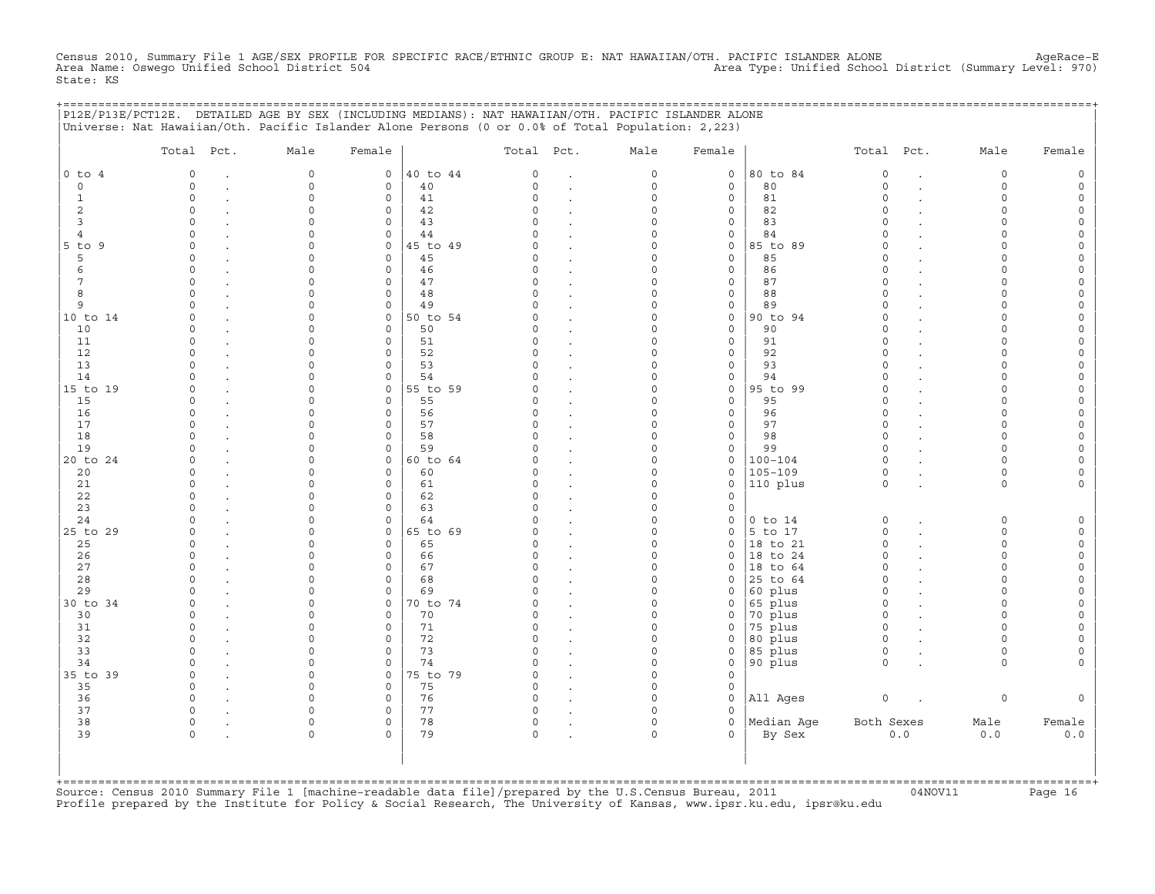Census 2010, Summary File 1 AGE/SEX PROFILE FOR SPECIFIC RACE/ETHNIC GROUP E: NAT HAWAIIAN/OTH. PACIFIC ISLANDER ALONE AgeRace-E<br>Area Name: Oswego Unified School District 504 State: KS

+===================================================================================================================================================+

|                | Total Pct.           | Male                 | Female                     |          | Total Pct.         |                      | Male                 | Female                     |             | Total Pct.           |                      | Male                 | Female                   |
|----------------|----------------------|----------------------|----------------------------|----------|--------------------|----------------------|----------------------|----------------------------|-------------|----------------------|----------------------|----------------------|--------------------------|
| $0$ to $4$     | $\mathbf 0$          | $\mathsf{O}\xspace$  | $\circ$                    | 40 to 44 | 0                  | $\cdot$              | $\mathsf O$          | $\mathsf O$                | 80 to 84    | $\mathbb O$          | $\ddot{\phantom{a}}$ | 0                    | $\mathsf{O}\xspace$      |
| $\circ$        | $\Omega$             | $\Omega$             | $\mathbf 0$                | 40       | $\Omega$           | $\ddot{\phantom{a}}$ | $\mathbf 0$          | $\mathbf 0$                | 80          | $\Omega$             | $\ddot{\phantom{a}}$ | $\Omega$             | $\mathsf{O}\xspace$      |
| 1              | $\circ$              | $\Omega$             | 0                          | 41       | $\Omega$           |                      | $\mathbf 0$          | $\mathbf 0$                | 81          | $\circ$              |                      | $\circ$              | 0                        |
| 2              | $\circ$              | $\Omega$             | $\mathbf 0$                | 42       | $\Omega$           | $\cdot$              | $\Omega$             | $\mathsf{O}$               | 82          | $\Omega$             |                      | $\circ$              | $\circ$                  |
| $\overline{3}$ | $\Omega$             | $\Omega$             | 0                          | 43       | $\cap$             | $\cdot$              | $\Omega$             | $\mathsf{O}\xspace$        | 83          | $\circ$              |                      | $\circ$              | $\mathsf O$              |
| 4              | $\Omega$             | $\Omega$             | $\mathbf 0$                | 44       |                    |                      | $\Omega$             | $\mathbf 0$                | 84          | $\Omega$             |                      | $\Omega$             | $\mathsf{O}\xspace$      |
| $5$ to $9$     | $\Omega$             | $\Omega$             | $\mathbf 0$                | 45 to 49 | U                  | $\ddot{\phantom{a}}$ | $\Omega$             | $\mathsf{O}$               | 85 to 89    | $\Omega$             |                      | $\Omega$             | $\mathsf{O}\xspace$      |
| 5              | $\Omega$             | $\Omega$             | $\mathsf{O}\xspace$        | 45       | C)                 | $\ddot{\phantom{a}}$ | $\Omega$             | $\mathsf O$                | 85          | $\Omega$             |                      | $\Omega$             | $\mathsf{O}\xspace$      |
| 6              | $\Omega$             | $\Omega$             | $\mathbf 0$                | 46       | $\cap$             | $\ddot{\phantom{a}}$ | $\Omega$             | $\mathbf{0}$               | 86          | $\Omega$             |                      | $\cap$               | $\mathsf{O}\xspace$      |
| 7              | $\Omega$             | $\Omega$             | $\mathbf 0$                | 47       | C)                 | $\ddot{\phantom{a}}$ | $\Omega$             | $\mathbf 0$                | 87          | $\Omega$             |                      | $\Omega$             | 0                        |
| 8              | $\Omega$             | $\Omega$             | $\mathsf{O}\xspace$        | 48       | $\Omega$<br>$\cap$ | $\cdot$              | $\Omega$             | $\mathsf{O}\xspace$        | 88          | $\Omega$             |                      | $\Omega$             | $\mathsf{O}\xspace$      |
| 9              | $\cap$               | $\cap$               | $\mathbf 0$                | 49       |                    | $\ddot{\phantom{a}}$ | $\Omega$             | $\mathsf O$                | 89          | $\Omega$             |                      | $\cap$               | $\circ$                  |
| 10 to 14       | $\Omega$             | $\Omega$             | $\mathbf{0}$               | 50 to 54 | C)                 | $\sim$               | $\Omega$<br>$\Omega$ | $\mathbf 0$                | 90 to 94    | $\circ$              |                      | $\Omega$             | $\mathsf{O}\xspace$      |
| 10             | $\Omega$<br>$\Omega$ | $\Omega$<br>$\Omega$ | $\mathbf 0$                | 50       | O.<br>$\Omega$     |                      | $\Omega$             | $\mathbf 0$                | 90          | $\Omega$<br>$\Omega$ |                      | $\Omega$             | 0                        |
| 11             | $\Omega$             | $\Omega$             | $\mathbf 0$                | 51       | $\Omega$           | $\ddot{\phantom{a}}$ | $\Omega$             | $\mathsf{O}\xspace$        | 91          |                      |                      | $\Omega$             | $\mathsf{O}\xspace$      |
| 12<br>13       | $\Omega$             | $\Omega$             | $\mathbf 0$<br>$\mathbf 0$ | 52<br>53 | C)                 | $\ddot{\phantom{a}}$ | $\Omega$             | $\mathbf 0$<br>$\mathbf 0$ | 92<br>93    | $\Omega$<br>$\Omega$ |                      | $\Omega$<br>$\Omega$ | $\mathsf{O}\xspace$      |
| 14             | $\Omega$             | $\Omega$             | $\circ$                    | 54       |                    | $\ddot{\phantom{a}}$ | $\Omega$             | $\mathsf{O}\xspace$        | 94          | $\Omega$             |                      | $\Omega$             | 0<br>$\mathsf{O}\xspace$ |
| 15 to 19       | $\Omega$             | $\Omega$             | $\mathsf{O}\xspace$        | 55 to 59 | $\Omega$           |                      | $\mathbf 0$          | $\mathsf O$                | 95 to 99    | $\Omega$             |                      | $\Omega$             | $\mathsf{O}\xspace$      |
| 15             | $\Omega$             | $\Omega$             | $\mathbf 0$                | 55       | C                  |                      | $\Omega$             | $\mathbf 0$                | 95          | $\Omega$             |                      | $\cap$               | $\mathsf{O}\xspace$      |
| 16             | $\Omega$             | $\Omega$             | $\mathbf 0$                | 56       |                    | $\ddot{\phantom{a}}$ | $\Omega$             | $\mathbf 0$                | 96          | $\circ$              |                      | $\Omega$             | $\mathsf{O}\xspace$      |
| 17             | $\Omega$             | 0                    | $\mathbf 0$                | 57       | $\Omega$           | $\cdot$              | $\mathbf 0$          | $\mathsf{O}\xspace$        | 97          | $\Omega$             |                      | $\Omega$             | $\mathsf{O}\xspace$      |
| 18             | $\cap$               | $\Omega$             | $\Omega$                   | 58       | $\cap$             | $\ddot{\phantom{a}}$ | $\Omega$             | $\mathbf 0$                | 98          | $\Omega$             |                      | $\Omega$             | $\mathsf{O}\xspace$      |
| 19             | $\Omega$             | $\Omega$             | $\mathbf 0$                | 59       |                    | $\sim$               | $\Omega$             | $\mathbf 0$                | 99          | $\Omega$             |                      | $\Omega$             | $\mathsf{O}\xspace$      |
| 20 to 24       | $\Omega$             | $\Omega$             | $\mathbf{0}$               | 60 to 64 |                    | $\cdot$              | $\Omega$             | $\mathsf O$                | $100 - 104$ | $\circ$              |                      | $\Omega$             | $\mathsf{O}\xspace$      |
| 20             | $\Omega$             | $\Omega$             | $\mathbf 0$                | 60       | C)                 | $\ddot{\phantom{a}}$ | $\Omega$             | $\mathsf{O}$               | $105 - 109$ | $\circ$              |                      | $\circ$              | $\mathsf{O}\xspace$      |
| 21             | $\Omega$             | $\Omega$             | $\mathbf 0$                | 61       | C)                 | $\ddot{\phantom{a}}$ | $\Omega$             | $\mathbf 0$                | 110 plus    | $\circ$              |                      | $\Omega$             | $\mathbf{0}$             |
| 22             | $\Omega$             | $\Omega$             | $\mathbf 0$                | 62       | $\Omega$           | $\sim$               | $\Omega$             | $\mathbf 0$                |             |                      |                      |                      |                          |
| 23             | $\Omega$             | $\Omega$             | $\mathbf 0$                | 63       | $\Omega$           | $\ddot{\phantom{a}}$ | $\Omega$             | $\mathsf O$                |             |                      |                      |                      |                          |
| 24             | $\Omega$             | $\Omega$             | 0                          | 64       | U                  |                      | $\Omega$             | $\mathsf O$                | $0$ to $14$ | $\mathbb O$          |                      | 0                    | $\mathsf{O}\xspace$      |
| 25 to 29       | $\Omega$             | $\Omega$             | $\mathbf 0$                | 65 to 69 | U                  | $\sim$               | $\Omega$             | $\mathbf 0$                | 5 to 17     | $\circ$              |                      | $\Omega$             | $\mathsf{O}$             |
| 25             | $\Omega$             | 0                    | $\mathbf 0$                | 65       | C)                 | $\cdot$              | $\Omega$             | $\mathbf 0$                | 18 to 21    | $\circ$              |                      | $\Omega$             | $\mathbb O$              |
| 26             | $\Omega$             | 0                    | 0                          | 66       | C)                 |                      | $\mathbf 0$          | $\mathbf 0$                | 18 to 24    | $\circ$              |                      | $\circ$              | $\mathsf O$              |
| 27             | $\cap$               | $\cap$               | $\Omega$                   | 67       | U                  |                      | $\Omega$             | $\Omega$                   | 18 to 64    | $\Omega$             |                      | $\Omega$             | $\circ$                  |
| 28             | $\Omega$             | 0                    | $\mathsf{O}\xspace$        | 68       | C)                 |                      | $\Omega$             | $\mathbf 0$                | 25 to 64    | $\Omega$             |                      | $\Omega$             | 0                        |
| 29             |                      | 0                    | $\mathbf 0$                | 69       |                    | $\cdot$              | $\mathbf 0$          | $\mathbf 0$                | 60 plus     | $\Omega$             |                      | $\Omega$             | $\mathsf{O}\xspace$      |
| 30 to 34       | $\cap$               | $\Omega$             | $\circ$                    | 70 to 74 |                    | $\cdot$              | $\Omega$             | $\mathsf{O}$               | 65 plus     | $\Omega$             |                      | $\cap$               | $\mathsf{O}\xspace$      |
| 30             | $\Omega$             | $\Omega$             | $\mathbf 0$                | 70       | C)                 |                      | $\Omega$             | $\mathbf 0$                | 70 plus     | $\Omega$             |                      | $\Omega$             | $\circ$                  |
| 31             | $\Omega$             | 0                    | $\mathbf 0$                | 71       | C)                 | $\ddot{\phantom{a}}$ | $\mathbf 0$          | 0                          | 75 plus     | $\circ$              |                      | $\Omega$             | $\mathsf{O}\xspace$      |
| 32             | $\Omega$             | $\Omega$             | $\mathbf 0$                | 72       | $\Omega$           | $\ddot{\phantom{a}}$ | $\Omega$             | $\mathbf 0$                | 80 plus     | $\circ$              |                      | $\Omega$             | $\mathsf O$              |
| 33             | $\Omega$             | $\Omega$             | $\mathbf 0$                | 73       | $\cap$             |                      | $\Omega$             | $\mathbf 0$                | 85 plus     | $\Omega$             |                      | $\Omega$             | $\mathbf 0$              |
| 34             | $\Omega$             | $\Omega$             | $\Omega$                   | 74       | $\cap$             | $\ddot{\phantom{a}}$ | $\Omega$             | $\mathbf 0$                | 90 plus     | $\Omega$             |                      | $\Omega$             | $\mathbf{0}$             |
| 35 to 39       | $\Omega$             | $\mathbf 0$          | $\circ$                    | 75 to 79 | $\Omega$           | $\ddot{\phantom{a}}$ | $\mathbf 0$          | $\mathbf 0$                |             |                      |                      |                      |                          |
| 35             | $\Omega$             | $\Omega$             | $\mathsf{O}\xspace$        | 75       | $\Omega$           |                      | $\mathbf 0$          | $\mathsf{O}$               |             |                      |                      |                      |                          |
| 36             | $\Omega$             | $\Omega$             | $\mathbf 0$                | 76       | $\Omega$           |                      | $\Omega$             | $\mathbf 0$                | All Ages    | $\mathsf O$          |                      | 0                    | $\circ$                  |
| 37             | $\Omega$             | $\Omega$             | $\mathbf 0$                | 77       | C)                 |                      | $\Omega$             | $\Omega$                   |             |                      |                      |                      |                          |
| 38             | $\Omega$             | $\Omega$             | $\mathbf 0$                | 78       | $\circ$            | $\bullet$            | $\Omega$             | $\mathbf 0$                | Median Aqe  | Both Sexes           |                      | Male                 | Female                   |
| 39             | $\Omega$             | $\Omega$             | $\Omega$                   | 79       | $\Omega$           |                      | $\Omega$             | $\Omega$                   | By Sex      |                      | 0.0                  | 0.0                  | $0.0$                    |

+===================================================================================================================================================+Source: Census 2010 Summary File 1 [machine−readable data file]/prepared by the U.S.Census Bureau, 2011 04NOV11 Page 16 Profile prepared by the Institute for Policy & Social Research, The University of Kansas, www.ipsr.ku.edu, ipsr@ku.edu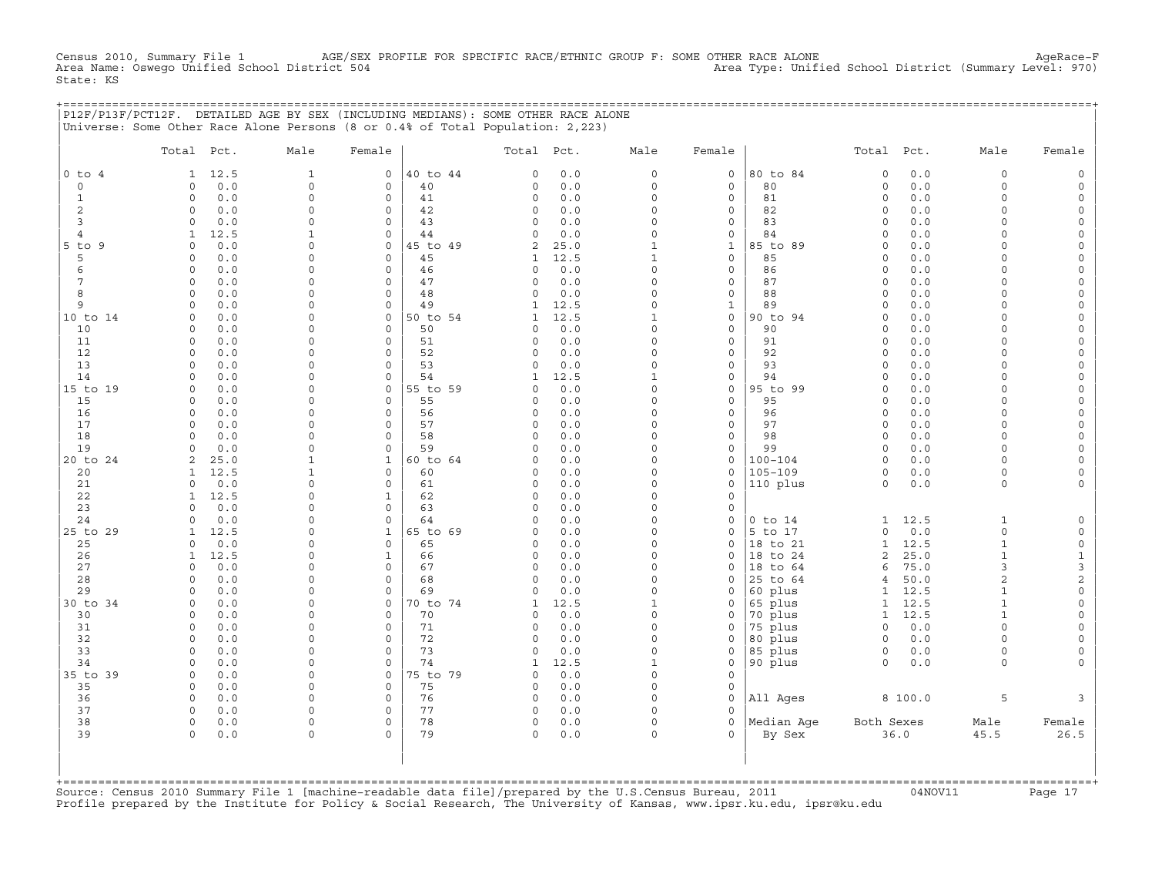Census 2010, Summary File 1 AGE/SEX PROFILE FOR SPECIFIC RACE/ETHNIC GROUP F: SOME OTHER RACE ALONE AgeRace−F<br>Area Name: Oswego Unified School District 504 State: KS

+===================================================================================================================================================+

|                | P12F/P13F/PCT12F. DETAILED AGE BY SEX (INCLUDING MEDIANS): SOME OTHER RACE ALONE |              |              |          |              |       |              |                     |             |                |         |              |                     |
|----------------|----------------------------------------------------------------------------------|--------------|--------------|----------|--------------|-------|--------------|---------------------|-------------|----------------|---------|--------------|---------------------|
|                | Universe: Some Other Race Alone Persons (8 or 0.4% of Total Population: 2,223)   |              |              |          |              |       |              |                     |             |                |         |              |                     |
|                | Total Pct.                                                                       | Male         | Female       |          | Total Pct.   |       | Male         | Female              |             | Total          | Pct.    | Male         | Female              |
| $0$ to $4$     | 12.5<br>1                                                                        | $\mathbf{1}$ | 0            | 40 to 44 | $\circ$      | 0.0   | $\circ$      | 0                   | 80 to 84    | $\mathsf O$    | 0.0     | 0            | $\mathsf{O}$        |
| $\mathbf 0$    | 0.0<br>0                                                                         | $\mathbf 0$  | 0            | 40       | $\Omega$     | 0.0   | $\Omega$     | $\circ$             | 80          | $\mathbf 0$    | 0.0     | 0            | $\mathsf{O}$        |
| $\mathbf{1}$   | $\circ$<br>0.0                                                                   | $\mathbf 0$  | $\Omega$     | 41       | $\circ$      | 0.0   | $\Omega$     | $\circ$             | 81          | $\mathbf 0$    | 0.0     | $\circ$      | $\mathsf{O}$        |
| $\overline{2}$ | 0.0<br>0                                                                         | 0            | 0            | 42       | $\circ$      | 0.0   | $\Omega$     | $\circ$             | 82          | $\mathbf 0$    | 0.0     | 0            | $\circ$             |
| 3              | 0.0<br>$\Omega$                                                                  | 0            | 0            | 43       | $\Omega$     | 0.0   | $\Omega$     | $\mathsf{O}\xspace$ | 83          | $\mathbf 0$    | 0.0     | $\Omega$     | $\mathsf{O}\xspace$ |
| $\overline{4}$ | 12.5                                                                             | $\mathbf{1}$ | 0            | 44       | $\circ$      | 0.0   | $\Omega$     | $\circ$             | 84          | $\mathbf 0$    | 0.0     | $\Omega$     | $\mathsf{O}$        |
| $5$ to<br>9    | 0.0<br>$\Omega$                                                                  | 0            | 0            | 45 to 49 | $\mathbf{z}$ | 25.0  | $\mathbf{1}$ | 1                   | 85 to 89    | $\Omega$       | 0.0     | $\Omega$     | 0                   |
| 5              | 0.0<br>$\Omega$                                                                  | 0            | $\Omega$     | 45       | 1            | 12.5  | $\mathbf{1}$ | $\circ$             | 85          | $\mathbf 0$    | 0.0     | $\Omega$     | 0                   |
| 6              | 0.0<br>$\Omega$                                                                  | 0            | 0            | 46       | $\circ$      | 0.0   | $\Omega$     | $\mathsf O$         | 86          | $\Omega$       | 0.0     | $\Omega$     | $\mathsf{O}$        |
| 7              | 0.0<br>$\circ$                                                                   | 0            | 0            | 47       | $\circ$      | 0.0   | $\Omega$     | $\circ$             | 87          | $\mathbf 0$    | 0.0     | $\Omega$     | $\mathsf{O}\xspace$ |
| 8              | 0.0<br><sup>0</sup>                                                              | 0            | 0            | 48       | $\Omega$     | 0.0   | $\Omega$     | $\circ$             | 88          | $\Omega$       | 0.0     | $\Omega$     | 0                   |
| 9              | 0.0<br>$\cap$                                                                    | 0            | $\Omega$     | 49       | 1            | 12.5  | $\cap$       | 1                   | 89          | $\Omega$       | 0.0     | $\Omega$     | $\mathbf 0$         |
| 10 to 14       | 0.0<br>$\Omega$                                                                  | 0            | 0            | 50 to 54 | 1            | 12.5  | $\mathbf{1}$ | $\mathsf{O}\xspace$ | 90 to 94    | $\circ$        | 0.0     | $\Omega$     | 0                   |
| 10             | 0.0<br>$\Omega$                                                                  | 0            | $\circ$      | 50       | $\Omega$     | 0.0   | $\Omega$     | $\circ$             | 90          | $\mathbf 0$    | 0.0     | $\Omega$     | $\mathsf O$         |
| 11             | 0<br>0.0                                                                         | 0            | 0            | 51       | $\circ$      | 0.0   | $\Omega$     | $\circ$             | 91          | $\mathbf 0$    | 0.0     | $\Omega$     | 0                   |
| 12             | $\Omega$<br>0.0                                                                  | 0            | 0            | 52       | $\Omega$     | 0.0   | $\Omega$     | $\circ$             | 92          | $\mathbf 0$    | 0.0     | $\Omega$     | 0                   |
| 13             | 0.0<br>0                                                                         | 0            | 0            | 53       | $\circ$      | 0.0   | $\Omega$     | $\mathbf 0$         | 93          | $\mathbf 0$    | 0.0     | $\circ$      | $\mathbf 0$         |
| 14             | $\Omega$<br>0.0                                                                  | 0            | 0            | 54       | $\mathbf{1}$ | 12.5  | $\mathbf{1}$ | $\mathsf O$         | 94          | $\Omega$       | 0.0     | $\Omega$     | 0                   |
| 15 to 19       | 0.0<br>$\Omega$                                                                  | 0            | $\Omega$     | 55 to 59 | $\Omega$     | $0.0$ | $\Omega$     | $\circ$             | 95 to 99    | $\Omega$       | 0.0     | $\Omega$     | $\mathsf{O}\xspace$ |
| 15             | 0.0<br>$\Omega$                                                                  | 0            | 0            | 55       | $\circ$      | 0.0   | $\Omega$     | $\circ$             | 95          | $\mathbf 0$    | 0.0     | $\Omega$     | 0                   |
| 16             | 0.0<br>0                                                                         | 0            | 0            | 56       | $\Omega$     | 0.0   | $\Omega$     | $\mathbf 0$         | 96          | $\mathbf 0$    | 0.0     | $\Omega$     | $\mathbf 0$         |
| 17             | 0.0<br>$\Omega$                                                                  | 0            | 0            | 57       | $\Omega$     | 0.0   | $\Omega$     | $\mathsf O$         | 97          | $\mathbf 0$    | 0.0     | $\Omega$     | $\mathsf{O}\xspace$ |
| 18             | $\Omega$<br>0.0                                                                  | 0            | 0            | 58       | $\circ$      | 0.0   | $\Omega$     | $\circ$             | 98          | $\mathbf 0$    | 0.0     | $\Omega$     | $\mathsf{O}\xspace$ |
| 19             | 0.0<br><sup>n</sup>                                                              | $\Omega$     | $\Omega$     | 59       | $\cap$       | 0.0   | $\Omega$     | $\mathbf 0$         | 99          | $\Omega$       | 0.0     | $\Omega$     | 0                   |
| 20 to 24       | 25.0<br>2                                                                        | 1            | $\mathbf 1$  | 60 to 64 | $\Omega$     | 0.0   | $\Omega$     | $\circ$             | $100 - 104$ | $\mathbf 0$    | 0.0     | $\Omega$     | $\mathbf 0$         |
| 20             | 12.5                                                                             | 1            | 0            | 60       | $\Omega$     | 0.0   | $\Omega$     | $\mathsf O$         | $105 - 109$ | $\mathbf 0$    | 0.0     | 0            | 0                   |
| 21             | 0.0<br>$\Omega$                                                                  | 0            | 0            | 61       | $\Omega$     | 0.0   | $\Omega$     | $\mathsf O$         | 110 plus    | $\Omega$       | 0.0     | $\circ$      | $\circ$             |
| 22             | 12.5<br>1                                                                        | 0            | $\mathbf 1$  | 62       | $\circ$      | 0.0   | $\Omega$     | $\circ$             |             |                |         |              |                     |
| 23             | 0.0<br>$\cap$                                                                    | 0            | $\Omega$     | 63       | $\cap$       | 0.0   | $\Omega$     | $\Omega$            |             |                |         |              |                     |
| 24             | 0.0<br>$\Omega$                                                                  | 0            | $\circ$      | 64       | $\circ$      | 0.0   | $\Omega$     | $\circ$             | $0$ to $14$ | 1              | 12.5    | $\mathbf{1}$ | $\mathsf{O}$        |
| 25 to 29       | 12.5<br>1                                                                        | 0            | $\mathbf{1}$ | 65 to 69 | $\circ$      | 0.0   | $\Omega$     | $\circ$             | 5 to 17     | $\mathbf 0$    | 0.0     | 0            | $\mathsf{O}$        |
| 25             | 0.0<br>$\Omega$                                                                  | 0            | 0            | 65       | $\circ$      | 0.0   | $\Omega$     | $\circ$             | 18 to 21    | $\mathbf{1}$   | 12.5    | $\mathbf{1}$ | $\mathsf O$         |
| 26             | 12.5<br>1                                                                        | 0            | 1            | 66       | $\circ$      | 0.0   | $\Omega$     | $\mathbf 0$         | 18 to 24    | 2              | 25.0    | $\mathbf{1}$ | $\mathbf{1}$        |
| 27             | 0.0<br>$\Omega$                                                                  | 0            | 0            | 67       | $\Omega$     | 0.0   | $\Omega$     | $\Omega$            | 18 to 64    | 6              | 75.0    | 3            | 3                   |
| 28             | 0.0<br>$\Omega$                                                                  | 0            | $\circ$      | 68       | $\Omega$     | 0.0   | $\Omega$     | 0                   | 25 to 64    | $\overline{4}$ | 50.0    | 2            | $\overline{c}$      |
| 29             | 0.0<br>$\Omega$                                                                  | 0            | $\Omega$     | 69       | $\Omega$     | 0.0   | $\Omega$     | $\mathbf 0$         | 60 plus     | $\mathbf{1}$   | 12.5    | $\mathbf{1}$ | $\mathsf O$         |
| 30 to 34       | 0.0<br>0                                                                         | 0            | 0            | 70 to 74 | 1            | 12.5  | $\mathbf{1}$ | $\mathbf 0$         | 65 plus     | 1              | 12.5    | 1            | 0                   |
| 30             | 0.0<br><sup>0</sup>                                                              | 0            | 0            | 70       | $\Omega$     | 0.0   | $\Omega$     | $\circ$             | 70 plus     | 1              | 12.5    | 1            | 0                   |
| 31             | 0.0<br>$\Omega$                                                                  | 0            | 0            | 71       | $\Omega$     | 0.0   | $\Omega$     | $\mathsf O$         | 75 plus     | $\circ$        | 0.0     | $\Omega$     | 0                   |
| 32             | $\Omega$<br>0.0                                                                  | 0            | 0            | 72       | $\Omega$     | 0.0   | $\Omega$     | $\mathsf O$         | 80 plus     | $\mathsf O$    | 0.0     | 0            | 0                   |
| 33             | 0.0<br>$\Omega$                                                                  | 0            | $\Omega$     | 73       | $\Omega$     | 0.0   | $\Omega$     | $\circ$             | 85 plus     | $\circ$        | 0.0     | $\circ$      | $\mathsf{O}$        |
| 34             | $\Omega$<br>0.0                                                                  | 0            | 0            | 74       | 1            | 12.5  | $\mathbf{1}$ | $\circ$             | 90 plus     | $\mathbf 0$    | 0.0     | $\circ$      | $\mathbf{0}$        |
| 35 to 39       | 0.0<br>$\Omega$                                                                  | 0            | 0            | 75 to 79 | $\Omega$     | 0.0   | $\Omega$     | $\Omega$            |             |                |         |              |                     |
| 35             | 0.0<br>$\Omega$                                                                  | 0            | 0            | 75       | $\Omega$     | 0.0   | $\Omega$     | $\mathsf O$         |             |                |         |              |                     |
| 36             | $\Omega$<br>0.0                                                                  | 0            | 0            | 76       | $\circ$      | 0.0   | $\Omega$     | $\mathsf O$         | All Ages    |                | 8 100.0 | 5            | 3                   |
| 37             | 0.0<br><sup>0</sup>                                                              | $\Omega$     | $\Omega$     | 77       | $\Omega$     | 0.0   | $\Omega$     | $\Omega$            |             |                |         |              |                     |
| 38             | 0.0<br>$\circ$                                                                   | 0            | $\Omega$     | 78       | $\circ$      | 0.0   | $\Omega$     | $\circ$             | Median Aqe  | Both Sexes     |         | Male         | Female              |
| 39             | $\Omega$<br>0.0                                                                  | $\Omega$     | $\circ$      | 79       | $\Omega$     | 0.0   | $\Omega$     | $\Omega$            | By Sex      |                | 36.0    | 45.5         | 26.5                |

| | +===================================================================================================================================================+ Source: Census 2010 Summary File 1 [machine−readable data file]/prepared by the U.S.Census Bureau, 2011 04NOV11 Page 17 Profile prepared by the Institute for Policy & Social Research, The University of Kansas, www.ipsr.ku.edu, ipsr@ku.edu

| | | | | | | |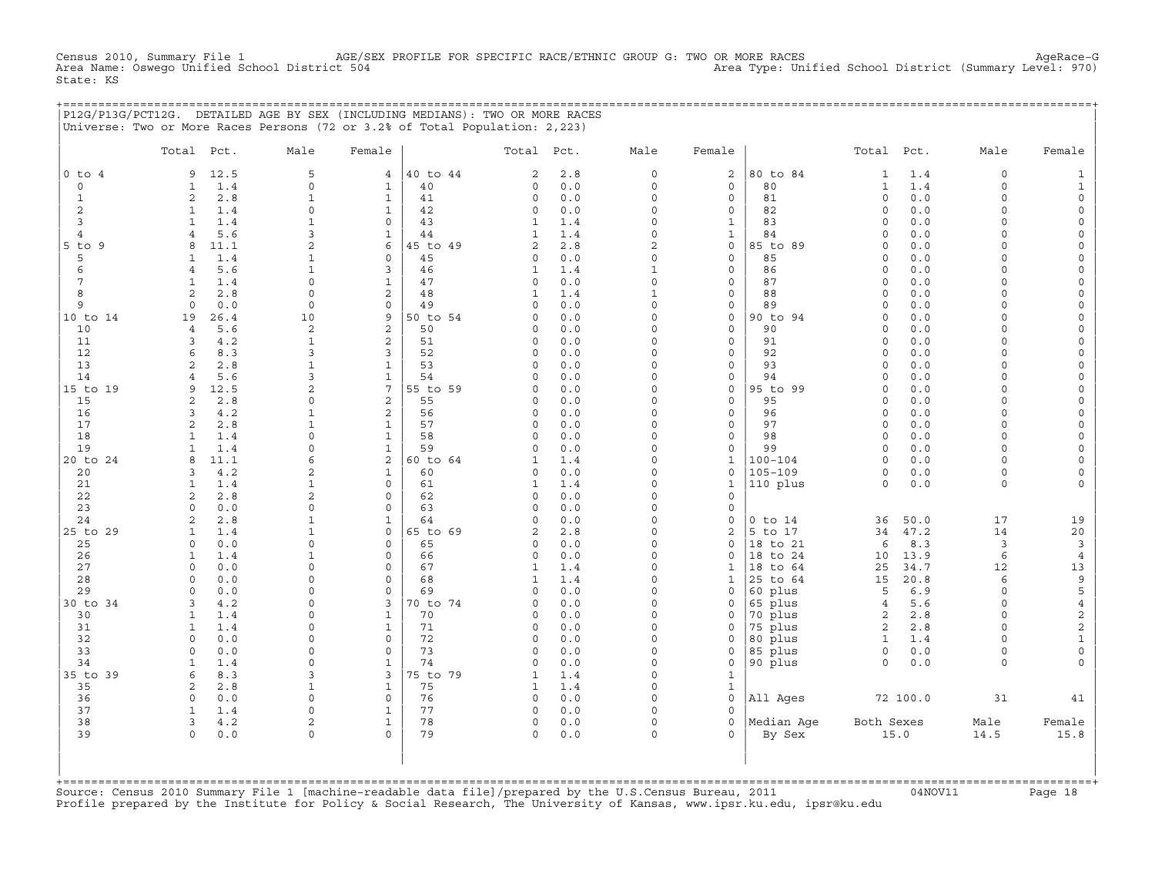Census 2010, Summary File 1 AGE/SEX PROFILE FOR SPECIFIC RACE/ETHNIC GROUP G: TWO OR MORE RACES AgeRace−G<br>Area Name: Oswego Unified School District 504 Area Type: Unified School District (Summary Level: 970) Area Type: Unified School District (Summary Level: 970) State: KS

|                           | P12G/P13G/PCT12G. DETAILED AGE BY SEX (INCLUDING MEDIANS): TWO OR MORE RACES<br>Universe: Two or More Races Persons (72 or 3.2% of Total Population: 2,223) |                            |                                 |                |                     |              |                          |                              |                        |                         |              |                      |                |
|---------------------------|-------------------------------------------------------------------------------------------------------------------------------------------------------------|----------------------------|---------------------------------|----------------|---------------------|--------------|--------------------------|------------------------------|------------------------|-------------------------|--------------|----------------------|----------------|
|                           | Total Pct.                                                                                                                                                  | Male                       | Female                          |                | Total Pct.          |              | Male                     | Female                       |                        | Total Pct.              |              | Male                 | Female         |
| $0$ to $4$<br>$\circ$     | 12.5<br>9<br>1.4<br>1                                                                                                                                       | 5<br>$\mathbf 0$           | $4\overline{ }$<br>$\mathbf{1}$ | 40 to 44<br>40 | $\overline{2}$<br>0 | 2.8<br>0.0   | $\circ$<br>$\circ$       | 2<br>$\circ$                 | 80 to 84<br>80         | 1<br>$\mathbf{1}$       | 1.4<br>1.4   | $\circ$<br>$\circ$   | 1<br>1         |
| $\mathbf{1}$              | 2.8<br>2                                                                                                                                                    | $\mathbf{1}$               | $\mathbf{1}$                    | 41             | 0                   | 0.0          | $\Omega$                 | $\circ$                      | 81                     | $\Omega$                | 0.0          | $\Omega$             | $\Omega$       |
| $\overline{c}$            | 1.4<br>1<br>$\mathbf{1}$                                                                                                                                    | $\Omega$                   | $\mathbf{1}$<br>$\mathbf 0$     | 42<br>43       | 0                   | 0.0          | $\circ$<br>$\circ$       | 0                            | 82<br>83               | $\mathbf 0$<br>$\circ$  | 0.0          | $\Omega$<br>$\cap$   | $\Omega$       |
| 3<br>4                    | 1.4<br>5.6<br>$\Delta$                                                                                                                                      | 3                          | $\mathbf{1}$                    | 44             | 1<br>1              | 1.4<br>1.4   | $\circ$                  | $\mathbf{1}$<br>$\mathbf{1}$ | 84                     | $\Omega$                | 0.0<br>0.0   | $\cap$               |                |
| $5$ to $9$                | 11.1<br>R                                                                                                                                                   | $\mathfrak{D}$             | 6                               | 45 to 49       | $\overline{2}$      | 2.8          | $\overline{a}$           | 0                            | 85 to 89               | $\Omega$                | 0.0          | $\cap$               |                |
| 5                         | 1.4<br>$\mathbf{1}$                                                                                                                                         | 1                          | $\mathbf 0$                     | 45             | 0                   | 0.0          | $\Omega$                 | $\mathbf 0$                  | 85                     | $\Omega$                | 0.0          |                      |                |
| 6<br>7                    | 5.6<br>$\overline{4}$<br>1.4<br>1                                                                                                                           | 1<br>$\Omega$              | 3<br>$\mathbf{1}$               | 46<br>47       | 1<br>$\circ$        | 1.4<br>0.0   | $\mathbf{1}$<br>$\Omega$ | 0<br>$\mathbf{0}$            | 86<br>87               | $\Omega$<br>$\Omega$    | 0.0<br>0.0   | $\cap$<br>$\cap$     |                |
| 8                         | 2<br>2.8                                                                                                                                                    | $\circ$                    | 2                               | 48             | $\mathbf{1}$        | 1.4          | $\mathbf{1}$             | $\circ$                      | 88                     | $\mathbf 0$             | 0.0          | $\Omega$             |                |
| 9                         | 0.0<br>$\circ$                                                                                                                                              | $\circ$                    | $\circ$                         | 49             | 0                   | 0.0          | $\circ$                  | 0                            | 89                     | $\mathbf 0$             | 0.0          | $\Omega$             |                |
| 10 to 14                  | 19<br>26.4                                                                                                                                                  | 10                         | 9                               | 50 to 54       | 0                   | 0.0          | $\Omega$                 | $\mathbf{0}$                 | 90 to 94               | $\Omega$                | 0.0          | $\Omega$             |                |
| 10<br>11                  | $\overline{4}$<br>5.6<br>4.2                                                                                                                                | $\overline{c}$             | 2                               | 50             | 0                   | 0.0          | $\circ$<br>0             | $\circ$                      | 90<br>91               | $\mathbf 0$<br>$\circ$  | 0.0<br>0.0   | $\Omega$<br>$\cap$   |                |
| 12                        | 3<br>8.3<br>6                                                                                                                                               | 1<br>κ                     | 2<br>3                          | 51<br>52       | 0<br>$\Omega$       | 0.0<br>0.0   | O                        | 0<br>$\Omega$                | 92                     | $\Omega$                | 0.0          |                      |                |
| 13                        | 2.8<br>2                                                                                                                                                    | -1                         | $\mathbf{1}$                    | 53             | 0                   | 0.0          | $\Omega$                 | 0                            | 93                     | $\Omega$                | 0.0          | $\cap$               |                |
| 14                        | 5.6<br>$\overline{4}$                                                                                                                                       | 3                          | $\mathbf{1}$                    | 54             | $\Omega$            | 0.0          | $\Omega$                 | $\mathbf{0}$                 | 94                     | $\Omega$                | 0.0          | $\cap$               |                |
| 15 to 19                  | 12.5<br>9                                                                                                                                                   | $\overline{a}$             | 7                               | 55 to 59       | 0                   | 0.0          | $\circ$                  | $\mathbf{0}$                 | 95 to 99               | $\Omega$                | 0.0          | $\cap$<br>$\Omega$   |                |
| 15<br>16                  | 2.8<br>2<br>4.2<br>3                                                                                                                                        | $\Omega$<br>$\mathbf{1}$   | 2<br>2                          | 55<br>56       | 0<br>$\circ$        | $0.0$<br>0.0 | $\Omega$<br>$\circ$      | $\circ$<br>$\circ$           | 95<br>96               | $\Omega$<br>$\mathbf 0$ | 0.0<br>0.0   | $\Omega$             |                |
| 17                        | 2<br>2.8                                                                                                                                                    | 1                          | $\mathbf{1}$                    | 57             | $\circ$             | 0.0          | 0                        | 0                            | 97                     | $\mathbf 0$             | 0.0          | $\Omega$             | $\Omega$       |
| 18                        | 1.4<br>1                                                                                                                                                    | $\cap$                     | $\mathbf{1}$                    | 58             | 0                   | 0.0          | $\Omega$                 | 0                            | 98                     | $\Omega$                | 0.0          | $\Omega$             |                |
| 19                        | $\mathbf{1}$<br>1.4                                                                                                                                         | $\Omega$                   | $\mathbf{1}$                    | 59             | 0                   | 0.0          | $\circ$                  | 0                            | 99                     | $\circ$                 | 0.0          | $\Omega$             |                |
| 20 to 24<br>20            | 11.1<br>8<br>4.2<br>3                                                                                                                                       | 6<br>$\mathfrak{D}$        | 2<br>$\mathbf{1}$               | 60 to 64<br>60 | 1<br>$\Omega$       | 1.4<br>0.0   | $\Omega$<br>O            | 1<br>0                       | 100-104<br>$105 - 109$ | $\Omega$<br>$\Omega$    | 0.0<br>0.0   | $\cap$<br>$\Omega$   | $\Omega$       |
| 21                        | 1.4<br>1                                                                                                                                                    | 1                          | $\mathbf 0$                     | 61             | 1                   | 1.4          | 0                        | $\mathbf{1}$                 | 110 plus               | $\circ$                 | 0.0          | $\Omega$             |                |
| 22                        | 2<br>2.8                                                                                                                                                    | $\mathfrak{D}$             | $\mathbf 0$                     | 62             | 0                   | 0.0          | $\Omega$                 | 0                            |                        |                         |              |                      |                |
| 23                        | 0.0<br>$\Omega$                                                                                                                                             | $\Omega$                   | $\mathbf{0}$                    | 63             | $\circ$             | 0.0          | $\circ$                  | $\mathbf 0$                  |                        |                         |              |                      |                |
| 24<br>25 to 29            | 2.8<br>2<br>$\mathbf{1}$<br>1.4                                                                                                                             | $\mathbf{1}$               | $\mathbf{1}$<br>$\mathbf{0}$    | 64<br>65 to 69 | $\circ$<br>2        | 0.0<br>2.8   | $\Omega$<br>$\Omega$     | $\mathbf 0$                  | $0$ to $14$<br>5 to 17 | 36<br>34                | 50.0<br>47.2 | 17<br>14             | 19<br>20       |
| 25                        | $\circ$<br>0.0                                                                                                                                              | $\Omega$                   | $\mathsf{O}$                    | 65             | 0                   | 0.0          | $\circ$                  | 2<br>0                       | 18 to 21               | 6                       | 8.3          | 3                    | 3              |
| 26                        | 1.4<br>1                                                                                                                                                    |                            | $\mathbf 0$                     | 66             | 0                   | 0.0          | $\Omega$                 | $\mathbf 0$                  | 18 to 24               | 10                      | 13.9         | 6                    | $\overline{4}$ |
| 27                        | $\Omega$<br>0.0                                                                                                                                             | $\Omega$                   | $\mathbf{0}$                    | 67             | 1                   | 1.4          | $\Omega$                 | $\mathbf{1}$                 | 18 to 64               | 25                      | 34.7         | 12                   | 13             |
| 28                        | 0.0<br>$\Omega$<br>$\Omega$                                                                                                                                 | $\Omega$<br>$\cap$         | $\circ$<br>$\Omega$             | 68             | 1                   | 1.4          | O<br>$\Omega$            | 1                            | 25 to 64               | 15                      | 20.8         | 6<br>$\Omega$        | 9              |
| 29<br>30 to 34            | 0.0<br>3<br>4.2                                                                                                                                             | $\Omega$                   | 3                               | 69<br>70 to 74 | $\Omega$<br>$\circ$ | 0.0<br>0.0   | 0                        | 0<br>0                       | 60 plus<br>65 plus     | 5<br>4                  | 6.9<br>5.6   | $\Omega$             | 5<br>4         |
| 30                        | 1.4<br>1                                                                                                                                                    | $\Omega$                   | $\mathbf{1}$                    | 70             | 0                   | 0.0          | $\circ$                  | 0                            | 70 plus                | 2                       | 2.8          | $\Omega$             | $\sqrt{2}$     |
| 31                        | 1.4<br>1                                                                                                                                                    | $\Omega$                   | $\mathbf{1}$                    | 71             | 0                   | 0.0          | O                        | $\mathbf 0$                  | 75 plus                | 2                       | 2.8          | $\Omega$             | $\sqrt{2}$     |
| 32                        | $\Omega$<br>0.0                                                                                                                                             | $\Omega$                   | $\mathbf 0$                     | 72             | 0                   | 0.0          | $\circ$                  | 0                            | 80 plus                | $\mathbf{1}$            | 1.4          | $\Omega$             | $\mathbf{1}$   |
| 33<br>34                  | 0.0<br>$\Omega$<br>1.4<br>$\mathbf{1}$                                                                                                                      | $\cap$<br>$\cap$           | $\mathbf 0$<br>$\mathbf{1}$     | 73<br>74       | 0<br>0              | 0.0<br>0.0   | $\circ$<br>$\Omega$      | 0<br>0                       | 85 plus<br>90 plus     | $\circ$<br>$\Omega$     | 0.0<br>0.0   | $\Omega$<br>$\Omega$ | $\circ$        |
| 35 to 39                  | 8.3<br>6                                                                                                                                                    | κ                          | $\overline{3}$                  | 75 to 79       | 1                   | 1.4          | $\Omega$                 | $\mathbf{1}$                 |                        |                         |              |                      |                |
| 35                        | 2<br>2.8                                                                                                                                                    | 1                          | $\mathbf{1}$                    | 75             | 1                   | 1.4          | $\Omega$                 | $\mathbf{1}$                 |                        |                         |              |                      |                |
| 36                        | 0.0<br>$\Omega$                                                                                                                                             | $\Omega$                   | $\mathbf 0$                     | 76             | $\circ$             | 0.0          | $\Omega$                 | $\mathbf{0}$                 | All Ages               |                         | 72 100.0     | 31                   | 41             |
| 37<br>38                  | $\mathbf{1}$<br>1.4                                                                                                                                         | $\Omega$<br>$\overline{c}$ | 1<br>$\mathbf{1}$               | 77<br>78       | $\circ$             | 0.0          | $\Omega$<br>$\circ$      | $\Omega$<br>$\circ$          |                        |                         |              |                      |                |
| 39                        | 3<br>4.2<br>$\Omega$<br>0.0                                                                                                                                 | $\Omega$                   | $\Omega$                        | 79             | $\circ$<br>$\circ$  | 0.0<br>0.0   | $\Omega$                 | $\Omega$                     | Median Aqe<br>By Sex   | Both Sexes              | 15.0         | Male<br>14.5         | Female<br>15.8 |
| $+$ = = = = = = = = = = = |                                                                                                                                                             |                            |                                 |                |                     |              |                          |                              |                        |                         |              |                      |                |

Source: Census 2010 Summary File 1 [machine-readable data file]/prepared by the U.S.Census Bureau, 2011 Page 18<br>Profile prepared by the Institute for Policy & Social Research, The University of Kansas, www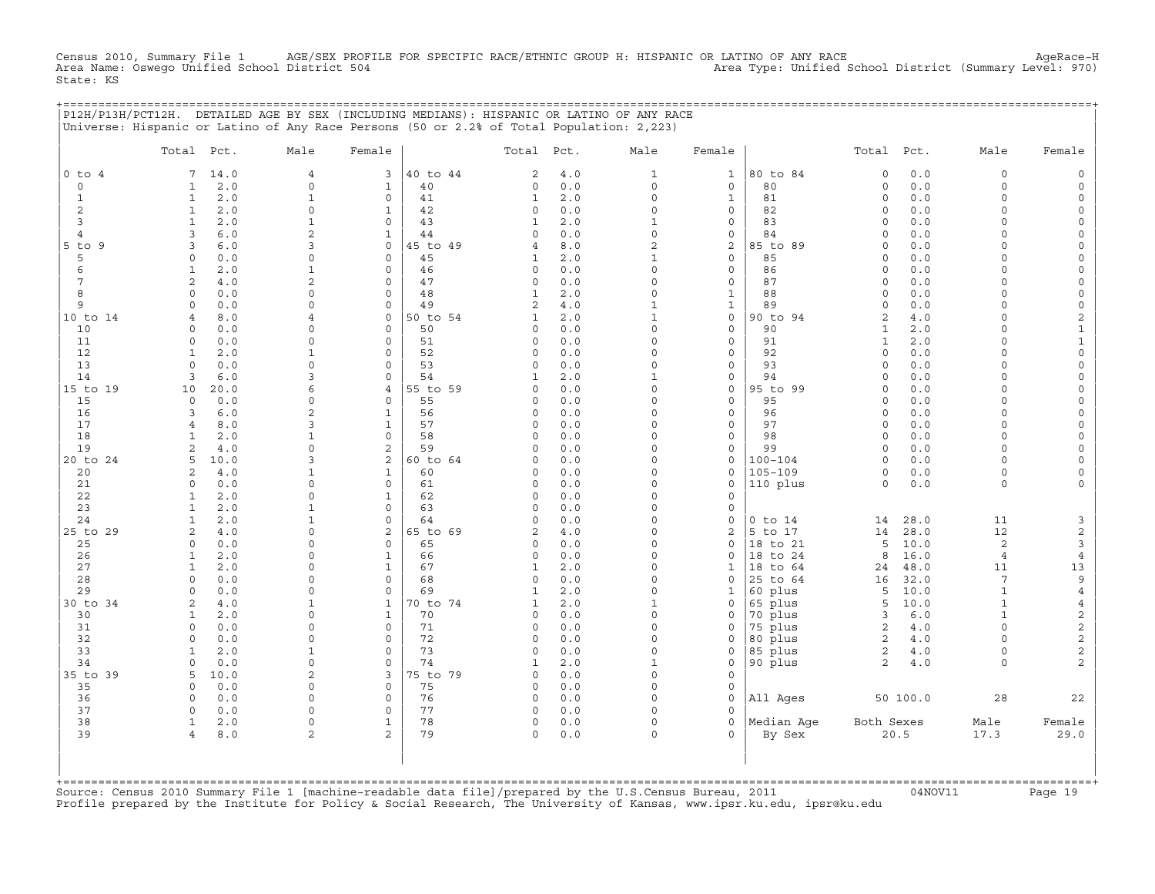Census 2010, Summary File 1 AGE/SEX PROFILE FOR SPECIFIC RACE/ETHNIC GROUP H: HISPANIC OR LATINO OF ANY RACE AgeRace−H Area Name: Oswego Unified School District 504 Area Type: Unified School District (Summary Level: 970) State: KS

+===================================================================================================================================================+

|                 | Total Pct.                             | Male                          | Female                         |                | Total Pct.        |              | Male                    | Female                      |                      | Total Pct.          |              | Male                 | Female                                     |
|-----------------|----------------------------------------|-------------------------------|--------------------------------|----------------|-------------------|--------------|-------------------------|-----------------------------|----------------------|---------------------|--------------|----------------------|--------------------------------------------|
| $0$ to $4$      | 14.0<br>7                              | $\overline{4}$                | 3                              | 40 to 44       | 2                 | $4.0$        | $\mathbf 1$             | $\mathbf{1}$                | 80 to 84             | $\mathbf 0$         | $0.0$        | 0                    | $\mathsf{O}\xspace$                        |
| $\mathbf 0$     | $2.0$<br>$\mathbf{1}$                  | $\Omega$                      | $\mathbf{1}$                   | 40             | 0                 | 0.0          | $\Omega$                | $\mathbf 0$                 | 80                   | $\circ$             | 0.0          | $\circ$              | $\mathsf{O}\xspace$                        |
| $\mathbf{1}$    | $\mathbf{1}$<br>2.0                    | $\mathbf 1$                   | $\mathsf{O}$                   | 41             | $\mathbf{1}$      | 2.0          | $\mathsf{O}\xspace$     | $1\,$                       | 81                   | $\circ$             | 0.0          | 0                    | $\mathsf O$                                |
| 2               | $\mathbf{1}$<br>2.0                    | $\mathbf 0$                   | $\mathbf{1}$                   | 42             | 0                 | 0.0          | $\Omega$                | $\mathbf 0$                 | 82                   | $\circ$             | 0.0          | $\circ$              | $\mathsf O$                                |
| 3               | 2.0<br>$\mathbf{1}$                    | $\mathbf{1}$                  | $\circ$                        | 43             | 1                 | $2.0$        | $1\,$                   | $\mathsf{O}\xspace$         | 83                   | $\Omega$            | 0.0          | $\Omega$             | $\mathsf{O}\xspace$                        |
| $\overline{4}$  | 3<br>6.0                               | $\overline{c}$                | $\mathbf{1}$                   | 44             | 0                 | 0.0          | $\circ$                 | $\mathsf O$                 | 84                   | $\circ$             | 0.0          | $\Omega$             | $\mathsf{O}\xspace$                        |
| $5$ to $9$<br>5 | 6.0<br>3<br>$\Omega$<br>$0.0$          | 3<br>$\Omega$                 | $\circ$<br>$\mathsf{O}\xspace$ | 45 to 49<br>45 | 4<br>1            | 8.0<br>$2.0$ | $\sqrt{2}$<br>$1\,$     | $\mathbf 2$<br>$\mathsf O$  | 85 to 89<br>85       | $\circ$<br>$\Omega$ | 0.0<br>0.0   | $\Omega$<br>$\Omega$ | $\mathsf{O}\xspace$<br>$\mathsf O$         |
| 6               | $\mathbf{1}$<br>2.0                    | $\mathbf{1}$                  | $\mathsf O$                    | 46             | 0                 | 0.0          | $\mathbf 0$             | $\mathsf O$                 | 86                   | $\Omega$            | 0.0          | $\Omega$             | $\mathsf{O}\xspace$                        |
| $\overline{7}$  | $\mathbf{2}$<br>4.0                    | $\mathbf{2}$                  | $\mathsf O$                    | 47             | 0                 | 0.0          | $\mathbf 0$             | $\mathsf O$                 | 87                   | $\circ$             | 0.0          | $\circ$              | $\mathsf{O}\xspace$                        |
| 8               | 0.0<br>$\Omega$                        | $\Omega$                      | $\mathbf 0$                    | 48             | $\mathbf{1}$      | 2.0          | $\circ$                 | $\mathbf 1$                 | 88                   | $\circ$             | 0.0          | $\Omega$             | $\mathsf O$                                |
| 9               | $0.0$<br>$\circ$                       | $\mathsf{O}\xspace$           | $\mathsf O$                    | 49             | $\overline{c}$    | $4.0$        | $\mathbf 1$             | $\mathbf{1}$                | 89                   | $\circ$             | $0.0$        | $\Omega$             | $\mathsf{O}\xspace$                        |
| 10 to 14        | 8.0<br>$\overline{4}$                  | $\overline{4}$                | $\mathsf{O}$                   | 50 to 54       | $\mathbf{1}$      | 2.0          | $\mathbf{1}$            | $\mathsf O$                 | 90 to 94             | 2                   | 4.0          | $\circ$              | $\mathbf{2}$                               |
| 10              | $\circ$<br>0.0                         | $\mathbf 0$                   | $\mathbf 0$                    | 50             | $\Omega$          | 0.0          | $\circ$                 | $\circ$                     | 90                   | $\mathbf{1}$        | 2.0          | $\circ$              | $\mathbf 1$                                |
| 11              | 0.0<br>$\circ$                         | $\mathbf 0$                   | $\mathbf 0$                    | 51             | 0                 | 0.0          | $\Omega$                | $\mathsf{O}$                | 91                   | $\mathbf{1}$        | 2.0          | $\circ$              | $\mathbf 1$                                |
| 12              | $\mathbf{1}$<br>2.0                    | 1                             | $\mathsf{O}$                   | 52             | 0                 | 0.0          | $\mathbf 0$             | $\mathsf{O}$                | 92                   | $\circ$             | 0.0          | $\circ$              | $\mathsf{O}\xspace$                        |
| 13              | $\Omega$<br>0.0                        | $\mathbf 0$                   | $\mathbf 0$                    | 53             | 0                 | 0.0          | $\circ$                 | $\mathbf 0$                 | 93                   | $\circ$             | 0.0          | $\circ$              | $\mathsf O$                                |
| 14              | 3<br>6.0                               | $\overline{3}$                | $\mathbf 0$                    | 54             | 1                 | 2.0          | $\mathbf 1$             | $\mathsf{O}\xspace$         | 94                   | $\circ$             | 0.0          | $\Omega$             | $\mathsf{O}\xspace$                        |
| 15 to 19        | 10<br>20.0                             | 6                             | $\overline{4}$                 | 55 to 59       | 0                 | $0.0$        | $\mathbf 0$             | $\mathsf O$                 | 95 to 99             | $\circ$             | 0.0          | 0                    | $\mathsf{O}\xspace$                        |
| 15              | 0.0<br>$\circ$<br>3                    | $\mathbf 0$<br>$\overline{c}$ | $\mathbf 0$<br>$\mathbf{1}$    | 55<br>56       | $\Omega$<br>0     | 0.0<br>0.0   | $\Omega$<br>$\mathbf 0$ | $\mathbf 0$<br>$\mathsf{O}$ | 95<br>96             | $\circ$<br>$\circ$  | 0.0<br>0.0   | $\Omega$<br>$\Omega$ | $\mathsf{O}$                               |
| 16<br>17        | $6.0$<br>$\overline{4}$<br>8.0         | 3                             | $\mathbf{1}$                   | 57             | $\Omega$          | 0.0          | $\Omega$                | $\mathbf 0$                 | 97                   | $\Omega$            | 0.0          | $\circ$              | $\mathsf{O}\xspace$<br>$\mathsf{O}\xspace$ |
| 18              | $\mathbf{1}$<br>2.0                    | $\mathbf{1}$                  | $\mathsf O$                    | 58             | 0                 | 0.0          | $\Omega$                | $\mathsf O$                 | 98                   | $\circ$             | 0.0          | $\circ$              | $\mathsf{O}$                               |
| 19              | $\mathbf{2}$<br>4.0                    | $\mathbf 0$                   | $\overline{c}$                 | 59             | $\Omega$          | 0.0          | $\Omega$                | $\mathsf{O}\xspace$         | 99                   | $\circ$             | 0.0          | $\Omega$             | $\mathsf{O}\xspace$                        |
| 20 to 24        | 10.0<br>5                              | 3                             | $\overline{c}$                 | 60 to 64       | $\Omega$          | 0.0          | $\Omega$                | $\mathsf O$                 | $100 - 104$          | $\circ$             | 0.0          | $\circ$              | $\mathsf{O}\xspace$                        |
| 20              | 4.0<br>2                               | $\mathbf 1$                   | $\mathbf{1}$                   | 60             | $\Omega$          | 0.0          | $\Omega$                | $\mathbf 0$                 | $105 - 109$          | $\circ$             | 0.0          | $\circ$              | $\mathsf{O}\xspace$                        |
| 21              | $\circ$<br>0.0                         | $\mathbf 0$                   | $\mathbf 0$                    | 61             | $\Omega$          | 0.0          | $\Omega$                | $\mathbf 0$                 | 110 plus             | $\circ$             | 0.0          | $\circ$              | $\mathsf{O}\xspace$                        |
| 22              | $\mathbf{1}$<br>2.0                    | $\Omega$                      | $\mathbf{1}$                   | 62             | $\Omega$          | 0.0          | $\Omega$                | $\circ$                     |                      |                     |              |                      |                                            |
| 23              | $\mathbf{1}$<br>2.0                    | $\mathbf{1}$                  | $\mathsf{O}$                   | 63             | 0                 | 0.0          | $\Omega$                | $\mathsf{O}$                |                      |                     |              |                      |                                            |
| 24              | $\mathbf{1}$<br>2.0                    | $\mathbf{1}$                  | $\circ$                        | 64             | $\Omega$          | 0.0          | $\Omega$                | $\mathsf{O}\xspace$         | $0$ to $14$          | 14                  | 28.0         | 11                   | 3                                          |
| 25 to 29        | $\mathbf{2}$<br>4.0                    | $\mathbf 0$                   | 2                              | 65 to 69       | 2                 | 4.0          | $\circ$                 | $\overline{c}$              | 5 to 17              | 14                  | 28.0         | 12                   | $\overline{c}$                             |
| 25              | $\circ$<br>$0.0$                       | $\mathsf{O}\xspace$           | $\mathsf{O}\xspace$            | 65             | 0                 | 0.0          | $\Omega$                | $\mathsf O$                 | 18 to 21             | 5                   | 10.0         | $\overline{c}$       | $\mathbf{3}$                               |
| 26              | 2.0<br>$\mathbf{1}$                    | $\Omega$                      | $\mathbf{1}$                   | 66             | 0                 | 0.0          | $\Omega$<br>$\circ$     | $\Omega$                    | 18 to 24             | 8                   | 16.0         | $\overline{4}$       | $\overline{4}$                             |
| 27<br>28        | $\mathbf{1}$<br>2.0<br>0.0<br>$\Omega$ | $\mathbf 0$<br>$\mathbf 0$    | $\mathbf{1}$<br>$\mathbf 0$    | 67<br>68       | $\mathbf{1}$<br>0 | $2.0$<br>0.0 | $\Omega$                | $\mathbf{1}$<br>$\mathbf 0$ | 18 to 64<br>25 to 64 | 24<br>16            | 48.0<br>32.0 | 11<br>7              | $13$<br>9                                  |
| 29              | 0.0<br>$\circ$                         | $\mathbf 0$                   | $\circ$                        | 69             | $\mathbf{1}$      | $2.0$        | $\Omega$                | $\mathbf{1}$                | 60 plus              | 5                   | 10.0         | $\mathbf{1}$         | $\,4$                                      |
| 30 to 34        | 2<br>4.0                               | $\mathbf 1$                   | $\mathbf{1}$                   | 70 to 74       | $\mathbf{1}$      | 2.0          | $\mathbf{1}$            | $\mathbf 0$                 | 65 plus              | 5                   | 10.0         | $\mathbf{1}$         | $\,4$                                      |
| 30              | $\mathbf{1}$<br>2.0                    | $\mathsf{O}$                  | $\mathbf{1}$                   | 70             | 0                 | 0.0          | $\Omega$                | 0                           | 70 plus              | 3                   | $6.0$        | $\mathbf{1}$         | $\overline{c}$                             |
| 31              | $\Omega$<br>0.0                        | $\Omega$                      | $\mathbf 0$                    | 71             | 0                 | 0.0          | $\Omega$                | $\Omega$                    | 75 plus              | $\sqrt{2}$          | 4.0          | $\Omega$             | $\overline{\mathbf{c}}$                    |
| 32              | $\circ$<br>0.0                         | $\mathbf 0$                   | $\mathbf 0$                    | 72             | 0                 | 0.0          | $\circ$                 | $\mathbf 0$                 | 80 plus              | 2                   | 4.0          | $\circ$              | $\boldsymbol{2}$                           |
| 33              | $\mathbf{1}$<br>2.0                    | $\mathbf{1}$                  | $\mathsf{O}\xspace$            | 73             | 0                 | 0.0          | $\mathbf 0$             | $\mathsf{O}\xspace$         | 85 plus              | $\sqrt{2}$          | 4.0          | 0                    | $\overline{c}$                             |
| 34              | $\Omega$<br>0.0                        | $\mathbf 0$                   | $\mathbf 0$                    | 74             | 1                 | 2.0          | $\mathbf 1$             | $\circ$                     | 90 plus              | $\mathbf{2}$        | 4.0          | $\circ$              | $\overline{c}$                             |
| 35 to 39        | 5<br>10.0                              | 2                             | 3                              | 75 to 79       | 0                 | 0.0          | $\mathsf{O}\xspace$     | $\mathsf{O}\xspace$         |                      |                     |              |                      |                                            |
| 35              | 0.0<br>$\circ$                         | $\mathbf 0$                   | $\mathsf{O}$                   | 75             | $\Omega$          | 0.0          | $\Omega$                | $\mathbf 0$                 |                      |                     |              |                      |                                            |
| 36              | $\circ$<br>0.0                         | $\mathbf 0$                   | $\mathsf O$                    | 76             | 0                 | 0.0          | $\Omega$                | $\mathsf{O}\xspace$         | All Ages             |                     | 50 100.0     | 28                   | 22                                         |
| 37              | $\circ$<br>0.0                         | $\mathbf 0$                   | $\mathbf 0$                    | 77             | 0                 | 0.0          | $\circ$                 | $\Omega$                    |                      |                     |              |                      |                                            |
| 38              | $\mathbf{1}$<br>2.0                    | $\mathsf{O}$                  | $\mathbf{1}$                   | 78             | 0<br>$\Omega$     | 0.0          | 0<br>$\Omega$           | $\circ$<br>$\Omega$         | Median Age           | Both Sexes          |              | Male                 | Female                                     |
| 39              | $\overline{4}$<br>8.0                  | 2                             | 2                              | 79             |                   | 0.0          |                         |                             | By Sex               |                     | 20.5         | 17.3                 | 29.0                                       |

+===================================================================================================================================================+Source: Census 2010 Summary File 1 [machine−readable data file]/prepared by the U.S.Census Bureau, 2011 04NOV11 Page 19 Profile prepared by the Institute for Policy & Social Research, The University of Kansas, www.ipsr.ku.edu, ipsr@ku.edu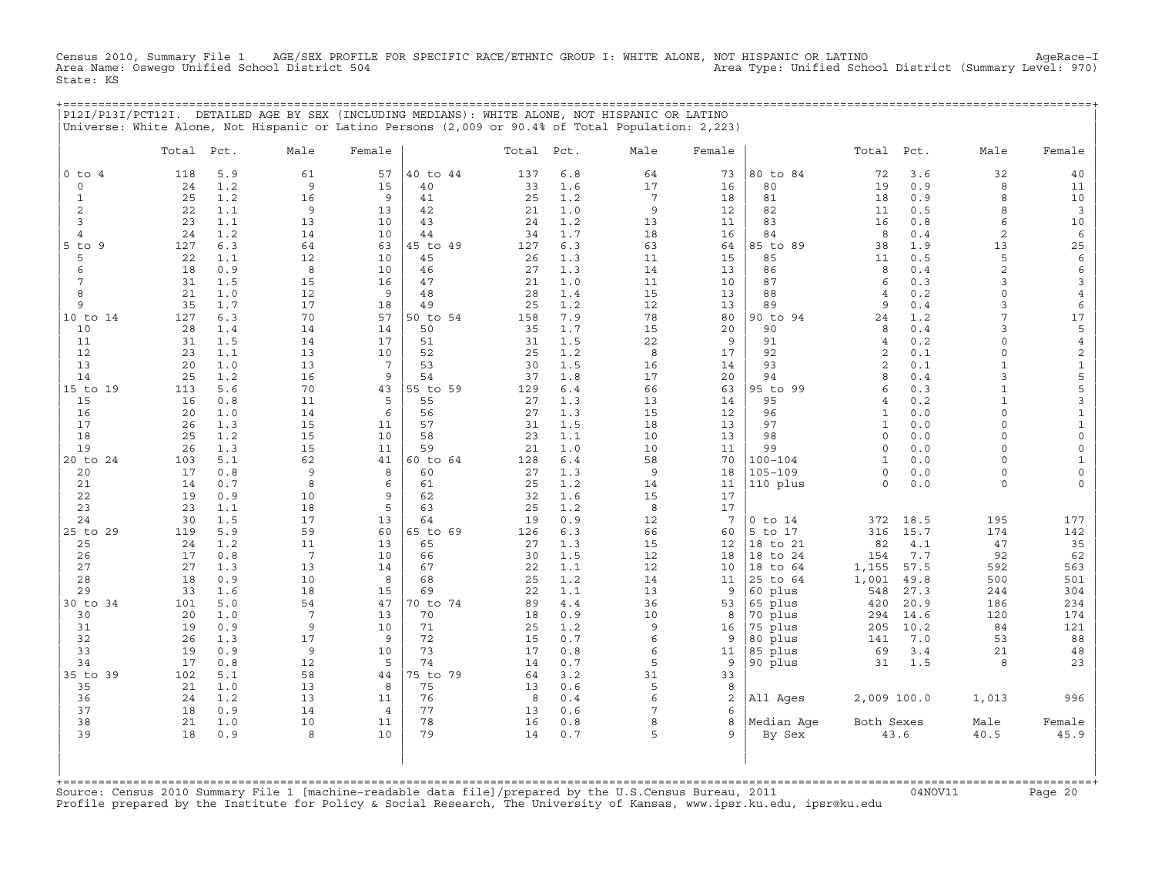Census 2010, Summary File 1 AGE/SEX PROFILE FOR SPECIFIC RACE/ETHNIC GROUP I: WHITE ALONE, NOT HISPANIC OR LATINO AgeRace−I Area Name: Oswego Unified School District 504 Area Type: Unified School District (Summary Level: 970) State: KS

+===================================================================================================================================================+

|                          |            |            | P12I/P13I/PCT12I. DETAILED AGE BY SEX (INCLUDING MEDIANS): WHITE ALONE, NOT HISPANIC OR LATINO<br>Universe: White Alone, Not Hispanic or Latino Persons (2,009 or 90.4% of Total Population: 2,223) |                |          |          |            |                 |          |                      |                         |            |                       |                                     |
|--------------------------|------------|------------|-----------------------------------------------------------------------------------------------------------------------------------------------------------------------------------------------------|----------------|----------|----------|------------|-----------------|----------|----------------------|-------------------------|------------|-----------------------|-------------------------------------|
|                          | Total Pct. |            | Male                                                                                                                                                                                                | Female         |          | Total    | Pct.       | Male            | Female   |                      | Total                   | Pct.       | Male                  | Female                              |
| $0$ to<br>$\overline{4}$ | 118        | 5.9        | 61                                                                                                                                                                                                  | 57             | 40 to 44 | 137      | $6.8$      | 64              | 73       | 80 to 84             | 72                      | 3.6        | 32                    | 40                                  |
| $\circ$                  | 24         | 1.2        | 9                                                                                                                                                                                                   | 15             | 40       | 33       | 1.6        | 17              | 16       | 80                   | 19                      | 0.9        | 8                     | 11                                  |
| $\mathbf{1}$             | 25         | 1.2        | 16                                                                                                                                                                                                  | 9              | 41       | 25       | 1.2        | $7\phantom{.0}$ | 18       | 81                   | 18                      | 0.9        | 8                     | 10                                  |
| 2                        | 22         | 1.1        | $\mathsf 9$                                                                                                                                                                                         | 13             | 42       | 21       | 1.0        | 9               | 12       | 82                   | 11                      | 0.5        | 8                     | $\overline{\mathbf{3}}$             |
| 3<br>$\overline{4}$      | 23<br>24   | 1.1<br>1.2 | 13<br>14                                                                                                                                                                                            | 10<br>10       | 43<br>44 | 24<br>34 | 1.2<br>1.7 | 13<br>18        | 11<br>16 | 83<br>84             | 16<br>8                 | 0.8<br>0.4 | 6<br>$\boldsymbol{2}$ | 10<br>6                             |
| $5$ to<br>9              | 127        | 6.3        | 64                                                                                                                                                                                                  | 63             | 45 to 49 | 127      | 6.3        | 63              | 64       | 85 to 89             | 38                      | 1.9        | 13                    | 25                                  |
| 5                        | 22         | 1.1        | 12                                                                                                                                                                                                  | 10             | 45       | 26       | 1.3        | 11              | 15       | 85                   | 11                      | 0.5        | 5                     | $\epsilon$                          |
| 6                        | 18         | 0.9        | 8                                                                                                                                                                                                   | 10             | 46       | 27       | 1.3        | 14              | 13       | 86                   | 8                       | 0.4        | $\overline{a}$        | 6                                   |
| $7\phantom{.0}$          | 31         | 1.5        | 15                                                                                                                                                                                                  | 16             | 47       | 21       | 1.0        | 11              | 10       | 87                   | 6                       | 0.3        | 3                     | 3                                   |
| 8                        | 21         | 1.0        | 12                                                                                                                                                                                                  | 9              | 48       | 28       | 1.4        | 15              | 13       | 88                   | $\overline{4}$          | 0.2        | $\circ$               | $\overline{4}$                      |
| 9                        | 35         | 1.7        | 17                                                                                                                                                                                                  | 18             | 49       | 25       | 1.2        | 12              | 13       | 89                   | 9                       | 0.4        | 3                     | 6                                   |
| 10 to 14                 | 127        | 6.3        | 70                                                                                                                                                                                                  | 57             | 50 to 54 | 158      | 7.9        | 78              | 80       | 90 to 94<br>90       | 24                      | 1.2        | 7<br>3                | 17                                  |
| 10<br>11                 | 28<br>31   | 1.4<br>1.5 | 14<br>14                                                                                                                                                                                            | 14<br>17       | 50<br>51 | 35<br>31 | 1.7<br>1.5 | 15<br>22        | 20<br>9  | 91                   | 8<br>$\overline{4}$     | 0.4<br>0.2 | $\mathbf 0$           | 5<br>$\,4$                          |
| 12                       | 23         | 1.1        | 13                                                                                                                                                                                                  | 10             | 52       | 25       | 1.2        | 8               | 17       | 92                   | $\overline{c}$          | 0.1        | $\Omega$              | $\overline{c}$                      |
| 13                       | 20         | 1.0        | 13                                                                                                                                                                                                  | $\overline{7}$ | 53       | 30       | 1.5        | 16              | 14       | 93                   | $\overline{c}$          | 0.1        | $\mathbf{1}$          | $\mathbf 1$                         |
| 14                       | 25         | 1.2        | 16                                                                                                                                                                                                  | 9              | 54       | 37       | 1.8        | 17              | 20       | 94                   | 8                       | 0.4        | 3                     | 5                                   |
| 15 to 19                 | 113        | 5.6        | 70                                                                                                                                                                                                  | 43             | 55 to 59 | 129      | $6.4$      | 66              | 63       | 95 to 99             | 6                       | 0.3        | $\mathbf{1}$          | 5                                   |
| 15                       | 16         | 0.8        | 11                                                                                                                                                                                                  | 5              | 55       | 27       | 1.3        | 13              | 14       | 95                   | $\overline{4}$          | 0.2        | $\mathbf{1}$          | 3                                   |
| 16                       | 20         | 1.0        | 14                                                                                                                                                                                                  | 6              | 56       | 27       | 1.3        | 15              | 12       | 96                   | $\mathbf{1}$            | 0.0        | $\circ$               | $\mathbf 1$                         |
| 17                       | 26<br>25   | 1.3<br>1.2 | 15<br>15                                                                                                                                                                                            | 11<br>10       | 57<br>58 | 31<br>23 | 1.5<br>1.1 | 18<br>10        | 13       | 97<br>98             | $\mathbf{1}$<br>$\circ$ | 0.0<br>0.0 | $\circ$<br>$\Omega$   | $\mathbf{1}$<br>$\mathsf{O}\xspace$ |
| 18<br>19                 | 26         | 1.3        | 15                                                                                                                                                                                                  | 11             | 59       | 21       | 1.0        | 10              | 13<br>11 | 99                   | $\circ$                 | 0.0        | $\circ$               | $\mathsf{O}\xspace$                 |
| 20 to 24                 | 103        | 5.1        | 62                                                                                                                                                                                                  | 41             | 60 to 64 | 128      | $6.4$      | 58              | 70       | $100 - 104$          | $\mathbf{1}$            | 0.0        | $\circ$               | $\mathbf{1}$                        |
| 20                       | 17         | 0.8        | 9                                                                                                                                                                                                   | 8              | 60       | 27       | 1.3        | 9               | 18       | $105 - 109$          | $\circ$                 | 0.0        | $\Omega$              | $\mathsf{O}\xspace$                 |
| 21                       | 14         | 0.7        | 8                                                                                                                                                                                                   | 6              | 61       | 25       | 1.2        | 14              | 11       | 110 plus             | $\circ$                 | 0.0        | 0                     | 0                                   |
| 22                       | 19         | 0.9        | 10                                                                                                                                                                                                  | 9              | 62       | 32       | 1.6        | 15              | 17       |                      |                         |            |                       |                                     |
| 23                       | 23         | 1.1        | 18                                                                                                                                                                                                  | 5              | 63       | 25       | 1.2        | 8               | 17       |                      |                         |            |                       |                                     |
| 24                       | 30         | 1.5        | 17                                                                                                                                                                                                  | 13             | 64       | 19       | 0.9        | 12              | 7        | $0$ to $14$          | 372                     | 18.5       | 195                   | 177                                 |
| 25 to 29                 | 119        | 5.9        | 59                                                                                                                                                                                                  | 60<br>13       | 65 to 69 | 126      | 6.3        | 66              | 60       | 5 to 17              | 316                     | 15.7       | 174                   | 142                                 |
| 25<br>26                 | 24<br>17   | 1.2<br>0.8 | 11<br>7                                                                                                                                                                                             | 10             | 65<br>66 | 27<br>30 | 1.3<br>1.5 | 15<br>12        | 12<br>18 | 18 to 21<br>18 to 24 | 82<br>154               | 4.1<br>7.7 | 47<br>92              | 35<br>62                            |
| 27                       | 27         | 1.3        | 13                                                                                                                                                                                                  | 14             | 67       | 22       | 1.1        | 12              | 10       | 18 to 64             | 1,155                   | 57.5       | 592                   | 563                                 |
| 28                       | 18         | 0.9        | 10                                                                                                                                                                                                  | 8              | 68       | 25       | 1.2        | 14              | 11       | 25 to 64             | 1,001                   | 49.8       | 500                   | 501                                 |
| 29                       | 33         | 1.6        | 18                                                                                                                                                                                                  | 15             | 69       | 22       | 1.1        | 13              | 9        | 60 plus              | 548                     | 27.3       | 244                   | 304                                 |
| 30 to 34                 | 101        | 5.0        | 54                                                                                                                                                                                                  | 47             | 70 to 74 | 89       | 4.4        | 36              | 53       | 65 plus              | 420                     | 20.9       | 186                   | 234                                 |
| 30                       | 20         | 1.0        | 7                                                                                                                                                                                                   | 13             | 70       | 18       | 0.9        | 10              | 8        | 70 plus              | 294                     | 14.6       | 120                   | 174                                 |
| 31                       | 19         | 0.9        | $\mathsf 9$                                                                                                                                                                                         | 10             | 71       | 25       | 1.2        | 9               | 16       | 75 plus              | 205                     | 10.2       | 84                    | 121                                 |
| 32<br>33                 | 26<br>19   | 1.3<br>0.9 | 17<br>9                                                                                                                                                                                             | 9<br>10        | 72<br>73 | 15<br>17 | 0.7<br>0.8 | 6<br>6          | 9<br>11  | 80 plus<br>85 plus   | 141<br>69               | 7.0<br>3.4 | 53<br>21              | 88<br>48                            |
| 34                       | 17         | 0.8        | 12                                                                                                                                                                                                  | 5              | 74       | 14       | 0.7        | 5               | 9        | 90 plus              | 31                      | 1.5        | 8                     | 23                                  |
| 35 to 39                 | 102        | 5.1        | 58                                                                                                                                                                                                  | 44             | 75 to 79 | 64       | 3.2        | 31              | 33       |                      |                         |            |                       |                                     |
| 35                       | 21         | 1.0        | 13                                                                                                                                                                                                  | 8              | 75       | 13       | 0.6        | 5               | 8        |                      |                         |            |                       |                                     |
| 36                       | 24         | 1.2        | 13                                                                                                                                                                                                  | 11             | 76       | 8        | 0.4        | 6               | 2        | All Ages             | 2,009 100.0             |            | 1,013                 | 996                                 |
| 37                       | 18         | 0.9        | 14                                                                                                                                                                                                  | $\overline{4}$ | 77       | 13       | 0.6        | 7               | 6        |                      |                         |            |                       |                                     |
| 38<br>39                 | 21<br>18   | 1.0<br>0.9 | 10<br>8                                                                                                                                                                                             | 11<br>10       | 78<br>79 | 16<br>14 | 0.8<br>0.7 | 8<br>5          | 8<br>9   | Median Age<br>By Sex | Both Sexes              | 43.6       | Male<br>40.5          | Female<br>45.9                      |
|                          |            |            |                                                                                                                                                                                                     |                |          |          |            |                 |          |                      |                         |            |                       |                                     |

| | +===================================================================================================================================================+Source: Census 2010 Summary File 1 [machine−readable data file]/prepared by the U.S.Census Bureau, 2011 04NOV11 Page 20 Profile prepared by the Institute for Policy & Social Research, The University of Kansas, www.ipsr.ku.edu, ipsr@ku.edu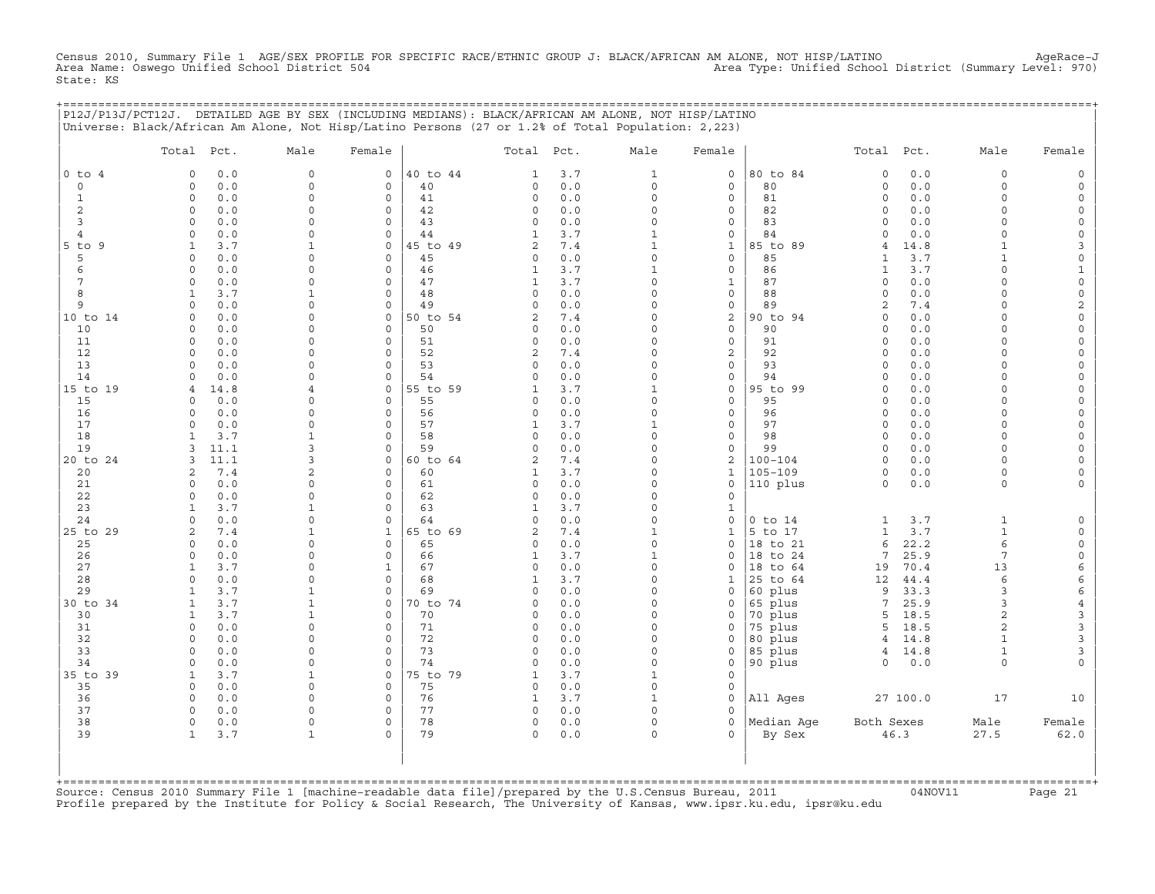Census 2010, Summary File 1 AGE/SEX PROFILE FOR SPECIFIC RACE/ETHNIC GROUP J: BLACK/AFRICAN AM ALONE, NOT HISP/LATINO<br>Area Name: Oswego Unified School District 504 State: KS

| , = = = = = = = = = = = = = = = = = | P12J/P13J/PCT12J. DETAILED AGE BY SEX (INCLUDING MEDIANS): BLACK/AFRICAN AM ALONE, NOT HISP/LATINO<br>Universe: Black/African Am Alone, Not Hisp/Latino Persons (27 or 1.2% of Total Population: 2,223) |                    |                              |                |                         |            |                         |                   | ============================= |                              |             |                              |                           |
|-------------------------------------|---------------------------------------------------------------------------------------------------------------------------------------------------------------------------------------------------------|--------------------|------------------------------|----------------|-------------------------|------------|-------------------------|-------------------|-------------------------------|------------------------------|-------------|------------------------------|---------------------------|
|                                     | Total Pct.                                                                                                                                                                                              | Male               | Female                       |                | Total Pct.              |            | Male                    | Female            |                               | Total Pct.                   |             | Male                         | Female                    |
| $0$ to $4$                          | 0.0<br>0                                                                                                                                                                                                | $\circ$            | $\mathsf{O}$                 | 40 to 44       | 1                       | 3.7        | $\mathbf{1}$            | $\circ$           | 80 to 84                      | $\mathsf O$                  | 0.0         | 0                            |                           |
| $\circ$                             | 0.0<br>$\Omega$                                                                                                                                                                                         | $\Omega$           | 0                            | 40             | 0                       | 0.0        | 0                       | 0                 | 80                            | $\circ$                      | 0.0         | $\circ$                      |                           |
| 1                                   | 0.0<br>$\mathbf 0$                                                                                                                                                                                      | $\cap$             | $\mathbf 0$                  | 41             | $\Omega$                | 0.0        | $\Omega$                | 0                 | 81                            | $\Omega$                     | 0.0         | $\cap$                       |                           |
| 2                                   | $\mathbf 0$<br>0.0                                                                                                                                                                                      | $\Omega$           | $\mathsf{O}$                 | 42             | 0                       | 0.0        | 0                       | 0                 | 82                            | $\Omega$                     | 0.0         | $\Omega$                     |                           |
| 3<br>4                              | 0.0<br>$\Omega$<br>0.0<br>$\Omega$                                                                                                                                                                      | U<br>$\Omega$      | $\mathbf 0$<br>$\mathbf 0$   | 43<br>44       | $\circ$<br>$\mathbf{1}$ | 0.0<br>3.7 | $\circ$<br>$\mathbf{1}$ | 0<br>$\mathbf 0$  | 83<br>84                      | $\Omega$<br>$\Omega$         | 0.0<br>0.0  | $\Omega$<br>$\Omega$         | $\Omega$                  |
| 5 to 9                              | 3.7<br>1                                                                                                                                                                                                | -1                 | $\mathsf{O}$                 | 45 to 49       | 2                       | 7.4        | $\mathbf{1}$            | $\mathbf{1}$      | 85 to 89                      | 4                            | 14.8        | $\mathbf{1}$                 | 3                         |
| 5                                   | 0.0<br>$\Omega$                                                                                                                                                                                         | $\cap$             | $\mathbf 0$                  | 45             | 0                       | 0.0        | $\Omega$                | $\mathbf{0}$      | 85                            | 1                            | 3.7         | $\mathbf{1}$                 | $\Omega$                  |
| 6                                   | 0.0<br>$\Omega$                                                                                                                                                                                         | $\Omega$           | $\circ$                      | 46             | 1                       | 3.7        | 1                       | 0                 | 86                            | 1                            | 3.7         | $\cap$                       | $\mathbf{1}$              |
| 7                                   | 0.0<br>$\Omega$                                                                                                                                                                                         | $\Omega$           | $\circ$                      | 47             | 1                       | 3.7        | 0                       | 1                 | 87                            | $\mathbf 0$                  | 0.0         | $\Omega$                     | $\Omega$                  |
| 8                                   | $\mathbf{1}$<br>3.7                                                                                                                                                                                     | -1                 | $\mathbf 0$                  | 48             | $\circ$                 | 0.0        | $\Omega$                | 0                 | 88                            | $\mathbf 0$                  | 0.0         | $\Omega$                     | $\mathbf 0$               |
| 9                                   | 0.0<br>0                                                                                                                                                                                                | $\Omega$           | $\mathsf{O}$                 | 49             | 0                       | 0.0        | 0                       | 0                 | 89                            | 2                            | 7.4         | $\Omega$                     | $\overline{c}$            |
| 10 to 14                            | 0.0<br>0                                                                                                                                                                                                | $\cap$             | $\mathsf{O}$                 | 50 to 54       | 2                       | 7.4        | 0                       | 2                 | 90 to 94                      | $\Omega$                     | 0.0         | $\cap$                       | $\Omega$                  |
| 10                                  | 0.0<br>$\circ$                                                                                                                                                                                          | $\Omega$           | $\mathbf 0$                  | 50             | 0                       | 0.0        | O                       | $\mathbf 0$       | 90                            | $\Omega$                     | 0.0         | $\cap$                       |                           |
| 11                                  | 0.0<br>$\Omega$                                                                                                                                                                                         | $\Omega$           | 0                            | 51             | 0                       | 0.0        | O                       | 0                 | 91                            | $\Omega$                     | 0.0         | $\Omega$                     |                           |
| 12                                  | 0.0<br>$\Omega$                                                                                                                                                                                         | $\cap$<br>$\Omega$ | $\mathbf 0$                  | 52             | 2                       | 7.4        | O                       | 2                 | 92                            | $\Omega$                     | 0.0         | $\cap$<br>$\Omega$           | $\Omega$                  |
| 13<br>14                            | 0.0<br>$\Omega$<br>0.0<br>$\Omega$                                                                                                                                                                      | $\Omega$           | $\mathsf{O}$<br>$\mathsf{O}$ | 53<br>54       | 0<br>$\circ$            | 0.0<br>0.0 | 0<br>0                  | $\circ$<br>0      | 93<br>94                      | $\Omega$<br>$\Omega$         | 0.0<br>0.0  | $\Omega$                     | $\Omega$<br>$\Omega$      |
| 15 to 19                            | 14.8<br>4                                                                                                                                                                                               |                    | 0                            | 55 to 59       | 1                       | 3.7        | 1                       | 0                 | 95 to 99                      | $\Omega$                     | 0.0         | $\cap$                       |                           |
| 15                                  | 0.0<br>$\Omega$                                                                                                                                                                                         | $\Omega$           | $\mathbf 0$                  | 55             | 0                       | 0.0        | $\circ$                 | 0                 | 95                            | $\Omega$                     | 0.0         | $\cap$                       | $\Omega$                  |
| 16                                  | $\Omega$<br>0.0                                                                                                                                                                                         | <sup>n</sup>       | $\mathbf 0$                  | 56             | 0                       | 0.0        | 0                       | 0                 | 96                            | $\mathbf 0$                  | $0.0$       | $\cap$                       | $\Omega$                  |
| 17                                  | 0.0<br>$\Omega$                                                                                                                                                                                         | $\Omega$           | $\mathsf{O}$                 | 57             | 1                       | 3.7        | 1                       | 0                 | 97                            | $\Omega$                     | 0.0         | $\Omega$                     |                           |
| 18                                  | 3.7<br>$\mathbf{1}$                                                                                                                                                                                     |                    | $\mathsf{O}$                 | 58             | 0                       | 0.0        | 0                       | 0                 | 98                            | $\Omega$                     | 0.0         | $\Omega$                     |                           |
| 19                                  | 11.1<br>3                                                                                                                                                                                               | κ                  | $\mathbf 0$                  | 59             | $\circ$                 | 0.0        | 0                       | 0                 | 99                            | $\Omega$                     | 0.0         | $\Omega$                     |                           |
| 20 to 24                            | 11.1<br>3                                                                                                                                                                                               | 3                  | $\mathbf 0$                  | 60 to 64       | 2                       | 7.4        | 0                       | 2                 | 100-104                       | $\Omega$                     | 0.0         | $\cap$                       |                           |
| 20                                  | 7.4<br>2                                                                                                                                                                                                | $\overline{c}$     | $\mathbf 0$                  | 60             | 1                       | 3.7        | $\Omega$                | 1                 | $105 - 109$                   | $\circ$                      | 0.0         | $\Omega$                     |                           |
| 21                                  | 0.0<br>$\circ$                                                                                                                                                                                          | $\Omega$           | $\mathbf 0$                  | 61             | 0                       | 0.0        | 0                       | 0                 | 110 plus                      | $\mathbf 0$                  | 0.0         | $\circ$                      |                           |
| 22                                  | 0.0<br>$\Omega$                                                                                                                                                                                         | $\Omega$           | $\mathsf{O}$                 | 62             | 0                       | 0.0        | 0                       | $\mathbf 0$       |                               |                              |             |                              |                           |
| 23                                  | 3.7<br>1                                                                                                                                                                                                | $\Omega$           | $\mathbf 0$                  | 63             | 1                       | 3.7        | 0                       | 1                 |                               |                              |             |                              |                           |
| 24<br>25 to 29                      | 0<br>0.0<br>7.4<br>$\mathfrak{D}$                                                                                                                                                                       |                    | $\mathsf{O}$<br>1            | 64<br>65 to 69 | 0<br>2                  | 0.0<br>7.4 | 0<br>1                  | 0<br>1            | $0$ to $14$<br>5 to 17        | $\mathbf{1}$<br>$\mathbf{1}$ | 3.7<br>3.7  | $\mathbf{1}$<br>$\mathbf{1}$ |                           |
| 25                                  | 0.0<br>$\Omega$                                                                                                                                                                                         | $\Omega$           | $\circ$                      | 65             | 0                       | 0.0        | $\Omega$                | $\Omega$          | 18 to 21                      | 6                            | 22.2        | 6                            |                           |
| 26                                  | 0.0<br>$\Omega$                                                                                                                                                                                         | $\Omega$           | $\mathsf{O}$                 | 66             | 1                       | 3.7        | 1                       | 0                 | 18 to 24                      | 7                            | 25.9        | 7                            | $\Omega$                  |
| 27                                  | $\mathbf{1}$<br>3.7                                                                                                                                                                                     | $\Omega$           | $\mathbf{1}$                 | 67             | 0                       | 0.0        | $\circ$                 | 0                 | 18 to 64                      | 19                           | 70.4        | 13                           | 6                         |
| 28                                  | 0.0<br>0                                                                                                                                                                                                | $\Omega$           | $\mathsf{O}$                 | 68             | 1                       | 3.7        | 0                       | 1                 | 25 to 64                      | 12                           | 44.4        | 6                            | 6                         |
| 29                                  | 3.7<br>-1                                                                                                                                                                                               |                    | $\mathbf 0$                  | 69             | $\Omega$                | 0.0        | O                       | 0                 | 60 plus                       | 9                            | 33.3        | 3                            | 6                         |
| 30 to 34                            | 3.7<br>1                                                                                                                                                                                                | 1                  | 0                            | 70 to 74       | 0                       | 0.0        | $\Omega$                | 0                 | 65 plus                       | 7                            | 25.9        | 3                            | $\overline{4}$            |
| 30                                  | 3.7<br>1                                                                                                                                                                                                | -1                 | 0                            | 70             | 0                       | 0.0        | 0                       | 0                 | 70 plus                       | 5                            | 18.5        | 2                            | 3                         |
| 31                                  | 0.0<br>$\circ$                                                                                                                                                                                          | $\Omega$           | $\mathbf 0$                  | 71             | $\circ$                 | 0.0        | $\circ$                 | $\mathbf 0$       | 75 plus                       | 5                            | 18.5        | $\mathbf{2}$                 | $\mathsf 3$               |
| 32                                  | $\circ$<br>0.0                                                                                                                                                                                          | $\Omega$           | $\mathsf{O}$                 | 72             | 0                       | 0.0        | $\Omega$                | 0                 | 80 plus                       | 4                            | 14.8        | $\mathbf{1}$                 | $\ensuremath{\mathsf{3}}$ |
| 33<br>34                            | 0.0<br>$\Omega$<br>0.0<br>$\Omega$                                                                                                                                                                      | $\Omega$<br>$\cap$ | $\mathsf{O}$<br>$\Omega$     | 73<br>74       | 0<br>$\Omega$           | 0.0<br>0.0 | 0<br>$\Omega$           | 0<br>$\mathbf{0}$ | 85 plus<br>90 plus            | 4<br>$\Omega$                | 14.8<br>0.0 | $\mathbf{1}$<br>$\Omega$     | 3<br>$\Omega$             |
| 35 to 39                            | 3.7<br>1                                                                                                                                                                                                | 1                  | $\mathsf{O}$                 | 75 to 79       | 1                       | 3.7        | 1                       | $\mathbf 0$       |                               |                              |             |                              |                           |
| 35                                  | 0.0<br>$\Omega$                                                                                                                                                                                         | <sup>0</sup>       | $\mathsf{O}$                 | 75             | 0                       | 0.0        | 0                       | 0                 |                               |                              |             |                              |                           |
| 36                                  | 0.0<br>0                                                                                                                                                                                                | $\Omega$           | $\mathbf 0$                  | 76             | 1                       | 3.7        | 1                       | $\mathbf 0$       | All Ages                      |                              | 27 100.0    | 17                           | 10                        |
| 37                                  | 0.0<br>0                                                                                                                                                                                                | $\Omega$           | $\mathsf{O}$                 | 77             | 0                       | 0.0        | 0                       | 0                 |                               |                              |             |                              |                           |
| 38                                  | $\circ$<br>0.0                                                                                                                                                                                          | $\Omega$           | $\circ$                      | 78             | $\circ$                 | 0.0        | $\Omega$                | $\mathbf{0}$      | Median Aqe                    | Both Sexes                   |             | Male                         | Female                    |
| 39                                  | 3.7<br>1                                                                                                                                                                                                | $\mathbf{1}$       | $\Omega$                     | 79             | $\Omega$                | 0.0        | $\Omega$                | $\Omega$          | By Sex                        |                              | 46.3        | 27.5                         | 62.0                      |
|                                     |                                                                                                                                                                                                         |                    |                              |                |                         |            |                         |                   |                               |                              |             |                              |                           |
| $+$ = = = = = = = = = = = :         |                                                                                                                                                                                                         |                    |                              |                |                         |            |                         |                   |                               |                              |             |                              |                           |

+===================================================================================================================================================+Source: Census 2010 Summary File 1 [machine−readable data file]/prepared by the U.S.Census Bureau, 2011 04NOV11 Page 21 Profile prepared by the Institute for Policy & Social Research, The University of Kansas, www.ipsr.ku.edu, ipsr@ku.edu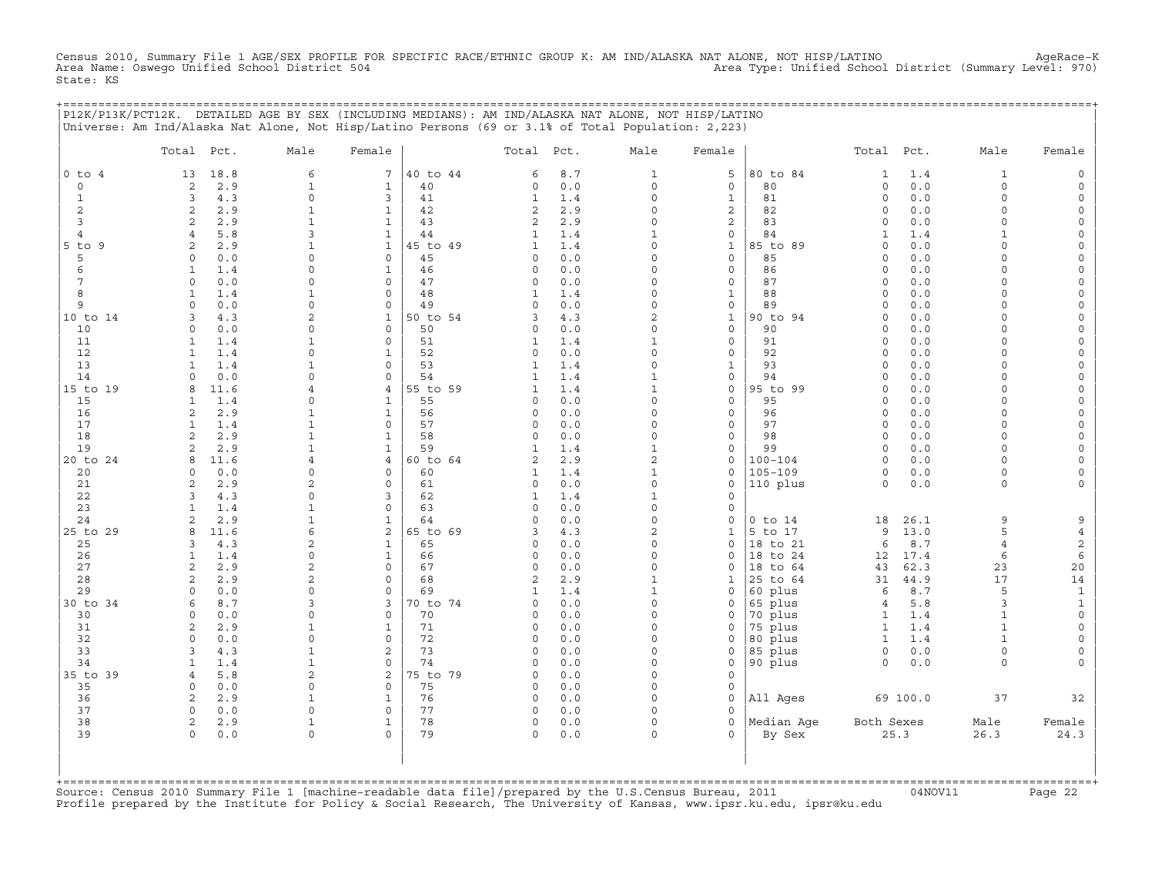Census 2010, Summary File 1 AGE/SEX PROFILE FOR SPECIFIC RACE/ETHNIC GROUP K: AM IND/ALASKA NAT ALONE, NOT HISP/LATINO AgeRace-K<br>Area Name: Oswego Unified School District 504 State: KS

+===================================================================================================================================================+

|                  | Total Pct.     |            | Male                       | Female                      |                | Total Pct.               |            | Male                | Female                             |                | Total Pct.             |            | Male                    | Female                              |
|------------------|----------------|------------|----------------------------|-----------------------------|----------------|--------------------------|------------|---------------------|------------------------------------|----------------|------------------------|------------|-------------------------|-------------------------------------|
| $0$ to $4$       | 13             | 18.8       | 6                          | 7                           | 40 to 44       | 6                        | 8.7        | 1                   | 5                                  | 80 to 84       | 1                      | 1.4        | 1                       | $\circ$                             |
| $\circ$          | 2              | 2.9        | $1\,$                      | $\mathbf{1}$                | 40             | 0                        | 0.0        | $\circ$             | $\mathsf{O}\xspace$                | 80             | $\circ$                | 0.0        | $\circ$                 | $\mathsf{O}\xspace$                 |
| $\mathbf{1}$     | 3              | 4.3        | $\mathsf{O}\xspace$        | 3                           | 41             | $\mathbf{1}$             | 1.4        | $\mathsf{O}\xspace$ | $\mathbf{1}$                       | 81             | $\circ$                | 0.0        | $\mathbf 0$             | $\mathsf{O}$                        |
| $\mathbf{2}$     | $\overline{a}$ | 2.9        | $\mathbf{1}$               | $\mathbf{1}$                | 42             | $\overline{2}$           | 2.9        | 0                   | $\overline{\mathbf{c}}$            | 82             | $\circ$                | 0.0        | $\mathbf 0$             | $\mathsf{O}\xspace$                 |
| $\overline{3}$   | 2              | 2.9        | $\mathbf{1}$               | $\mathbf{1}$                | 43             | $\overline{2}$           | 2.9        | $\Omega$            | $\mathbf{2}$                       | 83             | $\mathbf 0$            | 0.0        | $\Omega$                | $\mathsf O$                         |
| 4                | 4              | 5.8        | 3                          | $\mathbf{1}$                | 44             | 1                        | 1.4        | $\mathbf{1}$        | 0                                  | 84             | 1                      | 1.4        | $\mathbf{1}$            | 0                                   |
| $5$ to<br>9<br>5 | 2<br>0         | 2.9<br>0.0 | 1<br>$\Omega$              | $\mathbf{1}$<br>$\mathbf 0$ | 45 to 49<br>45 | $\mathbf{1}$<br>$\Omega$ | 1.4<br>0.0 | 0<br>$\Omega$       | $\mathbf 1$<br>$\mathbf 0$         | 85 to 89<br>85 | $\circ$<br>$\mathbf 0$ | 0.0<br>0.0 | $\mathbf 0$<br>$\Omega$ | $\mathsf{O}\xspace$<br>$\mathsf{O}$ |
| 6                | $\mathbf{1}$   | 1.4        | $\mathbf 0$                | $\mathbf{1}$                | 46             | 0                        | 0.0        | $\Omega$            | $\mathbb O$                        | 86             | $\circ$                | 0.0        | $\Omega$                | $\mathsf{O}\xspace$                 |
| 7                | $\circ$        | 0.0        | $\Omega$                   | $\mathbf 0$                 | 47             | $\circ$                  | 0.0        | $\Omega$            | $\mathsf{O}\xspace$                | 87             | $\circ$                | 0.0        | $\Omega$                | 0                                   |
| 8                | 1              | 1.4        | $\mathbf{1}$               | $\circ$                     | 48             | 1                        | 1.4        | $\Omega$            | $\mathbf 1$                        | 88             | $\circ$                | 0.0        | $\Omega$                | $\mathsf{O}$                        |
| 9                | $\Omega$       | 0.0        | $\mathbf 0$                | $\mathsf O$                 | 49             | 0                        | 0.0        | 0                   | $\mathsf{O}\xspace$                | 89             | $\circ$                | 0.0        | $\Omega$                | $\mathsf{O}\xspace$                 |
| 10 to 14         | 3              | 4.3        | $\overline{c}$             | $\mathbf{1}$                | 50 to 54       | 3                        | 4.3        | 2                   | $\mathbf{1}$                       | 90 to 94       | $\circ$                | 0.0        | $\Omega$                | 0                                   |
| 10               | $\circ$        | $0.0$      | $\Omega$                   | $\mathsf{O}\xspace$         | 50             | 0                        | 0.0        | $\Omega$            | $\mathsf{O}\xspace$                | 90             | $\circ$                | 0.0        | $\Omega$                | $\mathsf O$                         |
| 11               | $\mathbf{1}$   | 1.4        | $\mathbf{1}$               | $\circ$                     | 51             | $\mathbf 1$              | 1.4        | $\mathbf{1}$        | $\mathsf{O}\xspace$                | 91             | $\circ$                | 0.0        | $\Omega$                | $\mathsf{O}\xspace$                 |
| 12               | $\mathbf{1}$   | 1.4        | $\Omega$                   | $\mathbf{1}$                | 52             | 0                        | 0.0        | $\circ$             | 0                                  | 92             | $\circ$                | 0.0        | $\Omega$                | 0                                   |
| 13               | $\mathbf{1}$   | 1.4        | $\mathbf{1}$               | 0                           | 53             | $\mathbf{1}$             | 1.4        | 0                   | $\mathbf 1$                        | 93             | $\circ$                | 0.0        | $\Omega$                | $\mathsf{O}\xspace$                 |
| 14               | $\Omega$       | 0.0        | $\Omega$                   | $\Omega$                    | 54             | $\mathbf{1}$             | 1.4        | $\mathbf{1}$        | $\mathsf{O}\xspace$                | 94             | $\circ$                | 0.0        | $\Omega$                | $\mathsf{O}\xspace$                 |
| 15 to 19         | 8              | 11.6       | 4                          | $\overline{4}$              | 55 to 59       | $\mathbf 1$              | 1.4        | $\mathbf{1}$        | $\mathbb O$                        | 95 to 99       | $\circ$                | 0.0        | $\Omega$                | $\mathsf{O}\xspace$                 |
| 15               | 1              | 1.4        | $\Omega$                   | $\mathbf{1}$                | 55             | $\Omega$                 | 0.0        | $\Omega$            | $\mathbf 0$                        | 95             | $\circ$                | 0.0        | $\Omega$                | $\mathsf{O}\xspace$                 |
| 16               | 2              | 2.9        | 1                          | $\mathbf{1}$                | 56             | 0                        | 0.0        | $\Omega$            | 0                                  | 96             | $\mathbf 0$            | 0.0        | $\Omega$                | 0                                   |
| 17               | $\mathbf{1}$   | 1.4        | $\mathbf{1}$               | $\mathbf 0$                 | 57             | 0                        | 0.0        | 0                   | $\mathsf{O}\xspace$                | 97             | $\circ$                | 0.0        | $\mathbf 0$             | $\mathsf{O}$                        |
| 18               | 2              | 2.9        | $\mathbf{1}$               | 1                           | 58             | $\circ$                  | 0.0        | $\Omega$            | 0                                  | 98             | $\circ$                | 0.0        | $\Omega$                | 0                                   |
| 19               | 2              | 2.9        | $\mathbf{1}$               | $\mathbf{1}$                | 59             | $\mathbf{1}$             | 1.4        | $\mathbf{1}$        | $\mathsf{O}\xspace$                | 99             | $\circ$                | 0.0        | $\Omega$                | $\mathsf{O}\xspace$                 |
| 20 to 24         | 8              | 11.6       | 4                          | 4                           | 60 to 64       | 2                        | 2.9        | $\mathbf{2}$        | 0                                  | $100 - 104$    | $\circ$                | 0.0        | $\Omega$                | $\mathsf O$                         |
| 20               | $\Omega$       | 0.0        | $\circ$                    | $\circ$<br>$\circ$          | 60             | 1                        | 1.4        | $\mathbf{1}$<br>0   | 0                                  | $105 - 109$    | 0<br>$\circ$           | 0.0        | $\mathbf 0$             | 0                                   |
| 21               | 2<br>3         | 2.9<br>4.3 | $\overline{2}$<br>$\Omega$ | 3                           | 61<br>62       | 0<br>$\mathbf 1$         | 0.0<br>1.4 | $\mathbf{1}$        | $\mathsf{O}\xspace$<br>$\mathbf 0$ | 110 plus       |                        | 0.0        | 0                       | $\mathsf{O}\xspace$                 |
| 22<br>23         | $\mathbf{1}$   | 1.4        | $\mathbf{1}$               | $\mathsf{O}\xspace$         | 63             | 0                        | 0.0        | 0                   | $\mathsf{O}\xspace$                |                |                        |            |                         |                                     |
| 24               | 2              | 2.9        | $\mathbf{1}$               | $\mathbf{1}$                | 64             | $\Omega$                 | 0.0        | $\Omega$            | $\Omega$                           | $0$ to $14$    | 18                     | 26.1       | 9                       | 9                                   |
| 25 to 29         | 8              | 11.6       | 6                          | 2                           | 65 to 69       | 3                        | 4.3        | $\overline{c}$      | $\mathbf{1}$                       | 5 to 17        | 9                      | 13.0       | 5                       | $\overline{4}$                      |
| 25               | 3              | 4.3        | 2                          | $\mathbf{1}$                | 65             | 0                        | 0.0        | $\Omega$            | 0                                  | 18 to 21       | 6                      | 8.7        | $\overline{4}$          | $\mathbf{2}$                        |
| 26               | $\mathbf{1}$   | 1.4        | $\Omega$                   | $\mathbf{1}$                | 66             | $\Omega$                 | 0.0        | $\Omega$            | $\mathbf 0$                        | 18 to 24       | 12                     | 17.4       | 6                       | $\epsilon$                          |
| 27               | $\overline{c}$ | 2.9        | $\overline{2}$             | $\mathsf{O}\xspace$         | 67             | 0                        | 0.0        | $\mathsf{O}\xspace$ | 0                                  | 18<br>to 64    | 43                     | 62.3       | 23                      | $20$                                |
| 28               | 2              | 2.9        | 2                          | $\Omega$                    | 68             | $\overline{2}$           | 2.9        | $\mathbf{1}$        | $\mathbf{1}$                       | 25 to 64       | 31                     | 44.9       | 17                      | $14\,$                              |
| 29               | $\Omega$       | 0.0        | $\Omega$                   | $\circ$                     | 69             | 1                        | 1.4        | $\mathbf{1}$        | 0                                  | 60 plus        | 6                      | 8.7        | 5                       | $\,1\,$                             |
| 30 to 34         | 6              | 8.7        | 3                          | 3                           | 70 to 74       | 0                        | 0.0        | 0                   | 0                                  | 65 plus        | 4                      | 5.8        | 3                       | $\mathbf 1$                         |
| 30               | 0              | 0.0        | $\Omega$                   | $\mathbf 0$                 | 70             | 0                        | 0.0        | $\Omega$            | 0                                  | 70 plus        | 1                      | 1.4        | $\mathbf{1}$            | $\mathsf{O}$                        |
| 31               | 2              | 2.9        | $\mathbf{1}$               | $\mathbf{1}$                | 71             | 0                        | 0.0        | $\Omega$            | $\Omega$                           | 75 plus        | $\mathbf{1}$           | 1.4        | $\mathbf{1}$            | $\mathsf{O}$                        |
| 32               | $\circ$        | 0.0        | $\Omega$                   | $\Omega$                    | 72             | 0                        | 0.0        | $\Omega$            | 0                                  | 80 plus        | $\mathbf{1}$           | 1.4        | $\mathbf{1}$            | 0                                   |
| 33               | 3              | 4.3        | $\mathbf{1}$               | 2                           | 73             | $\circ$                  | 0.0        | $\Omega$            | 0                                  | 85 plus        | $\circ$                | 0.0        | 0                       | 0                                   |
| 34               | $\mathbf{1}$   | 1.4        | $\mathbf{1}$               | $\mathsf{O}\xspace$         | 74             | 0                        | 0.0        | 0                   | $\mathsf{O}\xspace$                | 90 plus        | $\circ$                | 0.0        | 0                       | 0                                   |
| 35 to 39         | $\overline{4}$ | 5.8        | 2                          | 2                           | 75 to 79       | $\Omega$                 | 0.0        | $\Omega$            | $\mathsf{O}\xspace$                |                |                        |            |                         |                                     |
| 35               | $\circ$        | $0.0$      | 0                          | $\mathbf 0$                 | 75             | 0                        | 0.0        | 0                   | $\mathsf{O}\xspace$                |                |                        |            |                         |                                     |
| 36               | 2              | 2.9        | $\mathbf{1}$               | $\mathbf{1}$                | 76             | $\circ$                  | 0.0        | $\Omega$            | $\circ$                            | All Ages       |                        | 69 100.0   | 37                      | 32                                  |
| 37               | $\circ$        | 0.0        | $\Omega$                   | $\mathbf 0$                 | 77             | 0                        | 0.0        | $\circ$             | $\mathbf 0$                        |                |                        |            |                         |                                     |
| 38               | 2              | 2.9        | $1\,$                      | $\mathbf{1}$                | 78             | 0                        | 0.0        | $\mathsf{O}\xspace$ | $\mathbf 0$                        | Median Age     | Both Sexes             |            | Male                    | Female                              |
| 39               | $\circ$        | 0.0        | $\Omega$                   | $\Omega$                    | 79             | 0                        | 0.0        | $\circ$             | $\Omega$                           | By Sex         |                        | 25.3       | 26.3                    | 24.3                                |

+===================================================================================================================================================+Source: Census 2010 Summary File 1 [machine−readable data file]/prepared by the U.S.Census Bureau, 2011 04NOV11 Page 22 Profile prepared by the Institute for Policy & Social Research, The University of Kansas, www.ipsr.ku.edu, ipsr@ku.edu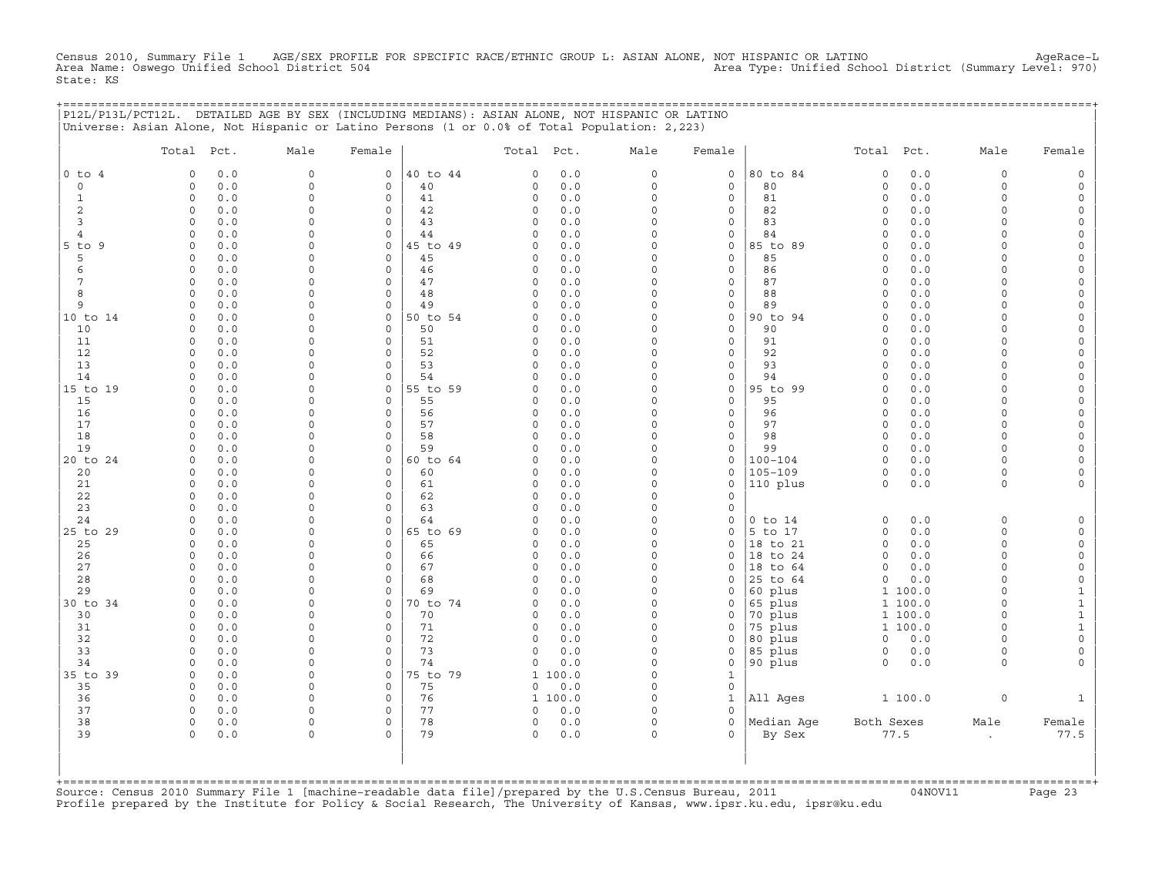Census 2010, Summary File 1 AGE/SEX PROFILE FOR SPECIFIC RACE/ETHNIC GROUP L: ASIAN ALONE, NOT HISPANIC OR LATINO AgeRace−L Area Name: Oswego Unified School District 504 Area Type: Unified School District (Summary Level: 970) State: KS

+===================================================================================================================================================+

|                | P12L/P13L/PCT12L. DETAILED AGE BY SEX (INCLUDING MEDIANS): ASIAN ALONE, NOT HISPANIC OR LATINO<br>Universe: Asian Alone, Not Hispanic or Latino Persons (1 or 0.0% of Total Population: 2,223) |                         |                                     |                |              |              |                                 |                                    |                      |                     |                    |                     |                             |
|----------------|------------------------------------------------------------------------------------------------------------------------------------------------------------------------------------------------|-------------------------|-------------------------------------|----------------|--------------|--------------|---------------------------------|------------------------------------|----------------------|---------------------|--------------------|---------------------|-----------------------------|
|                | Total Pct.                                                                                                                                                                                     | Male                    | Female                              |                | Total        | Pct.         | Male                            | Female                             |                      | Total               | Pct.               | Male                | Female                      |
| $0$ to $4$     | 0.0<br>$\Omega$                                                                                                                                                                                | $\mathsf{O}\xspace$     | 0                                   | 40 to 44       | 0            | 0.0          | 0                               | $\mathsf{O}\xspace$                | 80 to 84             | $\mathbf 0$         | 0.0                | 0                   | $\circ$                     |
| $\circ$        | 0.0<br>$\mathbf 0$                                                                                                                                                                             | $\mathsf{O}\xspace$     | $\mathsf{O}\xspace$                 | 40             | 0            | $0.0$        | 0                               | $\mathsf{O}\xspace$                | 80                   | $\mathsf{O}\xspace$ | $0.0$              | 0                   | $\mathsf{O}\xspace$         |
| $\mathbf{1}$   | 0.0<br>$\circ$                                                                                                                                                                                 | $\Omega$                | $\mathbf 0$                         | 41             | 0            | 0.0          | $\circ$                         | $\mathbf 0$                        | 81                   | $\mathsf{O}\xspace$ | 0.0                | $\circ$             | $\circ$                     |
| 2              | 0.0<br>0                                                                                                                                                                                       | $\mathbf 0$             | $\mathsf{O}\xspace$                 | 42             | 0            | 0.0          | $\mathbf 0$                     | $\mathsf{O}\xspace$                | 82                   | $\mathsf{O}\xspace$ | 0.0                | $\circ$             | $\circ$                     |
| 3              | 0.0<br>$\mathbf 0$                                                                                                                                                                             | $\Omega$                | $\mathbf 0$                         | 43             | 0            | 0.0          | $\Omega$                        | $\mathbf 0$                        | 83                   | $\circ$             | 0.0                | $\circ$             | $\mathsf{O}\xspace$         |
| $\overline{4}$ | $\mathbf 0$<br>0.0                                                                                                                                                                             | $\Omega$<br>$\Omega$    | $\mathbf 0$                         | 44             | $\circ$      | 0.0          | $\mathsf{O}\xspace$<br>$\Omega$ | $\mathbf 0$                        | 84                   | $\mathsf{O}\xspace$ | 0.0                | $\circ$             | $\circ$                     |
| 5 to 9<br>5    | 0.0<br>$\Omega$<br>0.0<br>$\Omega$                                                                                                                                                             | $\Omega$                | $\mathbf{0}$<br>$\mathbf{0}$        | 45 to 49<br>45 | $\circ$<br>0 | 0.0<br>0.0   | $\circ$                         | $\mathbf 0$<br>$\mathbf 0$         | 85 to 89<br>85       | $\circ$<br>$\circ$  | 0.0<br>0.0         | $\circ$<br>$\circ$  | $\mathsf{O}\xspace$<br>0    |
| 6              | $\mathsf O$<br>0.0                                                                                                                                                                             | $\Omega$                | $\mathbf{0}$                        | 46             | 0            | $0.0$        | $\mathbf 0$                     | $\mathsf{O}\xspace$                | 86                   | $\circ$             | 0.0                | 0                   | $\mathsf{O}\xspace$         |
| 7              | $\circ$<br>0.0                                                                                                                                                                                 | $\Omega$                | $\mathbf 0$                         | 47             | $\circ$      | 0.0          | $\Omega$                        | $\mathbf 0$                        | 87                   | $\circ$             | 0.0                | $\circ$             | 0                           |
| 8              | 0.0<br>$\Omega$                                                                                                                                                                                | $\Omega$                | $\mathbf 0$                         | 48             | $\circ$      | 0.0          | $\mathbf 0$                     | $\mathsf{O}\xspace$                | 88                   | $\mathbf 0$         | 0.0                | $\circ$             | $\mathsf{O}\xspace$         |
| 9              | 0.0<br>$\mathbf 0$                                                                                                                                                                             | $\Omega$                | $\mathbf 0$                         | 49             | $\circ$      | 0.0          | $\Omega$                        | $\mathbf 0$                        | 89                   | $\circ$             | 0.0                | $\Omega$            | $\mathsf{O}\xspace$         |
| 10 to 14       | 0.0<br>$\Omega$                                                                                                                                                                                | $\mathbf 0$             | 0                                   | 50 to 54       | 0            | 0.0          | $\mathbf 0$                     | $\mathsf{O}\xspace$                | 90 to 94             | $\mathbf 0$         | 0.0                | $\circ$             | 0                           |
| 10             | 0.0<br>$\Omega$                                                                                                                                                                                | $\Omega$                | $\mathsf{O}\xspace$                 | 50             | 0            | 0.0          | $\mathbf 0$                     | $\mathsf{O}\xspace$                | 90                   | $\mathsf{O}\xspace$ | 0.0                | $\circ$             | $\mathsf{O}\xspace$         |
| 11             | 0.0<br>$\mathbf 0$                                                                                                                                                                             | $\Omega$                | $\mathbf 0$                         | 51             | 0            | 0.0          | $\Omega$                        | $\mathbf 0$                        | 91                   | $\circ$             | 0.0                | $\circ$             | $\mathsf{O}\xspace$         |
| 12             | 0.0<br>$\Omega$                                                                                                                                                                                | $\mathbf 0$             | 0                                   | 52             | 0            | 0.0          | $\mathbf 0$                     | $\mathsf{O}\xspace$                | 92                   | $\mathsf{O}\xspace$ | 0.0                | $\circ$             | $\mathsf{O}\xspace$         |
| 13<br>14       | 0.0<br>$\Omega$<br>$\mathbf 0$<br>0.0                                                                                                                                                          | $\Omega$<br>$\Omega$    | $\Omega$<br>$\mathbf 0$             | 53<br>54       | 0<br>$\circ$ | 0.0<br>0.0   | $\circ$<br>$\mathsf{O}\xspace$  | $\mathbf 0$<br>$\mathsf{O}\xspace$ | 93<br>94             | $\circ$<br>$\circ$  | 0.0<br>0.0         | $\Omega$<br>$\circ$ | 0<br>$\mathbb O$            |
| 15 to 19       | 0.0<br>$\Omega$                                                                                                                                                                                | $\Omega$                | 0                                   | 55 to 59       | 0            | 0.0          | $\Omega$                        | $\mathbf 0$                        | 95 to 99             | $\Omega$            | 0.0                | $\Omega$            | $\mathsf{O}\xspace$         |
| 15             | 0.0<br>$\circ$                                                                                                                                                                                 | $\Omega$                | $\mathbf 0$                         | 55             | 0            | 0.0          | $\circ$                         | $\mathbf 0$                        | 95                   | $\circ$             | 0.0                | $\circ$             | 0                           |
| 16             | 0.0<br>$\circ$                                                                                                                                                                                 | $\mathbf 0$             | $\circ$                             | 56             | 0            | 0.0          | 0                               | $\mathsf{O}\xspace$                | 96                   | $\circ$             | 0.0                | 0                   | $\circ$                     |
| 17             | 0.0<br>$\Omega$                                                                                                                                                                                | $\Omega$                | 0                                   | 57             | 0            | 0.0          | $\mathbf 0$                     | $\mathbf 0$                        | 97                   | $\mathsf{O}\xspace$ | 0.0                | $\Omega$            | $\mathsf{O}\xspace$         |
| 18             | $\Omega$<br>0.0                                                                                                                                                                                | $\Omega$                | $\circ$                             | 58             | $\circ$      | 0.0          | $\Omega$                        | $\mathsf{O}\xspace$                | 98                   | $\circ$             | 0.0                | $\circ$             | $\circ$                     |
| 19             | 0.0<br>$\mathbf 0$                                                                                                                                                                             | $\Omega$                | $\mathbf 0$                         | 59             | $\circ$      | 0.0          | $\Omega$                        | $\mathbf 0$                        | 99                   | $\circ$             | 0.0                | $\circ$             | $\mathsf{O}\xspace$         |
| 20 to 24       | 0.0<br>$\Omega$                                                                                                                                                                                | $\mathbf 0$             | $\mathbf{0}$                        | 60 to 64       | 0            | 0.0          | $\mathbf 0$                     | $\mathbf 0$                        | $100 - 104$          | $\circ$             | 0.0                | $\circ$             | 0                           |
| 20             | $0.0$<br>$\Omega$                                                                                                                                                                              | $\Omega$                | $\mathbf 0$                         | 60             | 0            | 0.0          | $\Omega$                        | $\mathbf 0$                        | $105 - 109$          | $\mathsf{O}\xspace$ | $0.0$              | $\circ$             | $\mathsf{O}\xspace$         |
| 21<br>22       | $\circ$<br>0.0<br>0.0<br>$\Omega$                                                                                                                                                              | $\Omega$<br>$\Omega$    | $\mathsf{O}\xspace$<br>$\mathbf{0}$ | 61<br>62       | 0<br>0       | 0.0<br>0.0   | $\mathbf 0$<br>$\mathbf 0$      | $\mathbf 0$<br>$\mathsf{O}\xspace$ | 110 plus             | $\mathsf{O}\xspace$ | 0.0                | 0                   | 0                           |
| 23             | 0.0<br>$\Omega$                                                                                                                                                                                | $\Omega$                | $\Omega$                            | 63             | 0            | 0.0          | $\Omega$                        | $\mathbf 0$                        |                      |                     |                    |                     |                             |
| 24             | $\Omega$<br>0.0                                                                                                                                                                                | $\Omega$                | 0                                   | 64             | $\circ$      | 0.0          | $\mathbf 0$                     | $\mathsf{O}\xspace$                | $0$ to $14$          | $\mathbf 0$         | 0.0                | 0                   | $\mathsf O$                 |
| 25 to 29       | 0.0<br>$\Omega$                                                                                                                                                                                | $\Omega$                | $\mathbf{0}$                        | 65 to 69       | 0            | 0.0          | $\circ$                         | $\mathbf 0$                        | 5 to 17              | $\circ$             | 0.0                | $\circ$             | $\mathsf{O}\xspace$         |
| 25             | 0.0<br>$\Omega$                                                                                                                                                                                | $\Omega$                | $\mathbf{0}$                        | 65             | 0            | 0.0          | $\Omega$                        | $\mathbf 0$                        | 18 to 21             | $\circ$             | 0.0                | $\circ$             | $\mathsf{O}\xspace$         |
| 26             | $\mathbf 0$<br>0.0                                                                                                                                                                             | $\mathbf 0$             | $\mathsf{O}\xspace$                 | 66             | 0            | 0.0          | $\mathbf 0$                     | $\mathsf{O}$                       | 18 to 24             | $\mathbb O$         | 0.0                | 0                   | $\mathsf{O}\xspace$         |
| 27             | 0.0<br>$\Omega$                                                                                                                                                                                | $\Omega$                | $\mathbf 0$                         | 67             | 0            | 0.0          | $\circ$                         | $\mathbf 0$                        | 18 to 64             | $\circ$             | 0.0                | $\circ$             | $\circ$                     |
| 28             | 0.0<br>$\circ$                                                                                                                                                                                 | $\Omega$                | $\mathbf 0$                         | 68             | $\circ$      | 0.0          | $\Omega$                        | $\Omega$                           | 25 to 64             | $\mathsf{O}\xspace$ | 0.0                | $\circ$             | $\mathbb O$                 |
| 29             | $\Omega$<br>0.0                                                                                                                                                                                | $\Omega$                | $\circ$                             | 69             | 0            | 0.0          | $\Omega$                        | $\mathbf 0$                        | 60 plus              |                     | 1 100.0            | $\circ$             | $\mathbf{1}$                |
| 30 to 34<br>30 | $\circ$<br>0.0<br>0.0<br>$\Omega$                                                                                                                                                              | $\Omega$<br>$\Omega$    | $\mathbf 0$<br>$\circ$              | 70 to 74<br>70 | 0<br>0       | 0.0<br>0.0   | $\circ$<br>$\Omega$             | $\mathbf 0$<br>$\mathsf{O}$        | 65 plus<br>70 plus   |                     | 1 100.0<br>1 100.0 | $\circ$<br>$\Omega$ | $\mathbf 1$<br>$\mathbf{1}$ |
| 31             | $\Omega$<br>0.0                                                                                                                                                                                | $\Omega$                | $\mathbf 0$                         | 71             | 0            | 0.0          | $\mathbf 0$                     | $\mathbf 0$                        | 75 plus              | $\mathbf{1}$        | 100.0              | $\circ$             | $\mathbf 1$                 |
| 32             | $\circ$<br>$0.0$                                                                                                                                                                               | $\Omega$                | $\mathbf 0$                         | 72             | 0            | $0.0$        | $\mathsf{O}\xspace$             | $\mathbf 0$                        | 80 plus              | $\mathsf O$         | 0.0                | $\circ$             | $\circ$                     |
| 33             | 0.0<br>$\Omega$                                                                                                                                                                                | $\Omega$                | $\mathbf 0$                         | 73             | $\circ$      | 0.0          | $\Omega$                        | $\mathbf 0$                        | 85 plus              | $\circ$             | 0.0                | $\circ$             | $\mathsf{O}\xspace$         |
| 34             | 0.0<br>$\Omega$                                                                                                                                                                                | $\Omega$                | $\mathbf 0$                         | 74             | $\circ$      | 0.0          | $\mathbf 0$                     | $\mathsf{O}\xspace$                | 90 plus              | $\mathsf O$         | 0.0                | 0                   | $\circ$                     |
| 35 to 39       | $\Omega$<br>0.0                                                                                                                                                                                | $\Omega$                | $\mathbf 0$                         | 75 to 79       | $\mathbf{1}$ | 100.0        | $\Omega$                        | $\mathbf{1}$                       |                      |                     |                    |                     |                             |
| 35             | $\circ$<br>0.0                                                                                                                                                                                 | 0                       | $\mathsf{O}$                        | 75             | 0            | 0.0          | $\mathbf 0$                     | $\mathbf 0$                        |                      |                     |                    |                     |                             |
| 36             | $\Omega$<br>0.0                                                                                                                                                                                | $\Omega$                | $\mathbf{0}$                        | 76             |              | 1 100.0      | $\mathbf 0$                     | $\mathbf{1}$                       | All Ages             |                     | 1 100.0            | 0                   | $\mathbf{1}$                |
| 37             | $\circ$<br>0.0                                                                                                                                                                                 | $\mathbf 0$             | $\mathbf{0}$                        | 77             | 0            | 0.0          | $\Omega$                        | $\Omega$                           |                      |                     |                    |                     |                             |
| 38<br>39       | 0.0<br>0<br>0.0<br>$\Omega$                                                                                                                                                                    | $\mathbf 0$<br>$\Omega$ | 0<br>$\Omega$                       | 78<br>79       | 0<br>$\circ$ | $0.0$<br>0.0 | $\mathbf 0$<br>$\Omega$         | $\mathbf 0$<br>$\Omega$            | Median Age<br>By Sex | Both Sexes          |                    | Male                | Female<br>77.5              |
|                |                                                                                                                                                                                                |                         |                                     |                |              |              |                                 |                                    |                      |                     | 77.5               | $\epsilon$          |                             |
|                |                                                                                                                                                                                                |                         |                                     |                |              |              |                                 |                                    |                      |                     |                    |                     |                             |

+===================================================================================================================================================+Source: Census 2010 Summary File 1 [machine−readable data file]/prepared by the U.S.Census Bureau, 2011 04NOV11 Page 23 Profile prepared by the Institute for Policy & Social Research, The University of Kansas, www.ipsr.ku.edu, ipsr@ku.edu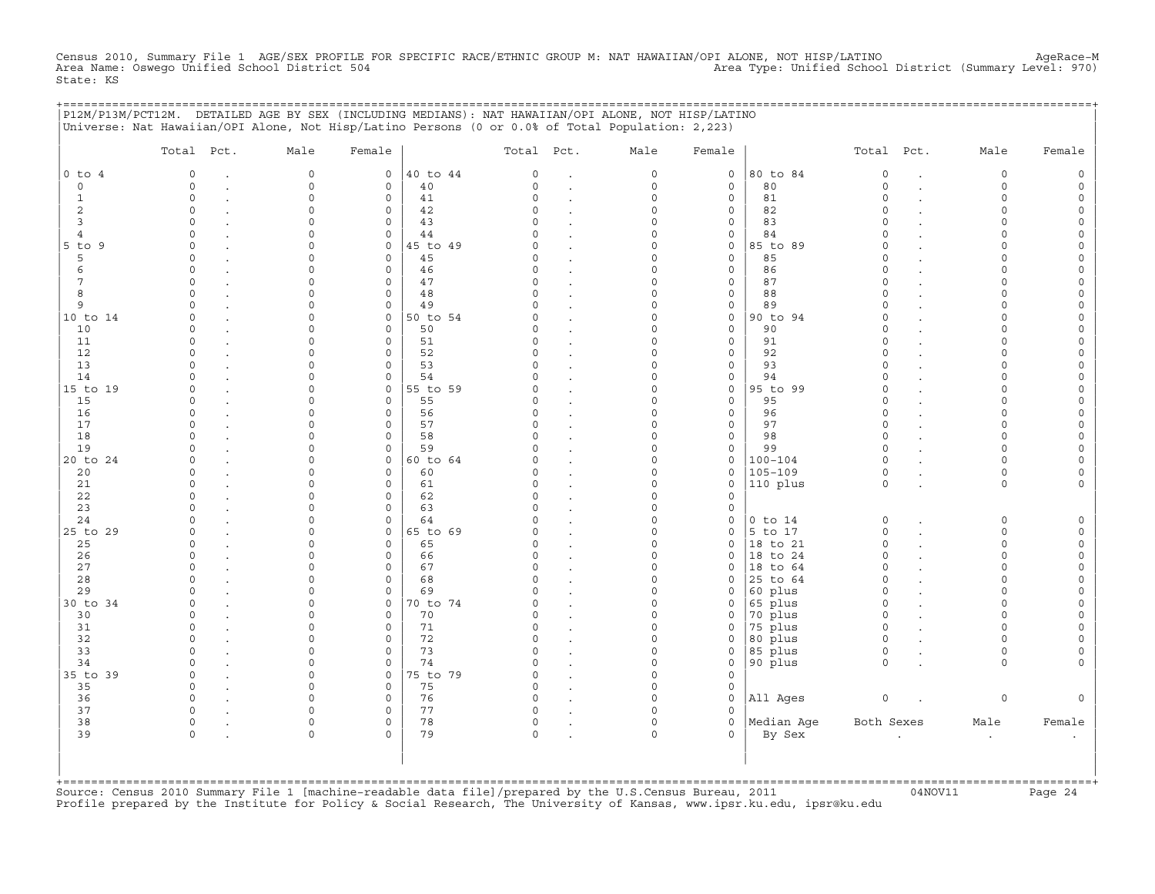Census 2010, Summary File 1 AGE/SEX PROFILE FOR SPECIFIC RACE/ETHNIC GROUP M: NAT HAWAIIAN/OPI ALONE, NOT HISP/LATINO<br>Area Name: Oswego Unified School District 504 State: KS

|                     | P12M/P13M/PCT12M. DETAILED AGE BY SEX (INCLUDING MEDIANS): NAT HAWAIIAN/OPI ALONE, NOT HISP/LATINO<br>Universe: Nat Hawaiian/OPI Alone, Not Hisp/Latino Persons (0 or 0.0% of Total Population: 2,223) |             |                                         |                      |                                   |                      |               | ======================== |                      |             |        |
|---------------------|--------------------------------------------------------------------------------------------------------------------------------------------------------------------------------------------------------|-------------|-----------------------------------------|----------------------|-----------------------------------|----------------------|---------------|--------------------------|----------------------|-------------|--------|
|                     | Total Pct.                                                                                                                                                                                             | Male        | Female                                  | Total Pct.           |                                   | Male                 | Female        |                          | Total Pct.           | Male        | Female |
| $0$ to $4$          | $\circ$                                                                                                                                                                                                | $\mathbf 0$ | $\circ$                                 | 40 to 44<br>$\circ$  | $\bullet$                         | 0                    | $\mathsf{O}$  | 80 to 84                 | $\circ$              | $\circ$     |        |
| $\mathbf 0$         | $\circ$                                                                                                                                                                                                | $\circ$     | 40<br>0                                 | $\circ$              | $\bullet$                         | $\circ$              | $\mathbf 0$   | 80                       | $\circ$              | $\circ$     |        |
| 1                   | $\Omega$                                                                                                                                                                                               | $\Omega$    | $\mathbf 0$<br>41                       | $\Omega$             |                                   | $\Omega$             | 0             | 81                       | $\Omega$             | $\Omega$    |        |
| 2                   | $\Omega$                                                                                                                                                                                               | $\Omega$    | $\mathsf{O}$<br>42                      | 0                    |                                   | $\Omega$             | 0             | 82                       | $\Omega$             | $\Omega$    |        |
| 3<br>$\overline{4}$ | $\Omega$<br>$\cap$                                                                                                                                                                                     |             | 43<br>$\mathbf 0$<br>$\mathsf{O}$<br>44 |                      |                                   | $\Omega$<br>0        | 0<br>0        | 83<br>84                 | $\Omega$<br>$\cap$   | ∩<br>$\cap$ |        |
| 5 to 9              | $\cap$                                                                                                                                                                                                 |             | $\mathsf{O}$                            | 45 to 49             |                                   | $\Omega$             | 0             | 85 to 89                 | $\Omega$             |             |        |
| 5                   | $\Omega$                                                                                                                                                                                               |             | 45<br>$\Omega$                          | O.                   | $\cdot$                           | $\Omega$             | 0             | 85                       | $\Omega$             |             |        |
| 6                   | $\Omega$                                                                                                                                                                                               |             | 46<br>$\mathbf{0}$                      | O                    |                                   | $\Omega$             | 0             | 86                       | $\Omega$             | $\cap$      |        |
| 7                   | $\Omega$                                                                                                                                                                                               | $\cap$      | $\mathbf 0$<br>47                       | $\Omega$             | $\ddot{\phantom{a}}$              | $\Omega$             | 0             | 87                       | $\Omega$             | $\cap$      |        |
| 8                   | $\Omega$                                                                                                                                                                                               | $\Omega$    | $\mathbf 0$<br>48                       | $\Omega$             | $\ddot{\phantom{a}}$              | $\Omega$             | $\mathbf 0$   | 88                       | $\Omega$             | $\Omega$    |        |
| 9                   | $\Omega$                                                                                                                                                                                               | $\Omega$    | 49<br>0                                 | O                    | $\cdot$                           | $\Omega$             | 0             | 89                       | $\Omega$             | $\Omega$    |        |
| 10 to 14            | $\Omega$                                                                                                                                                                                               | $\Omega$    | $\mathbf 0$                             | 50 to 54             |                                   | $\Omega$             | 0             | 90 to 94                 | $\Omega$             | $\Omega$    |        |
| 10                  | $\circ$                                                                                                                                                                                                | $\Omega$    | 0<br>50                                 | 0                    |                                   | $\Omega$             | 0             | 90                       | $\Omega$             | $\cap$      |        |
| 11                  | $\Omega$                                                                                                                                                                                               |             | 51<br>0                                 | U                    | $\ddot{\phantom{a}}$              | 0                    | 0             | 91                       | $\Omega$             | $\cap$      |        |
| 12<br>13            |                                                                                                                                                                                                        |             | 52<br>$\Omega$<br>53<br>0               |                      |                                   | $\Omega$<br>$\Omega$ | $\Omega$<br>0 | 92<br>93                 | $\Omega$<br>$\Omega$ |             |        |
| 14                  |                                                                                                                                                                                                        | ∩           | $\mathbf 0$<br>54                       | U                    |                                   | $\Omega$             | 0             | 94                       | $\Omega$             | ∩           |        |
| 15 to 19            | $\Omega$                                                                                                                                                                                               | $\Omega$    | $\mathbf{0}$                            | 55 to 59             | $\ddot{\phantom{a}}$              | $\Omega$             | 0             | 95 to 99                 | $\Omega$             | $\cap$      |        |
| 15                  | $\Omega$                                                                                                                                                                                               | $\Omega$    | $\mathbf 0$<br>55                       | $\Omega$             | $\ddot{\phantom{a}}$              | $\Omega$             | $\mathbf 0$   | 95                       | $\Omega$             | $\Omega$    |        |
| 16                  | $\Omega$                                                                                                                                                                                               | $\Omega$    | 56<br>$\mathbf 0$                       | O                    |                                   | $\Omega$             | $\mathbf 0$   | 96                       | $\circ$              | $\Omega$    |        |
| 17                  | $\Omega$                                                                                                                                                                                               | $\Omega$    | 57<br>$\mathbf 0$                       |                      |                                   | $\Omega$             | 0             | 97                       | $\Omega$             | $\Omega$    |        |
| 18                  | $\Omega$                                                                                                                                                                                               | $\Omega$    | 58<br>$\mathbf 0$                       | O                    |                                   | $\Omega$             | 0             | 98                       | $\Omega$             | $\cap$      |        |
| 19                  | $\Omega$                                                                                                                                                                                               | $\Omega$    | 59<br>$\mathsf{O}$                      | 0                    |                                   | $\Omega$             | 0             | 99                       | $\Omega$             | $\Omega$    |        |
| 20 to 24            | $\Omega$                                                                                                                                                                                               |             | $\mathbf{0}$                            | 60 to 64             | $\ddot{\phantom{a}}$              | 0                    | 0             | $100 - 104$              | $\Omega$             | $\cap$      |        |
| 20                  | $\cap$                                                                                                                                                                                                 |             | $\Omega$<br>60                          |                      |                                   | $\Omega$             | 0             | $105 - 109$              | $\Omega$             | $\Omega$    |        |
| 21                  | $\cap$                                                                                                                                                                                                 |             | $\mathbf 0$<br>61                       | O                    |                                   | $\Omega$             | 0             | 110 plus                 | $\Omega$             | $\Omega$    |        |
| 22<br>23            | ∩<br>$\Omega$                                                                                                                                                                                          |             | 62<br>0<br>63<br>$\mathbf 0$            | O<br>O               | $\ddot{\phantom{a}}$              | $\Omega$<br>0        | $\Omega$<br>0 |                          |                      |             |        |
| 24                  |                                                                                                                                                                                                        |             | $\mathbf 0$<br>64                       |                      |                                   | $\Omega$             | 0             | $0$ to $14$              | $\circ$              | $\Omega$    |        |
| 25 to 29            | $\Omega$                                                                                                                                                                                               | $\Omega$    | $\mathsf{O}$                            | 65 to 69<br>O        |                                   | $\Omega$             | 0             | 5 to 17                  | 0                    | $\Omega$    |        |
| 25                  | $\Omega$                                                                                                                                                                                               | $\Omega$    | $\mathbf 0$<br>65                       | 0                    |                                   | 0                    | 0             | 18 to 21                 | $\Omega$             | $\Omega$    |        |
| 26                  | $\cap$                                                                                                                                                                                                 | $\cap$      | $\mathbf 0$<br>66                       | U                    |                                   | $\Omega$             | $\mathbf 0$   | 18 to 24                 | $\Omega$             | $\cap$      |        |
| 27                  | $\Omega$                                                                                                                                                                                               | $\Omega$    | $\mathbf 0$<br>67                       | $\Omega$             | $\overline{a}$                    | $\Omega$             | $\mathbf 0$   | 18 to 64                 | $\circ$              | $\Omega$    |        |
| 28                  |                                                                                                                                                                                                        |             | 68<br>0                                 |                      |                                   | $\Omega$             | $\Omega$      | 25 to 64                 | $\Omega$             | $\Omega$    |        |
| 29                  | $\cap$                                                                                                                                                                                                 | $\cap$      | $\mathbf 0$<br>69                       |                      |                                   | $\Omega$             | $\Omega$      | 60 plus                  | $\Omega$             | $\cap$      |        |
| 30 to 34            | $\Omega$                                                                                                                                                                                               | $\Omega$    | 0                                       | 70 to 74<br>O        |                                   | 0                    | 0             | 65 plus                  | $\circ$              | $\cap$      |        |
| 30                  | $\Omega$<br>$\Omega$                                                                                                                                                                                   |             | 70<br>0<br>$\mathbf 0$                  | O                    | $\bullet$                         | $\Omega$<br>$\Omega$ | 0<br>$\Omega$ | 70 plus<br>75 plus       | $\circ$<br>$\Omega$  | $\Omega$    |        |
| 31<br>32            | $\Omega$                                                                                                                                                                                               | $\Omega$    | 71<br>72<br>0                           | 0                    | $\bullet$                         | $\Omega$             | 0             | 80 plus                  | $\Omega$             | $\Omega$    |        |
| 33                  | $\Omega$                                                                                                                                                                                               | $\cap$      | 73<br>$\mathbf 0$                       | $\Omega$             |                                   | $\Omega$             | 0             | 85 plus                  | 0                    | $\Omega$    |        |
| 34                  | $\Omega$                                                                                                                                                                                               | $\cap$      | 0<br>74                                 | O                    | $\bullet$<br>$\ddot{\phantom{a}}$ | $\Omega$             | 0             | 90 plus                  | $\Omega$             | $\Omega$    |        |
| 35 to 39            | $\Omega$                                                                                                                                                                                               | $\Omega$    | $\mathbf 0$                             | 75 to 79<br>$\Omega$ | $\sim$                            | $\Omega$             | $\Omega$      |                          |                      |             |        |
| 35                  | $\Omega$                                                                                                                                                                                               | $\Omega$    | 75<br>0                                 | $\Omega$             |                                   | $\Omega$             | 0             |                          |                      |             |        |
| 36                  | $\Omega$                                                                                                                                                                                               | ∩           | 76<br>0                                 | $\Omega$             |                                   | $\Omega$             | 0             | All Ages                 | 0                    | $\circ$     |        |
| 37                  | $\Omega$                                                                                                                                                                                               | $\cap$      | 77<br>0                                 | $\Omega$             |                                   | $\Omega$             | $\Omega$      |                          |                      |             |        |
| 38                  | $\circ$                                                                                                                                                                                                | $\Omega$    | $\mathsf{O}$<br>78                      | 0                    |                                   | $\Omega$             | 0             | Median Aqe               | Both Sexes           | Male        | Female |
| 39                  | $\Omega$                                                                                                                                                                                               | $\Omega$    | 79<br>$\Omega$                          | 0                    |                                   | $\Omega$             | 0             | By Sex                   |                      | $\cdot$     |        |
|                     |                                                                                                                                                                                                        |             |                                         |                      |                                   |                      |               |                          |                      |             |        |
|                     |                                                                                                                                                                                                        |             |                                         |                      |                                   |                      |               |                          |                      |             |        |
| +===========        |                                                                                                                                                                                                        |             |                                         |                      |                                   |                      |               |                          |                      |             |        |

+===================================================================================================================================================+Source: Census 2010 Summary File 1 [machine−readable data file]/prepared by the U.S.Census Bureau, 2011 04NOV11 Page 24 Profile prepared by the Institute for Policy & Social Research, The University of Kansas, www.ipsr.ku.edu, ipsr@ku.edu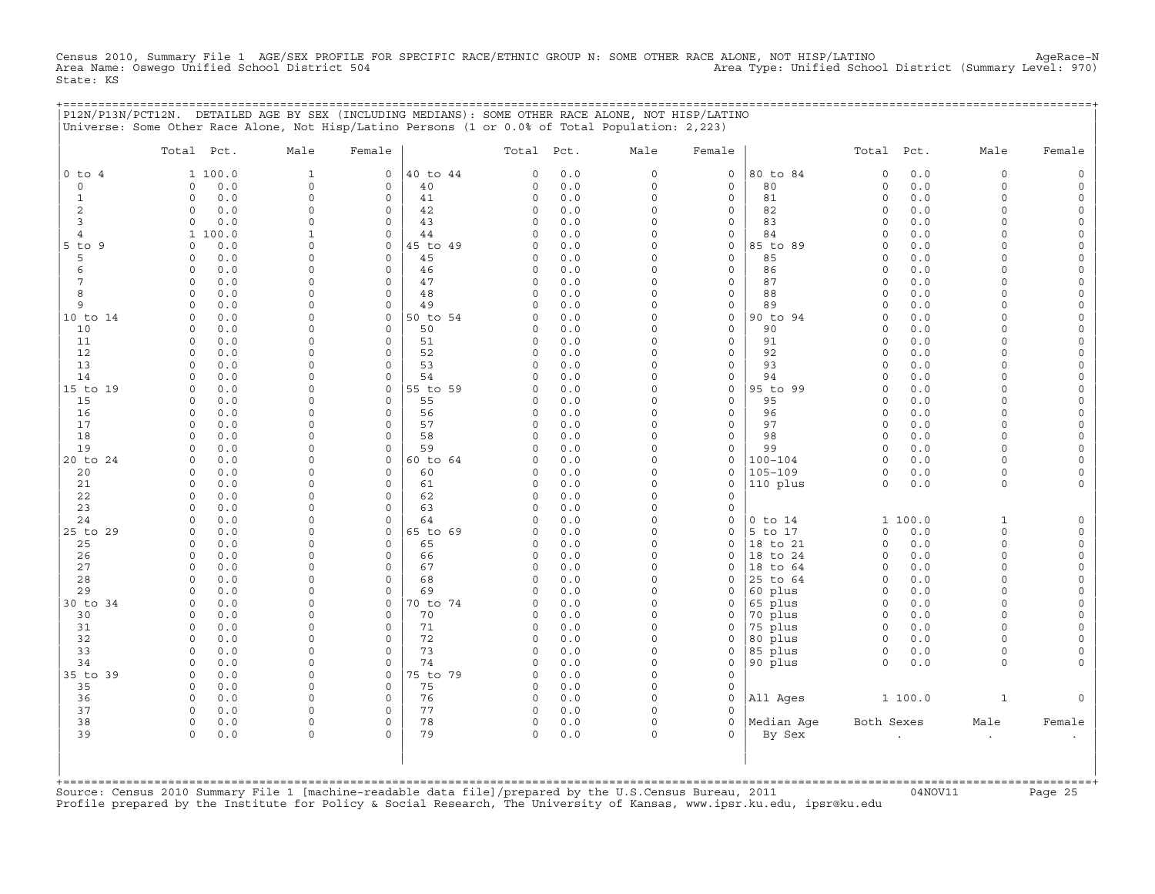Census 2010, Summary File 1 AGE/SEX PROFILE FOR SPECIFIC RACE/ETHNIC GROUP N: SOME OTHER RACE ALONE, NOT HISP/LATINO<br>Area Name: Oswego Unified School District 504 Parea Name: Oswego Unified School District (Summary Level: State: KS

+===================================================================================================================================================+

|                | P12N/P13N/PCT12N. DETAILED AGE BY SEX (INCLUDING MEDIANS): SOME OTHER RACE ALONE, NOT HISP/LATINO<br>Universe: Some Other Race Alone, Not Hisp/Latino Persons (1 or 0.0% of Total Population: 2,223) |                      |                                 |                |               |            |                         |                            |                    |                     |            |                      |                                    |
|----------------|------------------------------------------------------------------------------------------------------------------------------------------------------------------------------------------------------|----------------------|---------------------------------|----------------|---------------|------------|-------------------------|----------------------------|--------------------|---------------------|------------|----------------------|------------------------------------|
|                | Total Pct.                                                                                                                                                                                           | Male                 | Female                          |                | Total Pct.    |            | Male                    | Female                     |                    | Total               | Pct.       | Male                 | Female                             |
| $0$ to $4$     | 1 100.0                                                                                                                                                                                              | $1\,$                | $\mathbf 0$                     | 40 to 44       | 0             | 0.0        | $\mathbf 0$             | $\mathsf{O}$               | 80 to 84           | $\mathbf 0$         | $0.0$      | 0                    | $\mathsf O$                        |
| 0              | 0.0<br>0                                                                                                                                                                                             | $\mathbf 0$          | $\mathsf{O}\xspace$             | 40             | 0             | 0.0        | $\mathsf O$             | $\mathsf{O}\xspace$        | 80                 | $\mathsf{O}\xspace$ | 0.0        | 0                    | $\mathsf{O}\xspace$                |
| $\mathbf{1}$   | 0.0<br>$\Omega$                                                                                                                                                                                      | $\Omega$             | $\mathbf 0$                     | 41             | 0             | 0.0        | $\Omega$                | $\mathbf 0$                | 81                 | $\circ$             | 0.0        | $\Omega$             | $\mathsf{O}$                       |
| 2              | 0.0<br>0                                                                                                                                                                                             | $\Omega$             | $\mathbf 0$                     | 42             | 0             | 0.0        | $\Omega$                | $\mathbf 0$                | 82                 | $\circ$             | 0.0        | $\Omega$             | $\mathsf{O}$                       |
| 3              | 0.0<br>$\circ$                                                                                                                                                                                       | $\Omega$             | $\mathbf 0$                     | 43             | 0             | 0.0        | $\mathbf 0$             | $\mathbf 0$                | 83                 | $\circ$             | 0.0        | $\Omega$             | $\mathsf{O}\xspace$                |
| $\overline{4}$ | 1 100.0                                                                                                                                                                                              | 1                    | $\mathbf 0$                     | 44             | 0             | 0.0        | $\Omega$                | $\mathsf{O}$               | 84                 | $\circ$             | 0.0        | $\circ$              | $\mathsf{O}\xspace$                |
| 5 to 9<br>5    | 0.0<br>$\Omega$<br>0.0<br><sup>0</sup>                                                                                                                                                               | $\Omega$<br>$\Omega$ | $\mathbf 0$<br>$\mathbf 0$      | 45 to 49<br>45 | C)<br>0       | 0.0<br>0.0 | $\Omega$<br>$\Omega$    | $\mathbf 0$<br>$\mathbf 0$ | 85 to 89<br>85     | $\circ$<br>$\circ$  | 0.0<br>0.0 | $\Omega$<br>$\Omega$ | $\circ$<br>0                       |
| 6              | 0.0<br>$\circ$                                                                                                                                                                                       | $\Omega$             | $\mathbf 0$                     | 46             | 0             | 0.0        | $\Omega$                | $\mathbf 0$                | 86                 | $\circ$             | 0.0        | $\Omega$             | $\mathsf{O}\xspace$                |
| 7              | 0.0<br>0                                                                                                                                                                                             | $\Omega$             | 0                               | 47             | 0             | 0.0        | $\mathbf 0$             | $\mathsf{O}$               | 87                 | $\circ$             | 0.0        | $\circ$              | 0                                  |
| 8              | 0.0<br>$\Omega$                                                                                                                                                                                      | $\Omega$             | $\mathbf 0$                     | 48             | $\Omega$      | 0.0        | $\Omega$                | $\mathbf 0$                | 88                 | $\circ$             | 0.0        | $\Omega$             | $\mathbf 0$                        |
| 9              | 0.0<br>$\circ$                                                                                                                                                                                       | $\Omega$             | $\mathbf 0$                     | 49             | 0             | 0.0        | $\Omega$                | $\mathbf 0$                | 89                 | $\mathbf 0$         | 0.0        | 0                    | $\mathsf{O}$                       |
| 10 to 14       | 0.0<br>$\Omega$                                                                                                                                                                                      | $\Omega$             | 0                               | 50 to 54       | 0             | 0.0        | $\mathbf 0$             | $\mathsf O$                | 90 to 94           | $\Omega$            | 0.0        | $\Omega$             | $\mathsf{O}\xspace$                |
| 10             | 0.0<br>$\Omega$                                                                                                                                                                                      | $\cap$               | $\Omega$                        | 50             | $\Omega$      | 0.0        | $\Omega$                | $\Omega$                   | 90                 | $\Omega$            | 0.0        | $\Omega$             | 0                                  |
| 11             | $\circ$<br>0.0                                                                                                                                                                                       | $\Omega$             | $\mathbf 0$                     | 51             | 0             | 0.0        | $\Omega$                | $\mathbf 0$                | 91                 | $\circ$             | 0.0        | $\Omega$             | $\mathsf{O}\xspace$                |
| 12             | 0.0<br>$\Omega$                                                                                                                                                                                      | 0                    | 0                               | 52             | 0             | 0.0        | $\Omega$                | $\mathsf{O}$               | 92                 | $\Omega$            | 0.0        | $\Omega$             | 0                                  |
| 13             | $\Omega$<br>0.0                                                                                                                                                                                      | $\Omega$             | $\mathbf 0$                     | 53             | $\Omega$      | 0.0        | $\Omega$                | $\mathbf 0$                | 93                 | $\circ$             | 0.0        | $\Omega$             | 0                                  |
| 14             | $\circ$<br>0.0                                                                                                                                                                                       | $\Omega$             | $\mathbf 0$                     | 54             | $\Omega$      | 0.0        | $\Omega$                | $\mathbf 0$                | 94                 | $\circ$             | 0.0        | $\Omega$             | $\mathbf 0$                        |
| 15 to 19       | 0.0<br>$\Omega$                                                                                                                                                                                      | $\Omega$             | $\mathbf 0$                     | 55 to 59       | C)            | 0.0        | $\Omega$                | $\mathbf 0$                | 95 to 99           | $\circ$             | 0.0        | $\Omega$             | 0                                  |
| 15             | 0.0<br>$\Omega$                                                                                                                                                                                      | $\Omega$             | $\Omega$                        | 55             | $\Omega$      | 0.0        | $\Omega$                | $\mathbf 0$                | 95                 | $\circ$             | 0.0        | $\Omega$             | $\mathsf{O}\xspace$                |
| 16             | $\Omega$<br>0.0<br>$\Omega$                                                                                                                                                                          | 0<br>$\Omega$        | $\mathsf{O}\xspace$<br>$\Omega$ | 56<br>57       | 0             | 0.0        | $\mathbf 0$<br>$\Omega$ | $\mathsf{O}\xspace$        | 96<br>97           | $\circ$<br>$\Omega$ | 0.0        | $\Omega$<br>$\Omega$ | 0                                  |
| 17<br>18       | 0.0<br>0.0<br>$\Omega$                                                                                                                                                                               | $\Omega$             | $\mathbf 0$                     | 58             | 0<br>$\Omega$ | 0.0<br>0.0 | $\Omega$                | $\mathbf 0$<br>$\mathbf 0$ | 98                 | $\circ$             | 0.0<br>0.0 | $\Omega$             | $\mathbf 0$<br>$\mathsf O$         |
| 19             | 0.0<br>$\Omega$                                                                                                                                                                                      | 0                    | $\Omega$                        | 59             | $\Omega$      | 0.0        | $\mathbf 0$             | $\mathsf{O}\xspace$        | 99                 | $\circ$             | 0.0        | $\Omega$             | $\mathsf{O}\xspace$                |
| 20 to 24       | 0.0<br>0                                                                                                                                                                                             | $\Omega$             | 0                               | 60 to 64       | 0             | 0.0        | $\Omega$                | $\mathbf 0$                | $100 - 104$        | $\circ$             | 0.0        | 0                    | 0                                  |
| 20             | 0.0<br>$\Omega$                                                                                                                                                                                      | $\Omega$             | $\mathbf 0$                     | 60             | 0             | 0.0        | $\Omega$                | $\mathbf 0$                | $105 - 109$        | $\circ$             | 0.0        | $\circ$              | $\mathbf 0$                        |
| 21             | 0.0<br>$\Omega$                                                                                                                                                                                      | $\Omega$             | $\mathbf 0$                     | 61             | 0             | 0.0        | $\Omega$                | $\mathbf 0$                | 110 plus           | $\circ$             | 0.0        | $\circ$              | 0                                  |
| 22             | 0.0<br>$\circ$                                                                                                                                                                                       | $\Omega$             | $\mathbf 0$                     | 62             | 0             | 0.0        | $\Omega$                | $\mathbf 0$                |                    |                     |            |                      |                                    |
| 23             | 0.0<br>$\Omega$                                                                                                                                                                                      | $\Omega$             | 0                               | 63             | 0             | 0.0        | $\mathbf 0$             | $\mathsf{O}$               |                    |                     |            |                      |                                    |
| 24             | 0.0<br>$\Omega$                                                                                                                                                                                      | $\Omega$             | $\Omega$                        | 64             | $\Omega$      | 0.0        | $\Omega$                | $\mathbf 0$                | $0$ to $14$        |                     | 1 100.0    | $\mathbf{1}$         | $\mathsf{O}$                       |
| 25 to 29       | 0.0<br>$\mathbf 0$                                                                                                                                                                                   | $\Omega$             | $\mathbf 0$                     | 65 to 69       | 0             | 0.0        | $\Omega$                | $\mathbf 0$                | 5 to 17            | $\Omega$            | 0.0        | $\circ$              | $\mathsf{O}$                       |
| 25             | 0.0<br>$\Omega$                                                                                                                                                                                      | $\Omega$             | 0                               | 65             | 0             | 0.0        | $\Omega$                | $\mathbf 0$                | 18 to 21           | $\mathbf 0$         | 0.0        | $\circ$              | $\mathsf O$                        |
| 26             | 0.0<br>$\Omega$                                                                                                                                                                                      | $\cap$               | $\Omega$                        | 66             | $\Omega$      | 0.0        | $\Omega$                | $\Omega$                   | 18 to 24           | $\Omega$            | 0.0        | $\Omega$             | $\mathbf 0$                        |
| 27             | 0.0<br>$\circ$                                                                                                                                                                                       | $\Omega$             | $\mathbf 0$                     | 67             | 0             | 0.0        | $\Omega$                | $\mathbf 0$                | 18 to 64           | $\circ$             | 0.0        | $\circ$              | 0                                  |
| 28             | 0.0<br>$\Omega$                                                                                                                                                                                      | 0                    | $\mathbf 0$                     | 68             | 0             | 0.0        | $\Omega$                | $\Omega$                   | 25 to 64           | $\circ$             | 0.0        | $\Omega$             | $\mathsf{O}\xspace$                |
| 29             | 0.0<br>$\Omega$<br>$\Omega$                                                                                                                                                                          | $\Omega$<br>$\Omega$ | $\Omega$<br>$\Omega$            | 69             | $\Omega$      | 0.0        | $\Omega$<br>$\Omega$    | $\mathbf 0$                | 60 plus            | $\circ$<br>$\circ$  | 0.0        | $\Omega$<br>$\Omega$ | $\mathsf{O}\xspace$<br>$\mathbf 0$ |
| 30 to 34<br>30 | 0.0<br>0.0<br>$\Omega$                                                                                                                                                                               | $\Omega$             | $\mathbf 0$                     | 70 to 74<br>70 | 0<br>0        | 0.0<br>0.0 | $\Omega$                | $\mathbf 0$<br>$\mathbf 0$ | 65 plus<br>70 plus | 0                   | 0.0<br>0.0 | $\Omega$             | 0                                  |
| 31             | 0.0<br>$\circ$                                                                                                                                                                                       | 0                    | $\mathbf 0$                     | 71             | 0             | 0.0        | $\Omega$                | $\Omega$                   | 75 plus            | $\circ$             | 0.0        | $\Omega$             | $\mathsf{O}\xspace$                |
| 32             | $\Omega$<br>0.0                                                                                                                                                                                      | 0                    | 0                               | 72             | 0             | 0.0        | $\mathbf 0$             | $\mathsf{O}$               | 80 plus            | $\circ$             | 0.0        | $\Omega$             | 0                                  |
| 33             | $\Omega$<br>0.0                                                                                                                                                                                      | $\Omega$             | $\Omega$                        | 73             | $\Omega$      | 0.0        | $\circ$                 | $\mathbf 0$                | 85 plus            | $\circ$             | 0.0        | $\circ$              | $\mathbf 0$                        |
| 34             | 0.0<br>$\Omega$                                                                                                                                                                                      | $\Omega$             | $\mathbf 0$                     | 74             | 0             | 0.0        | $\Omega$                | $\mathbf 0$                | 90 plus            | $\circ$             | 0.0        | $\circ$              | 0                                  |
| 35 to 39       | 0.0<br>$\circ$                                                                                                                                                                                       | $\Omega$             | $\mathbf 0$                     | 75 to 79       | 0             | 0.0        | $\Omega$                | $\mathbf 0$                |                    |                     |            |                      |                                    |
| 35             | $\circ$<br>0.0                                                                                                                                                                                       | $\Omega$             | $\mathbf 0$                     | 75             | 0             | 0.0        | $\Omega$                | $\mathsf{O}$               |                    |                     |            |                      |                                    |
| 36             | 0.0<br>0                                                                                                                                                                                             | $\Omega$             | $\mathbf 0$                     | 76             | 0             | 0.0        | $\Omega$                | $\mathbf 0$                | All Ages           |                     | 1 100.0    | $\mathbf{1}$         | $\mathbf 0$                        |
| 37             | 0.0<br>0                                                                                                                                                                                             | $\Omega$             | $\mathbf 0$                     | 77             | 0             | 0.0        | $\Omega$                | $\Omega$                   |                    |                     |            |                      |                                    |
| 38             | $\circ$<br>0.0                                                                                                                                                                                       | $\Omega$             | $\mathbf 0$                     | 78             | 0             | 0.0        | $\mathbf 0$             | $\mathbf 0$                | Median Age         | Both Sexes          |            | Male                 | Female                             |
| 39             | 0.0<br>$\Omega$                                                                                                                                                                                      | $\Omega$             | $\Omega$                        | 79             | 0             | 0.0        | $\Omega$                | $\Omega$                   | By Sex             |                     |            | $\bullet$            | $\bullet$                          |
|                |                                                                                                                                                                                                      |                      |                                 |                |               |            |                         |                            |                    |                     |            |                      |                                    |
|                |                                                                                                                                                                                                      |                      |                                 |                |               |            |                         |                            |                    |                     |            |                      |                                    |
|                |                                                                                                                                                                                                      |                      |                                 |                |               |            |                         |                            |                    |                     |            |                      |                                    |

+===================================================================================================================================================+Source: Census 2010 Summary File 1 [machine−readable data file]/prepared by the U.S.Census Bureau, 2011 04NOV11 Page 25 Profile prepared by the Institute for Policy & Social Research, The University of Kansas, www.ipsr.ku.edu, ipsr@ku.edu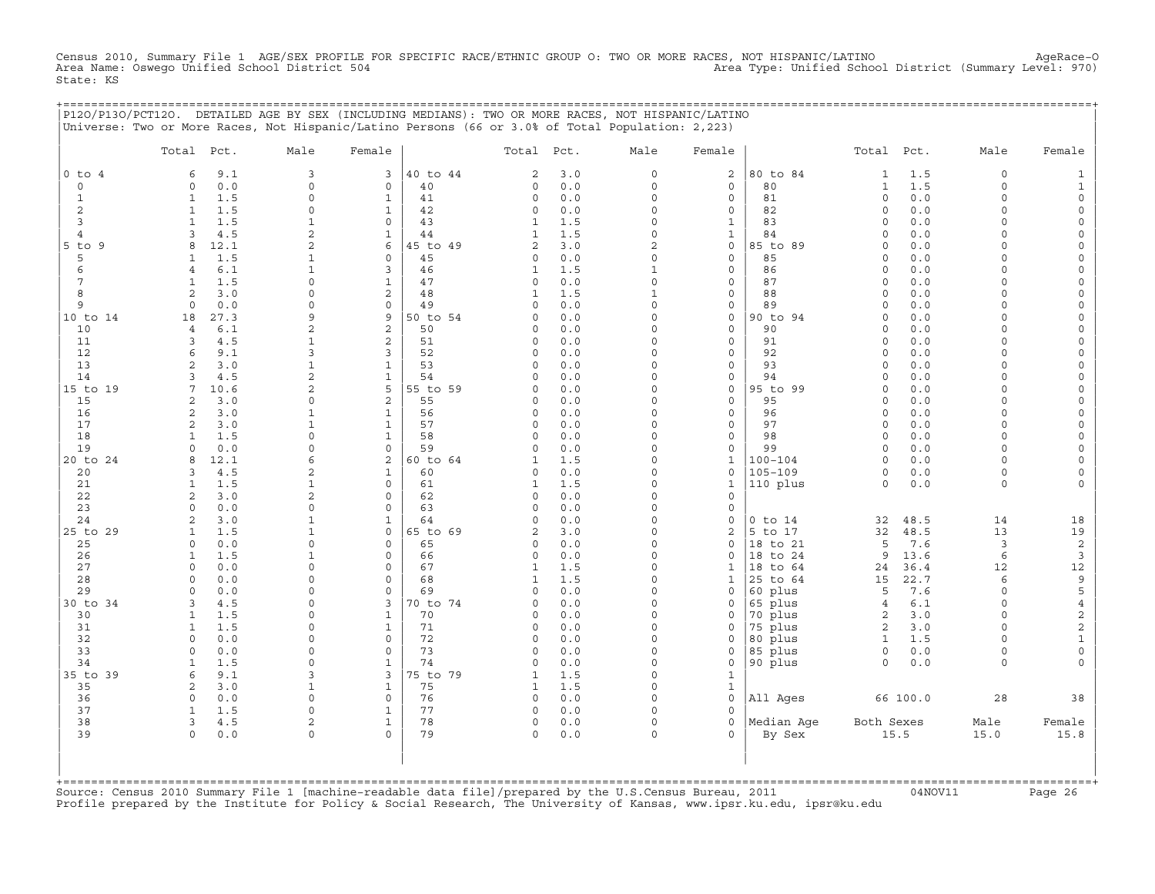Census 2010, Summary File 1 AGE/SEX PROFILE FOR SPECIFIC RACE/ETHNIC GROUP O: TWO OR MORE RACES, NOT HISPANIC/LATINO AgeRace-O<br>Area Name: Oswego Unified School District 504 State: KS

| , = = = = = = = = = = = = = = = = = | P120/P130/PCT120. DETAILED AGE BY SEX (INCLUDING MEDIANS): TWO OR MORE RACES, NOT HISPANIC/LATINO<br>Universe: Two or More Races, Not Hispanic/Latino Persons (66 or 3.0% of Total Population: 2,223) |                      |                              |                |                   |            |                         |                             |                        |                             |              |                      |                              |
|-------------------------------------|-------------------------------------------------------------------------------------------------------------------------------------------------------------------------------------------------------|----------------------|------------------------------|----------------|-------------------|------------|-------------------------|-----------------------------|------------------------|-----------------------------|--------------|----------------------|------------------------------|
|                                     | Total Pct.                                                                                                                                                                                            | Male                 | Female                       |                | Total Pct.        |            | Male                    | Female                      |                        | Total Pct.                  |              | Male                 | Female                       |
| $0$ to $4$                          | 9.1<br>6<br>$\Omega$                                                                                                                                                                                  | $\overline{3}$       | 3                            | 40 to 44       | 2                 | 3.0        | $\circ$                 | 2                           | 80 to 84<br>80         | $\mathbf{1}$                | 1.5          | $\circ$              | 1                            |
| $\circ$<br>$\mathbf{1}$             | 0.0<br>1.5<br>$\mathbf{1}$                                                                                                                                                                            | $\circ$<br>$\Omega$  | 0<br>$\mathbf{1}$            | 40<br>41       | 0<br>0            | 0.0<br>0.0 | $\circ$<br>$\Omega$     | 0<br>$\circ$                | 81                     | $\mathbf{1}$<br>$\mathbf 0$ | 1.5<br>0.0   | $\circ$<br>$\Omega$  | 1<br>$\Omega$                |
| $\overline{c}$                      | $\mathbf{1}$<br>1.5                                                                                                                                                                                   | $\circ$              | $\mathbf{1}$                 | 42             | $\circ$           | 0.0        | 0                       | $\circ$                     | 82                     | $\circ$                     | 0.0          | $\Omega$             | $\circ$                      |
| 3                                   | 1.5<br>$\mathbf{1}$                                                                                                                                                                                   |                      | $\circ$                      | 43             | 1                 | 1.5        | $\circ$                 | $\mathbf{1}$                | 83                     | $\circ$                     | 0.0          | $\cap$               | $\Omega$                     |
| 4                                   | 4.5<br>3                                                                                                                                                                                              | 2                    | $\mathbf{1}$                 | 44             | 1                 | 1.5        | $\Omega$                | $\mathbf{1}$                | 84                     | $\Omega$                    | 0.0          | $\Omega$             |                              |
| 5 to 9                              | 12.1<br>8                                                                                                                                                                                             | 2                    | 6                            | 45 to 49       | $\overline{a}$    | 3.0        | 2                       | 0                           | 85 to 89               | $\circ$                     | 0.0          | $\cap$               | $\Omega$                     |
| 5<br>6                              | 1.5<br>1<br>6.1<br>$\overline{4}$                                                                                                                                                                     | 1<br>$\mathbf{1}$    | $\circ$<br>3                 | 45<br>46       | 0<br>$\mathbf{1}$ | 0.0<br>1.5 | $\circ$<br>$\mathbf{1}$ | 0<br>$\circ$                | 85<br>86               | $\circ$<br>$\mathbf 0$      | 0.0<br>0.0   | $\Omega$<br>$\Omega$ | $\Omega$                     |
| 7                                   | 1.5<br>1                                                                                                                                                                                              | $\Omega$             | $\mathbf{1}$                 | 47             | $\circ$           | 0.0        | $\circ$                 | $\mathbf{0}$                | 87                     | $\Omega$                    | 0.0          | $\Omega$             |                              |
| 8                                   | 2<br>3.0                                                                                                                                                                                              | $\Omega$             | 2                            | 48             | 1                 | 1.5        | 1                       | 0                           | 88                     | $\circ$                     | 0.0          | $\cap$               | $\Omega$                     |
| 9                                   | $\circ$<br>0.0                                                                                                                                                                                        | $\Omega$             | $\mathsf{O}$                 | 49             | 0                 | 0.0        | $\circ$                 | 0                           | 89                     | $\Omega$                    | 0.0          | $\Omega$             | $\Omega$                     |
| 10 to 14                            | 27.3<br>18                                                                                                                                                                                            | 9                    | 9                            | 50 to 54       | 0                 | 0.0        | $\circ$                 | 0                           | 90 to 94               | $\circ$                     | 0.0          | $\Omega$             |                              |
| 10                                  | 6.1<br>$\overline{4}$                                                                                                                                                                                 | 2                    | 2                            | 50             | 0                 | 0.0        | $\Omega$                | $\mathbf 0$                 | 90                     | $\Omega$                    | 0.0          | $\Omega$             |                              |
| 11<br>12                            | 3<br>4.5<br>9.1<br>6                                                                                                                                                                                  | 1<br>3               | 2<br>$\overline{3}$          | 51<br>52       | 0<br>0            | 0.0<br>0.0 | 0<br>$\circ$            | 0<br>$\circ$                | 91<br>92               | $\Omega$<br>$\circ$         | 0.0<br>0.0   | $\cap$<br>$\Omega$   | $\Omega$<br>$\Omega$         |
| 13                                  | 2<br>3.0                                                                                                                                                                                              | $\mathbf{1}$         | $\mathbf{1}$                 | 53             | 0                 | 0.0        | $\circ$                 | $\circ$                     | 93                     | $\circ$                     | 0.0          | $\Omega$             |                              |
| 14                                  | $\mathbf{z}$<br>4.5                                                                                                                                                                                   | 2                    | $\mathbf{1}$                 | 54             | $\Omega$          | 0.0        | $\Omega$                | 0                           | 94                     | $\Omega$                    | 0.0          | $\Omega$             |                              |
| 15 to 19                            | 7<br>10.6                                                                                                                                                                                             | 2                    | 5                            | 55 to 59       | $\Omega$          | 0.0        | $\Omega$                | $\mathbf{0}$                | 95 to 99               | $\Omega$                    | 0.0          | $\cap$               | $\Omega$                     |
| 15                                  | 2<br>3.0                                                                                                                                                                                              | $\circ$              | 2                            | 55             | 0                 | 0.0        | $\circ$                 | $\mathbf{0}$                | 95                     | $\circ$                     | 0.0          | $\Omega$             |                              |
| 16                                  | 3.0<br>2                                                                                                                                                                                              | 1                    | $\mathbf{1}$                 | 56             | 0                 | 0.0        | $\circ$                 | 0                           | 96                     | $\circ$                     | 0.0          | $\Omega$             | $\circ$                      |
| 17                                  | 3.0<br>2                                                                                                                                                                                              | 1                    | $\mathbf{1}$                 | 57             | 0                 | 0.0        | 0                       | 0                           | 97                     | $\Omega$                    | 0.0          | $\Omega$             |                              |
| 18<br>19                            | 1.5<br>1<br>$\Omega$<br>0.0                                                                                                                                                                           | $\Omega$<br>$\Omega$ | $\mathbf{1}$<br>$\mathbf 0$  | 58<br>59       | 0<br>$\circ$      | 0.0<br>0.0 | $\circ$<br>$\circ$      | $\mathbf{0}$<br>$\mathbf 0$ | 98<br>99               | $\circ$<br>$\circ$          | 0.0<br>0.0   | $\Omega$<br>$\cap$   | $\Omega$                     |
| 20 to 24                            | 12.1<br>8                                                                                                                                                                                             | 6                    | 2                            | 60 to 64       | $\mathbf{1}$      | 1.5        | $\circ$                 | $\mathbf{1}$                | $100 - 104$            | $\circ$                     | 0.0          | $\Omega$             |                              |
| 20                                  | 4.5<br>3                                                                                                                                                                                              | 2                    | $\mathbf{1}$                 | 60             | 0                 | 0.0        | $\circ$                 | $\mathbf 0$                 | $105 - 109$            | $\circ$                     | 0.0          | $\circ$              |                              |
| 21                                  | 1.5<br>$\mathbf{1}$                                                                                                                                                                                   | 1                    | $\Omega$                     | 61             | $\mathbf{1}$      | 1.5        | $\Omega$                | $\mathbf{1}$                | 110 plus               | $\circ$                     | 0.0          | $\Omega$             | $\Omega$                     |
| 22                                  | 2<br>3.0                                                                                                                                                                                              | 2                    | $\mathbf 0$                  | 62             | 0                 | 0.0        | $\circ$                 | $\mathbf{0}$                |                        |                             |              |                      |                              |
| 23                                  | 0.0<br>$\Omega$                                                                                                                                                                                       | $\circ$              | $\mathbf 0$                  | 63             | 0                 | 0.0        | $\circ$                 | $\circ$                     |                        |                             |              |                      |                              |
| 24<br>25 to 29                      | 2<br>3.0<br>1.5<br>1                                                                                                                                                                                  | $\mathbf{1}$<br>1    | $\mathbf{1}$<br>$\circ$      | 64<br>65 to 69 | $\circ$<br>2      | 0.0<br>3.0 | $\circ$<br>$\Omega$     | 0<br>2                      | $0$ to $14$<br>5 to 17 | 32<br>32                    | 48.5<br>48.5 | 14<br>13             | 18<br>19                     |
| 25                                  | 0.0<br>$\Omega$                                                                                                                                                                                       | $\Omega$             | $\mathbf 0$                  | 65             | $\circ$           | 0.0        | $\Omega$                | $\mathbf 0$                 | 18 to 21               | 5                           | 7.6          | 3                    | 2                            |
| 26                                  | 1.5<br>1                                                                                                                                                                                              | 1                    | $\circ$                      | 66             | 0                 | 0.0        | $\circ$                 | 0                           | 18 to 24               | 9                           | 13.6         | 6                    | 3                            |
| 27                                  | 0.0<br>$\Omega$                                                                                                                                                                                       | $\Omega$             | $\circ$                      | 67             | 1                 | 1.5        | $\circ$                 | 1                           | 18 to 64               | 24                          | 36.4         | 12                   | 12                           |
| 28                                  | $0.0$<br>$\Omega$                                                                                                                                                                                     | $\cap$               | $\mathbf 0$                  | 68             | 1                 | 1.5        | $\Omega$                | 1                           | 25 to 64               | 15                          | 22.7         | 6                    | 9                            |
| 29                                  | $\Omega$<br>0.0                                                                                                                                                                                       | $\Omega$             | $\mathbf 0$                  | 69             | 0                 | 0.0        | $\circ$                 | $\mathbf{0}$                | 60 plus                | 5                           | 7.6          | $\Omega$             | 5                            |
| 30 to 34<br>30                      | 4.5<br>3<br>1.5<br>$\mathbf{1}$                                                                                                                                                                       | $\Omega$<br>$\Omega$ | 3<br>$\mathbf{1}$            | 70 to 74<br>70 | 0<br>0            | 0.0<br>0.0 | 0<br>$\circ$            | 0<br>$\circ$                | 65 plus<br>70 plus     | $\overline{4}$<br>2         | 6.1<br>3.0   | $\Omega$<br>$\Omega$ | $\overline{4}$<br>$\sqrt{2}$ |
| 31                                  | $\mathbf{1}$<br>1.5                                                                                                                                                                                   | $\Omega$             | $\mathbf{1}$                 | 71             | 0                 | 0.0        | $\circ$                 | 0                           | 75 plus                | 2                           | 3.0          | $\Omega$             | $\sqrt{2}$                   |
| 32                                  | 0.0<br>$\Omega$                                                                                                                                                                                       | $\Omega$             | $\circ$                      | 72             | $\circ$           | 0.0        | $\Omega$                | $\circ$                     | 80 plus                | $\mathbf{1}$                | 1.5          | $\Omega$             | $\mathbf{1}$                 |
| 33                                  | 0.0<br>$\Omega$                                                                                                                                                                                       | $\Omega$             | $\circ$                      | 73             | 0                 | 0.0        | $\Omega$                | $\circ$                     | 85 plus                | $\circ$                     | 0.0          | $\Omega$             | $\circ$                      |
| 34                                  | 1.5<br>1                                                                                                                                                                                              | $\Omega$             | $\mathbf{1}$                 | 74             | $\circ$           | 0.0        | $\circ$                 | $\circ$                     | 90 plus                | $\circ$                     | 0.0          | $\circ$              |                              |
| 35 to 39                            | 6<br>9.1                                                                                                                                                                                              | 3                    | 3                            | 75 to 79       | 1                 | 1.5        | $\circ$                 | $\mathbf{1}$                |                        |                             |              |                      |                              |
| 35                                  | 2<br>3.0                                                                                                                                                                                              | 1                    | $\mathbf{1}$                 | 75             | 1                 | 1.5        | 0                       | $\mathbf{1}$                |                        |                             |              |                      |                              |
| 36<br>37                            | 0.0<br>$\Omega$<br>$\mathbf{1}$<br>1.5                                                                                                                                                                | $\Omega$<br>$\circ$  | $\mathbf{0}$<br>$\mathbf{1}$ | 76<br>77       | $\circ$<br>0      | 0.0<br>0.0 | $\Omega$<br>$\circ$     | $\mathbf{0}$<br>0           | All Ages               |                             | 66 100.0     | 28                   | 38                           |
| 38                                  | 3<br>4.5                                                                                                                                                                                              | $\overline{c}$       | $\mathbf{1}$                 | 78             | $\circ$           | 0.0        | $\circ$                 | $\circ$                     | Median Age             | Both Sexes                  |              | Male                 | Female                       |
| 39                                  | $\circ$<br>0.0                                                                                                                                                                                        | $\mathbf 0$          | $\Omega$                     | 79             | 0                 | 0.0        | $\circ$                 | $\Omega$                    | By Sex                 |                             | 15.5         | 15.0                 | 15.8                         |
|                                     |                                                                                                                                                                                                       |                      |                              |                |                   |            |                         |                             |                        |                             |              |                      |                              |

+===================================================================================================================================================+Source: Census 2010 Summary File 1 [machine−readable data file]/prepared by the U.S.Census Bureau, 2011 04NOV11 Page 26 Profile prepared by the Institute for Policy & Social Research, The University of Kansas, www.ipsr.ku.edu, ipsr@ku.edu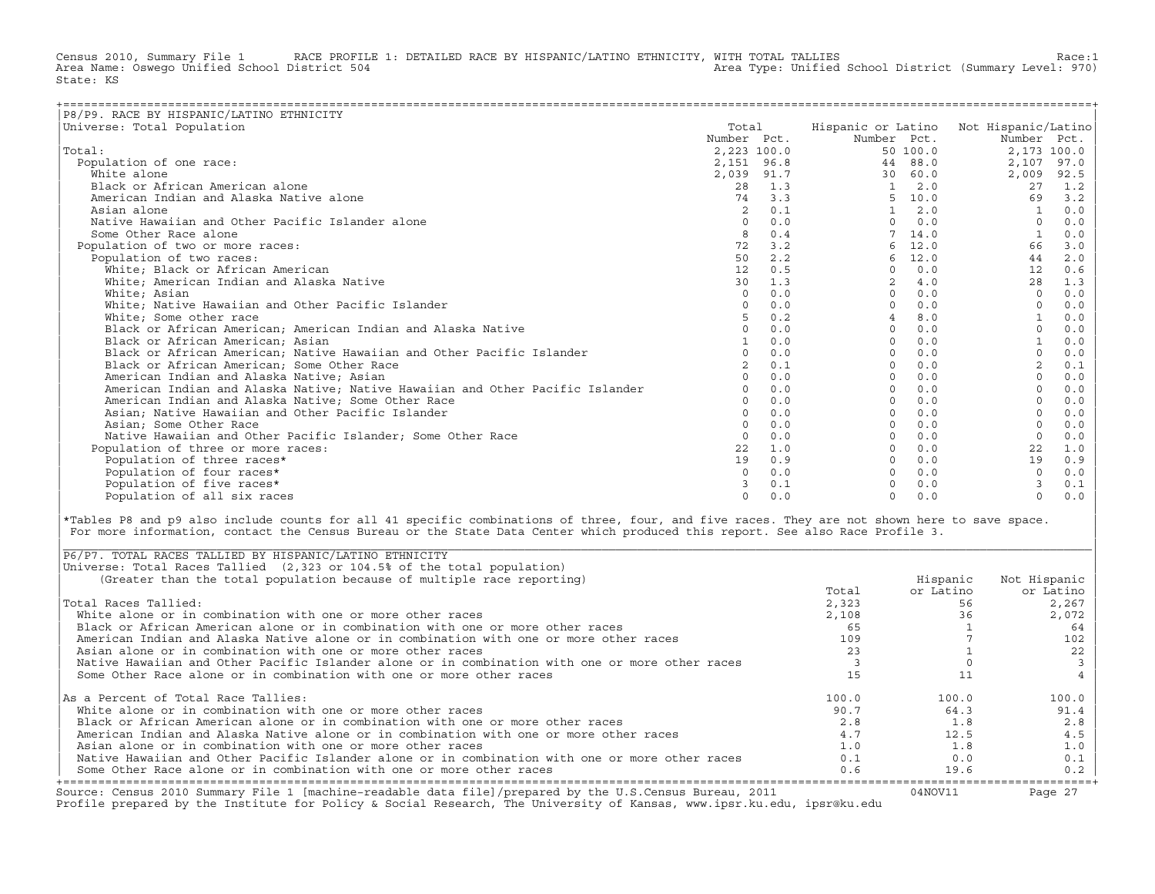Census 2010, Summary File 1 RACE PROFILE 1: DETAILED RACE BY HISPANIC/LATINO ETHNICITY, WITH TOTAL TALLIES Race:1<br>Area Name: Oswego Unified School District 504 area Type: Unified School District (Summary Level: 970) Area Type: Unified School District (Summary Level: 970) State: KS

| P8/P9. RACE BY HISPANIC/LATINO ETHNICITY                                      |                |        |                |          |                                        |      |
|-------------------------------------------------------------------------------|----------------|--------|----------------|----------|----------------------------------------|------|
| Universe: Total Population                                                    | Total          |        |                |          | Hispanic or Latino Not Hispanic/Latino |      |
|                                                                               | Number Pct.    |        | Number Pct.    |          | Number Pct.                            |      |
| Total:                                                                        | 2,223 100.0    |        |                | 50 100.0 | 2,173 100.0                            |      |
| Population of one race:                                                       | 2,151 96.8     |        | 44             | 88.0     | 2,107                                  | 97.0 |
| White alone                                                                   | 2,039 91.7     |        | 30             | 60.0     | 2,009                                  | 92.5 |
| Black or African American alone                                               | 28             | 1.3    | $\mathbf{1}$   | 2.0      | 27                                     | 1.2  |
| American Indian and Alaska Native alone                                       |                | 74 3.3 | 5.             | 10.0     | 69                                     | 3.2  |
| Asian alone                                                                   | $\overline{2}$ | 0.1    |                | 2.0      |                                        | 0.0  |
| Native Hawaiian and Other Pacific Islander alone                              | $\Omega$       | 0.0    | $\Omega$       | 0.0      | $\Omega$                               | 0.0  |
| Some Other Race alone                                                         | 8              | 0.4    |                | 14.0     |                                        | 0.0  |
| Population of two or more races:                                              | 72             | 3.2    | 6              | 12.0     | 66                                     | 3.0  |
| Population of two races:                                                      | 50             | 2.2    | 6              | 12.0     | 44                                     | 2.0  |
| White; Black or African American                                              | 12             | 0.5    | $\Omega$       | 0.0      | 12                                     | 0.6  |
| White; American Indian and Alaska Native                                      | 30             | 1.3    | $\overline{2}$ | 4.0      | 28                                     | 1.3  |
| White; Asian                                                                  | $\Omega$       | 0.0    |                | 0.0      |                                        | 0.0  |
| White; Native Hawaiian and Other Pacific Islander                             | $\Omega$       | 0.0    |                | 0.0      |                                        | 0.0  |
| White: Some other race                                                        |                | 0.2    |                | 8.0      |                                        | 0.0  |
| Black or African American; American Indian and Alaska Native                  | $\Omega$       | 0.0    | $\Omega$       | 0.0      |                                        | 0.0  |
| Black or African American; Asian                                              |                | 0.0    | $\cap$         | 0.0      |                                        | 0.0  |
| Black or African American; Native Hawaiian and Other Pacific Islander         |                | 0.0    | $\Omega$       | 0.0      | $\Omega$                               | 0.0  |
| Black or African American; Some Other Race                                    |                | 0.1    | $\Omega$       | 0.0      | $\overline{2}$                         | 0.1  |
| American Indian and Alaska Native; Asian                                      | $\Omega$       | 0.0    | $\Omega$       | 0.0      |                                        | 0.0  |
| American Indian and Alaska Native; Native Hawaiian and Other Pacific Islander | $\Omega$       | 0.0    | $\Omega$       | 0.0      |                                        | 0.0  |
| American Indian and Alaska Native; Some Other Race                            | $\cap$         | 0.0    |                | 0.0      |                                        | 0.0  |
| Asian; Native Hawaiian and Other Pacific Islander                             | $\Omega$       | 0.0    |                | 0.0      |                                        | 0.0  |
| Asian; Some Other Race                                                        |                | 0.0    |                | 0.0      |                                        | 0.0  |
| Native Hawaiian and Other Pacific Islander; Some Other Race                   | $\Omega$       | 0.0    | $\Omega$       | 0.0      |                                        | 0.0  |
| Population of three or more races:                                            | 22             | 1.0    |                | 0.0      | 22                                     | 1.0  |
| Population of three races*                                                    | 19             | 0.9    |                | 0.0      | 19                                     | 0.9  |
| Population of four races*                                                     | $\Omega$       | 0.0    |                | 0.0      | $\Omega$                               | 0.0  |
| Population of five races*                                                     |                | 0.1    |                | 0.0      | $\mathcal{F}$                          | 0.1  |
| Population of all six races                                                   | $\Omega$       | 0.0    | $\cap$         | 0.0      | $\Omega$                               | 0.0  |

|\*Tables P8 and p9 also include counts for all 41 specific combinations of three, four, and five races. They are not shown here to save space. | For more information, contact the Census Bureau or the State Data Center which produced this report. See also Race Profile 3.

| |

|\_\_\_\_\_\_\_\_\_\_\_\_\_\_\_\_\_\_\_\_\_\_\_\_\_\_\_\_\_\_\_\_\_\_\_\_\_\_\_\_\_\_\_\_\_\_\_\_\_\_\_\_\_\_\_\_\_\_\_\_\_\_\_\_\_\_\_\_\_\_\_\_\_\_\_\_\_\_\_\_\_\_\_\_\_\_\_\_\_\_\_\_\_\_\_\_\_\_\_\_\_\_\_\_\_\_\_\_\_\_\_\_\_\_\_\_\_\_\_\_\_\_\_\_\_\_\_\_\_\_\_\_\_\_\_\_\_\_\_\_\_\_\_\_\_\_\_|

| Source: Census 2010 Summary File 1 [machine-readable data file]/prepared by the U.S.Census Bureau, 2011<br>Profile prepared by the Institute for Policy & Social Research, The University of Kansas, www.ipsr.ku.edu, ipsr@ku.edu |       | 04NOV11   | Page 27      |
|-----------------------------------------------------------------------------------------------------------------------------------------------------------------------------------------------------------------------------------|-------|-----------|--------------|
| Some Other Race alone or in combination with one or more other races                                                                                                                                                              | 0.6   | 19.6      | 0.2          |
| Native Hawaiian and Other Pacific Islander alone or in combination with one or more other races                                                                                                                                   | 0.1   | 0.0       | 0.1          |
| Asian alone or in combination with one or more other races                                                                                                                                                                        | 1.0   | 1.8       | 1.0          |
| American Indian and Alaska Native alone or in combination with one or more other races                                                                                                                                            | 4.7   | 12.5      | 4.5          |
| Black or African American alone or in combination with one or more other races                                                                                                                                                    | 2.8   | 1.8       | 2.8          |
| White alone or in combination with one or more other races                                                                                                                                                                        | 90.7  | 64.3      | 91.4         |
| As a Percent of Total Race Tallies:                                                                                                                                                                                               | 100.0 | 100.0     | 100.0        |
| Some Other Race alone or in combination with one or more other races                                                                                                                                                              |       |           |              |
| Native Hawaiian and Other Pacific Islander alone or in combination with one or more other races                                                                                                                                   |       |           |              |
| Asian alone or in combination with one or more other races                                                                                                                                                                        | 23    |           | 22           |
| American Indian and Alaska Native alone or in combination with one or more other races                                                                                                                                            | 109   |           | 102          |
| Black or African American alone or in combination with one or more other races                                                                                                                                                    | 65    |           | 64           |
| White alone or in combination with one or more other races                                                                                                                                                                        | 2,108 | 36        | 2,072        |
| Total Races Tallied:                                                                                                                                                                                                              | 2,323 | 56        | 2,267        |
|                                                                                                                                                                                                                                   | Total | or Latino | or Latino    |
| (Greater than the total population because of multiple race reporting)                                                                                                                                                            |       | Hispanic  | Not Hispanic |
| Universe: Total Races Tallied (2,323 or 104.5% of the total population)                                                                                                                                                           |       |           |              |
| P6/P7. TOTAL RACES TALLIED BY HISPANIC/LATINO ETHNICITY                                                                                                                                                                           |       |           |              |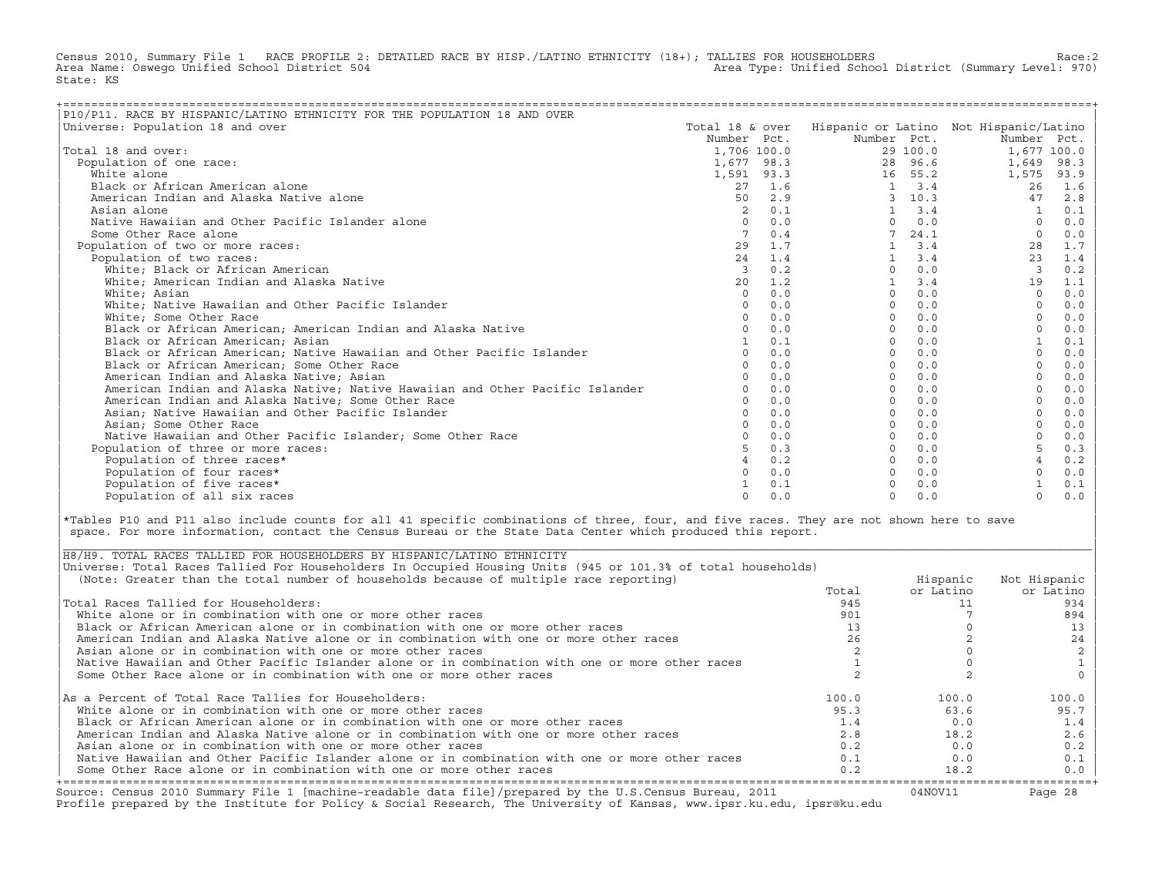Census 2010, Summary File 1 RACE PROFILE 2: DETAILED RACE BY HISP./LATINO ETHNICITY (18+); TALLIES FOR HOUSEHOLDERS Race:2<br>Area Name: Osweqo Unified School District 504 Area Type: Unified School District (Summary Level: 970) State: KS

| P10/P11. RACE BY HISPANIC/LATINO ETHNICITY FOR THE POPULATION 18 AND OVER<br>Universe: Population 18 and over | Total 18 & over |     |             |                | Hispanic or Latino Not Hispanic/Latino |      |
|---------------------------------------------------------------------------------------------------------------|-----------------|-----|-------------|----------------|----------------------------------------|------|
|                                                                                                               | Number Pct.     |     | Number Pct. |                | Number Pct.                            |      |
| Total 18 and over:                                                                                            | 1,706 100.0     |     |             | 29 100.0       | 1,677 100.0                            |      |
|                                                                                                               |                 |     |             | 28 96.6        |                                        | 98.3 |
| Population of one race:                                                                                       | 1,677 98.3      |     |             |                | 1,649                                  |      |
| White alone                                                                                                   | 1,591 93.3      |     |             | 16 55.2<br>3.4 | 1,575                                  | 93.9 |
| Black or African American alone                                                                               | 27              | 1.6 |             |                | 26                                     | 1.6  |
| American Indian and Alaska Native alone                                                                       | 50              | 2.9 | 3           | 10.3           | 47                                     | 2.8  |
| Asian alone                                                                                                   |                 | 0.1 |             | 3.4            |                                        | 0.1  |
| Native Hawaiian and Other Pacific Islander alone                                                              | $\Omega$        | 0.0 | $\Omega$    | 0.0            | $\Omega$                               | 0.0  |
| Some Other Race alone                                                                                         |                 | 0.4 |             | 24.1           | $\mathbf 0$                            | 0.0  |
| Population of two or more races:                                                                              | 29              | 1.7 |             | 3.4            | 28                                     | 1.7  |
| Population of two races:                                                                                      | 24              | 1.4 |             | 3.4            | 23                                     | 1.4  |
| White; Black or African American                                                                              | 3               | 0.2 | $\Omega$    | 0.0            | $\overline{3}$                         | 0.2  |
| White; American Indian and Alaska Native                                                                      | 20              | 1.2 |             | 3.4            | 19                                     | 1.1  |
| White; Asian                                                                                                  | $\Omega$        | 0.0 | $\Omega$    | 0.0            | $\Omega$                               | 0.0  |
| White; Native Hawaiian and Other Pacific Islander                                                             | $\Omega$        | 0.0 | $\Omega$    | 0.0            | $\Omega$                               | 0.0  |
| White; Some Other Race                                                                                        |                 | 0.0 | $\cap$      | 0.0            |                                        | 0.0  |
| Black or African American; American Indian and Alaska Native                                                  |                 | 0.0 | $\Omega$    | 0.0            |                                        | 0.0  |
| Black or African American; Asian                                                                              |                 | 0.1 | $\Omega$    | 0.0            |                                        | 0.1  |
| Black or African American; Native Hawaiian and Other Pacific Islander                                         | $\cap$          | 0.0 | $\Omega$    | 0.0            | $\Omega$                               | 0.0  |
| Black or African American; Some Other Race                                                                    |                 | 0.0 | $\Omega$    | 0.0            |                                        | 0.0  |
| American Indian and Alaska Native; Asian                                                                      |                 | 0.0 | $\Omega$    | 0.0            |                                        | 0.0  |
| American Indian and Alaska Native; Native Hawaiian and Other Pacific Islander                                 |                 | 0.0 | $\Omega$    | 0.0            |                                        | 0.0  |
| American Indian and Alaska Native; Some Other Race                                                            |                 | 0.0 | $\Omega$    | 0.0            |                                        | 0.0  |
| Asian; Native Hawaiian and Other Pacific Islander                                                             | $\cap$          | 0.0 | $\Omega$    | 0.0            | $\Omega$                               | 0.0  |
| Asian: Some Other Race                                                                                        |                 | 0.0 | $\Omega$    | 0.0            |                                        | 0.0  |
| Native Hawaiian and Other Pacific Islander: Some Other Race                                                   |                 | 0.0 | $\Omega$    | 0.0            |                                        | 0.0  |
| Population of three or more races:                                                                            |                 | 0.3 | $\Omega$    | 0.0            |                                        | 0.3  |
| Population of three races*                                                                                    |                 | 0.2 | $\Omega$    | 0.0            |                                        | 0.2  |
| Population of four races*                                                                                     |                 | 0.0 | $\Omega$    | 0.0            |                                        | 0.0  |
| Population of five races*                                                                                     |                 | 0.1 |             | 0.0            |                                        | 0.1  |
| Population of all six races                                                                                   | $\cap$          | 0.0 | $\Omega$    | 0.0            | $\Omega$                               | 0.0  |

|\*Tables P10 and P11 also include counts for all 41 specific combinations of three, four, and five races. They are not shown here to save | space. For more information, contact the Census Bureau or the State Data Center which produced this report.

| Source: Census 2010 Summary File 1 [machine-readable data file]/prepared by the U.S.Census Bureau, 2011<br>Profile prepared by the Institute for Policy & Social Research, The University of Kansas, www.ipsr.ku.edu, ipsr@ku.edu |       | 04NOV11   | Page 28      |
|-----------------------------------------------------------------------------------------------------------------------------------------------------------------------------------------------------------------------------------|-------|-----------|--------------|
| Some Other Race alone or in combination with one or more other races                                                                                                                                                              | 0.2   | 18.2      | $0.0$        |
| Native Hawaiian and Other Pacific Islander alone or in combination with one or more other races                                                                                                                                   | 0.1   | 0.0       | 0.1          |
| Asian alone or in combination with one or more other races                                                                                                                                                                        | 0.2   | 0.0       | 0.2          |
| American Indian and Alaska Native alone or in combination with one or more other races                                                                                                                                            | 2.8   | 18.2      | 2.6          |
| Black or African American alone or in combination with one or more other races                                                                                                                                                    | 1.4   | 0.0       | 1.4          |
| White alone or in combination with one or more other races                                                                                                                                                                        | 95.3  | 63.6      | 95.7         |
| As a Percent of Total Race Tallies for Householders:                                                                                                                                                                              | 100.0 | 100.0     | 100.0        |
| Some Other Race alone or in combination with one or more other races                                                                                                                                                              |       |           |              |
| Native Hawaiian and Other Pacific Islander alone or in combination with one or more other races                                                                                                                                   |       |           |              |
| Asian alone or in combination with one or more other races                                                                                                                                                                        |       |           |              |
| American Indian and Alaska Native alone or in combination with one or more other races                                                                                                                                            | 26    |           | 24           |
| Black or African American alone or in combination with one or more other races                                                                                                                                                    |       |           | 13           |
| White alone or in combination with one or more other races                                                                                                                                                                        | 901   |           | 894          |
| Total Races Tallied for Householders:                                                                                                                                                                                             | 945   |           | 934          |
|                                                                                                                                                                                                                                   | Total | or Latino | or Latino    |
| (Note: Greater than the total number of households because of multiple race reporting)                                                                                                                                            |       | Hispanic  | Not Hispanic |
| Universe: Total Races Tallied For Householders In Occupied Housing Units (945 or 101.3% of total households)                                                                                                                      |       |           |              |
| H8/H9. TOTAL RACES TALLIED FOR HOUSEHOLDERS BY HISPANIC/LATINO ETHNICITY                                                                                                                                                          |       |           |              |

| |

|\_\_\_\_\_\_\_\_\_\_\_\_\_\_\_\_\_\_\_\_\_\_\_\_\_\_\_\_\_\_\_\_\_\_\_\_\_\_\_\_\_\_\_\_\_\_\_\_\_\_\_\_\_\_\_\_\_\_\_\_\_\_\_\_\_\_\_\_\_\_\_\_\_\_\_\_\_\_\_\_\_\_\_\_\_\_\_\_\_\_\_\_\_\_\_\_\_\_\_\_\_\_\_\_\_\_\_\_\_\_\_\_\_\_\_\_\_\_\_\_\_\_\_\_\_\_\_\_\_\_\_\_\_\_\_\_\_\_\_\_\_\_\_\_\_\_\_|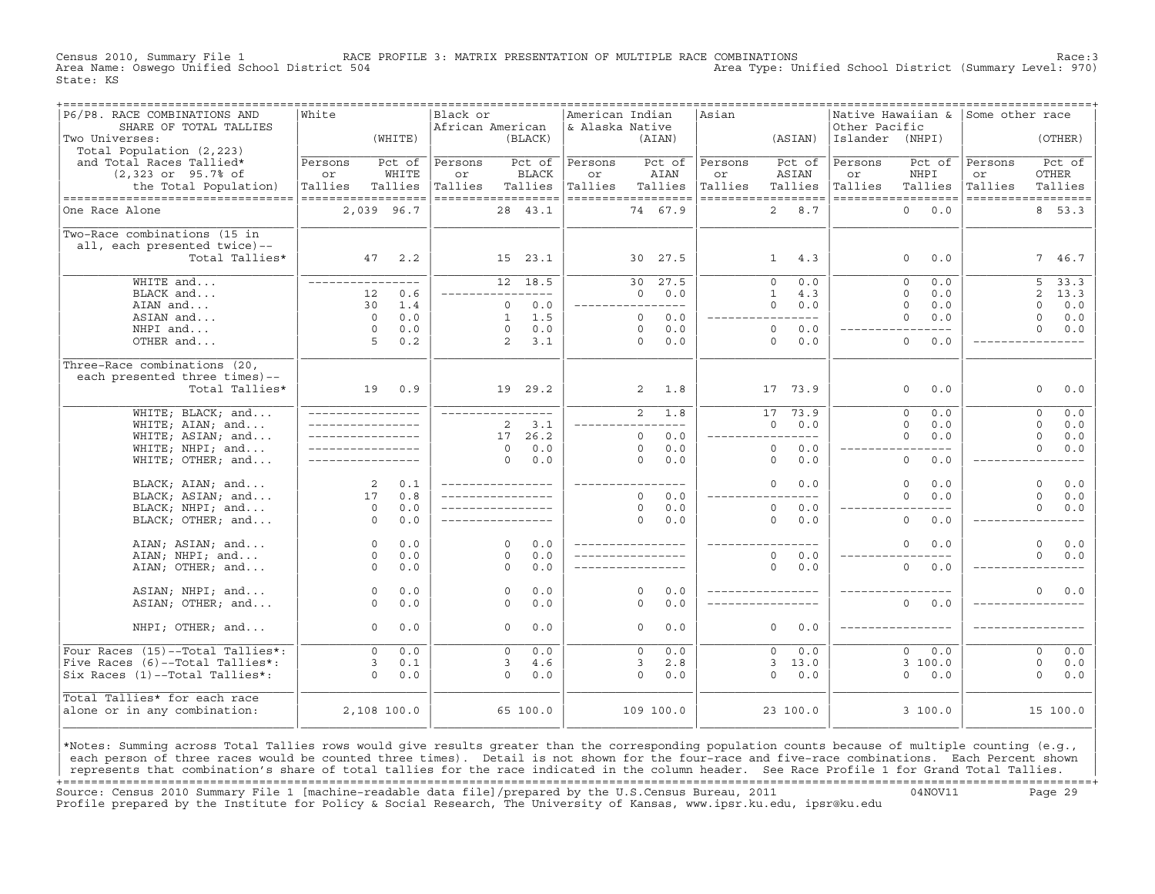Census 2010, Summary File 1 RACE PROFILE 3: MATRIX PRESENTATION OF MULTIPLE RACE COMBINATIONS Race:3 Area Type: Unified School District (Summary Level: 970) State: KS

| -----------------------------<br>P6/P8. RACE COMBINATIONS AND | ===============<br>White |            | Black or           |                       | American Indian    |                |            | .=================================<br>Asian |                         |                 | ------------------------------------<br>Native Hawaiian & | Some other race |                        |
|---------------------------------------------------------------|--------------------------|------------|--------------------|-----------------------|--------------------|----------------|------------|---------------------------------------------|-------------------------|-----------------|-----------------------------------------------------------|-----------------|------------------------|
| SHARE OF TOTAL TALLIES                                        |                          |            | African American   |                       | & Alaska Native    |                |            |                                             |                         | Other Pacific   |                                                           |                 |                        |
| Two Universes:                                                |                          | (WHITE)    |                    | (BLACK)               |                    |                | (AIAN)     |                                             | (ASIAN)                 | Islander (NHPI) |                                                           |                 | (OTHER)                |
| Total Population (2,223)                                      |                          |            |                    |                       |                    |                |            |                                             |                         |                 |                                                           |                 |                        |
| and Total Races Tallied*                                      | Persons                  | Pct of     | Persons            | Pct of                | Persons            |                | Pct of     | Persons                                     | Pct of                  | Persons         | Pct of                                                    | Persons         | Pct of                 |
| (2,323 or 95.7% of                                            | or                       | WHITE      | or                 | <b>BLACK</b>          | or                 |                | AIAN       | or                                          | ASIAN                   | or              | NHPI                                                      | or              | OTHER                  |
| the Total Population)                                         | Tallies                  | Tallies    | Tallies            | Tallies               | Tallies            |                | Tallies    | Tallies                                     | Tallies                 | Tallies         | Tallies                                                   | Tallies         | Tallies                |
| ----------------------------------                            | ==================       |            | ------------------ |                       | ------------------ |                |            |                                             | ------------------      |                 | ------------------                                        |                 | ------------------     |
| One Race Alone                                                | 2,039 96.7               |            |                    | 28 43.1               |                    |                | 74 67.9    |                                             | 8.7<br>$\overline{2}$   |                 | $\Omega$<br>0.0                                           |                 | 8 53.3                 |
|                                                               |                          |            |                    |                       |                    |                |            |                                             |                         |                 |                                                           |                 |                        |
| Two-Race combinations (15 in                                  |                          |            |                    |                       |                    |                |            |                                             |                         |                 |                                                           |                 |                        |
| all, each presented twice)--                                  |                          |            |                    |                       |                    |                |            |                                             |                         |                 |                                                           |                 |                        |
| Total Tallies*                                                | 47                       | 2.2        |                    | 15 23.1               |                    |                | 30 27.5    |                                             | $\mathbf{1}$<br>4.3     |                 | $\Omega$<br>0.0                                           |                 | 7 46.7                 |
|                                                               |                          |            |                    |                       |                    |                |            |                                             |                         |                 |                                                           |                 |                        |
| WHITE and                                                     | _________________        |            |                    | 12 18.5               |                    | 30             | 27.5       |                                             | $\Omega$<br>0.0         |                 | $\Omega$<br>0.0                                           |                 | 33.3<br>5              |
| BLACK and                                                     | 12                       | 0.6        |                    | ----------            |                    | $\Omega$       | 0.0        |                                             | $\mathbf{1}$<br>4.3     |                 | $\Omega$<br>0.0                                           |                 | $\overline{2}$<br>13.3 |
| AIAN and                                                      | 30                       | 1.4        |                    | 0.0<br>$\Omega$       | -------------      |                | $- - - -$  |                                             | 0.0<br>$\Omega$         |                 | $\Omega$<br>0.0                                           |                 | $\Omega$<br>0.0        |
| ASIAN and                                                     | $\Omega$                 | 0.0        |                    | 1.5<br>$\mathbf{1}$   |                    | $\Omega$       | 0.0        |                                             | $---$<br>$---$          |                 | $\Omega$<br>0.0                                           |                 | 0.0<br>$\Omega$        |
| NHPI and                                                      | $\Omega$                 | 0.0        |                    | 0.0<br>$\Omega$       |                    | $\Omega$       | 0.0        |                                             | $\Omega$<br>0.0         |                 |                                                           |                 | $\Omega$<br>0.0        |
| OTHER and                                                     | 5                        | 0.2        |                    | 2<br>3.1              |                    | $\Omega$       | 0.0        |                                             | $\Omega$<br>0.0         |                 | $\Omega$<br>0.0                                           |                 |                        |
|                                                               |                          |            |                    |                       |                    |                |            |                                             |                         |                 |                                                           |                 |                        |
| Three-Race combinations (20,                                  |                          |            |                    |                       |                    |                |            |                                             |                         |                 |                                                           |                 |                        |
| each presented three times)--                                 |                          |            |                    |                       |                    |                |            |                                             |                         |                 |                                                           |                 |                        |
| Total Tallies*                                                |                          | 19 0.9     |                    | 19 29.2               |                    | $\overline{a}$ | 1.8        |                                             | 17 73.9                 |                 | 0.0<br>$\circ$                                            |                 | 0.0<br>$\circ$         |
| WHITE; BLACK; and                                             | _________________        |            | _________________  |                       |                    | $\overline{2}$ | 1.8        |                                             | $\overline{17}$<br>73.9 |                 | $\overline{0}$<br>0.0                                     |                 | 0.0<br>$\circ$         |
| WHITE; AIAN; and                                              | _________________        |            |                    | 3.1<br>$\overline{2}$ |                    |                | $---$      |                                             | 0.0<br>$\Omega$         |                 | $\Omega$<br>0.0                                           |                 | $\Omega$<br>0.0        |
| WHITE; ASIAN; and                                             | _________________        |            |                    | 26.2<br>17            |                    | $\Omega$       | 0.0        |                                             | $---$                   |                 | $\Omega$<br>0.0                                           |                 | $\mathbf 0$<br>0.0     |
| WHITE; NHPI; and                                              |                          |            |                    | 0.0<br>$\Omega$       |                    | $\Omega$       | 0.0        |                                             | $\circ$<br>0.0          |                 | $- - - -$                                                 |                 | $\Omega$<br>0.0        |
| WHITE; OTHER; and                                             |                          |            |                    | 0.0<br>$\Omega$       |                    | $\Omega$       | 0.0        |                                             | $\circ$<br>0.0          |                 | $\mathbf{0}$<br>0.0                                       |                 |                        |
|                                                               |                          |            |                    |                       |                    |                |            |                                             |                         |                 |                                                           |                 |                        |
| BLACK; AIAN; and                                              | 2                        | 0.1        | _________________  |                       | ________________   |                |            |                                             | $\Omega$<br>0.0         |                 | $\circ$<br>0.0                                            |                 | $\Omega$<br>0.0        |
| BLACK; ASIAN; and                                             | 17                       | 0.8        | _________________  |                       |                    | $\Omega$       | 0.0        |                                             | .                       |                 | $\Omega$<br>0.0                                           |                 | $\Omega$<br>0.0        |
| BLACK; NHPI; and                                              | $\circ$                  | 0.0        |                    |                       |                    | $\circ$        | 0.0        |                                             | $\circ$<br>0.0          |                 |                                                           |                 | $\Omega$<br>0.0        |
| BLACK; OTHER; and                                             | $\Omega$                 | 0.0        | _________________  |                       |                    | $\Omega$       | 0.0        |                                             | $\Omega$<br>0.0         |                 | $\Omega$<br>0.0                                           |                 |                        |
|                                                               |                          |            |                    |                       |                    |                |            |                                             |                         |                 |                                                           |                 |                        |
| AIAN; ASIAN; and                                              | $\circ$                  | 0.0        |                    | $\Omega$<br>0.0       |                    |                |            |                                             |                         |                 | $\mathbf{0}$<br>0.0                                       |                 | $\Omega$<br>0.0        |
| AIAN; NHPI; and                                               | $\Omega$                 | 0.0        |                    | 0.0<br>$\Omega$       |                    |                |            |                                             | $\Omega$<br>0.0         |                 |                                                           |                 | $\Omega$<br>0.0        |
| AIAN; OTHER; and                                              | $\Omega$                 | 0.0        |                    | $\Omega$<br>0.0       |                    |                |            |                                             | $\Omega$<br>0.0         |                 | $\Omega$<br>0.0                                           |                 |                        |
|                                                               |                          |            |                    |                       |                    |                |            |                                             |                         |                 |                                                           |                 |                        |
| ASIAN; NHPI; and                                              | $\circ$                  | 0.0        |                    | 0.0<br>$\circ$        |                    | $\Omega$       | 0.0        |                                             |                         |                 |                                                           |                 | 0.0<br>$\Omega$        |
| ASIAN; OTHER; and                                             | $\Omega$                 | 0.0        |                    | $\Omega$<br>0.0       |                    | $\Omega$       | 0.0        |                                             |                         |                 | $\Omega$<br>0.0                                           |                 |                        |
|                                                               |                          |            |                    |                       |                    |                |            |                                             |                         |                 |                                                           |                 |                        |
| NHPI; OTHER; and                                              | $\Omega$                 | 0.0        |                    | 0.0<br>$\Omega$       |                    | $\Omega$       | 0.0        |                                             | $\Omega$<br>0.0         |                 |                                                           |                 |                        |
| Four Races (15)--Total Tallies*:                              | $\Omega$                 |            |                    | 0.0                   |                    | $\Omega$       |            |                                             | $\Omega$                |                 | $\Omega$                                                  |                 | 0.0<br>$\Omega$        |
| Five Races (6)--Total Tallies*:                               | $\mathbf{3}$             | 0.0<br>0.1 |                    | $\Omega$<br>4.6<br>3  |                    | 3              | 0.0<br>2.8 |                                             | 0.0<br>3, 13.0          |                 | 0.0<br>3100.0                                             |                 | $\circ$<br>0.0         |
| Six Races (1)--Total Tallies*:                                | $\Omega$                 | 0.0        |                    | $\Omega$<br>0.0       |                    | $\Omega$       | 0.0        |                                             | $\Omega$<br>0.0         |                 | $\Omega$<br>0.0                                           |                 | $\Omega$<br>0.0        |
|                                                               |                          |            |                    |                       |                    |                |            |                                             |                         |                 |                                                           |                 |                        |
| Total Tallies* for each race                                  |                          |            |                    |                       |                    |                |            |                                             |                         |                 |                                                           |                 |                        |
| alone or in any combination:                                  | 2,108 100.0              |            |                    | 65 100.0              |                    |                | 109 100.0  |                                             | 23 100.0                |                 | 3 100.0                                                   |                 | 15 100.0               |
|                                                               |                          |            |                    |                       |                    |                |            |                                             |                         |                 |                                                           |                 |                        |
|                                                               |                          |            |                    |                       |                    |                |            |                                             |                         |                 |                                                           |                 |                        |

|\*Notes: Summing across Total Tallies rows would give results greater than the corresponding population counts because of multiple counting (e.g., | each person of three races would be counted three times). Detail is not shown for the four-race and five-race combinations. Each Percent shown represents that combination's share of total tallies for the race indicated in the column header. See Race Profile 1 for Grand Total Tallies. +===================================================================================================================================================+ Source: Census 2010 Summary File 1 [machine−readable data file]/prepared by the U.S.Census Bureau, 2011 04NOV11 Page 29 Profile prepared by the Institute for Policy & Social Research, The University of Kansas, www.ipsr.ku.edu, ipsr@ku.edu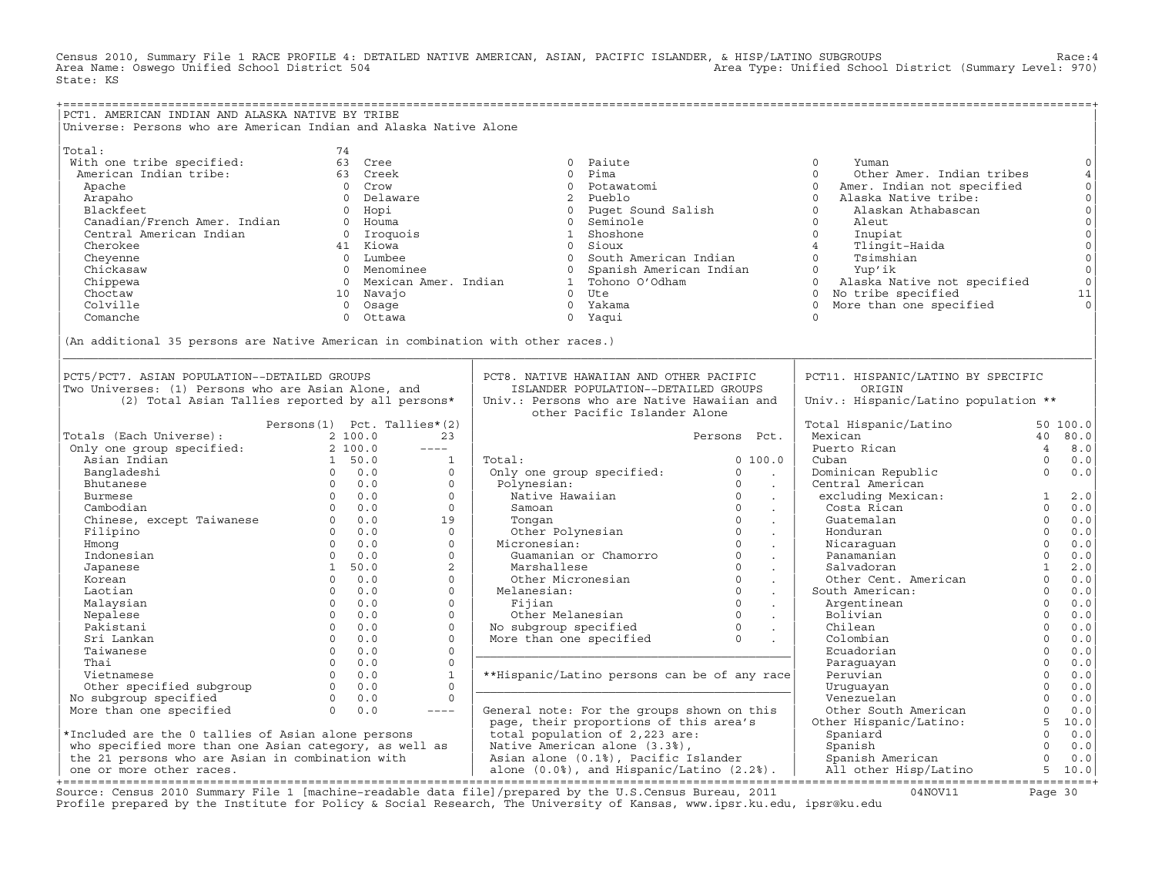Census 2010, Summary File 1 RACE PROFILE 4: DETAILED NATIVE AMERICAN, ASIAN, PACIFIC ISLANDER, & HISP/LATINO SUBGROUPS Race:4 Area Type: Unified School District (Summary Level: 970) State: KS

| PCT1. AMERICAN INDIAN AND ALASKA NATIVE BY TRIBE                                |                             |             |                                                                                                                                                                                                                                                                                                                                                                                              |                                                                                                |                                      |                                 |                                        |                |                     |
|---------------------------------------------------------------------------------|-----------------------------|-------------|----------------------------------------------------------------------------------------------------------------------------------------------------------------------------------------------------------------------------------------------------------------------------------------------------------------------------------------------------------------------------------------------|------------------------------------------------------------------------------------------------|--------------------------------------|---------------------------------|----------------------------------------|----------------|---------------------|
| Universe: Persons who are American Indian and Alaska Native Alone               |                             |             |                                                                                                                                                                                                                                                                                                                                                                                              |                                                                                                |                                      |                                 |                                        |                |                     |
|                                                                                 |                             |             |                                                                                                                                                                                                                                                                                                                                                                                              |                                                                                                |                                      |                                 |                                        |                |                     |
|                                                                                 |                             |             |                                                                                                                                                                                                                                                                                                                                                                                              |                                                                                                |                                      |                                 |                                        |                |                     |
| Total:                                                                          | 74                          |             |                                                                                                                                                                                                                                                                                                                                                                                              |                                                                                                |                                      |                                 |                                        |                |                     |
| With one tribe specified:                                                       |                             | 63 Cree     |                                                                                                                                                                                                                                                                                                                                                                                              |                                                                                                | 0 Paiute                             |                                 | $\circ$<br>Yuman                       |                | $\mathsf O$         |
| American Indian tribe:                                                          |                             | 63 Creek    |                                                                                                                                                                                                                                                                                                                                                                                              | $\Omega$                                                                                       | Pima                                 |                                 | $\Omega$<br>Other Amer. Indian tribes  |                | $\,4$               |
| Apache                                                                          |                             | 0 Crow      |                                                                                                                                                                                                                                                                                                                                                                                              |                                                                                                | 0 Potawatomi                         |                                 | Amer. Indian not specified<br>$\Omega$ |                | $\circ$             |
| Arapaho                                                                         |                             | 0 Delaware  |                                                                                                                                                                                                                                                                                                                                                                                              |                                                                                                | 2 Pueblo                             |                                 | Alaska Native tribe:<br>$\circ$        |                | $\mathsf{O}\xspace$ |
|                                                                                 |                             | 0 Hopi      |                                                                                                                                                                                                                                                                                                                                                                                              |                                                                                                | 0 Puget Sound Salish                 |                                 | $\Omega$<br>Alaskan Athabascan         |                | $\mathsf{O}\xspace$ |
|                                                                                 |                             | 0 Houma     |                                                                                                                                                                                                                                                                                                                                                                                              |                                                                                                | 0 Seminole                           |                                 | $\circ$<br>Aleut                       |                | $\mathsf{O}\xspace$ |
| Alapan:<br>Blackfeet<br>Canadian/French Amer. Indian                            |                             | 0 Iroquois  |                                                                                                                                                                                                                                                                                                                                                                                              |                                                                                                | 1 Shoshone                           |                                 | $\circ$<br>Inupiat                     |                | $\mathsf{O}\xspace$ |
| Cherokee                                                                        |                             | 41 Kiowa    |                                                                                                                                                                                                                                                                                                                                                                                              | 0 Sioux                                                                                        |                                      |                                 | $\overline{4}$<br>Tlingit-Haida        |                | $\mathsf{O}\xspace$ |
| Cheyenne                                                                        |                             | 0 Lumbee    |                                                                                                                                                                                                                                                                                                                                                                                              |                                                                                                | 0 South American Indian              |                                 | $\Omega$<br>Tsimshian                  |                | $\circ$             |
| Chickasaw                                                                       |                             | 0 Menominee |                                                                                                                                                                                                                                                                                                                                                                                              |                                                                                                | 0 Spanish American Indian            |                                 | Yup'ik<br>$\overline{0}$               |                | $\circ$             |
|                                                                                 |                             |             | 0 Mexican Amer. Indian                                                                                                                                                                                                                                                                                                                                                                       |                                                                                                |                                      |                                 | $\Omega$                               |                | $\circ$             |
| Chippewa                                                                        |                             |             |                                                                                                                                                                                                                                                                                                                                                                                              |                                                                                                | 1 Tohono O'Odham                     |                                 | Alaska Native not specified            |                |                     |
| Choctaw                                                                         |                             | 10 Navaio   |                                                                                                                                                                                                                                                                                                                                                                                              | $0$ Ute                                                                                        |                                      |                                 | 0 No tribe specified                   |                | 11                  |
| Colville                                                                        |                             | 0 Osage     |                                                                                                                                                                                                                                                                                                                                                                                              |                                                                                                | 0 Yakama                             |                                 | More than one specified<br>$\Omega$    |                |                     |
| Comanche                                                                        |                             | 0 Ottawa    |                                                                                                                                                                                                                                                                                                                                                                                              | 0 Yaqui                                                                                        |                                      |                                 | $\Omega$                               |                |                     |
|                                                                                 |                             |             |                                                                                                                                                                                                                                                                                                                                                                                              |                                                                                                |                                      |                                 |                                        |                |                     |
| (An additional 35 persons are Native American in combination with other races.) |                             |             |                                                                                                                                                                                                                                                                                                                                                                                              |                                                                                                |                                      |                                 |                                        |                |                     |
|                                                                                 |                             |             |                                                                                                                                                                                                                                                                                                                                                                                              |                                                                                                |                                      |                                 |                                        |                |                     |
|                                                                                 |                             |             |                                                                                                                                                                                                                                                                                                                                                                                              |                                                                                                |                                      |                                 |                                        |                |                     |
| PCT5/PCT7. ASIAN POPULATION--DETAILED GROUPS                                    |                             |             |                                                                                                                                                                                                                                                                                                                                                                                              | PCT8. NATIVE HAWAIIAN AND OTHER PACIFIC                                                        |                                      |                                 | PCT11. HISPANIC/LATINO BY SPECIFIC     |                |                     |
| Two Universes: (1) Persons who are Asian Alone, and                             |                             |             |                                                                                                                                                                                                                                                                                                                                                                                              |                                                                                                | ISLANDER POPULATION--DETAILED GROUPS |                                 | ORIGIN                                 |                |                     |
| (2) Total Asian Tallies reported by all persons*                                |                             |             |                                                                                                                                                                                                                                                                                                                                                                                              | Univ.: Persons who are Native Hawaiian and                                                     |                                      |                                 | Univ.: Hispanic/Latino population **   |                |                     |
|                                                                                 |                             |             |                                                                                                                                                                                                                                                                                                                                                                                              |                                                                                                | other Pacific Islander Alone         |                                 |                                        |                |                     |
|                                                                                 |                             |             |                                                                                                                                                                                                                                                                                                                                                                                              |                                                                                                |                                      |                                 |                                        |                | 50 100.0            |
|                                                                                 | Persons(1) Pct. Tallies*(2) |             |                                                                                                                                                                                                                                                                                                                                                                                              |                                                                                                |                                      |                                 | Total Hispanic/Latino                  |                |                     |
| Totals (Each Universe):                                                         |                             | 2 100.0     | 23                                                                                                                                                                                                                                                                                                                                                                                           |                                                                                                |                                      | Persons Pct.                    | Mexican                                |                | 40 80.0             |
| Only one group specified:                                                       |                             | 2, 100.0    | $---$                                                                                                                                                                                                                                                                                                                                                                                        |                                                                                                |                                      |                                 | Puerto Rican                           | $\overline{4}$ | 8.0                 |
| Asian Indian                                                                    |                             | 1 50.0      | $\mathbf{1}$                                                                                                                                                                                                                                                                                                                                                                                 | Total:                                                                                         |                                      | 0, 100.0                        | Cuban                                  | $\Omega$       | 0.0                 |
| Bangladeshi                                                                     |                             | $0 \t 0.0$  | $\circ$                                                                                                                                                                                                                                                                                                                                                                                      | Only one group specified:                                                                      |                                      | $\circ$<br>$\sim 100$           | Dominican Republic                     | $\Omega$       | 0.0                 |
| Bhutanese                                                                       | $0 \quad 0.0$               |             | $\Omega$                                                                                                                                                                                                                                                                                                                                                                                     | Polynesian:                                                                                    |                                      | $\Omega$<br>$\sim$              | Central American                       |                |                     |
| Burmese                                                                         | $0 \t 0.0$                  |             | $\circ$                                                                                                                                                                                                                                                                                                                                                                                      | Native Hawaiian                                                                                |                                      | $\overline{0}$<br>$\sim$        | excluding Mexican:                     | $\mathbf{1}$   | 2.0                 |
| Cambodian                                                                       |                             | $0 \t 0.0$  | $\circ$                                                                                                                                                                                                                                                                                                                                                                                      | Samoan                                                                                         |                                      | $\Omega$<br>$\sim$              | Costa Rican                            | $\circ$        | 0.0                 |
| Chinese, except Taiwanese 0 0.0                                                 |                             |             | 19                                                                                                                                                                                                                                                                                                                                                                                           | Tonqan                                                                                         |                                      | $\circ$<br>$\sim$               | Guatemalan                             | $\Omega$       | 0.0                 |
| Filipino                                                                        |                             | $0 \t 0.0$  | $\circ$                                                                                                                                                                                                                                                                                                                                                                                      |                                                                                                | Other Polynesian                     | $\circ$<br>$\sim$               | Honduran                               | $\mathbf 0$    | 0.0                 |
| Hmonq                                                                           |                             | $0 \t 0.0$  | $\Omega$                                                                                                                                                                                                                                                                                                                                                                                     | Micronesian:                                                                                   |                                      | $\Omega$<br>$\sim$              | Nicaraquan                             | $\Omega$       | 0.0                 |
| Indonesian                                                                      |                             | $0 \t 0.0$  | $\circ$                                                                                                                                                                                                                                                                                                                                                                                      |                                                                                                | Guamanian or Chamorro                | $\circ$<br>$\ddot{\phantom{a}}$ | Panamanian                             | $\Omega$       | 0.0                 |
| Japanese                                                                        |                             | 1, 50.0     | $\overline{2}$                                                                                                                                                                                                                                                                                                                                                                               | Marshallese                                                                                    |                                      | $\Omega$<br>$\sim$              | Salvadoran                             | $\mathbf{1}$   | 2.0                 |
| Korean                                                                          |                             | $0 \t 0.0$  | $\Omega$                                                                                                                                                                                                                                                                                                                                                                                     | Other Micronesian                                                                              |                                      | $\Omega$<br>$\sim$              | Other Cent. American                   | $\Omega$       | 0.0                 |
|                                                                                 | $\Omega$                    |             | $\Omega$                                                                                                                                                                                                                                                                                                                                                                                     | Melanesian:                                                                                    |                                      | $\Omega$                        |                                        | $\Omega$       | 0.0                 |
| Laotian                                                                         | $\Omega$                    | 0.0<br>0.0  | $\Omega$                                                                                                                                                                                                                                                                                                                                                                                     |                                                                                                |                                      | $\sim$<br>$\Omega$              | South American:                        | $\Omega$       |                     |
| Malaysian                                                                       |                             |             |                                                                                                                                                                                                                                                                                                                                                                                              | Fijian                                                                                         |                                      | $\sim$<br>$\circ$               | Argentinean                            | $\circ$        | $0.0$               |
| Nepalese                                                                        | $\overline{0}$              | 0.0         | $\circ$                                                                                                                                                                                                                                                                                                                                                                                      | Other Melanesian<br>Other Melanesian 0<br>No subgroup specified 0<br>More than one specified 0 |                                      |                                 | Bolivian                               |                | 0.0                 |
| Pakistani                                                                       | $\Omega$                    | 0.0         | $\circ$                                                                                                                                                                                                                                                                                                                                                                                      |                                                                                                |                                      | $\sim$                          | Chilean                                | $\mathbf{0}$   | 0.0                 |
| Sri Lankan                                                                      | $\Omega$                    | 0.0         | $\Omega$                                                                                                                                                                                                                                                                                                                                                                                     |                                                                                                |                                      |                                 | Colombian                              | $\Omega$       | $0.0$               |
| Taiwanese                                                                       | 0                           | 0.0         | $\circ$                                                                                                                                                                                                                                                                                                                                                                                      |                                                                                                |                                      |                                 | Ecuadorian                             | $\mathbf 0$    | 0.0                 |
| Thai                                                                            | $\Omega$                    | 0.0         | $\circ$                                                                                                                                                                                                                                                                                                                                                                                      |                                                                                                |                                      |                                 | Paraguayan                             | $\Omega$       | 0.0                 |
| Vietnamese                                                                      | $\overline{0}$              | 0.0         | $\mathbf{1}$                                                                                                                                                                                                                                                                                                                                                                                 | **Hispanic/Latino persons can be of any race                                                   |                                      |                                 | Peruvian                               | $\Omega$       | 0.0                 |
| Other specified subgroup                                                        | $\overline{0}$              | 0.0         | $\circ$                                                                                                                                                                                                                                                                                                                                                                                      |                                                                                                |                                      |                                 | Uruguayan                              | $\mathbf 0$    | 0.0                 |
| No subgroup specified                                                           |                             | $0 \t 0.0$  | $\Omega$                                                                                                                                                                                                                                                                                                                                                                                     |                                                                                                |                                      |                                 | Venezuelan                             | $\Omega$       | 0.0                 |
| More than one specified                                                         | $\Omega$                    | 0.0         | $\frac{1}{2} \frac{1}{2} \frac{1}{2} \frac{1}{2} \frac{1}{2} \frac{1}{2} \frac{1}{2} \frac{1}{2} \frac{1}{2} \frac{1}{2} \frac{1}{2} \frac{1}{2} \frac{1}{2} \frac{1}{2} \frac{1}{2} \frac{1}{2} \frac{1}{2} \frac{1}{2} \frac{1}{2} \frac{1}{2} \frac{1}{2} \frac{1}{2} \frac{1}{2} \frac{1}{2} \frac{1}{2} \frac{1}{2} \frac{1}{2} \frac{1}{2} \frac{1}{2} \frac{1}{2} \frac{1}{2} \frac{$ | General note: For the groups shown on this                                                     |                                      |                                 | Other South American                   | $\Omega$       | 0.0                 |
|                                                                                 |                             |             |                                                                                                                                                                                                                                                                                                                                                                                              | page, their proportions of this area's                                                         |                                      |                                 | Other Hispanic/Latino:                 | 5              | 10.0                |
| *Included are the 0 tallies of Asian alone persons                              |                             |             |                                                                                                                                                                                                                                                                                                                                                                                              | total population of 2,223 are:                                                                 |                                      |                                 | Spaniard                               | $\Omega$       | 0.0                 |
|                                                                                 |                             |             |                                                                                                                                                                                                                                                                                                                                                                                              | Native American alone (3.3%),                                                                  |                                      |                                 |                                        | $\Omega$       | 0.0                 |
| who specified more than one Asian category, as well as                          |                             |             |                                                                                                                                                                                                                                                                                                                                                                                              |                                                                                                |                                      |                                 | Spanish                                | $\Omega$       |                     |
| the 21 persons who are Asian in combination with                                |                             |             |                                                                                                                                                                                                                                                                                                                                                                                              | Asian alone (0.1%), Pacific Islander                                                           |                                      |                                 | Spanish American                       |                | 0.0                 |
| one or more other races.                                                        |                             |             |                                                                                                                                                                                                                                                                                                                                                                                              | alone (0.0%), and Hispanic/Latino (2.2%).                                                      |                                      |                                 | All other Hisp/Latino                  |                | 5 10.0              |

| one or more other races. | alone (0.0%), and Hispanic/Latino (2.2%). | All other Hisp/Latino 5 10.0| +===================================================================================================================================================+ Source: Census 2010 Summary File 1 [machine−readable data file]/prepared by the U.S.Census Bureau, 2011 04NOV11 Page 30 Profile prepared by the Institute for Policy & Social Research, The University of Kansas, www.ipsr.ku.edu, ipsr@ku.edu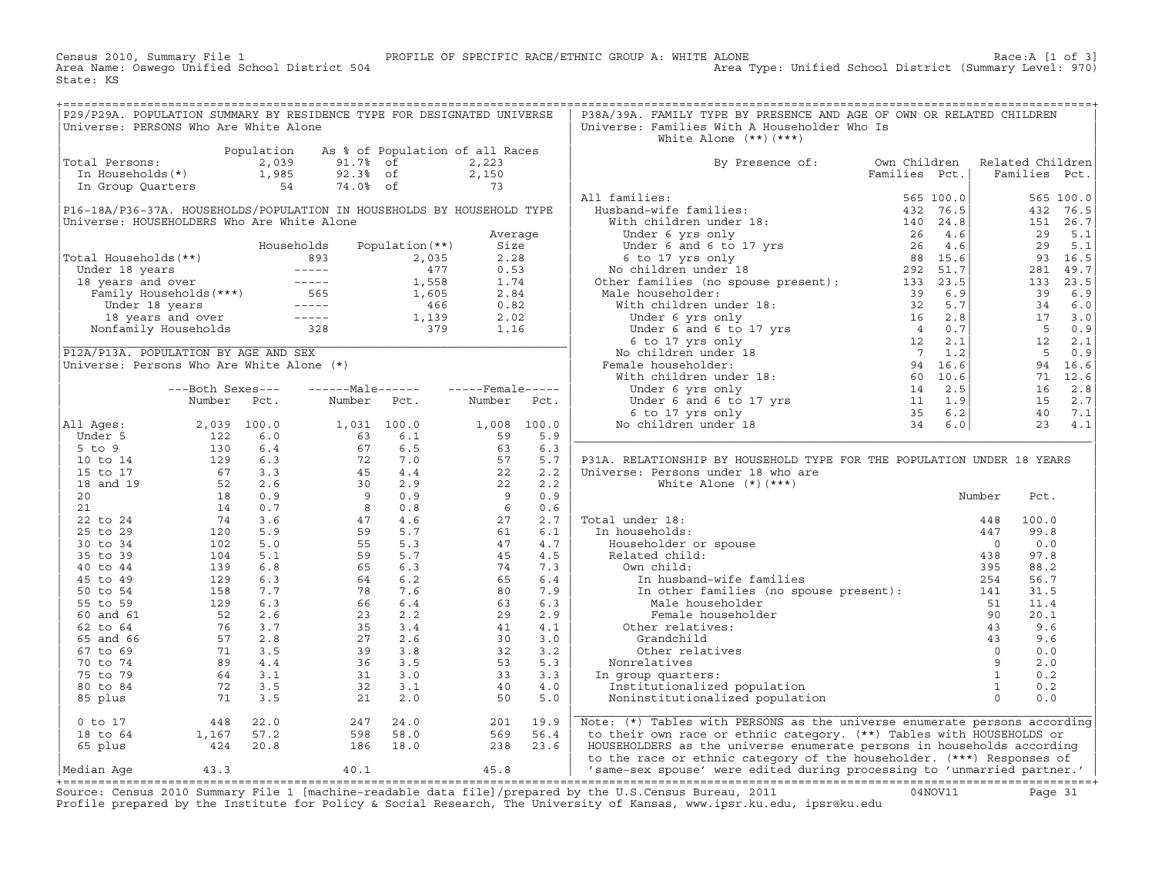Census 2010, Summary File 1 PROFILE OF SPECIFIC RACE/ETHNIC GROUP A: WHITE ALONE Race:A [1 of 3] Area Type: Unified School District (Summary Level: 970) State: KS

| P29/P29A. POPULATION SUMMARY BY RESIDENCE TYPE FOR DESIGNATED UNIVERSE<br>Universe: PERSONS Who Are White Alone |                                                                                           |            |                                                                |                                 |                                                                       |            | P38A/39A. FAMILY TYPE BY PRESENCE AND AGE OF OWN OR RELATED CHILDREN<br>Universe: Families With A Householder Who Is<br>White Alone $(**)$ $(***)$                                                                                                                         |                               |                     |                                   |                       |
|-----------------------------------------------------------------------------------------------------------------|-------------------------------------------------------------------------------------------|------------|----------------------------------------------------------------|---------------------------------|-----------------------------------------------------------------------|------------|----------------------------------------------------------------------------------------------------------------------------------------------------------------------------------------------------------------------------------------------------------------------------|-------------------------------|---------------------|-----------------------------------|-----------------------|
| Total Persons:                                                                                                  | otal refsons:<br>In Households(*) 1,985<br>In Group Ouertors                              | Population | 91.7% of<br>92.3% of                                           | As % of Population of all Races | 2,223<br>2,150                                                        |            | By Presence of:                                                                                                                                                                                                                                                            | Own Children<br>Families Pct. |                     | Related Children<br>Families Pct. |                       |
| In Group Quarters<br>P16-18A/P36-37A. HOUSEHOLDS/POPULATION IN HOUSEHOLDS BY HOUSEHOLD TYPE                     |                                                                                           | 54         | 74.0% of                                                       |                                 | 73                                                                    |            | All families:<br>11 families:<br>With children under 18:<br>With children under 18:<br>Under 6 yrs only<br>Under 6 yrs only<br>Consider to a both the set of the set of the set of the set of the set of the set of the set of the set of the set of the                   | 565 100.0                     |                     |                                   | 565 100.0<br>432 76.5 |
| Universe: HOUSEHOLDERS Who Are White Alone                                                                      |                                                                                           |            |                                                                |                                 | Average                                                               |            |                                                                                                                                                                                                                                                                            |                               |                     |                                   | 151 26.7<br>29 5.1    |
| Total Households(**)                                                                                            |                                                                                           |            | Households                                                     | Population $(**)$               | Size<br>2.28                                                          |            |                                                                                                                                                                                                                                                                            |                               |                     | 29                                | 5.1<br>93 16.5        |
|                                                                                                                 |                                                                                           |            |                                                                |                                 | 0.53                                                                  |            |                                                                                                                                                                                                                                                                            |                               |                     |                                   | 281 49.7              |
|                                                                                                                 |                                                                                           |            |                                                                |                                 | 1.74                                                                  |            |                                                                                                                                                                                                                                                                            |                               |                     |                                   | 133 23.5              |
|                                                                                                                 |                                                                                           |            |                                                                |                                 | 2.84<br>0.82                                                          |            | Male householder:                                                                                                                                                                                                                                                          |                               |                     | 39 6.9                            | 34 6.0                |
|                                                                                                                 |                                                                                           |            |                                                                |                                 | 2.02                                                                  |            |                                                                                                                                                                                                                                                                            |                               |                     |                                   | $17 \quad 3.0$        |
|                                                                                                                 |                                                                                           |            |                                                                |                                 | 1.16                                                                  |            | 133 23.5<br>11 133 23.5<br>11 133 23.5<br>12 133 23.5<br>133 23.5<br>133 23.5<br>133 23.5<br>133 23.5<br>133 23.5<br>133 23.5<br>133 23.5<br>133 23.5<br>133 23.5<br>133 23.5<br>133 23.5<br>133 23.5<br>133 23.5<br>133 2.8<br>16 2.8<br>16 2.8<br>16 2.8<br>16 2.8<br>16 |                               |                     | 50.9                              |                       |
|                                                                                                                 |                                                                                           |            |                                                                |                                 |                                                                       |            |                                                                                                                                                                                                                                                                            |                               |                     |                                   | $12 \t 2.1$           |
| P12A/P13A. POPULATION BY AGE AND SEX<br>Universe: Persons Who Are White Alone (*)                               |                                                                                           |            |                                                                |                                 |                                                                       |            | Female householder:                                                                                                                                                                                                                                                        |                               |                     |                                   | 50.9<br>94 16.6       |
|                                                                                                                 |                                                                                           |            |                                                                |                                 |                                                                       |            |                                                                                                                                                                                                                                                                            |                               |                     |                                   | 71 12.6               |
|                                                                                                                 | ---Both Sexes---                                                                          |            |                                                                |                                 |                                                                       |            |                                                                                                                                                                                                                                                                            |                               |                     |                                   | $16$ 2.8              |
|                                                                                                                 | Number                                                                                    | Pct.       | Number                                                         | Pct.                            | Number                                                                | Pct.       |                                                                                                                                                                                                                                                                            |                               |                     |                                   | 15 2.7                |
| All Ages:                                                                                                       | 2,039 100.0                                                                               |            | 1,031 100.0                                                    |                                 | 1,008 100.0                                                           |            |                                                                                                                                                                                                                                                                            |                               |                     |                                   | 40 7.1<br>23 4.1      |
| Under 5                                                                                                         | 122                                                                                       | 6.0        |                                                                | 6.1                             |                                                                       | 5.9        |                                                                                                                                                                                                                                                                            |                               |                     |                                   |                       |
| $5$ to $9$                                                                                                      | $\frac{122}{130}$<br>129<br>67<br>52                                                      | 6.4        | $\begin{array}{r} 63 \\ 67 \\ 72 \\ 45 \\ 30 \\ 9 \end{array}$ | 6.5                             | $\begin{array}{ccc} & & & 63 \\ 4 & & & 57 \\ .9 & & & 2 \end{array}$ | 6.3        |                                                                                                                                                                                                                                                                            |                               |                     |                                   |                       |
| 10 to 14<br>15 to 17                                                                                            |                                                                                           | 6.3<br>3.3 |                                                                | 7.0<br>4.4                      |                                                                       | 5.7<br>2.2 | P31A. RELATIONSHIP BY HOUSEHOLD TYPE FOR THE POPULATION UNDER 18 YEARS<br>Universe: Persons under 18 who are                                                                                                                                                               |                               |                     |                                   |                       |
| 18 and 19                                                                                                       |                                                                                           | 2.6        |                                                                | 2.9                             |                                                                       | 2.2        | White Alone $(*)$ $(***)$                                                                                                                                                                                                                                                  |                               |                     |                                   |                       |
| 20                                                                                                              | 18                                                                                        | 0.9        |                                                                | 0.9                             |                                                                       | 0.9        |                                                                                                                                                                                                                                                                            |                               | Number              | Pct.                              |                       |
| 21                                                                                                              | 14                                                                                        | 0.7        | 8 <sup>8</sup><br>$8$ 0.8<br>47 4.6<br>59 5.7                  | 0.8                             | $6\overline{6}$                                                       | 0.6        |                                                                                                                                                                                                                                                                            |                               |                     |                                   |                       |
| 22 to 24<br>25 to 29                                                                                            | 74<br>120                                                                                 | 3.6<br>5.9 |                                                                |                                 | $\begin{array}{c} 6 \\ 27 \\ 61 \end{array}$                          | 2.7<br>6.1 | Total under 18:<br>In households:                                                                                                                                                                                                                                          |                               | 448<br>447          | 100.0<br>99.8                     |                       |
| 30 to 34                                                                                                        | 102                                                                                       | 5.0        |                                                                | 5.3                             |                                                                       | 4.7        | Householder or spouse                                                                                                                                                                                                                                                      |                               | $\overline{0}$      | 0.0                               |                       |
| 35 to 39                                                                                                        | 104                                                                                       | 5.1        |                                                                | 5.7                             | $\frac{1}{47}$<br>45<br>74<br>65                                      | 4.5        | Related child:                                                                                                                                                                                                                                                             |                               | 438                 | 97.8                              |                       |
| 40 to 44                                                                                                        | 139                                                                                       | 6.8        |                                                                | 6.3                             |                                                                       | 7.3        | Own child:                                                                                                                                                                                                                                                                 |                               | 395                 | 88.2                              |                       |
| 45 to 49<br>50 to 54                                                                                            | 129<br>158                                                                                | 6.3<br>7.7 | $559$<br>$59$<br>$64$<br>$78$<br>$66$<br>$235$                 | 6.2<br>7.6                      |                                                                       | 6.4<br>7.9 | In husband-wife families                                                                                                                                                                                                                                                   |                               | 254                 | 56.7<br>31.5                      |                       |
| 55 to 59                                                                                                        | 129                                                                                       | 6.3        |                                                                | 6.4                             | $80$<br>63<br>29                                                      | 6.3        | In other families (no spouse present):<br>Male householder                                                                                                                                                                                                                 |                               | 141<br>51           | 11.4                              |                       |
| 60 and 61                                                                                                       | 52                                                                                        | 2.6        |                                                                | 2.2                             | 29                                                                    | 2.9        | Female householder                                                                                                                                                                                                                                                         |                               | 90                  | 20.1                              |                       |
| 62 to 64                                                                                                        | 76                                                                                        | 3.7        | $35$<br>$27$<br>$39$<br>$36$<br>$31$                           | 3.4                             | 41                                                                    | 4.1        | Other relatives:                                                                                                                                                                                                                                                           |                               | 43                  | 9.6                               |                       |
| 65 and 66                                                                                                       | $\begin{array}{rrr} 75 & 3.7 \\ 57 & 2.8 \\ 71 & 3.5 \\ 89 & 4.4 \\ 64 & 3.1 \end{array}$ |            |                                                                | 2.6                             | 30                                                                    | 3.0        | Grandchild                                                                                                                                                                                                                                                                 |                               | 43                  | 9.6                               |                       |
| 67 to 69<br>70 to 74                                                                                            |                                                                                           |            |                                                                | 3.8<br>3.5                      | 32<br>53                                                              | 3.2<br>5.3 | Other relatives<br>Nonrelatives                                                                                                                                                                                                                                            |                               | $\overline{0}$<br>9 | 0.0<br>2.0                        |                       |
| 75 to 79                                                                                                        |                                                                                           |            |                                                                | 3.0                             | 33                                                                    | 3.3        | In group quarters:                                                                                                                                                                                                                                                         |                               | $\mathbf{1}$        | 0.2                               |                       |
| 80 to 84                                                                                                        | 72                                                                                        | 3.5        | 32                                                             | 3.1                             | 40                                                                    | 4.0        | Institutionalized population                                                                                                                                                                                                                                               |                               | $\overline{1}$      | 0.2                               |                       |
| 85 plus                                                                                                         | 71                                                                                        | 3.5        | 21                                                             | 2.0                             | 50                                                                    | 5.0        | Noninstitutionalized population                                                                                                                                                                                                                                            |                               | $\overline{0}$      | 0.0                               |                       |
| $0$ to $17$                                                                                                     | 448                                                                                       | 22.0       | 247                                                            | 24.0                            | 201                                                                   | 19.9       | Note: (*) Tables with PERSONS as the universe enumerate persons according                                                                                                                                                                                                  |                               |                     |                                   |                       |
| 18 to 64                                                                                                        | 1,167                                                                                     | 57.2       | 598                                                            | 58.0                            | 569                                                                   | 56.4       | to their own race or ethnic category. (**) Tables with HOUSEHOLDS or                                                                                                                                                                                                       |                               |                     |                                   |                       |
| 65 plus                                                                                                         | 424                                                                                       | 20.8       | 186                                                            | 18.0                            | 238                                                                   | 23.6       | HOUSEHOLDERS as the universe enumerate persons in households according<br>to the race or ethnic category of the householder. (***) Responses of                                                                                                                            |                               |                     |                                   |                       |
| Median Aqe                                                                                                      | 43.3                                                                                      |            | 40.1                                                           |                                 | 45.8                                                                  |            | 'same-sex spouse' were edited during processing to 'unmarried partner.'                                                                                                                                                                                                    |                               |                     |                                   |                       |

+===================================================================================================================================================+Source: Census 2010 Summary File 1 [machine−readable data file]/prepared by the U.S.Census Bureau, 2011 04NOV11 Page 31 Profile prepared by the Institute for Policy & Social Research, The University of Kansas, www.ipsr.ku.edu, ipsr@ku.edu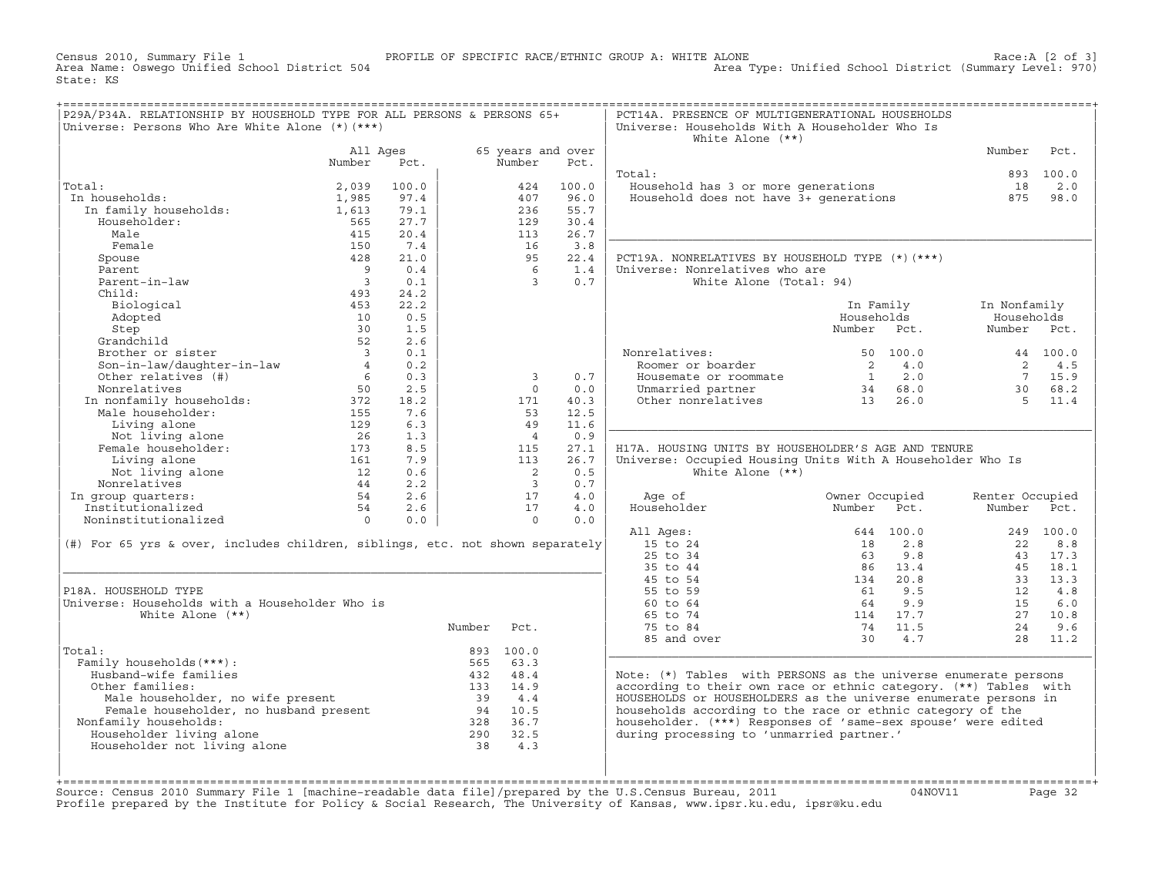Census 2010, Summary File 1 PROFILE OF SPECIFIC RACE/ETHNIC GROUP A: WHITE ALONE Race:A [2 of 3] Area Type: Unified School District (Summary Level: 970) State: KS

| P29A/P34A. RELATIONSHIP BY HOUSEHOLD TYPE FOR ALL PERSONS & PERSONS 65+                       |                          |       |        |                            |       | PCT14A. PRESENCE OF MULTIGENERATIONAL HOUSEHOLDS                  |                       |                 |           |
|-----------------------------------------------------------------------------------------------|--------------------------|-------|--------|----------------------------|-------|-------------------------------------------------------------------|-----------------------|-----------------|-----------|
| Universe: Persons Who Are White Alone (*) (***)                                               |                          |       |        |                            |       | Universe: Households With A Householder Who Is                    |                       |                 |           |
|                                                                                               |                          |       |        |                            |       | White Alone $(**)$                                                |                       |                 |           |
|                                                                                               | All Ages                 |       |        | 65 years and over          |       |                                                                   |                       | Number          | Pct.      |
|                                                                                               | Number                   | Pct.  |        | Number                     | Pct.  |                                                                   |                       |                 |           |
|                                                                                               |                          |       |        |                            |       | Total:                                                            |                       |                 | 893 100.0 |
| Total:                                                                                        | 2,039                    | 100.0 |        | 424                        | 100.0 | Household has 3 or more generations                               |                       | 18              | 2.0       |
| In households:                                                                                |                          | 97.4  |        |                            |       |                                                                   |                       |                 |           |
|                                                                                               | 1,985                    |       |        | 407                        | 96.0  | Household does not have 3+ generations                            |                       | 875             | 98.0      |
| In family households:                                                                         | 1,613                    | 79.1  |        | 236                        | 55.7  |                                                                   |                       |                 |           |
| Householder:                                                                                  | 565                      | 27.7  |        | 129                        | 30.4  |                                                                   |                       |                 |           |
| Male                                                                                          | 415                      | 20.4  |        | 113                        | 26.7  |                                                                   |                       |                 |           |
| Female                                                                                        | 150                      | 7.4   |        | 16                         | 3.8   |                                                                   |                       |                 |           |
| Spouse                                                                                        | 428                      | 21.0  |        | 95                         | 22.4  | PCT19A. NONRELATIVES BY HOUSEHOLD TYPE (*) (***)                  |                       |                 |           |
| Parent                                                                                        | $\overline{9}$           | 0.4   |        | 6                          | 1.4   | Universe: Nonrelatives who are                                    |                       |                 |           |
| Parent-in-law                                                                                 | $\overline{\phantom{a}}$ | 0.1   |        | $\mathbf{3}$               | 0.7   | White Alone (Total: 94)                                           |                       |                 |           |
| Child:                                                                                        | 493                      | 24.2  |        |                            |       |                                                                   |                       |                 |           |
| Biological                                                                                    | 453                      | 22.2  |        |                            |       |                                                                   | In Family             | In Nonfamily    |           |
| Adopted                                                                                       | 10                       | 0.5   |        |                            |       |                                                                   | Households            | Households      |           |
| Step                                                                                          | 30                       | 1.5   |        |                            |       |                                                                   | Number Pct.           | Number Pct.     |           |
|                                                                                               |                          |       |        |                            |       |                                                                   |                       |                 |           |
| Grandchild                                                                                    | 52                       | 2.6   |        |                            |       |                                                                   |                       |                 |           |
| Brother or sister                                                                             | $\overline{\mathbf{3}}$  | 0.1   |        |                            |       | Nonrelatives:                                                     | 50 100.0              |                 | 44 100.0  |
| Son-in-law/daughter-in-law                                                                    | $4\degree$               | 0.2   |        |                            |       | Roomer or boarder                                                 | $\overline{2}$<br>4.0 | 2               | 4.5       |
| Other relatives (#)                                                                           | - 6                      | 0.3   |        | $\overline{3}$             | 0.7   | Housemate or roommate                                             | $1 \qquad 2.0$        | $7\overline{ }$ | 15.9      |
| Nonrelatives                                                                                  | 50                       | 2.5   |        | $\Omega$                   | 0.0   | Unmarried partner                                                 | 34 68.0               | 30              | 68.2      |
| In nonfamily households:                                                                      | 372                      | 18.2  |        | 171                        | 40.3  | Other nonrelatives                                                | $13 \t 26.0$          | $5^{\circ}$     | 11.4      |
| Male householder:                                                                             | 155                      | 7.6   |        | 53                         | 12.5  |                                                                   |                       |                 |           |
| Living alone                                                                                  | 129                      | 6.3   |        | 49                         | 11.6  |                                                                   |                       |                 |           |
| Not living alone                                                                              | 26                       | 1.3   |        | $\overline{4}$             | 0.9   |                                                                   |                       |                 |           |
| Female householder:                                                                           | 173                      | 8.5   |        | 115                        | 27.1  | H17A. HOUSING UNITS BY HOUSEHOLDER'S AGE AND TENURE               |                       |                 |           |
|                                                                                               | 161                      | 7.9   |        | 113                        | 26.7  |                                                                   |                       |                 |           |
| Living alone                                                                                  |                          |       |        |                            |       | Universe: Occupied Housing Units With A Householder Who Is        |                       |                 |           |
| Not living alone                                                                              | 12                       | 0.6   |        | $\overline{\phantom{0}}^2$ | 0.5   | White Alone $(**)$                                                |                       |                 |           |
| Nonrelatives                                                                                  | 44                       | 2.2   |        | $\overline{\mathbf{3}}$    | 0.7   |                                                                   |                       |                 |           |
| In group quarters:                                                                            | 54                       | 2.6   |        | 17                         | 4.0   | Age of                                                            | Owner Occupied        | Renter Occupied |           |
| Institutionalized                                                                             | 54                       | 2.6   |        | 17                         | 4.0   | Householder                                                       | Number<br>Pct.        | Number          | Pct.      |
| Noninstitutionalized                                                                          | $\overline{0}$           | 0.0   |        | $\Omega$                   | 0.0   |                                                                   |                       |                 |           |
|                                                                                               |                          |       |        |                            |       | All Ages:                                                         | 644 100.0             |                 | 249 100.0 |
| (#) For 65 yrs & over, includes children, siblings, etc. not shown separately                 |                          |       |        |                            |       | 15 to 24                                                          | 2.8<br>18             | 22              | 8.8       |
|                                                                                               |                          |       |        |                            |       | 25 to 34                                                          | 9.8<br>63             |                 | 43 17.3   |
|                                                                                               |                          |       |        |                            |       | 35 to 44                                                          | 86 13.4               |                 | 45 18.1   |
|                                                                                               |                          |       |        |                            |       | 45 to 54                                                          | 20.8<br>134           | 33              | 13.3      |
| P18A. HOUSEHOLD TYPE                                                                          |                          |       |        |                            |       | 55 to 59                                                          | 9.5<br>61             | 12              | 4.8       |
| Universe: Households with a Householder Who is                                                |                          |       |        |                            |       | 60 to 64                                                          | 64<br>9.9             | 15              | 6.0       |
|                                                                                               |                          |       |        |                            |       |                                                                   |                       |                 |           |
| White Alone $(**)$                                                                            |                          |       |        |                            |       | 65 to 74                                                          | 114 17.7              | 27              | 10.8      |
|                                                                                               |                          |       | Number | Pct.                       |       | 75 to 84                                                          | 74 11.5               | 24              | 9.6       |
|                                                                                               |                          |       |        |                            |       | 85 and over                                                       | 30<br>4.7             | 28              | 11.2      |
| Total:                                                                                        |                          |       |        | 893 100.0                  |       |                                                                   |                       |                 |           |
| Family households (***) :                                                                     |                          |       |        | 565 63.3                   |       |                                                                   |                       |                 |           |
| Husband-wife families                                                                         |                          |       |        | 432 48.4                   |       | Note: $(*)$ Tables with PERSONS as the universe enumerate persons |                       |                 |           |
| Other families:                                                                               |                          |       |        | 133 14.9                   |       | according to their own race or ethnic category. (**) Tables with  |                       |                 |           |
|                                                                                               |                          |       |        | 39 4.4                     |       | HOUSEHOLDS or HOUSEHOLDERS as the universe enumerate persons in   |                       |                 |           |
| nucr rumminuo:<br>Male householder, no wife present<br>Female householder, no husband present |                          |       |        | 94 10.5                    |       | households according to the race or ethnic category of the        |                       |                 |           |
| Nonfamily households:                                                                         |                          |       |        | 328 36.7                   |       | householder. (***) Responses of 'same-sex spouse' were edited     |                       |                 |           |
| Householder living alone                                                                      |                          |       |        | 290 32.5                   |       | during processing to 'unmarried partner.'                         |                       |                 |           |
|                                                                                               |                          |       |        |                            |       |                                                                   |                       |                 |           |
| Householder not living alone                                                                  |                          |       | 38     | 4.3                        |       |                                                                   |                       |                 |           |
|                                                                                               |                          |       |        |                            |       |                                                                   |                       |                 |           |
|                                                                                               |                          |       |        |                            |       |                                                                   |                       |                 |           |

| | | +===================================================================================================================================================+Source: Census 2010 Summary File 1 [machine−readable data file]/prepared by the U.S.Census Bureau, 2011 04NOV11 Page 32 Profile prepared by the Institute for Policy & Social Research, The University of Kansas, www.ipsr.ku.edu, ipsr@ku.edu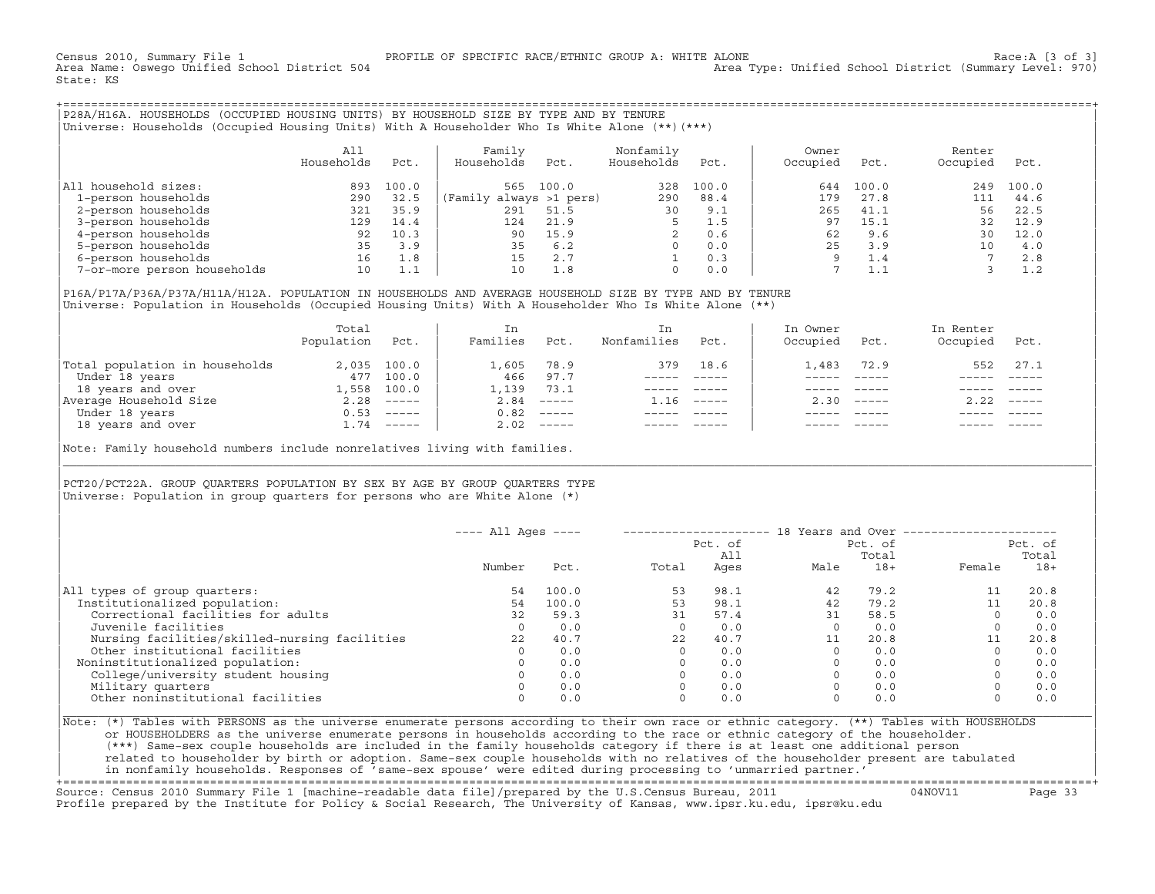Census 2010, Summary File 1 PROFILE OF SPECIFIC RACE/ETHNIC GROUP A: WHITE ALONE Race:A [3 of 3] Area Type: Unified School District (Summary Level: 970) State: KS

+===================================================================================================================================================+|P28A/H16A. HOUSEHOLDS (OCCUPIED HOUSING UNITS) BY HOUSEHOLD SIZE BY TYPE AND BY TENURE | |Universe: Households (Occupied Housing Units) With A Householder Who Is White Alone (\*\*)(\*\*\*) |

|                             | A11<br>Households | Pct.  | Family<br>Households    | Pct.  | Nonfamily<br>Households | Pct.  | Owner<br>Occupied | Pct.       | Renter<br>Occupied | Pct.  |
|-----------------------------|-------------------|-------|-------------------------|-------|-------------------------|-------|-------------------|------------|--------------------|-------|
| All household sizes:        | 893               | 100.0 | 565                     | 100.0 | 328                     | 100.0 | 644               | 100.0      | 249                | 100.0 |
| 1-person households         | 290               | 32.5  | (Family always >1 pers) |       | 290                     | 88.4  | 179               | 27.8       | 111                | 44.6  |
| 2-person households         | 321               | 35.9  | 291                     | 51.5  | 30                      | 9.1   | 265               | 41.1       | 56                 | 22.5  |
| 3-person households         | 129               | 14.4  | 124                     | 21.9  |                         | 1.5   | 97                | 15.1       | 32                 | 12.9  |
| 4-person households         | 92                | 10.3  | 90                      | 15.9  | $\mathfrak{D}$          | 0.6   | 62                | 9.6        | 30                 | 12.0  |
| 5-person households         | 35                | 3.9   | 35                      | 6.2   |                         | 0.0   | 25                | 3.9        | 10 <sup>1</sup>    | 4.0   |
| 6-person households         | 16                | 1.8   | 15                      | 2.7   |                         | 0.3   | $\circ$           | $\perp$ .4 |                    | 2.8   |
| 7-or-more person households | 10                | 1.1   | 10                      | 1.8   | $\Omega$                | 0.0   |                   |            |                    | 1.2   |

|P16A/P17A/P36A/P37A/H11A/H12A. POPULATION IN HOUSEHOLDS AND AVERAGE HOUSEHOLD SIZE BY TYPE AND BY TENURE | |Universe: Population in Households (Occupied Housing Units) With A Householder Who Is White Alone (\*\*) |

|                                | Total<br>Population | Pct.         | In<br>Families | Pct.     | In.<br>Nonfamilies | Pct.     | In Owner<br>Occupied | Pct.                      | In Renter<br>Occupied | Pct.                      |  |
|--------------------------------|---------------------|--------------|----------------|----------|--------------------|----------|----------------------|---------------------------|-----------------------|---------------------------|--|
| Total population in households |                     | 2,035 100.0  | 1,605          | 78.9     | 379                | 18.6     | 1,483                | 72.9                      | 552                   | 27.1                      |  |
| Under 18 years                 | 477                 | 100.0        | 466            | 97.7     |                    |          |                      |                           |                       |                           |  |
| 18 years and over              | 1,558               | 100.0        | 1,139          | 73.1     |                    |          |                      |                           |                       |                           |  |
| Average Household Size         | 2.28                | $------$     | 2.84           | $------$ | 1.16               | $------$ | 2.30                 | $\qquad \qquad - - - - -$ | 2.22                  | $\qquad \qquad - - - - -$ |  |
| Under 18 years                 | 0.53                | $------$     | 0.82           | $------$ |                    |          |                      |                           |                       |                           |  |
| 18 years and over              |                     | $1.74$ ----- | 2.02           |          |                    |          |                      | $- - - - -$               |                       | $- - - - -$               |  |
|                                |                     |              |                |          |                    |          |                      |                           |                       |                           |  |

Note: Family household numbers include nonrelatives living with families.

| | PCT20/PCT22A. GROUP OUARTERS POPULATION BY SEX BY AGE BY GROUP OUARTERS TYPE Universe: Population in group quarters for persons who are White Alone  $(*)$ 

|                                               | $---$ All Ages $---$ |       |       | Pct. of<br>All | 18 Years and Over ------------- | Pct. of<br>Total |             | Pct. of<br>Total |
|-----------------------------------------------|----------------------|-------|-------|----------------|---------------------------------|------------------|-------------|------------------|
|                                               | Number               | Pct.  | Total | Ages           | Male                            | $18+$            | Female      | $18+$            |
| All types of group quarters:                  | 54                   | 100.0 | 53    | 98.1           | 42                              | 79.2             |             | 20.8             |
| Institutionalized population:                 | 54                   | 100.0 | 53    | 98.1           | 42                              | 79.2             |             | 20.8             |
| Correctional facilities for adults            | 32                   | 59.3  | 31    | 57.4           | 31                              | 58.5             | $\Omega$    | 0.0              |
| Juvenile facilities                           | $\Omega$             | 0.0   |       | 0.0            |                                 | 0.0              | $\circ$     | 0.0              |
| Nursing facilities/skilled-nursing facilities | 2.2                  | 40.7  | 22    | 40.7           |                                 | 20.8             | 11          | 20.8             |
| Other institutional facilities                |                      | 0.0   |       | 0.0            |                                 | 0.0              | $\Omega$    | 0.0              |
| Noninstitutionalized population:              |                      | 0.0   |       | 0.0            |                                 | 0.0              |             | 0.0              |
| College/university student housing            |                      | 0.0   |       | 0.0            |                                 | 0.0              | $\mathbf 0$ | 0.0              |
| Military quarters                             |                      | 0.0   |       | 0.0            |                                 | 0.0              | $\Omega$    | 0.0              |
| Other noninstitutional facilities             |                      | 0.0   |       | 0.0            |                                 | 0.0              | $\mathbf 0$ | 0.0              |

|\_\_\_\_\_\_\_\_\_\_\_\_\_\_\_\_\_\_\_\_\_\_\_\_\_\_\_\_\_\_\_\_\_\_\_\_\_\_\_\_\_\_\_\_\_\_\_\_\_\_\_\_\_\_\_\_\_\_\_\_\_\_\_\_\_\_\_\_\_\_\_\_\_\_\_\_\_\_\_\_\_\_\_\_\_\_\_\_\_\_\_\_\_\_\_\_\_\_\_\_\_\_\_\_\_\_\_\_\_\_\_\_\_\_\_\_\_\_\_\_\_\_\_\_\_\_\_\_\_\_\_\_\_\_\_\_\_\_\_\_\_\_\_\_\_\_\_|

| |

|Note: (\*) Tables with PERSONS as the universe enumerate persons according to their own race or ethnic category. (\*\*) Tables with HOUSEHOLDS | or HOUSEHOLDERS as the universe enumerate persons in households according to the race or ethnic category of the householder. | (\*\*\*) Same−sex couple households are included in the family households category if there is at least one additional person | | related to householder by birth or adoption. Same−sex couple households with no relatives of the householder present are tabulated | | in nonfamily households. Responses of 'same−sex spouse' were edited during processing to 'unmarried partner.' |

+===================================================================================================================================================+ Source: Census 2010 Summary File 1 [machine−readable data file]/prepared by the U.S.Census Bureau, 2011 04NOV11 Page 33 Profile prepared by the Institute for Policy & Social Research, The University of Kansas, www.ipsr.ku.edu, ipsr@ku.edu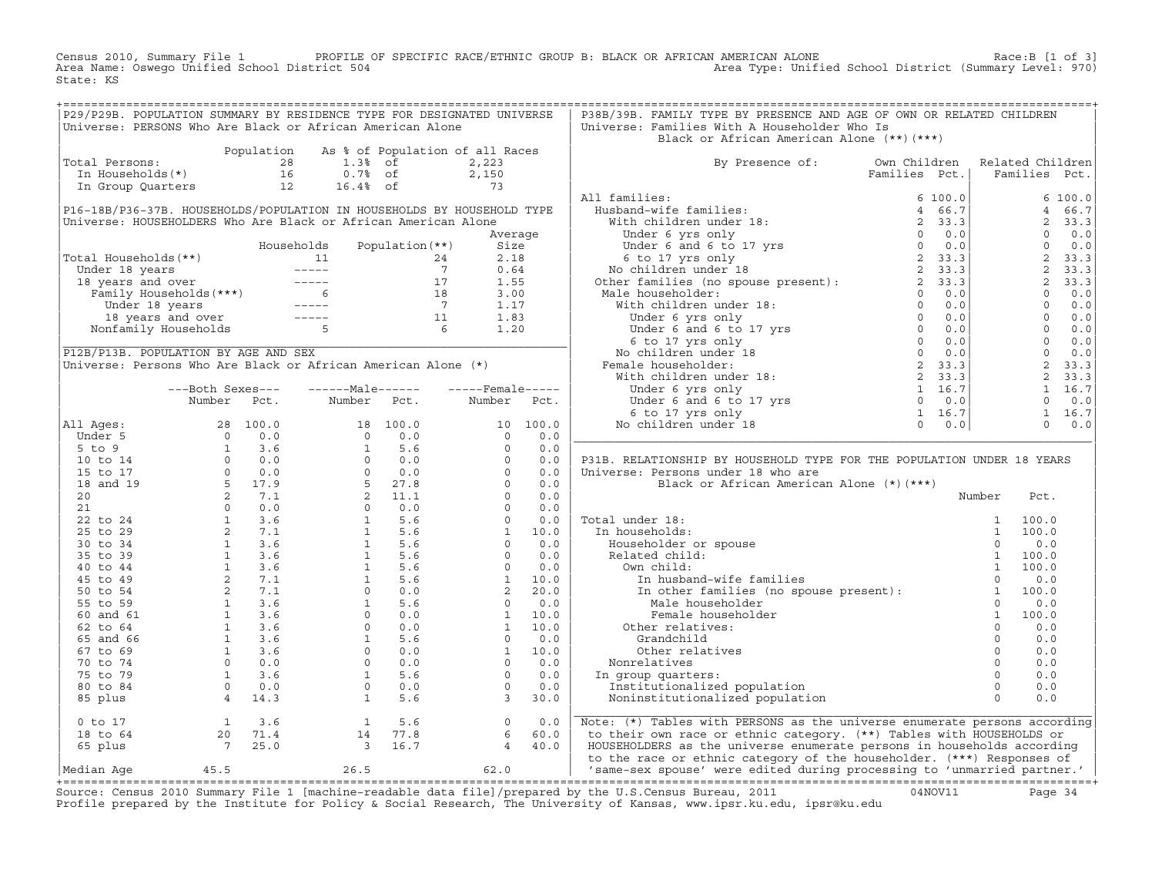Census 2010, Summary File 1 PROFILE OF SPECIFIC RACE/ETHNIC GROUP B: BLACK OR AFRICAN AMERICAN ALONE Race:B [1 of 3]<br>Area Name: Oswego Unified School District 504 area Type: Unified School District (Summary Level: 970) Area Type: Unified School District (Summary Level: 970) State: KS

|                |  | P29/P29B. POPULATION SUMMARY BY RESIDENCE TYPE FOR DESIGNATED UNIVERSE                                                                                           |  | P38B/39B. FAMILY TYPE BY PRESENCE AND AGE OF OWN OR RELATED CHILDREN                                                                                                                                                                 |  |  |
|----------------|--|------------------------------------------------------------------------------------------------------------------------------------------------------------------|--|--------------------------------------------------------------------------------------------------------------------------------------------------------------------------------------------------------------------------------------|--|--|
|                |  | Universe: PERSONS Who Are Black or African American Alone                                                                                                        |  | Universe: Families With A Householder Who Is                                                                                                                                                                                         |  |  |
|                |  |                                                                                                                                                                  |  | Black or African American Alone (**)(***)                                                                                                                                                                                            |  |  |
|                |  | Population As % of Population of all Races<br>1.3% of 2,223<br>In Households(*)<br>In Group Quarters<br>12 16.4% of 2,150<br>In Group Quarters<br>12 16.4% of 73 |  |                                                                                                                                                                                                                                      |  |  |
| Total Persons: |  |                                                                                                                                                                  |  | By Presence of: Own Children Related Children<br>Families Pct.   Families Pct.                                                                                                                                                       |  |  |
|                |  |                                                                                                                                                                  |  |                                                                                                                                                                                                                                      |  |  |
|                |  |                                                                                                                                                                  |  |                                                                                                                                                                                                                                      |  |  |
|                |  |                                                                                                                                                                  |  |                                                                                                                                                                                                                                      |  |  |
|                |  |                                                                                                                                                                  |  |                                                                                                                                                                                                                                      |  |  |
|                |  |                                                                                                                                                                  |  |                                                                                                                                                                                                                                      |  |  |
|                |  |                                                                                                                                                                  |  |                                                                                                                                                                                                                                      |  |  |
|                |  |                                                                                                                                                                  |  |                                                                                                                                                                                                                                      |  |  |
|                |  |                                                                                                                                                                  |  |                                                                                                                                                                                                                                      |  |  |
|                |  |                                                                                                                                                                  |  |                                                                                                                                                                                                                                      |  |  |
|                |  |                                                                                                                                                                  |  |                                                                                                                                                                                                                                      |  |  |
|                |  |                                                                                                                                                                  |  |                                                                                                                                                                                                                                      |  |  |
|                |  |                                                                                                                                                                  |  |                                                                                                                                                                                                                                      |  |  |
|                |  |                                                                                                                                                                  |  |                                                                                                                                                                                                                                      |  |  |
|                |  |                                                                                                                                                                  |  |                                                                                                                                                                                                                                      |  |  |
|                |  |                                                                                                                                                                  |  |                                                                                                                                                                                                                                      |  |  |
|                |  |                                                                                                                                                                  |  |                                                                                                                                                                                                                                      |  |  |
|                |  |                                                                                                                                                                  |  |                                                                                                                                                                                                                                      |  |  |
|                |  |                                                                                                                                                                  |  |                                                                                                                                                                                                                                      |  |  |
|                |  |                                                                                                                                                                  |  |                                                                                                                                                                                                                                      |  |  |
|                |  |                                                                                                                                                                  |  |                                                                                                                                                                                                                                      |  |  |
|                |  |                                                                                                                                                                  |  |                                                                                                                                                                                                                                      |  |  |
|                |  |                                                                                                                                                                  |  |                                                                                                                                                                                                                                      |  |  |
|                |  |                                                                                                                                                                  |  |                                                                                                                                                                                                                                      |  |  |
|                |  |                                                                                                                                                                  |  |                                                                                                                                                                                                                                      |  |  |
|                |  |                                                                                                                                                                  |  | P31B. RELATIONSHIP BY HOUSEHOLD TYPE FOR THE POPULATION UNDER 18 YEARS                                                                                                                                                               |  |  |
|                |  |                                                                                                                                                                  |  |                                                                                                                                                                                                                                      |  |  |
|                |  |                                                                                                                                                                  |  |                                                                                                                                                                                                                                      |  |  |
|                |  |                                                                                                                                                                  |  |                                                                                                                                                                                                                                      |  |  |
|                |  |                                                                                                                                                                  |  |                                                                                                                                                                                                                                      |  |  |
|                |  |                                                                                                                                                                  |  |                                                                                                                                                                                                                                      |  |  |
|                |  |                                                                                                                                                                  |  |                                                                                                                                                                                                                                      |  |  |
|                |  |                                                                                                                                                                  |  |                                                                                                                                                                                                                                      |  |  |
|                |  |                                                                                                                                                                  |  |                                                                                                                                                                                                                                      |  |  |
|                |  |                                                                                                                                                                  |  |                                                                                                                                                                                                                                      |  |  |
|                |  |                                                                                                                                                                  |  |                                                                                                                                                                                                                                      |  |  |
|                |  |                                                                                                                                                                  |  |                                                                                                                                                                                                                                      |  |  |
|                |  |                                                                                                                                                                  |  |                                                                                                                                                                                                                                      |  |  |
|                |  |                                                                                                                                                                  |  |                                                                                                                                                                                                                                      |  |  |
|                |  |                                                                                                                                                                  |  |                                                                                                                                                                                                                                      |  |  |
|                |  |                                                                                                                                                                  |  |                                                                                                                                                                                                                                      |  |  |
|                |  |                                                                                                                                                                  |  |                                                                                                                                                                                                                                      |  |  |
|                |  |                                                                                                                                                                  |  |                                                                                                                                                                                                                                      |  |  |
|                |  |                                                                                                                                                                  |  |                                                                                                                                                                                                                                      |  |  |
|                |  |                                                                                                                                                                  |  |                                                                                                                                                                                                                                      |  |  |
|                |  |                                                                                                                                                                  |  |                                                                                                                                                                                                                                      |  |  |
|                |  |                                                                                                                                                                  |  |                                                                                                                                                                                                                                      |  |  |
|                |  |                                                                                                                                                                  |  |                                                                                                                                                                                                                                      |  |  |
|                |  |                                                                                                                                                                  |  |                                                                                                                                                                                                                                      |  |  |
|                |  |                                                                                                                                                                  |  |                                                                                                                                                                                                                                      |  |  |
|                |  |                                                                                                                                                                  |  | 0 to 17<br>1 3.6 1 5.6 0 0.0 Note: (*) Tables with PERSONS as the universe enumerate persons according<br>18 to 64 20 71.4 14 77.8 6 60.0 to their own race or ethnic category. (**) Tables with HOUSEHOLDS or<br>65 plus 7 25.0 3 1 |  |  |

+===================================================================================================================================================+Source: Census 2010 Summary File 1 [machine−readable data file]/prepared by the U.S.Census Bureau, 2011 04NOV11 Page 34 Profile prepared by the Institute for Policy & Social Research, The University of Kansas, www.ipsr.ku.edu, ipsr@ku.edu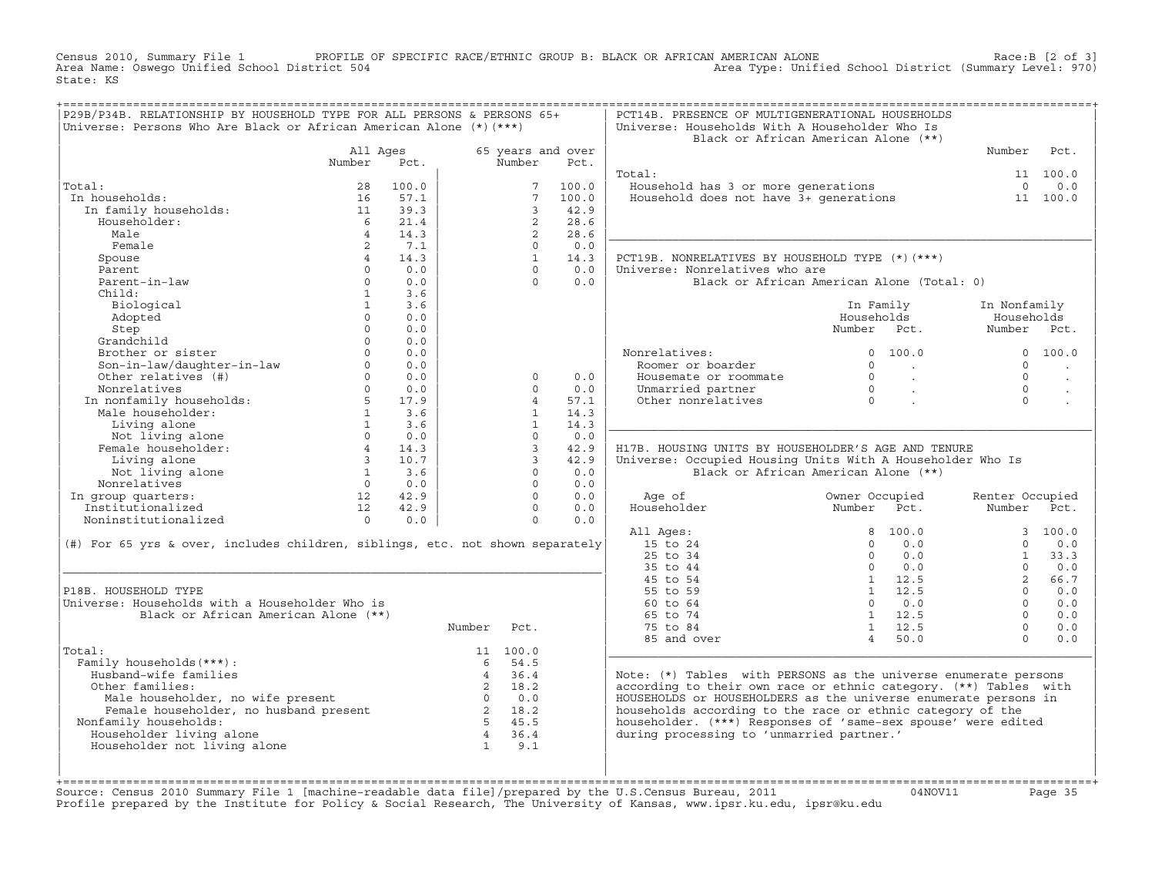Census 2010, Summary File 1 PROFILE OF SPECIFIC RACE/ETHNIC GROUP B: BLACK OR AFRICAN AMERICAN ALONE Race:B [2 of 3]<br>Area Name: Oswego Unified School District 504 area Type: Unified School District (Summary Level: 970) Area Type: Unified School District (Summary Level: 970) State: KS

| P29B/P34B. RELATIONSHIP BY HOUSEHOLD TYPE FOR ALL PERSONS & PERSONS 65+<br>Universe: Persons Who Are Black or African American Alone (*) (***) |                         |           |                |                 |                   | PCT14B. PRESENCE OF MULTIGENERATIONAL HOUSEHOLDS<br>Universe: Households With A Householder Who Is                                  |                                                                           |                   |                 |                      |
|------------------------------------------------------------------------------------------------------------------------------------------------|-------------------------|-----------|----------------|-----------------|-------------------|-------------------------------------------------------------------------------------------------------------------------------------|---------------------------------------------------------------------------|-------------------|-----------------|----------------------|
|                                                                                                                                                |                         |           |                |                 |                   | Black or African American Alone (**)                                                                                                |                                                                           |                   |                 |                      |
|                                                                                                                                                | All Ages                |           |                |                 | 65 years and over |                                                                                                                                     |                                                                           |                   | Number          | Pct.                 |
|                                                                                                                                                | Number                  | Pct.      |                | Number          | Pct.              |                                                                                                                                     |                                                                           |                   |                 |                      |
|                                                                                                                                                |                         |           |                |                 |                   | Total:                                                                                                                              |                                                                           |                   |                 | 11 100.0             |
| Total:                                                                                                                                         | 28                      | 100.0     |                | $7^{\circ}$     | 100.0             | Value hold has 3 or more generations 6 0 0.0<br>Household does not have 3+ generations 11 100.0                                     |                                                                           |                   |                 |                      |
| In households:                                                                                                                                 | 16                      | 57.1      |                | $7\overline{ }$ | 100.0             |                                                                                                                                     |                                                                           |                   |                 |                      |
| In family households:                                                                                                                          | 11                      | 39.3      |                | $\mathbf{3}$    | 42.9              |                                                                                                                                     |                                                                           |                   |                 |                      |
| Householder:                                                                                                                                   | 6                       | 21.4      |                | 2               | 28.6              |                                                                                                                                     |                                                                           |                   |                 |                      |
| Male                                                                                                                                           | $\overline{4}$          | 14.3      |                | $2^{\circ}$     | 28.6              |                                                                                                                                     |                                                                           |                   |                 |                      |
| Female                                                                                                                                         | 2                       | 7.1       |                | $\Omega$        | 0.0               |                                                                                                                                     |                                                                           |                   |                 |                      |
| Spouse                                                                                                                                         | $4\overline{ }$         | 14.3      |                | $\mathbf{1}$    | 14.3              | PCT19B. NONRELATIVES BY HOUSEHOLD TYPE (*)(***)                                                                                     |                                                                           |                   |                 |                      |
| Parent                                                                                                                                         | $\Omega$                | 0.0       |                | $\cap$          | 0.0               | Universe: Nonrelatives who are                                                                                                      |                                                                           |                   |                 |                      |
| Parent-in-law                                                                                                                                  | $\Omega$                | 0.0       |                | $\Omega$        | 0.0               | Black or African American Alone (Total: 0)                                                                                          |                                                                           |                   |                 |                      |
| Child:                                                                                                                                         | 1                       | 3.6       |                |                 |                   |                                                                                                                                     |                                                                           |                   |                 |                      |
| Biological                                                                                                                                     | 1                       | 3.6       |                |                 |                   |                                                                                                                                     | In Family                                                                 |                   | In Nonfamily    |                      |
| Adopted                                                                                                                                        | $\Omega$                | 0.0       |                |                 |                   |                                                                                                                                     | Households                                                                |                   | Households      |                      |
| Step                                                                                                                                           | $\Omega$                | 0.0       |                |                 |                   |                                                                                                                                     | Number Pct.                                                               |                   | Number          | Pct.                 |
| Grandchild                                                                                                                                     | $\Omega$                | 0.0       |                |                 |                   |                                                                                                                                     |                                                                           |                   |                 |                      |
| Brother or sister                                                                                                                              | $\Omega$                | 0.0       |                |                 |                   | Nonrelatives:                                                                                                                       | 0, 100, 0                                                                 |                   |                 | 0, 100, 0            |
| Son-in-law/daughter-in-law                                                                                                                     | $\Omega$                | 0.0       |                |                 |                   | Roomer or boarder                                                                                                                   | $\Omega$                                                                  | <b>Contractor</b> | $\Omega$        | $\ddot{\phantom{a}}$ |
| Other relatives (#)                                                                                                                            | $\Omega$                | 0.0       |                | $\Omega$        | 0.0               | Housemate or roommate                                                                                                               | $\begin{array}{ccc} & & & \cdot & \\ \hline & & & \cdot & \\ \end{array}$ |                   | $\Omega$        | $\cdot$              |
| Nonrelatives                                                                                                                                   | $\cap$                  | 0.0       |                | $\cap$          | 0.0               | Unmarried partner                                                                                                                   | $\begin{matrix}0\\0\end{matrix}$                                          |                   | $\Omega$        |                      |
| In nonfamily households:<br>Male householder:                                                                                                  | $5 - 5$                 | 17.9      |                | $\overline{4}$  | 57.1              | Other nonrelatives                                                                                                                  |                                                                           |                   | $\Omega$        |                      |
|                                                                                                                                                | $\mathbf{1}$            | 3.6       |                | 1               | 14.3              |                                                                                                                                     |                                                                           |                   |                 |                      |
| Living alone                                                                                                                                   | $1 -$                   | 3.6       |                | $\mathbf{1}$    | 14.3              |                                                                                                                                     |                                                                           |                   |                 |                      |
| Not living alone                                                                                                                               | $\Omega$                | 0.0       |                | $\Omega$        | 0.0               |                                                                                                                                     |                                                                           |                   |                 |                      |
| Female householder:                                                                                                                            | 4                       | 14.3      |                | $\overline{3}$  | 42.9              | H17B. HOUSING UNITS BY HOUSEHOLDER'S AGE AND TENURE                                                                                 |                                                                           |                   |                 |                      |
| Living alone                                                                                                                                   | $\overline{\mathbf{3}}$ | 10.7      |                | $\overline{3}$  | 42.9              | Universe: Occupied Housing Units With A Householder Who Is                                                                          |                                                                           |                   |                 |                      |
| Not living alone                                                                                                                               |                         | $1 \t3.6$ |                | $\Omega$        | 0.0               | Black or African American Alone (**)                                                                                                |                                                                           |                   |                 |                      |
| Nonrelatives                                                                                                                                   | $\overline{0}$          | 0.0       |                | $\Omega$        | 0.0               |                                                                                                                                     |                                                                           |                   |                 |                      |
| In group quarters:                                                                                                                             | 12                      | 42.9      |                | $\Omega$        | 0.0               | Age of                                                                                                                              | Owner Occupied                                                            |                   | Renter Occupied |                      |
| Institutionalized                                                                                                                              | 12                      | 42.9      |                | $\Omega$        | 0.0               | Householder                                                                                                                         | Number                                                                    | Pct.              | Number Pct.     |                      |
| Noninstitutionalized                                                                                                                           | $\overline{0}$          | 0.0       |                | $\Omega$        | 0.0               |                                                                                                                                     |                                                                           |                   |                 |                      |
|                                                                                                                                                |                         |           |                |                 |                   | All Ages:                                                                                                                           | 8 100.0                                                                   |                   |                 | 3, 100.0             |
| $(\#)$ For 65 yrs & over, includes children, siblings, etc. not shown separately                                                               |                         |           |                |                 |                   | 15 to 24                                                                                                                            | $\Omega$                                                                  | 0.0               | $\Omega$        | 0.0                  |
|                                                                                                                                                |                         |           |                |                 |                   | 25 to 34                                                                                                                            | $\Omega$                                                                  | 0.0               | $\mathbf{1}$    | 33.3                 |
|                                                                                                                                                |                         |           |                |                 |                   | 35 to 44                                                                                                                            | $\Omega$                                                                  | 0.0               | $\Omega$        | 0.0                  |
|                                                                                                                                                |                         |           |                |                 |                   | 45 to 54                                                                                                                            | 1 12.5                                                                    |                   | $2^{\circ}$     | 66.7                 |
| P18B. HOUSEHOLD TYPE                                                                                                                           |                         |           |                |                 |                   | 55 to 59                                                                                                                            | 1 12.5                                                                    |                   | $\cap$          | 0.0                  |
| Universe: Households with a Householder Who is                                                                                                 |                         |           |                |                 |                   | 60 to 64                                                                                                                            | $\Omega$                                                                  | 0.0               | $\Omega$        | 0.0                  |
| Black or African American Alone (**)                                                                                                           |                         |           |                |                 |                   | 65 to 74                                                                                                                            | $1 \quad 12.5$                                                            |                   | $\Omega$        | 0.0                  |
|                                                                                                                                                |                         |           | Number         | Pct.            |                   | 75 to 84                                                                                                                            | $1 \quad 12.5$                                                            |                   | $\Omega$        | 0.0                  |
|                                                                                                                                                |                         |           |                |                 |                   | 85 and over                                                                                                                         | 4 50.0                                                                    |                   | $\Omega$        | 0.0                  |
|                                                                                                                                                |                         |           |                | 11 100.0        |                   |                                                                                                                                     |                                                                           |                   |                 |                      |
| Total:                                                                                                                                         |                         |           | 6              | 54.5            |                   |                                                                                                                                     |                                                                           |                   |                 |                      |
|                                                                                                                                                |                         |           |                |                 |                   | Note: (*) Tables with PERSONS as the universe enumerate persons                                                                     |                                                                           |                   |                 |                      |
| Family households (***) :<br>Husband-wife families                                                                                             |                         |           | $\overline{4}$ | 36.4            |                   |                                                                                                                                     |                                                                           |                   |                 |                      |
| Other families:                                                                                                                                |                         |           |                |                 |                   |                                                                                                                                     |                                                                           |                   |                 |                      |
| Male householder, no wife present                                                                                                              |                         |           |                |                 |                   | according to their own race or ethnic category. (**) Tables with<br>HOUSEHOLDS or HOUSEHOLDERS as the universe enumerate persons in |                                                                           |                   |                 |                      |
|                                                                                                                                                |                         |           |                |                 |                   |                                                                                                                                     |                                                                           |                   |                 |                      |
| Female householder, no husband present                                                                                                         |                         |           |                |                 |                   | households according to the race or ethnic category of the                                                                          |                                                                           |                   |                 |                      |
| Nonfamily households:                                                                                                                          |                         |           |                |                 |                   | householder. (***) Responses of 'same-sex spouse' were edited<br>during processing to 'unmarried partner.'                          |                                                                           |                   |                 |                      |
| Householder living alone                                                                                                                       |                         |           | $\overline{1}$ | 9.1             |                   |                                                                                                                                     |                                                                           |                   |                 |                      |
| Householder not living alone                                                                                                                   |                         |           |                |                 |                   |                                                                                                                                     |                                                                           |                   |                 |                      |

+===================================================================================================================================================+Source: Census 2010 Summary File 1 [machine−readable data file]/prepared by the U.S.Census Bureau, 2011 04NOV11 Page 35 Profile prepared by the Institute for Policy & Social Research, The University of Kansas, www.ipsr.ku.edu, ipsr@ku.edu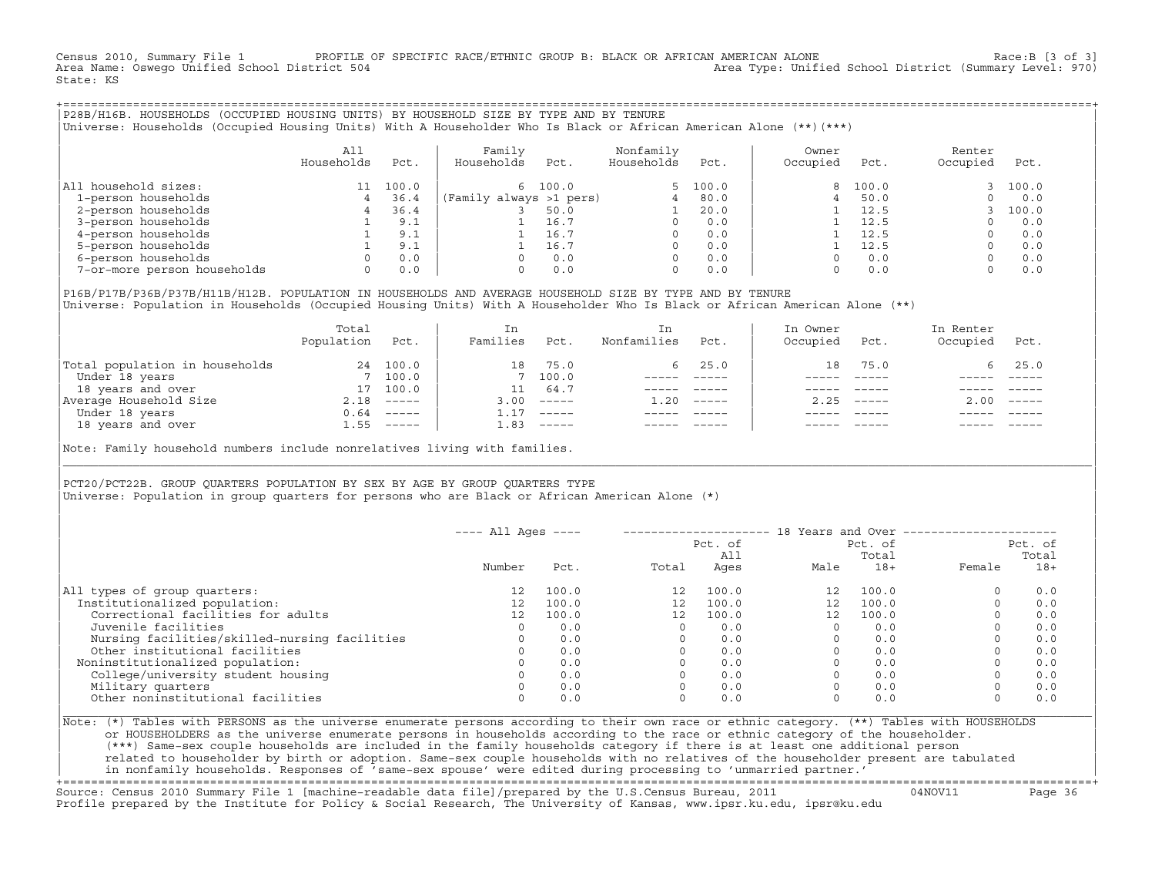Census 2010, Summary File 1 PROFILE OF SPECIFIC RACE/ETHNIC GROUP B: BLACK OR AFRICAN AMERICAN ALONE Race:B [3 of 3]<br>Area Name: Oswego Unified School District 504 area Type: Unified School District (Summary Level: 970) Area Type: Unified School District (Summary Level: 970) State: KS

+===================================================================================================================================================+|P28B/H16B. HOUSEHOLDS (OCCUPIED HOUSING UNITS) BY HOUSEHOLD SIZE BY TYPE AND BY TENURE | |Universe: Households (Occupied Housing Units) With A Householder Who Is Black or African American Alone (\*\*)(\*\*\*) |

|                             | All<br>Households | Pct.  | Family<br>Households    | Pct.    | Nonfamily<br>Households | Pct.     | Owner<br>Occupied | Pct.  | Renter<br>Occupied | Pct.  |
|-----------------------------|-------------------|-------|-------------------------|---------|-------------------------|----------|-------------------|-------|--------------------|-------|
| household sizes:<br> All    |                   | 100.0 |                         | 6 100.0 |                         | 5, 100.0 | $\mathsf{R}$      | 100.0 |                    | 100.0 |
| 1-person households         |                   | 36.4  | (Family always >1 pers) |         |                         | 80.0     |                   | 50.0  |                    | 0.0   |
| 2-person households         |                   | 36.4  |                         | 50.0    |                         | 20.0     |                   | 12.5  |                    | 100.0 |
| 3-person households         |                   | 9.1   |                         | 16.7    |                         | 0.0      |                   | 12.5  |                    | 0.0   |
| 4-person households         |                   | 9.1   |                         | 16.7    |                         | 0.0      |                   | 12.5  |                    | 0.0   |
| 5-person households         |                   | 9.1   |                         | 16.7    |                         | 0.0      |                   | 12.5  |                    | 0.0   |
| 6-person households         | 0                 | 0.0   |                         | 0.0     |                         | 0.0      |                   | 0.0   |                    | 0.0   |
| 7-or-more person households | 0                 | 0.0   |                         | 0.0     |                         | 0.0      |                   | 0.0   |                    | 0.0   |

|P16B/P17B/P36B/P37B/H11B/H12B. POPULATION IN HOUSEHOLDS AND AVERAGE HOUSEHOLD SIZE BY TYPE AND BY TENURE | Universe: Population in Households (Occupied Housing Units) With A Householder Who Is Black or African American Alone (\*\*)

|                                | Total<br>Population | Pct.                      | In<br>Families | Pct.     | In.<br>Nonfamilies | Pct.          | In Owner<br>Occupied | Pct.          | In Renter<br>Occupied | Pct.                      |  |
|--------------------------------|---------------------|---------------------------|----------------|----------|--------------------|---------------|----------------------|---------------|-----------------------|---------------------------|--|
| Total population in households | 24                  | 100.0                     | 18             | 75.0     |                    | $6\quad 25.0$ | 18                   | 75.0          |                       | 6, 25.0                   |  |
| Under 18 years                 |                     | 7 100.0                   |                | 7 100.0  |                    |               |                      |               |                       |                           |  |
| 18 years and over              | 17                  | 100.0                     |                | 64.7     |                    |               |                      |               |                       |                           |  |
| Average Household Size         | 2.18                | $\qquad \qquad - - - - -$ | 3.00           | $------$ | 1.20               | $------$      | 2.25                 | $- - - - - -$ | 2.00                  | $\qquad \qquad - - - - -$ |  |
| Under 18 years                 | 0.64                | ______                    |                | $------$ |                    |               |                      |               |                       |                           |  |
| 18 years and over              | 1.55                | ______                    | 1.83           |          |                    |               |                      | $- - - - -$   |                       | $- - - - -$               |  |
|                                |                     |                           |                |          |                    |               |                      |               |                       |                           |  |

Note: Family household numbers include nonrelatives living with families.

| | PCT20/PCT22B. GROUP OUARTERS POPULATION BY SEX BY AGE BY GROUP OUARTERS TYPE Universe: Population in group quarters for persons who are Black or African American Alone (\*)

|                                               | $---$ All Ages $---$ |       |       |                |          |                  | 18 Years and Over ----------------- |                  |
|-----------------------------------------------|----------------------|-------|-------|----------------|----------|------------------|-------------------------------------|------------------|
|                                               |                      |       |       | Pct. of<br>A11 |          | Pct. of<br>Total |                                     | Pct. of<br>Total |
|                                               | Number               | Pct.  | Total | Ages           | Male     | $18+$            | Female                              | $18+$            |
| All types of group quarters:                  | 12                   | 100.0 | 12    | 100.0          | 12       | 100.0            |                                     | 0.0              |
| Institutionalized population:                 | 12 <sup>°</sup>      | 100.0 | 12    | 100.0          | 12       | 100.0            |                                     | 0.0              |
| Correctional facilities for adults            | 12 <sup>°</sup>      | 100.0 | 12    | 100.0          | 12       | 100.0            |                                     | 0.0              |
| Juvenile facilities                           | $\Omega$             | 0.0   |       | 0.0            | $\Omega$ | 0.0              |                                     | 0.0              |
| Nursing facilities/skilled-nursing facilities |                      | 0.0   |       | 0.0            |          | 0.0              |                                     | 0.0              |
| Other institutional facilities                |                      | 0.0   |       | 0.0            |          | 0.0              |                                     | 0.0              |
| Noninstitutionalized population:              |                      | 0.0   |       | 0.0            |          | 0.0              |                                     | 0.0              |
| College/university student housing            |                      | 0.0   |       | 0.0            |          | 0.0              |                                     | 0.0              |
| Military quarters                             |                      | 0.0   |       | 0.0            |          | 0.0              |                                     | 0.0              |
| Other noninstitutional facilities             |                      | 0.0   |       | 0.0            |          | 0.0              |                                     | 0.0              |

|\_\_\_\_\_\_\_\_\_\_\_\_\_\_\_\_\_\_\_\_\_\_\_\_\_\_\_\_\_\_\_\_\_\_\_\_\_\_\_\_\_\_\_\_\_\_\_\_\_\_\_\_\_\_\_\_\_\_\_\_\_\_\_\_\_\_\_\_\_\_\_\_\_\_\_\_\_\_\_\_\_\_\_\_\_\_\_\_\_\_\_\_\_\_\_\_\_\_\_\_\_\_\_\_\_\_\_\_\_\_\_\_\_\_\_\_\_\_\_\_\_\_\_\_\_\_\_\_\_\_\_\_\_\_\_\_\_\_\_\_\_\_\_\_\_\_\_|

| |

|Note: (\*) Tables with PERSONS as the universe enumerate persons according to their own race or ethnic category. (\*\*) Tables with HOUSEHOLDS | or HOUSEHOLDERS as the universe enumerate persons in households according to the race or ethnic category of the householder. | (\*\*\*) Same−sex couple households are included in the family households category if there is at least one additional person | | related to householder by birth or adoption. Same−sex couple households with no relatives of the householder present are tabulated | | in nonfamily households. Responses of 'same−sex spouse' were edited during processing to 'unmarried partner.' |

+===================================================================================================================================================+ Source: Census 2010 Summary File 1 [machine−readable data file]/prepared by the U.S.Census Bureau, 2011 04NOV11 Page 36 Profile prepared by the Institute for Policy & Social Research, The University of Kansas, www.ipsr.ku.edu, ipsr@ku.edu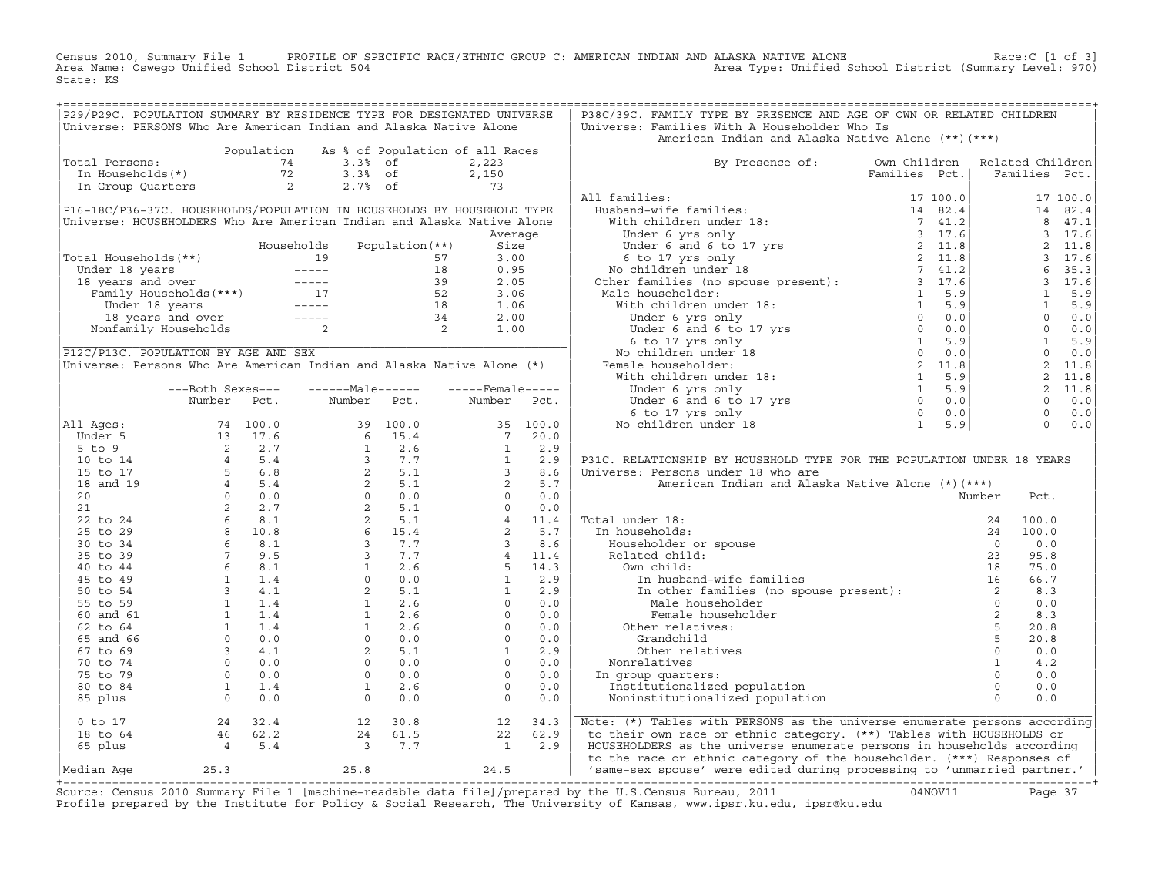Census 2010, Summary File 1 PROFILE OF SPECIFIC RACE/ETHNIC GROUP C: AMERICAN INDIAN AND ALASKA NATIVE ALONE<br>Area Name: Oswego Unified School District 504 Area Type: Unified School D State: KS

| P29/P29C. POPULATION SUMMARY BY RESIDENCE TYPE FOR DESIGNATED UNIVERSE                                                                                                                                                                                         |                  |                                            |                             |         | P38C/39C. FAMILY TYPE BY PRESENCE AND AGE OF OWN OR RELATED CHILDREN                                                                                                                                                           |  |                |                                                                                                                                                                                                                                          |          |
|----------------------------------------------------------------------------------------------------------------------------------------------------------------------------------------------------------------------------------------------------------------|------------------|--------------------------------------------|-----------------------------|---------|--------------------------------------------------------------------------------------------------------------------------------------------------------------------------------------------------------------------------------|--|----------------|------------------------------------------------------------------------------------------------------------------------------------------------------------------------------------------------------------------------------------------|----------|
| Universe: PERSONS Who Are American Indian and Alaska Native Alone                                                                                                                                                                                              |                  |                                            |                             |         | Universe: Families With A Householder Who Is                                                                                                                                                                                   |  |                |                                                                                                                                                                                                                                          |          |
|                                                                                                                                                                                                                                                                |                  |                                            |                             |         | American Indian and Alaska Native Alone (**) (***)                                                                                                                                                                             |  |                |                                                                                                                                                                                                                                          |          |
|                                                                                                                                                                                                                                                                |                  | Population As % of Population of all Races |                             |         |                                                                                                                                                                                                                                |  |                |                                                                                                                                                                                                                                          |          |
| Total Persons:<br>otal Persons:<br>The Households (*) 72 3.3% of 2,223<br>The Households (*) 72 3.3% of 2,150<br>The Group Quarters 2 2.7% of 73                                                                                                               |                  |                                            |                             |         | By Presence of: Own Children Related Children                                                                                                                                                                                  |  |                |                                                                                                                                                                                                                                          |          |
|                                                                                                                                                                                                                                                                |                  |                                            | 3.3% of 2,150<br>2.7% of 73 |         | Families Pct.                                                                                                                                                                                                                  |  |                | Families Pct.                                                                                                                                                                                                                            |          |
|                                                                                                                                                                                                                                                                |                  |                                            |                             |         |                                                                                                                                                                                                                                |  |                |                                                                                                                                                                                                                                          |          |
|                                                                                                                                                                                                                                                                |                  |                                            |                             |         | All families:                                                                                                                                                                                                                  |  |                |                                                                                                                                                                                                                                          | 17 100.0 |
| P16-18C/P36-37C. HOUSEHOLDS/POPULATION IN HOUSEHOLDS BY HOUSEHOLD TYPE                                                                                                                                                                                         |                  |                                            |                             |         |                                                                                                                                                                                                                                |  |                |                                                                                                                                                                                                                                          | 14 82.4  |
| Universe: HOUSEHOLDERS Who Are American Indian and Alaska Native Alone                                                                                                                                                                                         |                  |                                            |                             |         |                                                                                                                                                                                                                                |  |                |                                                                                                                                                                                                                                          | 8 47.1   |
|                                                                                                                                                                                                                                                                |                  |                                            |                             | Average |                                                                                                                                                                                                                                |  |                |                                                                                                                                                                                                                                          | 3 17.6   |
|                                                                                                                                                                                                                                                                |                  |                                            |                             |         |                                                                                                                                                                                                                                |  |                |                                                                                                                                                                                                                                          |          |
|                                                                                                                                                                                                                                                                |                  |                                            |                             |         |                                                                                                                                                                                                                                |  |                |                                                                                                                                                                                                                                          |          |
|                                                                                                                                                                                                                                                                |                  |                                            |                             |         |                                                                                                                                                                                                                                |  |                |                                                                                                                                                                                                                                          |          |
|                                                                                                                                                                                                                                                                |                  |                                            |                             |         |                                                                                                                                                                                                                                |  |                |                                                                                                                                                                                                                                          |          |
|                                                                                                                                                                                                                                                                |                  |                                            |                             |         |                                                                                                                                                                                                                                |  |                |                                                                                                                                                                                                                                          |          |
|                                                                                                                                                                                                                                                                |                  |                                            |                             |         |                                                                                                                                                                                                                                |  |                |                                                                                                                                                                                                                                          |          |
| Total Households (**)<br>Under 18 years<br>19 57 3.00<br>19 57 3.00<br>18 0.95<br>18 years and over<br>Family Households (***)<br>17 52 3.06<br>Under 18 years<br>18 1.06<br>18 years and over<br>18 1.06<br>18 1.06<br>18 1.06<br>18 1.06<br>18 2.00<br>Nonfa |                  |                                            |                             |         |                                                                                                                                                                                                                                |  |                |                                                                                                                                                                                                                                          |          |
|                                                                                                                                                                                                                                                                |                  |                                            |                             |         |                                                                                                                                                                                                                                |  |                |                                                                                                                                                                                                                                          |          |
|                                                                                                                                                                                                                                                                |                  |                                            |                             |         |                                                                                                                                                                                                                                |  |                |                                                                                                                                                                                                                                          |          |
| P12C/P13C. POPULATION BY AGE AND SEX                                                                                                                                                                                                                           |                  |                                            |                             |         |                                                                                                                                                                                                                                |  |                | $\begin{array}{cccc} 3 & 17.6 \ 2 & 11.8 \ 3 & 17.6 \ 4 & 5.3 \ 5 & 3 & 17.6 \ 6 & 35.3 \ 1 & 5.9 \ 1 & 5.9 \ 0 & 0.0 \ 0 & 0.0 \ 0 & 0.0 \ 1 & 5.9 \ 0 & 0.0 \ 0 & 0.0 \ 2 & 11.8 \ 2 & 11.8 \ 0 & 0.0 \ 0 & 0.0 \ 0 & 0.0 \end{array}$ |          |
| Universe: Persons Who Are American Indian and Alaska Native Alone (*)                                                                                                                                                                                          |                  |                                            |                             |         |                                                                                                                                                                                                                                |  |                |                                                                                                                                                                                                                                          |          |
|                                                                                                                                                                                                                                                                |                  |                                            |                             |         |                                                                                                                                                                                                                                |  |                |                                                                                                                                                                                                                                          |          |
|                                                                                                                                                                                                                                                                | ---Both Sexes--- | $---Male----$                              | $---$ Female $---$          |         |                                                                                                                                                                                                                                |  |                |                                                                                                                                                                                                                                          |          |
|                                                                                                                                                                                                                                                                | Number Pct.      | Number Pct.                                | Number Pct.                 |         |                                                                                                                                                                                                                                |  |                |                                                                                                                                                                                                                                          |          |
|                                                                                                                                                                                                                                                                |                  |                                            |                             |         |                                                                                                                                                                                                                                |  |                |                                                                                                                                                                                                                                          |          |
| All Ages:                                                                                                                                                                                                                                                      |                  |                                            |                             |         |                                                                                                                                                                                                                                |  |                | $\begin{matrix}0&0.0\\0&0.0\end{matrix}$                                                                                                                                                                                                 |          |
|                                                                                                                                                                                                                                                                |                  |                                            |                             |         |                                                                                                                                                                                                                                |  |                |                                                                                                                                                                                                                                          |          |
|                                                                                                                                                                                                                                                                |                  |                                            |                             |         |                                                                                                                                                                                                                                |  |                |                                                                                                                                                                                                                                          |          |
|                                                                                                                                                                                                                                                                |                  |                                            |                             |         | P31C. RELATIONSHIP BY HOUSEHOLD TYPE FOR THE POPULATION UNDER 18 YEARS                                                                                                                                                         |  |                |                                                                                                                                                                                                                                          |          |
|                                                                                                                                                                                                                                                                |                  |                                            |                             |         | Universe: Persons under 18 who are                                                                                                                                                                                             |  |                |                                                                                                                                                                                                                                          |          |
|                                                                                                                                                                                                                                                                |                  |                                            |                             |         |                                                                                                                                                                                                                                |  |                |                                                                                                                                                                                                                                          |          |
|                                                                                                                                                                                                                                                                |                  |                                            |                             |         |                                                                                                                                                                                                                                |  |                |                                                                                                                                                                                                                                          |          |
|                                                                                                                                                                                                                                                                |                  |                                            |                             |         |                                                                                                                                                                                                                                |  |                |                                                                                                                                                                                                                                          |          |
|                                                                                                                                                                                                                                                                |                  |                                            |                             |         |                                                                                                                                                                                                                                |  |                |                                                                                                                                                                                                                                          |          |
|                                                                                                                                                                                                                                                                |                  |                                            |                             |         | Total under 18:                                                                                                                                                                                                                |  |                |                                                                                                                                                                                                                                          |          |
|                                                                                                                                                                                                                                                                |                  |                                            |                             |         | In households:                                                                                                                                                                                                                 |  |                |                                                                                                                                                                                                                                          |          |
|                                                                                                                                                                                                                                                                |                  |                                            |                             |         |                                                                                                                                                                                                                                |  |                |                                                                                                                                                                                                                                          |          |
|                                                                                                                                                                                                                                                                |                  |                                            |                             |         |                                                                                                                                                                                                                                |  |                |                                                                                                                                                                                                                                          |          |
|                                                                                                                                                                                                                                                                |                  |                                            |                             |         |                                                                                                                                                                                                                                |  |                |                                                                                                                                                                                                                                          |          |
|                                                                                                                                                                                                                                                                |                  |                                            |                             |         |                                                                                                                                                                                                                                |  |                |                                                                                                                                                                                                                                          |          |
|                                                                                                                                                                                                                                                                |                  |                                            |                             |         |                                                                                                                                                                                                                                |  |                |                                                                                                                                                                                                                                          |          |
|                                                                                                                                                                                                                                                                |                  |                                            |                             |         | The control of the set of the set of the set of the set of the set of the set of the set of the set of the set of the set of the set of the set of the set of the set of the set of the set of the set of the set of the set o |  |                |                                                                                                                                                                                                                                          |          |
|                                                                                                                                                                                                                                                                |                  |                                            |                             |         |                                                                                                                                                                                                                                |  |                |                                                                                                                                                                                                                                          |          |
|                                                                                                                                                                                                                                                                |                  |                                            |                             |         |                                                                                                                                                                                                                                |  |                |                                                                                                                                                                                                                                          |          |
|                                                                                                                                                                                                                                                                |                  |                                            |                             |         |                                                                                                                                                                                                                                |  |                |                                                                                                                                                                                                                                          |          |
|                                                                                                                                                                                                                                                                |                  |                                            |                             |         | Other relatives                                                                                                                                                                                                                |  |                | 0.0                                                                                                                                                                                                                                      |          |
|                                                                                                                                                                                                                                                                |                  |                                            |                             |         | Nonrelatives                                                                                                                                                                                                                   |  | $\overline{1}$ | 4.2                                                                                                                                                                                                                                      |          |
|                                                                                                                                                                                                                                                                |                  |                                            |                             |         | In group quarters:                                                                                                                                                                                                             |  | $\overline{0}$ | 0.0                                                                                                                                                                                                                                      |          |
|                                                                                                                                                                                                                                                                |                  |                                            |                             |         | Institutionalized population                                                                                                                                                                                                   |  |                | 0.0                                                                                                                                                                                                                                      |          |
|                                                                                                                                                                                                                                                                |                  |                                            |                             |         | Noninstitutionalized population                                                                                                                                                                                                |  |                | 0.0                                                                                                                                                                                                                                      |          |
|                                                                                                                                                                                                                                                                |                  |                                            |                             |         | Note: (*) Tables with PERSONS as the universe enumerate persons according                                                                                                                                                      |  |                |                                                                                                                                                                                                                                          |          |
|                                                                                                                                                                                                                                                                |                  |                                            |                             |         | to their own race or ethnic category. (**) Tables with HOUSEHOLDS or                                                                                                                                                           |  |                |                                                                                                                                                                                                                                          |          |
|                                                                                                                                                                                                                                                                |                  |                                            |                             |         | HOUSEHOLDERS as the universe enumerate persons in households according                                                                                                                                                         |  |                |                                                                                                                                                                                                                                          |          |
|                                                                                                                                                                                                                                                                |                  |                                            |                             |         | to the race or ethnic category of the householder. (***) Responses of                                                                                                                                                          |  |                |                                                                                                                                                                                                                                          |          |
|                                                                                                                                                                                                                                                                |                  |                                            |                             |         | 'same-sex spouse' were edited during processing to 'unmarried partner.'                                                                                                                                                        |  |                |                                                                                                                                                                                                                                          |          |

+===================================================================================================================================================+Source: Census 2010 Summary File 1 [machine−readable data file]/prepared by the U.S.Census Bureau, 2011 04NOV11 Page 37 Profile prepared by the Institute for Policy & Social Research, The University of Kansas, www.ipsr.ku.edu, ipsr@ku.edu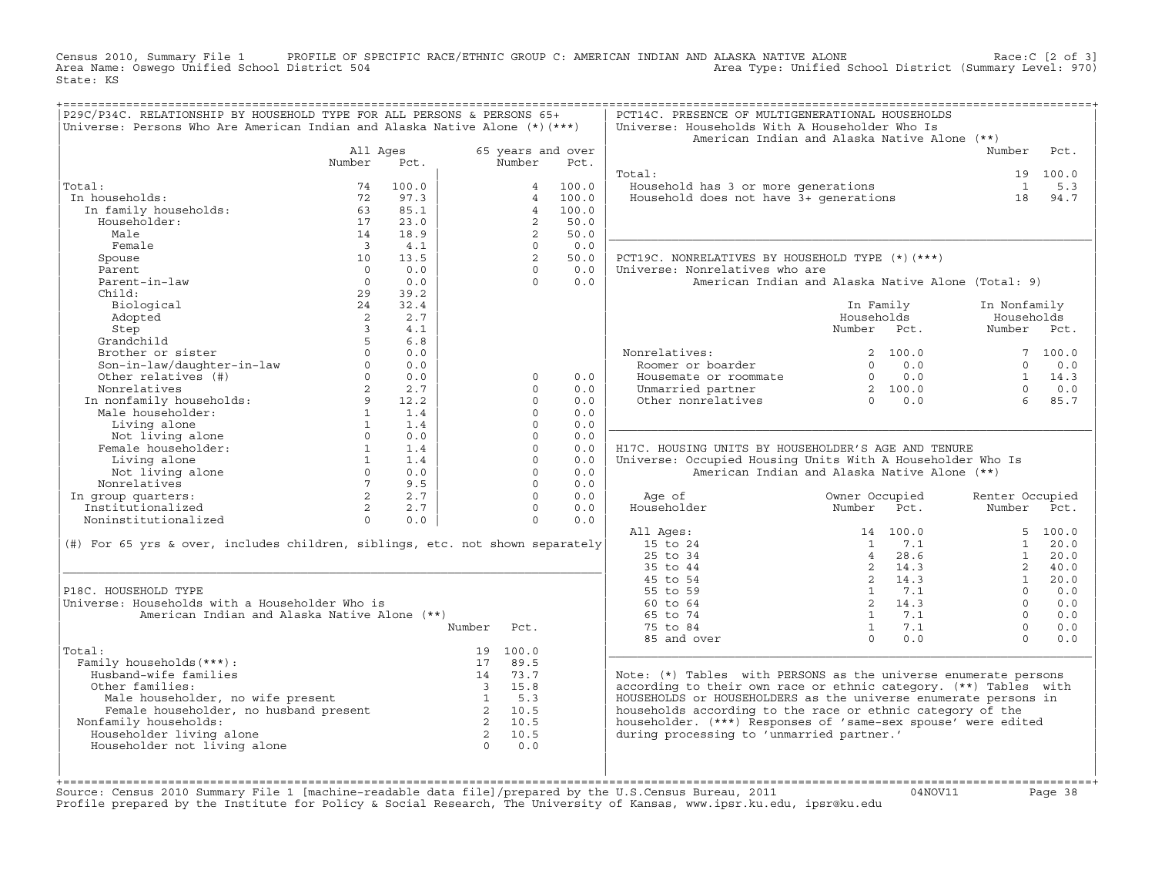Census 2010, Summary File 1 PROFILE OF SPECIFIC RACE/ETHNIC GROUP C: AMERICAN INDIAN AND ALASKA NATIVE ALONE Race:C [2 of 3]<br>Area Name: Oswego Unified School District 504 area Type: Unified School District (Summary Level: Area Type: Unified School District (Summary Level: 970) State: KS

| P29C/P34C. RELATIONSHIP BY HOUSEHOLD TYPE FOR ALL PERSONS & PERSONS 65+<br>Universe: Persons Who Are American Indian and Alaska Native Alone $(*)$ (***)                                                                       |                                         |                                                       |                      |            | PCT14C. PRESENCE OF MULTIGENERATIONAL HOUSEHOLDS<br>Universe: Households With A Householder Who Is |                                                      |                                                       |                 |            |
|--------------------------------------------------------------------------------------------------------------------------------------------------------------------------------------------------------------------------------|-----------------------------------------|-------------------------------------------------------|----------------------|------------|----------------------------------------------------------------------------------------------------|------------------------------------------------------|-------------------------------------------------------|-----------------|------------|
|                                                                                                                                                                                                                                |                                         |                                                       |                      |            | American Indian and Alaska Native Alone (**)                                                       |                                                      |                                                       |                 |            |
|                                                                                                                                                                                                                                | All Ages                                |                                                       | 65 years and over    |            |                                                                                                    |                                                      |                                                       | Number          | Pct.       |
|                                                                                                                                                                                                                                | Number                                  | Pct.                                                  | Number               | Pct.       |                                                                                                    |                                                      |                                                       |                 |            |
|                                                                                                                                                                                                                                |                                         |                                                       |                      |            | Total:                                                                                             |                                                      |                                                       |                 | 19 100.0   |
| Total:                                                                                                                                                                                                                         | 74                                      | 100.0                                                 | $\overline{4}$       | 100.0      | Household has 3 or more generations<br>Household does not have 3+ generations                      |                                                      |                                                       | $\mathbf{1}$    | 5.3        |
| In households:                                                                                                                                                                                                                 | 72                                      | 97.3                                                  | $\overline{4}$       | 100.0      |                                                                                                    |                                                      |                                                       | 18              | 94.7       |
| In family households:                                                                                                                                                                                                          | 63                                      | 85.1                                                  | $\overline{4}$       | 100.0      |                                                                                                    |                                                      |                                                       |                 |            |
| Householder:                                                                                                                                                                                                                   | 17                                      | 23.0                                                  | 2                    | 50.0       |                                                                                                    |                                                      |                                                       |                 |            |
| Male                                                                                                                                                                                                                           | 14                                      | 18.9                                                  | $\overline{2}$       | 50.0       |                                                                                                    |                                                      |                                                       |                 |            |
| Female                                                                                                                                                                                                                         | $\overline{\mathbf{3}}$                 | 4.1                                                   | $\Omega$             | 0.0        |                                                                                                    |                                                      |                                                       |                 |            |
| Spouse                                                                                                                                                                                                                         | 10                                      | 13.5                                                  | 2                    | 50.0       | PCT19C. NONRELATIVES BY HOUSEHOLD TYPE (*) (***)                                                   |                                                      |                                                       |                 |            |
| Parent                                                                                                                                                                                                                         | $\bigcap$                               | 0.0                                                   | $\Omega$             | 0.0        | Universe: Nonrelatives who are                                                                     |                                                      |                                                       |                 |            |
| Parent-in-law                                                                                                                                                                                                                  | $\overline{0}$                          | 0.0                                                   | $\Omega$             | 0.0        | American Indian and Alaska Native Alone (Total: 9)                                                 |                                                      |                                                       |                 |            |
| Child:                                                                                                                                                                                                                         | 29                                      | 39.2                                                  |                      |            |                                                                                                    |                                                      |                                                       |                 |            |
| Biological                                                                                                                                                                                                                     | 24                                      | 32.4                                                  |                      |            |                                                                                                    | In Family                                            |                                                       | In Nonfamily    |            |
| Adopted                                                                                                                                                                                                                        | 2                                       | 2.7                                                   |                      |            |                                                                                                    | Households                                           |                                                       | Households      |            |
| Step                                                                                                                                                                                                                           | $\overline{3}$                          | 4.1                                                   |                      |            |                                                                                                    | Number Pct.                                          |                                                       | Number Pct.     |            |
| Grandchild                                                                                                                                                                                                                     | $5^{\circ}$                             | 6.8                                                   |                      |            |                                                                                                    |                                                      |                                                       |                 |            |
| Brother or sister                                                                                                                                                                                                              | $\Omega$                                | 0.0                                                   |                      |            | Nonrelatives:                                                                                      | 2 100.0                                              |                                                       |                 | 7 100.0    |
| Son-in-law/daughter-in-law<br>Other relatives (#)                                                                                                                                                                              | $\Omega$                                | 0.0                                                   |                      |            | Roomer or boarder                                                                                  | $0 \t 0.0$                                           |                                                       | $\Omega$        | 0.0        |
| Other relatives (#)                                                                                                                                                                                                            | $\Omega$                                | 0.0                                                   | $\Omega$             | 0.0        | Housemate or roommate                                                                              |                                                      | $\begin{array}{ccc} 0 & 0.0 \\ 2 & 100.0 \end{array}$ | $\cap$          | $1 \t14.3$ |
| Nonrelatives                                                                                                                                                                                                                   | 2                                       | 2.7                                                   | $\Omega$             | 0.0        | Unmarried partner                                                                                  | $\begin{bmatrix} 2 & 100.0 \\ 0 & 0.0 \end{bmatrix}$ |                                                       |                 | 0.0        |
| Numeriatives<br>In nonfamily households:<br>Male householder:<br>1                                                                                                                                                             |                                         | 12.2<br>1.4                                           | $\Omega$<br>$\Omega$ | 0.0<br>0.0 | Other nonrelatives                                                                                 |                                                      |                                                       | 6               | 85.7       |
| Living alone                                                                                                                                                                                                                   | 1                                       | 1.4                                                   | $\Omega$             | 0.0        |                                                                                                    |                                                      |                                                       |                 |            |
|                                                                                                                                                                                                                                | $\circ$                                 | 0.0                                                   | $\Omega$             | 0.0        |                                                                                                    |                                                      |                                                       |                 |            |
| Not living alone<br>Not living alone<br>emale householder:<br>Female householder:                                                                                                                                              | $\begin{array}{c}\n1 \\ 1\n\end{array}$ | 1.4                                                   | $\circ$              | 0.0        | H17C. HOUSING UNITS BY HOUSEHOLDER'S AGE AND TENURE                                                |                                                      |                                                       |                 |            |
| Living alone                                                                                                                                                                                                                   |                                         | 1.4                                                   | $\circ$              | 0.0        | Universe: Occupied Housing Units With A Householder Who Is                                         |                                                      |                                                       |                 |            |
| Not living alone                                                                                                                                                                                                               | $\Omega$                                | 0.0                                                   | $\Omega$             | 0.0        | American Indian and Alaska Native Alone (**)                                                       |                                                      |                                                       |                 |            |
| Nonrelatives                                                                                                                                                                                                                   | 7                                       | 9.5                                                   | $\Omega$             | 0.0        |                                                                                                    |                                                      |                                                       |                 |            |
| In group quarters:                                                                                                                                                                                                             | $2^{\circ}$                             | 2.7                                                   | $\Omega$             | 0.0        | Age of                                                                                             | Owner Occupied                                       |                                                       | Renter Occupied |            |
| Institutionalized                                                                                                                                                                                                              | 2                                       | 2.7                                                   | $\Omega$             | 0.0        | Householder                                                                                        | Number Pct.                                          |                                                       | Number Pct.     |            |
| Noninstitutionalized                                                                                                                                                                                                           | $\Omega$                                | 0.0                                                   | $\Omega$             | 0.0        |                                                                                                    |                                                      |                                                       |                 |            |
|                                                                                                                                                                                                                                |                                         |                                                       |                      |            | All Ages:                                                                                          | 14 100.0                                             |                                                       |                 | 5, 100.0   |
| (#) For 65 yrs & over, includes children, siblings, etc. not shown separately                                                                                                                                                  |                                         |                                                       |                      |            | 15 to 24                                                                                           | 1 7.1                                                |                                                       | $\mathbf{1}$    | 20.0       |
|                                                                                                                                                                                                                                |                                         |                                                       |                      |            | 25 to 34                                                                                           | $\overline{4}$                                       | 28.6                                                  | 1               | 20.0       |
|                                                                                                                                                                                                                                |                                         |                                                       |                      |            | 35 to 44                                                                                           | 2 14.3                                               |                                                       | $\overline{2}$  | 40.0       |
|                                                                                                                                                                                                                                |                                         |                                                       |                      |            | 45 to 54                                                                                           | 2 14.3                                               |                                                       | 1               | 20.0       |
| P18C. HOUSEHOLD TYPE                                                                                                                                                                                                           |                                         |                                                       |                      |            | 55 to 59                                                                                           | $1 \t 7.1$                                           |                                                       | $\Omega$        | 0.0        |
| Universe: Households with a Householder Who is                                                                                                                                                                                 |                                         |                                                       |                      |            | 60 to 64                                                                                           | 2, 14.3                                              |                                                       | $\Omega$        | 0.0        |
| American Indian and Alaska Native Alone (**)                                                                                                                                                                                   |                                         |                                                       |                      |            | 65 to 74                                                                                           | 1 7.1                                                |                                                       | $\Omega$        | 0.0        |
|                                                                                                                                                                                                                                |                                         | Number                                                | Pct.                 |            | 75 to 84                                                                                           | 1 7.1                                                |                                                       | $\Omega$        | 0.0        |
|                                                                                                                                                                                                                                |                                         |                                                       |                      |            | 85 and over                                                                                        | $\Omega$                                             | 0.0                                                   | $\Omega$        | 0.0        |
| Total:                                                                                                                                                                                                                         |                                         |                                                       | 19 100.0             |            |                                                                                                    |                                                      |                                                       |                 |            |
| Family households (***) :                                                                                                                                                                                                      |                                         |                                                       | 17 89.5              |            |                                                                                                    |                                                      |                                                       |                 |            |
| Husband-wife families                                                                                                                                                                                                          |                                         |                                                       | 14 73.7              |            | Note: $(*)$ Tables with PERSONS as the universe enumerate persons                                  |                                                      |                                                       |                 |            |
| Other families:                                                                                                                                                                                                                |                                         |                                                       | 3 15.8               |            | according to their own race or ethnic category. (**) Tables with                                   |                                                      |                                                       |                 |            |
| Male householder, no wife present and the bouseholder, no husband present and the set of the set of the set of the set of the set of the set of the set of the set of the set of the set of the set of the set of the set of t |                                         |                                                       |                      |            | HOUSEHOLDS or HOUSEHOLDERS as the universe enumerate persons in                                    |                                                      |                                                       |                 |            |
|                                                                                                                                                                                                                                |                                         |                                                       |                      |            | households according to the race or ethnic category of the                                         |                                                      |                                                       |                 |            |
| Nonfamily households:                                                                                                                                                                                                          |                                         |                                                       |                      |            | householder. (***) Responses of 'same-sex spouse' were edited                                      |                                                      |                                                       |                 |            |
| Householder living alone                                                                                                                                                                                                       |                                         | $\begin{array}{ccc} 2 & 10.5 \\ 2 & 10.5 \end{array}$ |                      |            | during processing to 'unmarried partner.'                                                          |                                                      |                                                       |                 |            |
| Householder not living alone                                                                                                                                                                                                   |                                         |                                                       |                      |            |                                                                                                    |                                                      |                                                       |                 |            |
|                                                                                                                                                                                                                                |                                         |                                                       |                      |            |                                                                                                    |                                                      |                                                       |                 |            |
|                                                                                                                                                                                                                                |                                         |                                                       |                      |            |                                                                                                    |                                                      |                                                       |                 |            |

+===================================================================================================================================================+Source: Census 2010 Summary File 1 [machine−readable data file]/prepared by the U.S.Census Bureau, 2011 04NOV11 Page 38 Profile prepared by the Institute for Policy & Social Research, The University of Kansas, www.ipsr.ku.edu, ipsr@ku.edu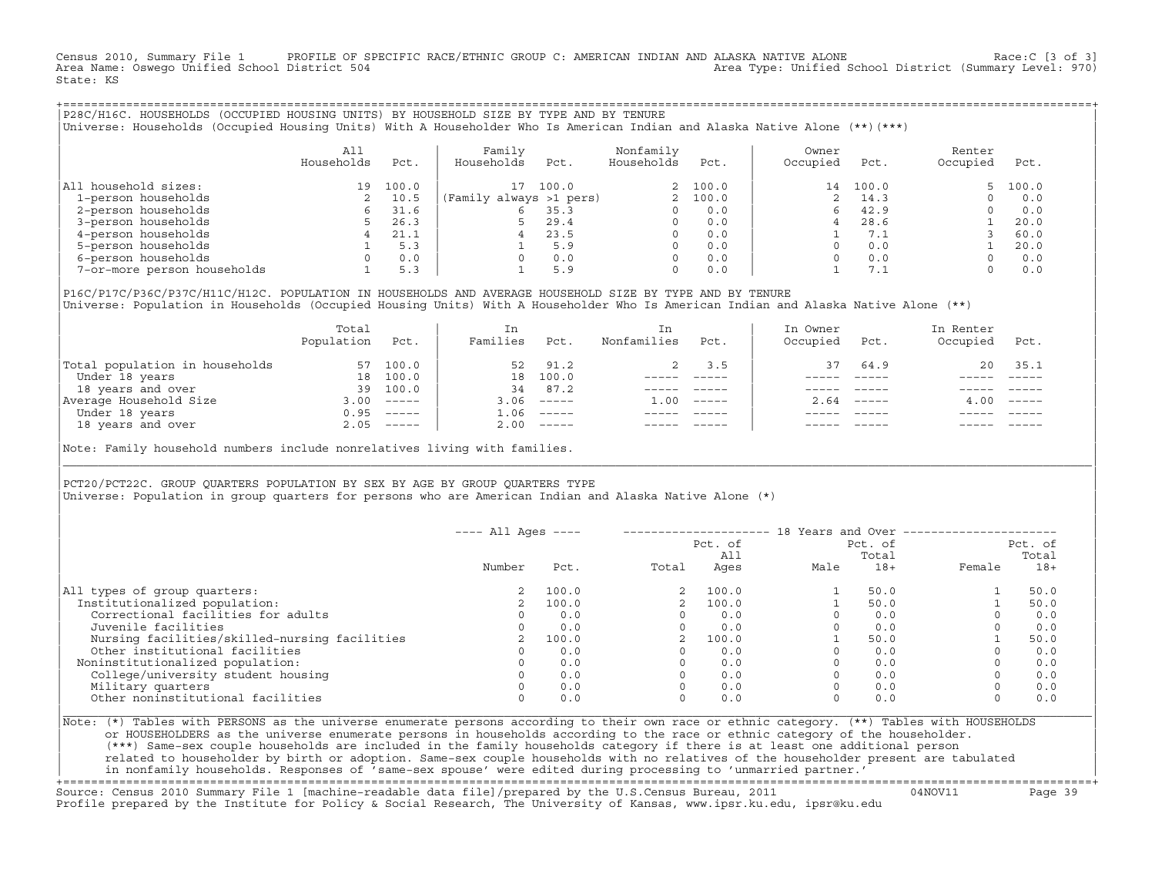Census 2010, Summary File 1 PROFILE OF SPECIFIC RACE/ETHNIC GROUP C: AMERICAN INDIAN AND ALASKA NATIVE ALONE Race:C [3 of 3]<br>Area Name: Oswego Unified School District 504 Area Type: Unified School District (Summary Level: 970) State: KS

+===================================================================================================================================================+|P28C/H16C. HOUSEHOLDS (OCCUPIED HOUSING UNITS) BY HOUSEHOLD SIZE BY TYPE AND BY TENURE | Universe: Households (Occupied Housing Units) With A Householder Who Is American Indian and Alaska Native Alone (\*\*)(\*\*\*)

|                             | All<br>Households | Pct.  | Family<br>Households    | Pct.  | Nonfamily<br>Households | Pct.    | Owner<br>Occupied | Pct.     | Renter<br>Occupied | Pct.  |
|-----------------------------|-------------------|-------|-------------------------|-------|-------------------------|---------|-------------------|----------|--------------------|-------|
| All household sizes:        | 19                | 100.0 | $17^{1}$                | 100.0 |                         | 2 100.0 |                   | 14 100.0 | 5.                 | 100.0 |
| 1-person households         |                   | 10.5  | (Family always >1 pers) |       |                         | 100.0   |                   | 14.3     |                    | 0.0   |
| 2-person households         |                   | 31.6  | 6                       | 35.3  |                         | 0.0     |                   | 42.9     |                    | 0.0   |
| 3-person households         |                   | 26.3  | 5                       | 29.4  | 0                       | 0.0     |                   | 28.6     |                    | 20.0  |
| 4-person households         |                   | 21.1  | 4                       | 23.5  | 0                       | 0.0     |                   | 7.1      |                    | 60.0  |
| 5-person households         |                   | 5.3   |                         | 5.9   |                         | 0.0     |                   | 0.0      |                    | 20.0  |
| 6-person households         |                   | 0.0   | $\Omega$                | 0.0   |                         | 0.0     |                   | 0.0      |                    | 0.0   |
| 7-or-more person households |                   | 5.3   |                         | 5.9   | 0                       | 0.0     |                   | 7.1      |                    | 0.0   |

|P16C/P17C/P36C/P37C/H11C/H12C. POPULATION IN HOUSEHOLDS AND AVERAGE HOUSEHOLD SIZE BY TYPE AND BY TENURE | Universe: Population in Households (Occupied Housing Units) With A Householder Who Is American Indian and Alaska Native Alone (\*\*)

|                                | Total<br>Population | Pct.         | In<br>Families | Pct.     | In.<br>Nonfamilies | Pct.     | In Owner<br>Occupied | Pct.          | In Renter<br>Occupied | Pct.        |  |
|--------------------------------|---------------------|--------------|----------------|----------|--------------------|----------|----------------------|---------------|-----------------------|-------------|--|
| Total population in households |                     | 57 100.0     | 52             | 91.2     |                    | 3.5      | 37                   | 64.9          | 20                    | 35.1        |  |
| Under 18 years                 | 18                  | 100.0        | 18             | 100.0    |                    |          |                      |               |                       |             |  |
| 18 years and over              | 39                  | 100.0        | 34             | 87.2     |                    |          |                      |               |                       |             |  |
| Average Household Size         | 3.00                | $------$     | 3.06           | $------$ | 1.00               | $------$ | 2.64                 | $- - - - - -$ | 4.00                  | $------$    |  |
| Under 18 years                 | 0.95                | $------$     | 1.06           | $------$ |                    |          |                      |               |                       |             |  |
| 18 years and over              |                     | $2.05$ ----- | 2.00           |          |                    |          |                      | $- - - - -$   |                       | $- - - - -$ |  |
|                                |                     |              |                |          |                    |          |                      |               |                       |             |  |

Note: Family household numbers include nonrelatives living with families.

| | PCT20/PCT22C. GROUP OUARTERS POPULATION BY SEX BY AGE BY GROUP OUARTERS TYPE Universe: Population in group quarters for persons who are American Indian and Alaska Native Alone (\*)

|                                               | $---$ All Ages $---$ |       |       |                | 18 Years and Over -- |                  |        |                  |  |
|-----------------------------------------------|----------------------|-------|-------|----------------|----------------------|------------------|--------|------------------|--|
|                                               |                      |       |       | Pct. of<br>All |                      | Pct. of<br>Total |        | Pct. of<br>Total |  |
|                                               | Number               | Pct.  | Total | Ages           | Male                 | $18+$            | Female | $18+$            |  |
| All types of group quarters:                  |                      | 100.0 | 2     | 100.0          |                      | 50.0             |        | 50.0             |  |
| Institutionalized population:                 |                      | 100.0 |       | 100.0          |                      | 50.0             |        | 50.0             |  |
| Correctional facilities for adults            |                      | 0.0   |       | 0.0            |                      | 0.0              |        | 0.0              |  |
| Juvenile facilities                           |                      | 0.0   |       | 0.0            |                      | 0.0              |        | 0.0              |  |
| Nursing facilities/skilled-nursing facilities |                      | 100.0 |       | 100.0          |                      | 50.0             |        | 50.0             |  |
| Other institutional facilities                |                      | 0.0   |       | 0.0            |                      | 0.0              |        | 0.0              |  |
| Noninstitutionalized population:              |                      | 0.0   |       | 0.0            |                      | 0.0              |        | 0.0              |  |
| College/university student housing            |                      | 0.0   |       | 0.0            |                      | 0.0              |        | 0.0              |  |
| Military quarters                             |                      | 0.0   |       | 0.0            |                      | 0.0              |        | 0.0              |  |
| Other noninstitutional facilities             |                      | 0.0   |       | 0.0            |                      | 0.0              |        | 0.0              |  |

|\_\_\_\_\_\_\_\_\_\_\_\_\_\_\_\_\_\_\_\_\_\_\_\_\_\_\_\_\_\_\_\_\_\_\_\_\_\_\_\_\_\_\_\_\_\_\_\_\_\_\_\_\_\_\_\_\_\_\_\_\_\_\_\_\_\_\_\_\_\_\_\_\_\_\_\_\_\_\_\_\_\_\_\_\_\_\_\_\_\_\_\_\_\_\_\_\_\_\_\_\_\_\_\_\_\_\_\_\_\_\_\_\_\_\_\_\_\_\_\_\_\_\_\_\_\_\_\_\_\_\_\_\_\_\_\_\_\_\_\_\_\_\_\_\_\_\_|

| |

|Note: (\*) Tables with PERSONS as the universe enumerate persons according to their own race or ethnic category. (\*\*) Tables with HOUSEHOLDS | or HOUSEHOLDERS as the universe enumerate persons in households according to the race or ethnic category of the householder. | (\*\*\*) Same−sex couple households are included in the family households category if there is at least one additional person | | related to householder by birth or adoption. Same−sex couple households with no relatives of the householder present are tabulated | | in nonfamily households. Responses of 'same−sex spouse' were edited during processing to 'unmarried partner.' | +===================================================================================================================================================+

Source: Census 2010 Summary File 1 [machine−readable data file]/prepared by the U.S.Census Bureau, 2011 04NOV11 Page 39 Profile prepared by the Institute for Policy & Social Research, The University of Kansas, www.ipsr.ku.edu, ipsr@ku.edu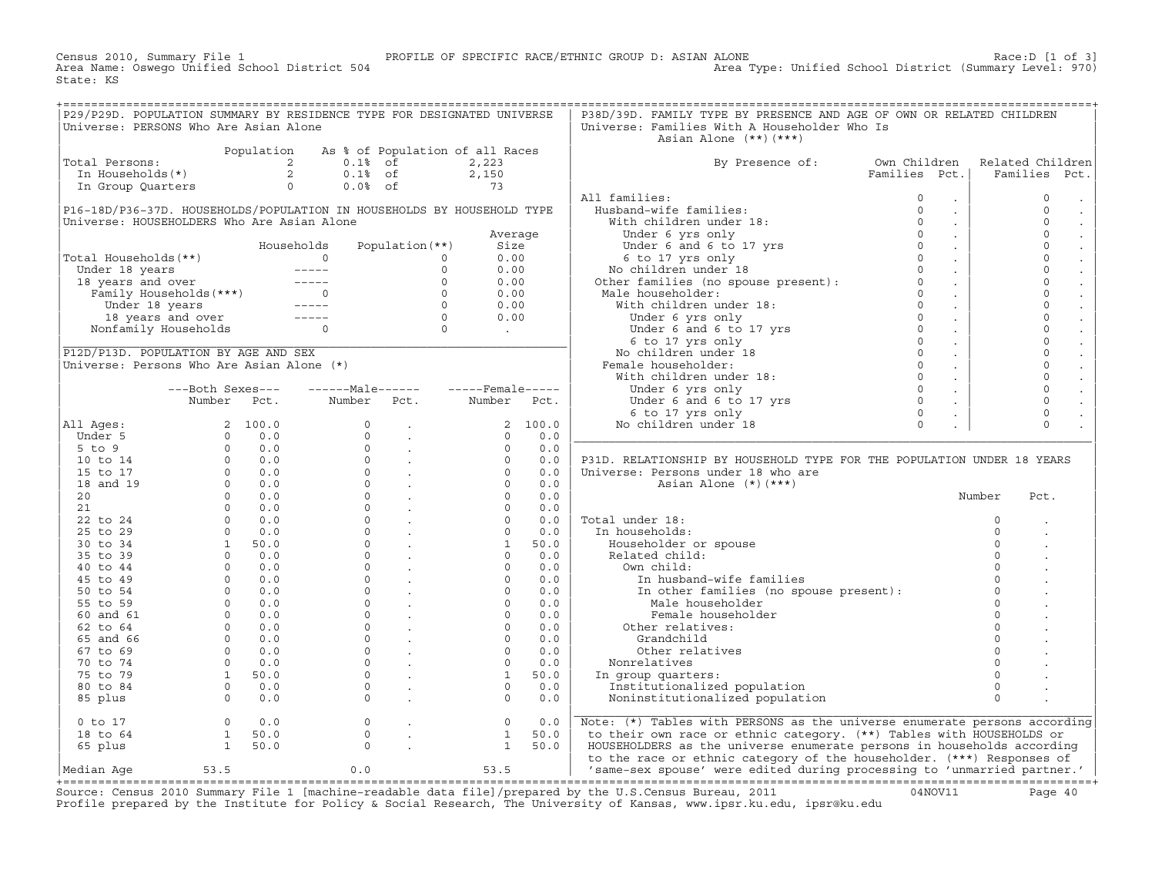Census 2010, Summary File 1 PROFILE OF SPECIFIC RACE/ETHNIC GROUP D: ASIAN ALONE Race:D [1 of 3]<br>Area Name: Oswego Unified School District 504 Area Type: Unified School District (Summary Level: 970) Area Type: Unified School District (Summary Level: 970) State: KS

| P29/P29D. POPULATION SUMMARY BY RESIDENCE TYPE FOR DESIGNATED UNIVERSE               |                                                   |                 |                                                                                                                                                                                                                                                                                                                                                                                                                                                |                                                                  |                   |         | P38D/39D. FAMILY TYPE BY PRESENCE AND AGE OF OWN OR RELATED CHILDREN                                                                                   |                                         |          |                               |
|--------------------------------------------------------------------------------------|---------------------------------------------------|-----------------|------------------------------------------------------------------------------------------------------------------------------------------------------------------------------------------------------------------------------------------------------------------------------------------------------------------------------------------------------------------------------------------------------------------------------------------------|------------------------------------------------------------------|-------------------|---------|--------------------------------------------------------------------------------------------------------------------------------------------------------|-----------------------------------------|----------|-------------------------------|
| Universe: PERSONS Who Are Asian Alone                                                |                                                   |                 |                                                                                                                                                                                                                                                                                                                                                                                                                                                |                                                                  |                   |         | Universe: Families With A Householder Who Is                                                                                                           |                                         |          |                               |
|                                                                                      |                                                   |                 |                                                                                                                                                                                                                                                                                                                                                                                                                                                |                                                                  |                   |         | Asian Alone $(**)$ $(***)$                                                                                                                             |                                         |          |                               |
|                                                                                      |                                                   |                 | Population As % of Population of all Races                                                                                                                                                                                                                                                                                                                                                                                                     |                                                                  |                   |         |                                                                                                                                                        |                                         |          |                               |
| Total Persons:                                                                       |                                                   |                 | otal Persons:<br>In Households(*)<br>In Group Quarters<br>$\begin{array}{ccccccc}\n & & & & & & & \text{if } & \text{if } & \text{if } & \text{if } & \text{if } & \text{if } & \text{if } & \text{if } & \text{if } & \text{if } & \text{if } & \text{if } & \text{if } & \text{if } & \text{if } & \text{if } & \text{if } & \text{if } & \text{if } & \text{if } & \text{if } & \text{if } & \text{if } & \text{if } & \text{if } & \text{$ |                                                                  | 2,223             |         | By Presence of:                                                                                                                                        | Own Children                            |          | Related Children              |
|                                                                                      |                                                   |                 |                                                                                                                                                                                                                                                                                                                                                                                                                                                |                                                                  | 2,150             |         |                                                                                                                                                        | Families Pct.                           |          | Families<br>Pct.              |
|                                                                                      |                                                   |                 |                                                                                                                                                                                                                                                                                                                                                                                                                                                |                                                                  | 73                |         |                                                                                                                                                        |                                         |          |                               |
|                                                                                      |                                                   |                 |                                                                                                                                                                                                                                                                                                                                                                                                                                                |                                                                  |                   |         | All families:                                                                                                                                          | $\Omega$                                |          | $\mathsf{O}\xspace$           |
|                                                                                      |                                                   |                 |                                                                                                                                                                                                                                                                                                                                                                                                                                                |                                                                  |                   |         | Husband-wife families:                                                                                                                                 | $\sim$<br>$\Omega$                      |          | $\Omega$                      |
| P16-18D/P36-37D. HOUSEHOLDS/POPULATION IN HOUSEHOLDS BY HOUSEHOLD TYPE               |                                                   |                 |                                                                                                                                                                                                                                                                                                                                                                                                                                                |                                                                  |                   |         |                                                                                                                                                        | $\epsilon$<br>$\Omega$                  |          | $\sim$<br>$\Omega$            |
| Universe: HOUSEHOLDERS Who Are Asian Alone                                           |                                                   |                 |                                                                                                                                                                                                                                                                                                                                                                                                                                                |                                                                  |                   |         | With children under 18:                                                                                                                                | $\epsilon$                              |          | $\Box$                        |
|                                                                                      |                                                   |                 |                                                                                                                                                                                                                                                                                                                                                                                                                                                |                                                                  | Average           |         |                                                                                                                                                        | $\Omega$<br>$\mathcal{L}^{\pm}$         |          | $\mathbf 0$                   |
|                                                                                      |                                                   | Households<br>0 |                                                                                                                                                                                                                                                                                                                                                                                                                                                | Population (**)                                                  | Size              |         |                                                                                                                                                        | $\Omega$<br>$\sim$                      |          | $\Omega$                      |
| Total Households(**)                                                                 |                                                   |                 | $\Omega$                                                                                                                                                                                                                                                                                                                                                                                                                                       | $\Omega$                                                         | 0.00              |         | With Chinama<br>Under 6 yrs only<br>Under 6 and 6 to 17 yrs<br>6 to 17 yrs only<br>No children under 18<br>Other families (no spouse present):         | $\Omega$<br>$\sim$                      |          | $\mathbf 0$                   |
|                                                                                      |                                                   |                 |                                                                                                                                                                                                                                                                                                                                                                                                                                                | $\Omega$                                                         | 0.00              |         |                                                                                                                                                        | $\Omega$<br>$\sim$                      |          | $\mathbf 0$<br>$\mathbb{Z}^2$ |
| otal Housenoids(**)<br>Under 18 years<br>18 years and over<br>Family Households(***) |                                                   |                 |                                                                                                                                                                                                                                                                                                                                                                                                                                                | $\Omega$                                                         | 0.00              |         |                                                                                                                                                        | $\Omega$<br>$\sim$                      |          | $\mathbf 0$                   |
|                                                                                      |                                                   |                 |                                                                                                                                                                                                                                                                                                                                                                                                                                                |                                                                  | 0.00              |         | Male householder:                                                                                                                                      | $\Omega$<br>$\mathcal{L}^{\mathcal{L}}$ |          | $\mathbf 0$                   |
| Under 18 years                                                                       |                                                   |                 | $\begin{array}{c}\n0 \\ \hline\n-\n\end{array}$                                                                                                                                                                                                                                                                                                                                                                                                |                                                                  | 0.00              |         | With children under 18:                                                                                                                                | $\Omega$<br>$\sim$                      |          | $\mathbf 0$                   |
|                                                                                      | 18 years and over -----<br>Nonfamily Households 0 |                 |                                                                                                                                                                                                                                                                                                                                                                                                                                                | $\begin{matrix} 0 \\ 0 \\ 0 \\ 0 \end{matrix}$                   | 0.00              |         | e householder:<br>ith children under 18:<br>Under 6 yrs only<br>Under 6 and 6 to 17 yrs<br>6 to 17 yrs only<br>o children under 18<br>ale householder: | $\Omega$<br>$\sim$                      |          | $\mathbf 0$                   |
|                                                                                      |                                                   |                 |                                                                                                                                                                                                                                                                                                                                                                                                                                                |                                                                  | <b>Contractor</b> |         |                                                                                                                                                        | $\Omega$<br>$\sim$                      |          | $\Omega$                      |
|                                                                                      |                                                   |                 |                                                                                                                                                                                                                                                                                                                                                                                                                                                |                                                                  |                   |         |                                                                                                                                                        | $\Omega$<br>$\mathcal{L}$               |          | $\mathbf 0$<br>$\mathcal{L}$  |
| P12D/P13D. POPULATION BY AGE AND SEX                                                 |                                                   |                 |                                                                                                                                                                                                                                                                                                                                                                                                                                                |                                                                  |                   |         | No children under 18                                                                                                                                   | $\Omega$<br>$\sim$                      |          | $\overline{0}$                |
| Universe: Persons Who Are Asian Alone (*)                                            |                                                   |                 |                                                                                                                                                                                                                                                                                                                                                                                                                                                |                                                                  |                   |         | Female householder:                                                                                                                                    | $\Omega$<br>$\sim$                      |          | $\mathbf 0$                   |
|                                                                                      |                                                   |                 |                                                                                                                                                                                                                                                                                                                                                                                                                                                |                                                                  |                   |         | With children under 18:                                                                                                                                | $\Omega$<br>$\sim$                      |          | $\overline{0}$                |
|                                                                                      | ---Both Sexes---                                  |                 |                                                                                                                                                                                                                                                                                                                                                                                                                                                |                                                                  |                   |         | Under 6 yrs only                                                                                                                                       | $\Omega$<br>$\sim$                      |          | $\mathbf 0$                   |
|                                                                                      | Number Pct.                                       |                 | Number Pct.                                                                                                                                                                                                                                                                                                                                                                                                                                    |                                                                  | Number Pct.       |         | Under $6$ and $6$ to 17 yrs                                                                                                                            | $\Omega$<br>$\sim$                      |          | $\Omega$                      |
|                                                                                      |                                                   |                 |                                                                                                                                                                                                                                                                                                                                                                                                                                                |                                                                  |                   |         | 6 to 17 yrs only                                                                                                                                       | $\Omega$                                |          | $\mathbf 0$                   |
| All Ages:                                                                            |                                                   | 2 100.0         | $\Omega$                                                                                                                                                                                                                                                                                                                                                                                                                                       | $\sim 100$                                                       |                   | 2 100.0 | No children under 18                                                                                                                                   | $\Omega$                                |          | $\Omega$                      |
| Under 5                                                                              | $\Omega$                                          | 0.0             | $\Omega$                                                                                                                                                                                                                                                                                                                                                                                                                                       | <b>Contract</b>                                                  | $\Omega$          | 0.0     |                                                                                                                                                        |                                         |          |                               |
| $5$ to $9$                                                                           | $\Omega$                                          | 0.0             | $\Omega$                                                                                                                                                                                                                                                                                                                                                                                                                                       |                                                                  | $\Omega$          | 0.0     |                                                                                                                                                        |                                         |          |                               |
| 10 to 14                                                                             |                                                   | $0 \t 0.0$      |                                                                                                                                                                                                                                                                                                                                                                                                                                                | $\sim$ $\sim$<br>$\begin{matrix} 0 & \cdot & \cdot \end{matrix}$ | $\Omega$          | 0.0     | P31D. RELATIONSHIP BY HOUSEHOLD TYPE FOR THE POPULATION UNDER 18 YEARS                                                                                 |                                         |          |                               |
| 15 to 17                                                                             |                                                   | $0 \t 0.0$      |                                                                                                                                                                                                                                                                                                                                                                                                                                                | $\begin{matrix} 0 & \cdot & \cdot \end{matrix}$                  | $\Omega$          | 0.0     |                                                                                                                                                        |                                         |          |                               |
|                                                                                      |                                                   | $0 \t 0.0$      | $\Omega$                                                                                                                                                                                                                                                                                                                                                                                                                                       |                                                                  | $\Omega$          | 0.0     | Universe: Persons under 18 who are                                                                                                                     |                                         |          |                               |
| 18 and 19                                                                            |                                                   |                 | $\Omega$                                                                                                                                                                                                                                                                                                                                                                                                                                       | $\sim 100$ km $^{-1}$                                            |                   |         | Asian Alone $(*)$ $(***)$                                                                                                                              |                                         |          |                               |
| 20                                                                                   |                                                   |                 |                                                                                                                                                                                                                                                                                                                                                                                                                                                |                                                                  | $\Omega$          | 0.0     |                                                                                                                                                        |                                         | Number   | Pct.                          |
| 21                                                                                   |                                                   |                 | $\circ$                                                                                                                                                                                                                                                                                                                                                                                                                                        | $\sim 100$ km s $^{-1}$                                          | $\Omega$          | 0.0     |                                                                                                                                                        |                                         |          |                               |
| 22 to 24                                                                             |                                                   |                 | $\Omega$                                                                                                                                                                                                                                                                                                                                                                                                                                       | $\sim 100$ km s $^{-1}$                                          | $\Omega$          | 0.0     | Total under 18:                                                                                                                                        |                                         | $\Omega$ |                               |
| 25 to 29                                                                             |                                                   |                 | $\Omega$                                                                                                                                                                                                                                                                                                                                                                                                                                       | <b>Contract</b>                                                  | $\Omega$          | 0.0     | In households:                                                                                                                                         |                                         | $\Omega$ |                               |
| 30 to 34                                                                             |                                                   |                 |                                                                                                                                                                                                                                                                                                                                                                                                                                                | $0 \qquad \qquad$<br>$\mathcal{L}^{\mathcal{L}}$                 | 1                 | 50.0    | Householder or spouse                                                                                                                                  |                                         | $\Omega$ |                               |
| 35 to 39                                                                             |                                                   |                 | $\Omega$                                                                                                                                                                                                                                                                                                                                                                                                                                       | <b>Contract</b>                                                  | $\circ$           | 0.0     | Related child:                                                                                                                                         |                                         | $\Omega$ |                               |
| 40 to 44                                                                             |                                                   |                 | $\Omega$                                                                                                                                                                                                                                                                                                                                                                                                                                       | $\sim 100$ km s $^{-1}$                                          | $\Omega$          | 0.0     | Own child:                                                                                                                                             |                                         | $\Omega$ |                               |
| 45 to 49                                                                             |                                                   |                 | $\Omega$                                                                                                                                                                                                                                                                                                                                                                                                                                       | $\sim 10^{11}$ km s $^{-1}$                                      | $\mathbf 0$       | 0.0     | In husband-wife families                                                                                                                               |                                         | $\Omega$ |                               |
| 50 to 54                                                                             |                                                   |                 | $\Omega$                                                                                                                                                                                                                                                                                                                                                                                                                                       | $\mathbb{Z}^2$                                                   | $\mathbf 0$       | 0.0     | In other families (no spouse present):                                                                                                                 |                                         | $\Omega$ |                               |
| 55 to 59                                                                             |                                                   |                 | $\Omega$                                                                                                                                                                                                                                                                                                                                                                                                                                       |                                                                  | $\Omega$          | 0.0     | Male householder                                                                                                                                       |                                         | $\Omega$ |                               |
| 60 and 61                                                                            |                                                   |                 | $\Omega$                                                                                                                                                                                                                                                                                                                                                                                                                                       |                                                                  | $\mathbf 0$       | 0.0     | Female householder                                                                                                                                     |                                         | $\Omega$ |                               |
| 62 to 64                                                                             |                                                   |                 | $\Omega$                                                                                                                                                                                                                                                                                                                                                                                                                                       | $\sim 10^{11}$ km $^{-1}$                                        | $\circ$           | 0.0     | Other relatives:                                                                                                                                       |                                         | $\Omega$ |                               |
| 65 and 66                                                                            |                                                   |                 | $\Omega$                                                                                                                                                                                                                                                                                                                                                                                                                                       | $\sim 10^{11}$ km $^{-1}$                                        | $\Omega$          | 0.0     | Grandchild                                                                                                                                             |                                         | $\Omega$ |                               |
| 67 to 69                                                                             |                                                   |                 | $\Omega$                                                                                                                                                                                                                                                                                                                                                                                                                                       | $\sim$                                                           | $\Omega$          | 0.0     | Other relatives                                                                                                                                        |                                         | $\Omega$ |                               |
| 70 to 74                                                                             |                                                   |                 | $\Omega$                                                                                                                                                                                                                                                                                                                                                                                                                                       | $\mathbb{R}^2$                                                   | $\Omega$          | 0.0     | Nonrelatives                                                                                                                                           |                                         | $\Omega$ |                               |
| 75 to 79                                                                             |                                                   | 1 50.0          | $\mathsf{O}$                                                                                                                                                                                                                                                                                                                                                                                                                                   | $\sim$                                                           | $\mathbf{1}$      | 50.0    | In group quarters:                                                                                                                                     |                                         | $\Omega$ |                               |
| 80 to 84                                                                             |                                                   | $0 \t 0.0$      | $\Omega$                                                                                                                                                                                                                                                                                                                                                                                                                                       | $\mathcal{L}$                                                    | $\Omega$          | 0.0     | Institutionalized population                                                                                                                           |                                         | $\Omega$ |                               |
| 85 plus                                                                              | $\Omega$                                          | 0.0             | $\Omega$                                                                                                                                                                                                                                                                                                                                                                                                                                       |                                                                  | $\Omega$          | 0.0     | Noninstitutionalized population                                                                                                                        |                                         | $\Omega$ |                               |
|                                                                                      |                                                   |                 |                                                                                                                                                                                                                                                                                                                                                                                                                                                |                                                                  |                   |         |                                                                                                                                                        |                                         |          |                               |
| $0$ to $17$                                                                          | $\Omega$                                          | 0.0             | $\circ$                                                                                                                                                                                                                                                                                                                                                                                                                                        | $\mathcal{L}$                                                    | $\circ$           | 0.0     | Note: (*) Tables with PERSONS as the universe enumerate persons according                                                                              |                                         |          |                               |
| 18 to 64                                                                             | 1                                                 | 50.0            | $\circ$                                                                                                                                                                                                                                                                                                                                                                                                                                        |                                                                  | $\mathbf{1}$      | 50.0    | to their own race or ethnic category. (**) Tables with HOUSEHOLDS or                                                                                   |                                         |          |                               |
|                                                                                      |                                                   |                 | $\Omega$                                                                                                                                                                                                                                                                                                                                                                                                                                       |                                                                  |                   |         |                                                                                                                                                        |                                         |          |                               |
| 65 plus                                                                              | $\mathbf{1}$                                      | 50.0            |                                                                                                                                                                                                                                                                                                                                                                                                                                                |                                                                  | $\mathbf{1}$      | 50.0    | HOUSEHOLDERS as the universe enumerate persons in households according                                                                                 |                                         |          |                               |
|                                                                                      |                                                   |                 |                                                                                                                                                                                                                                                                                                                                                                                                                                                |                                                                  |                   |         | to the race or ethnic category of the householder. (***) Responses of                                                                                  |                                         |          |                               |
| Median Aqe                                                                           | 53.5                                              |                 | 0.0                                                                                                                                                                                                                                                                                                                                                                                                                                            |                                                                  | 53.5              |         | 'same-sex spouse' were edited during processing to 'unmarried partner.'                                                                                |                                         |          |                               |

|Median Age 53.5 0.0 53.5 | 'same−sex spouse' were edited during processing to 'unmarried partner.' | +===================================================================================================================================================+ Source: Census 2010 Summary File 1 [machine−readable data file]/prepared by the U.S.Census Bureau, 2011 04NOV11 Page 40 Profile prepared by the Institute for Policy & Social Research, The University of Kansas, www.ipsr.ku.edu, ipsr@ku.edu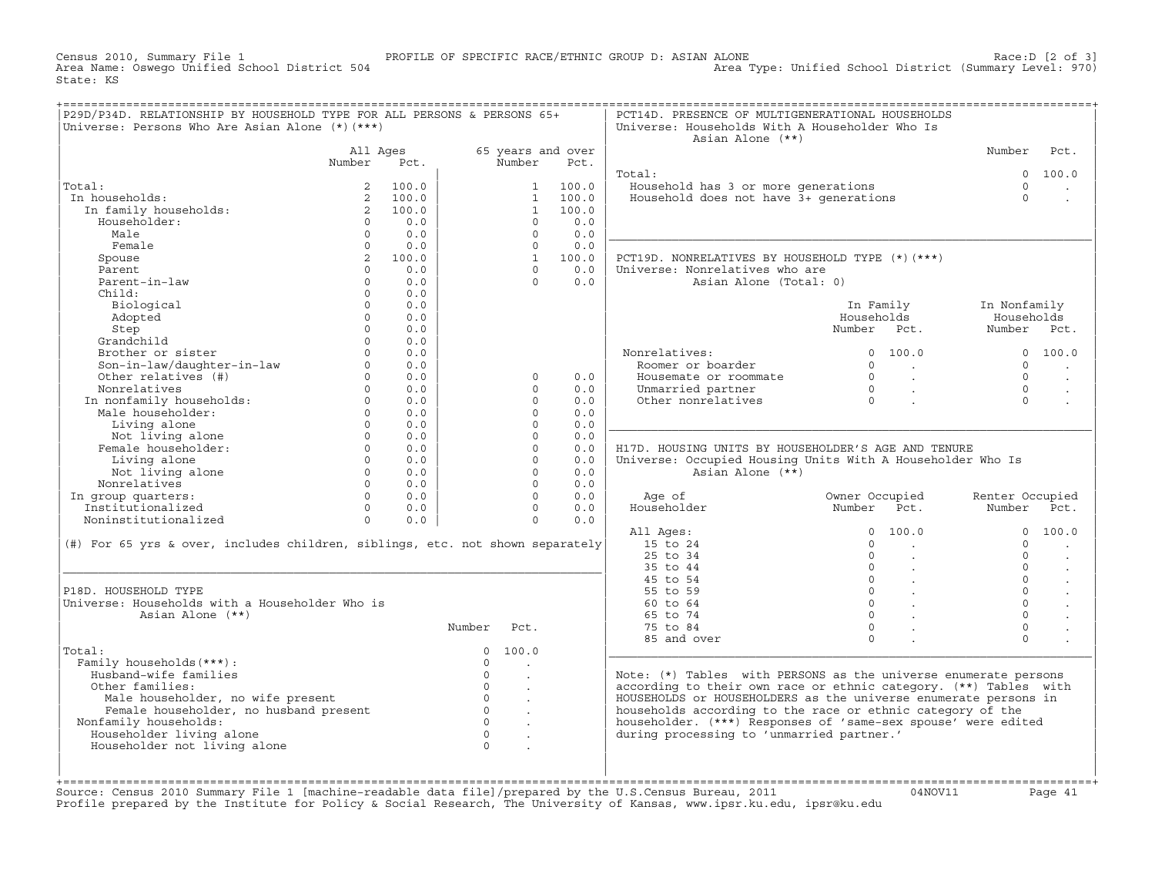Census 2010, Summary File 1 PROFILE OF SPECIFIC RACE/ETHNIC GROUP D: ASIAN ALONE Race:D [2 of 3] Area Type: Unified School District (Summary Level: 970) State: KS

| P29D/P34D. RELATIONSHIP BY HOUSEHOLD TYPE FOR ALL PERSONS & PERSONS 65+<br>Universe: Persons Who Are Asian Alone (*) (***) |             |         |                |                      |                   | PCT14D. PRESENCE OF MULTIGENERATIONAL HOUSEHOLDS<br>Universe: Households With A Householder Who Is<br>Asian Alone (**) |                      |                                             |                 |                      |
|----------------------------------------------------------------------------------------------------------------------------|-------------|---------|----------------|----------------------|-------------------|------------------------------------------------------------------------------------------------------------------------|----------------------|---------------------------------------------|-----------------|----------------------|
|                                                                                                                            | All Ages    |         |                |                      | 65 years and over |                                                                                                                        |                      |                                             | Number          | Pct.                 |
|                                                                                                                            | Number      | Pct.    |                | Number               | Pct.              |                                                                                                                        |                      |                                             |                 |                      |
|                                                                                                                            |             |         |                |                      |                   | Total:                                                                                                                 |                      |                                             | $\Omega$        | 100.0                |
| Total:                                                                                                                     |             | 100.0   |                | $1 \quad$            | 100.0             | Household has 3 or more generations                                                                                    |                      |                                             | $\Omega$        |                      |
| In households:                                                                                                             |             | 2 100.0 |                | $\mathbf{1}$         | 100.0             | Household does not have 3+ qenerations                                                                                 |                      |                                             | $\Omega$        |                      |
| In family households:                                                                                                      |             | 2 100.0 |                | $\mathbf{1}$         | 100.0             |                                                                                                                        |                      |                                             |                 |                      |
| Householder:                                                                                                               | $\circ$     | 0.0     |                | $\circ$              | 0.0               |                                                                                                                        |                      |                                             |                 |                      |
| Male                                                                                                                       | $\Omega$    | 0.0     |                | $\Omega$             | 0.0               |                                                                                                                        |                      |                                             |                 |                      |
| Female                                                                                                                     | $\Omega$    | 0.0     |                | $\Omega$             | 0.0               |                                                                                                                        |                      |                                             |                 |                      |
| Spouse                                                                                                                     | $2^{\circ}$ | 100.0   |                | 1                    | 100.0             | PCT19D. NONRELATIVES BY HOUSEHOLD TYPE (*) (***)                                                                       |                      |                                             |                 |                      |
| Parent                                                                                                                     | $\Omega$    | 0.0     |                | $\Omega$             | 0.0               | Universe: Nonrelatives who are                                                                                         |                      |                                             |                 |                      |
| Parent-in-law                                                                                                              | $\Omega$    | 0.0     |                | $\Omega$             | 0.0               | Asian Alone (Total: 0)                                                                                                 |                      |                                             |                 |                      |
| Child:                                                                                                                     | $\circ$     | 0.0     |                |                      |                   |                                                                                                                        |                      |                                             |                 |                      |
| Biological                                                                                                                 | $\circ$     | 0.0     |                |                      |                   |                                                                                                                        |                      | In Family                                   | In Nonfamily    |                      |
| Adopted                                                                                                                    | $\Omega$    | 0.0     |                |                      |                   |                                                                                                                        | Households           |                                             | Households      |                      |
| Step                                                                                                                       | $\Omega$    | 0.0     |                |                      |                   |                                                                                                                        | Number Pct.          |                                             | Number Pct.     |                      |
| Grandchild                                                                                                                 | $\Omega$    | 0.0     |                |                      |                   |                                                                                                                        |                      |                                             |                 |                      |
| Brother or sister                                                                                                          | $\Omega$    | 0.0     |                |                      |                   | Nonrelatives:                                                                                                          |                      | 0, 100, 0                                   |                 | 0 100.0              |
| Son-in-law/daughter-in-law                                                                                                 | $\Omega$    | 0.0     |                |                      |                   | Roomer or boarder                                                                                                      | $\Omega$             | <b>Contract Contract</b>                    | $\Omega$        |                      |
| Other relatives (#)                                                                                                        | $\Omega$    | 0.0     |                | $\Omega$             | 0.0               | Housemate or roommate                                                                                                  | $\Omega$             | $\sim 10^{11}$ km $^{-1}$                   | $\Omega$        | $\cdot$              |
| Nonrelatives                                                                                                               | $\Omega$    | 0.0     |                | $\Omega$             | 0.0               | Unmarried partner                                                                                                      | $\overline{0}$       | $\sim 100$ $\mu$                            | $\Omega$        |                      |
| In nonfamily households:                                                                                                   | $\Omega$    | 0.0     |                | $\Omega$             | 0.0               | Other nonrelatives                                                                                                     | $\overline{0}$       |                                             | $\Omega$        |                      |
| Male householder:                                                                                                          | $\Omega$    | 0.0     |                | $\Omega$             | 0.0               |                                                                                                                        |                      |                                             |                 |                      |
| Living alone                                                                                                               | $\Omega$    | 0.0     |                | $\Omega$             | 0.0               |                                                                                                                        |                      |                                             |                 |                      |
| Not living alone                                                                                                           | $\Omega$    | 0.0     |                | $\Omega$             | 0.0               |                                                                                                                        |                      |                                             |                 |                      |
| Female householder:                                                                                                        | $\Omega$    | 0.0     |                | $\Omega$             | 0.0               | H17D. HOUSING UNITS BY HOUSEHOLDER'S AGE AND TENURE                                                                    |                      |                                             |                 |                      |
| Living alone                                                                                                               | $\Omega$    | 0.0     |                | $\Omega$             | 0.0               | Universe: Occupied Housing Units With A Householder Who Is                                                             |                      |                                             |                 |                      |
| Not living alone                                                                                                           | $\Omega$    | 0.0     |                | $\Omega$             | 0.0               | Asian Alone (**)                                                                                                       |                      |                                             |                 |                      |
| Nonrelatives                                                                                                               | $\Omega$    | 0.0     |                | $\Omega$             | 0.0               |                                                                                                                        |                      |                                             |                 |                      |
| In group quarters:                                                                                                         | $\Omega$    | 0.0     |                | $\Omega$             | 0.0               | Age of                                                                                                                 | Owner Occupied       |                                             | Renter Occupied |                      |
| Institutionalized                                                                                                          | $\Omega$    | 0.0     |                | $\Omega$             | 0.0               | Householder                                                                                                            | Number Pct.          |                                             | Number Pct.     |                      |
| Noninstitutionalized                                                                                                       | $\Omega$    | 0.0     |                | $\Omega$             | 0.0               |                                                                                                                        |                      |                                             | $\Omega$        |                      |
|                                                                                                                            |             |         |                |                      |                   | All Ages:<br>15 to 24                                                                                                  | $\Omega$<br>$\Omega$ | 100.0                                       | $\Omega$        | 100.0                |
| (#) For 65 yrs & over, includes children, siblings, etc. not shown separately                                              |             |         |                |                      |                   | 25 to 34                                                                                                               | $\Omega$             | $\sim$                                      | $\Omega$        |                      |
|                                                                                                                            |             |         |                |                      |                   | 35 to 44                                                                                                               | $\circ$              | $\sim$                                      | $\Omega$        | $\sim$               |
|                                                                                                                            |             |         |                |                      |                   | 45 to 54                                                                                                               |                      | $\ddot{\phantom{a}}$<br>$0 \qquad \qquad .$ | $\Omega$        | $\ddot{\phantom{a}}$ |
| P18D. HOUSEHOLD TYPE                                                                                                       |             |         |                |                      |                   | 55 to 59                                                                                                               | $\overline{0}$       |                                             | $\Omega$        |                      |
| Universe: Households with a Householder Who is                                                                             |             |         |                |                      |                   | 60 to 64                                                                                                               | $0 \qquad \qquad$    |                                             | $\Omega$        | $\sim$               |
| Asian Alone (**)                                                                                                           |             |         |                |                      |                   | 65 to 74                                                                                                               | $\circ$              |                                             | $\Omega$        |                      |
|                                                                                                                            |             |         | Number         | Pct.                 |                   | 75 to 84                                                                                                               | $\Omega$             |                                             | $\Omega$        |                      |
|                                                                                                                            |             |         |                |                      |                   | 85 and over                                                                                                            | $\Omega$             |                                             | $\Omega$        |                      |
| Total:                                                                                                                     |             |         | $\Omega$       | 100.0                |                   |                                                                                                                        |                      |                                             |                 |                      |
| Family households (***) :                                                                                                  |             |         | $\circ$        | $\sim$               |                   |                                                                                                                        |                      |                                             |                 |                      |
| Husband-wife families                                                                                                      |             |         | $\Omega$       | $\sim$               |                   | Note: (*) Tables with PERSONS as the universe enumerate persons                                                        |                      |                                             |                 |                      |
| Other families:                                                                                                            |             |         | $\Omega$       | $\overline{a}$       |                   | according to their own race or ethnic category. (**) Tables with                                                       |                      |                                             |                 |                      |
| Male householder, no wife present                                                                                          |             |         | $\circ$        | $\ddot{\phantom{a}}$ |                   | HOUSEHOLDS or HOUSEHOLDERS as the universe enumerate persons in                                                        |                      |                                             |                 |                      |
| Female householder, no husband present                                                                                     |             |         | $\overline{0}$ |                      |                   | households according to the race or ethnic category of the                                                             |                      |                                             |                 |                      |
| Nonfamily households:                                                                                                      |             |         | $\circ$        |                      |                   | householder. (***) Responses of 'same-sex spouse' were edited                                                          |                      |                                             |                 |                      |
| Householder living alone                                                                                                   |             |         | $\Omega$       | $\ddot{\phantom{a}}$ |                   | during processing to 'unmarried partner.'                                                                              |                      |                                             |                 |                      |
| Householder not living alone                                                                                               |             |         | $\Omega$       |                      |                   |                                                                                                                        |                      |                                             |                 |                      |
|                                                                                                                            |             |         |                |                      |                   |                                                                                                                        |                      |                                             |                 |                      |
|                                                                                                                            |             |         |                |                      |                   |                                                                                                                        |                      |                                             |                 |                      |
|                                                                                                                            |             |         |                |                      |                   |                                                                                                                        |                      |                                             |                 |                      |

+===================================================================================================================================================+Source: Census 2010 Summary File 1 [machine−readable data file]/prepared by the U.S.Census Bureau, 2011 04NOV11 Page 41 Profile prepared by the Institute for Policy & Social Research, The University of Kansas, www.ipsr.ku.edu, ipsr@ku.edu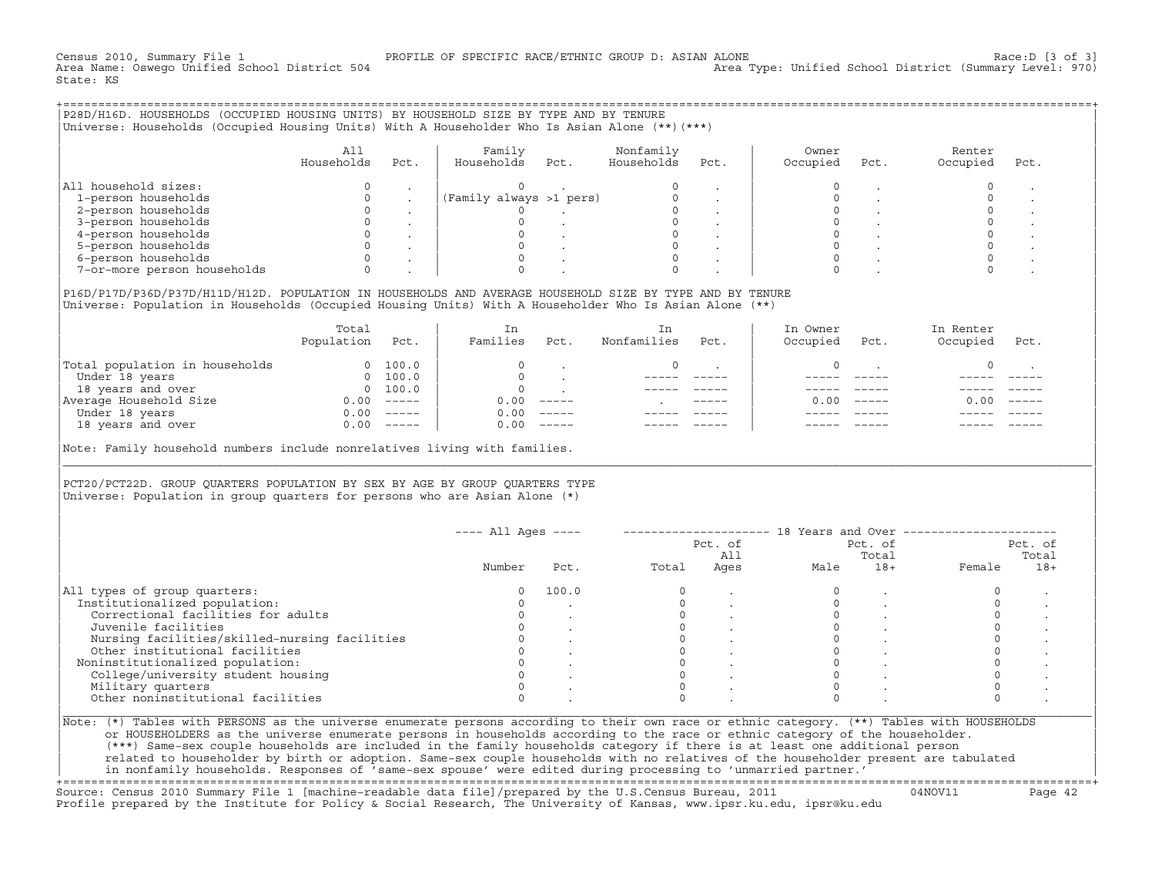Census 2010, Summary File 1 [3 of 3] PROFILE OF SPECIFIC RACE/ETHNIC GROUP D: ASIAN ALONE RACE: D [3 of 3]<br>Area Name: Oswego Unified School District 504 area Type: Unified School District (Summary Level: 970) Area Type: Unified School District (Summary Level: 970) State: KS

+===================================================================================================================================================+|P28D/H16D. HOUSEHOLDS (OCCUPIED HOUSING UNITS) BY HOUSEHOLD SIZE BY TYPE AND BY TENURE | |Universe: Households (Occupied Housing Units) With A Householder Who Is Asian Alone (\*\*)(\*\*\*) |

|                             | Alì<br>Households | Pct. | Family<br>Households    | Pct. | Nonfamily<br>Households | Pct. | Owner<br>Occupied | Pct. | Renter<br>Occupied | Pct. |
|-----------------------------|-------------------|------|-------------------------|------|-------------------------|------|-------------------|------|--------------------|------|
| All household sizes:        |                   |      |                         |      |                         |      |                   |      |                    |      |
| 1-person households         |                   |      | (Family always >1 pers) |      |                         |      |                   |      |                    |      |
| 2-person households         |                   |      |                         |      |                         |      |                   |      |                    |      |
| 3-person households         |                   |      |                         |      |                         |      |                   |      |                    |      |
| 4-person households         |                   |      |                         |      |                         |      |                   |      |                    |      |
| 5-person households         |                   |      |                         |      |                         |      |                   |      |                    |      |
| 6-person households         |                   |      |                         |      |                         |      |                   |      |                    |      |
| 7-or-more person households |                   |      |                         |      |                         |      |                   |      |                    |      |

| |

|P16D/P17D/P36D/P37D/H11D/H12D. POPULATION IN HOUSEHOLDS AND AVERAGE HOUSEHOLD SIZE BY TYPE AND BY TENURE | Universe: Population in Households (Occupied Housing Units) With A Householder Who Is Asian Alone (\*\*)

|                                | Total<br>Population | Pct.     | In<br>Families | Pct.     | In<br>Nonfamilies | Pct.          | In Owner<br>Occupied | Pct.          | In Renter<br>Occupied | Pct.     |
|--------------------------------|---------------------|----------|----------------|----------|-------------------|---------------|----------------------|---------------|-----------------------|----------|
| Total population in households | $\Omega$            | 100.0    | $\Omega$       |          | $\Omega$          |               |                      |               |                       |          |
| Under 18 years                 | $\Omega$            | 100.0    |                |          |                   |               |                      |               |                       |          |
| 18 years and over              |                     | 0 100.0  | $\Omega$       |          |                   |               |                      |               |                       |          |
| Average Household Size         | 0.00                | $------$ | 0.00           | $------$ |                   | $- - - - - -$ | 0. OO -              | $\frac{1}{2}$ | 0.00                  | $------$ |
| Under 18 years                 | 0.00                | $------$ | 0.00           | $------$ |                   |               |                      |               |                       |          |
| 18 years and over              | 0.00                |          | 0.00           | $------$ |                   |               |                      |               |                       |          |
|                                |                     |          |                |          |                   |               |                      |               |                       |          |

Note: Family household numbers include nonrelatives living with families.

| | PCT20/PCT22D. GROUP OUARTERS POPULATION BY SEX BY AGE BY GROUP OUARTERS TYPE Universe: Population in group quarters for persons who are Asian Alone  $(*)$ 

|                                               |        |       |       | Pct. of<br>All |      | Pct. of<br>Total |        | Pct. of<br>Total |
|-----------------------------------------------|--------|-------|-------|----------------|------|------------------|--------|------------------|
|                                               | Number | Pct.  | Total | Ages           | Male | $18+$            | Female | $18+$            |
| All types of group quarters:                  | 0      | 100.0 |       |                |      |                  |        |                  |
| Institutionalized population:                 |        |       |       |                |      |                  |        |                  |
| Correctional facilities for adults            |        |       |       |                |      |                  |        |                  |
| Juvenile facilities                           |        |       |       |                |      |                  |        |                  |
| Nursing facilities/skilled-nursing facilities |        |       |       |                |      |                  |        |                  |
| Other institutional facilities                |        |       |       |                |      |                  |        |                  |
| Noninstitutionalized population:              |        |       |       |                |      |                  |        |                  |
| College/university student housing            |        |       |       |                |      |                  |        |                  |
| Military quarters                             |        |       |       |                |      |                  |        |                  |
| Other noninstitutional facilities             |        |       |       |                |      |                  |        |                  |

|\_\_\_\_\_\_\_\_\_\_\_\_\_\_\_\_\_\_\_\_\_\_\_\_\_\_\_\_\_\_\_\_\_\_\_\_\_\_\_\_\_\_\_\_\_\_\_\_\_\_\_\_\_\_\_\_\_\_\_\_\_\_\_\_\_\_\_\_\_\_\_\_\_\_\_\_\_\_\_\_\_\_\_\_\_\_\_\_\_\_\_\_\_\_\_\_\_\_\_\_\_\_\_\_\_\_\_\_\_\_\_\_\_\_\_\_\_\_\_\_\_\_\_\_\_\_\_\_\_\_\_\_\_\_\_\_\_\_\_\_\_\_\_\_\_\_\_|

| |

| or HOUSEHOLDERS as the universe enumerate persons in households according to the race or ethnic category of the householder. | | (\*\*\*) Same−sex couple households are included in the family households category if there is at least one additional person | | related to householder by birth or adoption. Same−sex couple households with no relatives of the householder present are tabulated | | in nonfamily households. Responses of 'same−sex spouse' were edited during processing to 'unmarried partner.' |

+===================================================================================================================================================+ Source: Census 2010 Summary File 1 [machine−readable data file]/prepared by the U.S.Census Bureau, 2011 04NOV11 Page 42 Profile prepared by the Institute for Policy & Social Research, The University of Kansas, www.ipsr.ku.edu, ipsr@ku.edu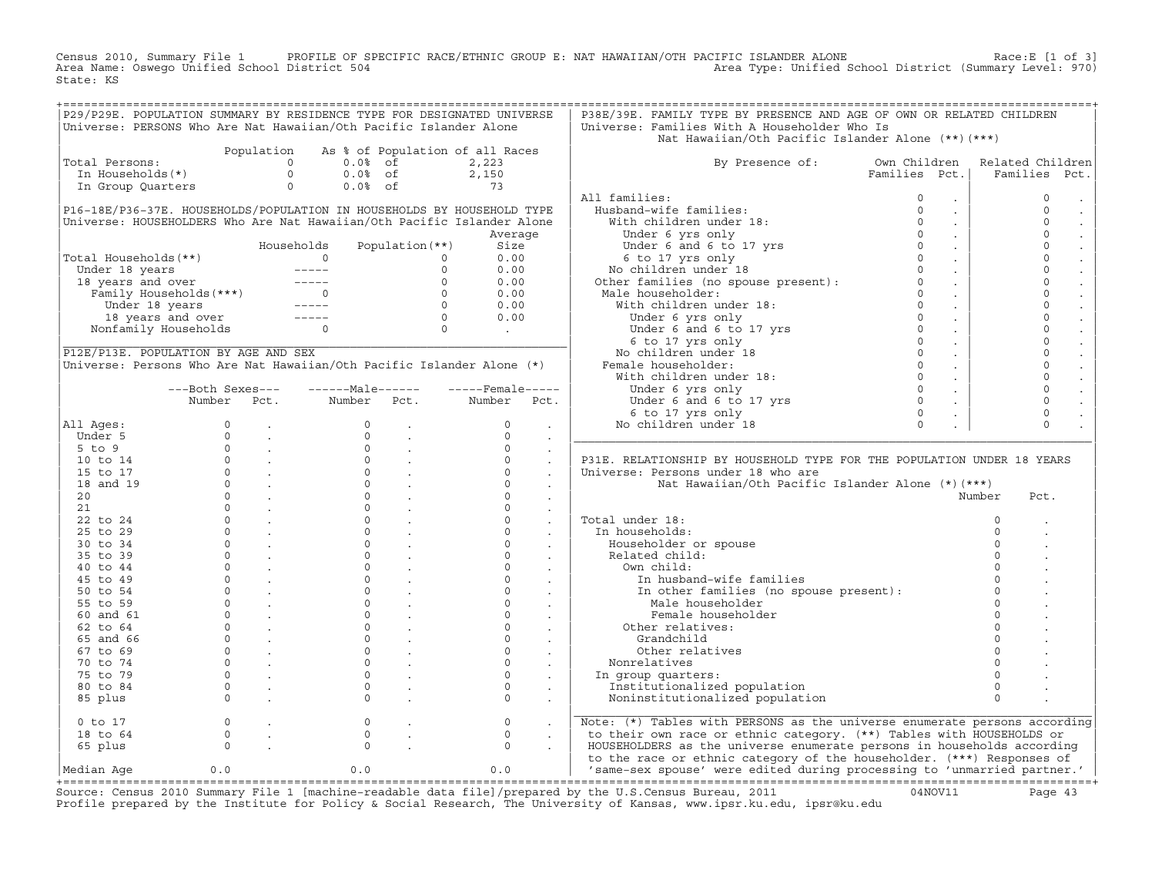Census 2010, Summary File 1 PROFILE OF SPECIFIC RACE/ETHNIC GROUP E: NAT HAWAIIAN/OTH PACIFIC ISLANDER ALONE<br>Area Name: Oswego Unified School District 504 Area Type: Unified School D State: KS

|                                                                                                                                                                                                                                              |                                     |            |                |                                                                                                                                                                                                                                                                                                                                                             | P29/P29E. POPULATION SUMMARY BY RESIDENCE TYPE FOR DESIGNATED UNIVERSE | P38E/39E. FAMILY TYPE BY PRESENCE AND AGE OF OWN OR RELATED CHILDREN                                                                                                                                                                                  |                |                                  |
|----------------------------------------------------------------------------------------------------------------------------------------------------------------------------------------------------------------------------------------------|-------------------------------------|------------|----------------|-------------------------------------------------------------------------------------------------------------------------------------------------------------------------------------------------------------------------------------------------------------------------------------------------------------------------------------------------------------|------------------------------------------------------------------------|-------------------------------------------------------------------------------------------------------------------------------------------------------------------------------------------------------------------------------------------------------|----------------|----------------------------------|
| Universe: PERSONS Who Are Nat Hawaiian/Oth Pacific Islander Alone                                                                                                                                                                            |                                     |            |                |                                                                                                                                                                                                                                                                                                                                                             |                                                                        | Universe: Families With A Householder Who Is                                                                                                                                                                                                          |                |                                  |
|                                                                                                                                                                                                                                              |                                     |            |                |                                                                                                                                                                                                                                                                                                                                                             |                                                                        | Nat Hawaiian/Oth Pacific Islander Alone (**) (***)                                                                                                                                                                                                    |                |                                  |
|                                                                                                                                                                                                                                              |                                     | Population |                |                                                                                                                                                                                                                                                                                                                                                             | As % of Population of all Races                                        |                                                                                                                                                                                                                                                       |                |                                  |
| Total Persons:                                                                                                                                                                                                                               |                                     | $\circ$    | $0.0%$ of      |                                                                                                                                                                                                                                                                                                                                                             | 2,223                                                                  | By Presence of: Own Children                                                                                                                                                                                                                          |                | Related Children                 |
| In Households(*)                                                                                                                                                                                                                             |                                     | $\Omega$   | $0.0%$ of      |                                                                                                                                                                                                                                                                                                                                                             |                                                                        |                                                                                                                                                                                                                                                       | Families Pct.  | Families<br>Pct.                 |
| In Group Quarters                                                                                                                                                                                                                            |                                     | $\circ$    | $0.0%$ of      |                                                                                                                                                                                                                                                                                                                                                             | $2,150$<br>73                                                          |                                                                                                                                                                                                                                                       |                |                                  |
|                                                                                                                                                                                                                                              |                                     |            |                |                                                                                                                                                                                                                                                                                                                                                             |                                                                        | All families:<br>11 ramilies:<br>Husband-wife families: 0<br>With children under 18: 0<br>Under 6 yrs only 0<br>Under 6 and 6 to 17 yrs 0<br>6 to 17 yrs only 0<br>No children under 18<br>Other families (recomment) 0<br>Other families (recomment) |                | $\circ$<br>$\sim$                |
| P16-18E/P36-37E. HOUSEHOLDS/POPULATION IN HOUSEHOLDS BY HOUSEHOLD TYPE                                                                                                                                                                       |                                     |            |                |                                                                                                                                                                                                                                                                                                                                                             |                                                                        |                                                                                                                                                                                                                                                       |                | $\Omega$<br>$\sim$               |
| Universe: HOUSEHOLDERS Who Are Nat Hawaiian/Oth Pacific Islander Alone                                                                                                                                                                       |                                     |            |                |                                                                                                                                                                                                                                                                                                                                                             |                                                                        |                                                                                                                                                                                                                                                       |                | $\Omega$<br>$\sim$               |
|                                                                                                                                                                                                                                              |                                     |            |                |                                                                                                                                                                                                                                                                                                                                                             | Average                                                                |                                                                                                                                                                                                                                                       |                | $\circ$<br>$\sim$                |
|                                                                                                                                                                                                                                              |                                     |            | Households     | Population $(**)$                                                                                                                                                                                                                                                                                                                                           | Size                                                                   |                                                                                                                                                                                                                                                       |                | $\mathbf 0$<br>$\sim$            |
| Total Households(**)                                                                                                                                                                                                                         |                                     |            | $\overline{0}$ |                                                                                                                                                                                                                                                                                                                                                             | 0.00                                                                   |                                                                                                                                                                                                                                                       | $\sim 10$      | $\mathbf 0$                      |
|                                                                                                                                                                                                                                              |                                     |            |                |                                                                                                                                                                                                                                                                                                                                                             | 0.00                                                                   |                                                                                                                                                                                                                                                       | $\sim 10^{-1}$ | $\circ$                          |
|                                                                                                                                                                                                                                              |                                     |            |                |                                                                                                                                                                                                                                                                                                                                                             | 0.00                                                                   |                                                                                                                                                                                                                                                       | $\sim 10$      | $\circ$                          |
|                                                                                                                                                                                                                                              |                                     |            |                |                                                                                                                                                                                                                                                                                                                                                             | 0.00                                                                   |                                                                                                                                                                                                                                                       | $\sim 100$     | $\circ$                          |
|                                                                                                                                                                                                                                              |                                     |            |                |                                                                                                                                                                                                                                                                                                                                                             | 0.00                                                                   |                                                                                                                                                                                                                                                       | $\sim 100$     | $\mathbf 0$                      |
|                                                                                                                                                                                                                                              |                                     |            |                |                                                                                                                                                                                                                                                                                                                                                             | 0.00                                                                   |                                                                                                                                                                                                                                                       |                | $\circ$<br>$\sim 10^{-1}$        |
| otal Households (**)<br>Under 18 years<br>18 years and over<br>Tamily Households (***)<br>Under 18 years and over<br>Under 18 years and over and over all years and over<br>The Monfamily Households<br>Consequence and over and over and ov |                                     |            |                |                                                                                                                                                                                                                                                                                                                                                             | $\mathcal{L}^{\text{max}}$ and $\mathcal{L}^{\text{max}}$              |                                                                                                                                                                                                                                                       |                | $\mathbf{0}$<br>$\sim$           |
|                                                                                                                                                                                                                                              |                                     |            |                |                                                                                                                                                                                                                                                                                                                                                             |                                                                        |                                                                                                                                                                                                                                                       | $\sim 10$      | $\mathbf{0}$                     |
| P12E/P13E. POPULATION BY AGE AND SEX                                                                                                                                                                                                         |                                     |            |                |                                                                                                                                                                                                                                                                                                                                                             |                                                                        |                                                                                                                                                                                                                                                       |                | $\circ$<br>$\sim$                |
| Universe: Persons Who Are Nat Hawaiian/Oth Pacific Islander Alone (*)                                                                                                                                                                        |                                     |            |                |                                                                                                                                                                                                                                                                                                                                                             |                                                                        |                                                                                                                                                                                                                                                       |                | $\mathsf{O}$<br>$\sim$           |
|                                                                                                                                                                                                                                              |                                     |            |                |                                                                                                                                                                                                                                                                                                                                                             |                                                                        |                                                                                                                                                                                                                                                       |                | $\circ$<br>$\sim$ $\sim$         |
|                                                                                                                                                                                                                                              | ---Both Sexes---                    |            | $---Male----$  |                                                                                                                                                                                                                                                                                                                                                             | $---$ Female -----                                                     |                                                                                                                                                                                                                                                       | $\sim 100$     | $\mathbf{0}$                     |
|                                                                                                                                                                                                                                              | Number                              | Pct.       | Number Pct.    |                                                                                                                                                                                                                                                                                                                                                             | Number<br>Pct.                                                         |                                                                                                                                                                                                                                                       |                | $\circ$                          |
|                                                                                                                                                                                                                                              |                                     |            |                |                                                                                                                                                                                                                                                                                                                                                             |                                                                        |                                                                                                                                                                                                                                                       |                | $\sim$<br>$\mathsf{O}$           |
|                                                                                                                                                                                                                                              |                                     |            |                |                                                                                                                                                                                                                                                                                                                                                             |                                                                        |                                                                                                                                                                                                                                                       |                | $\sim$                           |
| All Ages:                                                                                                                                                                                                                                    |                                     |            |                |                                                                                                                                                                                                                                                                                                                                                             | $\circ$                                                                |                                                                                                                                                                                                                                                       |                | $\Omega$<br>$\ddot{\phantom{a}}$ |
|                                                                                                                                                                                                                                              |                                     |            |                |                                                                                                                                                                                                                                                                                                                                                             |                                                                        |                                                                                                                                                                                                                                                       |                |                                  |
| Under 5                                                                                                                                                                                                                                      |                                     |            |                | $\frac{1}{2} \sum_{i=1}^n \frac{1}{2} \sum_{j=1}^n \frac{1}{2} \sum_{j=1}^n \frac{1}{2} \sum_{j=1}^n \frac{1}{2} \sum_{j=1}^n \frac{1}{2} \sum_{j=1}^n \frac{1}{2} \sum_{j=1}^n \frac{1}{2} \sum_{j=1}^n \frac{1}{2} \sum_{j=1}^n \frac{1}{2} \sum_{j=1}^n \frac{1}{2} \sum_{j=1}^n \frac{1}{2} \sum_{j=1}^n \frac{1}{2} \sum_{j=1}^n \frac{1}{2} \sum_{j=$ | $\Omega$<br>$\sim$                                                     | onder 6 and 6 to 17 yrs 0<br>6 to 17 yrs 0<br>No children under 18<br>Other families (no spouse present):<br>Male householder:<br>With children under 18:<br>Under 6 yrs only<br>Under 6 at 6 to 17 yrs 0<br>6 to 17 yrs only<br>No children und      |                |                                  |
| 5 to 9                                                                                                                                                                                                                                       |                                     |            |                |                                                                                                                                                                                                                                                                                                                                                             | $\Omega$                                                               |                                                                                                                                                                                                                                                       |                |                                  |
| $10$ to $14$                                                                                                                                                                                                                                 |                                     |            |                |                                                                                                                                                                                                                                                                                                                                                             | $\Omega$                                                               | P31E. RELATIONSHIP BY HOUSEHOLD TYPE FOR THE POPULATION UNDER 18 YEARS                                                                                                                                                                                |                |                                  |
| 15 to 17                                                                                                                                                                                                                                     |                                     |            |                |                                                                                                                                                                                                                                                                                                                                                             | $\Omega$                                                               | Universe: Persons under 18 who are                                                                                                                                                                                                                    |                |                                  |
| 18 and 19                                                                                                                                                                                                                                    |                                     |            |                |                                                                                                                                                                                                                                                                                                                                                             | $\Omega$                                                               | Nat Hawaiian/Oth Pacific Islander Alone (*) (***)                                                                                                                                                                                                     |                |                                  |
| 20                                                                                                                                                                                                                                           |                                     |            |                |                                                                                                                                                                                                                                                                                                                                                             | $\circ$<br>$\sim$                                                      |                                                                                                                                                                                                                                                       |                | Number<br>Pct.                   |
| 21                                                                                                                                                                                                                                           |                                     |            |                |                                                                                                                                                                                                                                                                                                                                                             | $\Omega$<br>$\sim$                                                     |                                                                                                                                                                                                                                                       |                |                                  |
| 22 to 24                                                                                                                                                                                                                                     |                                     |            |                |                                                                                                                                                                                                                                                                                                                                                             | $\Omega$<br>$\sim$                                                     | Total under 18:                                                                                                                                                                                                                                       |                | $\Omega$                         |
| $25$ to $29$                                                                                                                                                                                                                                 |                                     |            |                |                                                                                                                                                                                                                                                                                                                                                             | $\Omega$<br>$\sim$                                                     | In households:                                                                                                                                                                                                                                        |                | $\Omega$                         |
| 30 to 34                                                                                                                                                                                                                                     |                                     |            |                |                                                                                                                                                                                                                                                                                                                                                             | $\Omega$                                                               | Householder or spouse                                                                                                                                                                                                                                 |                | $\Omega$                         |
| 35 to 39                                                                                                                                                                                                                                     |                                     |            |                |                                                                                                                                                                                                                                                                                                                                                             | $\circ$                                                                | Related child:                                                                                                                                                                                                                                        |                | $\Omega$                         |
| 40 to 44                                                                                                                                                                                                                                     |                                     |            |                |                                                                                                                                                                                                                                                                                                                                                             | $\Omega$                                                               | Own child:                                                                                                                                                                                                                                            |                |                                  |
| 45 to 49                                                                                                                                                                                                                                     |                                     |            |                |                                                                                                                                                                                                                                                                                                                                                             | $\circ$                                                                | In husband-wife families                                                                                                                                                                                                                              |                | $\Omega$                         |
| 50 to 54                                                                                                                                                                                                                                     |                                     |            |                |                                                                                                                                                                                                                                                                                                                                                             | $\Omega$<br>$\sim$                                                     |                                                                                                                                                                                                                                                       |                | $\Omega$                         |
| 55 to 59                                                                                                                                                                                                                                     |                                     |            |                |                                                                                                                                                                                                                                                                                                                                                             | $\circ$                                                                | In other families (no spouse present) :<br>Male householder                                                                                                                                                                                           |                | $\Omega$                         |
| 60 and 61                                                                                                                                                                                                                                    |                                     |            |                |                                                                                                                                                                                                                                                                                                                                                             | $\sim 100$ $\mu$<br>$\circ$<br>$\sim 10^{-11}$                         | Female householder                                                                                                                                                                                                                                    |                | $\Omega$                         |
| 62 to 64                                                                                                                                                                                                                                     |                                     |            |                |                                                                                                                                                                                                                                                                                                                                                             | $\Omega$<br>$\sim$                                                     | Other relatives:                                                                                                                                                                                                                                      |                | $\Omega$                         |
|                                                                                                                                                                                                                                              |                                     |            |                |                                                                                                                                                                                                                                                                                                                                                             | $\Omega$                                                               | Grandchild                                                                                                                                                                                                                                            |                |                                  |
| 65 and 66                                                                                                                                                                                                                                    |                                     |            |                |                                                                                                                                                                                                                                                                                                                                                             | $\sim$<br>$\Omega$                                                     |                                                                                                                                                                                                                                                       |                | $\Omega$                         |
| 67 to 69                                                                                                                                                                                                                                     |                                     |            |                |                                                                                                                                                                                                                                                                                                                                                             |                                                                        | Other relatives                                                                                                                                                                                                                                       |                |                                  |
| 70 to 74                                                                                                                                                                                                                                     |                                     |            |                |                                                                                                                                                                                                                                                                                                                                                             | $\circ$                                                                | Nonrelatives                                                                                                                                                                                                                                          |                |                                  |
| 75 to 79                                                                                                                                                                                                                                     |                                     |            |                |                                                                                                                                                                                                                                                                                                                                                             | $\circ$<br>$\sim$                                                      | In group quarters:                                                                                                                                                                                                                                    |                |                                  |
| 80 to 84                                                                                                                                                                                                                                     |                                     |            |                |                                                                                                                                                                                                                                                                                                                                                             | $\circ$<br>$\sim$                                                      | Institutionalized population                                                                                                                                                                                                                          |                | $\Omega$                         |
| 85 plus                                                                                                                                                                                                                                      |                                     |            |                |                                                                                                                                                                                                                                                                                                                                                             | $\Omega$<br>$\sim$                                                     | Noninstitutionalized population                                                                                                                                                                                                                       |                | $\Omega$                         |
|                                                                                                                                                                                                                                              |                                     |            |                |                                                                                                                                                                                                                                                                                                                                                             |                                                                        |                                                                                                                                                                                                                                                       |                |                                  |
| $0$ to $17$                                                                                                                                                                                                                                  |                                     |            | $\circ$        |                                                                                                                                                                                                                                                                                                                                                             | $\circ$                                                                | Note: (*) Tables with PERSONS as the universe enumerate persons according                                                                                                                                                                             |                |                                  |
| 18 to 64                                                                                                                                                                                                                                     |                                     |            | $\Omega$       |                                                                                                                                                                                                                                                                                                                                                             | $\Omega$                                                               | to their own race or ethnic category. (**) Tables with HOUSEHOLDS or                                                                                                                                                                                  |                |                                  |
| 65 plus                                                                                                                                                                                                                                      | $\begin{matrix}0\\0\\0\end{matrix}$ |            | $\Omega$       |                                                                                                                                                                                                                                                                                                                                                             | $\Omega$                                                               | HOUSEHOLDERS as the universe enumerate persons in households according                                                                                                                                                                                |                |                                  |
| Median Age                                                                                                                                                                                                                                   | 0.0                                 |            | 0.0            |                                                                                                                                                                                                                                                                                                                                                             | 0.0                                                                    | to the race or ethnic category of the householder. (***) Responses of<br>  'same-sex spouse' were edited during processing to 'unmarried partner.'                                                                                                    |                |                                  |

Source: Census 2010 Summary File 1 [machine-readable data file]/prepared by the U.S.Census Bureau, 2011 Page 43<br>Profile prepared by the Institute for Policy & Social Research, The University of Kansas, www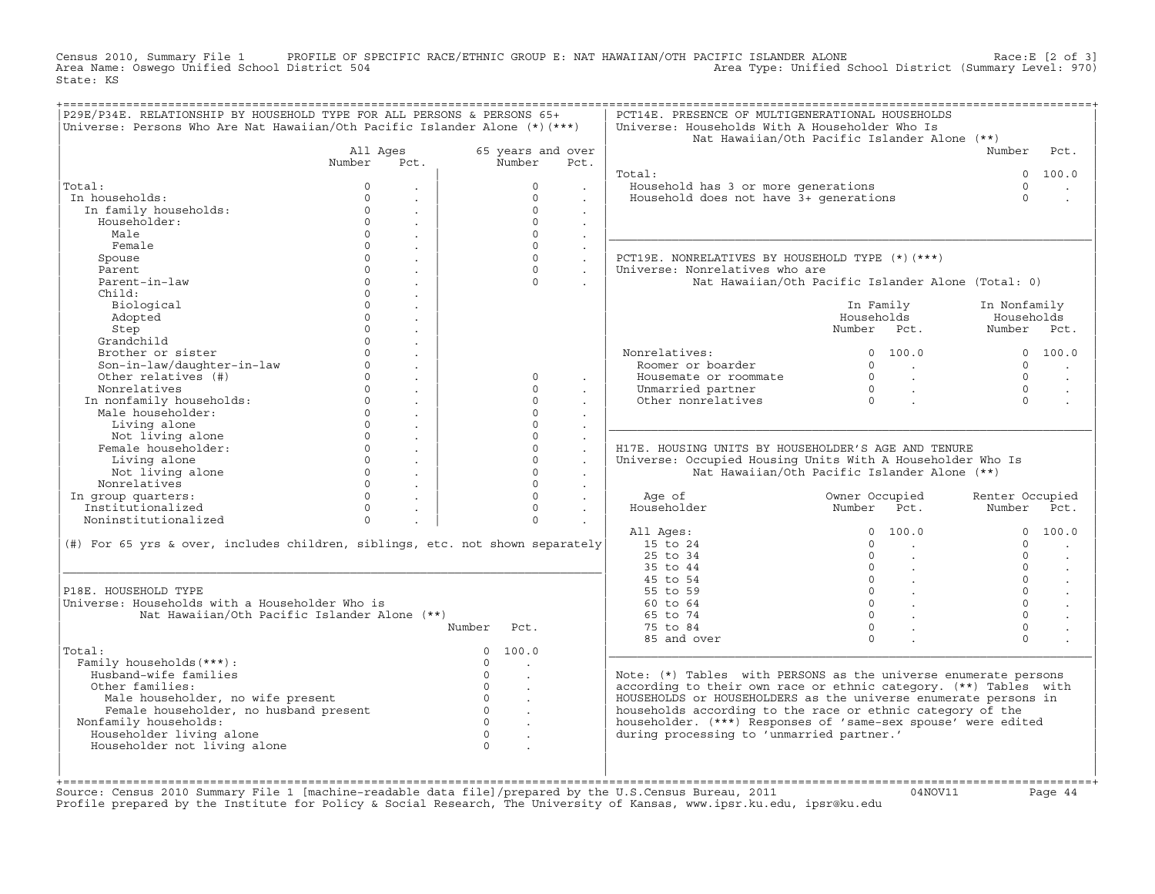Census 2010, Summary File 1 PROFILE OF SPECIFIC RACE/ETHNIC GROUP E: NAT HAWAIIAN/OTH PACIFIC ISLANDER ALONE Race:E [2 of 3]<br>Area Name: Oswego Unified School District 504 area Type: Unified School District (Summary Level: Area Type: Unified School District (Summary Level: 970) State: KS

| P29E/P34E. RELATIONSHIP BY HOUSEHOLD TYPE FOR ALL PERSONS & PERSONS 65+<br>Universe: Persons Who Are Nat Hawaiian/Oth Pacific Islander Alone $(*)$ (***) |              |                             |          |                   |                      | PCT14E. PRESENCE OF MULTIGENERATIONAL HOUSEHOLDS<br>Universe: Households With A Householder Who Is |                |                                                 |                 |         |
|----------------------------------------------------------------------------------------------------------------------------------------------------------|--------------|-----------------------------|----------|-------------------|----------------------|----------------------------------------------------------------------------------------------------|----------------|-------------------------------------------------|-----------------|---------|
|                                                                                                                                                          |              |                             |          |                   |                      | Nat Hawaiian/Oth Pacific Islander Alone (**)                                                       |                |                                                 |                 |         |
|                                                                                                                                                          | All Ages     |                             |          | 65 years and over |                      |                                                                                                    |                |                                                 | Number          | Pct.    |
|                                                                                                                                                          | Number       | Pct.                        |          | Number            | Pct.                 |                                                                                                    |                |                                                 |                 |         |
|                                                                                                                                                          |              |                             |          |                   |                      | Total:                                                                                             |                |                                                 | $\Omega$        | 100.0   |
| Total:                                                                                                                                                   | $\Omega$     |                             |          | $\Omega$          |                      | Household has 3 or more generations                                                                |                |                                                 | $\cap$          |         |
| In households:                                                                                                                                           | $\Omega$     |                             |          | $\Omega$          |                      | Household does not have 3+ generations                                                             |                |                                                 | $\Omega$        |         |
| In family households:                                                                                                                                    | $\Omega$     | $\sim$                      |          | $\Omega$          | $\mathbf{r}$         |                                                                                                    |                |                                                 |                 |         |
| Householder:                                                                                                                                             | $\Omega$     | $\sim$                      |          | $\Omega$          | $\mathbf{r}$         |                                                                                                    |                |                                                 |                 |         |
| Male                                                                                                                                                     | $\Omega$     | $\sim$                      |          | $\Omega$          |                      |                                                                                                    |                |                                                 |                 |         |
| Female                                                                                                                                                   | $\Omega$     | $\sim$                      |          | $\Omega$          | $\ddot{\phantom{a}}$ |                                                                                                    |                |                                                 |                 |         |
| Spouse                                                                                                                                                   | $\mathsf{O}$ | $\sim$                      |          | $\Omega$          |                      | PCT19E. NONRELATIVES BY HOUSEHOLD TYPE (*)(***)                                                    |                |                                                 |                 |         |
| Parent                                                                                                                                                   | $\Omega$     | $\ddot{\phantom{a}}$        |          | $\cap$            | $\ddot{\phantom{a}}$ | Universe: Nonrelatives who are                                                                     |                |                                                 |                 |         |
| Parent-in-law                                                                                                                                            | $\circ$      | $\blacksquare$              |          | $\Omega$          |                      | Nat Hawaiian/Oth Pacific Islander Alone (Total: 0)                                                 |                |                                                 |                 |         |
| Child:                                                                                                                                                   | $\circ$      |                             |          |                   |                      |                                                                                                    |                |                                                 |                 |         |
| Biological                                                                                                                                               | $\circ$      |                             |          |                   |                      |                                                                                                    |                | In Family                                       | In Nonfamily    |         |
| Adopted                                                                                                                                                  | $\circ$      |                             |          |                   |                      |                                                                                                    | Households     |                                                 | Households      |         |
| Step                                                                                                                                                     | $\circ$      | $\mathbf{r}$                |          |                   |                      |                                                                                                    | Number Pct.    |                                                 | Number Pct.     |         |
| Grandchild                                                                                                                                               | $\circ$      | $\ddot{\phantom{a}}$        |          |                   |                      |                                                                                                    |                |                                                 |                 |         |
| Brother or sister                                                                                                                                        | $\circ$      | $\mathbb{Z}^{\mathbb{Z}}$   |          |                   |                      | Nonrelatives:                                                                                      |                | 0 100.0                                         |                 | 0 100.0 |
| Son-in-law/daughter-in-law                                                                                                                               | $\circ$      | $\ddot{\phantom{a}}$        |          |                   |                      | Roomer or boarder                                                                                  | $\Omega$       | $\sim$ $\sim$                                   | $\Omega$        |         |
| Other relatives (#)                                                                                                                                      | $\circ$      | $\sim$                      |          | $\mathbf 0$       |                      | Housemate or roommate                                                                              |                | $\begin{array}{ccccccc}\n0 & & & \end{array}$   | $\Omega$        |         |
| Nonrelatives                                                                                                                                             | $\Omega$     | $\ddot{\phantom{a}}$        |          | $\Omega$          |                      | Unmarried partner                                                                                  | $\overline{0}$ | $\sim 100$ $\mu$                                | $\Omega$        |         |
| In nonfamily households:                                                                                                                                 | $\circ$      | $\sim$                      |          | $\Omega$          |                      | Other nonrelatives                                                                                 | $\overline{0}$ |                                                 | $\Omega$        |         |
| Male householder:                                                                                                                                        | $\circ$      | $\mathbf{r}$                |          | $\Omega$          |                      |                                                                                                    |                |                                                 |                 |         |
| Living alone                                                                                                                                             | $\Omega$     |                             |          | $\Omega$          |                      |                                                                                                    |                |                                                 |                 |         |
| Not living alone                                                                                                                                         | $\circ$      |                             |          | $\Omega$          |                      |                                                                                                    |                |                                                 |                 |         |
| Female householder:                                                                                                                                      | $\circ$      | $\ddot{\phantom{a}}$        |          | $\Omega$          | $\ddot{\phantom{0}}$ | H17E. HOUSING UNITS BY HOUSEHOLDER'S AGE AND TENURE                                                |                |                                                 |                 |         |
| Living alone                                                                                                                                             | $\circ$      | $\sim$                      |          | $\Omega$          | $\ddot{\phantom{a}}$ | Universe: Occupied Housing Units With A Householder Who Is                                         |                |                                                 |                 |         |
| Not living alone                                                                                                                                         | $\circ$      | $\sim$                      |          | $\Omega$          | $\sim$               | Nat Hawaiian/Oth Pacific Islander Alone (**)                                                       |                |                                                 |                 |         |
| Nonrelatives                                                                                                                                             | $\Omega$     | $\ddot{\phantom{a}}$        |          | $\Omega$          | $\sim$               |                                                                                                    |                |                                                 |                 |         |
| In group quarters:                                                                                                                                       | $\Omega$     | $\mathcal{L}^{\mathcal{L}}$ |          | $\Omega$          | $\ddot{\phantom{a}}$ | Age of                                                                                             | Owner Occupied |                                                 | Renter Occupied |         |
| Institutionalized                                                                                                                                        | $\Omega$     |                             |          | $\Omega$          | $\ddot{\phantom{a}}$ | Householder                                                                                        | Number Pct.    |                                                 | Number          | Pct.    |
| Noninstitutionalized                                                                                                                                     | $\Omega$     |                             |          | $\Omega$          |                      |                                                                                                    |                |                                                 |                 |         |
|                                                                                                                                                          |              |                             |          |                   |                      | All Ages:                                                                                          | $\Omega$       | 100.0                                           | $\Omega$        | 100.0   |
| (#) For 65 yrs & over, includes children, siblings, etc. not shown separately                                                                            |              |                             |          |                   |                      | 15 to 24                                                                                           | $\Omega$       | <b>Contract</b>                                 | $\Omega$        |         |
|                                                                                                                                                          |              |                             |          |                   |                      | 25 to 34                                                                                           | $\mathbf 0$    |                                                 | $\Omega$        |         |
|                                                                                                                                                          |              |                             |          |                   |                      | 35 to 44                                                                                           | $\Omega$       |                                                 | $\Omega$        |         |
|                                                                                                                                                          |              |                             |          |                   |                      | 45 to 54                                                                                           |                | $0 \qquad \qquad .$                             | $\Omega$        |         |
| P18E. HOUSEHOLD TYPE                                                                                                                                     |              |                             |          |                   |                      | 55 to 59                                                                                           |                | $\begin{array}{ccc} 0 & & \end{array}$          | $\Omega$        | $\sim$  |
| Universe: Households with a Householder Who is                                                                                                           |              |                             |          |                   |                      | 60 to 64                                                                                           |                | $\begin{matrix} 0 & \cdot & \cdot \end{matrix}$ | $\Omega$        |         |
| Nat Hawaiian/Oth Pacific Islander Alone (**)                                                                                                             |              |                             |          |                   |                      | 65 to 74                                                                                           | $\Omega$       |                                                 | $\Omega$        |         |
|                                                                                                                                                          |              |                             | Number   | Pct.              |                      | 75 to 84                                                                                           | $\Omega$       |                                                 | $\Omega$        |         |
|                                                                                                                                                          |              |                             |          |                   |                      | 85 and over                                                                                        | $\Omega$       |                                                 | $\Omega$        |         |
| Total:                                                                                                                                                   |              |                             | $\Omega$ | 100.0             |                      |                                                                                                    |                |                                                 |                 |         |
| Family households (***) :                                                                                                                                |              |                             | $\Omega$ |                   |                      |                                                                                                    |                |                                                 |                 |         |
| Husband-wife families                                                                                                                                    |              |                             | $\Omega$ | $\mathbf{r}$      |                      | Note: (*) Tables with PERSONS as the universe enumerate persons                                    |                |                                                 |                 |         |
| Other families:                                                                                                                                          |              |                             | $\Omega$ |                   |                      | according to their own race or ethnic category. (**) Tables with                                   |                |                                                 |                 |         |
|                                                                                                                                                          |              |                             | $\Omega$ | $\mathbf{r}$      |                      | HOUSEHOLDS or HOUSEHOLDERS as the universe enumerate persons in                                    |                |                                                 |                 |         |
| Male householder, no wife present                                                                                                                        |              |                             | $\Omega$ | $\mathbb{R}^2$    |                      |                                                                                                    |                |                                                 |                 |         |
| Female householder, no husband present                                                                                                                   |              |                             | $\Omega$ |                   |                      | households according to the race or ethnic category of the                                         |                |                                                 |                 |         |
|                                                                                                                                                          |              |                             |          |                   |                      | householder. (***) Responses of 'same-sex spouse' were edited                                      |                |                                                 |                 |         |
| Nonfamily households:                                                                                                                                    |              |                             |          |                   |                      |                                                                                                    |                |                                                 |                 |         |
| Householder living alone                                                                                                                                 |              |                             | $\Omega$ |                   |                      | during processing to 'unmarried partner.'                                                          |                |                                                 |                 |         |
| Householder not living alone                                                                                                                             |              |                             | $\Omega$ |                   |                      |                                                                                                    |                |                                                 |                 |         |

+===================================================================================================================================================+Source: Census 2010 Summary File 1 [machine−readable data file]/prepared by the U.S.Census Bureau, 2011 04NOV11 Page 44 Profile prepared by the Institute for Policy & Social Research, The University of Kansas, www.ipsr.ku.edu, ipsr@ku.edu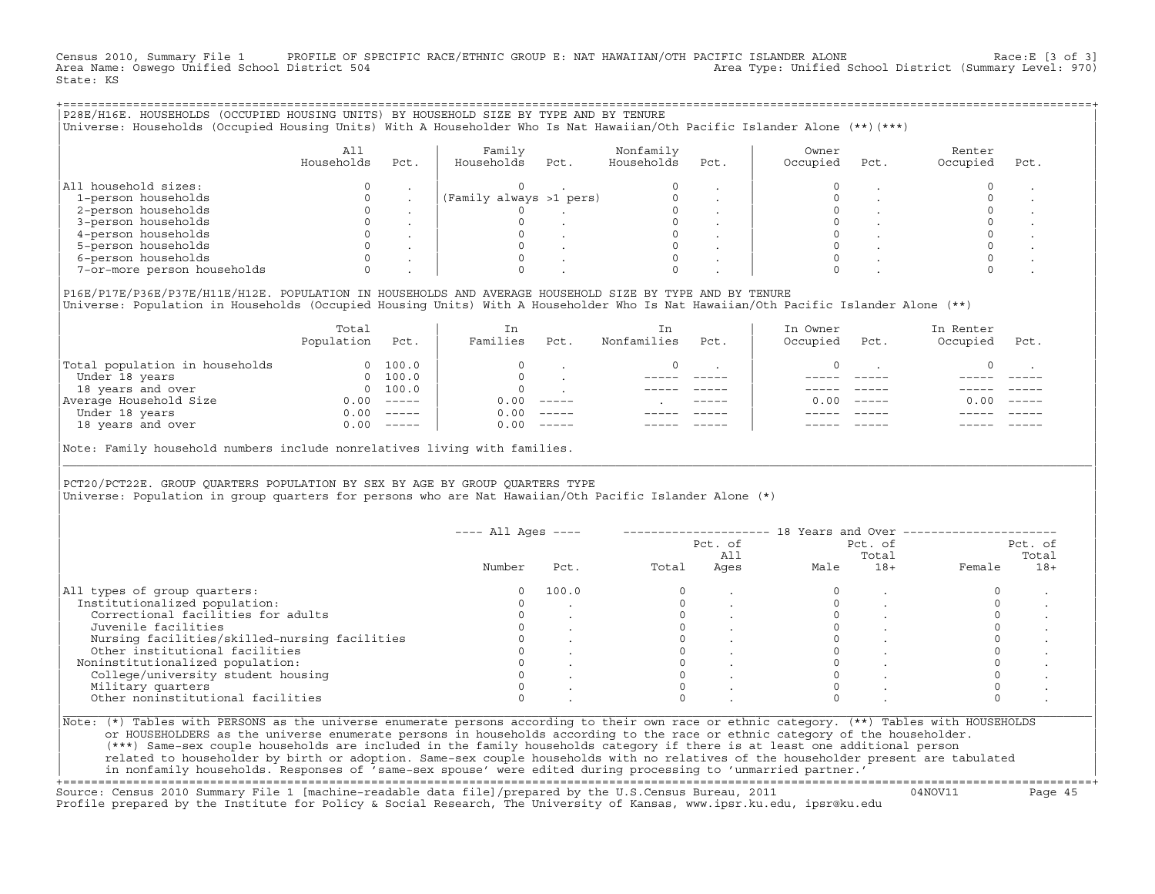Census 2010, Summary File 1 PROFILE OF SPECIFIC RACE/ETHNIC GROUP E: NAT HAWAIIAN/OTH PACIFIC ISLANDER ALONE Race:E [3 of 3]<br>Area Name: Oswego Unified School District 504 Area Type: Unified School District (Summary Level: 970) State: KS

| P28E/H16E. HOUSEHOLDS (OCCUPIED HOUSING UNITS) BY HOUSEHOLD SIZE BY TYPE AND BY TENURE<br>Universe: Households (Occupied Housing Units) With A Householder Who Is Nat Hawaiian/Oth Pacific Islander Alone (**)(***) |                   |      |                         |      |                         |      |                   |      |                    |      |  |
|---------------------------------------------------------------------------------------------------------------------------------------------------------------------------------------------------------------------|-------------------|------|-------------------------|------|-------------------------|------|-------------------|------|--------------------|------|--|
|                                                                                                                                                                                                                     | All<br>Households | Pct. | Family<br>Households    | Pct. | Nonfamily<br>Households | Pct. | Owner<br>Occupied | Pct. | Renter<br>Occupied | Pct. |  |
| All household sizes:                                                                                                                                                                                                |                   |      |                         |      |                         |      |                   |      |                    |      |  |
| 1-person households                                                                                                                                                                                                 |                   |      | (Family always >1 pers) |      |                         |      |                   |      |                    |      |  |
| 2-person households                                                                                                                                                                                                 |                   |      |                         |      |                         |      |                   |      |                    |      |  |
| 3-person households                                                                                                                                                                                                 |                   |      |                         |      |                         |      |                   |      |                    |      |  |
| 4-person households                                                                                                                                                                                                 |                   |      |                         |      |                         |      |                   |      |                    |      |  |
| 5-person households                                                                                                                                                                                                 |                   |      |                         |      |                         |      |                   |      |                    |      |  |
| 6-person households                                                                                                                                                                                                 |                   |      |                         |      |                         |      |                   |      |                    |      |  |
| 7-or-more person households                                                                                                                                                                                         |                   |      |                         |      |                         |      |                   |      |                    |      |  |
|                                                                                                                                                                                                                     |                   |      |                         |      |                         |      |                   |      |                    |      |  |

|P16E/P17E/P36E/P37E/H11E/H12E. POPULATION IN HOUSEHOLDS AND AVERAGE HOUSEHOLD SIZE BY TYPE AND BY TENURE | |Universe: Population in Households (Occupied Housing Units) With A Householder Who Is Nat Hawaiian/Oth Pacific Islander Alone (\*\*) |

|                                | Total<br>Population | Pct.     | In<br>Families | Pct.     | In<br>Nonfamilies | Pct.        | In Owner<br>Occupied | Pct.          | In Renter<br>Occupied | Pct.     |  |
|--------------------------------|---------------------|----------|----------------|----------|-------------------|-------------|----------------------|---------------|-----------------------|----------|--|
| Total population in households |                     | 100.0    | $\Omega$       |          |                   |             |                      |               |                       |          |  |
| Under 18 years                 | $\Omega$            | 100.0    | $\Omega$       |          |                   |             |                      |               |                       |          |  |
| 18 years and over              | $\Omega$            | 100.0    | $\Omega$       |          |                   |             |                      |               |                       |          |  |
| Average Household Size         | 0.00                | $------$ | 0.00           | $------$ |                   | $- - - - -$ | 0.00                 | $- - - - - -$ | 0.00                  | $------$ |  |
| Under 18 years                 | 0.00                | $------$ | 0.00           | $------$ |                   |             |                      |               |                       |          |  |
| 18 years and over              | 0.00                | $------$ | 0.00           | $------$ |                   |             |                      |               |                       |          |  |
|                                |                     |          |                |          |                   |             |                      |               |                       |          |  |

|Note: Family household numbers include nonrelatives living with families. |

| | PCT20/PCT22E. GROUP OUARTERS POPULATION BY SEX BY AGE BY GROUP OUARTERS TYPE |Universe: Population in group quarters for persons who are Nat Hawaiian/Oth Pacific Islander Alone (\*) |

|                                               |        |       | Pct. of<br>All |      | Pct. of<br>Total |       | Pct. of<br>Total |       |
|-----------------------------------------------|--------|-------|----------------|------|------------------|-------|------------------|-------|
|                                               | Number | Pct.  | Total          | Ages | Male             | $18+$ | Female           | $18+$ |
| All types of group quarters:                  |        | 100.0 |                |      |                  |       |                  |       |
| Institutionalized population:                 |        |       |                |      |                  |       |                  |       |
| Correctional facilities for adults            |        |       |                |      |                  |       |                  |       |
| Juvenile facilities                           |        |       |                |      |                  |       |                  |       |
| Nursing facilities/skilled-nursing facilities |        |       |                |      |                  |       |                  |       |
| Other institutional facilities                |        |       |                |      |                  |       |                  |       |
| Noninstitutionalized population:              |        |       |                |      |                  |       |                  |       |
| College/university student housing            |        |       |                |      |                  |       |                  |       |
| Military quarters                             |        |       |                |      |                  |       |                  |       |
| Other noninstitutional facilities             |        |       |                |      |                  |       |                  |       |

|\_\_\_\_\_\_\_\_\_\_\_\_\_\_\_\_\_\_\_\_\_\_\_\_\_\_\_\_\_\_\_\_\_\_\_\_\_\_\_\_\_\_\_\_\_\_\_\_\_\_\_\_\_\_\_\_\_\_\_\_\_\_\_\_\_\_\_\_\_\_\_\_\_\_\_\_\_\_\_\_\_\_\_\_\_\_\_\_\_\_\_\_\_\_\_\_\_\_\_\_\_\_\_\_\_\_\_\_\_\_\_\_\_\_\_\_\_\_\_\_\_\_\_\_\_\_\_\_\_\_\_\_\_\_\_\_\_\_\_\_\_\_\_\_\_\_\_|

| |

| (\*\*\*) Same−sex couple households are included in the family households category if there is at least one additional person | | related to householder by birth or adoption. Same−sex couple households with no relatives of the householder present are tabulated | | in nonfamily households. Responses of 'same−sex spouse' were edited during processing to 'unmarried partner.' |

+===================================================================================================================================================+ Source: Census 2010 Summary File 1 [machine−readable data file]/prepared by the U.S.Census Bureau, 2011 04NOV11 Page 45 Profile prepared by the Institute for Policy & Social Research, The University of Kansas, www.ipsr.ku.edu, ipsr@ku.edu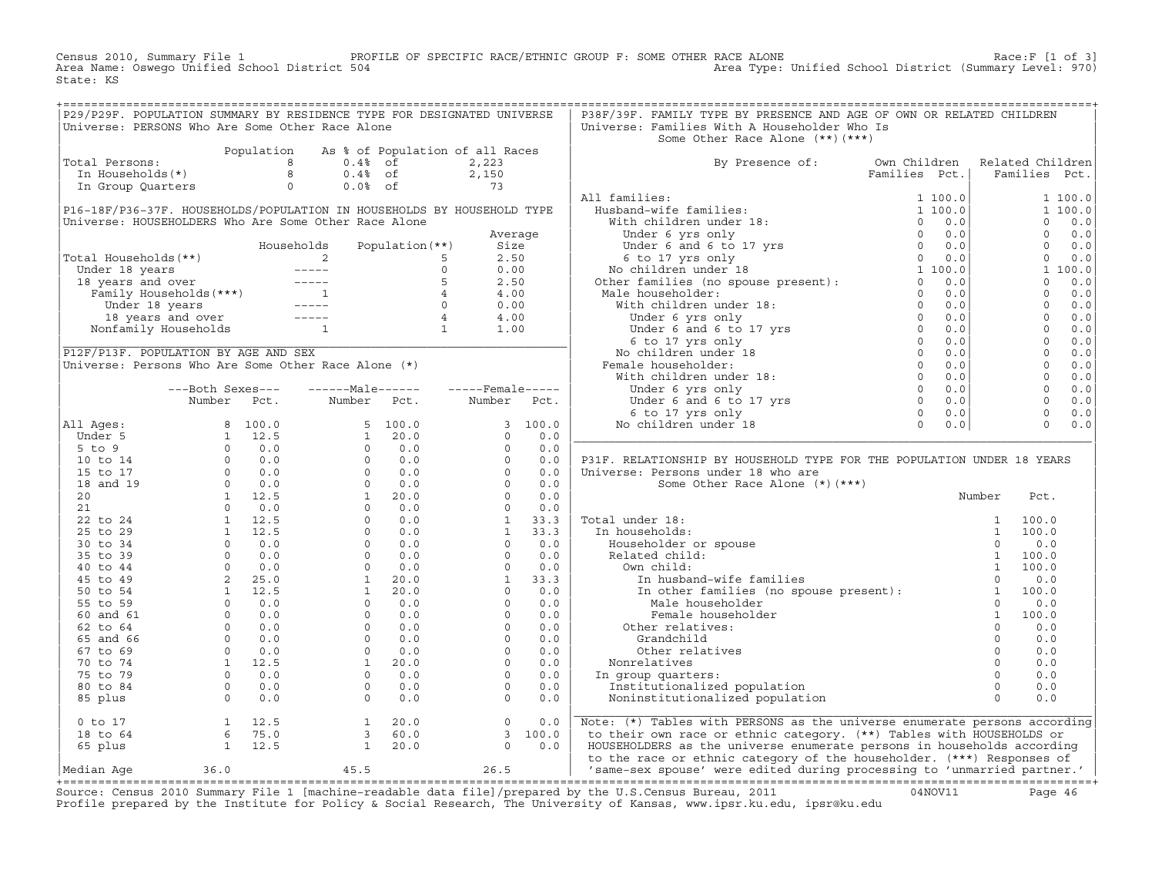Census 2010, Summary File 1 PROFILE OF SPECIFIC RACE/ETHNIC GROUP F: SOME OTHER RACE ALONE RACE OF SPACE:F [1 of 3]<br>Area Name: Oswego Unified School District 504 Area Type: Unified School District (Summary Level: 970) Area Type: Unified School District (Summary Level: 970) State: KS

| P29/P29F. POPULATION SUMMARY BY RESIDENCE TYPE FOR DESIGNATED UNIVERSE                                                                                        |  |  |  | P38F/39F. FAMILY TYPE BY PRESENCE AND AGE OF OWN OR RELATED CHILDREN                                                                                                                                                                 |  |  |  |
|---------------------------------------------------------------------------------------------------------------------------------------------------------------|--|--|--|--------------------------------------------------------------------------------------------------------------------------------------------------------------------------------------------------------------------------------------|--|--|--|
| Universe: PERSONS Who Are Some Other Race Alone                                                                                                               |  |  |  | Universe: Families With A Householder Who Is                                                                                                                                                                                         |  |  |  |
|                                                                                                                                                               |  |  |  | Some Other Race Alone (**)(***)                                                                                                                                                                                                      |  |  |  |
| Population As % of Population of all Races<br>Total Persons:<br>In Households(*)<br>In Group Quarters<br>a 0.4% of 2,150<br>In Group Quarters<br>0 0.0% of 73 |  |  |  |                                                                                                                                                                                                                                      |  |  |  |
|                                                                                                                                                               |  |  |  | By Presence of: Own Children Related Children<br>Families Pct.   Families Pct.                                                                                                                                                       |  |  |  |
|                                                                                                                                                               |  |  |  |                                                                                                                                                                                                                                      |  |  |  |
|                                                                                                                                                               |  |  |  |                                                                                                                                                                                                                                      |  |  |  |
|                                                                                                                                                               |  |  |  |                                                                                                                                                                                                                                      |  |  |  |
|                                                                                                                                                               |  |  |  |                                                                                                                                                                                                                                      |  |  |  |
|                                                                                                                                                               |  |  |  |                                                                                                                                                                                                                                      |  |  |  |
|                                                                                                                                                               |  |  |  |                                                                                                                                                                                                                                      |  |  |  |
|                                                                                                                                                               |  |  |  |                                                                                                                                                                                                                                      |  |  |  |
|                                                                                                                                                               |  |  |  |                                                                                                                                                                                                                                      |  |  |  |
|                                                                                                                                                               |  |  |  |                                                                                                                                                                                                                                      |  |  |  |
|                                                                                                                                                               |  |  |  |                                                                                                                                                                                                                                      |  |  |  |
|                                                                                                                                                               |  |  |  |                                                                                                                                                                                                                                      |  |  |  |
|                                                                                                                                                               |  |  |  |                                                                                                                                                                                                                                      |  |  |  |
|                                                                                                                                                               |  |  |  |                                                                                                                                                                                                                                      |  |  |  |
|                                                                                                                                                               |  |  |  |                                                                                                                                                                                                                                      |  |  |  |
|                                                                                                                                                               |  |  |  |                                                                                                                                                                                                                                      |  |  |  |
|                                                                                                                                                               |  |  |  |                                                                                                                                                                                                                                      |  |  |  |
|                                                                                                                                                               |  |  |  |                                                                                                                                                                                                                                      |  |  |  |
|                                                                                                                                                               |  |  |  |                                                                                                                                                                                                                                      |  |  |  |
|                                                                                                                                                               |  |  |  |                                                                                                                                                                                                                                      |  |  |  |
|                                                                                                                                                               |  |  |  |                                                                                                                                                                                                                                      |  |  |  |
|                                                                                                                                                               |  |  |  |                                                                                                                                                                                                                                      |  |  |  |
|                                                                                                                                                               |  |  |  |                                                                                                                                                                                                                                      |  |  |  |
|                                                                                                                                                               |  |  |  |                                                                                                                                                                                                                                      |  |  |  |
|                                                                                                                                                               |  |  |  |                                                                                                                                                                                                                                      |  |  |  |
|                                                                                                                                                               |  |  |  |                                                                                                                                                                                                                                      |  |  |  |
|                                                                                                                                                               |  |  |  |                                                                                                                                                                                                                                      |  |  |  |
|                                                                                                                                                               |  |  |  |                                                                                                                                                                                                                                      |  |  |  |
|                                                                                                                                                               |  |  |  |                                                                                                                                                                                                                                      |  |  |  |
|                                                                                                                                                               |  |  |  |                                                                                                                                                                                                                                      |  |  |  |
|                                                                                                                                                               |  |  |  |                                                                                                                                                                                                                                      |  |  |  |
|                                                                                                                                                               |  |  |  |                                                                                                                                                                                                                                      |  |  |  |
|                                                                                                                                                               |  |  |  |                                                                                                                                                                                                                                      |  |  |  |
|                                                                                                                                                               |  |  |  |                                                                                                                                                                                                                                      |  |  |  |
|                                                                                                                                                               |  |  |  |                                                                                                                                                                                                                                      |  |  |  |
|                                                                                                                                                               |  |  |  |                                                                                                                                                                                                                                      |  |  |  |
|                                                                                                                                                               |  |  |  |                                                                                                                                                                                                                                      |  |  |  |
|                                                                                                                                                               |  |  |  |                                                                                                                                                                                                                                      |  |  |  |
|                                                                                                                                                               |  |  |  |                                                                                                                                                                                                                                      |  |  |  |
|                                                                                                                                                               |  |  |  |                                                                                                                                                                                                                                      |  |  |  |
|                                                                                                                                                               |  |  |  |                                                                                                                                                                                                                                      |  |  |  |
|                                                                                                                                                               |  |  |  |                                                                                                                                                                                                                                      |  |  |  |
|                                                                                                                                                               |  |  |  |                                                                                                                                                                                                                                      |  |  |  |
|                                                                                                                                                               |  |  |  |                                                                                                                                                                                                                                      |  |  |  |
|                                                                                                                                                               |  |  |  |                                                                                                                                                                                                                                      |  |  |  |
|                                                                                                                                                               |  |  |  |                                                                                                                                                                                                                                      |  |  |  |
|                                                                                                                                                               |  |  |  |                                                                                                                                                                                                                                      |  |  |  |
|                                                                                                                                                               |  |  |  |                                                                                                                                                                                                                                      |  |  |  |
|                                                                                                                                                               |  |  |  |                                                                                                                                                                                                                                      |  |  |  |
|                                                                                                                                                               |  |  |  | 0 to 17 1 12.5 1 20.0 0 0.0 Note: (*) Tables with PERSONS as the universe enumerate persons according<br>18 to 64 6 75.0 3 60.0 3 100.0 1 20.0 0 0.0 1 20.0 0 10 12.5 1 20.0 0 0.0 1 12.5 1 20.0 0 0.0 1 12.5 1 20.0 0 1<br>Median A |  |  |  |
|                                                                                                                                                               |  |  |  |                                                                                                                                                                                                                                      |  |  |  |

+===================================================================================================================================================+Source: Census 2010 Summary File 1 [machine−readable data file]/prepared by the U.S.Census Bureau, 2011 04NOV11 Page 46 Profile prepared by the Institute for Policy & Social Research, The University of Kansas, www.ipsr.ku.edu, ipsr@ku.edu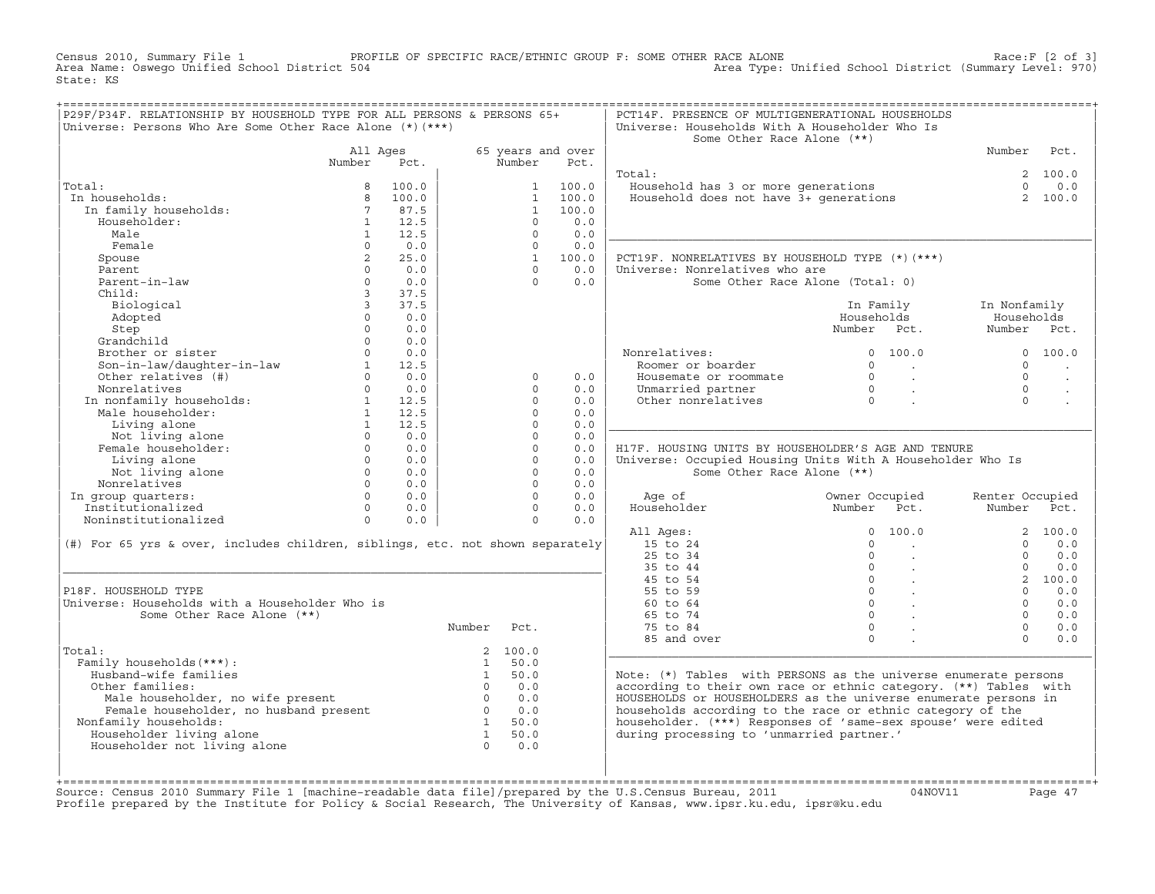Census 2010, Summary File 1 PROFILE OF SPECIFIC RACE/ETHNIC GROUP F: SOME OTHER RACE ALONE RACE OF SPECE:F [2 of 3]<br>Area Name: Oswego Unified School District 504 Area Type: Unified School District (Summary Level: 970) Area Type: Unified School District (Summary Level: 970) State: KS

|                                                                                                                                                                                                                                              |             |                |             |          |                          | PCT14F. PRESENCE OF MULTIGENERATIONAL HOUSEHOLDS                                  |                                                      |                 |                      |
|----------------------------------------------------------------------------------------------------------------------------------------------------------------------------------------------------------------------------------------------|-------------|----------------|-------------|----------|--------------------------|-----------------------------------------------------------------------------------|------------------------------------------------------|-----------------|----------------------|
| P29F/P34F. RELATIONSHIP BY HOUSEHOLD TYPE FOR ALL PERSONS & PERSONS 65+                                                                                                                                                                      |             |                |             |          |                          |                                                                                   |                                                      |                 |                      |
| Universe: Persons Who Are Some Other Race Alone $(*)$ $(***)$                                                                                                                                                                                |             |                |             |          |                          | Universe: Households With A Householder Who Is                                    |                                                      |                 |                      |
|                                                                                                                                                                                                                                              |             |                |             |          |                          | Some Other Race Alone (**)                                                        |                                                      |                 |                      |
|                                                                                                                                                                                                                                              |             | All Ages       |             |          | 65 years and over        |                                                                                   |                                                      | Number Pct.     |                      |
|                                                                                                                                                                                                                                              | Number      | Pct.           |             | Number   | Pct.                     |                                                                                   |                                                      |                 |                      |
|                                                                                                                                                                                                                                              |             |                |             |          |                          | Total:                                                                            |                                                      |                 | 2 100.0              |
| Total:                                                                                                                                                                                                                                       |             | 8 100.0        |             |          | 1 100.0                  | <br>Household has 3 or more generations<br>Household does not have 3+ generations |                                                      | $\Omega$        | 0.0                  |
| In households:                                                                                                                                                                                                                               |             |                |             |          | 1 100.0                  |                                                                                   |                                                      |                 | 2 100.0              |
|                                                                                                                                                                                                                                              |             |                |             |          | 1 100.0                  |                                                                                   |                                                      |                 |                      |
| tal: 8 100.0<br>n households: 8 100.0<br>In family households: 8 100.0<br>Householder: 1 12.5                                                                                                                                                |             |                |             | $\Omega$ | 0.0                      |                                                                                   |                                                      |                 |                      |
| Male                                                                                                                                                                                                                                         | 1           | 12.5           |             | $\Omega$ | 0.0                      |                                                                                   |                                                      |                 |                      |
| Female                                                                                                                                                                                                                                       | $\Omega$    | 0.0            |             | $\circ$  | 0.0                      |                                                                                   |                                                      |                 |                      |
| Spouse                                                                                                                                                                                                                                       | $2^{\circ}$ | 25.0           |             |          | 1 100.0                  | PCT19F. NONRELATIVES BY HOUSEHOLD TYPE (*)(***)                                   |                                                      |                 |                      |
| Parent                                                                                                                                                                                                                                       | $\Omega$    | 0.0            |             | $\cap$   | 0.0                      | Universe: Nonrelatives who are                                                    |                                                      |                 |                      |
| Parent-in-law                                                                                                                                                                                                                                | $\Omega$    | 0.0            |             |          | $\Omega$<br>0.0          | Some Other Race Alone (Total: 0)                                                  |                                                      |                 |                      |
| Child:                                                                                                                                                                                                                                       |             | 3 37.5         |             |          |                          |                                                                                   |                                                      |                 |                      |
| Biological                                                                                                                                                                                                                                   |             | 3, 37.5        |             |          |                          |                                                                                   | In Family                                            | In Nonfamily    |                      |
|                                                                                                                                                                                                                                              | $\Omega$    |                |             |          |                          |                                                                                   |                                                      |                 |                      |
| Adopted                                                                                                                                                                                                                                      |             | 0.0            |             |          |                          |                                                                                   | Households                                           | Households      |                      |
| Step                                                                                                                                                                                                                                         | $\Omega$    | 0.0            |             |          |                          |                                                                                   | Number Pct.                                          | Number Pct.     |                      |
| Grandchild<br>or and the distribution of the distribution of the distribution of the distribution of the distribution of the distribution of the distribution of the distribution of the distribution of the distribution of the distributio |             | $0 \qquad 0.0$ |             |          |                          |                                                                                   |                                                      |                 |                      |
|                                                                                                                                                                                                                                              |             |                |             |          |                          | Nonrelatives:<br>Roomer or boarder                                                | 0 100.0                                              |                 | 0 100.0              |
|                                                                                                                                                                                                                                              |             |                |             |          |                          |                                                                                   |                                                      | $\overline{0}$  | <b>Contract</b>      |
|                                                                                                                                                                                                                                              |             |                |             | $\circ$  | 0.0                      | Housemate or roommate                                                             |                                                      | $\Omega$        | $\ddot{\phantom{a}}$ |
|                                                                                                                                                                                                                                              |             |                |             | $\cap$   | 0.0                      | Unmarried partner                                                                 |                                                      | $\cap$          |                      |
|                                                                                                                                                                                                                                              |             |                |             | $\Omega$ | 0.0                      | Other nonrelatives                                                                |                                                      | $\cap$          |                      |
|                                                                                                                                                                                                                                              |             |                |             | $\Omega$ | 0.0                      |                                                                                   |                                                      |                 |                      |
|                                                                                                                                                                                                                                              |             |                |             | $\Omega$ | 0.0                      |                                                                                   |                                                      |                 |                      |
|                                                                                                                                                                                                                                              |             |                |             | $\circ$  | 0.0                      |                                                                                   |                                                      |                 |                      |
|                                                                                                                                                                                                                                              |             |                |             | $\circ$  | 0.0                      | H17F. HOUSING UNITS BY HOUSEHOLDER'S AGE AND TENURE                               |                                                      |                 |                      |
|                                                                                                                                                                                                                                              |             |                |             | $\Omega$ | 0.0                      | Universe: Occupied Housing Units With A Householder Who Is                        |                                                      |                 |                      |
|                                                                                                                                                                                                                                              |             |                |             | $\Omega$ | 0.0                      | Some Other Race Alone (**)                                                        |                                                      |                 |                      |
|                                                                                                                                                                                                                                              |             |                |             | $\Omega$ | 0.0                      |                                                                                   |                                                      |                 |                      |
|                                                                                                                                                                                                                                              |             |                |             |          | $\Omega$<br>0.0          |                                                                                   |                                                      | Renter Occupied |                      |
|                                                                                                                                                                                                                                              |             |                |             |          | $\overline{0}$<br>0.0    |                                                                                   |                                                      | Number Pct.     |                      |
|                                                                                                                                                                                                                                              |             |                |             |          | $0 \qquad \qquad$<br>0.0 |                                                                                   |                                                      |                 |                      |
|                                                                                                                                                                                                                                              |             |                |             |          |                          | All Ages:                                                                         |                                                      |                 | 2 100.0              |
| (#) For 65 yrs & over, includes children, siblings, etc. not shown separately                                                                                                                                                                |             |                |             |          |                          | 15 to 24                                                                          | $\begin{matrix} 0 & 100.0 \\ 0 & \cdot \end{matrix}$ | $\cap$          | 0.0                  |
|                                                                                                                                                                                                                                              |             |                |             |          |                          | 25 to 34                                                                          | $\begin{array}{ccc} & & 0 & \end{array}$             | $\Omega$        | 0.0                  |
|                                                                                                                                                                                                                                              |             |                |             |          |                          | 35 to 44                                                                          |                                                      | $\Omega$        | 0.0                  |
|                                                                                                                                                                                                                                              |             |                |             |          |                          | 45 to 54                                                                          |                                                      |                 | 2 100.0              |
| P18F. HOUSEHOLD TYPE                                                                                                                                                                                                                         |             |                |             |          |                          | 55 to 59                                                                          |                                                      | $\Omega$        | 0.0                  |
| Universe: Households with a Householder Who is                                                                                                                                                                                               |             |                |             |          |                          | 60 to 64                                                                          |                                                      | $\Omega$        | 0.0                  |
| Some Other Race Alone (**)                                                                                                                                                                                                                   |             |                |             |          |                          | 65 to 74                                                                          | $\begin{matrix} 0 & \cdots & \cdots \end{matrix}$    | $\Omega$        | 0.0                  |
|                                                                                                                                                                                                                                              |             |                | Number Pct. |          |                          | 75 to 84                                                                          | $\Omega$                                             | $\Omega$        | 0.0                  |
|                                                                                                                                                                                                                                              |             |                |             |          |                          |                                                                                   | $\Omega$                                             | $\Omega$        | 0.0                  |
| Total:                                                                                                                                                                                                                                       |             |                |             | 2 100.0  |                          | 85 and over                                                                       |                                                      |                 |                      |
|                                                                                                                                                                                                                                              |             |                |             | 1 50.0   |                          |                                                                                   |                                                      |                 |                      |
| Family households (***) :                                                                                                                                                                                                                    |             |                |             |          |                          |                                                                                   |                                                      |                 |                      |
| Husband-wife families                                                                                                                                                                                                                        |             |                | $0.0$ $0.0$ | 1 50.0   |                          | Note: $(*)$ Tables with PERSONS as the universe enumerate persons                 |                                                      |                 |                      |
| Other families:                                                                                                                                                                                                                              |             |                |             |          |                          | according to their own race or ethnic category. (**) Tables with                  |                                                      |                 |                      |
|                                                                                                                                                                                                                                              |             |                |             |          |                          | HOUSEHOLDS or HOUSEHOLDERS as the universe enumerate persons in                   |                                                      |                 |                      |
|                                                                                                                                                                                                                                              |             |                |             |          |                          | households according to the race or ethnic category of the                        |                                                      |                 |                      |
| Nonfamily households:                                                                                                                                                                                                                        |             |                |             |          |                          | householder. (***) Responses of 'same-sex spouse' were edited                     |                                                      |                 |                      |
| A contract the model of the present<br>Female householder, no husband present<br>Family households:<br>1 50.0<br>1 50.0<br>1 50.0<br>1 50.0<br>1 50.0<br>1 50.0<br>1 50.0<br>1 50.0<br>1 50.0<br>Householder living alone                    |             |                |             |          |                          | during processing to 'unmarried partner.'                                         |                                                      |                 |                      |
| Householder not living alone                                                                                                                                                                                                                 |             |                |             |          |                          |                                                                                   |                                                      |                 |                      |
|                                                                                                                                                                                                                                              |             |                |             |          |                          |                                                                                   |                                                      |                 |                      |
|                                                                                                                                                                                                                                              |             |                |             |          |                          |                                                                                   |                                                      |                 |                      |
|                                                                                                                                                                                                                                              |             |                |             |          |                          |                                                                                   |                                                      |                 |                      |

+===================================================================================================================================================+Source: Census 2010 Summary File 1 [machine−readable data file]/prepared by the U.S.Census Bureau, 2011 04NOV11 Page 47 Profile prepared by the Institute for Policy & Social Research, The University of Kansas, www.ipsr.ku.edu, ipsr@ku.edu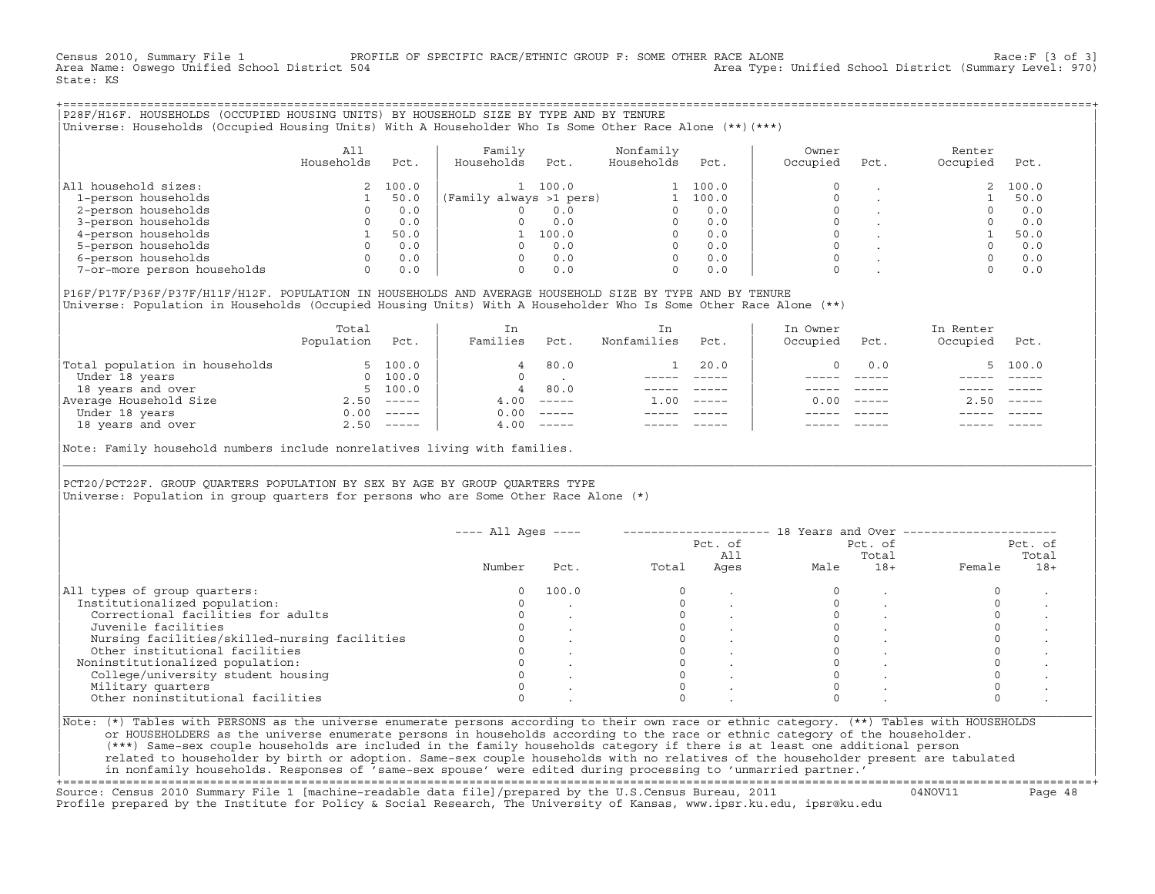Census 2010, Summary File 1 PROFILE OF SPECIFIC RACE/ETHNIC GROUP F: SOME OTHER RACE ALONE RACE OF Race:F [3 of 3]<br>Area Name: Oswego Unified School District 504 area Type: Unified School District (Summary Level: 970) Area Type: Unified School District (Summary Level: 970) State: KS

+===================================================================================================================================================+|P28F/H16F. HOUSEHOLDS (OCCUPIED HOUSING UNITS) BY HOUSEHOLD SIZE BY TYPE AND BY TENURE | |Universe: Households (Occupied Housing Units) With A Householder Who Is Some Other Race Alone (\*\*)(\*\*\*) |

|                             | A11<br>Households | Pct.  | Family<br>Households    | Pct.  | Nonfamily<br>Households | Pct.  | Owner<br>Occupied | Pct. | Renter<br>Occupied | Pct.  |
|-----------------------------|-------------------|-------|-------------------------|-------|-------------------------|-------|-------------------|------|--------------------|-------|
| All household sizes:        |                   | 100.0 |                         | 100.0 |                         | 100.0 |                   |      |                    | 100.0 |
| 1-person households         |                   | 50.0  | (Family always >1 pers) |       |                         | 100.0 |                   |      |                    | 50.0  |
| 2-person households         |                   | 0.0   |                         | 0.0   |                         | 0.0   |                   |      |                    | 0.0   |
| 3-person households         |                   | 0.0   |                         | 0.0   |                         | 0.0   |                   |      |                    | 0.0   |
| 4-person households         |                   | 50.0  |                         | 100.0 |                         | 0.0   | $\Omega$          |      |                    | 50.0  |
| 5-person households         |                   | 0.0   |                         | 0.0   |                         | 0.0   | $\Omega$          |      |                    | 0.0   |
| 6-person households         |                   | 0.0   |                         | 0.0   | $\Omega$                | 0.0   |                   |      |                    | 0.0   |
| 7-or-more person households | 0                 | 0.0   |                         | 0.0   | $\Omega$                | 0.0   |                   |      |                    | 0.0   |

|P16F/P17F/P36F/P37F/H11F/H12F. POPULATION IN HOUSEHOLDS AND AVERAGE HOUSEHOLD SIZE BY TYPE AND BY TENURE | Universe: Population in Households (Occupied Housing Units) With A Householder Who Is Some Other Race Alone (\*\*)

|                                | Total<br>Population | Pct.         | In<br>Families | Pct.                      | In.<br>Nonfamilies | Pct.     | In Owner<br>Occupied | Pct.                      | In Renter<br>Occupied | Pct.                      |  |
|--------------------------------|---------------------|--------------|----------------|---------------------------|--------------------|----------|----------------------|---------------------------|-----------------------|---------------------------|--|
| Total population in households |                     | 5, 100.0     | 4              | 80.0                      |                    | 20.0     |                      | 0.0                       |                       | 5, 100.0                  |  |
| Under 18 years                 | $\Omega$            | 100.0        |                |                           |                    |          |                      |                           |                       |                           |  |
| 18 years and over              |                     | 5, 100.0     | 4              | 80.0                      |                    |          |                      |                           |                       |                           |  |
| Average Household Size         | 2.50                | $------$     | 4.00           | $------$                  | 1.00               | $------$ | 0. Q Q               | $\qquad \qquad - - - - -$ | 2.50                  | $\qquad \qquad - - - - -$ |  |
| Under 18 years                 | 0.00                | $------$     | 0.00           | $------$                  |                    |          |                      |                           |                       |                           |  |
| 18 years and over              |                     | $2.50$ ----- | 4.00           | $\qquad \qquad - - - - -$ |                    |          |                      | $- - - - -$               |                       | $- - - - -$               |  |
|                                |                     |              |                |                           |                    |          |                      |                           |                       |                           |  |

Note: Family household numbers include nonrelatives living with families.

| | PCT20/PCT22F. GROUP OUARTERS POPULATION BY SEX BY AGE BY GROUP OUARTERS TYPE Universe: Population in group quarters for persons who are Some Other Race Alone (\*)

|                                               |        |       |       | Pct. of<br>All |      | Pct. of<br>Total |        | Pct. of<br>Total |
|-----------------------------------------------|--------|-------|-------|----------------|------|------------------|--------|------------------|
|                                               | Number | Pct.  | Total | Ages           | Male | $18+$            | Female | $18+$            |
| All types of group quarters:                  | 0      | 100.0 |       |                |      |                  |        |                  |
| Institutionalized population:                 |        |       |       |                |      |                  |        |                  |
| Correctional facilities for adults            |        |       |       |                |      |                  |        |                  |
| Juvenile facilities                           |        |       |       |                |      |                  |        |                  |
| Nursing facilities/skilled-nursing facilities |        |       |       |                |      |                  |        |                  |
| Other institutional facilities                |        |       |       |                |      |                  |        |                  |
| Noninstitutionalized population:              |        |       |       |                |      |                  |        |                  |
| College/university student housing            |        |       |       |                |      |                  |        |                  |
| Military quarters                             |        |       |       |                |      |                  |        |                  |
| Other noninstitutional facilities             |        |       |       |                |      |                  |        |                  |

|\_\_\_\_\_\_\_\_\_\_\_\_\_\_\_\_\_\_\_\_\_\_\_\_\_\_\_\_\_\_\_\_\_\_\_\_\_\_\_\_\_\_\_\_\_\_\_\_\_\_\_\_\_\_\_\_\_\_\_\_\_\_\_\_\_\_\_\_\_\_\_\_\_\_\_\_\_\_\_\_\_\_\_\_\_\_\_\_\_\_\_\_\_\_\_\_\_\_\_\_\_\_\_\_\_\_\_\_\_\_\_\_\_\_\_\_\_\_\_\_\_\_\_\_\_\_\_\_\_\_\_\_\_\_\_\_\_\_\_\_\_\_\_\_\_\_\_|

| |

or HOUSEHOLDERS as the universe enumerate persons in households according to the race or ethnic category of the householder. | (\*\*\*) Same−sex couple households are included in the family households category if there is at least one additional person | | related to householder by birth or adoption. Same−sex couple households with no relatives of the householder present are tabulated | | in nonfamily households. Responses of 'same−sex spouse' were edited during processing to 'unmarried partner.' |

+===================================================================================================================================================+ Source: Census 2010 Summary File 1 [machine−readable data file]/prepared by the U.S.Census Bureau, 2011 04NOV11 Page 48 Profile prepared by the Institute for Policy & Social Research, The University of Kansas, www.ipsr.ku.edu, ipsr@ku.edu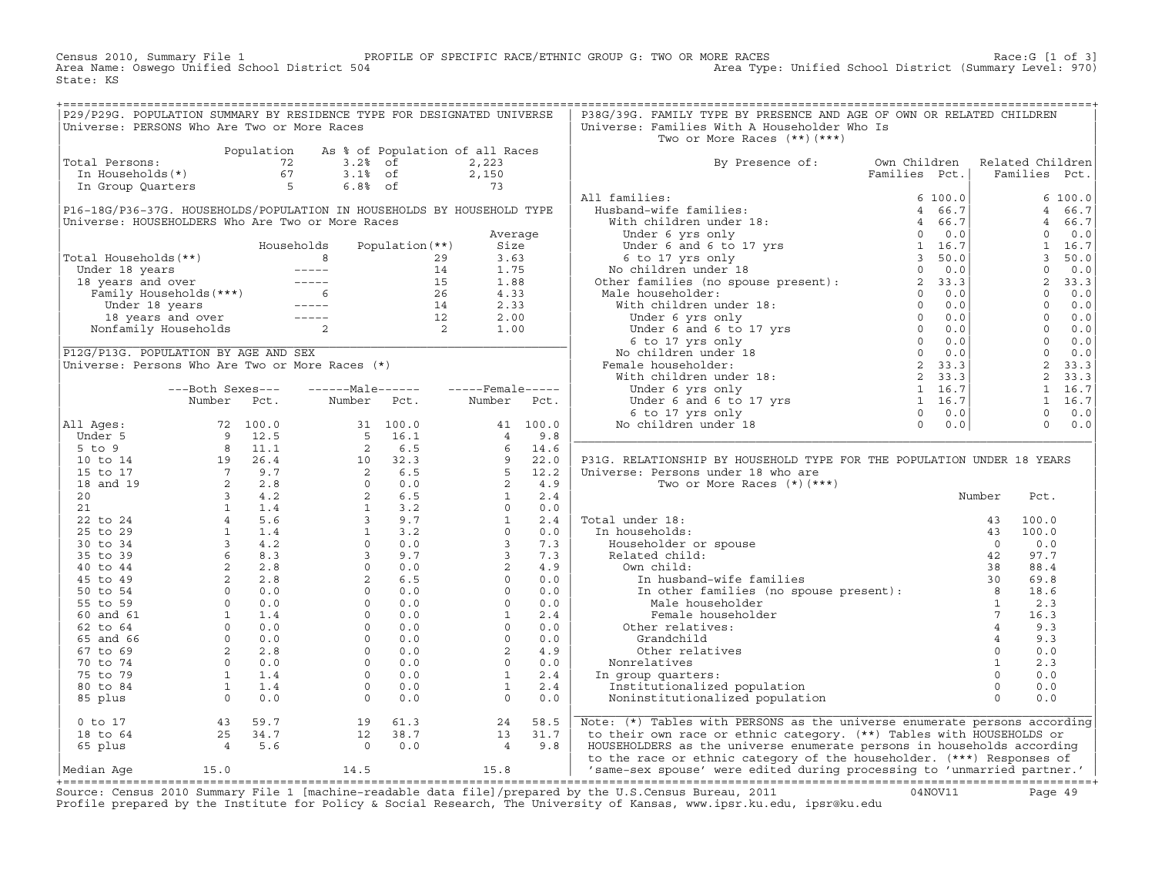Census 2010, Summary File 1 PROFILE OF SPECIFIC RACE/ETHNIC GROUP G: TWO OR MORE RACES Race:G [1 of 3]<br>Area Type: Unified School District (Summary Level: 970) Area Type: Unified School District (Summary Level: 970 Area Type: Unified School District (Summary Level: 970) State: KS

| Universe: Families With A Householder Who Is<br>Universe: PERSONS Who Are Two or More Races<br>Two or More Races (**) (***)<br>Two or More Races (**)(***)<br>By Presence of: Own Children Related Children<br>Families Pct.   Families Pct.<br>Population As % of Population of all Races<br>Total Persons: 72 3.2% of 2,223<br>In Households(*) 67 3.1% of 2,150<br>In Group Quarters 5 6.8% of 73<br>$\begin{bmatrix} \mathbf{1}_{11} & \mathbf{2}_{12} & \mathbf{2}_{13} & \mathbf{2}_{14} & \mathbf{2}_{15} & \mathbf{2}_{16} & \mathbf{2}_{17} & \mathbf{2}_{18} & \mathbf{2}_{18} & \mathbf{2}_{19} & \mathbf{2}_{10} & \mathbf{2}_{11} & \mathbf{2}_{12} & \mathbf{2}_{13} & \mathbf{2}_{14} & \mathbf{2}_{15} & \mathbf{2}_{16} & \mathbf{2}_{17} & \mathbf{2}_{18} & \mathbf{2}_{18} & \mathbf{2}_{18} & \mathbf{$<br>0 to 17 and 18 to 64 and 18 to 64 and 18 to 64 and 18 to 64 and 18 to 64 and 18 to 64 and 18 to 64 and 18 to 64 and 18 to 64 and 18 to 64 and 12 38.7 and 13 31.7 and 13 31.7 and 13 31.7 by their own race or ethnic category | P29/P29G. POPULATION SUMMARY BY RESIDENCE TYPE FOR DESIGNATED UNIVERSE |  |  |  | P38G/39G. FAMILY TYPE BY PRESENCE AND AGE OF OWN OR RELATED CHILDREN |  |  |
|----------------------------------------------------------------------------------------------------------------------------------------------------------------------------------------------------------------------------------------------------------------------------------------------------------------------------------------------------------------------------------------------------------------------------------------------------------------------------------------------------------------------------------------------------------------------------------------------------------------------------------------------------------------------------------------------------------------------------------------------------------------------------------------------------------------------------------------------------------------------------------------------------------------------------------------------------------------------------------------------------------------------------------------------------------------|------------------------------------------------------------------------|--|--|--|----------------------------------------------------------------------|--|--|
|                                                                                                                                                                                                                                                                                                                                                                                                                                                                                                                                                                                                                                                                                                                                                                                                                                                                                                                                                                                                                                                                |                                                                        |  |  |  |                                                                      |  |  |
|                                                                                                                                                                                                                                                                                                                                                                                                                                                                                                                                                                                                                                                                                                                                                                                                                                                                                                                                                                                                                                                                |                                                                        |  |  |  |                                                                      |  |  |
|                                                                                                                                                                                                                                                                                                                                                                                                                                                                                                                                                                                                                                                                                                                                                                                                                                                                                                                                                                                                                                                                |                                                                        |  |  |  |                                                                      |  |  |
|                                                                                                                                                                                                                                                                                                                                                                                                                                                                                                                                                                                                                                                                                                                                                                                                                                                                                                                                                                                                                                                                |                                                                        |  |  |  |                                                                      |  |  |
|                                                                                                                                                                                                                                                                                                                                                                                                                                                                                                                                                                                                                                                                                                                                                                                                                                                                                                                                                                                                                                                                |                                                                        |  |  |  |                                                                      |  |  |
|                                                                                                                                                                                                                                                                                                                                                                                                                                                                                                                                                                                                                                                                                                                                                                                                                                                                                                                                                                                                                                                                |                                                                        |  |  |  |                                                                      |  |  |
|                                                                                                                                                                                                                                                                                                                                                                                                                                                                                                                                                                                                                                                                                                                                                                                                                                                                                                                                                                                                                                                                |                                                                        |  |  |  |                                                                      |  |  |
|                                                                                                                                                                                                                                                                                                                                                                                                                                                                                                                                                                                                                                                                                                                                                                                                                                                                                                                                                                                                                                                                |                                                                        |  |  |  |                                                                      |  |  |
|                                                                                                                                                                                                                                                                                                                                                                                                                                                                                                                                                                                                                                                                                                                                                                                                                                                                                                                                                                                                                                                                |                                                                        |  |  |  |                                                                      |  |  |
|                                                                                                                                                                                                                                                                                                                                                                                                                                                                                                                                                                                                                                                                                                                                                                                                                                                                                                                                                                                                                                                                |                                                                        |  |  |  |                                                                      |  |  |
|                                                                                                                                                                                                                                                                                                                                                                                                                                                                                                                                                                                                                                                                                                                                                                                                                                                                                                                                                                                                                                                                |                                                                        |  |  |  |                                                                      |  |  |
|                                                                                                                                                                                                                                                                                                                                                                                                                                                                                                                                                                                                                                                                                                                                                                                                                                                                                                                                                                                                                                                                |                                                                        |  |  |  |                                                                      |  |  |
|                                                                                                                                                                                                                                                                                                                                                                                                                                                                                                                                                                                                                                                                                                                                                                                                                                                                                                                                                                                                                                                                |                                                                        |  |  |  |                                                                      |  |  |
|                                                                                                                                                                                                                                                                                                                                                                                                                                                                                                                                                                                                                                                                                                                                                                                                                                                                                                                                                                                                                                                                |                                                                        |  |  |  |                                                                      |  |  |
|                                                                                                                                                                                                                                                                                                                                                                                                                                                                                                                                                                                                                                                                                                                                                                                                                                                                                                                                                                                                                                                                |                                                                        |  |  |  |                                                                      |  |  |
|                                                                                                                                                                                                                                                                                                                                                                                                                                                                                                                                                                                                                                                                                                                                                                                                                                                                                                                                                                                                                                                                |                                                                        |  |  |  |                                                                      |  |  |
|                                                                                                                                                                                                                                                                                                                                                                                                                                                                                                                                                                                                                                                                                                                                                                                                                                                                                                                                                                                                                                                                |                                                                        |  |  |  |                                                                      |  |  |
|                                                                                                                                                                                                                                                                                                                                                                                                                                                                                                                                                                                                                                                                                                                                                                                                                                                                                                                                                                                                                                                                |                                                                        |  |  |  |                                                                      |  |  |
|                                                                                                                                                                                                                                                                                                                                                                                                                                                                                                                                                                                                                                                                                                                                                                                                                                                                                                                                                                                                                                                                |                                                                        |  |  |  |                                                                      |  |  |
|                                                                                                                                                                                                                                                                                                                                                                                                                                                                                                                                                                                                                                                                                                                                                                                                                                                                                                                                                                                                                                                                |                                                                        |  |  |  |                                                                      |  |  |
|                                                                                                                                                                                                                                                                                                                                                                                                                                                                                                                                                                                                                                                                                                                                                                                                                                                                                                                                                                                                                                                                |                                                                        |  |  |  |                                                                      |  |  |
|                                                                                                                                                                                                                                                                                                                                                                                                                                                                                                                                                                                                                                                                                                                                                                                                                                                                                                                                                                                                                                                                |                                                                        |  |  |  |                                                                      |  |  |
|                                                                                                                                                                                                                                                                                                                                                                                                                                                                                                                                                                                                                                                                                                                                                                                                                                                                                                                                                                                                                                                                |                                                                        |  |  |  |                                                                      |  |  |
|                                                                                                                                                                                                                                                                                                                                                                                                                                                                                                                                                                                                                                                                                                                                                                                                                                                                                                                                                                                                                                                                |                                                                        |  |  |  |                                                                      |  |  |
|                                                                                                                                                                                                                                                                                                                                                                                                                                                                                                                                                                                                                                                                                                                                                                                                                                                                                                                                                                                                                                                                |                                                                        |  |  |  |                                                                      |  |  |
|                                                                                                                                                                                                                                                                                                                                                                                                                                                                                                                                                                                                                                                                                                                                                                                                                                                                                                                                                                                                                                                                |                                                                        |  |  |  |                                                                      |  |  |
|                                                                                                                                                                                                                                                                                                                                                                                                                                                                                                                                                                                                                                                                                                                                                                                                                                                                                                                                                                                                                                                                |                                                                        |  |  |  |                                                                      |  |  |
|                                                                                                                                                                                                                                                                                                                                                                                                                                                                                                                                                                                                                                                                                                                                                                                                                                                                                                                                                                                                                                                                |                                                                        |  |  |  |                                                                      |  |  |
|                                                                                                                                                                                                                                                                                                                                                                                                                                                                                                                                                                                                                                                                                                                                                                                                                                                                                                                                                                                                                                                                |                                                                        |  |  |  |                                                                      |  |  |
|                                                                                                                                                                                                                                                                                                                                                                                                                                                                                                                                                                                                                                                                                                                                                                                                                                                                                                                                                                                                                                                                |                                                                        |  |  |  |                                                                      |  |  |
|                                                                                                                                                                                                                                                                                                                                                                                                                                                                                                                                                                                                                                                                                                                                                                                                                                                                                                                                                                                                                                                                |                                                                        |  |  |  |                                                                      |  |  |
|                                                                                                                                                                                                                                                                                                                                                                                                                                                                                                                                                                                                                                                                                                                                                                                                                                                                                                                                                                                                                                                                |                                                                        |  |  |  |                                                                      |  |  |
|                                                                                                                                                                                                                                                                                                                                                                                                                                                                                                                                                                                                                                                                                                                                                                                                                                                                                                                                                                                                                                                                |                                                                        |  |  |  |                                                                      |  |  |
|                                                                                                                                                                                                                                                                                                                                                                                                                                                                                                                                                                                                                                                                                                                                                                                                                                                                                                                                                                                                                                                                |                                                                        |  |  |  |                                                                      |  |  |
|                                                                                                                                                                                                                                                                                                                                                                                                                                                                                                                                                                                                                                                                                                                                                                                                                                                                                                                                                                                                                                                                |                                                                        |  |  |  |                                                                      |  |  |
|                                                                                                                                                                                                                                                                                                                                                                                                                                                                                                                                                                                                                                                                                                                                                                                                                                                                                                                                                                                                                                                                |                                                                        |  |  |  |                                                                      |  |  |
|                                                                                                                                                                                                                                                                                                                                                                                                                                                                                                                                                                                                                                                                                                                                                                                                                                                                                                                                                                                                                                                                |                                                                        |  |  |  |                                                                      |  |  |
|                                                                                                                                                                                                                                                                                                                                                                                                                                                                                                                                                                                                                                                                                                                                                                                                                                                                                                                                                                                                                                                                |                                                                        |  |  |  |                                                                      |  |  |
|                                                                                                                                                                                                                                                                                                                                                                                                                                                                                                                                                                                                                                                                                                                                                                                                                                                                                                                                                                                                                                                                |                                                                        |  |  |  |                                                                      |  |  |
|                                                                                                                                                                                                                                                                                                                                                                                                                                                                                                                                                                                                                                                                                                                                                                                                                                                                                                                                                                                                                                                                |                                                                        |  |  |  |                                                                      |  |  |
|                                                                                                                                                                                                                                                                                                                                                                                                                                                                                                                                                                                                                                                                                                                                                                                                                                                                                                                                                                                                                                                                |                                                                        |  |  |  |                                                                      |  |  |
|                                                                                                                                                                                                                                                                                                                                                                                                                                                                                                                                                                                                                                                                                                                                                                                                                                                                                                                                                                                                                                                                |                                                                        |  |  |  |                                                                      |  |  |
|                                                                                                                                                                                                                                                                                                                                                                                                                                                                                                                                                                                                                                                                                                                                                                                                                                                                                                                                                                                                                                                                |                                                                        |  |  |  |                                                                      |  |  |
|                                                                                                                                                                                                                                                                                                                                                                                                                                                                                                                                                                                                                                                                                                                                                                                                                                                                                                                                                                                                                                                                |                                                                        |  |  |  |                                                                      |  |  |
|                                                                                                                                                                                                                                                                                                                                                                                                                                                                                                                                                                                                                                                                                                                                                                                                                                                                                                                                                                                                                                                                |                                                                        |  |  |  |                                                                      |  |  |
|                                                                                                                                                                                                                                                                                                                                                                                                                                                                                                                                                                                                                                                                                                                                                                                                                                                                                                                                                                                                                                                                |                                                                        |  |  |  |                                                                      |  |  |
|                                                                                                                                                                                                                                                                                                                                                                                                                                                                                                                                                                                                                                                                                                                                                                                                                                                                                                                                                                                                                                                                |                                                                        |  |  |  |                                                                      |  |  |
|                                                                                                                                                                                                                                                                                                                                                                                                                                                                                                                                                                                                                                                                                                                                                                                                                                                                                                                                                                                                                                                                |                                                                        |  |  |  |                                                                      |  |  |
|                                                                                                                                                                                                                                                                                                                                                                                                                                                                                                                                                                                                                                                                                                                                                                                                                                                                                                                                                                                                                                                                |                                                                        |  |  |  |                                                                      |  |  |
|                                                                                                                                                                                                                                                                                                                                                                                                                                                                                                                                                                                                                                                                                                                                                                                                                                                                                                                                                                                                                                                                |                                                                        |  |  |  |                                                                      |  |  |
|                                                                                                                                                                                                                                                                                                                                                                                                                                                                                                                                                                                                                                                                                                                                                                                                                                                                                                                                                                                                                                                                |                                                                        |  |  |  |                                                                      |  |  |
|                                                                                                                                                                                                                                                                                                                                                                                                                                                                                                                                                                                                                                                                                                                                                                                                                                                                                                                                                                                                                                                                |                                                                        |  |  |  |                                                                      |  |  |

+===================================================================================================================================================+Source: Census 2010 Summary File 1 [machine−readable data file]/prepared by the U.S.Census Bureau, 2011 04NOV11 Page 49 Profile prepared by the Institute for Policy & Social Research, The University of Kansas, www.ipsr.ku.edu, ipsr@ku.edu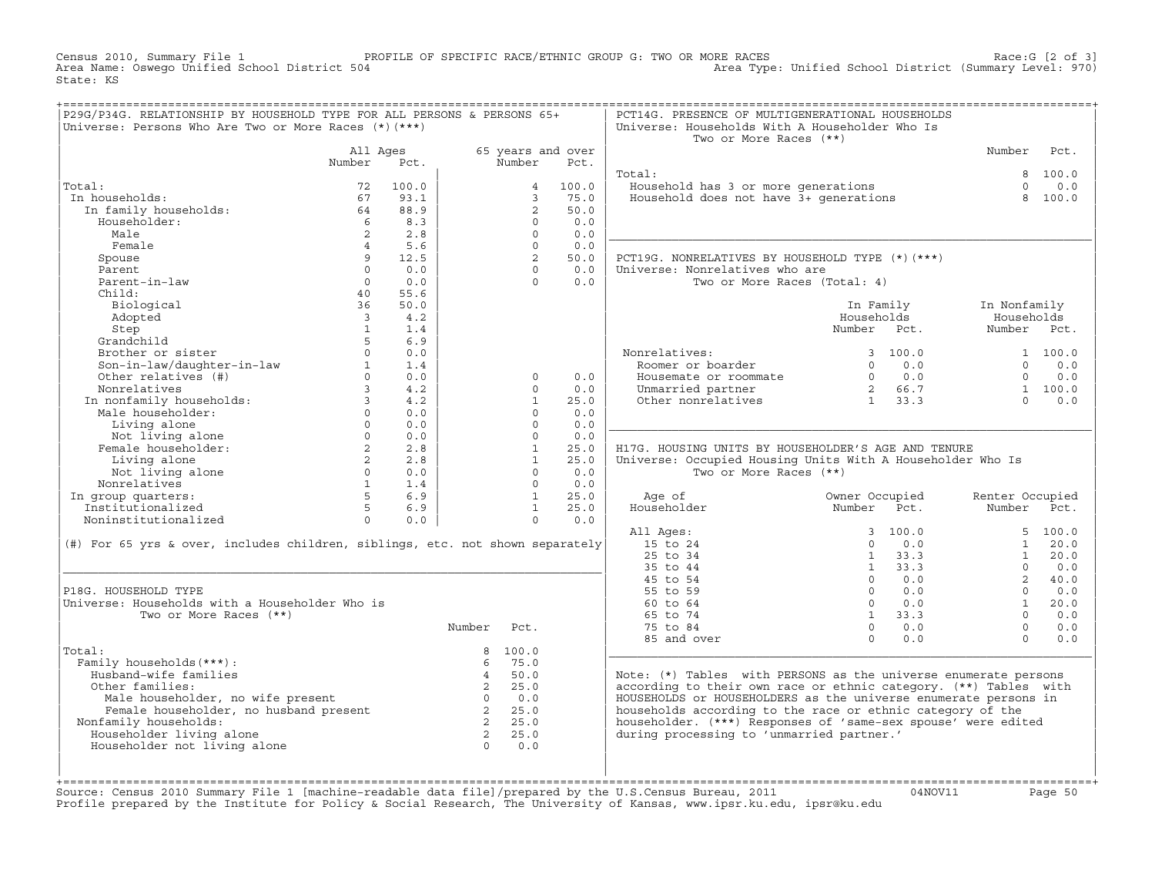Census 2010, Summary File 1 PROFILE OF SPECIFIC RACE/ETHNIC GROUP G: TWO OR MORE RACES Race:G [2 of 3]<br>Area Name: Oswego Unified School District 504 Area Type: Unified School District (Summary Level: 970) Area Type: Unified School District (Summary Level: 970) State: KS

| P29G/P34G. RELATIONSHIP BY HOUSEHOLD TYPE FOR ALL PERSONS & PERSONS 65+                                                                                                                                                                                                    |                 |          |             |                   |                                                                | PCT14G. PRESENCE OF MULTIGENERATIONAL HOUSEHOLDS                                                                                                                               |                                                                                                                                                                                                                                                                                                                            |                 |                 |
|----------------------------------------------------------------------------------------------------------------------------------------------------------------------------------------------------------------------------------------------------------------------------|-----------------|----------|-------------|-------------------|----------------------------------------------------------------|--------------------------------------------------------------------------------------------------------------------------------------------------------------------------------|----------------------------------------------------------------------------------------------------------------------------------------------------------------------------------------------------------------------------------------------------------------------------------------------------------------------------|-----------------|-----------------|
| Universe: Persons Who Are Two or More Races (*) (***)                                                                                                                                                                                                                      |                 |          |             |                   |                                                                | Universe: Households With A Householder Who Is                                                                                                                                 |                                                                                                                                                                                                                                                                                                                            |                 |                 |
|                                                                                                                                                                                                                                                                            |                 |          |             |                   |                                                                | Two or More Races (**)                                                                                                                                                         |                                                                                                                                                                                                                                                                                                                            |                 |                 |
|                                                                                                                                                                                                                                                                            |                 | All Ages |             |                   | 65 years and over                                              |                                                                                                                                                                                |                                                                                                                                                                                                                                                                                                                            | Number Pct.     |                 |
|                                                                                                                                                                                                                                                                            | Number Pct.     |          |             | Number            | Pct.                                                           |                                                                                                                                                                                |                                                                                                                                                                                                                                                                                                                            |                 |                 |
|                                                                                                                                                                                                                                                                            |                 |          |             |                   |                                                                | Total:                                                                                                                                                                         |                                                                                                                                                                                                                                                                                                                            |                 | 8 100.0         |
| Total:                                                                                                                                                                                                                                                                     |                 | 72 100.0 |             |                   | 4 100.0                                                        | <br>Household has 3 or more generations<br>Household does not have 3+ generations                                                                                              |                                                                                                                                                                                                                                                                                                                            |                 | $\Omega$<br>0.0 |
| In households:                                                                                                                                                                                                                                                             |                 |          |             |                   | 3, 75.0                                                        |                                                                                                                                                                                |                                                                                                                                                                                                                                                                                                                            |                 | 8 100.0         |
|                                                                                                                                                                                                                                                                            |                 |          |             | 2                 | 50.0                                                           |                                                                                                                                                                                |                                                                                                                                                                                                                                                                                                                            |                 |                 |
| call<br>1 households:<br>1 family households:<br>6 8.3<br>6 8.3                                                                                                                                                                                                            |                 |          |             | $\Omega$          | 0.0                                                            |                                                                                                                                                                                |                                                                                                                                                                                                                                                                                                                            |                 |                 |
| Male                                                                                                                                                                                                                                                                       |                 | 2 2.8    |             | $\Omega$          | 0.0                                                            |                                                                                                                                                                                |                                                                                                                                                                                                                                                                                                                            |                 |                 |
|                                                                                                                                                                                                                                                                            |                 |          |             |                   |                                                                |                                                                                                                                                                                |                                                                                                                                                                                                                                                                                                                            |                 |                 |
| Female                                                                                                                                                                                                                                                                     |                 | 4 5.6    |             | $0 \qquad \qquad$ | 0.0                                                            |                                                                                                                                                                                |                                                                                                                                                                                                                                                                                                                            |                 |                 |
| Spouse                                                                                                                                                                                                                                                                     |                 | 9 12.5   |             |                   | $\begin{bmatrix} 2 & 50.0 \\ 0 & 0.0 \\ 0 & 0.0 \end{bmatrix}$ | PCT19G. NONRELATIVES BY HOUSEHOLD TYPE (*) (***)                                                                                                                               |                                                                                                                                                                                                                                                                                                                            |                 |                 |
| Parent                                                                                                                                                                                                                                                                     | $\Omega$        | 0.0      |             |                   |                                                                | Universe: Nonrelatives who are                                                                                                                                                 |                                                                                                                                                                                                                                                                                                                            |                 |                 |
| Parent-in-law                                                                                                                                                                                                                                                              | $\overline{0}$  | 0.0      |             |                   |                                                                | Two or More Races (Total: 4)                                                                                                                                                   |                                                                                                                                                                                                                                                                                                                            |                 |                 |
| Child:                                                                                                                                                                                                                                                                     | $\frac{40}{25}$ | 55.6     |             |                   |                                                                |                                                                                                                                                                                |                                                                                                                                                                                                                                                                                                                            |                 |                 |
| Biological                                                                                                                                                                                                                                                                 | 36              | 50.0     |             |                   |                                                                |                                                                                                                                                                                | In Family 1n Nonfamily                                                                                                                                                                                                                                                                                                     |                 |                 |
| Adopted                                                                                                                                                                                                                                                                    |                 | 3 4.2    |             |                   |                                                                |                                                                                                                                                                                | Households                                                                                                                                                                                                                                                                                                                 | Households      |                 |
|                                                                                                                                                                                                                                                                            |                 |          |             |                   |                                                                |                                                                                                                                                                                | Number Pct.                                                                                                                                                                                                                                                                                                                | Number Pct.     |                 |
| Step<br>Step<br>Grandchild<br>Brother or sister<br>Son-in-law<br>den relatives (#)<br>other relatives (#)<br>3<br>$4.2$                                                                                                                                                    |                 |          |             |                   |                                                                |                                                                                                                                                                                |                                                                                                                                                                                                                                                                                                                            |                 |                 |
|                                                                                                                                                                                                                                                                            |                 |          |             |                   |                                                                | Nonrelatives: 3 100.0 1 100.0<br>Roomer or boarder 0 0 0.0 0 0.0<br>Housemate or roommate 0 0 0.0 0 0.0<br>Unmarried partner 2 66.7 1 100.0<br>Other nonrelatives 1 33.3 0 0.0 |                                                                                                                                                                                                                                                                                                                            |                 |                 |
|                                                                                                                                                                                                                                                                            |                 |          |             |                   |                                                                |                                                                                                                                                                                |                                                                                                                                                                                                                                                                                                                            |                 |                 |
|                                                                                                                                                                                                                                                                            |                 |          |             | $\Omega$          | 0.0                                                            |                                                                                                                                                                                |                                                                                                                                                                                                                                                                                                                            |                 |                 |
|                                                                                                                                                                                                                                                                            |                 |          |             | $\Omega$          |                                                                |                                                                                                                                                                                |                                                                                                                                                                                                                                                                                                                            |                 |                 |
|                                                                                                                                                                                                                                                                            |                 |          |             |                   | 0.0                                                            |                                                                                                                                                                                |                                                                                                                                                                                                                                                                                                                            |                 |                 |
|                                                                                                                                                                                                                                                                            |                 |          |             | $\mathbf{1}$      | 25.0                                                           |                                                                                                                                                                                |                                                                                                                                                                                                                                                                                                                            |                 |                 |
|                                                                                                                                                                                                                                                                            |                 |          |             |                   |                                                                |                                                                                                                                                                                |                                                                                                                                                                                                                                                                                                                            |                 |                 |
| under relatives (#) 0 0.0<br>Monrelatives 3 4.2<br>In nonfamily households: 3 4.2<br>Male householder: 0 0.0<br>living alone 0 0.0<br>Not living alone 0 0.0<br>Female householder: 2 2.8<br>Living alone 2 2.8<br>Living alone 2 2.8<br>Monrela                           |                 |          |             |                   |                                                                |                                                                                                                                                                                |                                                                                                                                                                                                                                                                                                                            |                 |                 |
|                                                                                                                                                                                                                                                                            |                 |          |             |                   |                                                                |                                                                                                                                                                                |                                                                                                                                                                                                                                                                                                                            |                 |                 |
|                                                                                                                                                                                                                                                                            |                 |          |             |                   |                                                                | H17G. HOUSING UNITS BY HOUSEHOLDER'S AGE AND TENURE                                                                                                                            |                                                                                                                                                                                                                                                                                                                            |                 |                 |
|                                                                                                                                                                                                                                                                            |                 |          |             |                   |                                                                | Universe: Occupied Housing Units With A Householder Who Is                                                                                                                     |                                                                                                                                                                                                                                                                                                                            |                 |                 |
|                                                                                                                                                                                                                                                                            |                 |          |             |                   |                                                                | Two or More Races (**)                                                                                                                                                         |                                                                                                                                                                                                                                                                                                                            |                 |                 |
|                                                                                                                                                                                                                                                                            |                 |          |             |                   |                                                                |                                                                                                                                                                                |                                                                                                                                                                                                                                                                                                                            |                 |                 |
|                                                                                                                                                                                                                                                                            |                 |          |             |                   |                                                                |                                                                                                                                                                                |                                                                                                                                                                                                                                                                                                                            | Renter Occupied |                 |
|                                                                                                                                                                                                                                                                            |                 |          |             |                   | $\begin{bmatrix} 1 & 25.0 \\ 1 & 25.0 \end{bmatrix}$           |                                                                                                                                                                                |                                                                                                                                                                                                                                                                                                                            | Number Pct.     |                 |
|                                                                                                                                                                                                                                                                            |                 |          |             |                   | $0 \qquad 0.0$                                                 |                                                                                                                                                                                |                                                                                                                                                                                                                                                                                                                            |                 |                 |
|                                                                                                                                                                                                                                                                            |                 |          |             |                   |                                                                | All Ages:                                                                                                                                                                      |                                                                                                                                                                                                                                                                                                                            |                 |                 |
|                                                                                                                                                                                                                                                                            |                 |          |             |                   |                                                                | 15 to 24                                                                                                                                                                       |                                                                                                                                                                                                                                                                                                                            |                 |                 |
| (#) For 65 yrs & over, includes children, siblings, etc. not shown separately                                                                                                                                                                                              |                 |          |             |                   |                                                                | 25 to 34                                                                                                                                                                       |                                                                                                                                                                                                                                                                                                                            |                 |                 |
|                                                                                                                                                                                                                                                                            |                 |          |             |                   |                                                                |                                                                                                                                                                                |                                                                                                                                                                                                                                                                                                                            |                 |                 |
|                                                                                                                                                                                                                                                                            |                 |          |             |                   |                                                                | 35 to 44                                                                                                                                                                       |                                                                                                                                                                                                                                                                                                                            |                 |                 |
|                                                                                                                                                                                                                                                                            |                 |          |             |                   |                                                                | 45 to 54                                                                                                                                                                       | $\begin{array}{cccccc} 3 & 100.0 & & & & & & 5 & 100.0 \\ 0 & 0.0 & & & & 1 & 20.0 \\ 1 & 33.3 & & & 1 & 20.0 \\ 1 & 33.3 & & & 0 & 0.0 \\ 0 & 0.0 & & & 2 & 40.0 \\ 0 & 0.0 & & & 0 & 0.0 \\ 0 & 0.0 & & & 1 & 20.0 \\ 1 & 33.3 & & & 0 & 0.0 \\ 0 & 0.0 & & & 0 & 0.0 \\ 0 & 0.0 & & & 0 & 0.0 \\ 0 & 0.0 & & & 0 & 0.0$ |                 |                 |
| P18G. HOUSEHOLD TYPE                                                                                                                                                                                                                                                       |                 |          |             |                   |                                                                | 55 to 59                                                                                                                                                                       |                                                                                                                                                                                                                                                                                                                            |                 |                 |
| Universe: Households with a Householder Who is                                                                                                                                                                                                                             |                 |          |             |                   |                                                                | 60 to 64                                                                                                                                                                       |                                                                                                                                                                                                                                                                                                                            |                 |                 |
| Two or More Races (**)                                                                                                                                                                                                                                                     |                 |          |             |                   |                                                                | 65 to 74                                                                                                                                                                       |                                                                                                                                                                                                                                                                                                                            |                 |                 |
|                                                                                                                                                                                                                                                                            |                 |          | Number Pct. |                   |                                                                | 75 to 84                                                                                                                                                                       |                                                                                                                                                                                                                                                                                                                            |                 |                 |
|                                                                                                                                                                                                                                                                            |                 |          |             |                   |                                                                | 85 and over                                                                                                                                                                    |                                                                                                                                                                                                                                                                                                                            |                 |                 |
| Total:                                                                                                                                                                                                                                                                     |                 |          |             | 8 100.0           |                                                                |                                                                                                                                                                                |                                                                                                                                                                                                                                                                                                                            |                 |                 |
| Family households (***) :                                                                                                                                                                                                                                                  |                 |          |             | 6 75.0            |                                                                |                                                                                                                                                                                |                                                                                                                                                                                                                                                                                                                            |                 |                 |
| Husband-wife families                                                                                                                                                                                                                                                      |                 |          |             |                   |                                                                | Note: $(*)$ Tables with PERSONS as the universe enumerate persons                                                                                                              |                                                                                                                                                                                                                                                                                                                            |                 |                 |
| Other families:                                                                                                                                                                                                                                                            |                 |          |             |                   |                                                                | according to their own race or ethnic category. (**) Tables with                                                                                                               |                                                                                                                                                                                                                                                                                                                            |                 |                 |
|                                                                                                                                                                                                                                                                            |                 |          |             |                   |                                                                | HOUSEHOLDS or HOUSEHOLDERS as the universe enumerate persons in                                                                                                                |                                                                                                                                                                                                                                                                                                                            |                 |                 |
|                                                                                                                                                                                                                                                                            |                 |          |             |                   |                                                                | households according to the race or ethnic category of the                                                                                                                     |                                                                                                                                                                                                                                                                                                                            |                 |                 |
|                                                                                                                                                                                                                                                                            |                 |          |             |                   |                                                                | householder. (***) Responses of 'same-sex spouse' were edited                                                                                                                  |                                                                                                                                                                                                                                                                                                                            |                 |                 |
| Nonfamily households:                                                                                                                                                                                                                                                      |                 |          |             |                   |                                                                |                                                                                                                                                                                |                                                                                                                                                                                                                                                                                                                            |                 |                 |
| 17 november 10 started the started of the started of the families<br>ther families:<br>Male householder, no wife present<br>Female householder, no husband present<br>family households:<br>2 25.0<br>ouseholder living alone<br>2 25.0<br>ous<br>Householder living alone |                 |          |             |                   |                                                                | during processing to 'unmarried partner.'                                                                                                                                      |                                                                                                                                                                                                                                                                                                                            |                 |                 |
| Householder not living alone                                                                                                                                                                                                                                               |                 |          |             |                   |                                                                |                                                                                                                                                                                |                                                                                                                                                                                                                                                                                                                            |                 |                 |
|                                                                                                                                                                                                                                                                            |                 |          |             |                   |                                                                |                                                                                                                                                                                |                                                                                                                                                                                                                                                                                                                            |                 |                 |
|                                                                                                                                                                                                                                                                            |                 |          |             |                   |                                                                |                                                                                                                                                                                |                                                                                                                                                                                                                                                                                                                            |                 |                 |
|                                                                                                                                                                                                                                                                            |                 |          |             |                   |                                                                |                                                                                                                                                                                |                                                                                                                                                                                                                                                                                                                            |                 |                 |

+===================================================================================================================================================+Source: Census 2010 Summary File 1 [machine−readable data file]/prepared by the U.S.Census Bureau, 2011 04NOV11 Page 50 Profile prepared by the Institute for Policy & Social Research, The University of Kansas, www.ipsr.ku.edu, ipsr@ku.edu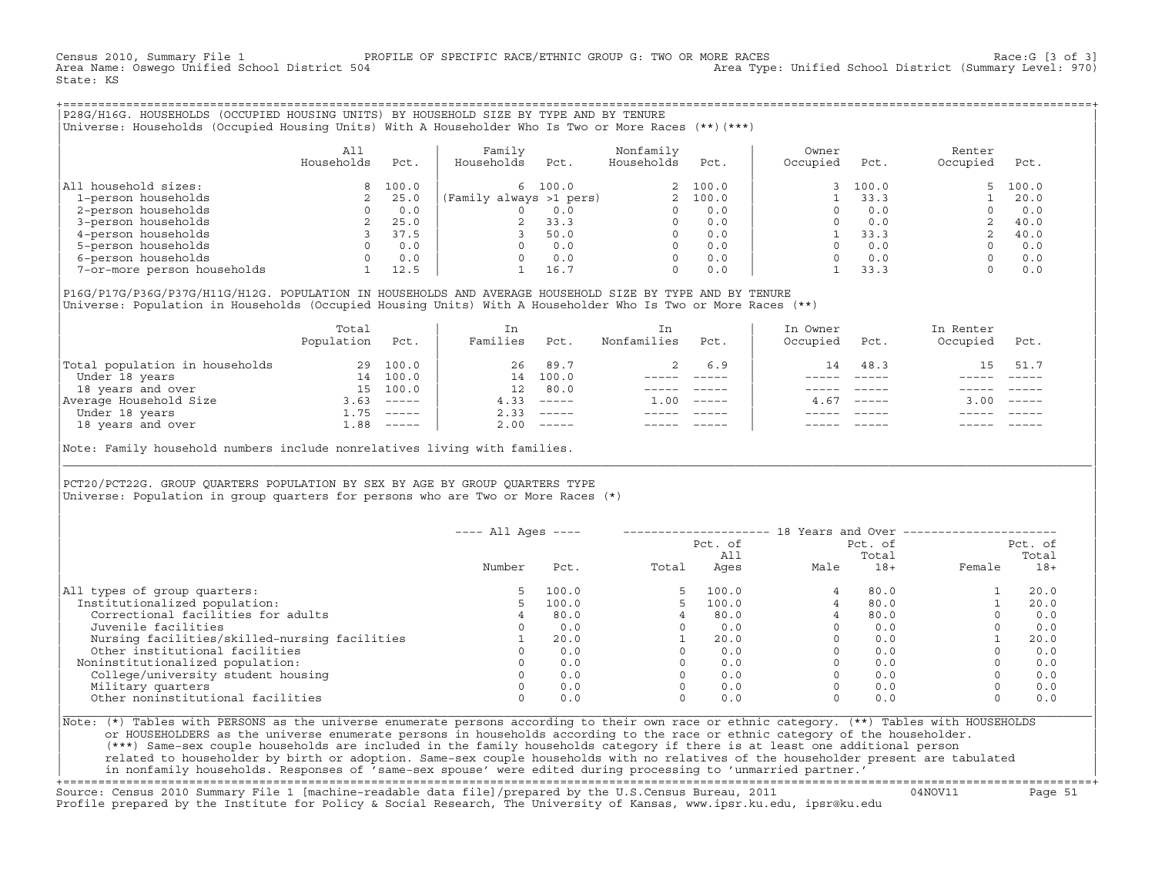Census 2010, Summary File 1 PROFILE OF SPECIFIC RACE/ETHNIC GROUP G: TWO OR MORE RACES Race:G [3 of 3] Area Type: Unified School District (Summary Level: 970) State: KS

+===================================================================================================================================================+|P28G/H16G. HOUSEHOLDS (OCCUPIED HOUSING UNITS) BY HOUSEHOLD SIZE BY TYPE AND BY TENURE | |Universe: Households (Occupied Housing Units) With A Householder Who Is Two or More Races (\*\*)(\*\*\*) |

|                             | All<br>Households | Pct.  | Family<br>Households    | Pct.    | Nonfamily<br>Households | Pct.     | Owner<br>Occupied | Pct.  | Renter<br>Occupied | Pct.  |
|-----------------------------|-------------------|-------|-------------------------|---------|-------------------------|----------|-------------------|-------|--------------------|-------|
| household sizes:<br>All     |                   | 100.0 |                         | 6 100.0 |                         | 2 100.0  |                   | 100.0 | $5 -$              | 100.0 |
| 1-person households         |                   | 25.0  | (Family always >1 pers) |         |                         | 2, 100.0 |                   | 33.3  |                    | 20.0  |
| 2-person households         |                   | 0.0   |                         | 0.0     | $\Omega$                | 0.0      |                   | 0.0   |                    | 0.0   |
| 3-person households         |                   | 25.0  |                         | 33.3    | $\Omega$                | 0.0      |                   | 0.0   |                    | 40.0  |
| 4-person households         |                   | 37.5  |                         | 50.0    | $\Omega$                | 0.0      |                   | 33.3  |                    | 40.0  |
| 5-person households         |                   | 0.0   |                         | 0.0     | $\Omega$                | 0.0      |                   | 0.0   |                    | 0.0   |
| 6-person households         |                   | 0.0   |                         | 0.0     | $\Omega$                | 0.0      |                   | 0.0   |                    | 0.0   |
| 7-or-more person households |                   | 12.5  |                         | 16.7    | 0                       | 0.0      |                   | 33.3  |                    | 0.0   |

|P16G/P17G/P36G/P37G/H11G/H12G. POPULATION IN HOUSEHOLDS AND AVERAGE HOUSEHOLD SIZE BY TYPE AND BY TENURE | Universe: Population in Households (Occupied Housing Units) With A Householder Who Is Two or More Races (\*\*)

|                                | Total<br>Population | Pct.     | In<br>Families  | Pct.                      | In.<br>Nonfamilies | Pct.     | In Owner<br>Occupied | Pct.          | In Renter<br>Occupied | Pct.        |  |
|--------------------------------|---------------------|----------|-----------------|---------------------------|--------------------|----------|----------------------|---------------|-----------------------|-------------|--|
| Total population in households | 29                  | 100.0    | 26              | 89.7                      |                    | 6.9      | 14                   | 48.3          | 15                    | 51.7        |  |
| Under 18 years                 | 14                  | 100.0    | 14              | 100.0                     |                    |          |                      |               |                       |             |  |
| 18 years and over              | 15                  | 100.0    | 12 <sup>1</sup> | 80.0                      |                    |          |                      |               |                       |             |  |
| Average Household Size         | 3.63                | $------$ | 4.33            | $------$                  | 1.00               | $------$ | 4.67                 | $- - - - - -$ | 3.00                  | $------$    |  |
| Under 18 years                 | $\pm 0.75$          | $------$ | 2.33            | $------$                  |                    |          |                      |               |                       |             |  |
| 18 years and over              | 1.88                |          | 2.00            | $\qquad \qquad - - - - -$ |                    |          |                      |               |                       | $- - - - -$ |  |
|                                |                     |          |                 |                           |                    |          |                      |               |                       |             |  |

Note: Family household numbers include nonrelatives living with families.

| | PCT20/PCT22G. GROUP OUARTERS POPULATION BY SEX BY AGE BY GROUP OUARTERS TYPE Universe: Population in group quarters for persons who are Two or More Races (\*)

|                                               | $---$ All Ages $---$ |       |       | Pct. of<br>All | 18 Years and Over ------------- | Pct. of<br>Total |             | Pct. of<br>Total |
|-----------------------------------------------|----------------------|-------|-------|----------------|---------------------------------|------------------|-------------|------------------|
|                                               | Number               | Pct.  | Total | Ages           | Male                            | $18+$            | Female      | $18+$            |
| All types of group quarters:                  | 5                    | 100.0 |       | 100.0          |                                 | 80.0             |             | 20.0             |
| Institutionalized population:                 | 5                    | 100.0 |       | 100.0          |                                 | 80.0             |             | 20.0             |
| Correctional facilities for adults            | 4                    | 80.0  |       | 80.0           |                                 | 80.0             | $\Omega$    | 0.0              |
| Juvenile facilities                           |                      | 0.0   |       | 0.0            |                                 | 0.0              | $\Omega$    | 0.0              |
| Nursing facilities/skilled-nursing facilities |                      | 20.0  |       | 20.0           |                                 | 0.0              |             | 20.0             |
| Other institutional facilities                |                      | 0.0   |       | 0.0            |                                 | 0.0              |             | 0.0              |
| Noninstitutionalized population:              |                      | 0.0   |       | 0.0            |                                 | 0.0              |             | 0.0              |
| College/university student housing            |                      | 0.0   |       | 0.0            |                                 | 0.0              | 0           | 0.0              |
| Military quarters                             |                      | 0.0   |       | 0.0            |                                 | 0.0              | $\Omega$    | 0.0              |
| Other noninstitutional facilities             |                      | 0.0   |       | 0.0            |                                 | 0.0              | $\mathbf 0$ | 0.0              |

|\_\_\_\_\_\_\_\_\_\_\_\_\_\_\_\_\_\_\_\_\_\_\_\_\_\_\_\_\_\_\_\_\_\_\_\_\_\_\_\_\_\_\_\_\_\_\_\_\_\_\_\_\_\_\_\_\_\_\_\_\_\_\_\_\_\_\_\_\_\_\_\_\_\_\_\_\_\_\_\_\_\_\_\_\_\_\_\_\_\_\_\_\_\_\_\_\_\_\_\_\_\_\_\_\_\_\_\_\_\_\_\_\_\_\_\_\_\_\_\_\_\_\_\_\_\_\_\_\_\_\_\_\_\_\_\_\_\_\_\_\_\_\_\_\_\_\_|

| |

|Note: (\*) Tables with PERSONS as the universe enumerate persons according to their own race or ethnic category. (\*\*) Tables with HOUSEHOLDS | or HOUSEHOLDERS as the universe enumerate persons in households according to the race or ethnic category of the householder. | (\*\*\*) Same−sex couple households are included in the family households category if there is at least one additional person | | related to householder by birth or adoption. Same−sex couple households with no relatives of the householder present are tabulated | | in nonfamily households. Responses of 'same−sex spouse' were edited during processing to 'unmarried partner.' |

+===================================================================================================================================================+ Source: Census 2010 Summary File 1 [machine−readable data file]/prepared by the U.S.Census Bureau, 2011 04NOV11 Page 51 Profile prepared by the Institute for Policy & Social Research, The University of Kansas, www.ipsr.ku.edu, ipsr@ku.edu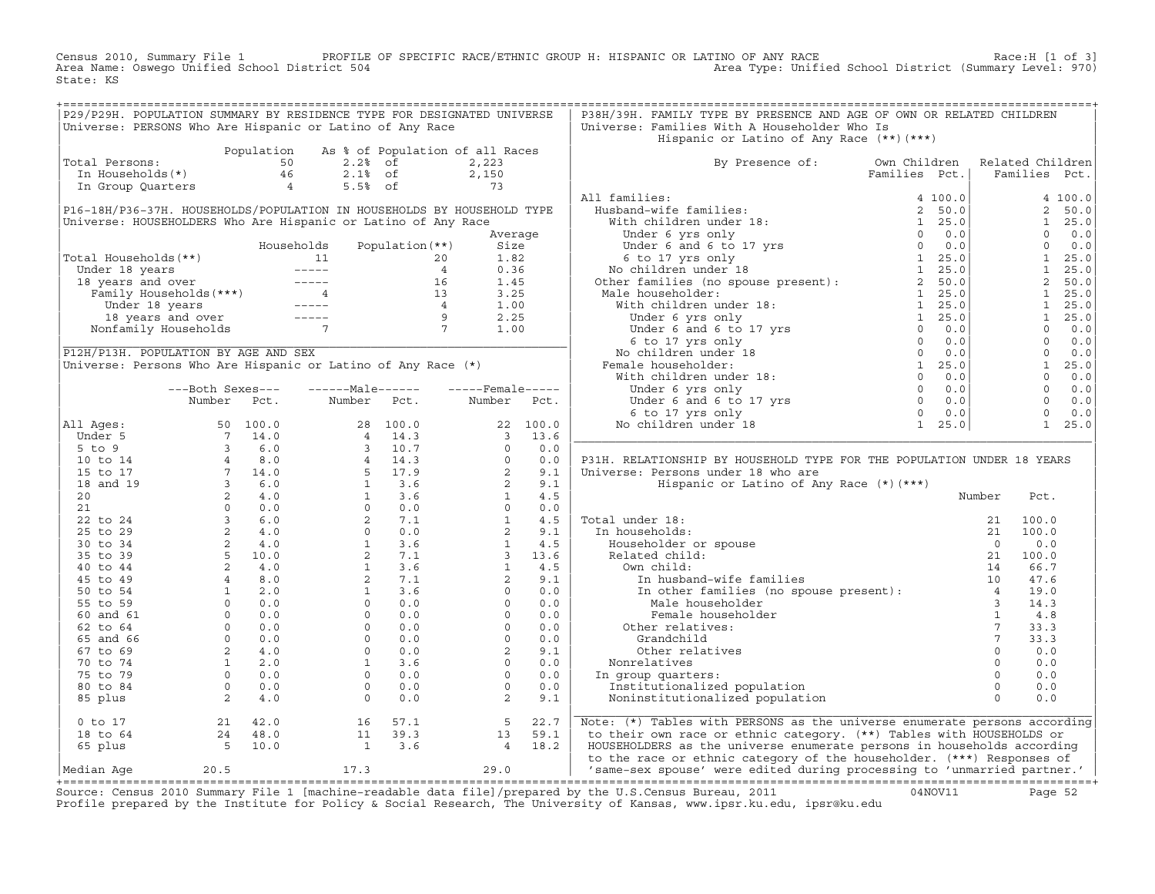Census 2010, Summary File 1 PROFILE OF SPECIFIC RACE/ETHNIC GROUP H: HISPANIC OR LATINO OF ANY RACE Race:H [1 of 3]<br>Area Name: Oswego Unified School District 504 Area Type: Unified School District (Summary Level: 970) Area Type: Unified School District (Summary Level: 970) State: KS

| Universe: PERSONS Who Are Hispanic or Latino of Any Race<br>Universe: Families With A Householder Who Is<br>Hispanic or Latino of Any Race (**) (***)<br>Population As % of Population of all Races<br>Population As % of Population of all R<br>Total Persons: 50 2.2% of 2,223<br>In Households(*) 46 2.1% of 2,150<br>In Group Quarters 4 5.5% of 73<br>By Presence of: Own Children Related Children<br>Families Pct.   Families Pct.<br>Total Persons:<br>$\begin{tabular}{ c c c c c } \hline & $By\,\, \textsc{presence of:} & $0\:\textsc{wn}\,\, \textsc{children} & \textsc{Related Children} \\ & \textsc{Family} & \textsc{Hamilton} & \textsc{Hamilton} & \textsc{Hamilton} \\ \hline & \textsc{Hushand-wife families:} & 4&100.0 & 4&100.0 \\ & \textsc{Without of of of to 17 vs} & 1& 25.0 & 1& 25.0 \\ & \textsc{Under 6 yang only} & 1& 25.0 & 1& 25.0 \\ & \textsc{Under 6 yang only} & 0& 0.0 & 0.0 \\ & \textsc$<br>P16-18H/P36-37H. HOUSEHOLDS/POPULATION IN HOUSEHOLDS BY HOUSEHOLD TYPE<br>Universe: HOUSEHOLDERS Who Are Hispanic or Latino of Any Race<br>Average<br>Total Households (**)<br>Total Households (**)<br>Under 18 years<br>18 years and over<br>Tamily Households (***)<br>16 1.45<br>Tamily Households (***)<br>16 1.45<br>Under 18 years<br>16 1.45<br>17 1.00<br>18 years and over<br>18 years and over<br>1<br>P12H/P13H. POPULATION BY AGE AND SEX<br>Universe: Persons Who Are Hispanic or Latino of Any Race (*)<br>---Both Sexes---<br>Number Pct.<br>Number Pct. Number Pct.<br>P31H. RELATIONSHIP BY HOUSEHOLD TYPE FOR THE POPULATION UNDER 18 YEARS<br>Universe: Persons under 18 who are<br>Hispanic or Latino of Any Race (*) (***)<br>Number<br>Pct.<br>$\begin{tabular}{ l l } \hline \texttt{Total under 18:} & \texttt{21} & \texttt{1} \\ \hline \texttt{In households:} & \texttt{221} & \texttt{1} \\ \texttt{Householder or spouse} & \texttt{0} \\ \texttt{Related child:} & \texttt{21} & \texttt{1} \\ \texttt{I0} & \texttt{In husband-wife families} & \texttt{10} \\ \texttt{In other families (no spouse present):} & \texttt{4} \\ \texttt{Male householder} & \texttt{3} \\ \texttt{Other rule householder} & \texttt{1} \\ \texttt{Other relations:} & \texttt{7} \\ \texttt{Grandchild} & \$<br>21 100.0<br>21 100.0<br>0.0<br>21 100.0<br>14 66.7<br>47.6<br>Grandchild<br>Other relatives<br>Nonrelatives<br>In group quarters:<br>Institutionalized population<br>Noninstitutionalized population<br>$\begin{array}{cccccc} 0&\text{to} & 17 & & 21 & 42.0 & & 16 & 57.1 & & 5 & 22.7 \\ 18&\text{to} & 64 & & 24 & 48.0 & & 11 & 39.3 & & 13 & 59.1 \\ 65&\text{plus} & & 5 & 10.0 & & 1 & 3.6 & & 4 & 18.2 \end{array}$<br>Note: (*) Tables with PERSONS as the universe enumerate persons according<br>to their own race or ethnic category. (**) Tables with HOUSEHOLDS or<br>HOUSEHOLDERS as the universe enumerate persons in households according<br>to the race or ethnic category of the householder. (***) Responses of<br>Median Age $20.5$ 17.3 $17.3$ 29.0 $\begin{array}{ l } \hline \end{array}$ same-sex spouse' were edited during processing to 'unmarried partner.' | P29/P29H. POPULATION SUMMARY BY RESIDENCE TYPE FOR DESIGNATED UNIVERSE |  |  |  | P38H/39H. FAMILY TYPE BY PRESENCE AND AGE OF OWN OR RELATED CHILDREN |  |  |
|--------------------------------------------------------------------------------------------------------------------------------------------------------------------------------------------------------------------------------------------------------------------------------------------------------------------------------------------------------------------------------------------------------------------------------------------------------------------------------------------------------------------------------------------------------------------------------------------------------------------------------------------------------------------------------------------------------------------------------------------------------------------------------------------------------------------------------------------------------------------------------------------------------------------------------------------------------------------------------------------------------------------------------------------------------------------------------------------------------------------------------------------------------------------------------------------------------------------------------------------------------------------------------------------------------------------------------------------------------------------------------------------------------------------------------------------------------------------------------------------------------------------------------------------------------------------------------------------------------------------------------------------------------------------------------------------------------------------------------------------------------------------------------------------------------------------------------------------------------------------------------------------------------------------------------------------------------------------------------------------------------------------------------------------------------------------------------------------------------------------------------------------------------------------------------------------------------------------------------------------------------------------------------------------------------------------------------------------------------------------------------------------------------------------------------------------------------------------------------------------------------------------------------------------------------------------------------------------------------------------------------------------------------------------------------------------------------------------------------------------------------------------------------------------------------------------------------------------------------------------------------------------------------------------------------------------------------------------------------------------------------------------------------------------------------------------------------------------------------------------------------------------------------------------|------------------------------------------------------------------------|--|--|--|----------------------------------------------------------------------|--|--|
|                                                                                                                                                                                                                                                                                                                                                                                                                                                                                                                                                                                                                                                                                                                                                                                                                                                                                                                                                                                                                                                                                                                                                                                                                                                                                                                                                                                                                                                                                                                                                                                                                                                                                                                                                                                                                                                                                                                                                                                                                                                                                                                                                                                                                                                                                                                                                                                                                                                                                                                                                                                                                                                                                                                                                                                                                                                                                                                                                                                                                                                                                                                                                                    |                                                                        |  |  |  |                                                                      |  |  |
|                                                                                                                                                                                                                                                                                                                                                                                                                                                                                                                                                                                                                                                                                                                                                                                                                                                                                                                                                                                                                                                                                                                                                                                                                                                                                                                                                                                                                                                                                                                                                                                                                                                                                                                                                                                                                                                                                                                                                                                                                                                                                                                                                                                                                                                                                                                                                                                                                                                                                                                                                                                                                                                                                                                                                                                                                                                                                                                                                                                                                                                                                                                                                                    |                                                                        |  |  |  |                                                                      |  |  |
|                                                                                                                                                                                                                                                                                                                                                                                                                                                                                                                                                                                                                                                                                                                                                                                                                                                                                                                                                                                                                                                                                                                                                                                                                                                                                                                                                                                                                                                                                                                                                                                                                                                                                                                                                                                                                                                                                                                                                                                                                                                                                                                                                                                                                                                                                                                                                                                                                                                                                                                                                                                                                                                                                                                                                                                                                                                                                                                                                                                                                                                                                                                                                                    |                                                                        |  |  |  |                                                                      |  |  |
|                                                                                                                                                                                                                                                                                                                                                                                                                                                                                                                                                                                                                                                                                                                                                                                                                                                                                                                                                                                                                                                                                                                                                                                                                                                                                                                                                                                                                                                                                                                                                                                                                                                                                                                                                                                                                                                                                                                                                                                                                                                                                                                                                                                                                                                                                                                                                                                                                                                                                                                                                                                                                                                                                                                                                                                                                                                                                                                                                                                                                                                                                                                                                                    |                                                                        |  |  |  |                                                                      |  |  |
|                                                                                                                                                                                                                                                                                                                                                                                                                                                                                                                                                                                                                                                                                                                                                                                                                                                                                                                                                                                                                                                                                                                                                                                                                                                                                                                                                                                                                                                                                                                                                                                                                                                                                                                                                                                                                                                                                                                                                                                                                                                                                                                                                                                                                                                                                                                                                                                                                                                                                                                                                                                                                                                                                                                                                                                                                                                                                                                                                                                                                                                                                                                                                                    |                                                                        |  |  |  |                                                                      |  |  |
|                                                                                                                                                                                                                                                                                                                                                                                                                                                                                                                                                                                                                                                                                                                                                                                                                                                                                                                                                                                                                                                                                                                                                                                                                                                                                                                                                                                                                                                                                                                                                                                                                                                                                                                                                                                                                                                                                                                                                                                                                                                                                                                                                                                                                                                                                                                                                                                                                                                                                                                                                                                                                                                                                                                                                                                                                                                                                                                                                                                                                                                                                                                                                                    |                                                                        |  |  |  |                                                                      |  |  |
|                                                                                                                                                                                                                                                                                                                                                                                                                                                                                                                                                                                                                                                                                                                                                                                                                                                                                                                                                                                                                                                                                                                                                                                                                                                                                                                                                                                                                                                                                                                                                                                                                                                                                                                                                                                                                                                                                                                                                                                                                                                                                                                                                                                                                                                                                                                                                                                                                                                                                                                                                                                                                                                                                                                                                                                                                                                                                                                                                                                                                                                                                                                                                                    |                                                                        |  |  |  |                                                                      |  |  |
|                                                                                                                                                                                                                                                                                                                                                                                                                                                                                                                                                                                                                                                                                                                                                                                                                                                                                                                                                                                                                                                                                                                                                                                                                                                                                                                                                                                                                                                                                                                                                                                                                                                                                                                                                                                                                                                                                                                                                                                                                                                                                                                                                                                                                                                                                                                                                                                                                                                                                                                                                                                                                                                                                                                                                                                                                                                                                                                                                                                                                                                                                                                                                                    |                                                                        |  |  |  |                                                                      |  |  |
|                                                                                                                                                                                                                                                                                                                                                                                                                                                                                                                                                                                                                                                                                                                                                                                                                                                                                                                                                                                                                                                                                                                                                                                                                                                                                                                                                                                                                                                                                                                                                                                                                                                                                                                                                                                                                                                                                                                                                                                                                                                                                                                                                                                                                                                                                                                                                                                                                                                                                                                                                                                                                                                                                                                                                                                                                                                                                                                                                                                                                                                                                                                                                                    |                                                                        |  |  |  |                                                                      |  |  |
|                                                                                                                                                                                                                                                                                                                                                                                                                                                                                                                                                                                                                                                                                                                                                                                                                                                                                                                                                                                                                                                                                                                                                                                                                                                                                                                                                                                                                                                                                                                                                                                                                                                                                                                                                                                                                                                                                                                                                                                                                                                                                                                                                                                                                                                                                                                                                                                                                                                                                                                                                                                                                                                                                                                                                                                                                                                                                                                                                                                                                                                                                                                                                                    |                                                                        |  |  |  |                                                                      |  |  |
|                                                                                                                                                                                                                                                                                                                                                                                                                                                                                                                                                                                                                                                                                                                                                                                                                                                                                                                                                                                                                                                                                                                                                                                                                                                                                                                                                                                                                                                                                                                                                                                                                                                                                                                                                                                                                                                                                                                                                                                                                                                                                                                                                                                                                                                                                                                                                                                                                                                                                                                                                                                                                                                                                                                                                                                                                                                                                                                                                                                                                                                                                                                                                                    |                                                                        |  |  |  |                                                                      |  |  |
|                                                                                                                                                                                                                                                                                                                                                                                                                                                                                                                                                                                                                                                                                                                                                                                                                                                                                                                                                                                                                                                                                                                                                                                                                                                                                                                                                                                                                                                                                                                                                                                                                                                                                                                                                                                                                                                                                                                                                                                                                                                                                                                                                                                                                                                                                                                                                                                                                                                                                                                                                                                                                                                                                                                                                                                                                                                                                                                                                                                                                                                                                                                                                                    |                                                                        |  |  |  |                                                                      |  |  |
|                                                                                                                                                                                                                                                                                                                                                                                                                                                                                                                                                                                                                                                                                                                                                                                                                                                                                                                                                                                                                                                                                                                                                                                                                                                                                                                                                                                                                                                                                                                                                                                                                                                                                                                                                                                                                                                                                                                                                                                                                                                                                                                                                                                                                                                                                                                                                                                                                                                                                                                                                                                                                                                                                                                                                                                                                                                                                                                                                                                                                                                                                                                                                                    |                                                                        |  |  |  |                                                                      |  |  |
|                                                                                                                                                                                                                                                                                                                                                                                                                                                                                                                                                                                                                                                                                                                                                                                                                                                                                                                                                                                                                                                                                                                                                                                                                                                                                                                                                                                                                                                                                                                                                                                                                                                                                                                                                                                                                                                                                                                                                                                                                                                                                                                                                                                                                                                                                                                                                                                                                                                                                                                                                                                                                                                                                                                                                                                                                                                                                                                                                                                                                                                                                                                                                                    |                                                                        |  |  |  |                                                                      |  |  |
|                                                                                                                                                                                                                                                                                                                                                                                                                                                                                                                                                                                                                                                                                                                                                                                                                                                                                                                                                                                                                                                                                                                                                                                                                                                                                                                                                                                                                                                                                                                                                                                                                                                                                                                                                                                                                                                                                                                                                                                                                                                                                                                                                                                                                                                                                                                                                                                                                                                                                                                                                                                                                                                                                                                                                                                                                                                                                                                                                                                                                                                                                                                                                                    |                                                                        |  |  |  |                                                                      |  |  |
|                                                                                                                                                                                                                                                                                                                                                                                                                                                                                                                                                                                                                                                                                                                                                                                                                                                                                                                                                                                                                                                                                                                                                                                                                                                                                                                                                                                                                                                                                                                                                                                                                                                                                                                                                                                                                                                                                                                                                                                                                                                                                                                                                                                                                                                                                                                                                                                                                                                                                                                                                                                                                                                                                                                                                                                                                                                                                                                                                                                                                                                                                                                                                                    |                                                                        |  |  |  |                                                                      |  |  |
|                                                                                                                                                                                                                                                                                                                                                                                                                                                                                                                                                                                                                                                                                                                                                                                                                                                                                                                                                                                                                                                                                                                                                                                                                                                                                                                                                                                                                                                                                                                                                                                                                                                                                                                                                                                                                                                                                                                                                                                                                                                                                                                                                                                                                                                                                                                                                                                                                                                                                                                                                                                                                                                                                                                                                                                                                                                                                                                                                                                                                                                                                                                                                                    |                                                                        |  |  |  |                                                                      |  |  |
|                                                                                                                                                                                                                                                                                                                                                                                                                                                                                                                                                                                                                                                                                                                                                                                                                                                                                                                                                                                                                                                                                                                                                                                                                                                                                                                                                                                                                                                                                                                                                                                                                                                                                                                                                                                                                                                                                                                                                                                                                                                                                                                                                                                                                                                                                                                                                                                                                                                                                                                                                                                                                                                                                                                                                                                                                                                                                                                                                                                                                                                                                                                                                                    |                                                                        |  |  |  |                                                                      |  |  |
|                                                                                                                                                                                                                                                                                                                                                                                                                                                                                                                                                                                                                                                                                                                                                                                                                                                                                                                                                                                                                                                                                                                                                                                                                                                                                                                                                                                                                                                                                                                                                                                                                                                                                                                                                                                                                                                                                                                                                                                                                                                                                                                                                                                                                                                                                                                                                                                                                                                                                                                                                                                                                                                                                                                                                                                                                                                                                                                                                                                                                                                                                                                                                                    |                                                                        |  |  |  |                                                                      |  |  |
|                                                                                                                                                                                                                                                                                                                                                                                                                                                                                                                                                                                                                                                                                                                                                                                                                                                                                                                                                                                                                                                                                                                                                                                                                                                                                                                                                                                                                                                                                                                                                                                                                                                                                                                                                                                                                                                                                                                                                                                                                                                                                                                                                                                                                                                                                                                                                                                                                                                                                                                                                                                                                                                                                                                                                                                                                                                                                                                                                                                                                                                                                                                                                                    |                                                                        |  |  |  |                                                                      |  |  |
|                                                                                                                                                                                                                                                                                                                                                                                                                                                                                                                                                                                                                                                                                                                                                                                                                                                                                                                                                                                                                                                                                                                                                                                                                                                                                                                                                                                                                                                                                                                                                                                                                                                                                                                                                                                                                                                                                                                                                                                                                                                                                                                                                                                                                                                                                                                                                                                                                                                                                                                                                                                                                                                                                                                                                                                                                                                                                                                                                                                                                                                                                                                                                                    |                                                                        |  |  |  |                                                                      |  |  |
|                                                                                                                                                                                                                                                                                                                                                                                                                                                                                                                                                                                                                                                                                                                                                                                                                                                                                                                                                                                                                                                                                                                                                                                                                                                                                                                                                                                                                                                                                                                                                                                                                                                                                                                                                                                                                                                                                                                                                                                                                                                                                                                                                                                                                                                                                                                                                                                                                                                                                                                                                                                                                                                                                                                                                                                                                                                                                                                                                                                                                                                                                                                                                                    |                                                                        |  |  |  |                                                                      |  |  |
|                                                                                                                                                                                                                                                                                                                                                                                                                                                                                                                                                                                                                                                                                                                                                                                                                                                                                                                                                                                                                                                                                                                                                                                                                                                                                                                                                                                                                                                                                                                                                                                                                                                                                                                                                                                                                                                                                                                                                                                                                                                                                                                                                                                                                                                                                                                                                                                                                                                                                                                                                                                                                                                                                                                                                                                                                                                                                                                                                                                                                                                                                                                                                                    |                                                                        |  |  |  |                                                                      |  |  |
|                                                                                                                                                                                                                                                                                                                                                                                                                                                                                                                                                                                                                                                                                                                                                                                                                                                                                                                                                                                                                                                                                                                                                                                                                                                                                                                                                                                                                                                                                                                                                                                                                                                                                                                                                                                                                                                                                                                                                                                                                                                                                                                                                                                                                                                                                                                                                                                                                                                                                                                                                                                                                                                                                                                                                                                                                                                                                                                                                                                                                                                                                                                                                                    |                                                                        |  |  |  |                                                                      |  |  |
|                                                                                                                                                                                                                                                                                                                                                                                                                                                                                                                                                                                                                                                                                                                                                                                                                                                                                                                                                                                                                                                                                                                                                                                                                                                                                                                                                                                                                                                                                                                                                                                                                                                                                                                                                                                                                                                                                                                                                                                                                                                                                                                                                                                                                                                                                                                                                                                                                                                                                                                                                                                                                                                                                                                                                                                                                                                                                                                                                                                                                                                                                                                                                                    |                                                                        |  |  |  |                                                                      |  |  |
|                                                                                                                                                                                                                                                                                                                                                                                                                                                                                                                                                                                                                                                                                                                                                                                                                                                                                                                                                                                                                                                                                                                                                                                                                                                                                                                                                                                                                                                                                                                                                                                                                                                                                                                                                                                                                                                                                                                                                                                                                                                                                                                                                                                                                                                                                                                                                                                                                                                                                                                                                                                                                                                                                                                                                                                                                                                                                                                                                                                                                                                                                                                                                                    |                                                                        |  |  |  |                                                                      |  |  |
|                                                                                                                                                                                                                                                                                                                                                                                                                                                                                                                                                                                                                                                                                                                                                                                                                                                                                                                                                                                                                                                                                                                                                                                                                                                                                                                                                                                                                                                                                                                                                                                                                                                                                                                                                                                                                                                                                                                                                                                                                                                                                                                                                                                                                                                                                                                                                                                                                                                                                                                                                                                                                                                                                                                                                                                                                                                                                                                                                                                                                                                                                                                                                                    |                                                                        |  |  |  |                                                                      |  |  |
|                                                                                                                                                                                                                                                                                                                                                                                                                                                                                                                                                                                                                                                                                                                                                                                                                                                                                                                                                                                                                                                                                                                                                                                                                                                                                                                                                                                                                                                                                                                                                                                                                                                                                                                                                                                                                                                                                                                                                                                                                                                                                                                                                                                                                                                                                                                                                                                                                                                                                                                                                                                                                                                                                                                                                                                                                                                                                                                                                                                                                                                                                                                                                                    |                                                                        |  |  |  |                                                                      |  |  |
|                                                                                                                                                                                                                                                                                                                                                                                                                                                                                                                                                                                                                                                                                                                                                                                                                                                                                                                                                                                                                                                                                                                                                                                                                                                                                                                                                                                                                                                                                                                                                                                                                                                                                                                                                                                                                                                                                                                                                                                                                                                                                                                                                                                                                                                                                                                                                                                                                                                                                                                                                                                                                                                                                                                                                                                                                                                                                                                                                                                                                                                                                                                                                                    |                                                                        |  |  |  |                                                                      |  |  |
|                                                                                                                                                                                                                                                                                                                                                                                                                                                                                                                                                                                                                                                                                                                                                                                                                                                                                                                                                                                                                                                                                                                                                                                                                                                                                                                                                                                                                                                                                                                                                                                                                                                                                                                                                                                                                                                                                                                                                                                                                                                                                                                                                                                                                                                                                                                                                                                                                                                                                                                                                                                                                                                                                                                                                                                                                                                                                                                                                                                                                                                                                                                                                                    |                                                                        |  |  |  |                                                                      |  |  |
|                                                                                                                                                                                                                                                                                                                                                                                                                                                                                                                                                                                                                                                                                                                                                                                                                                                                                                                                                                                                                                                                                                                                                                                                                                                                                                                                                                                                                                                                                                                                                                                                                                                                                                                                                                                                                                                                                                                                                                                                                                                                                                                                                                                                                                                                                                                                                                                                                                                                                                                                                                                                                                                                                                                                                                                                                                                                                                                                                                                                                                                                                                                                                                    |                                                                        |  |  |  |                                                                      |  |  |
|                                                                                                                                                                                                                                                                                                                                                                                                                                                                                                                                                                                                                                                                                                                                                                                                                                                                                                                                                                                                                                                                                                                                                                                                                                                                                                                                                                                                                                                                                                                                                                                                                                                                                                                                                                                                                                                                                                                                                                                                                                                                                                                                                                                                                                                                                                                                                                                                                                                                                                                                                                                                                                                                                                                                                                                                                                                                                                                                                                                                                                                                                                                                                                    |                                                                        |  |  |  |                                                                      |  |  |
|                                                                                                                                                                                                                                                                                                                                                                                                                                                                                                                                                                                                                                                                                                                                                                                                                                                                                                                                                                                                                                                                                                                                                                                                                                                                                                                                                                                                                                                                                                                                                                                                                                                                                                                                                                                                                                                                                                                                                                                                                                                                                                                                                                                                                                                                                                                                                                                                                                                                                                                                                                                                                                                                                                                                                                                                                                                                                                                                                                                                                                                                                                                                                                    |                                                                        |  |  |  |                                                                      |  |  |
|                                                                                                                                                                                                                                                                                                                                                                                                                                                                                                                                                                                                                                                                                                                                                                                                                                                                                                                                                                                                                                                                                                                                                                                                                                                                                                                                                                                                                                                                                                                                                                                                                                                                                                                                                                                                                                                                                                                                                                                                                                                                                                                                                                                                                                                                                                                                                                                                                                                                                                                                                                                                                                                                                                                                                                                                                                                                                                                                                                                                                                                                                                                                                                    |                                                                        |  |  |  |                                                                      |  |  |
|                                                                                                                                                                                                                                                                                                                                                                                                                                                                                                                                                                                                                                                                                                                                                                                                                                                                                                                                                                                                                                                                                                                                                                                                                                                                                                                                                                                                                                                                                                                                                                                                                                                                                                                                                                                                                                                                                                                                                                                                                                                                                                                                                                                                                                                                                                                                                                                                                                                                                                                                                                                                                                                                                                                                                                                                                                                                                                                                                                                                                                                                                                                                                                    |                                                                        |  |  |  |                                                                      |  |  |
|                                                                                                                                                                                                                                                                                                                                                                                                                                                                                                                                                                                                                                                                                                                                                                                                                                                                                                                                                                                                                                                                                                                                                                                                                                                                                                                                                                                                                                                                                                                                                                                                                                                                                                                                                                                                                                                                                                                                                                                                                                                                                                                                                                                                                                                                                                                                                                                                                                                                                                                                                                                                                                                                                                                                                                                                                                                                                                                                                                                                                                                                                                                                                                    |                                                                        |  |  |  |                                                                      |  |  |
|                                                                                                                                                                                                                                                                                                                                                                                                                                                                                                                                                                                                                                                                                                                                                                                                                                                                                                                                                                                                                                                                                                                                                                                                                                                                                                                                                                                                                                                                                                                                                                                                                                                                                                                                                                                                                                                                                                                                                                                                                                                                                                                                                                                                                                                                                                                                                                                                                                                                                                                                                                                                                                                                                                                                                                                                                                                                                                                                                                                                                                                                                                                                                                    |                                                                        |  |  |  |                                                                      |  |  |
|                                                                                                                                                                                                                                                                                                                                                                                                                                                                                                                                                                                                                                                                                                                                                                                                                                                                                                                                                                                                                                                                                                                                                                                                                                                                                                                                                                                                                                                                                                                                                                                                                                                                                                                                                                                                                                                                                                                                                                                                                                                                                                                                                                                                                                                                                                                                                                                                                                                                                                                                                                                                                                                                                                                                                                                                                                                                                                                                                                                                                                                                                                                                                                    |                                                                        |  |  |  |                                                                      |  |  |
|                                                                                                                                                                                                                                                                                                                                                                                                                                                                                                                                                                                                                                                                                                                                                                                                                                                                                                                                                                                                                                                                                                                                                                                                                                                                                                                                                                                                                                                                                                                                                                                                                                                                                                                                                                                                                                                                                                                                                                                                                                                                                                                                                                                                                                                                                                                                                                                                                                                                                                                                                                                                                                                                                                                                                                                                                                                                                                                                                                                                                                                                                                                                                                    |                                                                        |  |  |  |                                                                      |  |  |
|                                                                                                                                                                                                                                                                                                                                                                                                                                                                                                                                                                                                                                                                                                                                                                                                                                                                                                                                                                                                                                                                                                                                                                                                                                                                                                                                                                                                                                                                                                                                                                                                                                                                                                                                                                                                                                                                                                                                                                                                                                                                                                                                                                                                                                                                                                                                                                                                                                                                                                                                                                                                                                                                                                                                                                                                                                                                                                                                                                                                                                                                                                                                                                    |                                                                        |  |  |  |                                                                      |  |  |
|                                                                                                                                                                                                                                                                                                                                                                                                                                                                                                                                                                                                                                                                                                                                                                                                                                                                                                                                                                                                                                                                                                                                                                                                                                                                                                                                                                                                                                                                                                                                                                                                                                                                                                                                                                                                                                                                                                                                                                                                                                                                                                                                                                                                                                                                                                                                                                                                                                                                                                                                                                                                                                                                                                                                                                                                                                                                                                                                                                                                                                                                                                                                                                    |                                                                        |  |  |  |                                                                      |  |  |
|                                                                                                                                                                                                                                                                                                                                                                                                                                                                                                                                                                                                                                                                                                                                                                                                                                                                                                                                                                                                                                                                                                                                                                                                                                                                                                                                                                                                                                                                                                                                                                                                                                                                                                                                                                                                                                                                                                                                                                                                                                                                                                                                                                                                                                                                                                                                                                                                                                                                                                                                                                                                                                                                                                                                                                                                                                                                                                                                                                                                                                                                                                                                                                    |                                                                        |  |  |  |                                                                      |  |  |
|                                                                                                                                                                                                                                                                                                                                                                                                                                                                                                                                                                                                                                                                                                                                                                                                                                                                                                                                                                                                                                                                                                                                                                                                                                                                                                                                                                                                                                                                                                                                                                                                                                                                                                                                                                                                                                                                                                                                                                                                                                                                                                                                                                                                                                                                                                                                                                                                                                                                                                                                                                                                                                                                                                                                                                                                                                                                                                                                                                                                                                                                                                                                                                    |                                                                        |  |  |  |                                                                      |  |  |
|                                                                                                                                                                                                                                                                                                                                                                                                                                                                                                                                                                                                                                                                                                                                                                                                                                                                                                                                                                                                                                                                                                                                                                                                                                                                                                                                                                                                                                                                                                                                                                                                                                                                                                                                                                                                                                                                                                                                                                                                                                                                                                                                                                                                                                                                                                                                                                                                                                                                                                                                                                                                                                                                                                                                                                                                                                                                                                                                                                                                                                                                                                                                                                    |                                                                        |  |  |  |                                                                      |  |  |
|                                                                                                                                                                                                                                                                                                                                                                                                                                                                                                                                                                                                                                                                                                                                                                                                                                                                                                                                                                                                                                                                                                                                                                                                                                                                                                                                                                                                                                                                                                                                                                                                                                                                                                                                                                                                                                                                                                                                                                                                                                                                                                                                                                                                                                                                                                                                                                                                                                                                                                                                                                                                                                                                                                                                                                                                                                                                                                                                                                                                                                                                                                                                                                    |                                                                        |  |  |  |                                                                      |  |  |
|                                                                                                                                                                                                                                                                                                                                                                                                                                                                                                                                                                                                                                                                                                                                                                                                                                                                                                                                                                                                                                                                                                                                                                                                                                                                                                                                                                                                                                                                                                                                                                                                                                                                                                                                                                                                                                                                                                                                                                                                                                                                                                                                                                                                                                                                                                                                                                                                                                                                                                                                                                                                                                                                                                                                                                                                                                                                                                                                                                                                                                                                                                                                                                    |                                                                        |  |  |  |                                                                      |  |  |
|                                                                                                                                                                                                                                                                                                                                                                                                                                                                                                                                                                                                                                                                                                                                                                                                                                                                                                                                                                                                                                                                                                                                                                                                                                                                                                                                                                                                                                                                                                                                                                                                                                                                                                                                                                                                                                                                                                                                                                                                                                                                                                                                                                                                                                                                                                                                                                                                                                                                                                                                                                                                                                                                                                                                                                                                                                                                                                                                                                                                                                                                                                                                                                    |                                                                        |  |  |  |                                                                      |  |  |
|                                                                                                                                                                                                                                                                                                                                                                                                                                                                                                                                                                                                                                                                                                                                                                                                                                                                                                                                                                                                                                                                                                                                                                                                                                                                                                                                                                                                                                                                                                                                                                                                                                                                                                                                                                                                                                                                                                                                                                                                                                                                                                                                                                                                                                                                                                                                                                                                                                                                                                                                                                                                                                                                                                                                                                                                                                                                                                                                                                                                                                                                                                                                                                    |                                                                        |  |  |  |                                                                      |  |  |
|                                                                                                                                                                                                                                                                                                                                                                                                                                                                                                                                                                                                                                                                                                                                                                                                                                                                                                                                                                                                                                                                                                                                                                                                                                                                                                                                                                                                                                                                                                                                                                                                                                                                                                                                                                                                                                                                                                                                                                                                                                                                                                                                                                                                                                                                                                                                                                                                                                                                                                                                                                                                                                                                                                                                                                                                                                                                                                                                                                                                                                                                                                                                                                    |                                                                        |  |  |  |                                                                      |  |  |
|                                                                                                                                                                                                                                                                                                                                                                                                                                                                                                                                                                                                                                                                                                                                                                                                                                                                                                                                                                                                                                                                                                                                                                                                                                                                                                                                                                                                                                                                                                                                                                                                                                                                                                                                                                                                                                                                                                                                                                                                                                                                                                                                                                                                                                                                                                                                                                                                                                                                                                                                                                                                                                                                                                                                                                                                                                                                                                                                                                                                                                                                                                                                                                    |                                                                        |  |  |  |                                                                      |  |  |
|                                                                                                                                                                                                                                                                                                                                                                                                                                                                                                                                                                                                                                                                                                                                                                                                                                                                                                                                                                                                                                                                                                                                                                                                                                                                                                                                                                                                                                                                                                                                                                                                                                                                                                                                                                                                                                                                                                                                                                                                                                                                                                                                                                                                                                                                                                                                                                                                                                                                                                                                                                                                                                                                                                                                                                                                                                                                                                                                                                                                                                                                                                                                                                    |                                                                        |  |  |  |                                                                      |  |  |

+===================================================================================================================================================+Source: Census 2010 Summary File 1 [machine−readable data file]/prepared by the U.S.Census Bureau, 2011 04NOV11 Page 52 Profile prepared by the Institute for Policy & Social Research, The University of Kansas, www.ipsr.ku.edu, ipsr@ku.edu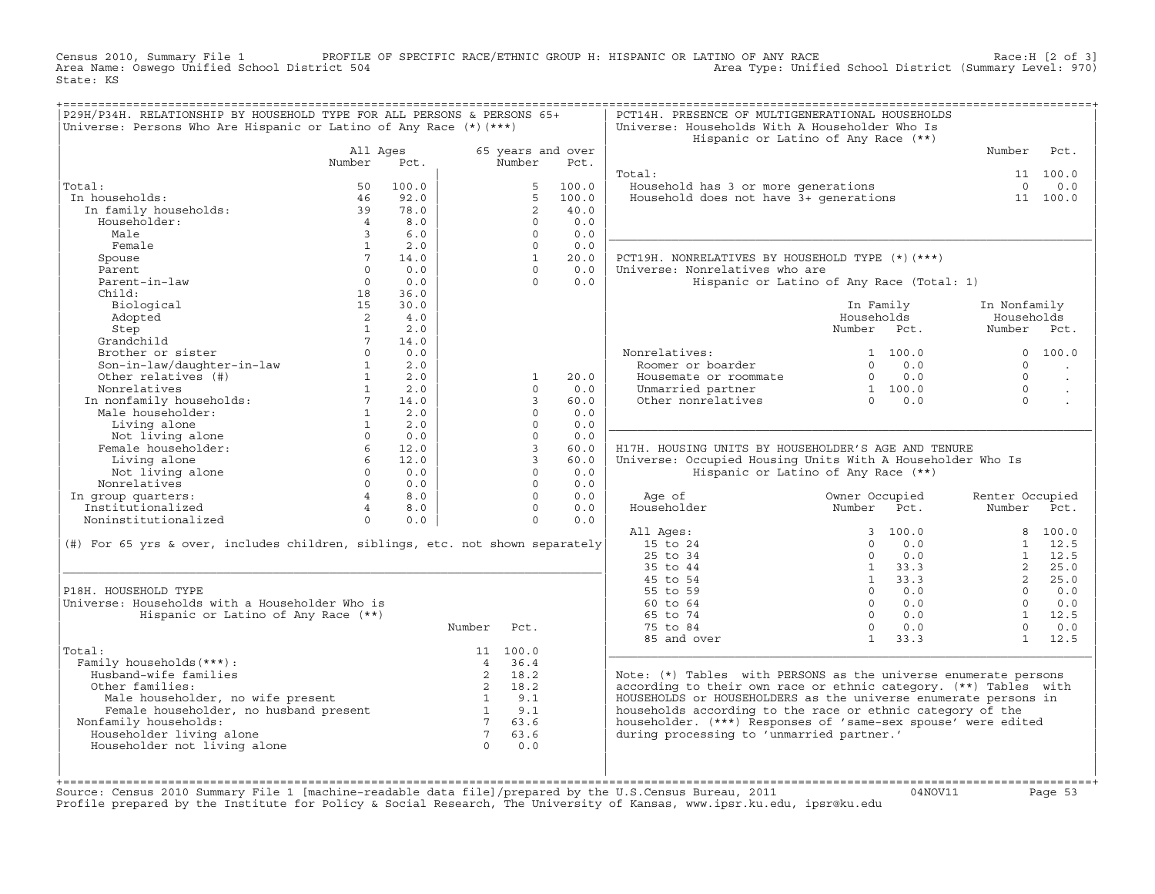Census 2010, Summary File 1 PROFILE OF SPECIFIC RACE/ETHNIC GROUP H: HISPANIC OR LATINO OF ANY RACE Race:H [2 of 3]<br>Area Name: Oswego Unified School District 504 Area Type: Unified School District (Summary Level: 970) Area Type: Unified School District (Summary Level: 970) State: KS

| P29H/P34H. RELATIONSHIP BY HOUSEHOLD TYPE FOR ALL PERSONS & PERSONS 65+<br>Universe: Persons Who Are Hispanic or Latino of Any Race (*) (***) |                   |             |                    |                   |             | PCT14H. PRESENCE OF MULTIGENERATIONAL HOUSEHOLDS<br>Universe: Households With A Householder Who Is |                                           |                 |                      |
|-----------------------------------------------------------------------------------------------------------------------------------------------|-------------------|-------------|--------------------|-------------------|-------------|----------------------------------------------------------------------------------------------------|-------------------------------------------|-----------------|----------------------|
|                                                                                                                                               |                   |             |                    |                   |             |                                                                                                    | Hispanic or Latino of Any Race (**)       |                 |                      |
|                                                                                                                                               | All Ages          |             |                    | 65 years and over |             |                                                                                                    |                                           | Number          | Pct.                 |
|                                                                                                                                               | Number            | Pct.        |                    | Number            | Pct.        |                                                                                                    |                                           |                 |                      |
|                                                                                                                                               |                   |             |                    |                   |             | Total:                                                                                             |                                           |                 | 11 100.0             |
| Total:                                                                                                                                        | 50                | 100.0       |                    | -5                | 100.0       | Household has 3 or more generations                                                                |                                           | $\Omega$        | 0.0                  |
| In households:                                                                                                                                | 46                | 92.0        |                    | 5                 | 100.0       | Household does not have $3+$ generations                                                           |                                           |                 | 11 100.0             |
| In family households:                                                                                                                         | 39                | 78.0        |                    | 2                 | 40.0        |                                                                                                    |                                           |                 |                      |
| Householder:                                                                                                                                  | $\overline{4}$    | 8.0         |                    | $\Omega$          | 0.0         |                                                                                                    |                                           |                 |                      |
| Male                                                                                                                                          | $\overline{3}$    | 6.0         |                    | $\Omega$          | 0.0         |                                                                                                    |                                           |                 |                      |
| Female                                                                                                                                        | $\mathbf{1}$      | 2.0         |                    | $\Omega$          | 0.0         |                                                                                                    |                                           |                 |                      |
| Spouse                                                                                                                                        | $7^{\circ}$       | 14.0        |                    | <sup>1</sup>      | 20.0        | PCT19H. NONRELATIVES BY HOUSEHOLD TYPE (*) (***)                                                   |                                           |                 |                      |
| Parent                                                                                                                                        | $\Omega$          | 0.0         |                    | $\Omega$          | 0.0         | Universe: Nonrelatives who are                                                                     |                                           |                 |                      |
| Parent-in-law                                                                                                                                 | $\Omega$          | 0.0         |                    | $\Omega$          | 0.0         |                                                                                                    | Hispanic or Latino of Any Race (Total: 1) |                 |                      |
| Child:                                                                                                                                        | 18                | 36.0        |                    |                   |             |                                                                                                    |                                           |                 |                      |
| Biological                                                                                                                                    | 15                | 30.0        |                    |                   |             |                                                                                                    | In Family                                 | In Nonfamily    |                      |
| Adopted                                                                                                                                       | 2                 | 4.0         |                    |                   |             |                                                                                                    | Households                                | Households      |                      |
| Step                                                                                                                                          | $\mathbf{1}$      | 2.0         |                    |                   |             |                                                                                                    | Number Pct.                               | Number Pct.     |                      |
| Grandchild                                                                                                                                    | $7^{\circ}$       | 14.0        |                    |                   |             |                                                                                                    |                                           |                 |                      |
| Brother or sister                                                                                                                             | $\Omega$          | 0.0         |                    |                   |             | Nonrelatives:                                                                                      | 1, 100, 0                                 |                 | 0, 100, 0            |
| Son-in-law/daughter-in-law                                                                                                                    | $\mathbf{1}$      | 2.0         |                    |                   |             | Roomer or boarder                                                                                  | 0.0<br>$\Omega$                           | $\Omega$        |                      |
| Other relatives (#)                                                                                                                           | $1 \qquad \qquad$ | 2.0         |                    | <sup>1</sup>      | 20.0        | Housemate or roommate                                                                              | $0 \t 0.0$                                | $\Omega$        | $\ddot{\phantom{a}}$ |
| Nonrelatives                                                                                                                                  | 1                 | 2.0         |                    | $\Omega$          | 0.0         |                                                                                                    | 1 100.0                                   | $\cap$          |                      |
|                                                                                                                                               | 7                 |             |                    | 3                 |             | Unmarried partner<br>Other nonrelatives                                                            | $\frac{1}{0}$ 0.0                         | $\Omega$        |                      |
| In nonfamily households:<br>Male householder:                                                                                                 | 1                 | 14.0<br>2.0 |                    | $\Omega$          | 60.0<br>0.0 |                                                                                                    |                                           |                 |                      |
|                                                                                                                                               | 1                 | 2.0         |                    | $\Omega$          | 0.0         |                                                                                                    |                                           |                 |                      |
| Living alone                                                                                                                                  |                   |             |                    |                   |             |                                                                                                    |                                           |                 |                      |
| Not living alone                                                                                                                              | $\Omega$          | 0.0         |                    | $\Omega$          | 0.0         |                                                                                                    |                                           |                 |                      |
| Female householder:                                                                                                                           | 6                 | 12.0        |                    | $\overline{3}$    | 60.0        | H17H. HOUSING UNITS BY HOUSEHOLDER'S AGE AND TENURE                                                |                                           |                 |                      |
| Living alone                                                                                                                                  | 6                 | 12.0        |                    | $\mathbf{3}$      | 60.0        | Universe: Occupied Housing Units With A Householder Who Is                                         |                                           |                 |                      |
| Not living alone                                                                                                                              | $\Omega$          | 0.0         |                    | $\Omega$          | 0.0         |                                                                                                    | Hispanic or Latino of Any Race (**)       |                 |                      |
| Nonrelatives                                                                                                                                  | $\Omega$          | 0.0         |                    | $\Omega$          | 0.0         |                                                                                                    |                                           |                 |                      |
| In group quarters:                                                                                                                            | $4 \quad$         | 8.0         |                    | $\Omega$          | 0.0         | Age of                                                                                             | Owner Occupied                            | Renter Occupied |                      |
| Institutionalized                                                                                                                             | $\overline{4}$    | 8.0         |                    | $\Omega$          | 0.0         | Householder                                                                                        | Number<br>Pct.                            | Number Pct.     |                      |
| Noninstitutionalized                                                                                                                          | $\Omega$          | 0.0         |                    | $\Omega$          | 0.0         |                                                                                                    |                                           |                 |                      |
|                                                                                                                                               |                   |             |                    |                   |             |                                                                                                    |                                           |                 |                      |
|                                                                                                                                               |                   |             |                    |                   |             | All Ages:                                                                                          | 3, 100.0                                  |                 | 8 100.0              |
| $(\#)$ For 65 yrs & over, includes children, siblings, etc. not shown separately                                                              |                   |             |                    |                   |             | 15 to 24                                                                                           | $\Omega$<br>0.0                           |                 | $1 \quad 12.5$       |
|                                                                                                                                               |                   |             |                    |                   |             | 25 to 34                                                                                           | $\Omega$<br>0.0                           | 1               | 12.5                 |
|                                                                                                                                               |                   |             |                    |                   |             | 35 to 44                                                                                           | $1 \t33.3$                                | $2^{\circ}$     | 25.0                 |
|                                                                                                                                               |                   |             |                    |                   |             | 45 to 54                                                                                           | $1 \quad 33.3$                            | $2^{\circ}$     | 25.0                 |
| P18H. HOUSEHOLD TYPE                                                                                                                          |                   |             |                    |                   |             | 55 to 59                                                                                           | $\Omega$<br>0.0                           | $\cap$          | 0.0                  |
| Universe: Households with a Householder Who is                                                                                                |                   |             |                    |                   |             | 60 to 64                                                                                           | $\Omega$<br>0.0                           | $\Omega$        | 0.0                  |
| Hispanic or Latino of Any Race (**)                                                                                                           |                   |             |                    |                   |             | 65 to 74                                                                                           | $\Omega$<br>0.0                           |                 | $1 \t12.5$           |
|                                                                                                                                               |                   |             | Number             | Pct.              |             | 75 to 84                                                                                           | $\Omega$<br>0.0                           | $\Omega$        | 0.0                  |
|                                                                                                                                               |                   |             |                    |                   |             | 85 and over                                                                                        | $1 \t33.3$                                |                 | 1 12.5               |
| Total:                                                                                                                                        |                   |             |                    | 11 100.0          |             |                                                                                                    |                                           |                 |                      |
| Family households (***):                                                                                                                      |                   |             |                    | 4 36.4            |             |                                                                                                    |                                           |                 |                      |
| Husband-wife families                                                                                                                         |                   |             | 2                  | 18.2              |             |                                                                                                    |                                           |                 |                      |
| Other families:                                                                                                                               |                   |             |                    | 2 18.2            |             | Note: (*) Tables with PERSONS as the universe enumerate persons                                    |                                           |                 |                      |
|                                                                                                                                               |                   |             |                    | $1 \t 9.1$        |             | according to their own race or ethnic category. (**) Tables with                                   |                                           |                 |                      |
| Male householder, no wife present                                                                                                             |                   |             |                    |                   |             | HOUSEHOLDS or HOUSEHOLDERS as the universe enumerate persons in                                    |                                           |                 |                      |
| Female householder, no husband present                                                                                                        |                   |             | $\overline{1}$ 9.1 | 7 63.6            |             | households according to the race or ethnic category of the                                         |                                           |                 |                      |
| Nonfamily households:                                                                                                                         |                   |             | $7\overline{7}$    | 63.6              |             | householder. (***) Responses of 'same-sex spouse' were edited                                      |                                           |                 |                      |
| Householder living alone                                                                                                                      |                   |             | $\bigcap$          |                   |             | during processing to 'unmarried partner.'                                                          |                                           |                 |                      |
| Householder not living alone                                                                                                                  |                   |             |                    | 0.0               |             |                                                                                                    |                                           |                 |                      |

+===================================================================================================================================================+Source: Census 2010 Summary File 1 [machine−readable data file]/prepared by the U.S.Census Bureau, 2011 04NOV11 Page 53 Profile prepared by the Institute for Policy & Social Research, The University of Kansas, www.ipsr.ku.edu, ipsr@ku.edu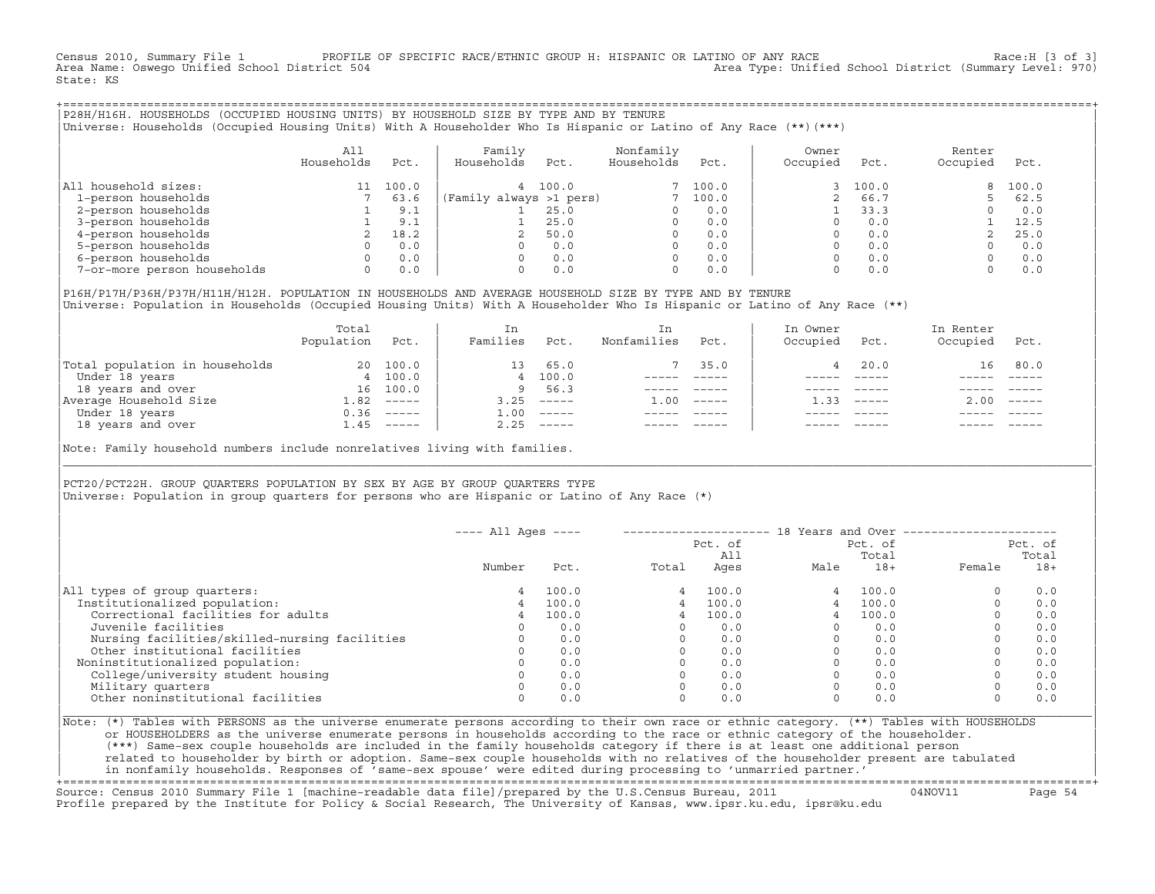Census 2010, Summary File 1 PROFILE OF SPECIFIC RACE/ETHNIC GROUP H: HISPANIC OR LATINO OF ANY RACE RACE Race:H [3 of 3]<br>Area Name: Oswego Unified School District 504 area Type: Unified School District (Summary Level: 970) Area Type: Unified School District (Summary Level: 970) State: KS

+===================================================================================================================================================+|P28H/H16H. HOUSEHOLDS (OCCUPIED HOUSING UNITS) BY HOUSEHOLD SIZE BY TYPE AND BY TENURE | |Universe: Households (Occupied Housing Units) With A Householder Who Is Hispanic or Latino of Any Race (\*\*)(\*\*\*) |

|                             | All<br>Households | Pct.  | Family<br>Households    | Pct.  | Nonfamily<br>Households | Pct.     | Owner<br>Occupied | Pct.  | Renter<br>Occupied | Pct.  |
|-----------------------------|-------------------|-------|-------------------------|-------|-------------------------|----------|-------------------|-------|--------------------|-------|
| household sizes:<br>All     |                   | 100.0 |                         | 100.0 |                         | 7, 100.0 |                   | 100.0 | 8                  | 100.0 |
| 1-person households         |                   | 63.6  | (Family always >1 pers) |       |                         | 100.0    |                   | 66.7  |                    | 62.5  |
| 2-person households         |                   | 9.1   |                         | 25.0  | $\Omega$                | 0.0      |                   | 33.3  |                    | 0.0   |
| 3-person households         |                   | 9.1   |                         | 25.0  | $\Omega$                | 0.0      |                   | 0.0   |                    | 12.5  |
| 4-person households         |                   | 18.2  |                         | 50.0  | $\Omega$                | 0.0      |                   | 0.0   |                    | 25.0  |
| 5-person households         |                   | 0.0   |                         | 0.0   | $\Omega$                | 0.0      |                   | 0.0   |                    | 0.0   |
| 6-person households         |                   | 0.0   |                         | 0.0   | $\Omega$                | 0.0      |                   | 0.0   |                    | 0.0   |
| 7-or-more person households | $\Omega$          | 0.0   |                         | 0.0   | 0                       | 0.0      |                   | 0.0   |                    | 0.0   |

|P16H/P17H/P36H/P37H/H11H/H12H. POPULATION IN HOUSEHOLDS AND AVERAGE HOUSEHOLD SIZE BY TYPE AND BY TENURE | Universe: Population in Households (Occupied Housing Units) With A Householder Who Is Hispanic or Latino of Any Race (\*\*)

|                                | Total<br>Population | Pct.     | In<br>Families     | Pct.     | In.<br>Nonfamilies | Pct.     | In Owner<br>Occupied | Pct.          | In Renter<br>Occupied | Pct.                      |
|--------------------------------|---------------------|----------|--------------------|----------|--------------------|----------|----------------------|---------------|-----------------------|---------------------------|
| Total population in households | 20                  | 100.0    | 13                 | 65.0     |                    | 35.0     |                      | 20.0          | 16                    | 80.0                      |
| Under 18 years                 |                     | 4 100.0  |                    | 4 100.0  |                    |          |                      |               |                       |                           |
| 18 years and over              | 16                  | 100.0    | 9                  | 56.3     |                    |          |                      |               |                       |                           |
| Average Household Size         | 1.82                | $------$ | 3.25               | $------$ | 1.00               | $------$ | 33                   | $- - - - - -$ | 2.00                  | $\qquad \qquad - - - - -$ |
| Under 18 years                 | 0.36                | ______   | $\overline{1}$ .00 | $------$ |                    |          |                      |               |                       |                           |
| 18 years and over              | 1.45                | ______   | 2.25               |          |                    |          |                      | $- - - - -$   |                       | $- - - - -$               |
|                                |                     |          |                    |          |                    |          |                      |               |                       |                           |

Note: Family household numbers include nonrelatives living with families.

| | PCT20/PCT22H. GROUP OUARTERS POPULATION BY SEX BY AGE BY GROUP OUARTERS TYPE Universe: Population in group quarters for persons who are Hispanic or Latino of Any Race (\*)

|                                               | $---$ All Ages $---$ |       |       |                | 18 Years and Over -- |                  |                  |       |  |
|-----------------------------------------------|----------------------|-------|-------|----------------|----------------------|------------------|------------------|-------|--|
|                                               |                      |       |       | Pct. of<br>All |                      | Pct. of<br>Total | Pct. of<br>Total |       |  |
|                                               | Number               | Pct.  | Total | Ages           | Male                 | $18+$            | Female           | $18+$ |  |
| All types of group quarters:                  | 4                    | 100.0 | 4     | 100.0          |                      | 100.0            |                  | 0.0   |  |
| Institutionalized population:                 | 4                    | 100.0 | 4     | 100.0          |                      | 100.0            |                  | 0.0   |  |
| Correctional facilities for adults            | 4                    | 100.0 | 4     | 100.0          |                      | 100.0            |                  | 0.0   |  |
| Juvenile facilities                           |                      | 0.0   |       | 0.0            |                      | 0.0              |                  | 0.0   |  |
| Nursing facilities/skilled-nursing facilities |                      | 0.0   |       | 0.0            |                      | 0.0              |                  | 0.0   |  |
| Other institutional facilities                |                      | 0.0   |       | 0.0            |                      | 0.0              |                  | 0.0   |  |
| Noninstitutionalized population:              |                      | 0.0   |       | 0.0            |                      | 0.0              |                  | 0.0   |  |
| College/university student housing            |                      | 0.0   |       | 0.0            |                      | 0.0              |                  | 0.0   |  |
| Military quarters                             |                      | 0.0   |       | 0.0            |                      | 0.0              |                  | 0.0   |  |
| Other noninstitutional facilities             |                      | 0.0   |       | 0.0            |                      | 0.0              |                  | 0.0   |  |

|\_\_\_\_\_\_\_\_\_\_\_\_\_\_\_\_\_\_\_\_\_\_\_\_\_\_\_\_\_\_\_\_\_\_\_\_\_\_\_\_\_\_\_\_\_\_\_\_\_\_\_\_\_\_\_\_\_\_\_\_\_\_\_\_\_\_\_\_\_\_\_\_\_\_\_\_\_\_\_\_\_\_\_\_\_\_\_\_\_\_\_\_\_\_\_\_\_\_\_\_\_\_\_\_\_\_\_\_\_\_\_\_\_\_\_\_\_\_\_\_\_\_\_\_\_\_\_\_\_\_\_\_\_\_\_\_\_\_\_\_\_\_\_\_\_\_\_|

| |

|Note: (\*) Tables with PERSONS as the universe enumerate persons according to their own race or ethnic category. (\*\*) Tables with HOUSEHOLDS | or HOUSEHOLDERS as the universe enumerate persons in households according to the race or ethnic category of the householder. | (\*\*\*) Same−sex couple households are included in the family households category if there is at least one additional person | | related to householder by birth or adoption. Same−sex couple households with no relatives of the householder present are tabulated | | in nonfamily households. Responses of 'same−sex spouse' were edited during processing to 'unmarried partner.' |

+===================================================================================================================================================+ Source: Census 2010 Summary File 1 [machine−readable data file]/prepared by the U.S.Census Bureau, 2011 04NOV11 Page 54 Profile prepared by the Institute for Policy & Social Research, The University of Kansas, www.ipsr.ku.edu, ipsr@ku.edu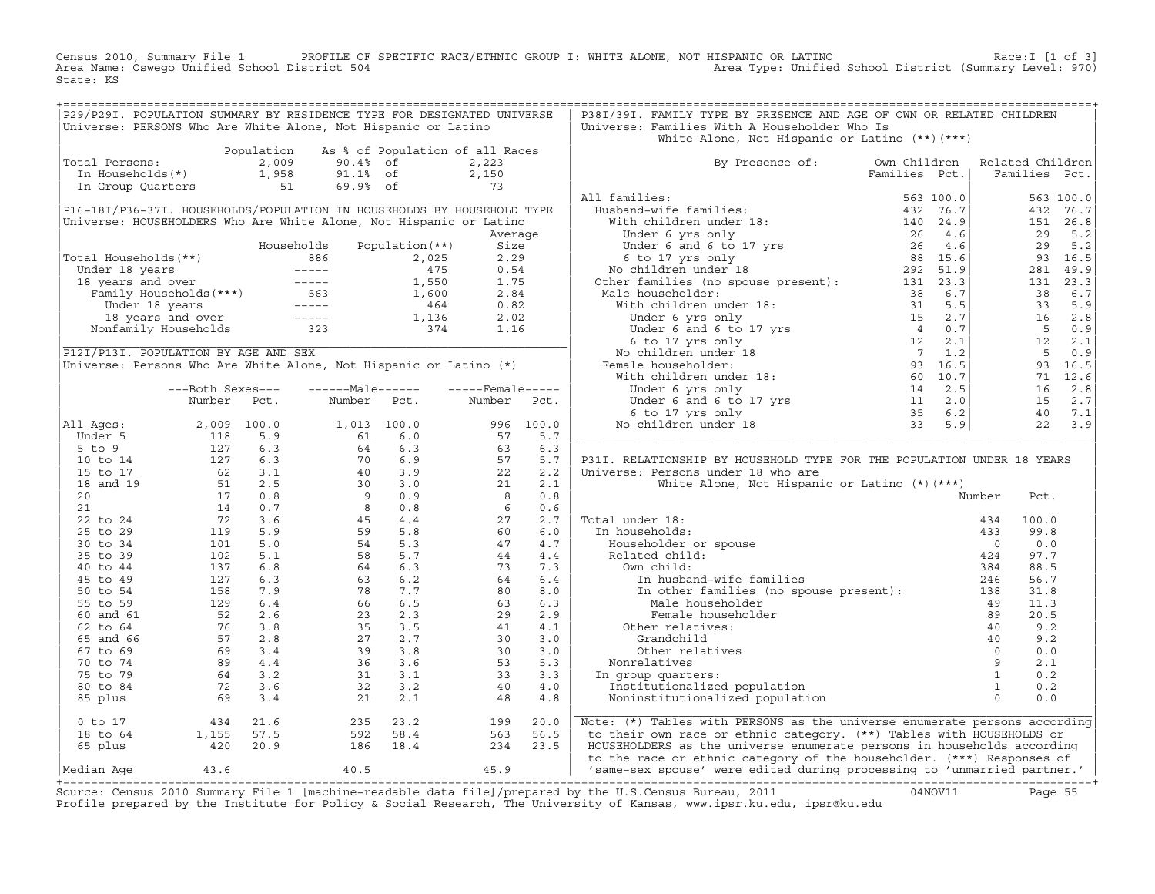Census 2010, Summary File 1 PROFILE OF SPECIFIC RACE/ETHNIC GROUP I: WHITE ALONE, NOT HISPANIC OR LATINO Race:I [1 of 3] Area Name: Oswego Unified School District 504 Area Type: Unified School District (Summary Level: 970) State: KS

| P29/P29I. POPULATION SUMMARY BY RESIDENCE TYPE FOR DESIGNATED UNIVERSE                                                                                                                                                                                                                                              |                                                                                                                     |            |                                                                                                                                                                                                                                                                                            |                                 |                                                                           |           | P38I/39I. FAMILY TYPE BY PRESENCE AND AGE OF OWN OR RELATED CHILDREN                                             |               |               |       |                |
|---------------------------------------------------------------------------------------------------------------------------------------------------------------------------------------------------------------------------------------------------------------------------------------------------------------------|---------------------------------------------------------------------------------------------------------------------|------------|--------------------------------------------------------------------------------------------------------------------------------------------------------------------------------------------------------------------------------------------------------------------------------------------|---------------------------------|---------------------------------------------------------------------------|-----------|------------------------------------------------------------------------------------------------------------------|---------------|---------------|-------|----------------|
| Universe: PERSONS Who Are White Alone, Not Hispanic or Latino                                                                                                                                                                                                                                                       |                                                                                                                     |            |                                                                                                                                                                                                                                                                                            |                                 |                                                                           |           | Universe: Families With A Householder Who Is                                                                     |               |               |       |                |
|                                                                                                                                                                                                                                                                                                                     |                                                                                                                     |            |                                                                                                                                                                                                                                                                                            |                                 |                                                                           |           | White Alone, Not Hispanic or Latino (**) (***)                                                                   |               |               |       |                |
|                                                                                                                                                                                                                                                                                                                     |                                                                                                                     | Population |                                                                                                                                                                                                                                                                                            | As % of Population of all Races |                                                                           |           |                                                                                                                  |               |               |       |                |
| Total Persons:                                                                                                                                                                                                                                                                                                      |                                                                                                                     |            | ULAL PETSONS: $2,009$ 90.4% of<br>In Households(*) 1,958 91.1% of<br>In Group Quarters 51 69.9% of                                                                                                                                                                                         |                                 | 2,223                                                                     |           | By Presence of: Own Children Related Children                                                                    |               |               |       |                |
|                                                                                                                                                                                                                                                                                                                     |                                                                                                                     |            |                                                                                                                                                                                                                                                                                            |                                 |                                                                           |           |                                                                                                                  | Families Pct. | Families Pct. |       |                |
|                                                                                                                                                                                                                                                                                                                     |                                                                                                                     |            |                                                                                                                                                                                                                                                                                            |                                 | $2,150$<br>73                                                             |           |                                                                                                                  |               |               |       |                |
|                                                                                                                                                                                                                                                                                                                     |                                                                                                                     |            |                                                                                                                                                                                                                                                                                            |                                 |                                                                           |           | All families:                                                                                                    |               |               |       | 563 100.0      |
| P16-18I/P36-37I. HOUSEHOLDS/POPULATION IN HOUSEHOLDS BY HOUSEHOLD TYPE                                                                                                                                                                                                                                              |                                                                                                                     |            |                                                                                                                                                                                                                                                                                            |                                 |                                                                           |           |                                                                                                                  |               |               |       | 432 76.7       |
| Universe: HOUSEHOLDERS Who Are White Alone, Not Hispanic or Latino                                                                                                                                                                                                                                                  |                                                                                                                     |            |                                                                                                                                                                                                                                                                                            |                                 |                                                                           |           |                                                                                                                  |               |               |       | 151 26.8       |
|                                                                                                                                                                                                                                                                                                                     |                                                                                                                     |            |                                                                                                                                                                                                                                                                                            |                                 | Average                                                                   |           |                                                                                                                  |               |               |       | 29 5.2         |
|                                                                                                                                                                                                                                                                                                                     |                                                                                                                     |            | Households                                                                                                                                                                                                                                                                                 | Population (**)                 | Size                                                                      |           |                                                                                                                  |               |               | 29    | 5.2            |
| Total Households(**)                                                                                                                                                                                                                                                                                                |                                                                                                                     |            |                                                                                                                                                                                                                                                                                            |                                 |                                                                           |           |                                                                                                                  |               |               |       | 93 16.5        |
|                                                                                                                                                                                                                                                                                                                     |                                                                                                                     |            |                                                                                                                                                                                                                                                                                            |                                 |                                                                           |           |                                                                                                                  |               |               |       | 281 49.9       |
|                                                                                                                                                                                                                                                                                                                     |                                                                                                                     |            |                                                                                                                                                                                                                                                                                            |                                 |                                                                           |           |                                                                                                                  |               |               |       | 131 23.3       |
|                                                                                                                                                                                                                                                                                                                     |                                                                                                                     |            |                                                                                                                                                                                                                                                                                            |                                 |                                                                           |           |                                                                                                                  |               |               | 38    | 6.7            |
|                                                                                                                                                                                                                                                                                                                     |                                                                                                                     |            |                                                                                                                                                                                                                                                                                            |                                 |                                                                           |           |                                                                                                                  |               |               |       | 33 5.9         |
|                                                                                                                                                                                                                                                                                                                     |                                                                                                                     |            |                                                                                                                                                                                                                                                                                            |                                 |                                                                           |           |                                                                                                                  |               |               |       | 16 2.8         |
|                                                                                                                                                                                                                                                                                                                     |                                                                                                                     |            |                                                                                                                                                                                                                                                                                            |                                 |                                                                           |           |                                                                                                                  |               |               |       | 50.9           |
|                                                                                                                                                                                                                                                                                                                     |                                                                                                                     |            | 61 Households (**)<br>686 2,025 2.29<br>686 2,025 2.29<br>686 2,025 2.29<br>75 0.54<br>75 0.54<br>75 0.54<br>75 0.54<br>75 0.54<br>75 1,550 1.75<br>76 1,550 1.75<br>76 1,600 2.84<br>76 1,600 2.84<br>78 1,600 2.84<br>8 1,600 2.84<br>8 1,600 2.84<br>8 1,60                             |                                 |                                                                           |           |                                                                                                                  |               |               |       | 12 2.1         |
| P12I/P13I. POPULATION BY AGE AND SEX                                                                                                                                                                                                                                                                                |                                                                                                                     |            |                                                                                                                                                                                                                                                                                            |                                 |                                                                           |           |                                                                                                                  |               |               |       | 50.9           |
| Universe: Persons Who Are White Alone, Not Hispanic or Latino (*)                                                                                                                                                                                                                                                   |                                                                                                                     |            |                                                                                                                                                                                                                                                                                            |                                 |                                                                           |           |                                                                                                                  |               |               |       | 93 16.5        |
|                                                                                                                                                                                                                                                                                                                     |                                                                                                                     |            |                                                                                                                                                                                                                                                                                            |                                 |                                                                           |           |                                                                                                                  |               |               |       | 71 12.6        |
|                                                                                                                                                                                                                                                                                                                     | ---Both Sexes---                                                                                                    |            | ------Male------                                                                                                                                                                                                                                                                           |                                 | $---$ Female $---$                                                        |           |                                                                                                                  |               |               |       | 16 2.8         |
|                                                                                                                                                                                                                                                                                                                     | Number                                                                                                              | Pct.       | Number Pct.                                                                                                                                                                                                                                                                                |                                 | Number                                                                    | Pct.      |                                                                                                                  |               |               |       | 15 2.7         |
|                                                                                                                                                                                                                                                                                                                     |                                                                                                                     |            |                                                                                                                                                                                                                                                                                            |                                 |                                                                           |           |                                                                                                                  |               |               |       | 40 7.1         |
| All Ages:                                                                                                                                                                                                                                                                                                           |                                                                                                                     |            |                                                                                                                                                                                                                                                                                            |                                 |                                                                           | 996 100.0 |                                                                                                                  |               |               |       | $22 \quad 3.9$ |
|                                                                                                                                                                                                                                                                                                                     |                                                                                                                     |            |                                                                                                                                                                                                                                                                                            |                                 |                                                                           | 5.7       |                                                                                                                  |               |               |       |                |
|                                                                                                                                                                                                                                                                                                                     |                                                                                                                     |            |                                                                                                                                                                                                                                                                                            |                                 | 996<br>57<br>63<br>57<br>22<br>22<br>8<br>6<br>6<br>4<br>4<br>4<br>4<br>3 | 6.3       |                                                                                                                  |               |               |       |                |
|                                                                                                                                                                                                                                                                                                                     |                                                                                                                     |            |                                                                                                                                                                                                                                                                                            |                                 |                                                                           | 5.7       | P31I. RELATIONSHIP BY HOUSEHOLD TYPE FOR THE POPULATION UNDER 18 YEARS                                           |               |               |       |                |
|                                                                                                                                                                                                                                                                                                                     |                                                                                                                     |            |                                                                                                                                                                                                                                                                                            |                                 |                                                                           | 2.2       | Universe: Persons under 18 who are                                                                               |               |               |       |                |
|                                                                                                                                                                                                                                                                                                                     |                                                                                                                     |            |                                                                                                                                                                                                                                                                                            |                                 |                                                                           | 2.1       | White Alone, Not Hispanic or Latino (*) (***)                                                                    |               |               |       |                |
|                                                                                                                                                                                                                                                                                                                     |                                                                                                                     |            |                                                                                                                                                                                                                                                                                            |                                 |                                                                           | 0.8       |                                                                                                                  |               | Number        | Pct.  |                |
|                                                                                                                                                                                                                                                                                                                     |                                                                                                                     |            |                                                                                                                                                                                                                                                                                            |                                 |                                                                           | 0.6       |                                                                                                                  |               |               |       |                |
|                                                                                                                                                                                                                                                                                                                     |                                                                                                                     |            |                                                                                                                                                                                                                                                                                            |                                 |                                                                           | 2.7       | al under 18:<br>n households:<br>Householder or spouse<br>Related child:<br>Own child:<br>Total under 18:        |               | 434           | 100.0 |                |
|                                                                                                                                                                                                                                                                                                                     |                                                                                                                     |            |                                                                                                                                                                                                                                                                                            |                                 |                                                                           | 6.0       | In households:                                                                                                   |               | 433           | 99.8  |                |
|                                                                                                                                                                                                                                                                                                                     |                                                                                                                     |            |                                                                                                                                                                                                                                                                                            |                                 |                                                                           | 4.7       |                                                                                                                  |               | $\circ$       | 0.0   |                |
|                                                                                                                                                                                                                                                                                                                     |                                                                                                                     |            |                                                                                                                                                                                                                                                                                            |                                 |                                                                           | 4.4       |                                                                                                                  |               | 424           | 97.7  |                |
|                                                                                                                                                                                                                                                                                                                     |                                                                                                                     |            |                                                                                                                                                                                                                                                                                            |                                 | 73                                                                        | 7.3       |                                                                                                                  |               | 384           | 88.5  |                |
|                                                                                                                                                                                                                                                                                                                     |                                                                                                                     |            |                                                                                                                                                                                                                                                                                            |                                 | 64                                                                        | 6.4       | In husband-wife families                                                                                         |               | 246           | 56.7  |                |
|                                                                                                                                                                                                                                                                                                                     |                                                                                                                     |            |                                                                                                                                                                                                                                                                                            |                                 | 80                                                                        | 8.0       | In other families (no spouse present): 138                                                                       |               |               | 31.8  |                |
|                                                                                                                                                                                                                                                                                                                     |                                                                                                                     |            |                                                                                                                                                                                                                                                                                            |                                 | 63                                                                        | 6.3       | Male householder                                                                                                 |               | 49            | 11.3  |                |
| 10 Ages: 2,009 100.0<br>10 Ages: 2,009 100.0<br>5 to 9<br>10 to 14<br>15 to 17<br>18 and 19<br>5 127<br>6.3<br>127<br>6.3<br>127<br>6.3<br>20<br>17<br>6.2<br>13.1<br>20<br>17<br>6.2<br>14<br>0.7<br>25<br>14<br>0.8<br>25<br>26<br>14<br>0.8<br>25<br>26<br>14<br>0.8<br>3.6<br>25<br>26<br>29<br>11<br>60 and 61 |                                                                                                                     |            |                                                                                                                                                                                                                                                                                            |                                 | 29                                                                        | 2.9       | Female householder                                                                                               |               | 89            | 20.5  |                |
| 62 to 64                                                                                                                                                                                                                                                                                                            |                                                                                                                     |            |                                                                                                                                                                                                                                                                                            |                                 | 41                                                                        | 4.1       | Other relatives:                                                                                                 |               | 40            | 9.2   |                |
| 65 and 66                                                                                                                                                                                                                                                                                                           |                                                                                                                     |            |                                                                                                                                                                                                                                                                                            |                                 | 30                                                                        | 3.0       | Grandchild                                                                                                       |               |               | 9.2   |                |
| 67 to 69                                                                                                                                                                                                                                                                                                            |                                                                                                                     |            |                                                                                                                                                                                                                                                                                            |                                 | 30                                                                        | 3.0       | Other relatives                                                                                                  |               |               | 0.0   |                |
| 70 to 74                                                                                                                                                                                                                                                                                                            |                                                                                                                     |            |                                                                                                                                                                                                                                                                                            |                                 | 53                                                                        | 5.3       | Nonrelatives                                                                                                     |               |               | 2.1   |                |
| 75 to 79                                                                                                                                                                                                                                                                                                            |                                                                                                                     |            |                                                                                                                                                                                                                                                                                            |                                 | 33                                                                        | 3.3       | In group quarters:                                                                                               |               |               | 0.2   |                |
| 80 to 84                                                                                                                                                                                                                                                                                                            |                                                                                                                     |            |                                                                                                                                                                                                                                                                                            |                                 | 40                                                                        | 4.0       | Institutionalized population                                                                                     |               |               | 0.2   |                |
| 85 plus                                                                                                                                                                                                                                                                                                             | $129$<br>$52$<br>$76$<br>$3.8$<br>$57$<br>$2.8$<br>$69$<br>$3.4$<br>$64$<br>$3.2$<br>$72$<br>$3.6$<br>$69$<br>$3.4$ |            | 1, 013 100.0<br>61 6.0<br>70 6.9<br>70 6.9<br>40 3.9<br>30 3.0<br>9 0.9<br>8 0.8<br>8 45 4.4<br>59 5.8<br>54 5.3<br>54 6.7<br>64 6.3<br>63 6.2<br>78 7.7<br>66 6.5<br>78 7.7<br>66 6.5<br>78 7.7<br>66 6.5<br>78 7.7<br>66 6.5<br>78 7.7<br>66 6.5<br>78 7.7<br>66 6.5<br>78 7.7<br><br>21 | 2.1                             | 48                                                                        | 4.8       | $\begin{array}{c}\n 0 \\  9 \\  \hline\n 1 \\  1 \\  0\n\end{array}$<br>Noninstitutionalized population          |               |               | 0.0   |                |
| 0 to 17                                                                                                                                                                                                                                                                                                             |                                                                                                                     |            |                                                                                                                                                                                                                                                                                            |                                 | 199                                                                       | 20.0      | Note: (*) Tables with PERSONS as the universe enumerate persons according                                        |               |               |       |                |
| 18 to 64                                                                                                                                                                                                                                                                                                            | $\begin{array}{rrrr} & 434 & 21.6 \\ 1,155 & 57.5 \\ & 420 & 20.9 \end{array}$                                      |            | 235 23.2<br>592 58.4<br>186 18.4                                                                                                                                                                                                                                                           |                                 | 563                                                                       | 56.5      | to their own race or ethnic category. (**) Tables with HOUSEHOLDS or                                             |               |               |       |                |
| 65 plus                                                                                                                                                                                                                                                                                                             |                                                                                                                     |            |                                                                                                                                                                                                                                                                                            |                                 | 234                                                                       | 23.5      | HOUSEHOLDERS as the universe enumerate persons in households according                                           |               |               |       |                |
|                                                                                                                                                                                                                                                                                                                     |                                                                                                                     |            |                                                                                                                                                                                                                                                                                            |                                 |                                                                           |           | to the race or ethnic category of the householder. (***) Responses of                                            |               |               |       |                |
| Median Aqe                                                                                                                                                                                                                                                                                                          | 43.6                                                                                                                |            | 40.5                                                                                                                                                                                                                                                                                       | 45.9                            |                                                                           |           | 'same-sex spouse' were edited during processing to 'unmarried partner.'                                          |               |               |       |                |
|                                                                                                                                                                                                                                                                                                                     |                                                                                                                     |            |                                                                                                                                                                                                                                                                                            |                                 |                                                                           |           |                                                                                                                  |               |               |       |                |
|                                                                                                                                                                                                                                                                                                                     |                                                                                                                     |            |                                                                                                                                                                                                                                                                                            |                                 |                                                                           |           | and 0010 and plan the him in the city and the city and the start and and provided and a contract of the property |               |               |       |                |

Source: Census 2010 Summary File 1 [machine-readable data file]/prepared by the U.S.Census Bureau, 2011 Page 55<br>Profile prepared by the Institute for Policy & Social Research, The University of Kansas, www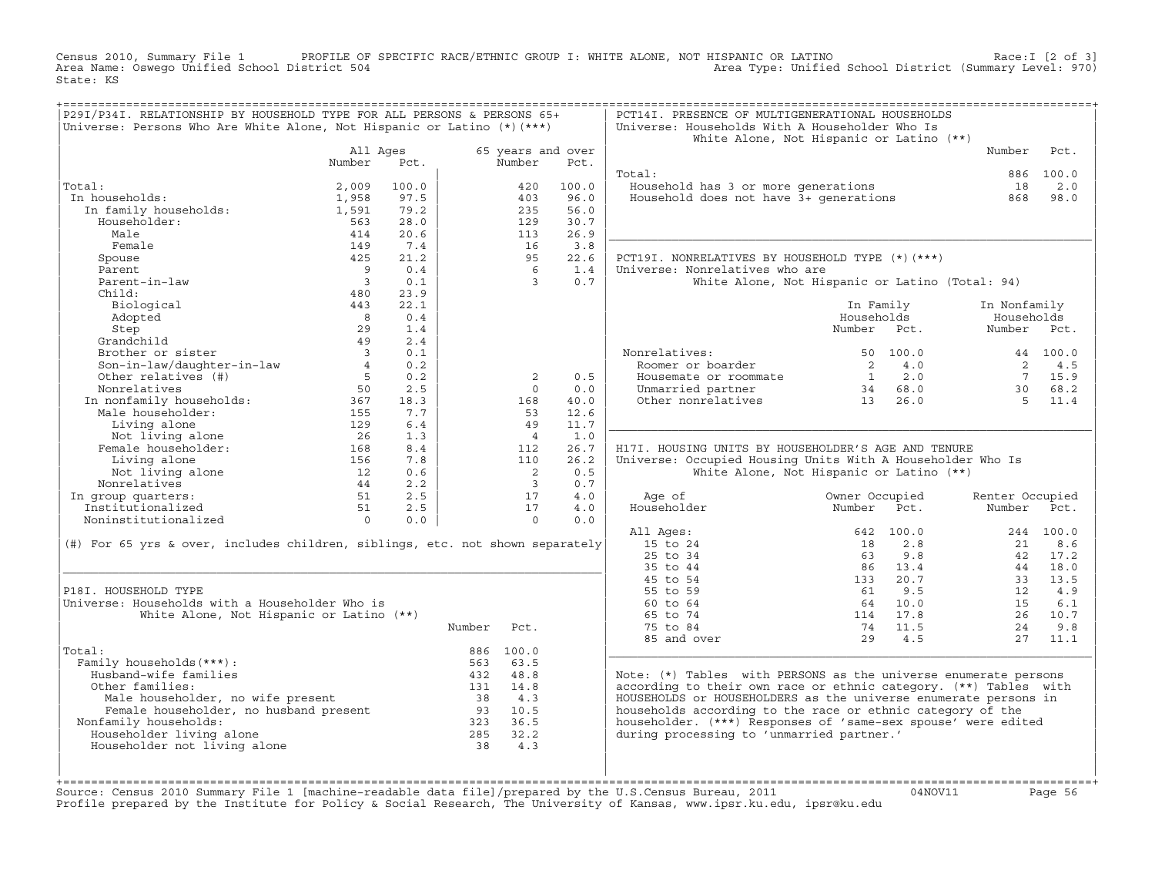Census 2010, Summary File 1 PROFILE OF SPECIFIC RACE/ETHNIC GROUP I: WHITE ALONE, NOT HISPANIC OR LATINO Race:I [2 of 3] Area Name: Oswego Unified School District 504 Area Type: Unified School District (Summary Level: 970) State: KS

| P29I/P34I. RELATIONSHIP BY HOUSEHOLD TYPE FOR ALL PERSONS & PERSONS 65+<br>Universe: Persons Who Are White Alone, Not Hispanic or Latino $(*)$ (***) |                                               |       |                    |                             |       | PCT14I. PRESENCE OF MULTIGENERATIONAL HOUSEHOLDS<br>Universe: Households With A Householder Who Is |                                                      |                 |             |
|------------------------------------------------------------------------------------------------------------------------------------------------------|-----------------------------------------------|-------|--------------------|-----------------------------|-------|----------------------------------------------------------------------------------------------------|------------------------------------------------------|-----------------|-------------|
|                                                                                                                                                      |                                               |       |                    |                             |       |                                                                                                    | White Alone, Not Hispanic or Latino (**)             |                 |             |
|                                                                                                                                                      | All Ages<br>Number                            | Pct.  |                    | 65 years and over<br>Number | Pct.  |                                                                                                    |                                                      | Number          | Pct.        |
|                                                                                                                                                      |                                               |       |                    |                             |       | Total:                                                                                             |                                                      |                 | 886 100.0   |
| Total:                                                                                                                                               | 2,009                                         | 100.0 |                    | 420                         | 100.0 | Household has 3 or more generations                                                                |                                                      | 18              | 2.0         |
| In households:                                                                                                                                       | 1,958                                         | 97.5  |                    | 403                         | 96.0  | Household does not have 3+ generations                                                             |                                                      | 868             | 98.0        |
| In family households:                                                                                                                                | 1,591                                         | 79.2  |                    | 235                         | 56.0  |                                                                                                    |                                                      |                 |             |
| Householder:                                                                                                                                         | 563                                           | 28.0  |                    | 129                         | 30.7  |                                                                                                    |                                                      |                 |             |
| Male                                                                                                                                                 | 414                                           | 20.6  |                    | 113                         | 26.9  |                                                                                                    |                                                      |                 |             |
| Female                                                                                                                                               | 149                                           | 7.4   |                    | 16                          | 3.8   |                                                                                                    |                                                      |                 |             |
| Spouse                                                                                                                                               | 425                                           | 21.2  |                    | 95                          | 22.6  | PCT19I. NONRELATIVES BY HOUSEHOLD TYPE (*) (***)                                                   |                                                      |                 |             |
| Parent                                                                                                                                               | $\overline{9}$                                | 0.4   |                    | 6                           | 1.4   | Universe: Nonrelatives who are                                                                     |                                                      |                 |             |
| Parent-in-law                                                                                                                                        | $\overline{\phantom{a}}$ 3                    | 0.1   |                    | $\overline{3}$              | 0.7   |                                                                                                    | White Alone, Not Hispanic or Latino (Total: 94)      |                 |             |
| Child:                                                                                                                                               | 480                                           | 23.9  |                    |                             |       |                                                                                                    |                                                      |                 |             |
| Biological                                                                                                                                           | 443                                           | 22.1  |                    |                             |       |                                                                                                    | In Family                                            | In Nonfamily    |             |
| Adopted                                                                                                                                              | 8 <sup>8</sup>                                | 0.4   |                    |                             |       |                                                                                                    | Households                                           | Households      |             |
| Step                                                                                                                                                 | 29                                            | 1.4   |                    |                             |       |                                                                                                    | Number Pct.                                          | Number          | Pct.        |
| Grandchild                                                                                                                                           | 49                                            | 2.4   |                    |                             |       |                                                                                                    |                                                      |                 |             |
| Brother or sister                                                                                                                                    | $\overline{\mathbf{3}}$                       | 0.1   |                    |                             |       | Nonrelatives:                                                                                      | 50 100.0                                             |                 | 44 100.0    |
| Son-in-law/daughter-in-law                                                                                                                           | 4                                             | 0.2   |                    |                             |       | Roomer or boarder                                                                                  | $\overline{\phantom{a}}$<br>4.0                      | 2               | 4.5         |
| Other relatives (#)                                                                                                                                  | $5 - 5$                                       | 0.2   |                    | $\overline{2}$              | 0.5   | Housemate or roommate                                                                              | $\begin{array}{cc} 1 & 2.0 \\ 34 & 68.0 \end{array}$ |                 | 7 15.9      |
| Nonrelatives                                                                                                                                         | 50                                            | 2.5   |                    | $\Omega$                    | 0.0   | Unmarried partner                                                                                  |                                                      | 30              | 68.2        |
| In nonfamily households:<br>Male householder:<br>$155$<br>$115$<br>$120$                                                                             |                                               | 18.3  |                    | 168                         | 40.0  | Other nonrelatives                                                                                 | $13$ $26.0$                                          | $5^{\circ}$     | 11.4        |
|                                                                                                                                                      |                                               | 7.7   |                    | 53                          | 12.6  |                                                                                                    |                                                      |                 |             |
| Living alone                                                                                                                                         | 129                                           | 6.4   |                    | 49                          | 11.7  |                                                                                                    |                                                      |                 |             |
| Not living alone                                                                                                                                     |                                               | 1.3   |                    | $\overline{4}$              | 1.0   |                                                                                                    |                                                      |                 |             |
| Female householder:                                                                                                                                  | $\frac{2}{168}$<br>156                        | 8.4   |                    | 112                         | 26.7  | H17I. HOUSING UNITS BY HOUSEHOLDER'S AGE AND TENURE                                                |                                                      |                 |             |
| Living alone                                                                                                                                         | 156                                           | 7.8   |                    | 110                         | 26.2  | Universe: Occupied Housing Units With A Householder Who Is                                         |                                                      |                 |             |
| Not living alone                                                                                                                                     | $\begin{array}{c} 12 \\ 44 \\ 51 \end{array}$ | 0.6   |                    | $\overline{\phantom{0}}$ 2  | 0.5   |                                                                                                    | White Alone, Not Hispanic or Latino (**)             |                 |             |
| Nonrelatives                                                                                                                                         |                                               | 2.2   |                    | $\overline{\phantom{a}}$    | 0.7   |                                                                                                    |                                                      |                 |             |
| In group quarters:                                                                                                                                   |                                               | 2.5   |                    | 17                          | 4.0   | Age of                                                                                             | Owner Occupied                                       | Renter Occupied |             |
| Institutionalized                                                                                                                                    | 51                                            | 2.5   |                    | 17                          | 4.0   | Householder                                                                                        | Number<br>Pct.                                       | Number          | Pct.        |
| Noninstitutionalized                                                                                                                                 | $\Omega$                                      | 0.0   |                    | $\Omega$                    | 0.0   |                                                                                                    |                                                      |                 |             |
|                                                                                                                                                      |                                               |       |                    |                             |       | All Ages:                                                                                          | 642 100.0                                            |                 | $244$ 100.0 |
| (#) For 65 yrs & over, includes children, siblings, etc. not shown separately                                                                        |                                               |       |                    |                             |       | 15 to 24                                                                                           | 2.8<br>18                                            | 21              | 8.6         |
|                                                                                                                                                      |                                               |       |                    |                             |       | 25 to 34                                                                                           | 63<br>9.8                                            |                 | 42 17.2     |
|                                                                                                                                                      |                                               |       |                    |                             |       | 35 to 44                                                                                           | 86 13.4                                              |                 | 44 18.0     |
|                                                                                                                                                      |                                               |       |                    |                             |       | 45 to 54                                                                                           | 133 20.7                                             |                 | 33 13.5     |
| P18I. HOUSEHOLD TYPE                                                                                                                                 |                                               |       |                    |                             |       | 55 to 59<br>60 to 64                                                                               | 9.5<br>61<br>64 10.0                                 | 12<br>15        | 4.9<br>6.1  |
| Universe: Households with a Householder Who is                                                                                                       |                                               |       |                    |                             |       | 65 to 74                                                                                           | 114 17.8                                             |                 | 26 10.7     |
| White Alone, Not Hispanic or Latino (**)                                                                                                             |                                               |       |                    |                             |       |                                                                                                    |                                                      |                 |             |
|                                                                                                                                                      |                                               |       | Number             | Pct.                        |       | 75 to 84                                                                                           | 74 11.5<br>4.5<br>29                                 | 24<br>27        | 9.8<br>11.1 |
| Total:                                                                                                                                               |                                               |       |                    | 886 100.0                   |       | 85 and over                                                                                        |                                                      |                 |             |
| Family households (***) :                                                                                                                            |                                               |       |                    | 563 63.5                    |       |                                                                                                    |                                                      |                 |             |
| Husband-wife families                                                                                                                                |                                               |       |                    | 432 48.8                    |       | Note: (*) Tables with PERSONS as the universe enumerate persons                                    |                                                      |                 |             |
| Other families:                                                                                                                                      |                                               |       | 131 14.8           |                             |       | according to their own race or ethnic category. (**) Tables with                                   |                                                      |                 |             |
|                                                                                                                                                      |                                               |       |                    |                             |       | HOUSEHOLDS or HOUSEHOLDERS as the universe enumerate persons in                                    |                                                      |                 |             |
|                                                                                                                                                      |                                               |       |                    |                             |       | households according to the race or ethnic category of the                                         |                                                      |                 |             |
| Male householder, no wife present<br>Female householder, no husband present<br>Eamily households: 323 36.5<br>Nonfamily households:                  |                                               |       |                    |                             |       | householder. (***) Responses of 'same-sex spouse' were edited                                      |                                                      |                 |             |
| Householder living alone                                                                                                                             |                                               |       |                    |                             |       | during processing to 'unmarried partner.'                                                          |                                                      |                 |             |
| Householder not living alone                                                                                                                         |                                               |       | $285$ $32.2$<br>38 | 4.3                         |       |                                                                                                    |                                                      |                 |             |
|                                                                                                                                                      |                                               |       |                    |                             |       |                                                                                                    |                                                      |                 |             |
|                                                                                                                                                      |                                               |       |                    |                             |       |                                                                                                    |                                                      |                 |             |
| +============                                                                                                                                        |                                               |       |                    |                             |       |                                                                                                    |                                                      |                 |             |

+===================================================================================================================================================+Source: Census 2010 Summary File 1 [machine−readable data file]/prepared by the U.S.Census Bureau, 2011 04NOV11 Page 56 Profile prepared by the Institute for Policy & Social Research, The University of Kansas, www.ipsr.ku.edu, ipsr@ku.edu